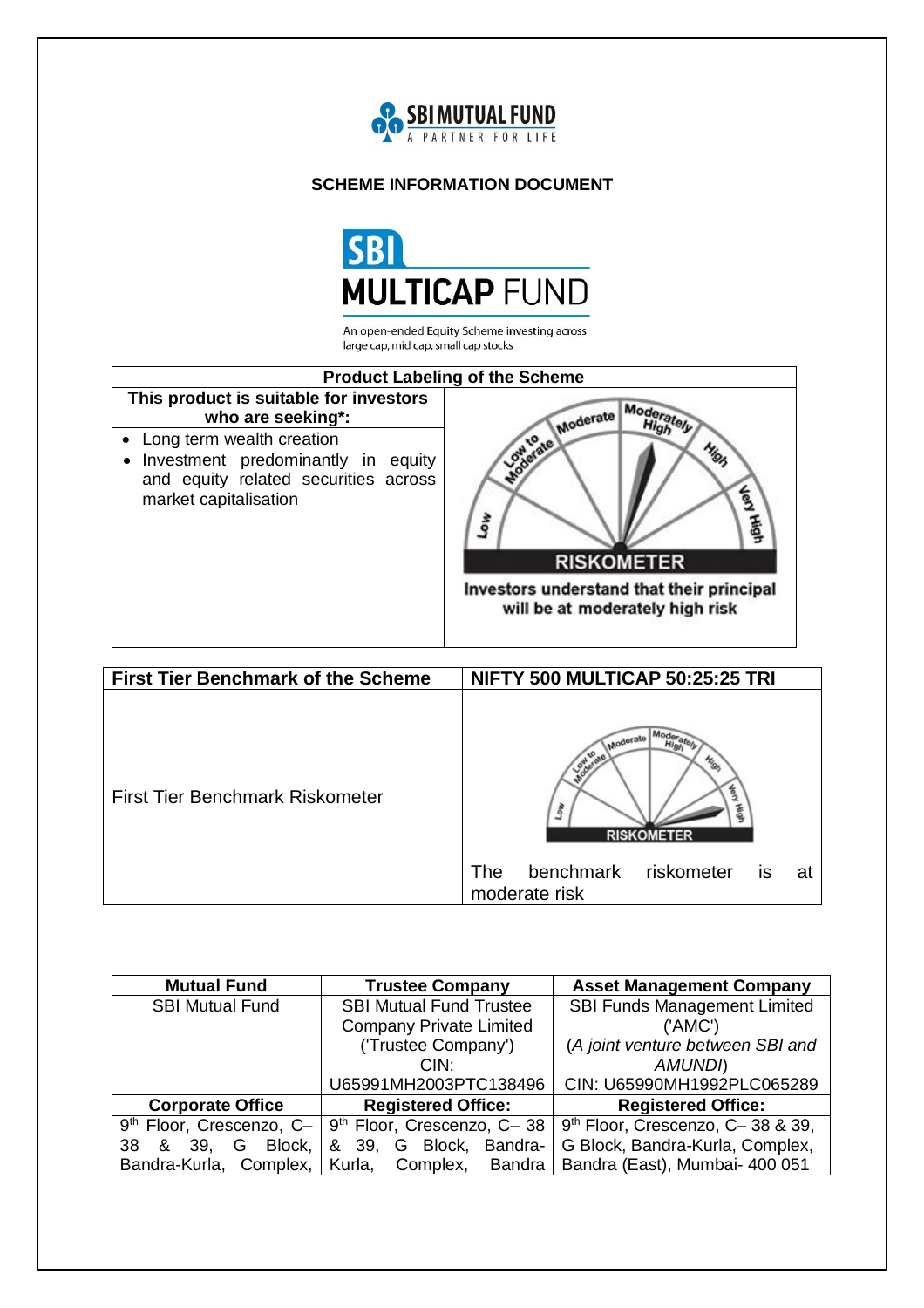

# **SCHEME INFORMATION DOCUMENT**



An open-ended Equity Scheme investing across large cap, mid cap, small cap stocks



| <b>First Tier Benchmark of the Scheme</b> | NIFTY 500 MULTICAP 50:25:25 TRI                          |
|-------------------------------------------|----------------------------------------------------------|
| <b>First Tier Benchmark Riskometer</b>    | 丢<br><b>RISKOMETER</b>                                   |
|                                           | benchmark riskometer<br>The<br>is<br>at<br>moderate risk |

| <b>Mutual Fund</b>         | <b>Trustee Company</b>                 | <b>Asset Management Company</b>              |  |
|----------------------------|----------------------------------------|----------------------------------------------|--|
| <b>SBI Mutual Fund</b>     | <b>SBI Mutual Fund Trustee</b>         | <b>SBI Funds Management Limited</b>          |  |
|                            | <b>Company Private Limited</b>         | ('AMC')                                      |  |
|                            | ('Trustee Company')                    | (A joint venture between SBI and             |  |
|                            | CIN:                                   | <b>AMUNDI</b>                                |  |
|                            | U65991MH2003PTC138496                  | CIN: U65990MH1992PLC065289                   |  |
| <b>Corporate Office</b>    | <b>Registered Office:</b>              | <b>Registered Office:</b>                    |  |
| $9th$ Floor, Crescenzo, C- | 9 <sup>th</sup> Floor, Crescenzo, C-38 | 9 <sup>th</sup> Floor, Crescenzo, C-38 & 39, |  |
| Block,<br>38<br>& 39.<br>G | & 39, G Block, Bandra-                 | G Block, Bandra-Kurla, Complex,              |  |
| Bandra-Kurla, Complex,     | Complex,<br>Bandra<br>Kurla,           | Bandra (East), Mumbai- 400 051               |  |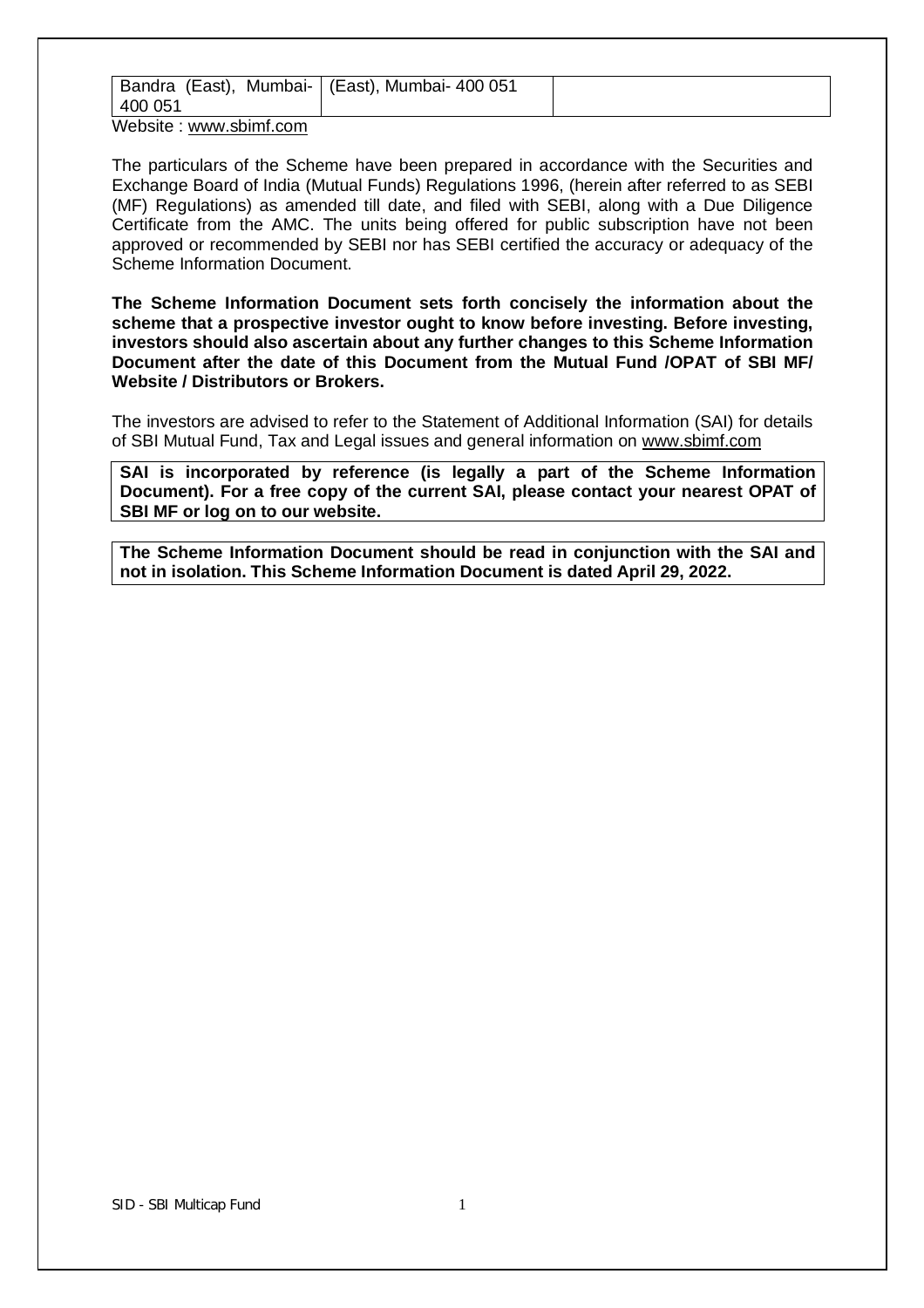| Bandra (East), Mumbai-   (East), Mumbai- 400 051 |  |
|--------------------------------------------------|--|
| 400 051                                          |  |
| Wahaita : unini ahipat aana                      |  |

Website : www.sbimf.com

The particulars of the Scheme have been prepared in accordance with the Securities and Exchange Board of India (Mutual Funds) Regulations 1996, (herein after referred to as SEBI (MF) Regulations) as amended till date, and filed with SEBI, along with a Due Diligence Certificate from the AMC. The units being offered for public subscription have not been approved or recommended by SEBI nor has SEBI certified the accuracy or adequacy of the Scheme Information Document.

**The Scheme Information Document sets forth concisely the information about the scheme that a prospective investor ought to know before investing. Before investing, investors should also ascertain about any further changes to this Scheme Information Document after the date of this Document from the Mutual Fund /OPAT of SBI MF/ Website / Distributors or Brokers.**

The investors are advised to refer to the Statement of Additional Information (SAI) for details of SBI Mutual Fund, Tax and Legal issues and general information on www.sbimf.com

**SAI is incorporated by reference (is legally a part of the Scheme Information Document). For a free copy of the current SAI, please contact your nearest OPAT of SBI MF or log on to our website.** 

**The Scheme Information Document should be read in conjunction with the SAI and not in isolation. This Scheme Information Document is dated April 29, 2022.**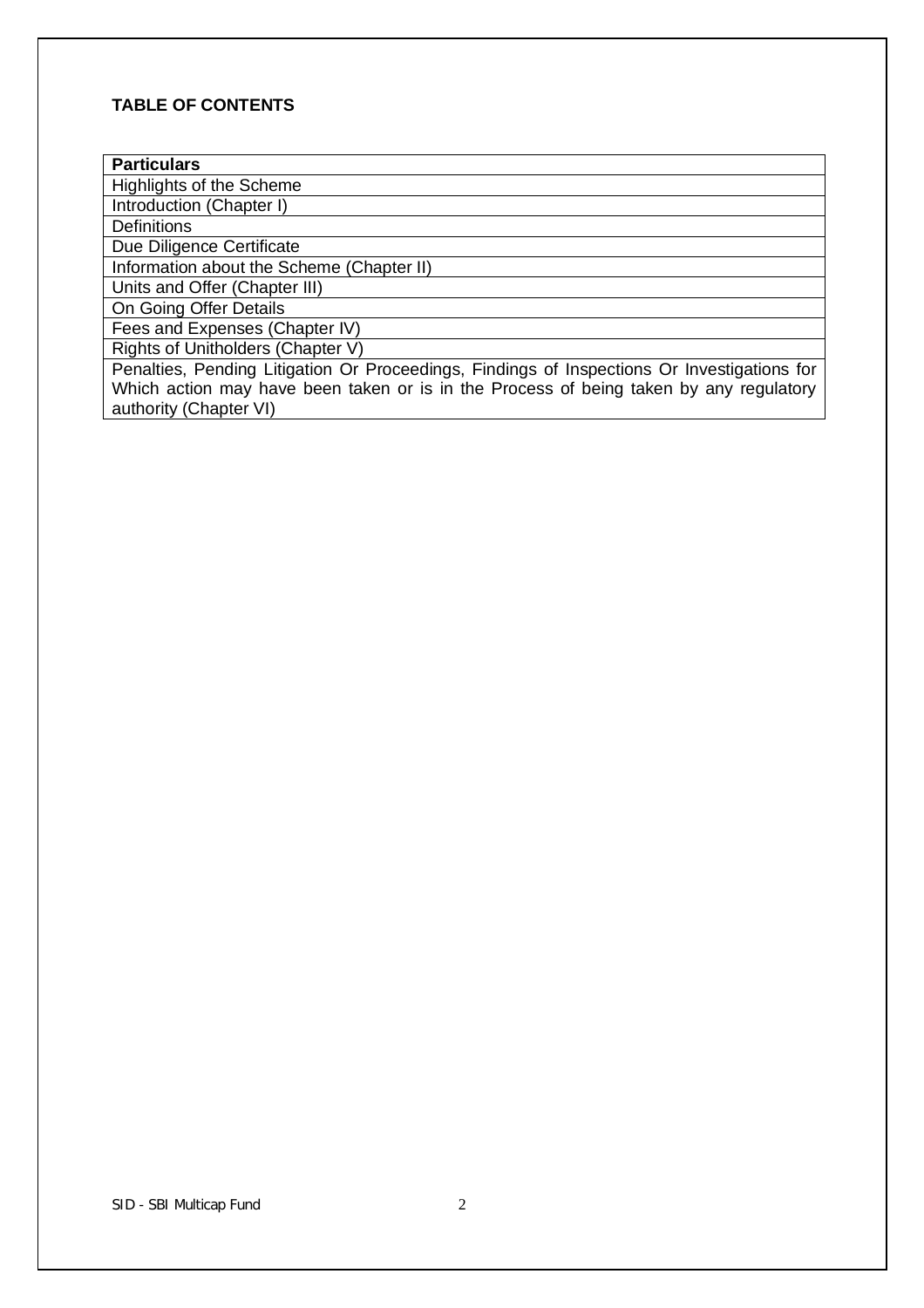# **TABLE OF CONTENTS**

Highlights of the Scheme

Introduction (Chapter I)

**Definitions** 

Due Diligence Certificate

Information about the Scheme (Chapter II) Units and Offer (Chapter III)

On Going Offer Details

Fees and Expenses (Chapter IV)

Rights of Unitholders (Chapter V)

Penalties, Pending Litigation Or Proceedings, Findings of Inspections Or Investigations for Which action may have been taken or is in the Process of being taken by any regulatory authority (Chapter VI)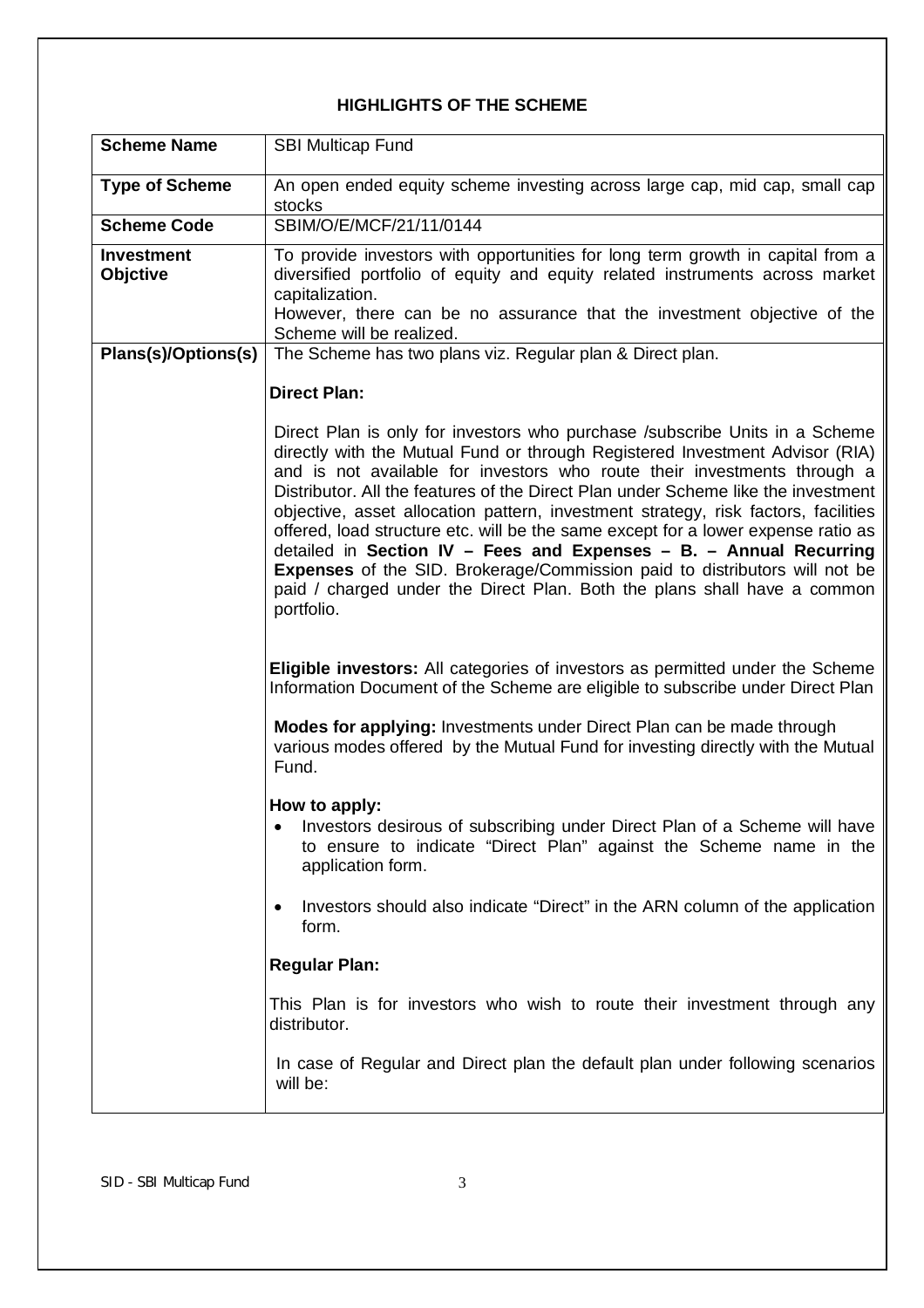# **HIGHLIGHTS OF THE SCHEME**

| <b>Scheme Name</b>                   | <b>SBI Multicap Fund</b>                                                                                                                                                                                                                                                                                                                                                                                                                                                                                                                                                                                                                                                                                                                                     |
|--------------------------------------|--------------------------------------------------------------------------------------------------------------------------------------------------------------------------------------------------------------------------------------------------------------------------------------------------------------------------------------------------------------------------------------------------------------------------------------------------------------------------------------------------------------------------------------------------------------------------------------------------------------------------------------------------------------------------------------------------------------------------------------------------------------|
| <b>Type of Scheme</b>                | An open ended equity scheme investing across large cap, mid cap, small cap<br>stocks                                                                                                                                                                                                                                                                                                                                                                                                                                                                                                                                                                                                                                                                         |
| <b>Scheme Code</b>                   | SBIM/O/E/MCF/21/11/0144                                                                                                                                                                                                                                                                                                                                                                                                                                                                                                                                                                                                                                                                                                                                      |
| <b>Investment</b><br><b>Objctive</b> | To provide investors with opportunities for long term growth in capital from a<br>diversified portfolio of equity and equity related instruments across market<br>capitalization.<br>However, there can be no assurance that the investment objective of the<br>Scheme will be realized.                                                                                                                                                                                                                                                                                                                                                                                                                                                                     |
| Plans(s)/Options(s)                  | The Scheme has two plans viz. Regular plan & Direct plan.                                                                                                                                                                                                                                                                                                                                                                                                                                                                                                                                                                                                                                                                                                    |
|                                      | <b>Direct Plan:</b>                                                                                                                                                                                                                                                                                                                                                                                                                                                                                                                                                                                                                                                                                                                                          |
|                                      | Direct Plan is only for investors who purchase /subscribe Units in a Scheme<br>directly with the Mutual Fund or through Registered Investment Advisor (RIA)<br>and is not available for investors who route their investments through a<br>Distributor. All the features of the Direct Plan under Scheme like the investment<br>objective, asset allocation pattern, investment strategy, risk factors, facilities<br>offered, load structure etc. will be the same except for a lower expense ratio as<br>detailed in Section IV - Fees and Expenses - B. - Annual Recurring<br><b>Expenses</b> of the SID. Brokerage/Commission paid to distributors will not be<br>paid / charged under the Direct Plan. Both the plans shall have a common<br>portfolio. |
|                                      | <b>Eligible investors:</b> All categories of investors as permitted under the Scheme<br>Information Document of the Scheme are eligible to subscribe under Direct Plan                                                                                                                                                                                                                                                                                                                                                                                                                                                                                                                                                                                       |
|                                      | Modes for applying: Investments under Direct Plan can be made through<br>various modes offered by the Mutual Fund for investing directly with the Mutual<br>Fund.                                                                                                                                                                                                                                                                                                                                                                                                                                                                                                                                                                                            |
|                                      | How to apply:<br>Investors desirous of subscribing under Direct Plan of a Scheme will have<br>to ensure to indicate "Direct Plan" against the Scheme name in the<br>application form.<br>Investors should also indicate "Direct" in the ARN column of the application                                                                                                                                                                                                                                                                                                                                                                                                                                                                                        |
|                                      | form.                                                                                                                                                                                                                                                                                                                                                                                                                                                                                                                                                                                                                                                                                                                                                        |
|                                      | <b>Regular Plan:</b>                                                                                                                                                                                                                                                                                                                                                                                                                                                                                                                                                                                                                                                                                                                                         |
|                                      | This Plan is for investors who wish to route their investment through any<br>distributor.                                                                                                                                                                                                                                                                                                                                                                                                                                                                                                                                                                                                                                                                    |
|                                      | In case of Regular and Direct plan the default plan under following scenarios<br>will be:                                                                                                                                                                                                                                                                                                                                                                                                                                                                                                                                                                                                                                                                    |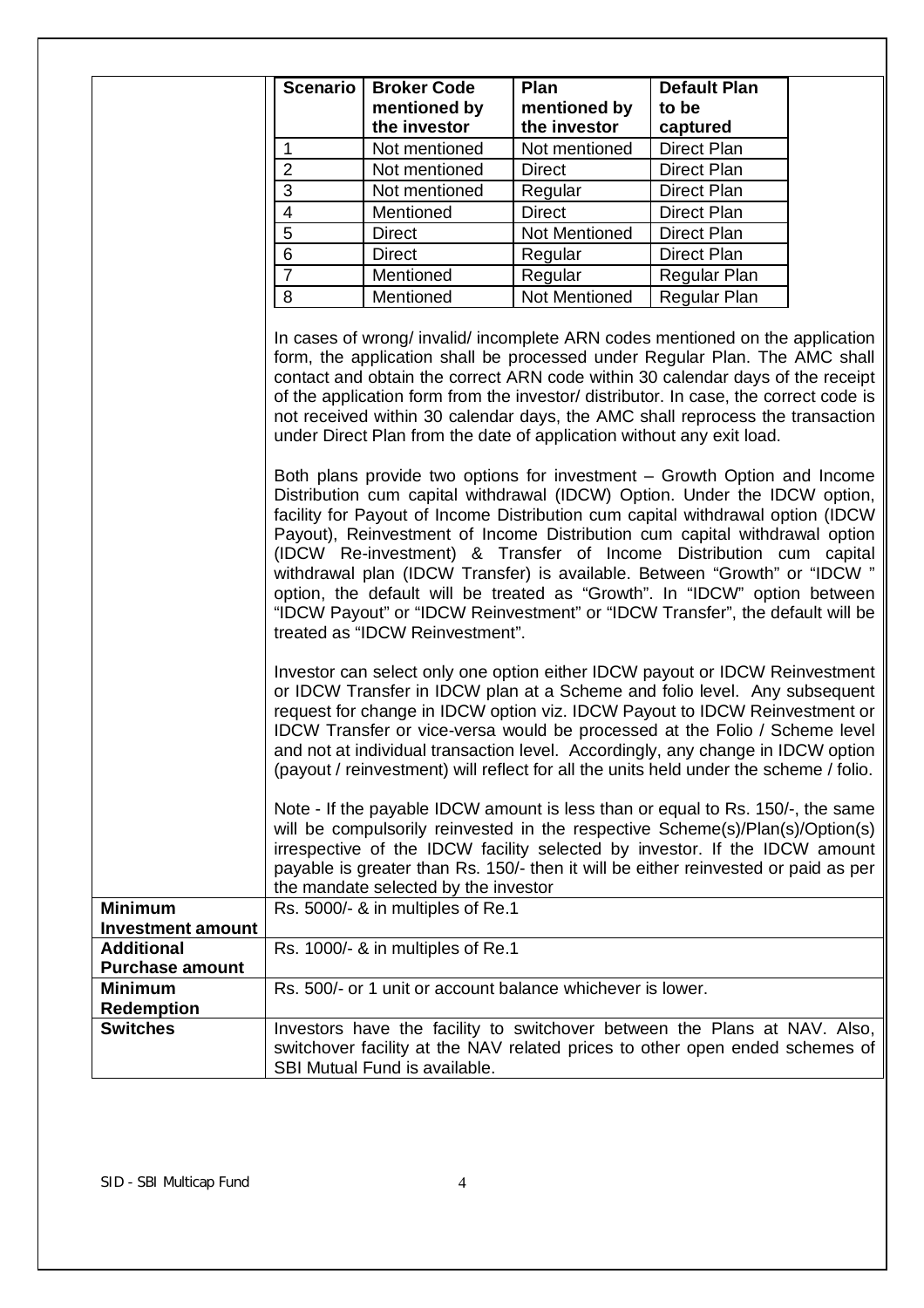|                          | <b>Scenario</b>         | <b>Broker Code</b><br>mentioned by                                                                                                                                                                                                                                                                                                                                                                                                                                                                                                                                                                                                                                                                                                                                                                                                                                                                                                                                                                                                                                                          | Plan<br>mentioned by | <b>Default Plan</b><br>to be |  |
|--------------------------|-------------------------|---------------------------------------------------------------------------------------------------------------------------------------------------------------------------------------------------------------------------------------------------------------------------------------------------------------------------------------------------------------------------------------------------------------------------------------------------------------------------------------------------------------------------------------------------------------------------------------------------------------------------------------------------------------------------------------------------------------------------------------------------------------------------------------------------------------------------------------------------------------------------------------------------------------------------------------------------------------------------------------------------------------------------------------------------------------------------------------------|----------------------|------------------------------|--|
|                          |                         | the investor                                                                                                                                                                                                                                                                                                                                                                                                                                                                                                                                                                                                                                                                                                                                                                                                                                                                                                                                                                                                                                                                                | the investor         | captured                     |  |
|                          | 1                       | Not mentioned                                                                                                                                                                                                                                                                                                                                                                                                                                                                                                                                                                                                                                                                                                                                                                                                                                                                                                                                                                                                                                                                               | Not mentioned        | Direct Plan                  |  |
|                          | $\overline{2}$          | Not mentioned                                                                                                                                                                                                                                                                                                                                                                                                                                                                                                                                                                                                                                                                                                                                                                                                                                                                                                                                                                                                                                                                               | <b>Direct</b>        | <b>Direct Plan</b>           |  |
|                          | 3                       | Not mentioned                                                                                                                                                                                                                                                                                                                                                                                                                                                                                                                                                                                                                                                                                                                                                                                                                                                                                                                                                                                                                                                                               | Regular              | <b>Direct Plan</b>           |  |
|                          | $\overline{\mathbf{4}}$ | Mentioned                                                                                                                                                                                                                                                                                                                                                                                                                                                                                                                                                                                                                                                                                                                                                                                                                                                                                                                                                                                                                                                                                   | <b>Direct</b>        | Direct Plan                  |  |
|                          | 5                       | <b>Direct</b>                                                                                                                                                                                                                                                                                                                                                                                                                                                                                                                                                                                                                                                                                                                                                                                                                                                                                                                                                                                                                                                                               | Not Mentioned        | <b>Direct Plan</b>           |  |
|                          | 6                       | <b>Direct</b>                                                                                                                                                                                                                                                                                                                                                                                                                                                                                                                                                                                                                                                                                                                                                                                                                                                                                                                                                                                                                                                                               | Regular              | Direct Plan                  |  |
|                          | $\overline{7}$          | Mentioned                                                                                                                                                                                                                                                                                                                                                                                                                                                                                                                                                                                                                                                                                                                                                                                                                                                                                                                                                                                                                                                                                   | Regular              | Regular Plan                 |  |
|                          | 8                       | Mentioned                                                                                                                                                                                                                                                                                                                                                                                                                                                                                                                                                                                                                                                                                                                                                                                                                                                                                                                                                                                                                                                                                   | <b>Not Mentioned</b> | Regular Plan                 |  |
|                          |                         | form, the application shall be processed under Regular Plan. The AMC shall<br>contact and obtain the correct ARN code within 30 calendar days of the receipt<br>of the application form from the investor/ distributor. In case, the correct code is<br>not received within 30 calendar days, the AMC shall reprocess the transaction<br>under Direct Plan from the date of application without any exit load.<br>Both plans provide two options for investment – Growth Option and Income<br>Distribution cum capital withdrawal (IDCW) Option. Under the IDCW option,<br>facility for Payout of Income Distribution cum capital withdrawal option (IDCW)<br>Payout), Reinvestment of Income Distribution cum capital withdrawal option<br>(IDCW Re-investment) & Transfer of Income Distribution cum capital<br>withdrawal plan (IDCW Transfer) is available. Between "Growth" or "IDCW "<br>option, the default will be treated as "Growth". In "IDCW" option between<br>"IDCW Payout" or "IDCW Reinvestment" or "IDCW Transfer", the default will be<br>treated as "IDCW Reinvestment". |                      |                              |  |
|                          |                         | Investor can select only one option either IDCW payout or IDCW Reinvestment<br>or IDCW Transfer in IDCW plan at a Scheme and folio level. Any subsequent<br>request for change in IDCW option viz. IDCW Payout to IDCW Reinvestment or<br>IDCW Transfer or vice-versa would be processed at the Folio / Scheme level<br>and not at individual transaction level. Accordingly, any change in IDCW option<br>(payout / reinvestment) will reflect for all the units held under the scheme / folio.                                                                                                                                                                                                                                                                                                                                                                                                                                                                                                                                                                                            |                      |                              |  |
|                          |                         | Note - If the payable IDCW amount is less than or equal to Rs. 150/-, the same<br>will be compulsorily reinvested in the respective Scheme(s)/Plan(s)/Option(s)<br>irrespective of the IDCW facility selected by investor. If the IDCW amount<br>payable is greater than Rs. 150/- then it will be either reinvested or paid as per<br>the mandate selected by the investor                                                                                                                                                                                                                                                                                                                                                                                                                                                                                                                                                                                                                                                                                                                 |                      |                              |  |
| <b>Minimum</b>           |                         | Rs. 5000/- & in multiples of Re.1                                                                                                                                                                                                                                                                                                                                                                                                                                                                                                                                                                                                                                                                                                                                                                                                                                                                                                                                                                                                                                                           |                      |                              |  |
| <b>Investment amount</b> |                         |                                                                                                                                                                                                                                                                                                                                                                                                                                                                                                                                                                                                                                                                                                                                                                                                                                                                                                                                                                                                                                                                                             |                      |                              |  |
| <b>Additional</b>        |                         | Rs. 1000/- & in multiples of Re.1                                                                                                                                                                                                                                                                                                                                                                                                                                                                                                                                                                                                                                                                                                                                                                                                                                                                                                                                                                                                                                                           |                      |                              |  |
| <b>Purchase amount</b>   |                         |                                                                                                                                                                                                                                                                                                                                                                                                                                                                                                                                                                                                                                                                                                                                                                                                                                                                                                                                                                                                                                                                                             |                      |                              |  |
| <b>Minimum</b>           |                         | Rs. 500/- or 1 unit or account balance whichever is lower.                                                                                                                                                                                                                                                                                                                                                                                                                                                                                                                                                                                                                                                                                                                                                                                                                                                                                                                                                                                                                                  |                      |                              |  |
| <b>Redemption</b>        |                         |                                                                                                                                                                                                                                                                                                                                                                                                                                                                                                                                                                                                                                                                                                                                                                                                                                                                                                                                                                                                                                                                                             |                      |                              |  |
| <b>Switches</b>          |                         | Investors have the facility to switchover between the Plans at NAV. Also,<br>switchover facility at the NAV related prices to other open ended schemes of<br>SBI Mutual Fund is available.                                                                                                                                                                                                                                                                                                                                                                                                                                                                                                                                                                                                                                                                                                                                                                                                                                                                                                  |                      |                              |  |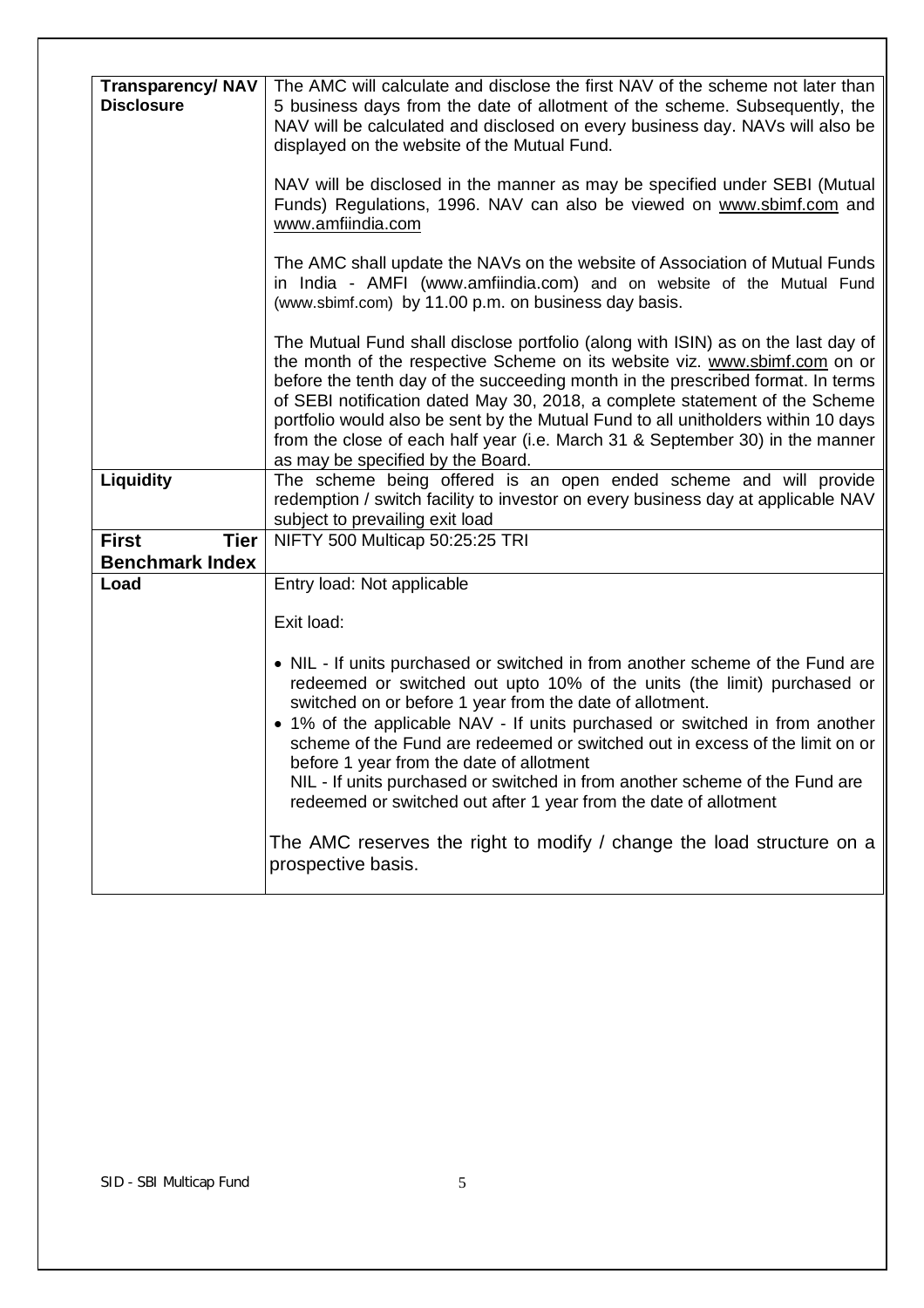| <b>Transparency/NAV</b><br><b>Disclosure</b> | The AMC will calculate and disclose the first NAV of the scheme not later than<br>5 business days from the date of allotment of the scheme. Subsequently, the<br>NAV will be calculated and disclosed on every business day. NAVs will also be<br>displayed on the website of the Mutual Fund.                                                                                                                                                                                                                                                                                     |
|----------------------------------------------|------------------------------------------------------------------------------------------------------------------------------------------------------------------------------------------------------------------------------------------------------------------------------------------------------------------------------------------------------------------------------------------------------------------------------------------------------------------------------------------------------------------------------------------------------------------------------------|
|                                              | NAV will be disclosed in the manner as may be specified under SEBI (Mutual<br>Funds) Regulations, 1996. NAV can also be viewed on www.sbimf.com and<br>www.amfiindia.com                                                                                                                                                                                                                                                                                                                                                                                                           |
|                                              | The AMC shall update the NAVs on the website of Association of Mutual Funds<br>in India - AMFI (www.amfiindia.com) and on website of the Mutual Fund<br>(www.sbimf.com) by 11.00 p.m. on business day basis.                                                                                                                                                                                                                                                                                                                                                                       |
|                                              | The Mutual Fund shall disclose portfolio (along with ISIN) as on the last day of<br>the month of the respective Scheme on its website viz. www.sbimf.com on or<br>before the tenth day of the succeeding month in the prescribed format. In terms<br>of SEBI notification dated May 30, 2018, a complete statement of the Scheme<br>portfolio would also be sent by the Mutual Fund to all unitholders within 10 days<br>from the close of each half year (i.e. March 31 & September 30) in the manner<br>as may be specified by the Board.                                        |
| Liquidity                                    | The scheme being offered is an open ended scheme and will provide<br>redemption / switch facility to investor on every business day at applicable NAV<br>subject to prevailing exit load                                                                                                                                                                                                                                                                                                                                                                                           |
| <b>Tier</b><br><b>First</b>                  | NIFTY 500 Multicap 50:25:25 TRI                                                                                                                                                                                                                                                                                                                                                                                                                                                                                                                                                    |
| <b>Benchmark Index</b>                       |                                                                                                                                                                                                                                                                                                                                                                                                                                                                                                                                                                                    |
| Load                                         | Entry load: Not applicable                                                                                                                                                                                                                                                                                                                                                                                                                                                                                                                                                         |
|                                              | Exit load:                                                                                                                                                                                                                                                                                                                                                                                                                                                                                                                                                                         |
|                                              | • NIL - If units purchased or switched in from another scheme of the Fund are<br>redeemed or switched out upto 10% of the units (the limit) purchased or<br>switched on or before 1 year from the date of allotment.<br>• 1% of the applicable NAV - If units purchased or switched in from another<br>scheme of the Fund are redeemed or switched out in excess of the limit on or<br>before 1 year from the date of allotment<br>NIL - If units purchased or switched in from another scheme of the Fund are<br>redeemed or switched out after 1 year from the date of allotment |
|                                              | The AMC reserves the right to modify / change the load structure on a<br>prospective basis.                                                                                                                                                                                                                                                                                                                                                                                                                                                                                        |
|                                              |                                                                                                                                                                                                                                                                                                                                                                                                                                                                                                                                                                                    |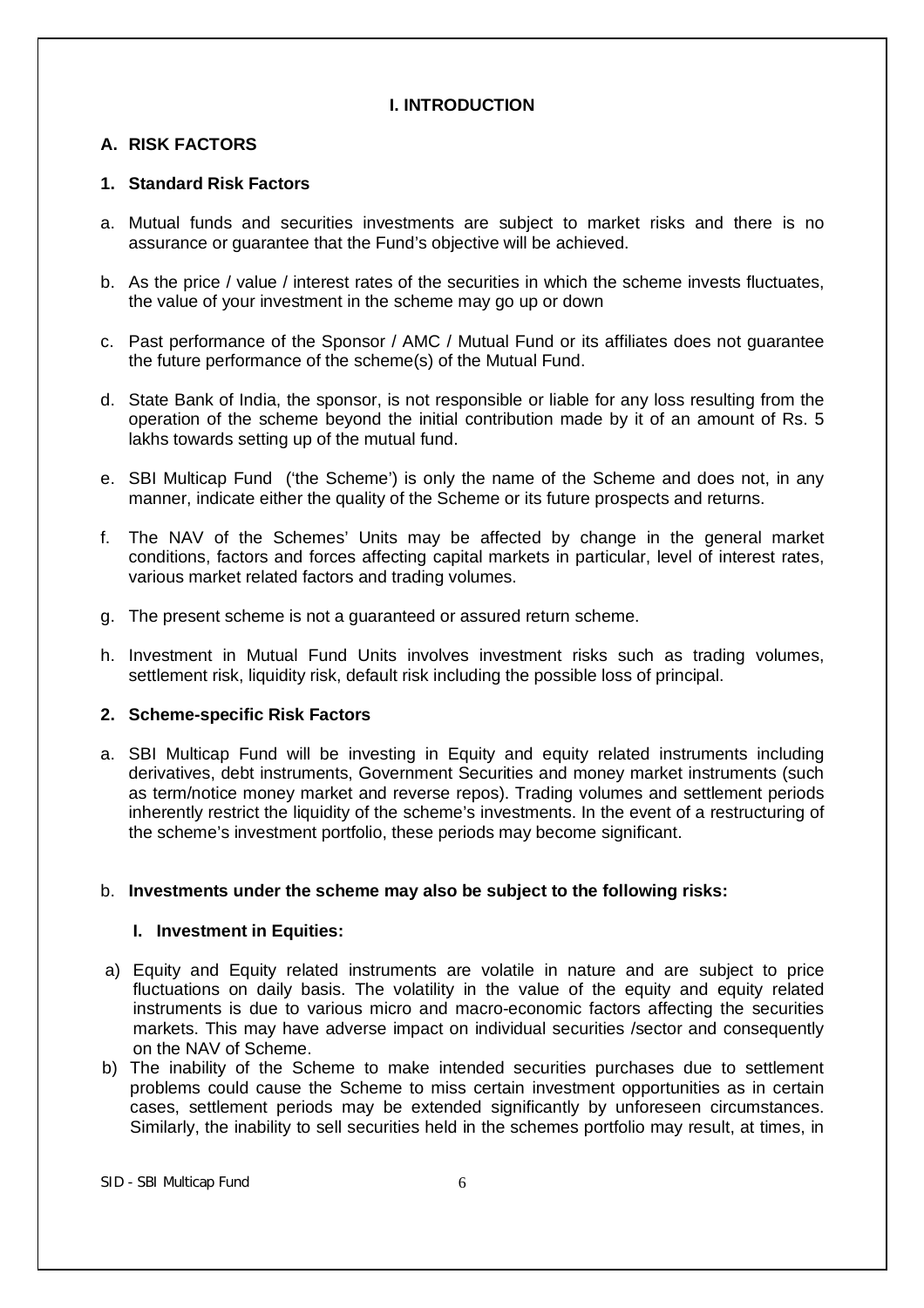# **I. INTRODUCTION**

# **A. RISK FACTORS**

# **1. Standard Risk Factors**

- a. Mutual funds and securities investments are subject to market risks and there is no assurance or guarantee that the Fund's objective will be achieved.
- b. As the price / value / interest rates of the securities in which the scheme invests fluctuates, the value of your investment in the scheme may go up or down
- c. Past performance of the Sponsor / AMC / Mutual Fund or its affiliates does not guarantee the future performance of the scheme(s) of the Mutual Fund.
- d. State Bank of India, the sponsor, is not responsible or liable for any loss resulting from the operation of the scheme beyond the initial contribution made by it of an amount of Rs. 5 lakhs towards setting up of the mutual fund.
- e. SBI Multicap Fund ('the Scheme') is only the name of the Scheme and does not, in any manner, indicate either the quality of the Scheme or its future prospects and returns.
- f. The NAV of the Schemes' Units may be affected by change in the general market conditions, factors and forces affecting capital markets in particular, level of interest rates, various market related factors and trading volumes.
- g. The present scheme is not a guaranteed or assured return scheme.
- h. Investment in Mutual Fund Units involves investment risks such as trading volumes, settlement risk, liquidity risk, default risk including the possible loss of principal.

# **2. Scheme-specific Risk Factors**

a. SBI Multicap Fund will be investing in Equity and equity related instruments including derivatives, debt instruments, Government Securities and money market instruments (such as term/notice money market and reverse repos). Trading volumes and settlement periods inherently restrict the liquidity of the scheme's investments. In the event of a restructuring of the scheme's investment portfolio, these periods may become significant.

# b. **Investments under the scheme may also be subject to the following risks:**

# **I. Investment in Equities:**

- a) Equity and Equity related instruments are volatile in nature and are subject to price fluctuations on daily basis. The volatility in the value of the equity and equity related instruments is due to various micro and macro-economic factors affecting the securities markets. This may have adverse impact on individual securities /sector and consequently on the NAV of Scheme.
- b) The inability of the Scheme to make intended securities purchases due to settlement problems could cause the Scheme to miss certain investment opportunities as in certain cases, settlement periods may be extended significantly by unforeseen circumstances. Similarly, the inability to sell securities held in the schemes portfolio may result, at times, in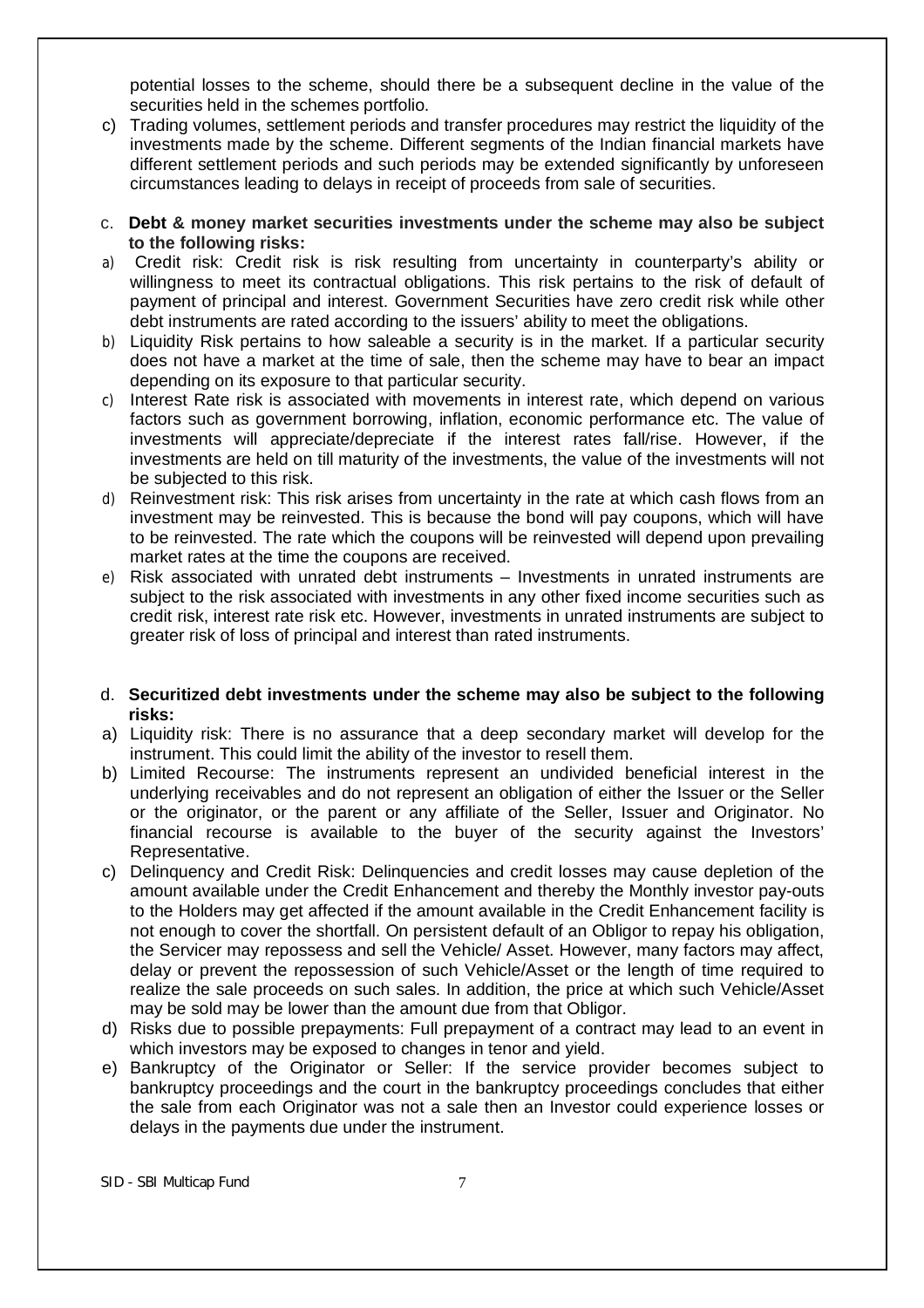potential losses to the scheme, should there be a subsequent decline in the value of the securities held in the schemes portfolio.

- c) Trading volumes, settlement periods and transfer procedures may restrict the liquidity of the investments made by the scheme. Different segments of the Indian financial markets have different settlement periods and such periods may be extended significantly by unforeseen circumstances leading to delays in receipt of proceeds from sale of securities.
- c. **Debt & money market securities investments under the scheme may also be subject to the following risks:**
- a) Credit risk: Credit risk is risk resulting from uncertainty in counterparty's ability or willingness to meet its contractual obligations. This risk pertains to the risk of default of payment of principal and interest. Government Securities have zero credit risk while other debt instruments are rated according to the issuers' ability to meet the obligations.
- b) Liquidity Risk pertains to how saleable a security is in the market. If a particular security does not have a market at the time of sale, then the scheme may have to bear an impact depending on its exposure to that particular security.
- c) Interest Rate risk is associated with movements in interest rate, which depend on various factors such as government borrowing, inflation, economic performance etc. The value of investments will appreciate/depreciate if the interest rates fall/rise. However, if the investments are held on till maturity of the investments, the value of the investments will not be subjected to this risk.
- d) Reinvestment risk: This risk arises from uncertainty in the rate at which cash flows from an investment may be reinvested. This is because the bond will pay coupons, which will have to be reinvested. The rate which the coupons will be reinvested will depend upon prevailing market rates at the time the coupons are received.
- e) Risk associated with unrated debt instruments Investments in unrated instruments are subject to the risk associated with investments in any other fixed income securities such as credit risk, interest rate risk etc. However, investments in unrated instruments are subject to greater risk of loss of principal and interest than rated instruments.

## d. **Securitized debt investments under the scheme may also be subject to the following risks:**

- a) Liquidity risk: There is no assurance that a deep secondary market will develop for the instrument. This could limit the ability of the investor to resell them.
- b) Limited Recourse: The instruments represent an undivided beneficial interest in the underlying receivables and do not represent an obligation of either the Issuer or the Seller or the originator, or the parent or any affiliate of the Seller, Issuer and Originator. No financial recourse is available to the buyer of the security against the Investors' Representative.
- c) Delinquency and Credit Risk: Delinquencies and credit losses may cause depletion of the amount available under the Credit Enhancement and thereby the Monthly investor pay-outs to the Holders may get affected if the amount available in the Credit Enhancement facility is not enough to cover the shortfall. On persistent default of an Obligor to repay his obligation, the Servicer may repossess and sell the Vehicle/ Asset. However, many factors may affect, delay or prevent the repossession of such Vehicle/Asset or the length of time required to realize the sale proceeds on such sales. In addition, the price at which such Vehicle/Asset may be sold may be lower than the amount due from that Obligor.
- d) Risks due to possible prepayments: Full prepayment of a contract may lead to an event in which investors may be exposed to changes in tenor and yield.
- e) Bankruptcy of the Originator or Seller: If the service provider becomes subject to bankruptcy proceedings and the court in the bankruptcy proceedings concludes that either the sale from each Originator was not a sale then an Investor could experience losses or delays in the payments due under the instrument.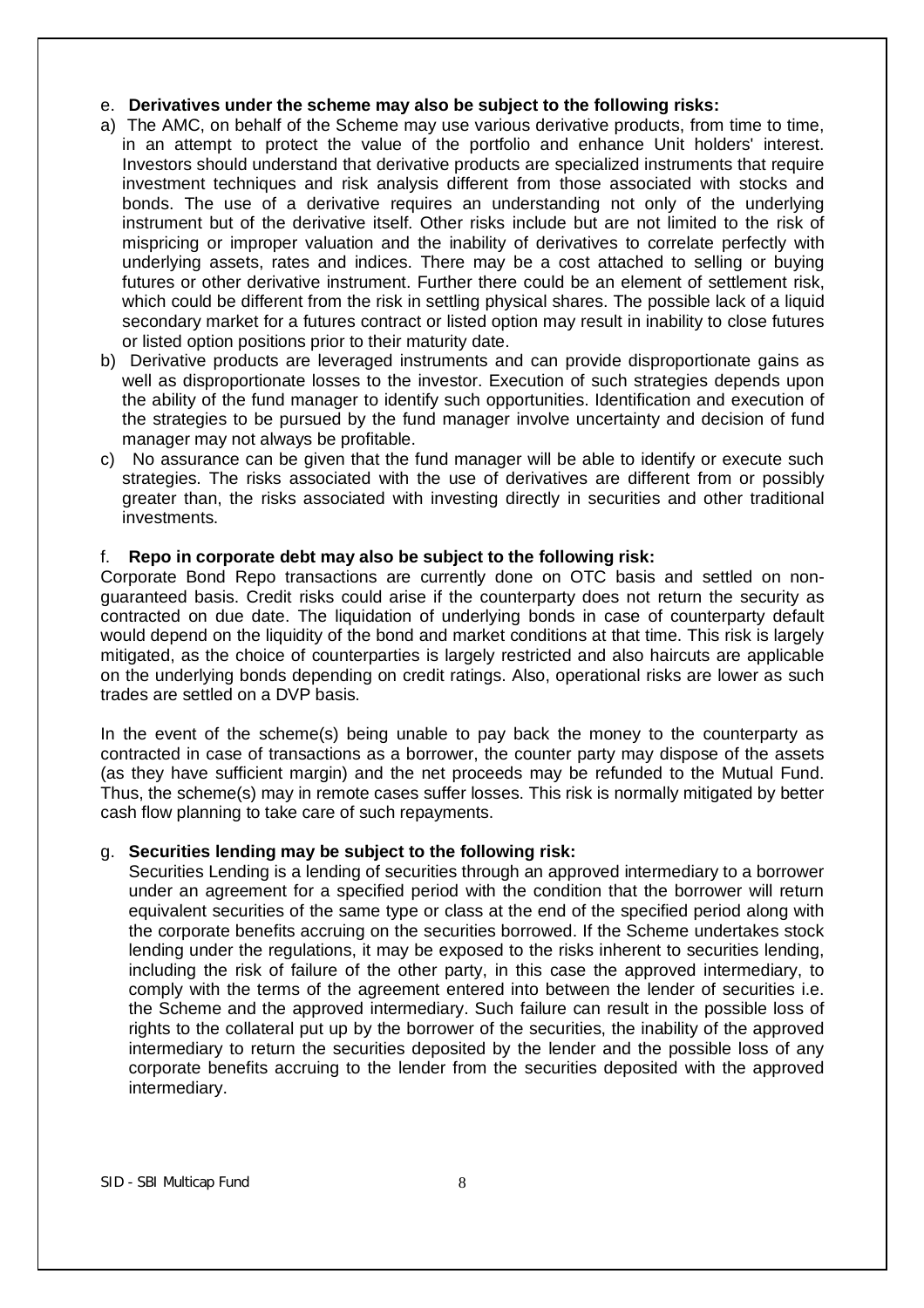#### e. **Derivatives under the scheme may also be subject to the following risks:**

- a) The AMC, on behalf of the Scheme may use various derivative products, from time to time, in an attempt to protect the value of the portfolio and enhance Unit holders' interest. Investors should understand that derivative products are specialized instruments that require investment techniques and risk analysis different from those associated with stocks and bonds. The use of a derivative requires an understanding not only of the underlying instrument but of the derivative itself. Other risks include but are not limited to the risk of mispricing or improper valuation and the inability of derivatives to correlate perfectly with underlying assets, rates and indices. There may be a cost attached to selling or buying futures or other derivative instrument. Further there could be an element of settlement risk, which could be different from the risk in settling physical shares. The possible lack of a liquid secondary market for a futures contract or listed option may result in inability to close futures or listed option positions prior to their maturity date.
- b) Derivative products are leveraged instruments and can provide disproportionate gains as well as disproportionate losses to the investor. Execution of such strategies depends upon the ability of the fund manager to identify such opportunities. Identification and execution of the strategies to be pursued by the fund manager involve uncertainty and decision of fund manager may not always be profitable.
- c) No assurance can be given that the fund manager will be able to identify or execute such strategies. The risks associated with the use of derivatives are different from or possibly greater than, the risks associated with investing directly in securities and other traditional investments.

# f. **Repo in corporate debt may also be subject to the following risk:**

Corporate Bond Repo transactions are currently done on OTC basis and settled on nonguaranteed basis. Credit risks could arise if the counterparty does not return the security as contracted on due date. The liquidation of underlying bonds in case of counterparty default would depend on the liquidity of the bond and market conditions at that time. This risk is largely mitigated, as the choice of counterparties is largely restricted and also haircuts are applicable on the underlying bonds depending on credit ratings. Also, operational risks are lower as such trades are settled on a DVP basis.

In the event of the scheme(s) being unable to pay back the money to the counterparty as contracted in case of transactions as a borrower, the counter party may dispose of the assets (as they have sufficient margin) and the net proceeds may be refunded to the Mutual Fund. Thus, the scheme(s) may in remote cases suffer losses. This risk is normally mitigated by better cash flow planning to take care of such repayments.

#### g. **Securities lending may be subject to the following risk:**

Securities Lending is a lending of securities through an approved intermediary to a borrower under an agreement for a specified period with the condition that the borrower will return equivalent securities of the same type or class at the end of the specified period along with the corporate benefits accruing on the securities borrowed. If the Scheme undertakes stock lending under the regulations, it may be exposed to the risks inherent to securities lending, including the risk of failure of the other party, in this case the approved intermediary, to comply with the terms of the agreement entered into between the lender of securities i.e. the Scheme and the approved intermediary. Such failure can result in the possible loss of rights to the collateral put up by the borrower of the securities, the inability of the approved intermediary to return the securities deposited by the lender and the possible loss of any corporate benefits accruing to the lender from the securities deposited with the approved intermediary.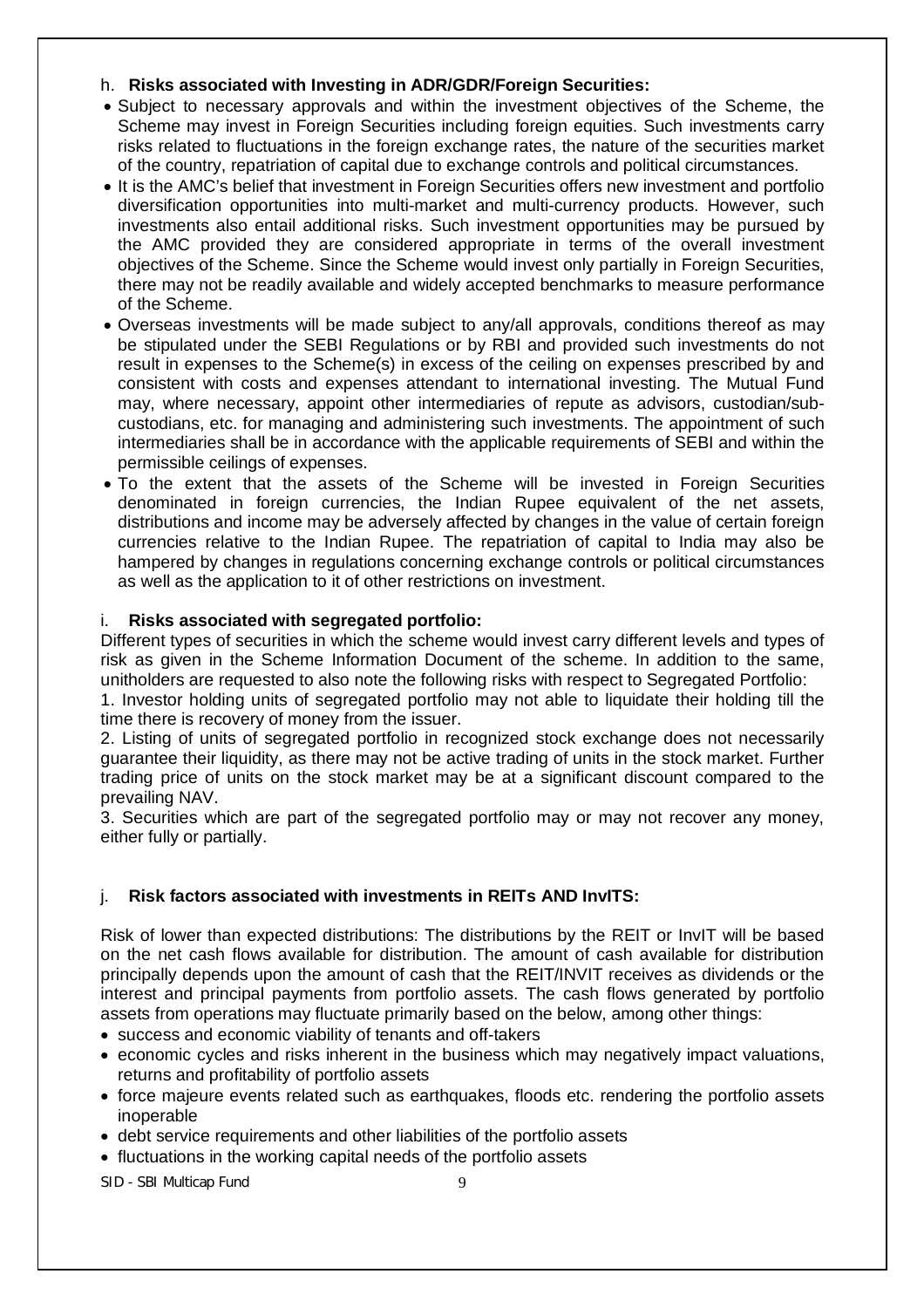# h. **Risks associated with Investing in ADR/GDR/Foreign Securities:**

- Subject to necessary approvals and within the investment objectives of the Scheme, the Scheme may invest in Foreign Securities including foreign equities. Such investments carry risks related to fluctuations in the foreign exchange rates, the nature of the securities market of the country, repatriation of capital due to exchange controls and political circumstances.
- It is the AMC's belief that investment in Foreign Securities offers new investment and portfolio diversification opportunities into multi-market and multi-currency products. However, such investments also entail additional risks. Such investment opportunities may be pursued by the AMC provided they are considered appropriate in terms of the overall investment objectives of the Scheme. Since the Scheme would invest only partially in Foreign Securities, there may not be readily available and widely accepted benchmarks to measure performance of the Scheme.
- Overseas investments will be made subject to any/all approvals, conditions thereof as may be stipulated under the SEBI Regulations or by RBI and provided such investments do not result in expenses to the Scheme(s) in excess of the ceiling on expenses prescribed by and consistent with costs and expenses attendant to international investing. The Mutual Fund may, where necessary, appoint other intermediaries of repute as advisors, custodian/subcustodians, etc. for managing and administering such investments. The appointment of such intermediaries shall be in accordance with the applicable requirements of SEBI and within the permissible ceilings of expenses.
- To the extent that the assets of the Scheme will be invested in Foreign Securities denominated in foreign currencies, the Indian Rupee equivalent of the net assets, distributions and income may be adversely affected by changes in the value of certain foreign currencies relative to the Indian Rupee. The repatriation of capital to India may also be hampered by changes in regulations concerning exchange controls or political circumstances as well as the application to it of other restrictions on investment.

# i. **Risks associated with segregated portfolio:**

Different types of securities in which the scheme would invest carry different levels and types of risk as given in the Scheme Information Document of the scheme. In addition to the same, unitholders are requested to also note the following risks with respect to Segregated Portfolio:

1. Investor holding units of segregated portfolio may not able to liquidate their holding till the time there is recovery of money from the issuer.

2. Listing of units of segregated portfolio in recognized stock exchange does not necessarily guarantee their liquidity, as there may not be active trading of units in the stock market. Further trading price of units on the stock market may be at a significant discount compared to the prevailing NAV.

3. Securities which are part of the segregated portfolio may or may not recover any money, either fully or partially.

# j. **Risk factors associated with investments in REITs AND InvITS:**

Risk of lower than expected distributions: The distributions by the REIT or InvIT will be based on the net cash flows available for distribution. The amount of cash available for distribution principally depends upon the amount of cash that the REIT/INVIT receives as dividends or the interest and principal payments from portfolio assets. The cash flows generated by portfolio assets from operations may fluctuate primarily based on the below, among other things:

- success and economic viability of tenants and off-takers
- economic cycles and risks inherent in the business which may negatively impact valuations, returns and profitability of portfolio assets
- force majeure events related such as earthquakes, floods etc. rendering the portfolio assets inoperable
- debt service requirements and other liabilities of the portfolio assets
- fluctuations in the working capital needs of the portfolio assets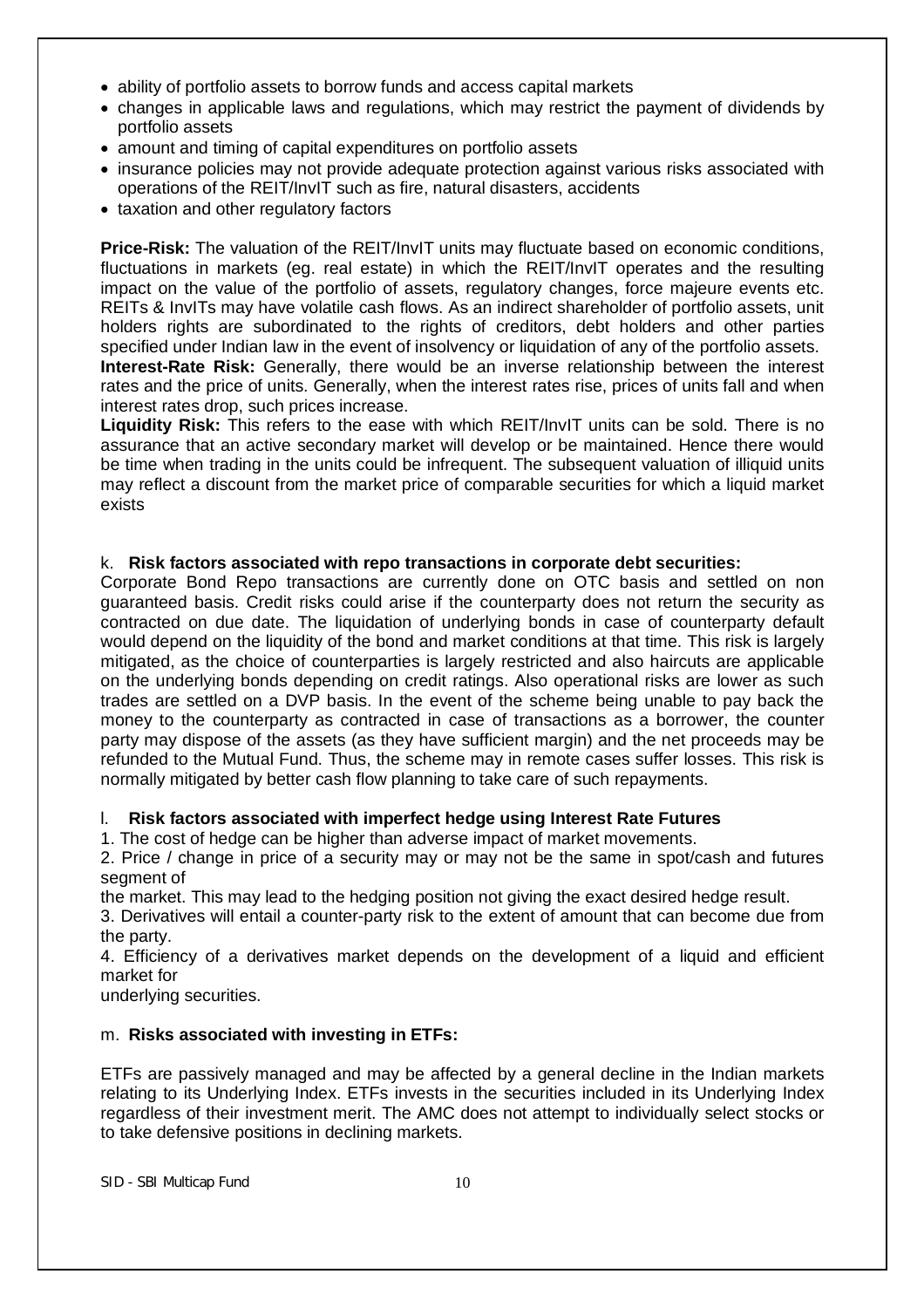- ability of portfolio assets to borrow funds and access capital markets
- changes in applicable laws and regulations, which may restrict the payment of dividends by portfolio assets
- amount and timing of capital expenditures on portfolio assets
- insurance policies may not provide adequate protection against various risks associated with operations of the REIT/InvIT such as fire, natural disasters, accidents
- taxation and other regulatory factors

**Price-Risk:** The valuation of the REIT/InvIT units may fluctuate based on economic conditions, fluctuations in markets (eg. real estate) in which the REIT/InvIT operates and the resulting impact on the value of the portfolio of assets, regulatory changes, force majeure events etc. REITs & InvITs may have volatile cash flows. As an indirect shareholder of portfolio assets, unit holders rights are subordinated to the rights of creditors, debt holders and other parties specified under Indian law in the event of insolvency or liquidation of any of the portfolio assets. **Interest-Rate Risk:** Generally, there would be an inverse relationship between the interest rates and the price of units. Generally, when the interest rates rise, prices of units fall and when interest rates drop, such prices increase.

**Liquidity Risk:** This refers to the ease with which REIT/InvIT units can be sold. There is no assurance that an active secondary market will develop or be maintained. Hence there would be time when trading in the units could be infrequent. The subsequent valuation of illiquid units may reflect a discount from the market price of comparable securities for which a liquid market exists

# k. **Risk factors associated with repo transactions in corporate debt securities:**

Corporate Bond Repo transactions are currently done on OTC basis and settled on non guaranteed basis. Credit risks could arise if the counterparty does not return the security as contracted on due date. The liquidation of underlying bonds in case of counterparty default would depend on the liquidity of the bond and market conditions at that time. This risk is largely mitigated, as the choice of counterparties is largely restricted and also haircuts are applicable on the underlying bonds depending on credit ratings. Also operational risks are lower as such trades are settled on a DVP basis. In the event of the scheme being unable to pay back the money to the counterparty as contracted in case of transactions as a borrower, the counter party may dispose of the assets (as they have sufficient margin) and the net proceeds may be refunded to the Mutual Fund. Thus, the scheme may in remote cases suffer losses. This risk is normally mitigated by better cash flow planning to take care of such repayments.

# l. **Risk factors associated with imperfect hedge using Interest Rate Futures**

1. The cost of hedge can be higher than adverse impact of market movements.

2. Price / change in price of a security may or may not be the same in spot/cash and futures segment of

the market. This may lead to the hedging position not giving the exact desired hedge result.

3. Derivatives will entail a counter-party risk to the extent of amount that can become due from the party.

4. Efficiency of a derivatives market depends on the development of a liquid and efficient market for

underlying securities.

# m. **Risks associated with investing in ETFs:**

ETFs are passively managed and may be affected by a general decline in the Indian markets relating to its Underlying Index. ETFs invests in the securities included in its Underlying Index regardless of their investment merit. The AMC does not attempt to individually select stocks or to take defensive positions in declining markets.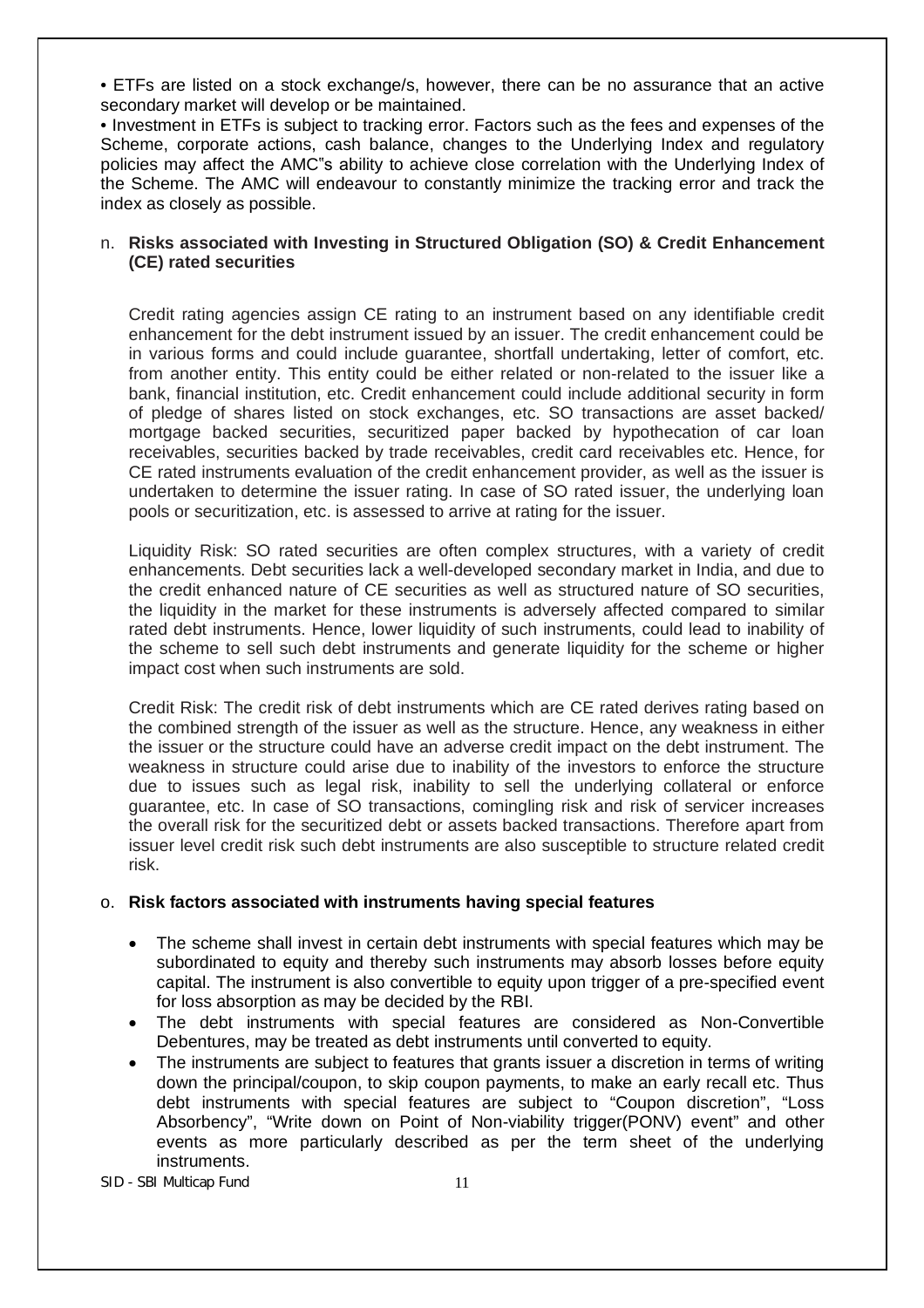• ETFs are listed on a stock exchange/s, however, there can be no assurance that an active secondary market will develop or be maintained.

• Investment in ETFs is subject to tracking error. Factors such as the fees and expenses of the Scheme, corporate actions, cash balance, changes to the Underlying Index and regulatory policies may affect the AMC"s ability to achieve close correlation with the Underlying Index of the Scheme. The AMC will endeavour to constantly minimize the tracking error and track the index as closely as possible.

## n. **Risks associated with Investing in Structured Obligation (SO) & Credit Enhancement (CE) rated securities**

Credit rating agencies assign CE rating to an instrument based on any identifiable credit enhancement for the debt instrument issued by an issuer. The credit enhancement could be in various forms and could include guarantee, shortfall undertaking, letter of comfort, etc. from another entity. This entity could be either related or non-related to the issuer like a bank, financial institution, etc. Credit enhancement could include additional security in form of pledge of shares listed on stock exchanges, etc. SO transactions are asset backed/ mortgage backed securities, securitized paper backed by hypothecation of car loan receivables, securities backed by trade receivables, credit card receivables etc. Hence, for CE rated instruments evaluation of the credit enhancement provider, as well as the issuer is undertaken to determine the issuer rating. In case of SO rated issuer, the underlying loan pools or securitization, etc. is assessed to arrive at rating for the issuer.

Liquidity Risk: SO rated securities are often complex structures, with a variety of credit enhancements. Debt securities lack a well-developed secondary market in India, and due to the credit enhanced nature of CE securities as well as structured nature of SO securities, the liquidity in the market for these instruments is adversely affected compared to similar rated debt instruments. Hence, lower liquidity of such instruments, could lead to inability of the scheme to sell such debt instruments and generate liquidity for the scheme or higher impact cost when such instruments are sold.

Credit Risk: The credit risk of debt instruments which are CE rated derives rating based on the combined strength of the issuer as well as the structure. Hence, any weakness in either the issuer or the structure could have an adverse credit impact on the debt instrument. The weakness in structure could arise due to inability of the investors to enforce the structure due to issues such as legal risk, inability to sell the underlying collateral or enforce guarantee, etc. In case of SO transactions, comingling risk and risk of servicer increases the overall risk for the securitized debt or assets backed transactions. Therefore apart from issuer level credit risk such debt instruments are also susceptible to structure related credit risk.

# o. **Risk factors associated with instruments having special features**

- The scheme shall invest in certain debt instruments with special features which may be subordinated to equity and thereby such instruments may absorb losses before equity capital. The instrument is also convertible to equity upon trigger of a pre-specified event for loss absorption as may be decided by the RBI.
- The debt instruments with special features are considered as Non-Convertible Debentures, may be treated as debt instruments until converted to equity.
- The instruments are subject to features that grants issuer a discretion in terms of writing down the principal/coupon, to skip coupon payments, to make an early recall etc. Thus debt instruments with special features are subject to "Coupon discretion", "Loss Absorbency", "Write down on Point of Non-viability trigger(PONV) event" and other events as more particularly described as per the term sheet of the underlying instruments.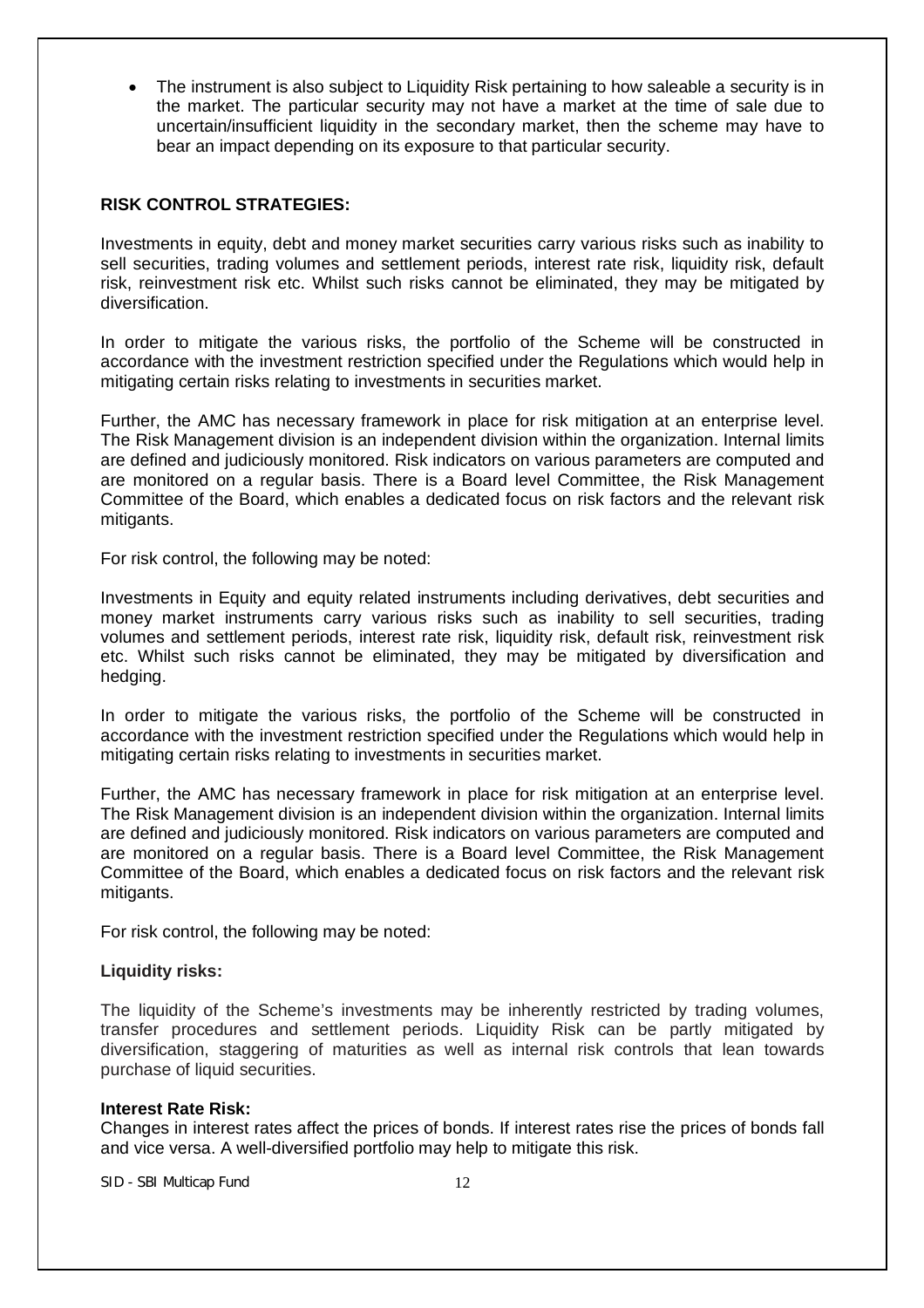The instrument is also subject to Liquidity Risk pertaining to how saleable a security is in the market. The particular security may not have a market at the time of sale due to uncertain/insufficient liquidity in the secondary market, then the scheme may have to bear an impact depending on its exposure to that particular security.

## **RISK CONTROL STRATEGIES:**

Investments in equity, debt and money market securities carry various risks such as inability to sell securities, trading volumes and settlement periods, interest rate risk, liquidity risk, default risk, reinvestment risk etc. Whilst such risks cannot be eliminated, they may be mitigated by diversification.

In order to mitigate the various risks, the portfolio of the Scheme will be constructed in accordance with the investment restriction specified under the Regulations which would help in mitigating certain risks relating to investments in securities market.

Further, the AMC has necessary framework in place for risk mitigation at an enterprise level. The Risk Management division is an independent division within the organization. Internal limits are defined and judiciously monitored. Risk indicators on various parameters are computed and are monitored on a regular basis. There is a Board level Committee, the Risk Management Committee of the Board, which enables a dedicated focus on risk factors and the relevant risk mitigants.

For risk control, the following may be noted:

Investments in Equity and equity related instruments including derivatives, debt securities and money market instruments carry various risks such as inability to sell securities, trading volumes and settlement periods, interest rate risk, liquidity risk, default risk, reinvestment risk etc. Whilst such risks cannot be eliminated, they may be mitigated by diversification and hedging.

In order to mitigate the various risks, the portfolio of the Scheme will be constructed in accordance with the investment restriction specified under the Regulations which would help in mitigating certain risks relating to investments in securities market.

Further, the AMC has necessary framework in place for risk mitigation at an enterprise level. The Risk Management division is an independent division within the organization. Internal limits are defined and judiciously monitored. Risk indicators on various parameters are computed and are monitored on a regular basis. There is a Board level Committee, the Risk Management Committee of the Board, which enables a dedicated focus on risk factors and the relevant risk mitigants.

For risk control, the following may be noted:

# **Liquidity risks:**

The liquidity of the Scheme's investments may be inherently restricted by trading volumes, transfer procedures and settlement periods. Liquidity Risk can be partly mitigated by diversification, staggering of maturities as well as internal risk controls that lean towards purchase of liquid securities.

#### **Interest Rate Risk:**

Changes in interest rates affect the prices of bonds. If interest rates rise the prices of bonds fall and vice versa. A well-diversified portfolio may help to mitigate this risk.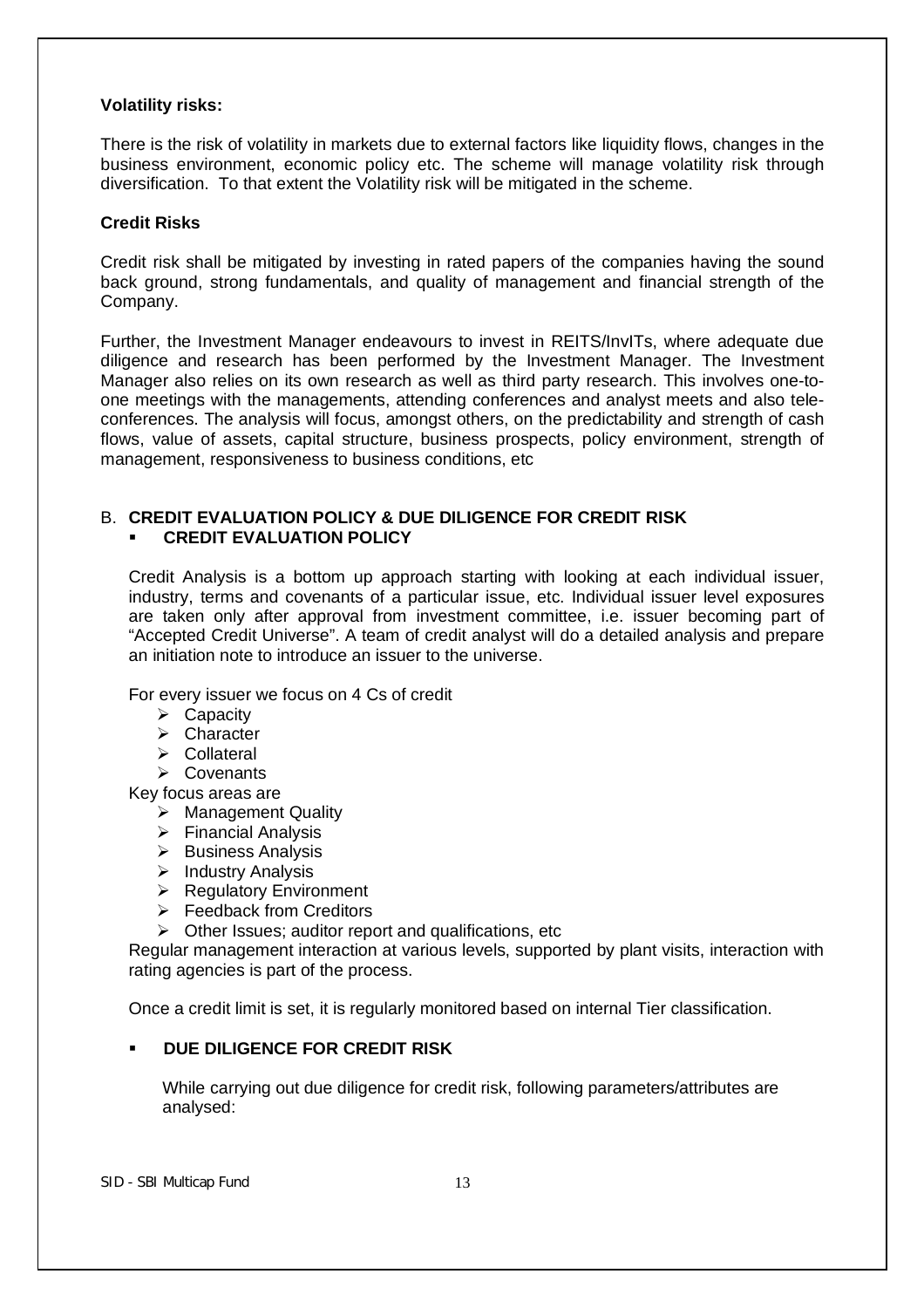## **Volatility risks:**

There is the risk of volatility in markets due to external factors like liquidity flows, changes in the business environment, economic policy etc. The scheme will manage volatility risk through diversification. To that extent the Volatility risk will be mitigated in the scheme.

## **Credit Risks**

Credit risk shall be mitigated by investing in rated papers of the companies having the sound back ground, strong fundamentals, and quality of management and financial strength of the Company.

Further, the Investment Manager endeavours to invest in REITS/InvITs, where adequate due diligence and research has been performed by the Investment Manager. The Investment Manager also relies on its own research as well as third party research. This involves one-toone meetings with the managements, attending conferences and analyst meets and also teleconferences. The analysis will focus, amongst others, on the predictability and strength of cash flows, value of assets, capital structure, business prospects, policy environment, strength of management, responsiveness to business conditions, etc

# B. **CREDIT EVALUATION POLICY & DUE DILIGENCE FOR CREDIT RISK CREDIT EVALUATION POLICY**

Credit Analysis is a bottom up approach starting with looking at each individual issuer, industry, terms and covenants of a particular issue, etc. Individual issuer level exposures are taken only after approval from investment committee, i.e. issuer becoming part of "Accepted Credit Universe". A team of credit analyst will do a detailed analysis and prepare an initiation note to introduce an issuer to the universe.

For every issuer we focus on 4 Cs of credit

- $\triangleright$  Capacity
- $\triangleright$  Character
- Collateral
- Covenants

Key focus areas are

- > Management Quality
- $\triangleright$  Financial Analysis
- $\triangleright$  Business Analysis
- $\triangleright$  Industry Analysis
- **EXA** Regulatory Environment
- $\triangleright$  Feedback from Creditors
- $\triangleright$  Other Issues; auditor report and qualifications, etc

Regular management interaction at various levels, supported by plant visits, interaction with rating agencies is part of the process.

Once a credit limit is set, it is regularly monitored based on internal Tier classification.

# **DUE DILIGENCE FOR CREDIT RISK**

While carrying out due diligence for credit risk, following parameters/attributes are analysed: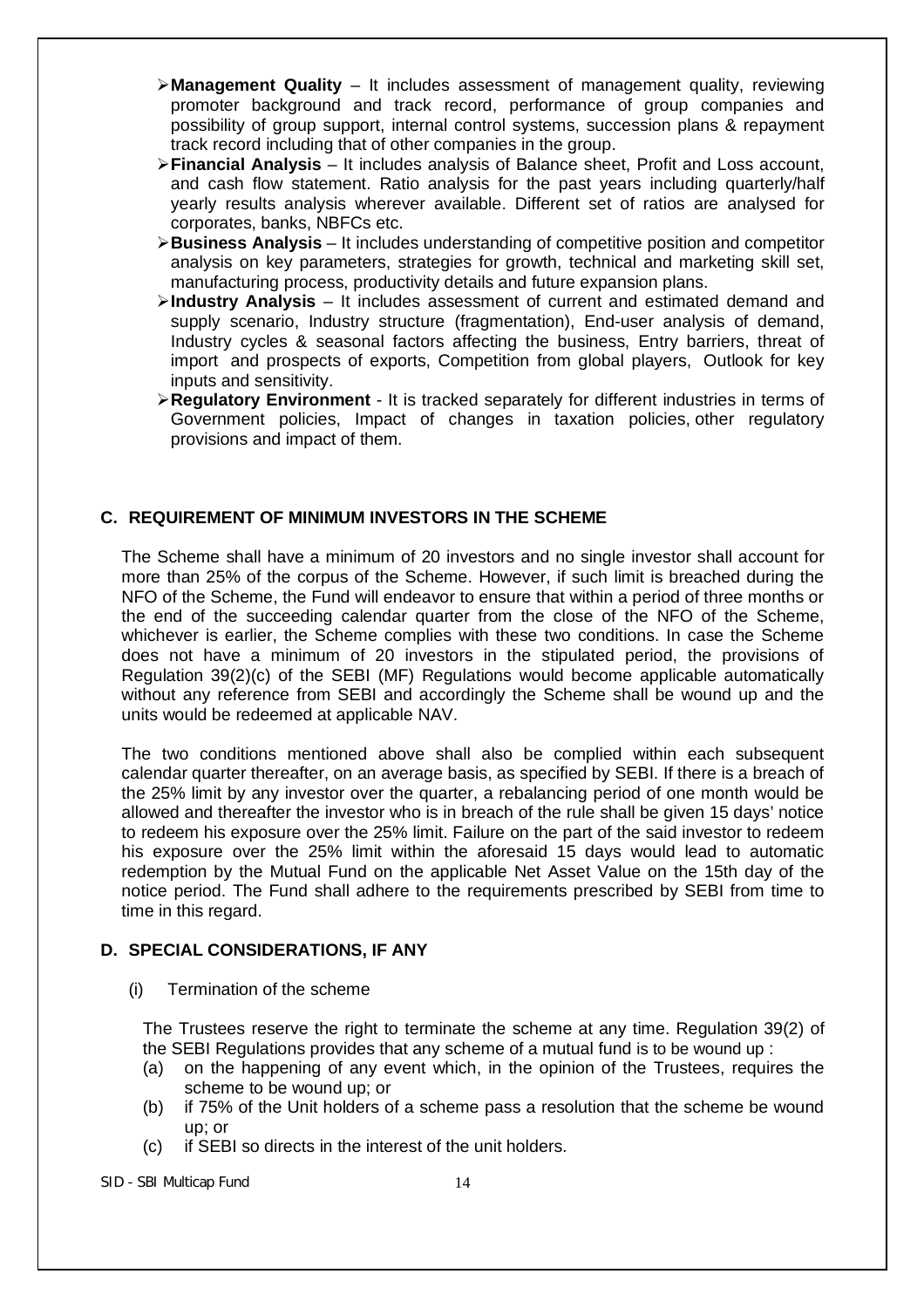- **Management Quality** It includes assessment of management quality, reviewing promoter background and track record, performance of group companies and possibility of group support, internal control systems, succession plans & repayment track record including that of other companies in the group.
- **Financial Analysis** It includes analysis of Balance sheet, Profit and Loss account, and cash flow statement. Ratio analysis for the past years including quarterly/half yearly results analysis wherever available. Different set of ratios are analysed for corporates, banks, NBFCs etc.
- **Business Analysis** It includes understanding of competitive position and competitor analysis on key parameters, strategies for growth, technical and marketing skill set, manufacturing process, productivity details and future expansion plans.
- **Industry Analysis** It includes assessment of current and estimated demand and supply scenario, Industry structure (fragmentation), End-user analysis of demand, Industry cycles & seasonal factors affecting the business, Entry barriers, threat of import and prospects of exports, Competition from global players, Outlook for key inputs and sensitivity.
- **Regulatory Environment** It is tracked separately for different industries in terms of Government policies, Impact of changes in taxation policies, other regulatory provisions and impact of them.

# **C. REQUIREMENT OF MINIMUM INVESTORS IN THE SCHEME**

The Scheme shall have a minimum of 20 investors and no single investor shall account for more than 25% of the corpus of the Scheme. However, if such limit is breached during the NFO of the Scheme, the Fund will endeavor to ensure that within a period of three months or the end of the succeeding calendar quarter from the close of the NFO of the Scheme, whichever is earlier, the Scheme complies with these two conditions. In case the Scheme does not have a minimum of 20 investors in the stipulated period, the provisions of Regulation 39(2)(c) of the SEBI (MF) Regulations would become applicable automatically without any reference from SEBI and accordingly the Scheme shall be wound up and the units would be redeemed at applicable NAV.

The two conditions mentioned above shall also be complied within each subsequent calendar quarter thereafter, on an average basis, as specified by SEBI. If there is a breach of the 25% limit by any investor over the quarter, a rebalancing period of one month would be allowed and thereafter the investor who is in breach of the rule shall be given 15 days' notice to redeem his exposure over the 25% limit. Failure on the part of the said investor to redeem his exposure over the 25% limit within the aforesaid 15 days would lead to automatic redemption by the Mutual Fund on the applicable Net Asset Value on the 15th day of the notice period. The Fund shall adhere to the requirements prescribed by SEBI from time to time in this regard.

# **D. SPECIAL CONSIDERATIONS, IF ANY**

(i) Termination of the scheme

The Trustees reserve the right to terminate the scheme at any time. Regulation 39(2) of the SEBI Regulations provides that any scheme of a mutual fund is to be wound up :

- (a) on the happening of any event which, in the opinion of the Trustees, requires the scheme to be wound up; or
- (b) if 75% of the Unit holders of a scheme pass a resolution that the scheme be wound up; or
- (c) if SEBI so directs in the interest of the unit holders.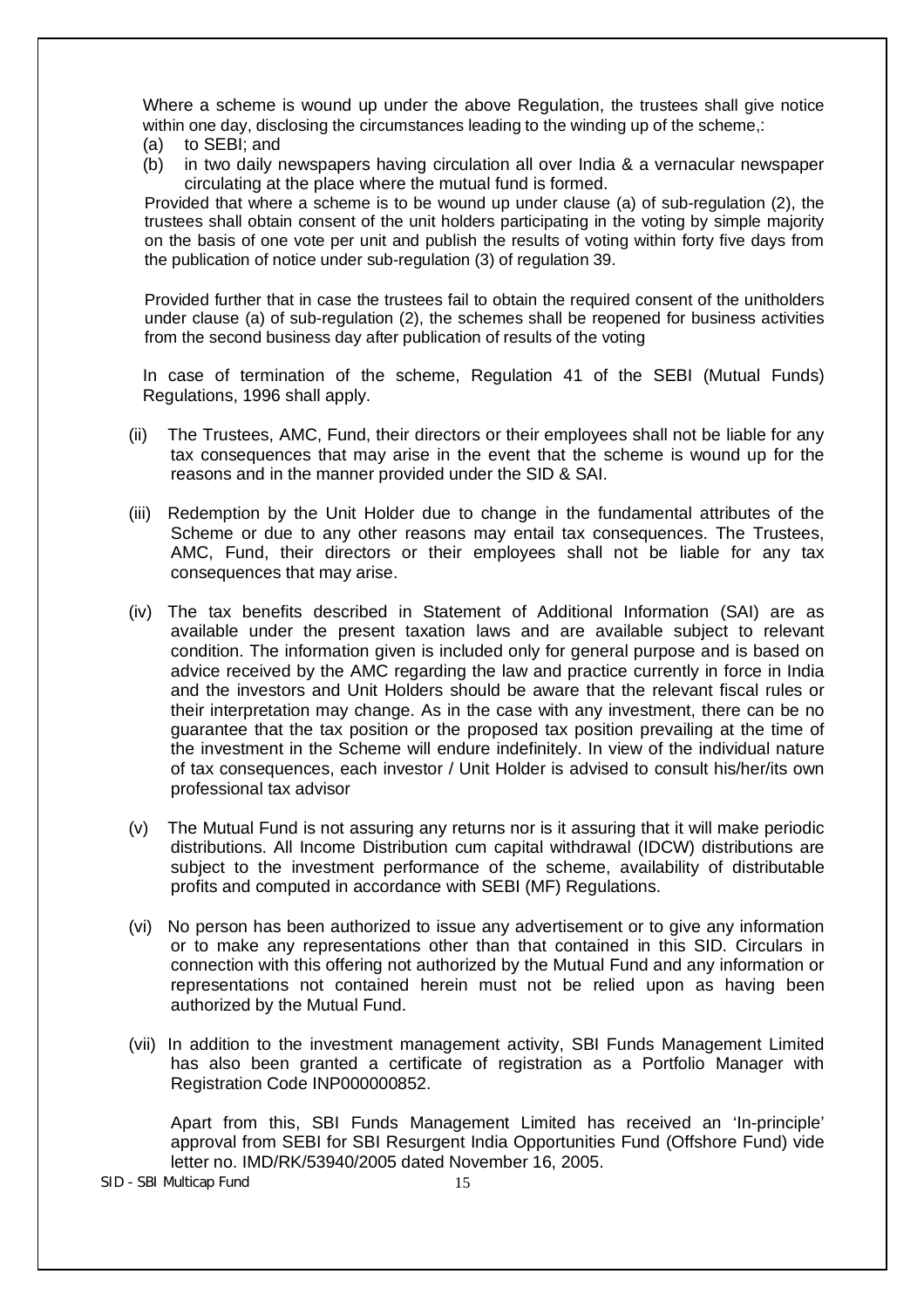Where a scheme is wound up under the above Regulation, the trustees shall give notice within one day, disclosing the circumstances leading to the winding up of the scheme,:

- (a) to SEBI; and
- (b) in two daily newspapers having circulation all over India & a vernacular newspaper circulating at the place where the mutual fund is formed.

Provided that where a scheme is to be wound up under clause (a) of sub-regulation (2), the trustees shall obtain consent of the unit holders participating in the voting by simple majority on the basis of one vote per unit and publish the results of voting within forty five days from the publication of notice under sub-regulation (3) of regulation 39.

Provided further that in case the trustees fail to obtain the required consent of the unitholders under clause (a) of sub-regulation (2), the schemes shall be reopened for business activities from the second business day after publication of results of the voting

In case of termination of the scheme, Regulation 41 of the SEBI (Mutual Funds) Regulations, 1996 shall apply.

- (ii) The Trustees, AMC, Fund, their directors or their employees shall not be liable for any tax consequences that may arise in the event that the scheme is wound up for the reasons and in the manner provided under the SID & SAI.
- (iii) Redemption by the Unit Holder due to change in the fundamental attributes of the Scheme or due to any other reasons may entail tax consequences. The Trustees, AMC, Fund, their directors or their employees shall not be liable for any tax consequences that may arise.
- (iv) The tax benefits described in Statement of Additional Information (SAI) are as available under the present taxation laws and are available subject to relevant condition. The information given is included only for general purpose and is based on advice received by the AMC regarding the law and practice currently in force in India and the investors and Unit Holders should be aware that the relevant fiscal rules or their interpretation may change. As in the case with any investment, there can be no guarantee that the tax position or the proposed tax position prevailing at the time of the investment in the Scheme will endure indefinitely. In view of the individual nature of tax consequences, each investor / Unit Holder is advised to consult his/her/its own professional tax advisor
- (v) The Mutual Fund is not assuring any returns nor is it assuring that it will make periodic distributions. All Income Distribution cum capital withdrawal (IDCW) distributions are subject to the investment performance of the scheme, availability of distributable profits and computed in accordance with SEBI (MF) Regulations.
- (vi) No person has been authorized to issue any advertisement or to give any information or to make any representations other than that contained in this SID. Circulars in connection with this offering not authorized by the Mutual Fund and any information or representations not contained herein must not be relied upon as having been authorized by the Mutual Fund.
- (vii) In addition to the investment management activity, SBI Funds Management Limited has also been granted a certificate of registration as a Portfolio Manager with Registration Code INP000000852.

Apart from this, SBI Funds Management Limited has received an 'In-principle' approval from SEBI for SBI Resurgent India Opportunities Fund (Offshore Fund) vide letter no. IMD/RK/53940/2005 dated November 16, 2005.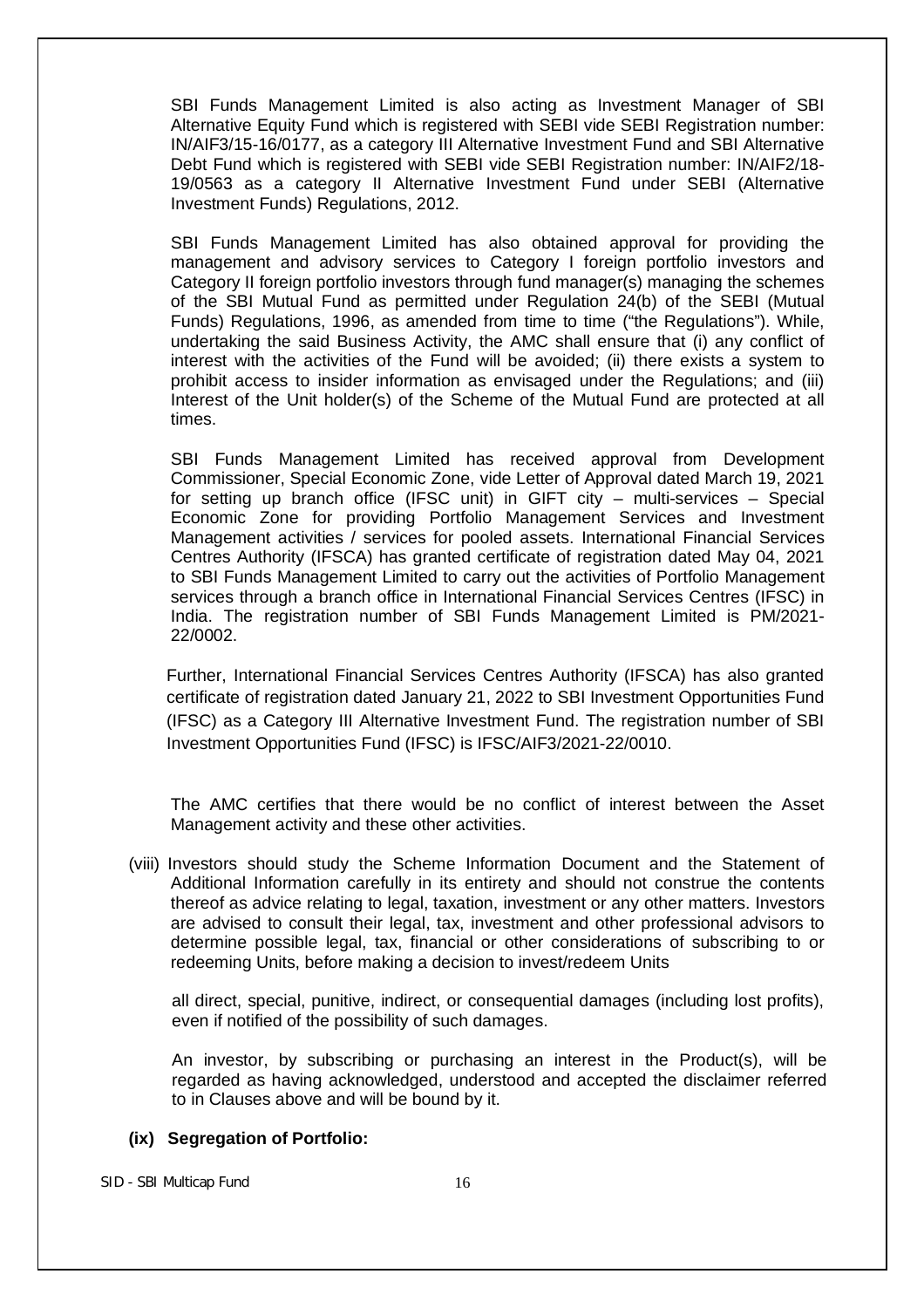SBI Funds Management Limited is also acting as Investment Manager of SBI Alternative Equity Fund which is registered with SEBI vide SEBI Registration number: IN/AIF3/15-16/0177, as a category III Alternative Investment Fund and SBI Alternative Debt Fund which is registered with SEBI vide SEBI Registration number: IN/AIF2/18- 19/0563 as a category II Alternative Investment Fund under SEBI (Alternative Investment Funds) Regulations, 2012.

SBI Funds Management Limited has also obtained approval for providing the management and advisory services to Category I foreign portfolio investors and Category II foreign portfolio investors through fund manager(s) managing the schemes of the SBI Mutual Fund as permitted under Regulation 24(b) of the SEBI (Mutual Funds) Regulations, 1996, as amended from time to time ("the Regulations"). While, undertaking the said Business Activity, the AMC shall ensure that (i) any conflict of interest with the activities of the Fund will be avoided; (ii) there exists a system to prohibit access to insider information as envisaged under the Regulations; and (iii) Interest of the Unit holder(s) of the Scheme of the Mutual Fund are protected at all times.

SBI Funds Management Limited has received approval from Development Commissioner, Special Economic Zone, vide Letter of Approval dated March 19, 2021 for setting up branch office (IFSC unit) in GIFT city – multi-services – Special Economic Zone for providing Portfolio Management Services and Investment Management activities / services for pooled assets. International Financial Services Centres Authority (IFSCA) has granted certificate of registration dated May 04, 2021 to SBI Funds Management Limited to carry out the activities of Portfolio Management services through a branch office in International Financial Services Centres (IFSC) in India. The registration number of SBI Funds Management Limited is PM/2021- 22/0002.

Further, International Financial Services Centres Authority (IFSCA) has also granted certificate of registration dated January 21, 2022 to SBI Investment Opportunities Fund (IFSC) as a Category III Alternative Investment Fund. The registration number of SBI Investment Opportunities Fund (IFSC) is IFSC/AIF3/2021-22/0010.

The AMC certifies that there would be no conflict of interest between the Asset Management activity and these other activities.

(viii) Investors should study the Scheme Information Document and the Statement of Additional Information carefully in its entirety and should not construe the contents thereof as advice relating to legal, taxation, investment or any other matters. Investors are advised to consult their legal, tax, investment and other professional advisors to determine possible legal, tax, financial or other considerations of subscribing to or redeeming Units, before making a decision to invest/redeem Units

all direct, special, punitive, indirect, or consequential damages (including lost profits), even if notified of the possibility of such damages.

An investor, by subscribing or purchasing an interest in the Product(s), will be regarded as having acknowledged, understood and accepted the disclaimer referred to in Clauses above and will be bound by it.

#### **(ix) Segregation of Portfolio:**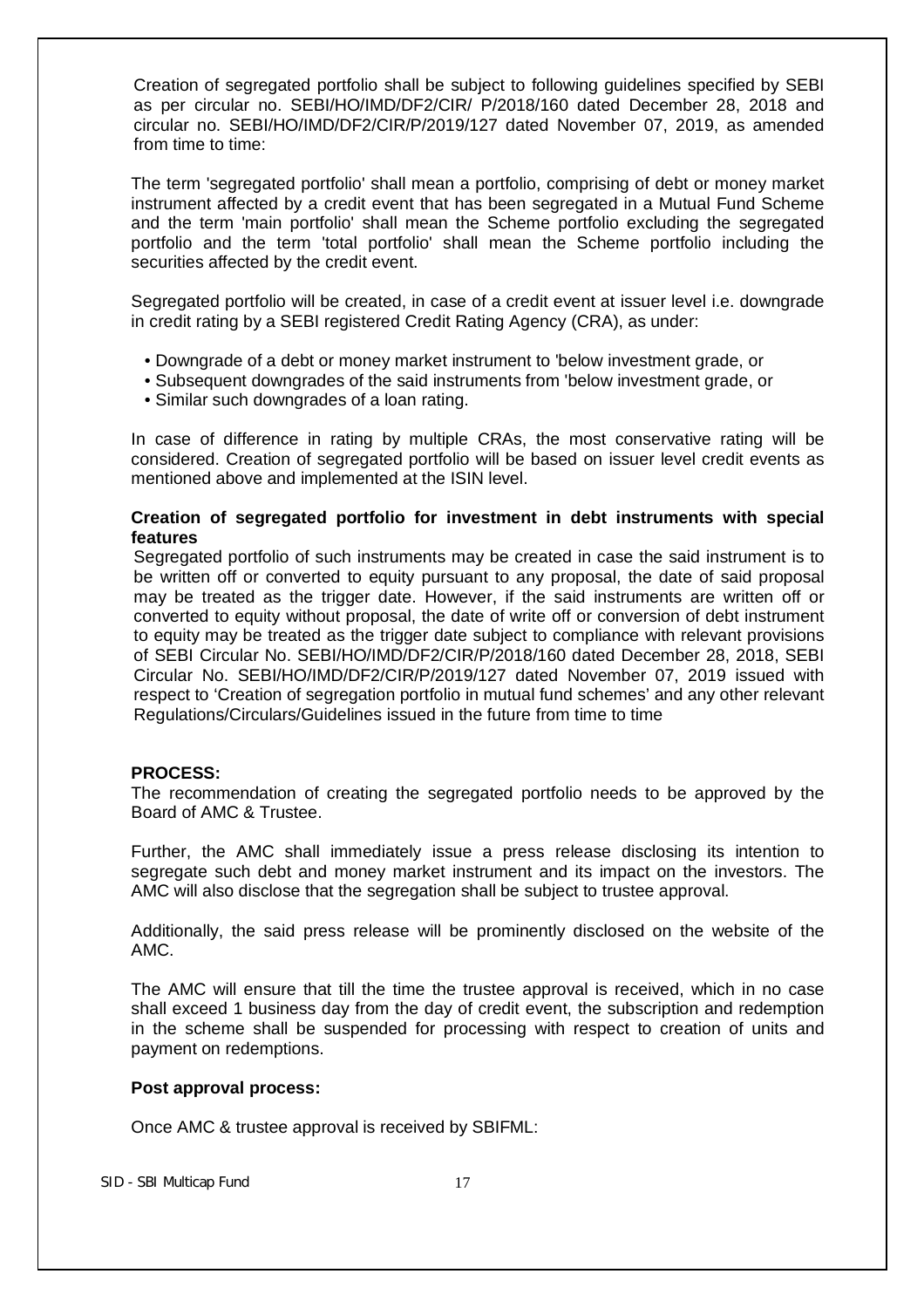Creation of segregated portfolio shall be subject to following guidelines specified by SEBI as per circular no. SEBI/HO/IMD/DF2/CIR/ P/2018/160 dated December 28, 2018 and circular no. SEBI/HO/IMD/DF2/CIR/P/2019/127 dated November 07, 2019, as amended from time to time:

The term 'segregated portfolio' shall mean a portfolio, comprising of debt or money market instrument affected by a credit event that has been segregated in a Mutual Fund Scheme and the term 'main portfolio' shall mean the Scheme portfolio excluding the segregated portfolio and the term 'total portfolio' shall mean the Scheme portfolio including the securities affected by the credit event.

Segregated portfolio will be created, in case of a credit event at issuer level i.e. downgrade in credit rating by a SEBI registered Credit Rating Agency (CRA), as under:

- Downgrade of a debt or money market instrument to 'below investment grade, or
- Subsequent downgrades of the said instruments from 'below investment grade, or
- Similar such downgrades of a loan rating.

In case of difference in rating by multiple CRAs, the most conservative rating will be considered. Creation of segregated portfolio will be based on issuer level credit events as mentioned above and implemented at the ISIN level.

## **Creation of segregated portfolio for investment in debt instruments with special features**

Segregated portfolio of such instruments may be created in case the said instrument is to be written off or converted to equity pursuant to any proposal, the date of said proposal may be treated as the trigger date. However, if the said instruments are written off or converted to equity without proposal, the date of write off or conversion of debt instrument to equity may be treated as the trigger date subject to compliance with relevant provisions of SEBI Circular No. SEBI/HO/IMD/DF2/CIR/P/2018/160 dated December 28, 2018, SEBI Circular No. SEBI/HO/IMD/DF2/CIR/P/2019/127 dated November 07, 2019 issued with respect to 'Creation of segregation portfolio in mutual fund schemes' and any other relevant Regulations/Circulars/Guidelines issued in the future from time to time

# **PROCESS:**

The recommendation of creating the segregated portfolio needs to be approved by the Board of AMC & Trustee.

Further, the AMC shall immediately issue a press release disclosing its intention to segregate such debt and money market instrument and its impact on the investors. The AMC will also disclose that the segregation shall be subject to trustee approval.

Additionally, the said press release will be prominently disclosed on the website of the AMC.

The AMC will ensure that till the time the trustee approval is received, which in no case shall exceed 1 business day from the day of credit event, the subscription and redemption in the scheme shall be suspended for processing with respect to creation of units and payment on redemptions.

#### **Post approval process:**

Once AMC & trustee approval is received by SBIFML: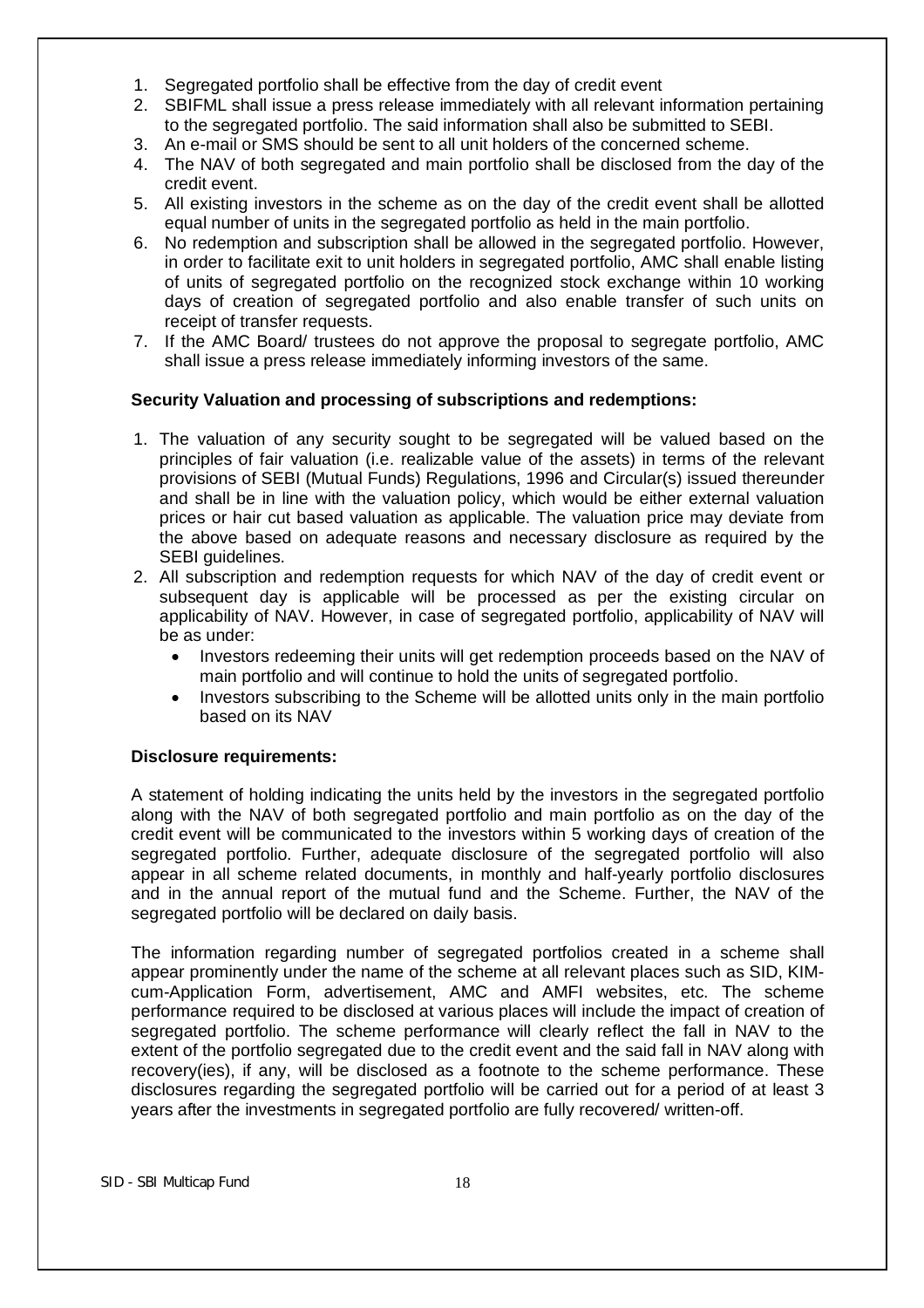- 1. Segregated portfolio shall be effective from the day of credit event
- 2. SBIFML shall issue a press release immediately with all relevant information pertaining to the segregated portfolio. The said information shall also be submitted to SEBI.
- 3. An e-mail or SMS should be sent to all unit holders of the concerned scheme.
- 4. The NAV of both segregated and main portfolio shall be disclosed from the day of the credit event.
- 5. All existing investors in the scheme as on the day of the credit event shall be allotted equal number of units in the segregated portfolio as held in the main portfolio.
- 6. No redemption and subscription shall be allowed in the segregated portfolio. However, in order to facilitate exit to unit holders in segregated portfolio, AMC shall enable listing of units of segregated portfolio on the recognized stock exchange within 10 working days of creation of segregated portfolio and also enable transfer of such units on receipt of transfer requests.
- 7. If the AMC Board/ trustees do not approve the proposal to segregate portfolio, AMC shall issue a press release immediately informing investors of the same.

# **Security Valuation and processing of subscriptions and redemptions:**

- 1. The valuation of any security sought to be segregated will be valued based on the principles of fair valuation (i.e. realizable value of the assets) in terms of the relevant provisions of SEBI (Mutual Funds) Regulations, 1996 and Circular(s) issued thereunder and shall be in line with the valuation policy, which would be either external valuation prices or hair cut based valuation as applicable. The valuation price may deviate from the above based on adequate reasons and necessary disclosure as required by the SEBI guidelines.
- 2. All subscription and redemption requests for which NAV of the day of credit event or subsequent day is applicable will be processed as per the existing circular on applicability of NAV. However, in case of segregated portfolio, applicability of NAV will be as under:
	- Investors redeeming their units will get redemption proceeds based on the NAV of main portfolio and will continue to hold the units of segregated portfolio.
	- Investors subscribing to the Scheme will be allotted units only in the main portfolio based on its NAV

# **Disclosure requirements:**

A statement of holding indicating the units held by the investors in the segregated portfolio along with the NAV of both segregated portfolio and main portfolio as on the day of the credit event will be communicated to the investors within 5 working days of creation of the segregated portfolio. Further, adequate disclosure of the segregated portfolio will also appear in all scheme related documents, in monthly and half-yearly portfolio disclosures and in the annual report of the mutual fund and the Scheme. Further, the NAV of the segregated portfolio will be declared on daily basis.

The information regarding number of segregated portfolios created in a scheme shall appear prominently under the name of the scheme at all relevant places such as SID, KIMcum-Application Form, advertisement, AMC and AMFI websites, etc. The scheme performance required to be disclosed at various places will include the impact of creation of segregated portfolio. The scheme performance will clearly reflect the fall in NAV to the extent of the portfolio segregated due to the credit event and the said fall in NAV along with recovery(ies), if any, will be disclosed as a footnote to the scheme performance. These disclosures regarding the segregated portfolio will be carried out for a period of at least 3 years after the investments in segregated portfolio are fully recovered/ written-off.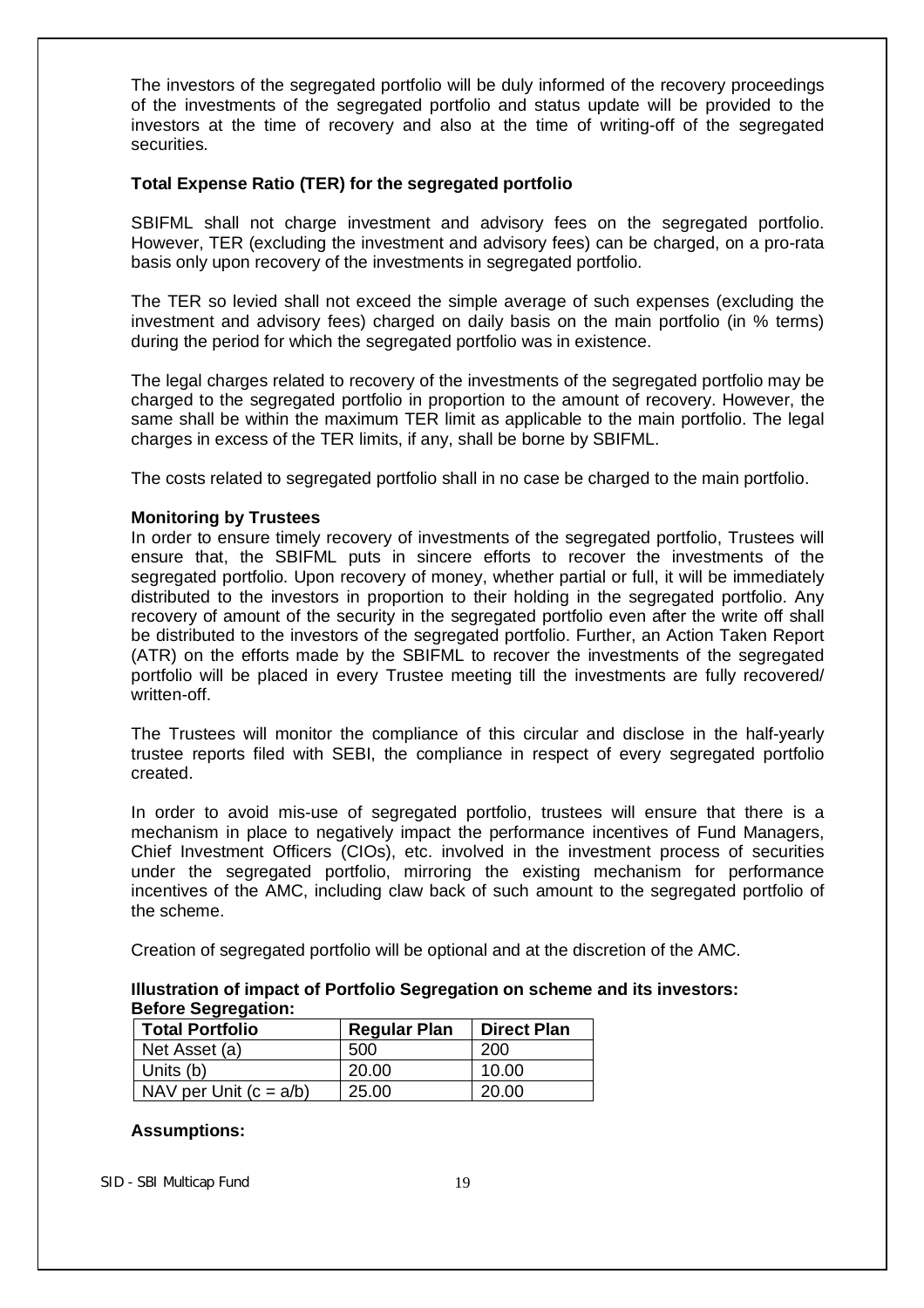The investors of the segregated portfolio will be duly informed of the recovery proceedings of the investments of the segregated portfolio and status update will be provided to the investors at the time of recovery and also at the time of writing-off of the segregated securities.

## **Total Expense Ratio (TER) for the segregated portfolio**

SBIFML shall not charge investment and advisory fees on the segregated portfolio. However, TER (excluding the investment and advisory fees) can be charged, on a pro-rata basis only upon recovery of the investments in segregated portfolio.

The TER so levied shall not exceed the simple average of such expenses (excluding the investment and advisory fees) charged on daily basis on the main portfolio (in % terms) during the period for which the segregated portfolio was in existence.

The legal charges related to recovery of the investments of the segregated portfolio may be charged to the segregated portfolio in proportion to the amount of recovery. However, the same shall be within the maximum TER limit as applicable to the main portfolio. The legal charges in excess of the TER limits, if any, shall be borne by SBIFML.

The costs related to segregated portfolio shall in no case be charged to the main portfolio.

## **Monitoring by Trustees**

In order to ensure timely recovery of investments of the segregated portfolio, Trustees will ensure that, the SBIFML puts in sincere efforts to recover the investments of the segregated portfolio. Upon recovery of money, whether partial or full, it will be immediately distributed to the investors in proportion to their holding in the segregated portfolio. Any recovery of amount of the security in the segregated portfolio even after the write off shall be distributed to the investors of the segregated portfolio. Further, an Action Taken Report (ATR) on the efforts made by the SBIFML to recover the investments of the segregated portfolio will be placed in every Trustee meeting till the investments are fully recovered/ written-off.

The Trustees will monitor the compliance of this circular and disclose in the half-yearly trustee reports filed with SEBI, the compliance in respect of every segregated portfolio created.

In order to avoid mis-use of segregated portfolio, trustees will ensure that there is a mechanism in place to negatively impact the performance incentives of Fund Managers, Chief Investment Officers (CIOs), etc. involved in the investment process of securities under the segregated portfolio, mirroring the existing mechanism for performance incentives of the AMC, including claw back of such amount to the segregated portfolio of the scheme.

Creation of segregated portfolio will be optional and at the discretion of the AMC.

| Illustration of impact of Portfolio Segregation on scheme and its investors: |  |
|------------------------------------------------------------------------------|--|
| <b>Before Segregation:</b>                                                   |  |

| <b>Total Portfolio</b>   | <b>Regular Plan</b> | <b>Direct Plan</b> |
|--------------------------|---------------------|--------------------|
| Net Asset (a)            | 500                 | 200                |
| Units (b)                | 20.00               | 10.00              |
| NAV per Unit $(c = a/b)$ | 25.00               | 20.00              |

#### **Assumptions:**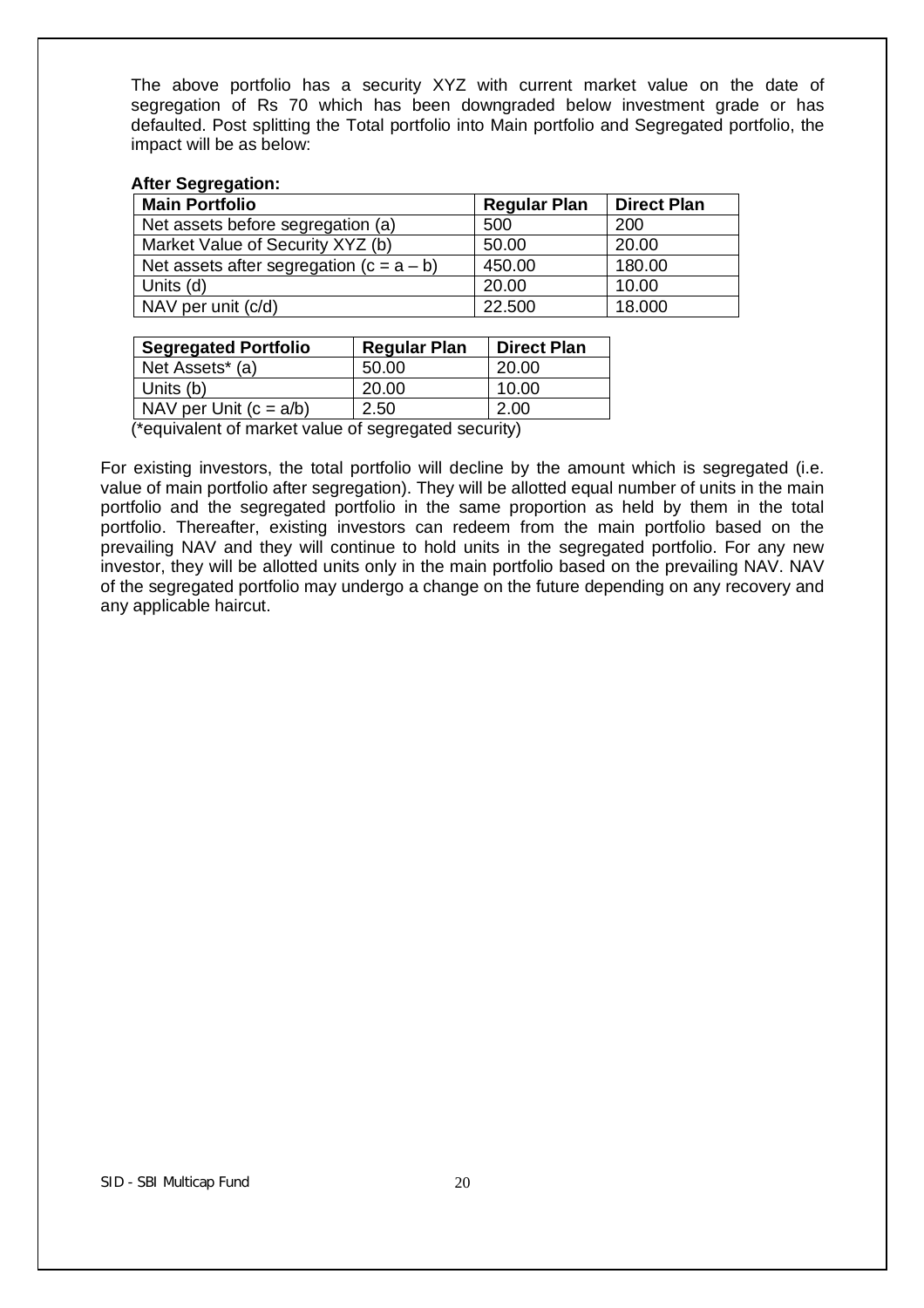The above portfolio has a security XYZ with current market value on the date of segregation of Rs 70 which has been downgraded below investment grade or has defaulted. Post splitting the Total portfolio into Main portfolio and Segregated portfolio, the impact will be as below:

#### **After Segregation:**

| <b>Main Portfolio</b>                      | <b>Regular Plan</b> | <b>Direct Plan</b> |
|--------------------------------------------|---------------------|--------------------|
| Net assets before segregation (a)          | 500                 | 200                |
| Market Value of Security XYZ (b)           | 50.00               | 20.00              |
| Net assets after segregation $(c = a - b)$ | 450.00              | 180.00             |
| Units (d)                                  | 20.00               | 10.00              |
| NAV per unit (c/d)                         | 22.500              | 18.000             |

| 20.00 |
|-------|
| 10.00 |
| 2.00  |
|       |

(\*equivalent of market value of segregated security)

For existing investors, the total portfolio will decline by the amount which is segregated (i.e. value of main portfolio after segregation). They will be allotted equal number of units in the main portfolio and the segregated portfolio in the same proportion as held by them in the total portfolio. Thereafter, existing investors can redeem from the main portfolio based on the prevailing NAV and they will continue to hold units in the segregated portfolio. For any new investor, they will be allotted units only in the main portfolio based on the prevailing NAV. NAV of the segregated portfolio may undergo a change on the future depending on any recovery and any applicable haircut.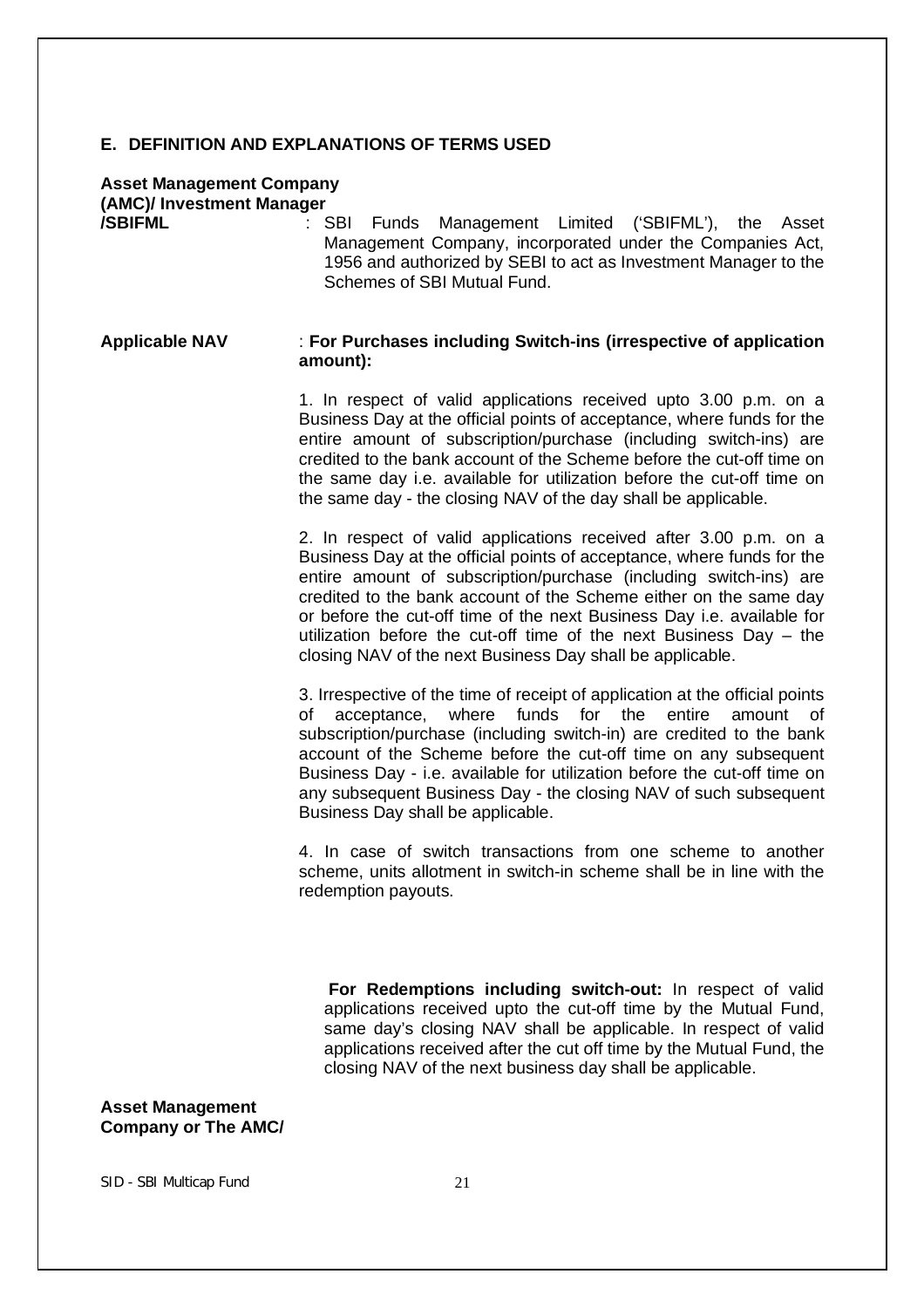#### **E. DEFINITION AND EXPLANATIONS OF TERMS USED**

# **Asset Management Company (AMC)/ Investment Manager**

**/SBIFML** : SBI Funds Management Limited ('SBIFML'), the Asset Management Company, incorporated under the Companies Act, 1956 and authorized by SEBI to act as Investment Manager to the Schemes of SBI Mutual Fund.

#### **Applicable NAV** : **For Purchases including Switch-ins (irrespective of application amount):**

1. In respect of valid applications received upto 3.00 p.m. on a Business Day at the official points of acceptance, where funds for the entire amount of subscription/purchase (including switch-ins) are credited to the bank account of the Scheme before the cut-off time on the same day i.e. available for utilization before the cut-off time on the same day - the closing NAV of the day shall be applicable.

2. In respect of valid applications received after 3.00 p.m. on a Business Day at the official points of acceptance, where funds for the entire amount of subscription/purchase (including switch-ins) are credited to the bank account of the Scheme either on the same day or before the cut-off time of the next Business Day i.e. available for utilization before the cut-off time of the next Business Day – the closing NAV of the next Business Day shall be applicable.

3. Irrespective of the time of receipt of application at the official points of acceptance, where funds for the entire amount of subscription/purchase (including switch-in) are credited to the bank account of the Scheme before the cut-off time on any subsequent Business Day - i.e. available for utilization before the cut-off time on any subsequent Business Day - the closing NAV of such subsequent Business Day shall be applicable.

4. In case of switch transactions from one scheme to another scheme, units allotment in switch-in scheme shall be in line with the redemption payouts.

 **For Redemptions including switch-out:** In respect of valid applications received upto the cut-off time by the Mutual Fund, same day's closing NAV shall be applicable. In respect of valid applications received after the cut off time by the Mutual Fund, the closing NAV of the next business day shall be applicable.

#### **Asset Management Company or The AMC/**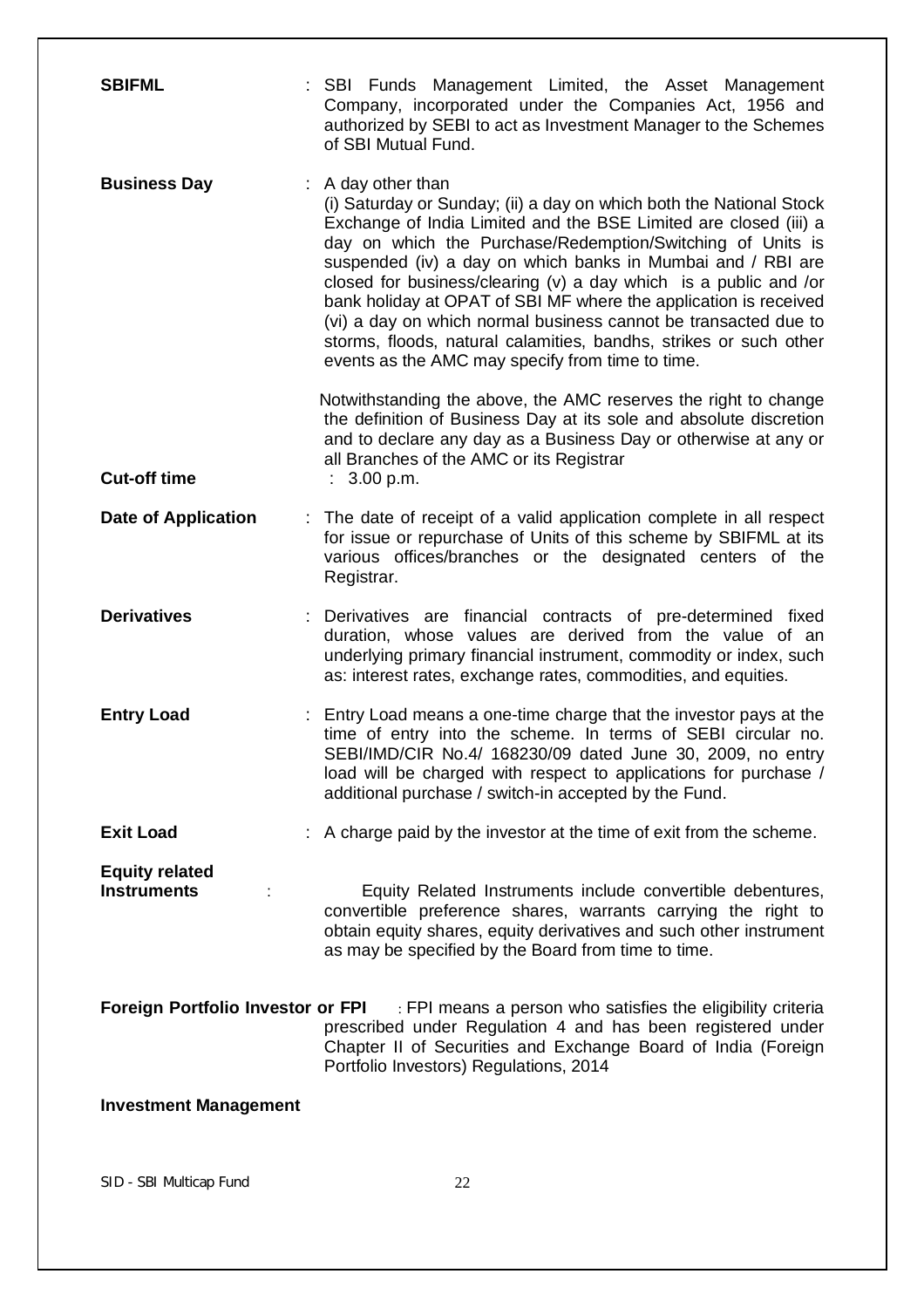| <b>SBIFML</b>                               | : SBI Funds Management Limited, the Asset Management<br>Company, incorporated under the Companies Act, 1956 and<br>authorized by SEBI to act as Investment Manager to the Schemes<br>of SBI Mutual Fund.                                                                                                                                                                                                                                                                                                                                                                                                                           |
|---------------------------------------------|------------------------------------------------------------------------------------------------------------------------------------------------------------------------------------------------------------------------------------------------------------------------------------------------------------------------------------------------------------------------------------------------------------------------------------------------------------------------------------------------------------------------------------------------------------------------------------------------------------------------------------|
| <b>Business Day</b>                         | $:$ A day other than<br>(i) Saturday or Sunday; (ii) a day on which both the National Stock<br>Exchange of India Limited and the BSE Limited are closed (iii) a<br>day on which the Purchase/Redemption/Switching of Units is<br>suspended (iv) a day on which banks in Mumbai and / RBI are<br>closed for business/clearing $(v)$ a day which is a public and /or<br>bank holiday at OPAT of SBI MF where the application is received<br>(vi) a day on which normal business cannot be transacted due to<br>storms, floods, natural calamities, bandhs, strikes or such other<br>events as the AMC may specify from time to time. |
| <b>Cut-off time</b>                         | Notwithstanding the above, the AMC reserves the right to change<br>the definition of Business Day at its sole and absolute discretion<br>and to declare any day as a Business Day or otherwise at any or<br>all Branches of the AMC or its Registrar<br>: 3.00 p.m.                                                                                                                                                                                                                                                                                                                                                                |
| <b>Date of Application</b>                  | The date of receipt of a valid application complete in all respect<br>for issue or repurchase of Units of this scheme by SBIFML at its<br>various offices/branches or the designated centers of the<br>Registrar.                                                                                                                                                                                                                                                                                                                                                                                                                  |
| <b>Derivatives</b>                          | Derivatives are financial contracts of pre-determined fixed<br>duration, whose values are derived from the value of an<br>underlying primary financial instrument, commodity or index, such<br>as: interest rates, exchange rates, commodities, and equities.                                                                                                                                                                                                                                                                                                                                                                      |
| <b>Entry Load</b>                           | Entry Load means a one-time charge that the investor pays at the<br>time of entry into the scheme. In terms of SEBI circular no.<br>SEBI/IMD/CIR No.4/ 168230/09 dated June 30, 2009, no entry<br>load will be charged with respect to applications for purchase /<br>additional purchase / switch-in accepted by the Fund.                                                                                                                                                                                                                                                                                                        |
| <b>Exit Load</b>                            | : A charge paid by the investor at the time of exit from the scheme.                                                                                                                                                                                                                                                                                                                                                                                                                                                                                                                                                               |
| <b>Equity related</b><br><b>Instruments</b> | Equity Related Instruments include convertible debentures,<br>convertible preference shares, warrants carrying the right to<br>obtain equity shares, equity derivatives and such other instrument<br>as may be specified by the Board from time to time.                                                                                                                                                                                                                                                                                                                                                                           |
| <b>Foreign Portfolio Investor or FPI</b>    | : FPI means a person who satisfies the eligibility criteria<br>prescribed under Regulation 4 and has been registered under<br>Chapter II of Securities and Exchange Board of India (Foreign<br>Portfolio Investors) Regulations, 2014                                                                                                                                                                                                                                                                                                                                                                                              |
| <b>Investment Management</b>                |                                                                                                                                                                                                                                                                                                                                                                                                                                                                                                                                                                                                                                    |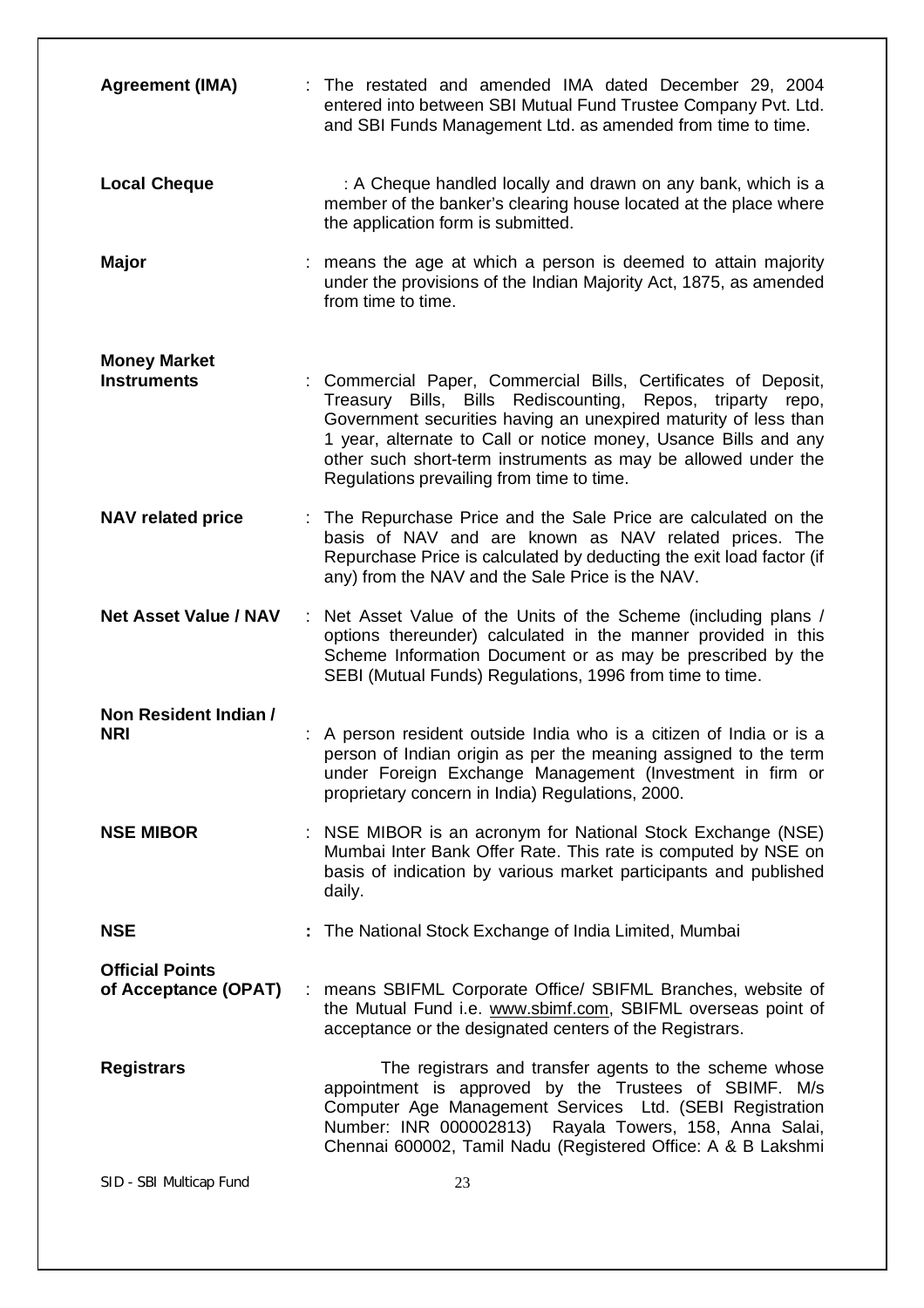| <b>Agreement (IMA)</b>                         | : The restated and amended IMA dated December 29, 2004<br>entered into between SBI Mutual Fund Trustee Company Pvt. Ltd.<br>and SBI Funds Management Ltd. as amended from time to time.                                                                                                                                                                                        |
|------------------------------------------------|--------------------------------------------------------------------------------------------------------------------------------------------------------------------------------------------------------------------------------------------------------------------------------------------------------------------------------------------------------------------------------|
| <b>Local Cheque</b>                            | : A Cheque handled locally and drawn on any bank, which is a<br>member of the banker's clearing house located at the place where<br>the application form is submitted.                                                                                                                                                                                                         |
| <b>Major</b>                                   | : means the age at which a person is deemed to attain majority<br>under the provisions of the Indian Majority Act, 1875, as amended<br>from time to time.                                                                                                                                                                                                                      |
| <b>Money Market</b><br><b>Instruments</b>      | Commercial Paper, Commercial Bills, Certificates of Deposit,<br>Treasury Bills, Bills Rediscounting, Repos, triparty repo,<br>Government securities having an unexpired maturity of less than<br>1 year, alternate to Call or notice money, Usance Bills and any<br>other such short-term instruments as may be allowed under the<br>Regulations prevailing from time to time. |
| <b>NAV related price</b>                       | The Repurchase Price and the Sale Price are calculated on the<br>t<br>basis of NAV and are known as NAV related prices. The<br>Repurchase Price is calculated by deducting the exit load factor (if<br>any) from the NAV and the Sale Price is the NAV.                                                                                                                        |
| <b>Net Asset Value / NAV</b>                   | : Net Asset Value of the Units of the Scheme (including plans /<br>options thereunder) calculated in the manner provided in this<br>Scheme Information Document or as may be prescribed by the<br>SEBI (Mutual Funds) Regulations, 1996 from time to time.                                                                                                                     |
| Non Resident Indian /<br><b>NRI</b>            | A person resident outside India who is a citizen of India or is a<br>person of Indian origin as per the meaning assigned to the term<br>under Foreign Exchange Management (Investment in firm or<br>proprietary concern in India) Regulations, 2000.                                                                                                                           |
| <b>NSE MIBOR</b>                               | NSE MIBOR is an acronym for National Stock Exchange (NSE)<br>Mumbai Inter Bank Offer Rate. This rate is computed by NSE on<br>basis of indication by various market participants and published<br>daily.                                                                                                                                                                       |
| <b>NSE</b>                                     | The National Stock Exchange of India Limited, Mumbai                                                                                                                                                                                                                                                                                                                           |
| <b>Official Points</b><br>of Acceptance (OPAT) | means SBIFML Corporate Office/ SBIFML Branches, website of<br>÷<br>the Mutual Fund i.e. www.sbimf.com, SBIFML overseas point of<br>acceptance or the designated centers of the Registrars.                                                                                                                                                                                     |
| <b>Registrars</b>                              | The registrars and transfer agents to the scheme whose<br>appointment is approved by the Trustees of SBIMF. M/s<br>Computer Age Management Services Ltd. (SEBI Registration<br>Number: INR 000002813) Rayala Towers, 158, Anna Salai,<br>Chennai 600002, Tamil Nadu (Registered Office: A & B Lakshmi                                                                          |
| SID - SBI Multicap Fund                        | 23                                                                                                                                                                                                                                                                                                                                                                             |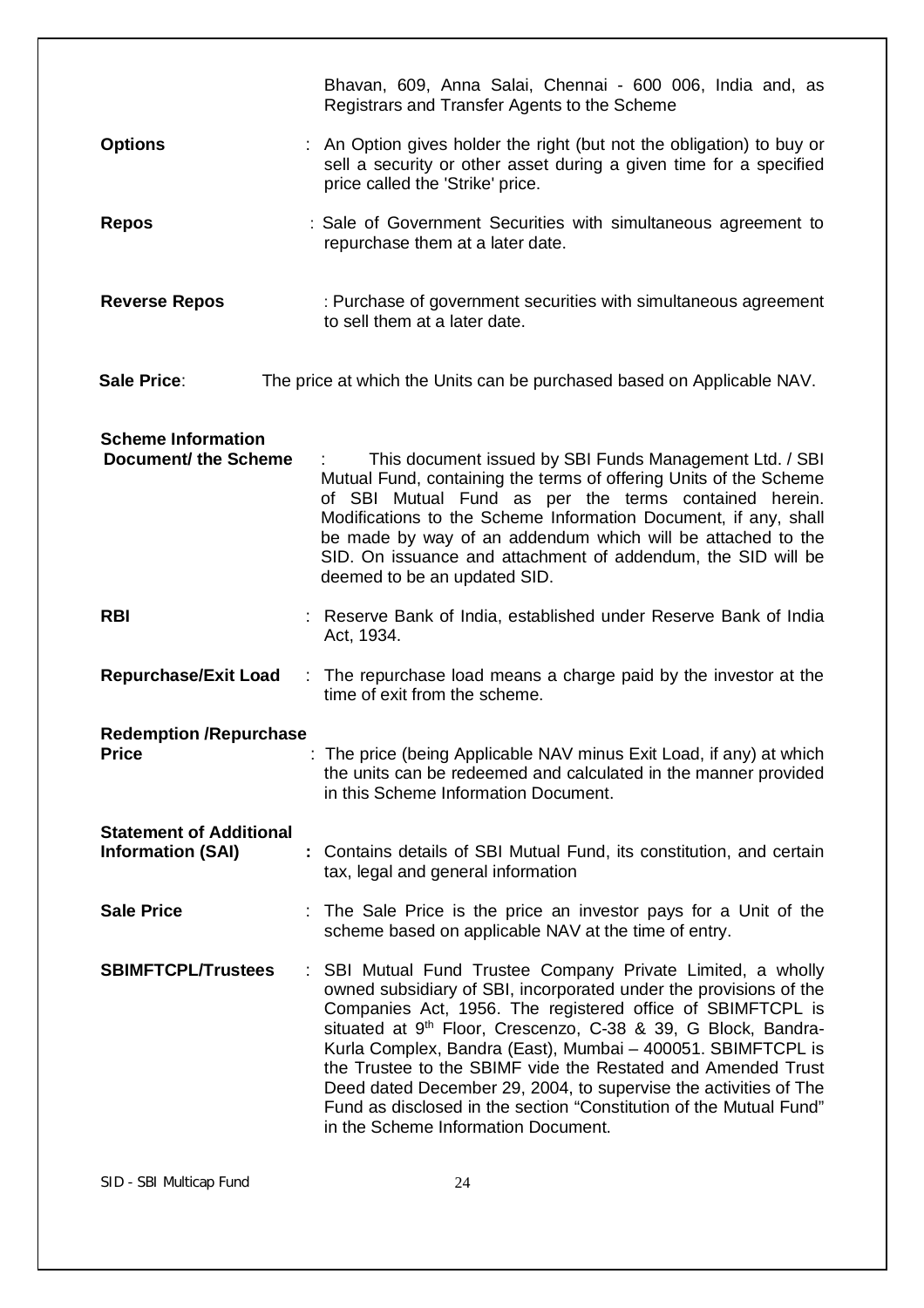|                                                            | Bhavan, 609, Anna Salai, Chennai - 600 006, India and, as<br>Registrars and Transfer Agents to the Scheme                                                                                                                                                                                                                                                                                                                                                                                                                                                                                   |  |  |  |
|------------------------------------------------------------|---------------------------------------------------------------------------------------------------------------------------------------------------------------------------------------------------------------------------------------------------------------------------------------------------------------------------------------------------------------------------------------------------------------------------------------------------------------------------------------------------------------------------------------------------------------------------------------------|--|--|--|
| <b>Options</b>                                             | : An Option gives holder the right (but not the obligation) to buy or<br>sell a security or other asset during a given time for a specified<br>price called the 'Strike' price.                                                                                                                                                                                                                                                                                                                                                                                                             |  |  |  |
| <b>Repos</b>                                               | : Sale of Government Securities with simultaneous agreement to<br>repurchase them at a later date.                                                                                                                                                                                                                                                                                                                                                                                                                                                                                          |  |  |  |
| <b>Reverse Repos</b>                                       | : Purchase of government securities with simultaneous agreement<br>to sell them at a later date.                                                                                                                                                                                                                                                                                                                                                                                                                                                                                            |  |  |  |
| Sale Price:                                                | The price at which the Units can be purchased based on Applicable NAV.                                                                                                                                                                                                                                                                                                                                                                                                                                                                                                                      |  |  |  |
| <b>Scheme Information</b><br><b>Document/ the Scheme</b>   | This document issued by SBI Funds Management Ltd. / SBI<br>Mutual Fund, containing the terms of offering Units of the Scheme<br>of SBI Mutual Fund as per the terms contained herein.<br>Modifications to the Scheme Information Document, if any, shall<br>be made by way of an addendum which will be attached to the<br>SID. On issuance and attachment of addendum, the SID will be<br>deemed to be an updated SID.                                                                                                                                                                     |  |  |  |
| <b>RBI</b>                                                 | : Reserve Bank of India, established under Reserve Bank of India<br>Act, 1934.                                                                                                                                                                                                                                                                                                                                                                                                                                                                                                              |  |  |  |
| <b>Repurchase/Exit Load</b>                                | : The repurchase load means a charge paid by the investor at the<br>time of exit from the scheme.                                                                                                                                                                                                                                                                                                                                                                                                                                                                                           |  |  |  |
| <b>Redemption /Repurchase</b><br>Price                     | : The price (being Applicable NAV minus Exit Load, if any) at which<br>the units can be redeemed and calculated in the manner provided<br>in this Scheme Information Document.                                                                                                                                                                                                                                                                                                                                                                                                              |  |  |  |
| <b>Statement of Additional</b><br><b>Information (SAI)</b> | : Contains details of SBI Mutual Fund, its constitution, and certain<br>tax, legal and general information                                                                                                                                                                                                                                                                                                                                                                                                                                                                                  |  |  |  |
| <b>Sale Price</b>                                          | : The Sale Price is the price an investor pays for a Unit of the<br>scheme based on applicable NAV at the time of entry.                                                                                                                                                                                                                                                                                                                                                                                                                                                                    |  |  |  |
| <b>SBIMFTCPL/Trustees</b>                                  | : SBI Mutual Fund Trustee Company Private Limited, a wholly<br>owned subsidiary of SBI, incorporated under the provisions of the<br>Companies Act, 1956. The registered office of SBIMFTCPL is<br>situated at 9 <sup>th</sup> Floor, Crescenzo, C-38 & 39, G Block, Bandra-<br>Kurla Complex, Bandra (East), Mumbai - 400051. SBIMFTCPL is<br>the Trustee to the SBIMF vide the Restated and Amended Trust<br>Deed dated December 29, 2004, to supervise the activities of The<br>Fund as disclosed in the section "Constitution of the Mutual Fund"<br>in the Scheme Information Document. |  |  |  |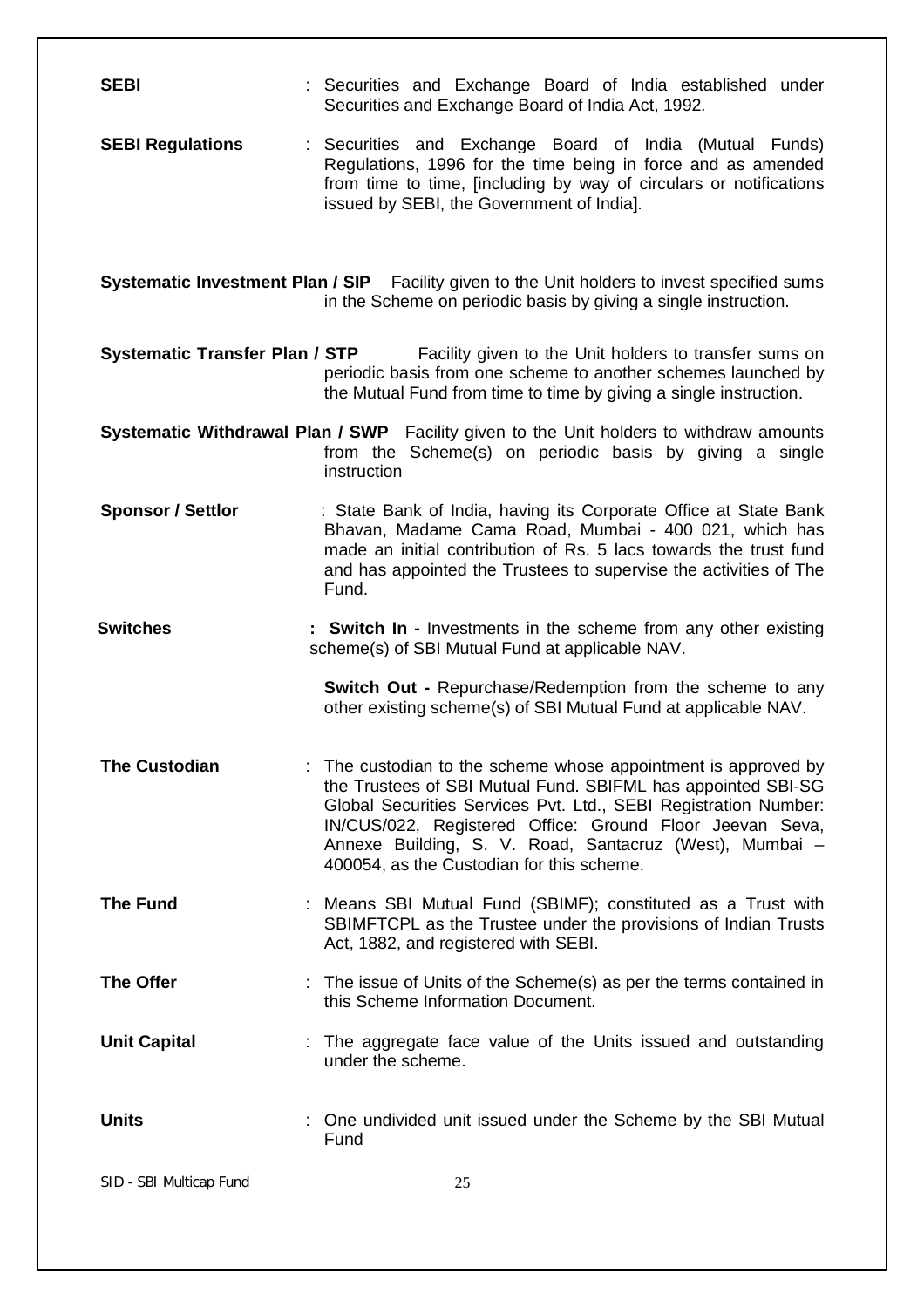| <b>SEBI</b>                                                                                                                                                     | : Securities and Exchange Board of India established under<br>Securities and Exchange Board of India Act, 1992.                                                                                                                                                                                                                                                     |  |  |
|-----------------------------------------------------------------------------------------------------------------------------------------------------------------|---------------------------------------------------------------------------------------------------------------------------------------------------------------------------------------------------------------------------------------------------------------------------------------------------------------------------------------------------------------------|--|--|
| <b>SEBI Regulations</b>                                                                                                                                         | : Securities and Exchange Board of India (Mutual Funds)<br>Regulations, 1996 for the time being in force and as amended<br>from time to time, [including by way of circulars or notifications<br>issued by SEBI, the Government of India].                                                                                                                          |  |  |
| Systematic Investment Plan / SIP Facility given to the Unit holders to invest specified sums<br>in the Scheme on periodic basis by giving a single instruction. |                                                                                                                                                                                                                                                                                                                                                                     |  |  |
| <b>Systematic Transfer Plan / STP</b>                                                                                                                           | Facility given to the Unit holders to transfer sums on<br>periodic basis from one scheme to another schemes launched by<br>the Mutual Fund from time to time by giving a single instruction.                                                                                                                                                                        |  |  |
|                                                                                                                                                                 | Systematic Withdrawal Plan / SWP Facility given to the Unit holders to withdraw amounts<br>from the Scheme(s) on periodic basis by giving a single<br>instruction                                                                                                                                                                                                   |  |  |
| <b>Sponsor / Settlor</b>                                                                                                                                        | : State Bank of India, having its Corporate Office at State Bank<br>Bhavan, Madame Cama Road, Mumbai - 400 021, which has<br>made an initial contribution of Rs. 5 lacs towards the trust fund<br>and has appointed the Trustees to supervise the activities of The<br>Fund.                                                                                        |  |  |
| <b>Switches</b>                                                                                                                                                 | : Switch In - Investments in the scheme from any other existing<br>scheme(s) of SBI Mutual Fund at applicable NAV.                                                                                                                                                                                                                                                  |  |  |
|                                                                                                                                                                 | <b>Switch Out - Repurchase/Redemption from the scheme to any</b><br>other existing scheme(s) of SBI Mutual Fund at applicable NAV.                                                                                                                                                                                                                                  |  |  |
| <b>The Custodian</b>                                                                                                                                            | The custodian to the scheme whose appointment is approved by<br>the Trustees of SBI Mutual Fund. SBIFML has appointed SBI-SG<br>Global Securities Services Pvt. Ltd., SEBI Registration Number:<br>IN/CUS/022, Registered Office: Ground Floor Jeevan Seva,<br>Annexe Building, S. V. Road, Santacruz (West), Mumbai -<br>400054, as the Custodian for this scheme. |  |  |
| <b>The Fund</b>                                                                                                                                                 | : Means SBI Mutual Fund (SBIMF); constituted as a Trust with<br>SBIMFTCPL as the Trustee under the provisions of Indian Trusts<br>Act, 1882, and registered with SEBI.                                                                                                                                                                                              |  |  |
| <b>The Offer</b>                                                                                                                                                | : The issue of Units of the Scheme(s) as per the terms contained in<br>this Scheme Information Document.                                                                                                                                                                                                                                                            |  |  |
| <b>Unit Capital</b>                                                                                                                                             | : The aggregate face value of the Units issued and outstanding<br>under the scheme.                                                                                                                                                                                                                                                                                 |  |  |
| <b>Units</b>                                                                                                                                                    | One undivided unit issued under the Scheme by the SBI Mutual<br>Fund                                                                                                                                                                                                                                                                                                |  |  |
| SID - SBI Multicap Fund                                                                                                                                         | 25                                                                                                                                                                                                                                                                                                                                                                  |  |  |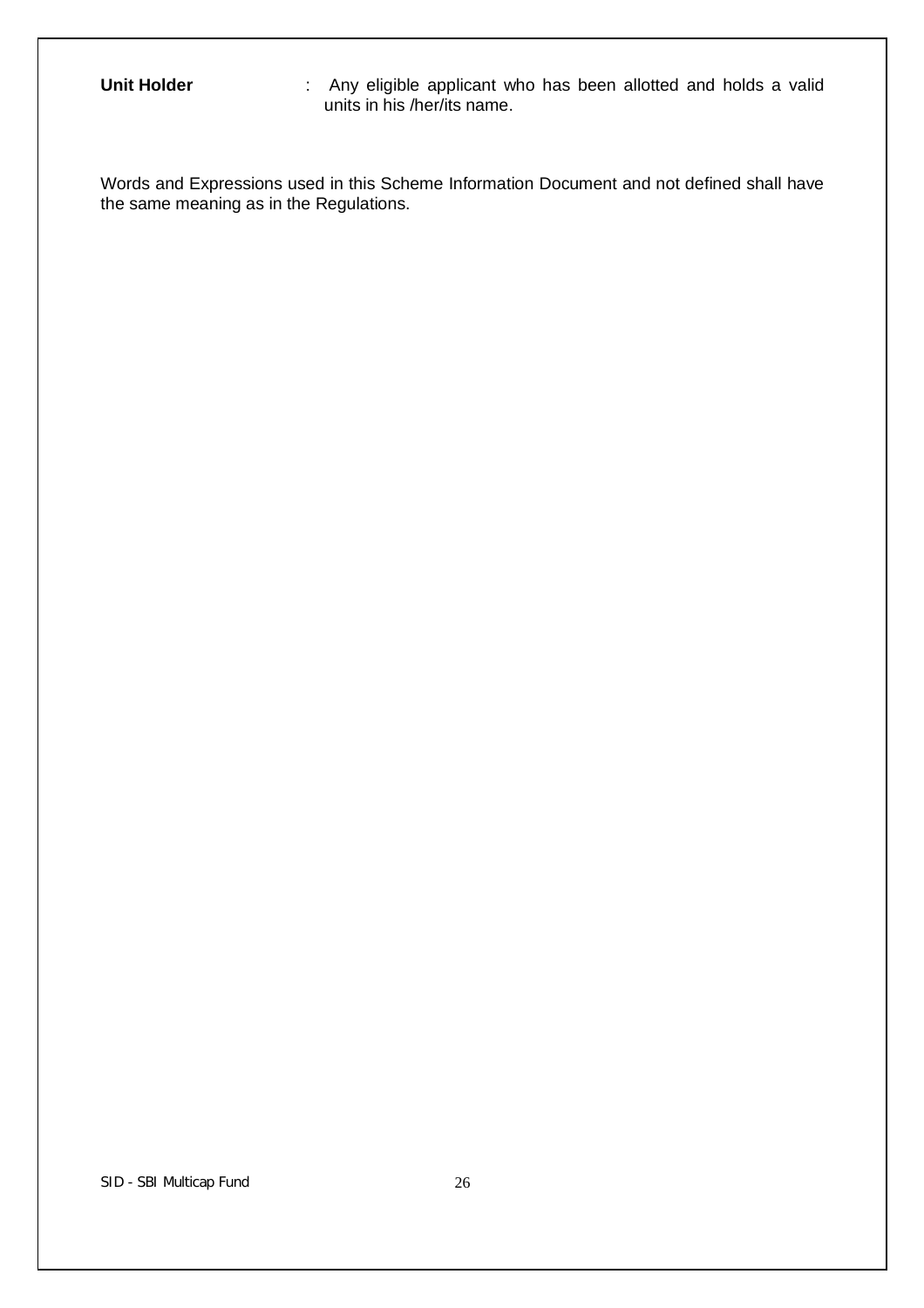**Unit Holder** : Any eligible applicant who has been allotted and holds a valid units in his /her/its name.

Words and Expressions used in this Scheme Information Document and not defined shall have the same meaning as in the Regulations.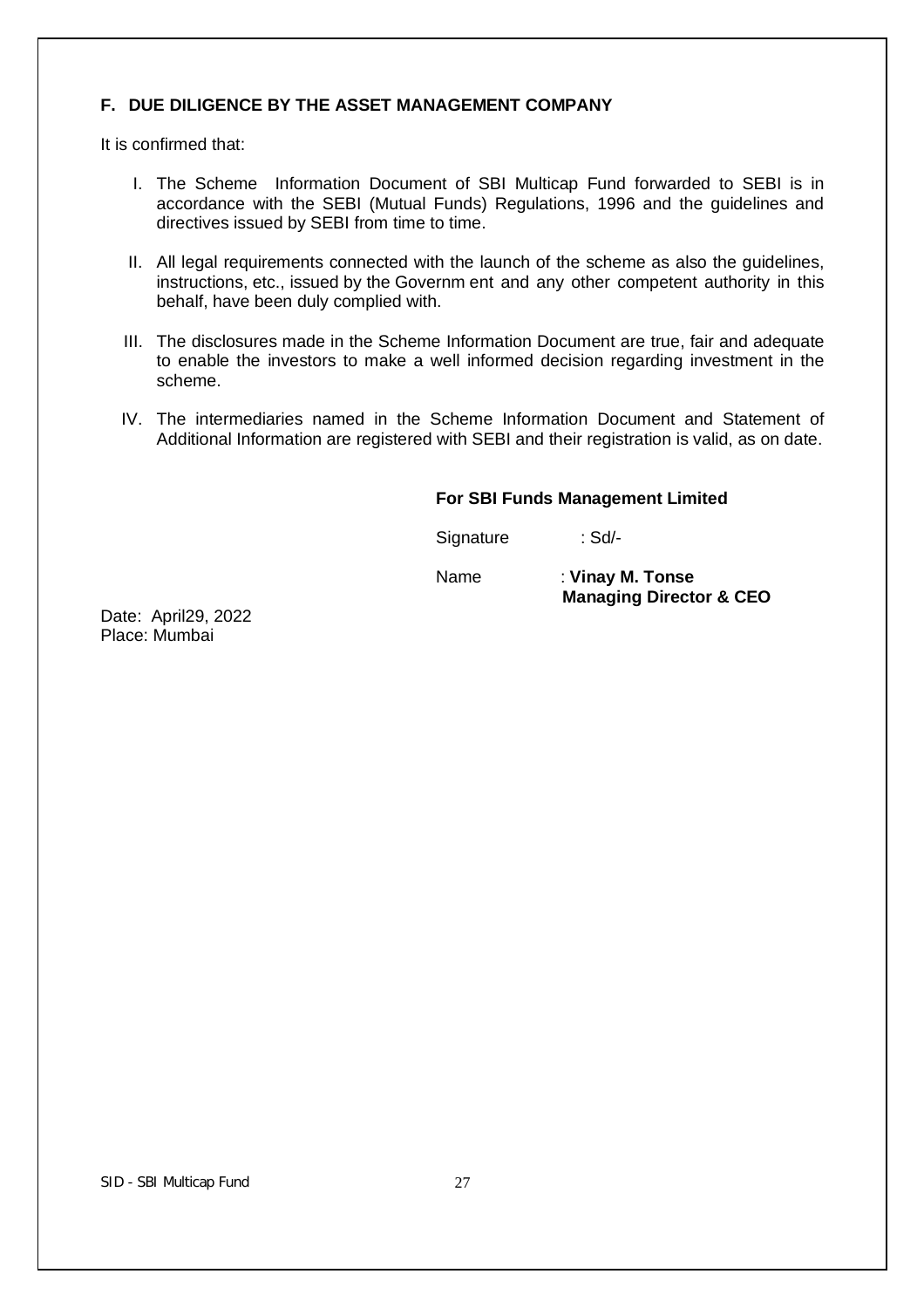# **F. DUE DILIGENCE BY THE ASSET MANAGEMENT COMPANY**

It is confirmed that:

- I. The Scheme Information Document of SBI Multicap Fund forwarded to SEBI is in accordance with the SEBI (Mutual Funds) Regulations, 1996 and the guidelines and directives issued by SEBI from time to time.
- II. All legal requirements connected with the launch of the scheme as also the guidelines, instructions, etc., issued by the Governm ent and any other competent authority in this behalf, have been duly complied with.
- III. The disclosures made in the Scheme Information Document are true, fair and adequate to enable the investors to make a well informed decision regarding investment in the scheme.
- IV. The intermediaries named in the Scheme Information Document and Statement of Additional Information are registered with SEBI and their registration is valid, as on date.

## **For SBI Funds Management Limited**

Signature : Sd/-

Name : **Vinay M. Tonse Managing Director & CEO**

Date: April29, 2022 Place: Mumbai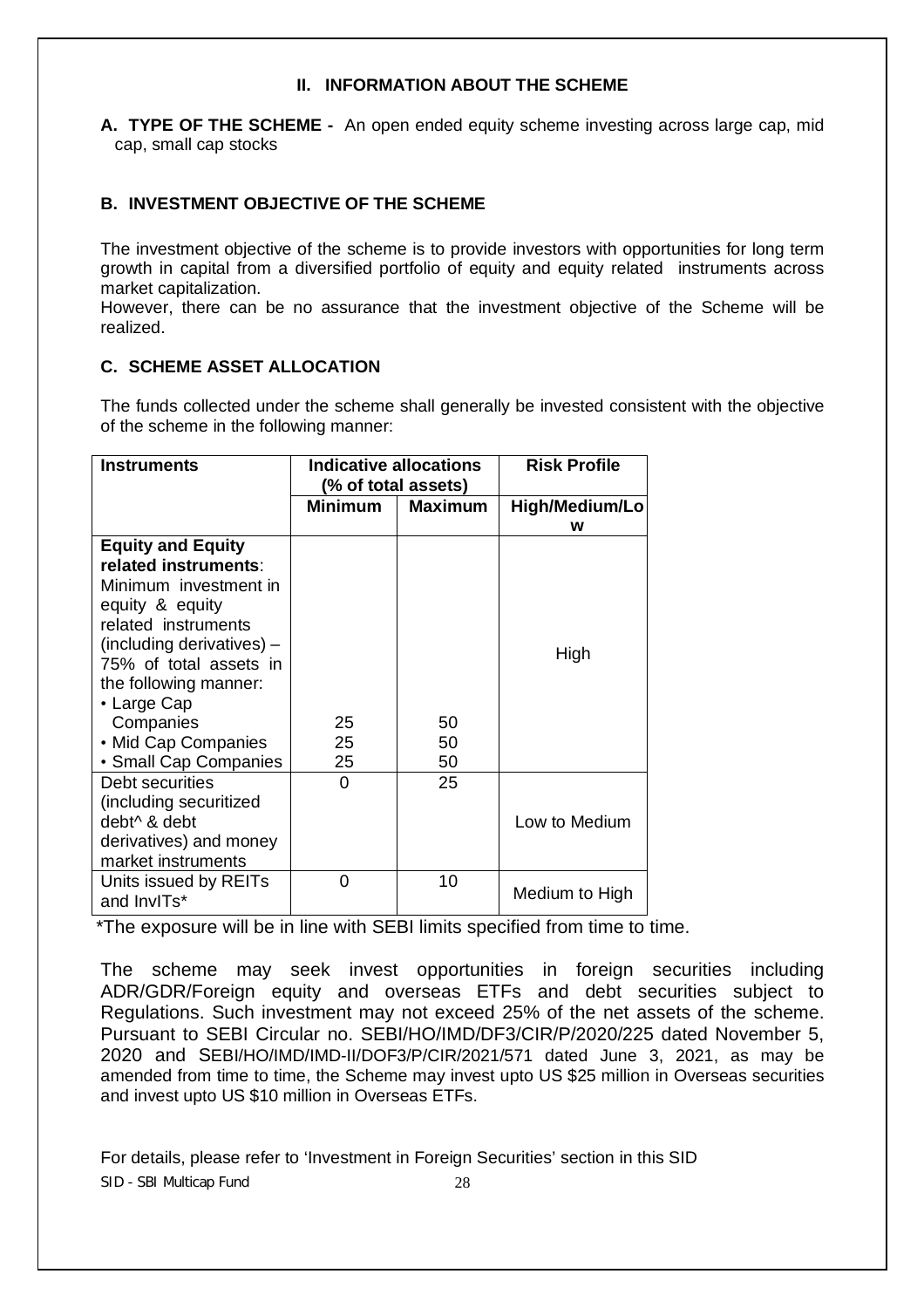# **II. INFORMATION ABOUT THE SCHEME**

**A. TYPE OF THE SCHEME -** An open ended equity scheme investing across large cap, mid cap, small cap stocks

# **B. INVESTMENT OBJECTIVE OF THE SCHEME**

The investment objective of the scheme is to provide investors with opportunities for long term growth in capital from a diversified portfolio of equity and equity related instruments across market capitalization.

However, there can be no assurance that the investment objective of the Scheme will be realized.

# **C. SCHEME ASSET ALLOCATION**

The funds collected under the scheme shall generally be invested consistent with the objective of the scheme in the following manner:

| <b>Instruments</b>                                                                                                                                                                                                                                                              | Indicative allocations<br>(% of total assets) |                | <b>Risk Profile</b> |
|---------------------------------------------------------------------------------------------------------------------------------------------------------------------------------------------------------------------------------------------------------------------------------|-----------------------------------------------|----------------|---------------------|
|                                                                                                                                                                                                                                                                                 | Minimum                                       | <b>Maximum</b> | High/Medium/Lo<br>w |
| <b>Equity and Equity</b><br>related instruments:<br>Minimum investment in<br>equity & equity<br>related instruments<br>(including derivatives) -<br>75% of total assets in<br>the following manner:<br>• Large Cap<br>Companies<br>• Mid Cap Companies<br>• Small Cap Companies | 25<br>25<br>25                                | 50<br>50<br>50 | High                |
| Debt securities<br>(including securitized<br>debt <sup>^</sup> & debt<br>derivatives) and money<br>market instruments                                                                                                                                                           | 0                                             | 25             | Low to Medium       |
| Units issued by REITs<br>and InvITs*                                                                                                                                                                                                                                            | 0                                             | 10             | Medium to High      |

\*The exposure will be in line with SEBI limits specified from time to time.

The scheme may seek invest opportunities in foreign securities including ADR/GDR/Foreign equity and overseas ETFs and debt securities subject to Regulations. Such investment may not exceed 25% of the net assets of the scheme. Pursuant to SEBI Circular no. SEBI/HO/IMD/DF3/CIR/P/2020/225 dated November 5, 2020 and SEBI/HO/IMD/IMD-II/DOF3/P/CIR/2021/571 dated June 3, 2021, as may be amended from time to time, the Scheme may invest upto US \$25 million in Overseas securities and invest upto US \$10 million in Overseas ETFs.

SID - SBI Multicap Fund 28 For details, please refer to 'Investment in Foreign Securities' section in this SID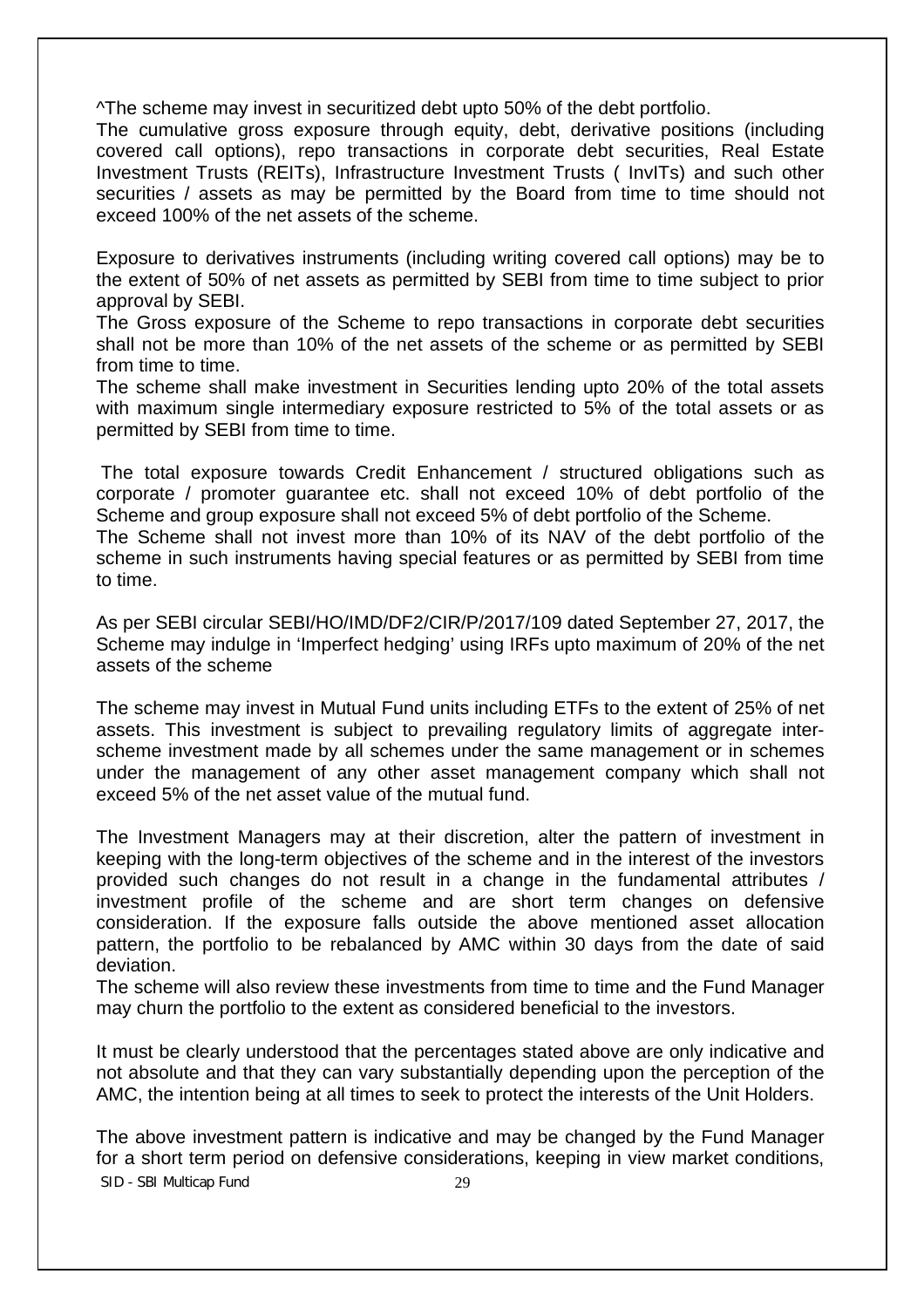^The scheme may invest in securitized debt upto 50% of the debt portfolio.

The cumulative gross exposure through equity, debt, derivative positions (including covered call options), repo transactions in corporate debt securities, Real Estate Investment Trusts (REITs), Infrastructure Investment Trusts ( InvITs) and such other securities / assets as may be permitted by the Board from time to time should not exceed 100% of the net assets of the scheme.

Exposure to derivatives instruments (including writing covered call options) may be to the extent of 50% of net assets as permitted by SEBI from time to time subject to prior approval by SEBI.

The Gross exposure of the Scheme to repo transactions in corporate debt securities shall not be more than 10% of the net assets of the scheme or as permitted by SEBI from time to time.

The scheme shall make investment in Securities lending upto 20% of the total assets with maximum single intermediary exposure restricted to 5% of the total assets or as permitted by SEBI from time to time.

The total exposure towards Credit Enhancement / structured obligations such as corporate / promoter guarantee etc. shall not exceed 10% of debt portfolio of the Scheme and group exposure shall not exceed 5% of debt portfolio of the Scheme.

The Scheme shall not invest more than 10% of its NAV of the debt portfolio of the scheme in such instruments having special features or as permitted by SEBI from time to time.

As per SEBI circular SEBI/HO/IMD/DF2/CIR/P/2017/109 dated September 27, 2017, the Scheme may indulge in 'Imperfect hedging' using IRFs upto maximum of 20% of the net assets of the scheme

The scheme may invest in Mutual Fund units including ETFs to the extent of 25% of net assets. This investment is subject to prevailing regulatory limits of aggregate interscheme investment made by all schemes under the same management or in schemes under the management of any other asset management company which shall not exceed 5% of the net asset value of the mutual fund.

The Investment Managers may at their discretion, alter the pattern of investment in keeping with the long-term objectives of the scheme and in the interest of the investors provided such changes do not result in a change in the fundamental attributes / investment profile of the scheme and are short term changes on defensive consideration. If the exposure falls outside the above mentioned asset allocation pattern, the portfolio to be rebalanced by AMC within 30 days from the date of said deviation.

The scheme will also review these investments from time to time and the Fund Manager may churn the portfolio to the extent as considered beneficial to the investors.

It must be clearly understood that the percentages stated above are only indicative and not absolute and that they can vary substantially depending upon the perception of the AMC, the intention being at all times to seek to protect the interests of the Unit Holders.

SID - SBI Multicap Fund 29 The above investment pattern is indicative and may be changed by the Fund Manager for a short term period on defensive considerations, keeping in view market conditions,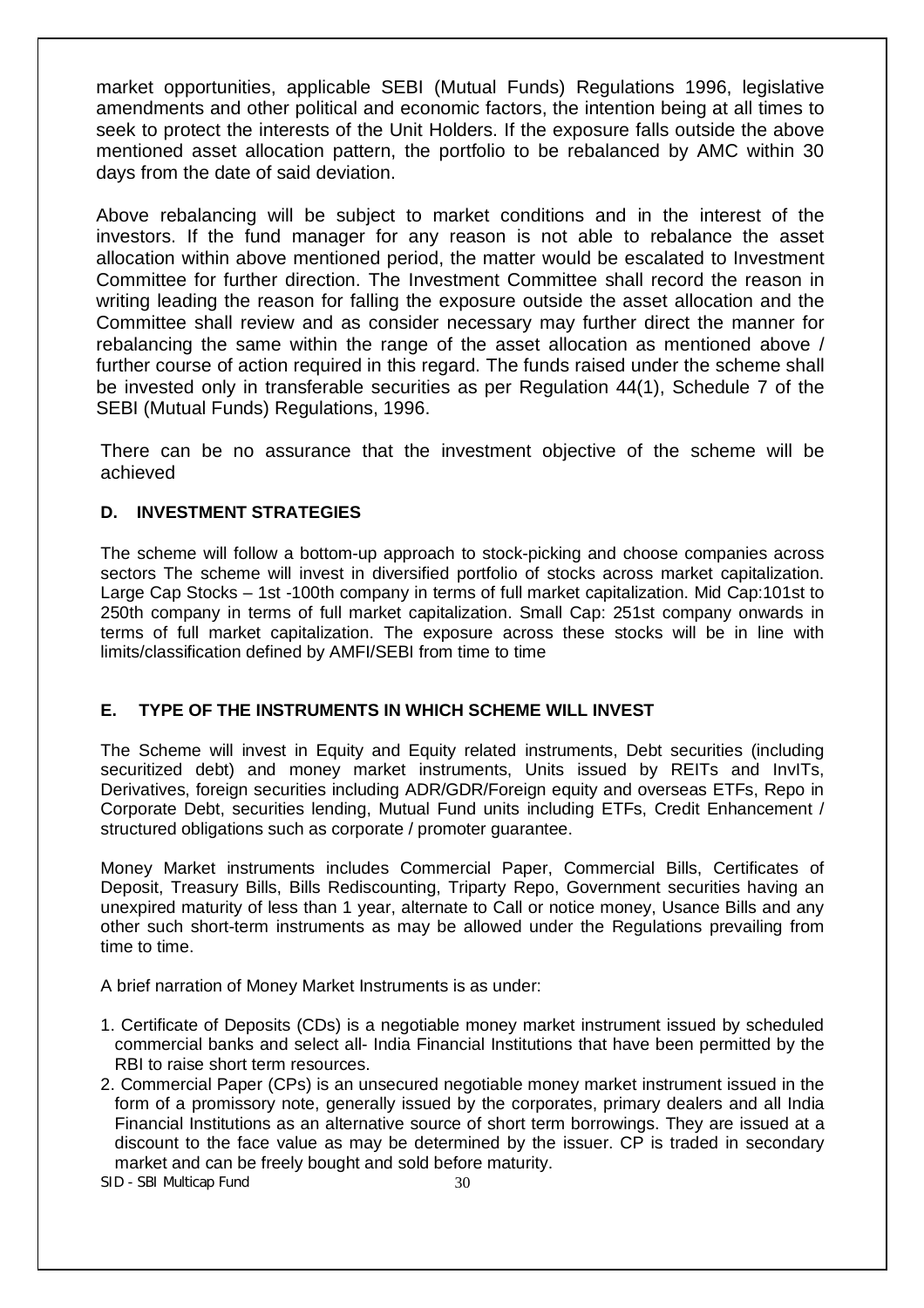market opportunities, applicable SEBI (Mutual Funds) Regulations 1996, legislative amendments and other political and economic factors, the intention being at all times to seek to protect the interests of the Unit Holders. If the exposure falls outside the above mentioned asset allocation pattern, the portfolio to be rebalanced by AMC within 30 days from the date of said deviation.

Above rebalancing will be subject to market conditions and in the interest of the investors. If the fund manager for any reason is not able to rebalance the asset allocation within above mentioned period, the matter would be escalated to Investment Committee for further direction. The Investment Committee shall record the reason in writing leading the reason for falling the exposure outside the asset allocation and the Committee shall review and as consider necessary may further direct the manner for rebalancing the same within the range of the asset allocation as mentioned above / further course of action required in this regard. The funds raised under the scheme shall be invested only in transferable securities as per Regulation 44(1), Schedule 7 of the SEBI (Mutual Funds) Regulations, 1996.

There can be no assurance that the investment objective of the scheme will be achieved

# **D. INVESTMENT STRATEGIES**

The scheme will follow a bottom-up approach to stock-picking and choose companies across sectors The scheme will invest in diversified portfolio of stocks across market capitalization. Large Cap Stocks – 1st -100th company in terms of full market capitalization. Mid Cap:101st to 250th company in terms of full market capitalization. Small Cap: 251st company onwards in terms of full market capitalization. The exposure across these stocks will be in line with limits/classification defined by AMFI/SEBI from time to time

# **E. TYPE OF THE INSTRUMENTS IN WHICH SCHEME WILL INVEST**

The Scheme will invest in Equity and Equity related instruments, Debt securities (including securitized debt) and money market instruments, Units issued by REITs and InvITs, Derivatives, foreign securities including ADR/GDR/Foreign equity and overseas ETFs, Repo in Corporate Debt, securities lending, Mutual Fund units including ETFs, Credit Enhancement / structured obligations such as corporate / promoter guarantee.

Money Market instruments includes Commercial Paper, Commercial Bills, Certificates of Deposit, Treasury Bills, Bills Rediscounting, Triparty Repo, Government securities having an unexpired maturity of less than 1 year, alternate to Call or notice money, Usance Bills and any other such short-term instruments as may be allowed under the Regulations prevailing from time to time.

A brief narration of Money Market Instruments is as under:

- 1. Certificate of Deposits (CDs) is a negotiable money market instrument issued by scheduled commercial banks and select all- India Financial Institutions that have been permitted by the RBI to raise short term resources.
- 2. Commercial Paper (CPs) is an unsecured negotiable money market instrument issued in the form of a promissory note, generally issued by the corporates, primary dealers and all India Financial Institutions as an alternative source of short term borrowings. They are issued at a discount to the face value as may be determined by the issuer. CP is traded in secondary market and can be freely bought and sold before maturity.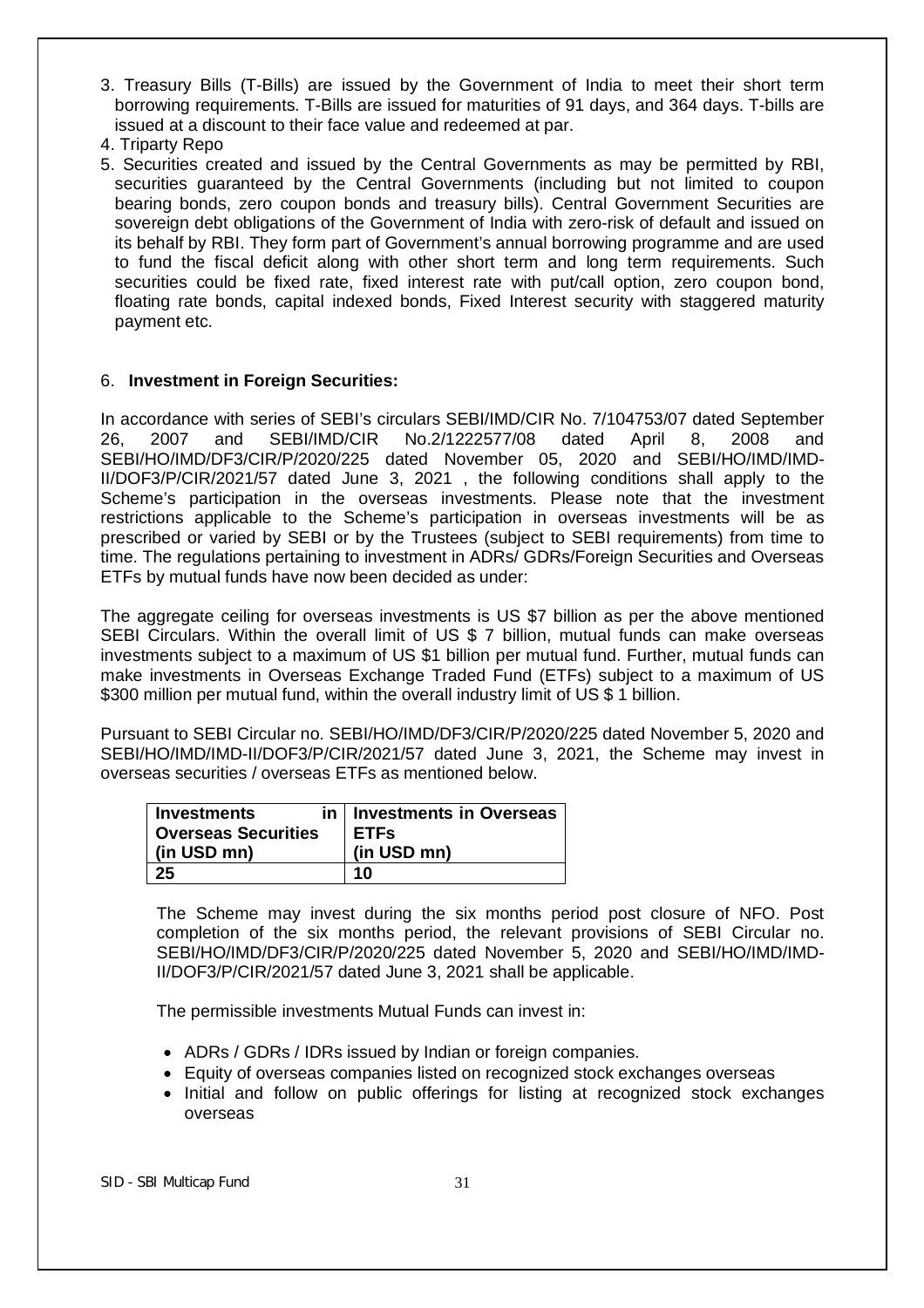- 3. Treasury Bills (T-Bills) are issued by the Government of India to meet their short term borrowing requirements. T-Bills are issued for maturities of 91 days, and 364 days. T-bills are issued at a discount to their face value and redeemed at par.
- 4. Triparty Repo
- 5. Securities created and issued by the Central Governments as may be permitted by RBI, securities guaranteed by the Central Governments (including but not limited to coupon bearing bonds, zero coupon bonds and treasury bills). Central Government Securities are sovereign debt obligations of the Government of India with zero-risk of default and issued on its behalf by RBI. They form part of Government's annual borrowing programme and are used to fund the fiscal deficit along with other short term and long term requirements. Such securities could be fixed rate, fixed interest rate with put/call option, zero coupon bond, floating rate bonds, capital indexed bonds, Fixed Interest security with staggered maturity payment etc.

# 6. **Investment in Foreign Securities:**

In accordance with series of SEBI's circulars SEBI/IMD/CIR No. 7/104753/07 dated September 26, 2007 and SEBI/IMD/CIR No.2/1222577/08 dated April 8, 2008 and SEBI/HO/IMD/DF3/CIR/P/2020/225 dated November 05, 2020 and SEBI/HO/IMD/IMD-II/DOF3/P/CIR/2021/57 dated June 3, 2021 , the following conditions shall apply to the Scheme's participation in the overseas investments. Please note that the investment restrictions applicable to the Scheme's participation in overseas investments will be as prescribed or varied by SEBI or by the Trustees (subject to SEBI requirements) from time to time. The regulations pertaining to investment in ADRs/ GDRs/Foreign Securities and Overseas ETFs by mutual funds have now been decided as under:

The aggregate ceiling for overseas investments is US \$7 billion as per the above mentioned SEBI Circulars. Within the overall limit of US \$ 7 billion, mutual funds can make overseas investments subject to a maximum of US \$1 billion per mutual fund. Further, mutual funds can make investments in Overseas Exchange Traded Fund (ETFs) subject to a maximum of US \$300 million per mutual fund, within the overall industry limit of US \$ 1 billion.

Pursuant to SEBI Circular no. SEBI/HO/IMD/DF3/CIR/P/2020/225 dated November 5, 2020 and SEBI/HO/IMD/IMD-II/DOF3/P/CIR/2021/57 dated June 3, 2021, the Scheme may invest in overseas securities / overseas ETFs as mentioned below.

| <b>Investments</b>         | in   Investments in Overseas |
|----------------------------|------------------------------|
| <b>Overseas Securities</b> | <b>ETFs</b>                  |
| (in USD mn)                | (in USD mn)                  |
| 25                         | 10                           |

The Scheme may invest during the six months period post closure of NFO. Post completion of the six months period, the relevant provisions of SEBI Circular no. SEBI/HO/IMD/DF3/CIR/P/2020/225 dated November 5, 2020 and SEBI/HO/IMD/IMD-II/DOF3/P/CIR/2021/57 dated June 3, 2021 shall be applicable.

The permissible investments Mutual Funds can invest in:

- ADRs / GDRs / IDRs issued by Indian or foreign companies.
- Equity of overseas companies listed on recognized stock exchanges overseas
- Initial and follow on public offerings for listing at recognized stock exchanges overseas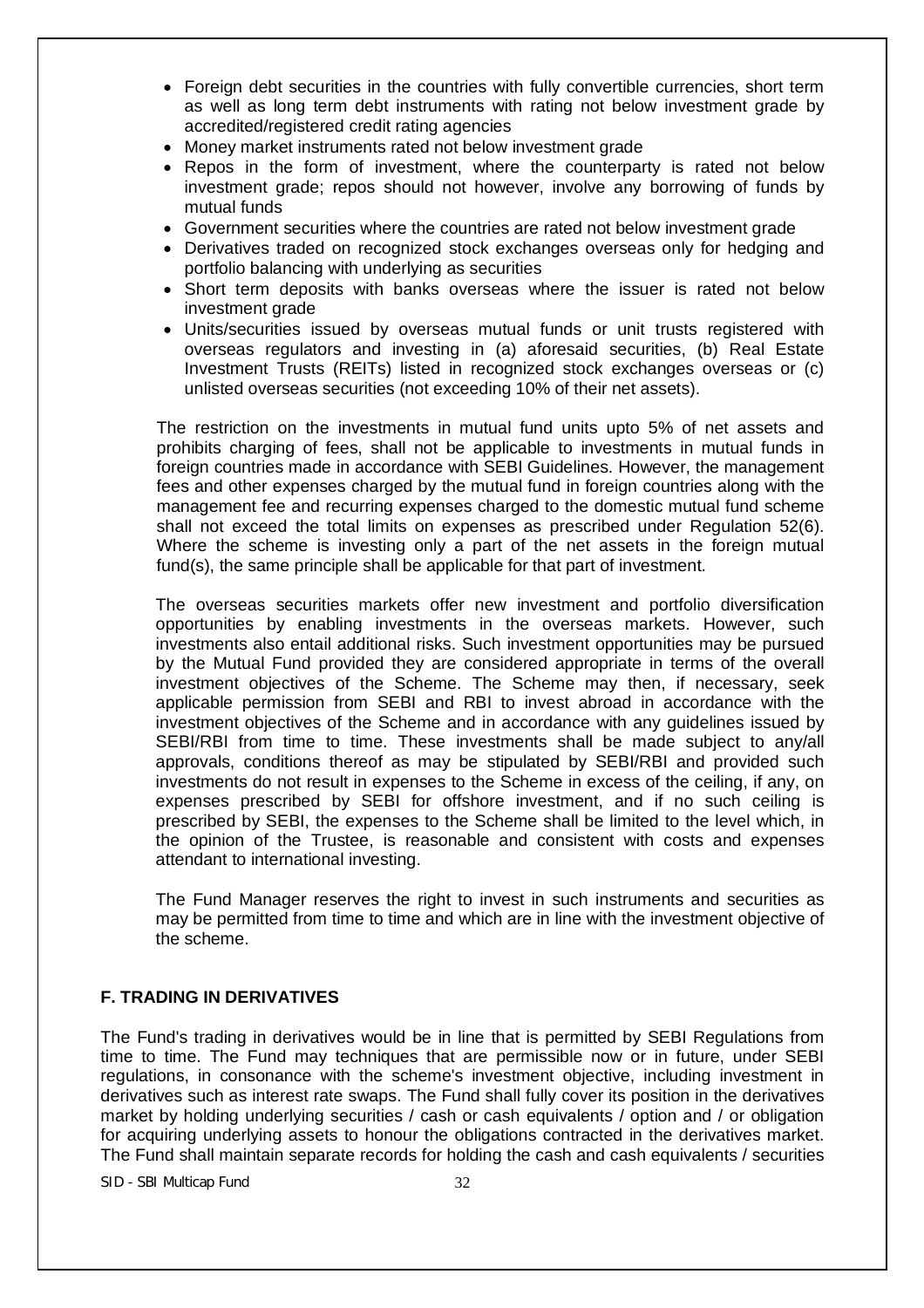- Foreign debt securities in the countries with fully convertible currencies, short term as well as long term debt instruments with rating not below investment grade by accredited/registered credit rating agencies
- Money market instruments rated not below investment grade
- Repos in the form of investment, where the counterparty is rated not below investment grade; repos should not however, involve any borrowing of funds by mutual funds
- Government securities where the countries are rated not below investment grade
- Derivatives traded on recognized stock exchanges overseas only for hedging and portfolio balancing with underlying as securities
- Short term deposits with banks overseas where the issuer is rated not below investment grade
- Units/securities issued by overseas mutual funds or unit trusts registered with overseas regulators and investing in (a) aforesaid securities, (b) Real Estate Investment Trusts (REITs) listed in recognized stock exchanges overseas or (c) unlisted overseas securities (not exceeding 10% of their net assets).

The restriction on the investments in mutual fund units upto 5% of net assets and prohibits charging of fees, shall not be applicable to investments in mutual funds in foreign countries made in accordance with SEBI Guidelines. However, the management fees and other expenses charged by the mutual fund in foreign countries along with the management fee and recurring expenses charged to the domestic mutual fund scheme shall not exceed the total limits on expenses as prescribed under Regulation 52(6). Where the scheme is investing only a part of the net assets in the foreign mutual fund(s), the same principle shall be applicable for that part of investment.

The overseas securities markets offer new investment and portfolio diversification opportunities by enabling investments in the overseas markets. However, such investments also entail additional risks. Such investment opportunities may be pursued by the Mutual Fund provided they are considered appropriate in terms of the overall investment objectives of the Scheme. The Scheme may then, if necessary, seek applicable permission from SEBI and RBI to invest abroad in accordance with the investment objectives of the Scheme and in accordance with any guidelines issued by SEBI/RBI from time to time. These investments shall be made subject to any/all approvals, conditions thereof as may be stipulated by SEBI/RBI and provided such investments do not result in expenses to the Scheme in excess of the ceiling, if any, on expenses prescribed by SEBI for offshore investment, and if no such ceiling is prescribed by SEBI, the expenses to the Scheme shall be limited to the level which, in the opinion of the Trustee, is reasonable and consistent with costs and expenses attendant to international investing.

The Fund Manager reserves the right to invest in such instruments and securities as may be permitted from time to time and which are in line with the investment objective of the scheme.

# **F. TRADING IN DERIVATIVES**

The Fund's trading in derivatives would be in line that is permitted by SEBI Regulations from time to time. The Fund may techniques that are permissible now or in future, under SEBI regulations, in consonance with the scheme's investment objective, including investment in derivatives such as interest rate swaps. The Fund shall fully cover its position in the derivatives market by holding underlying securities / cash or cash equivalents / option and / or obligation for acquiring underlying assets to honour the obligations contracted in the derivatives market. The Fund shall maintain separate records for holding the cash and cash equivalents / securities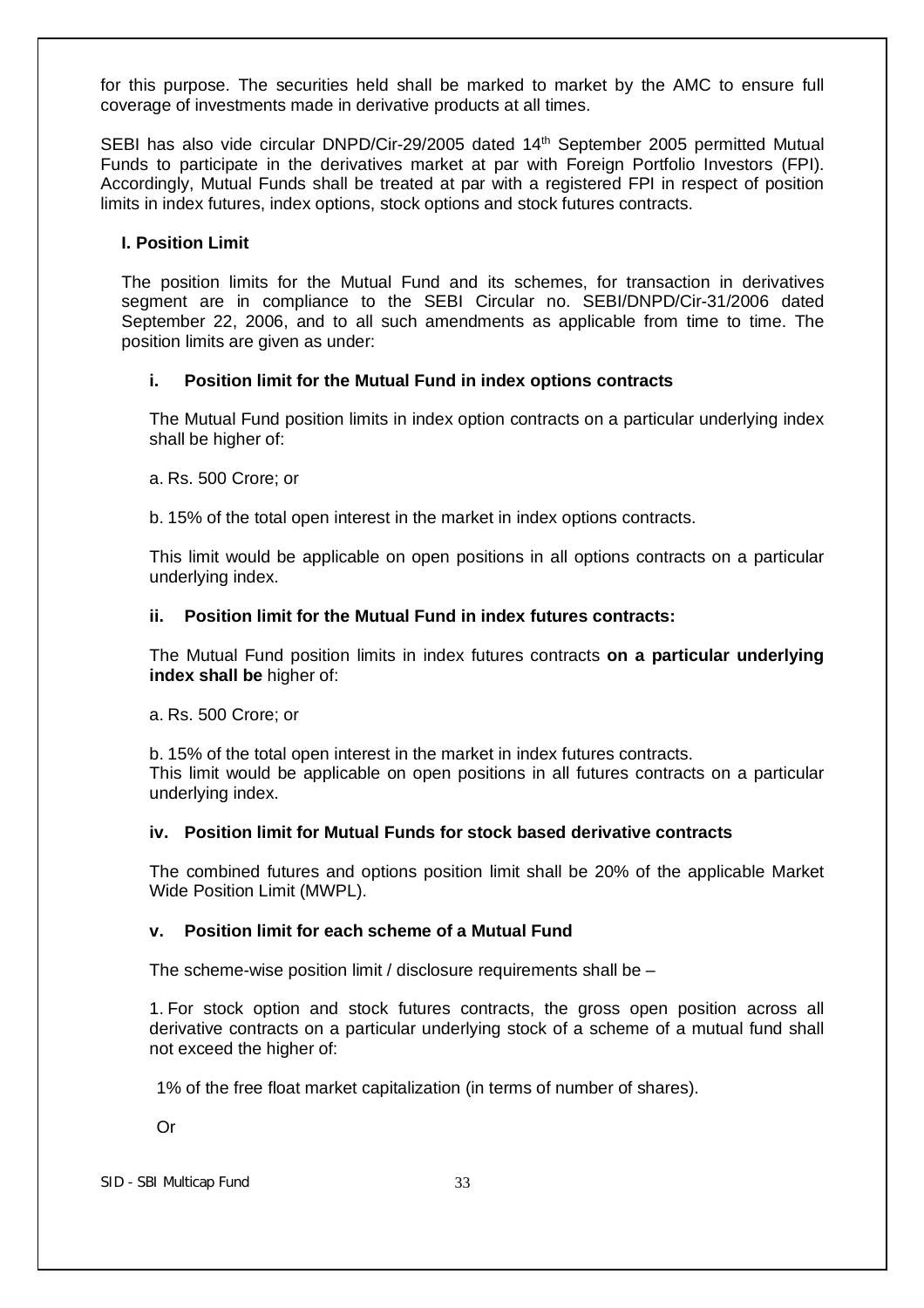for this purpose. The securities held shall be marked to market by the AMC to ensure full coverage of investments made in derivative products at all times.

SEBI has also vide circular DNPD/Cir-29/2005 dated 14<sup>th</sup> September 2005 permitted Mutual Funds to participate in the derivatives market at par with Foreign Portfolio Investors (FPI). Accordingly, Mutual Funds shall be treated at par with a registered FPI in respect of position limits in index futures, index options, stock options and stock futures contracts.

## **I. Position Limit**

The position limits for the Mutual Fund and its schemes, for transaction in derivatives segment are in compliance to the SEBI Circular no. SEBI/DNPD/Cir-31/2006 dated September 22, 2006, and to all such amendments as applicable from time to time. The position limits are given as under:

## **i. Position limit for the Mutual Fund in index options contracts**

The Mutual Fund position limits in index option contracts on a particular underlying index shall be higher of:

a. Rs. 500 Crore; or

b. 15% of the total open interest in the market in index options contracts.

This limit would be applicable on open positions in all options contracts on a particular underlying index.

## **ii. Position limit for the Mutual Fund in index futures contracts:**

The Mutual Fund position limits in index futures contracts **on a particular underlying index shall be** higher of:

a. Rs. 500 Crore; or

b. 15% of the total open interest in the market in index futures contracts. This limit would be applicable on open positions in all futures contracts on a particular underlying index.

# **iv. Position limit for Mutual Funds for stock based derivative contracts**

The combined futures and options position limit shall be 20% of the applicable Market Wide Position Limit (MWPL).

# **v. Position limit for each scheme of a Mutual Fund**

The scheme-wise position limit / disclosure requirements shall be –

1. For stock option and stock futures contracts, the gross open position across all derivative contracts on a particular underlying stock of a scheme of a mutual fund shall not exceed the higher of:

1% of the free float market capitalization (in terms of number of shares).

Or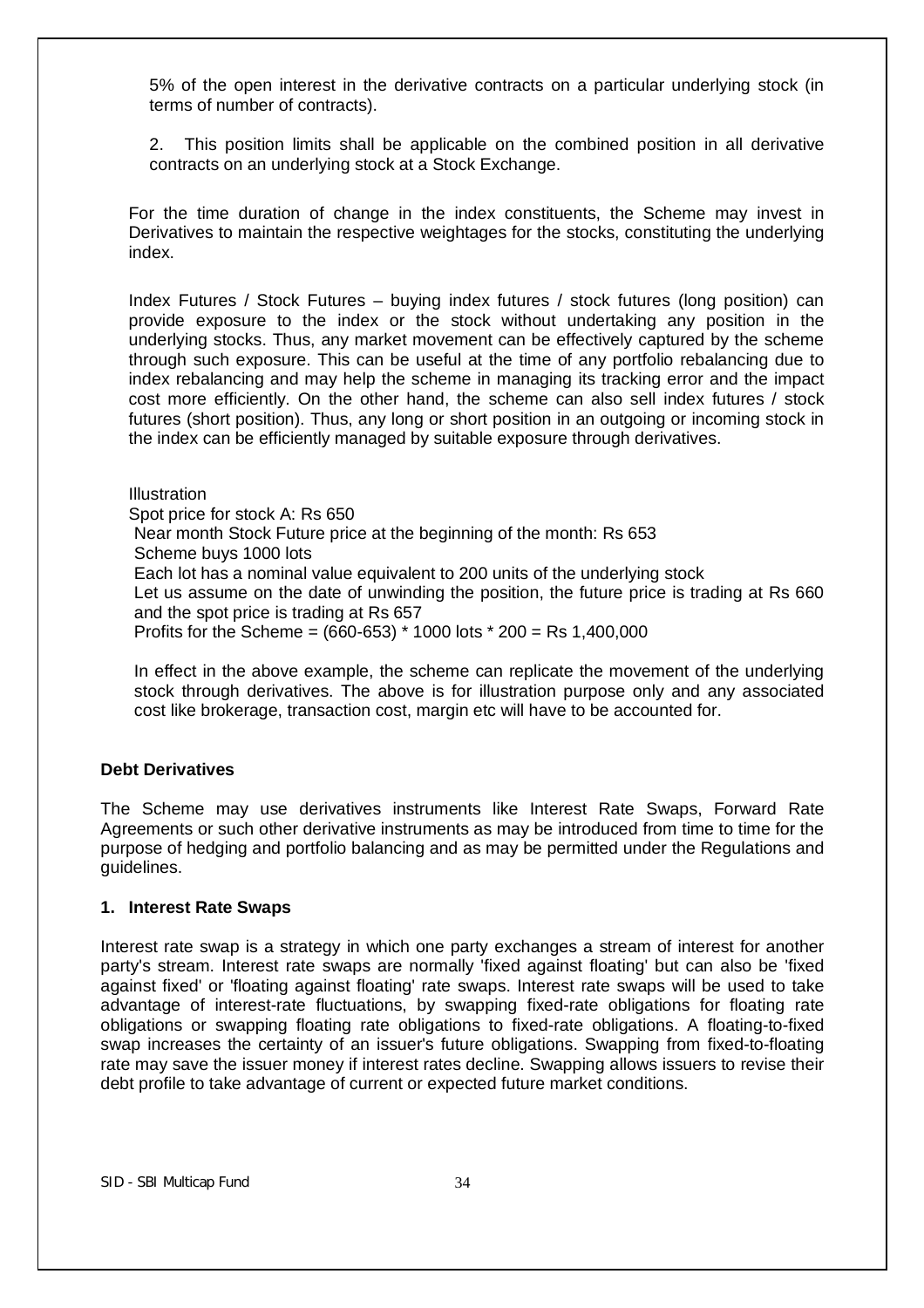5% of the open interest in the derivative contracts on a particular underlying stock (in terms of number of contracts).

2. This position limits shall be applicable on the combined position in all derivative contracts on an underlying stock at a Stock Exchange.

For the time duration of change in the index constituents, the Scheme may invest in Derivatives to maintain the respective weightages for the stocks, constituting the underlying index.

Index Futures / Stock Futures – buying index futures / stock futures (long position) can provide exposure to the index or the stock without undertaking any position in the underlying stocks. Thus, any market movement can be effectively captured by the scheme through such exposure. This can be useful at the time of any portfolio rebalancing due to index rebalancing and may help the scheme in managing its tracking error and the impact cost more efficiently. On the other hand, the scheme can also sell index futures / stock futures (short position). Thus, any long or short position in an outgoing or incoming stock in the index can be efficiently managed by suitable exposure through derivatives.

**Illustration** Spot price for stock A: Rs 650 Near month Stock Future price at the beginning of the month: Rs 653 Scheme buys 1000 lots Each lot has a nominal value equivalent to 200 units of the underlying stock Let us assume on the date of unwinding the position, the future price is trading at Rs 660 and the spot price is trading at Rs 657 Profits for the Scheme = (660-653) \* 1000 lots \* 200 = Rs 1,400,000

In effect in the above example, the scheme can replicate the movement of the underlying stock through derivatives. The above is for illustration purpose only and any associated cost like brokerage, transaction cost, margin etc will have to be accounted for.

#### **Debt Derivatives**

The Scheme may use derivatives instruments like Interest Rate Swaps, Forward Rate Agreements or such other derivative instruments as may be introduced from time to time for the purpose of hedging and portfolio balancing and as may be permitted under the Regulations and guidelines.

#### **1. Interest Rate Swaps**

Interest rate swap is a strategy in which one party exchanges a stream of interest for another party's stream. Interest rate swaps are normally 'fixed against floating' but can also be 'fixed against fixed' or 'floating against floating' rate swaps. Interest rate swaps will be used to take advantage of interest-rate fluctuations, by swapping fixed-rate obligations for floating rate obligations or swapping floating rate obligations to fixed-rate obligations. A floating-to-fixed swap increases the certainty of an issuer's future obligations. Swapping from fixed-to-floating rate may save the issuer money if interest rates decline. Swapping allows issuers to revise their debt profile to take advantage of current or expected future market conditions.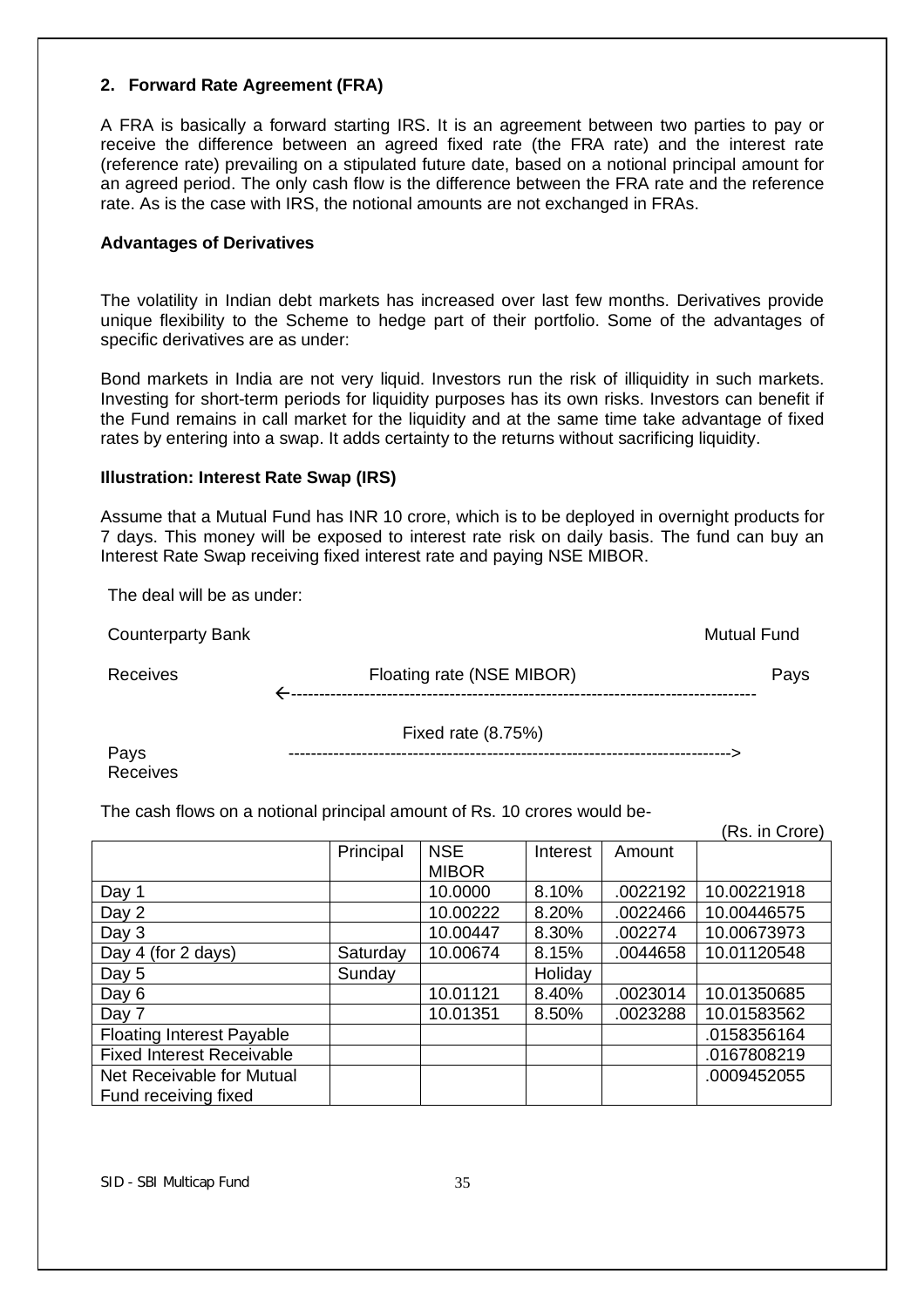## **2. Forward Rate Agreement (FRA)**

A FRA is basically a forward starting IRS. It is an agreement between two parties to pay or receive the difference between an agreed fixed rate (the FRA rate) and the interest rate (reference rate) prevailing on a stipulated future date, based on a notional principal amount for an agreed period. The only cash flow is the difference between the FRA rate and the reference rate. As is the case with IRS, the notional amounts are not exchanged in FRAs.

## **Advantages of Derivatives**

The volatility in Indian debt markets has increased over last few months. Derivatives provide unique flexibility to the Scheme to hedge part of their portfolio. Some of the advantages of specific derivatives are as under:

Bond markets in India are not very liquid. Investors run the risk of illiquidity in such markets. Investing for short-term periods for liquidity purposes has its own risks. Investors can benefit if the Fund remains in call market for the liquidity and at the same time take advantage of fixed rates by entering into a swap. It adds certainty to the returns without sacrificing liquidity.

## **Illustration: Interest Rate Swap (IRS)**

Assume that a Mutual Fund has INR 10 crore, which is to be deployed in overnight products for 7 days. This money will be exposed to interest rate risk on daily basis. The fund can buy an Interest Rate Swap receiving fixed interest rate and paying NSE MIBOR.

The deal will be as under:

| <b>Counterparty Bank</b> |                           | <b>Mutual Fund</b> |
|--------------------------|---------------------------|--------------------|
| Receives                 | Floating rate (NSE MIBOR) | Pays               |
|                          | Fixed rate (8.75%)        |                    |

Pays ------------------------------------------------------------------------------> Receives

The cash flows on a notional principal amount of Rs. 10 crores would be-

|                                  |           |              |          |          | (Rs. in Crore) |
|----------------------------------|-----------|--------------|----------|----------|----------------|
|                                  | Principal | <b>NSE</b>   | Interest | Amount   |                |
|                                  |           | <b>MIBOR</b> |          |          |                |
| Day 1                            |           | 10.0000      | 8.10%    | .0022192 | 10.00221918    |
| Day 2                            |           | 10.00222     | 8.20%    | .0022466 | 10.00446575    |
| Day 3                            |           | 10.00447     | 8.30%    | .002274  | 10.00673973    |
| Day 4 (for 2 days)               | Saturday  | 10.00674     | 8.15%    | .0044658 | 10.01120548    |
| Day 5                            | Sunday    |              | Holiday  |          |                |
| Day 6                            |           | 10.01121     | 8.40%    | .0023014 | 10.01350685    |
| Day 7                            |           | 10.01351     | 8.50%    | .0023288 | 10.01583562    |
| <b>Floating Interest Payable</b> |           |              |          |          | .0158356164    |
| <b>Fixed Interest Receivable</b> |           |              |          |          | .0167808219    |
| Net Receivable for Mutual        |           |              |          |          | .0009452055    |
| Fund receiving fixed             |           |              |          |          |                |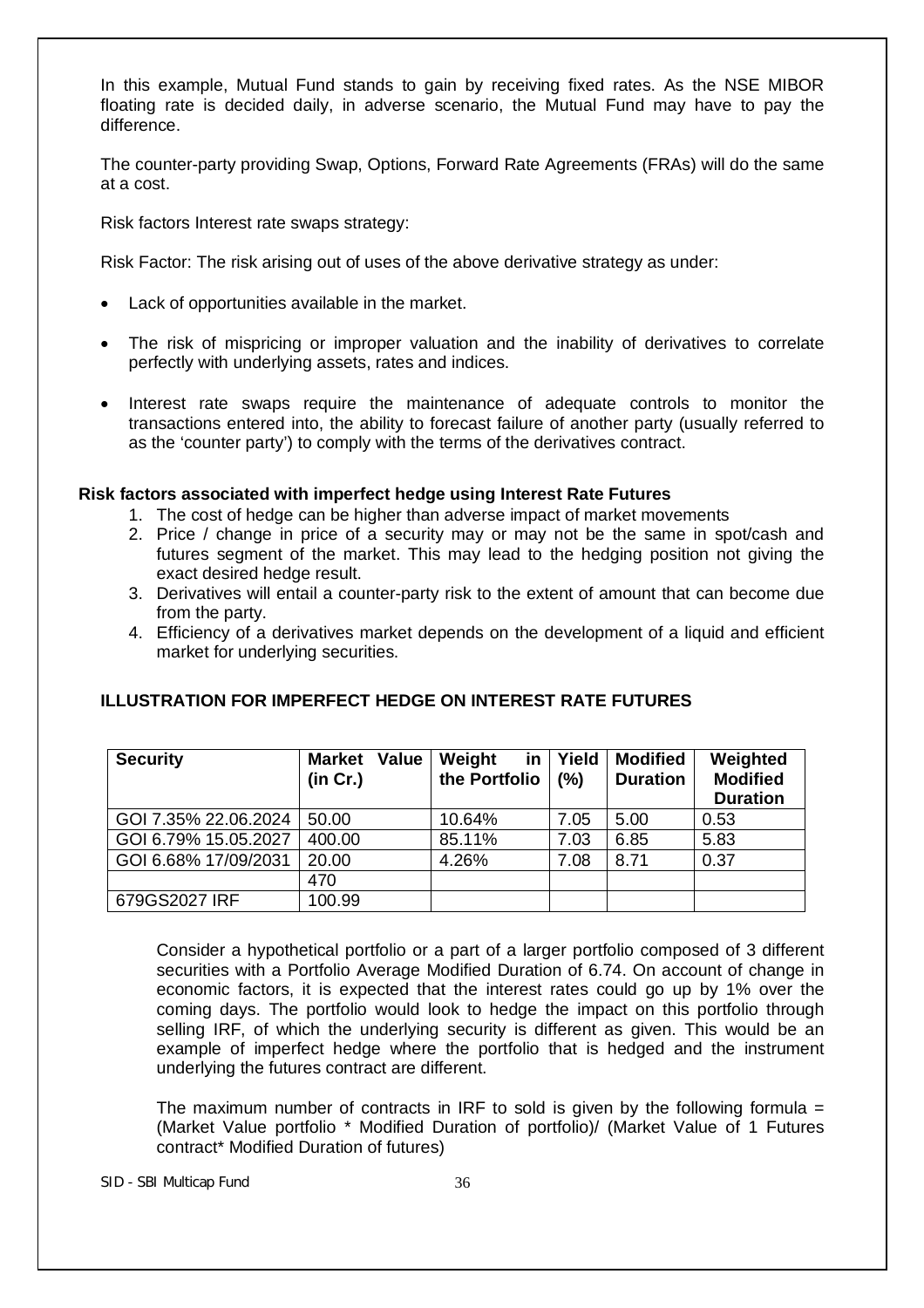In this example, Mutual Fund stands to gain by receiving fixed rates. As the NSE MIBOR floating rate is decided daily, in adverse scenario, the Mutual Fund may have to pay the difference.

The counter-party providing Swap, Options, Forward Rate Agreements (FRAs) will do the same at a cost.

Risk factors Interest rate swaps strategy:

Risk Factor: The risk arising out of uses of the above derivative strategy as under:

- Lack of opportunities available in the market.
- The risk of mispricing or improper valuation and the inability of derivatives to correlate perfectly with underlying assets, rates and indices.
- Interest rate swaps require the maintenance of adequate controls to monitor the transactions entered into, the ability to forecast failure of another party (usually referred to as the 'counter party') to comply with the terms of the derivatives contract.

# **Risk factors associated with imperfect hedge using Interest Rate Futures**

- 1. The cost of hedge can be higher than adverse impact of market movements
- 2. Price / change in price of a security may or may not be the same in spot/cash and futures segment of the market. This may lead to the hedging position not giving the exact desired hedge result.
- 3. Derivatives will entail a counter-party risk to the extent of amount that can become due from the party.
- 4. Efficiency of a derivatives market depends on the development of a liquid and efficient market for underlying securities.

| <b>Security</b>      | Value<br><b>Market</b><br>(in Cr.) | in<br>Weight<br>the Portfolio | Yield<br>(%) | <b>Modified</b><br><b>Duration</b> | Weighted<br><b>Modified</b><br><b>Duration</b> |
|----------------------|------------------------------------|-------------------------------|--------------|------------------------------------|------------------------------------------------|
| GOI 7.35% 22.06.2024 | 50.00                              | 10.64%                        | 7.05         | 5.00                               | 0.53                                           |
| GOI 6.79% 15.05.2027 | 400.00                             | 85.11%                        | 7.03         | 6.85                               | 5.83                                           |
| GOI 6.68% 17/09/2031 | 20.00                              | 4.26%                         | 7.08         | 8.71                               | 0.37                                           |
|                      | 470                                |                               |              |                                    |                                                |
| 679GS2027 IRF        | 100.99                             |                               |              |                                    |                                                |

# **ILLUSTRATION FOR IMPERFECT HEDGE ON INTEREST RATE FUTURES**

Consider a hypothetical portfolio or a part of a larger portfolio composed of 3 different securities with a Portfolio Average Modified Duration of 6.74. On account of change in economic factors, it is expected that the interest rates could go up by 1% over the coming days. The portfolio would look to hedge the impact on this portfolio through selling IRF, of which the underlying security is different as given. This would be an example of imperfect hedge where the portfolio that is hedged and the instrument underlying the futures contract are different.

The maximum number of contracts in IRF to sold is given by the following formula  $=$ (Market Value portfolio \* Modified Duration of portfolio)/ (Market Value of 1 Futures contract\* Modified Duration of futures)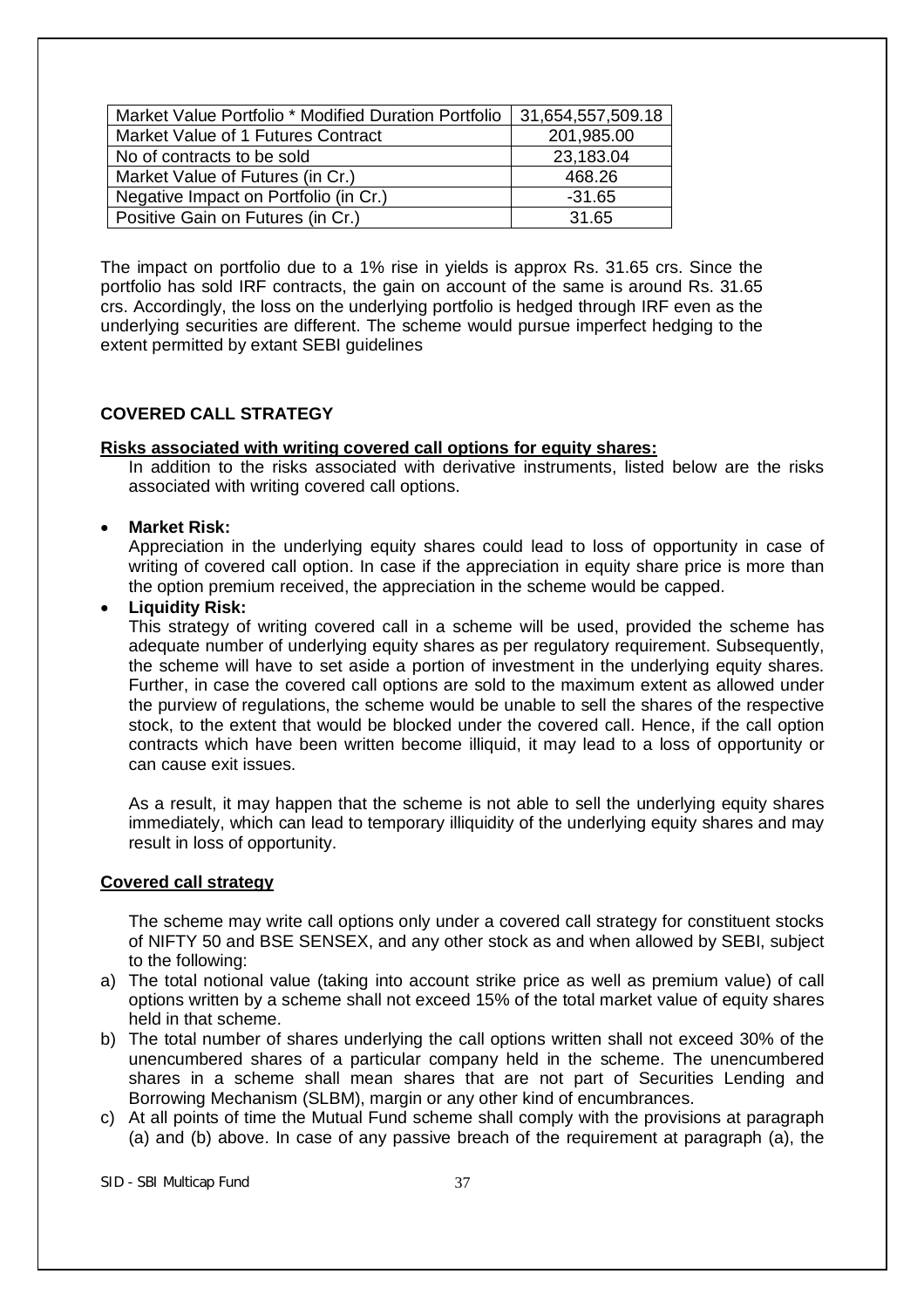| Market Value Portfolio * Modified Duration Portfolio   31,654,557,509.18 |            |
|--------------------------------------------------------------------------|------------|
| Market Value of 1 Futures Contract                                       | 201,985.00 |
| No of contracts to be sold                                               | 23,183.04  |
| Market Value of Futures (in Cr.)                                         | 468.26     |
| Negative Impact on Portfolio (in Cr.)                                    | $-31.65$   |
| Positive Gain on Futures (in Cr.)                                        | 31.65      |

The impact on portfolio due to a 1% rise in yields is approx Rs. 31.65 crs. Since the portfolio has sold IRF contracts, the gain on account of the same is around Rs. 31.65 crs. Accordingly, the loss on the underlying portfolio is hedged through IRF even as the underlying securities are different. The scheme would pursue imperfect hedging to the extent permitted by extant SEBI guidelines

# **COVERED CALL STRATEGY**

#### **Risks associated with writing covered call options for equity shares:**

In addition to the risks associated with derivative instruments, listed below are the risks associated with writing covered call options.

#### **Market Risk:**

Appreciation in the underlying equity shares could lead to loss of opportunity in case of writing of covered call option. In case if the appreciation in equity share price is more than the option premium received, the appreciation in the scheme would be capped.

### **Liquidity Risk:**

This strategy of writing covered call in a scheme will be used, provided the scheme has adequate number of underlying equity shares as per regulatory requirement. Subsequently, the scheme will have to set aside a portion of investment in the underlying equity shares. Further, in case the covered call options are sold to the maximum extent as allowed under the purview of regulations, the scheme would be unable to sell the shares of the respective stock, to the extent that would be blocked under the covered call. Hence, if the call option contracts which have been written become illiquid, it may lead to a loss of opportunity or can cause exit issues.

As a result, it may happen that the scheme is not able to sell the underlying equity shares immediately, which can lead to temporary illiquidity of the underlying equity shares and may result in loss of opportunity.

#### **Covered call strategy**

The scheme may write call options only under a covered call strategy for constituent stocks of NIFTY 50 and BSE SENSEX, and any other stock as and when allowed by SEBI, subject to the following:

- a) The total notional value (taking into account strike price as well as premium value) of call options written by a scheme shall not exceed 15% of the total market value of equity shares held in that scheme.
- b) The total number of shares underlying the call options written shall not exceed 30% of the unencumbered shares of a particular company held in the scheme. The unencumbered shares in a scheme shall mean shares that are not part of Securities Lending and Borrowing Mechanism (SLBM), margin or any other kind of encumbrances.
- c) At all points of time the Mutual Fund scheme shall comply with the provisions at paragraph (a) and (b) above. In case of any passive breach of the requirement at paragraph (a), the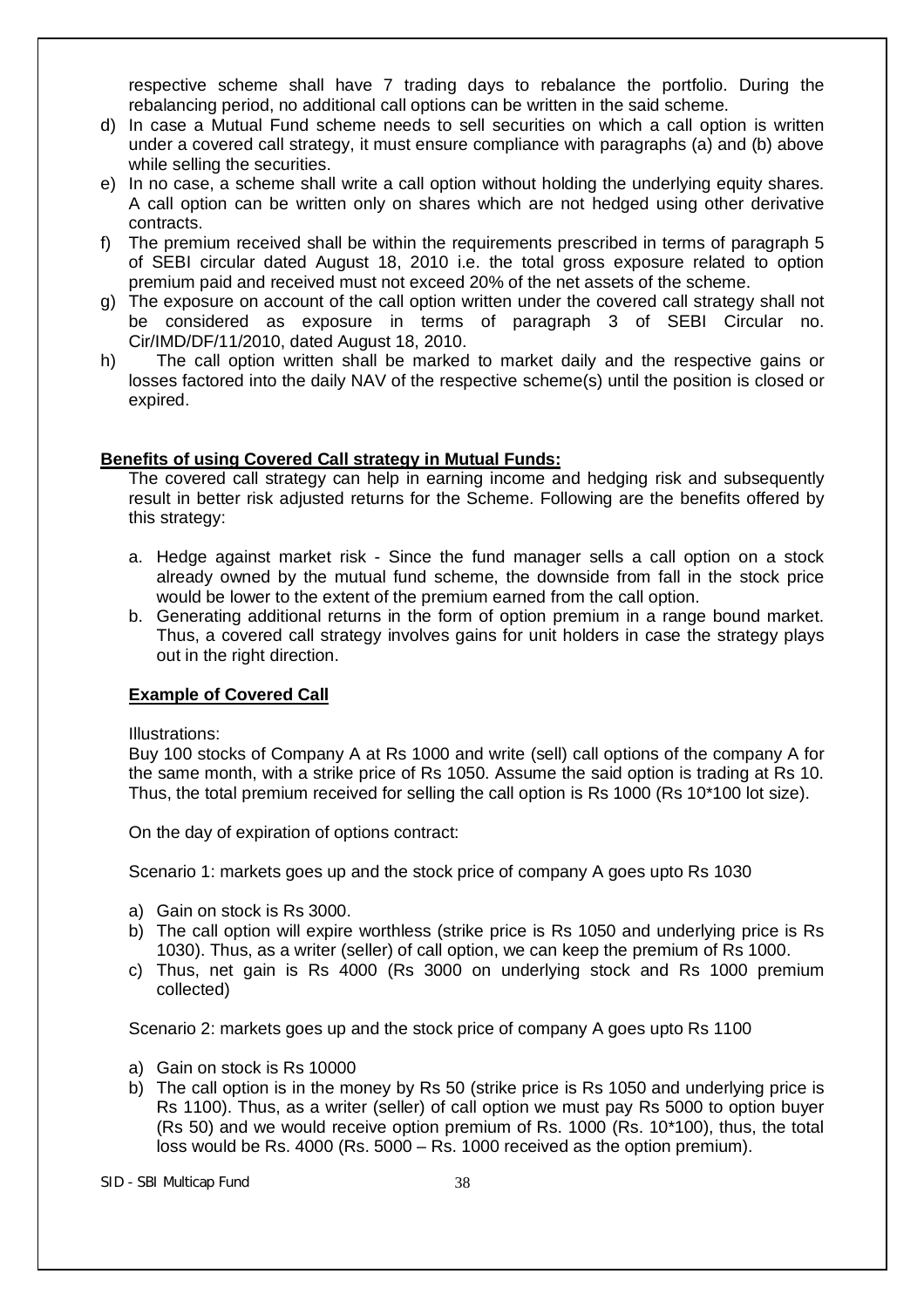respective scheme shall have 7 trading days to rebalance the portfolio. During the rebalancing period, no additional call options can be written in the said scheme.

- d) In case a Mutual Fund scheme needs to sell securities on which a call option is written under a covered call strategy, it must ensure compliance with paragraphs (a) and (b) above while selling the securities.
- e) In no case, a scheme shall write a call option without holding the underlying equity shares. A call option can be written only on shares which are not hedged using other derivative contracts.
- f) The premium received shall be within the requirements prescribed in terms of paragraph 5 of SEBI circular dated August 18, 2010 i.e. the total gross exposure related to option premium paid and received must not exceed 20% of the net assets of the scheme.
- g) The exposure on account of the call option written under the covered call strategy shall not be considered as exposure in terms of paragraph 3 of SEBI Circular no. Cir/IMD/DF/11/2010, dated August 18, 2010.
- h) The call option written shall be marked to market daily and the respective gains or losses factored into the daily NAV of the respective scheme(s) until the position is closed or expired.

### **Benefits of using Covered Call strategy in Mutual Funds:**

The covered call strategy can help in earning income and hedging risk and subsequently result in better risk adjusted returns for the Scheme. Following are the benefits offered by this strategy:

- a. Hedge against market risk Since the fund manager sells a call option on a stock already owned by the mutual fund scheme, the downside from fall in the stock price would be lower to the extent of the premium earned from the call option.
- b. Generating additional returns in the form of option premium in a range bound market. Thus, a covered call strategy involves gains for unit holders in case the strategy plays out in the right direction.

# **Example of Covered Call**

Illustrations:

Buy 100 stocks of Company A at Rs 1000 and write (sell) call options of the company A for the same month, with a strike price of Rs 1050. Assume the said option is trading at Rs 10. Thus, the total premium received for selling the call option is Rs 1000 (Rs 10\*100 lot size).

On the day of expiration of options contract:

Scenario 1: markets goes up and the stock price of company A goes upto Rs 1030

- a) Gain on stock is Rs 3000.
- b) The call option will expire worthless (strike price is Rs 1050 and underlying price is Rs 1030). Thus, as a writer (seller) of call option, we can keep the premium of Rs 1000.
- c) Thus, net gain is Rs 4000 (Rs 3000 on underlying stock and Rs 1000 premium collected)

Scenario 2: markets goes up and the stock price of company A goes upto Rs 1100

- a) Gain on stock is Rs 10000
- b) The call option is in the money by Rs 50 (strike price is Rs 1050 and underlying price is Rs 1100). Thus, as a writer (seller) of call option we must pay Rs 5000 to option buyer (Rs 50) and we would receive option premium of Rs. 1000 (Rs. 10\*100), thus, the total loss would be Rs. 4000 (Rs. 5000 – Rs. 1000 received as the option premium).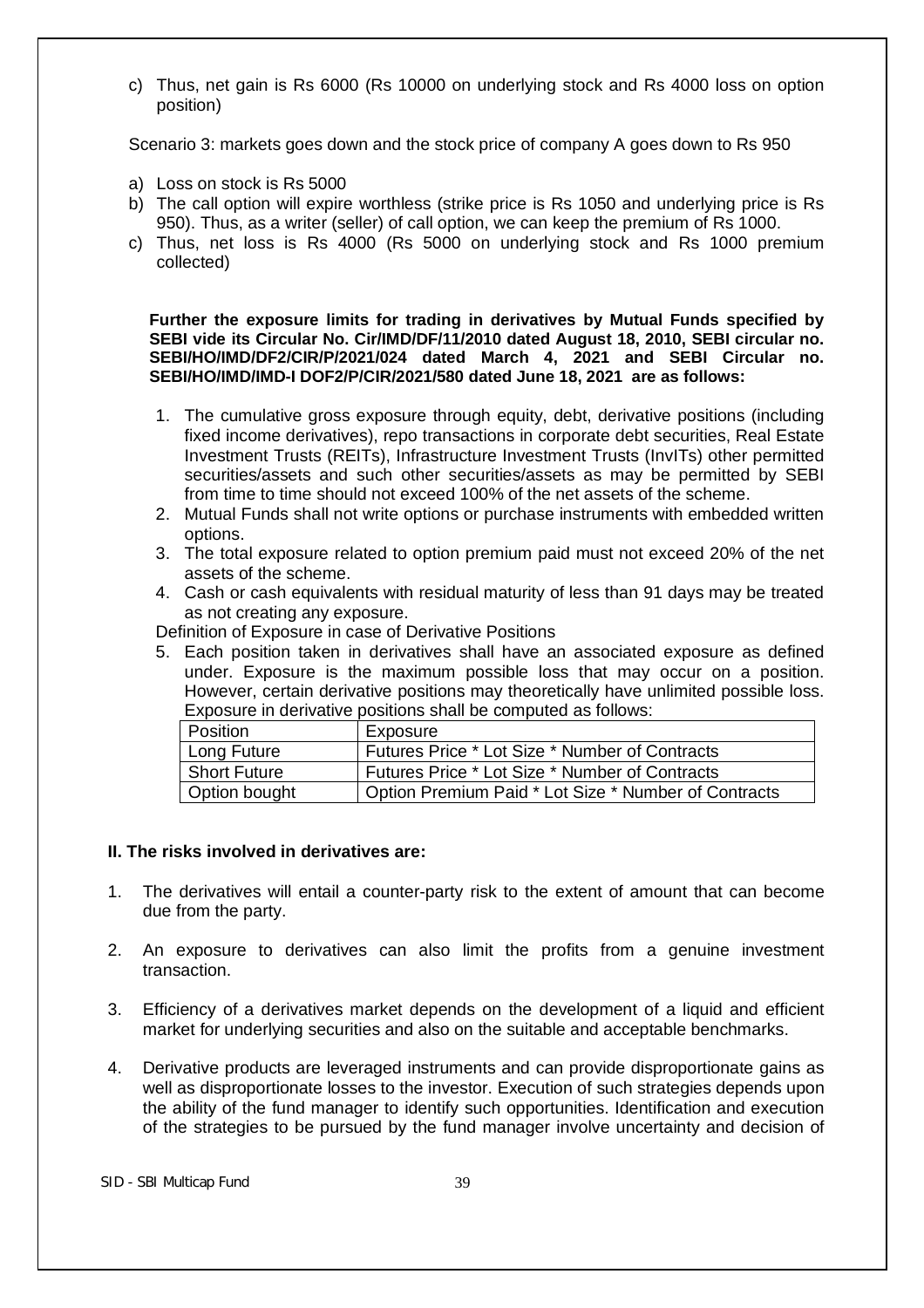c) Thus, net gain is Rs 6000 (Rs 10000 on underlying stock and Rs 4000 loss on option position)

Scenario 3: markets goes down and the stock price of company A goes down to Rs 950

- a) Loss on stock is Rs 5000
- b) The call option will expire worthless (strike price is Rs 1050 and underlying price is Rs 950). Thus, as a writer (seller) of call option, we can keep the premium of Rs 1000.
- c) Thus, net loss is Rs 4000 (Rs 5000 on underlying stock and Rs 1000 premium collected)

**Further the exposure limits for trading in derivatives by Mutual Funds specified by SEBI vide its Circular No. Cir/IMD/DF/11/2010 dated August 18, 2010, SEBI circular no. SEBI/HO/IMD/DF2/CIR/P/2021/024 dated March 4, 2021 and SEBI Circular no. SEBI/HO/IMD/IMD-I DOF2/P/CIR/2021/580 dated June 18, 2021 are as follows:**

- 1. The cumulative gross exposure through equity, debt, derivative positions (including fixed income derivatives), repo transactions in corporate debt securities, Real Estate Investment Trusts (REITs), Infrastructure Investment Trusts (InvITs) other permitted securities/assets and such other securities/assets as may be permitted by SEBI from time to time should not exceed 100% of the net assets of the scheme.
- 2. Mutual Funds shall not write options or purchase instruments with embedded written options.
- 3. The total exposure related to option premium paid must not exceed 20% of the net assets of the scheme.
- 4. Cash or cash equivalents with residual maturity of less than 91 days may be treated as not creating any exposure.

Definition of Exposure in case of Derivative Positions

5. Each position taken in derivatives shall have an associated exposure as defined under. Exposure is the maximum possible loss that may occur on a position. However, certain derivative positions may theoretically have unlimited possible loss. Exposure in derivative positions shall be computed as follows:

| l Position    | Exposure                                             |
|---------------|------------------------------------------------------|
| Long Future   | Futures Price * Lot Size * Number of Contracts       |
| Short Future  | Futures Price * Lot Size * Number of Contracts       |
| Option bought | Option Premium Paid * Lot Size * Number of Contracts |

#### **II. The risks involved in derivatives are:**

- 1. The derivatives will entail a counter-party risk to the extent of amount that can become due from the party.
- 2. An exposure to derivatives can also limit the profits from a genuine investment transaction.
- 3. Efficiency of a derivatives market depends on the development of a liquid and efficient market for underlying securities and also on the suitable and acceptable benchmarks.
- 4. Derivative products are leveraged instruments and can provide disproportionate gains as well as disproportionate losses to the investor. Execution of such strategies depends upon the ability of the fund manager to identify such opportunities. Identification and execution of the strategies to be pursued by the fund manager involve uncertainty and decision of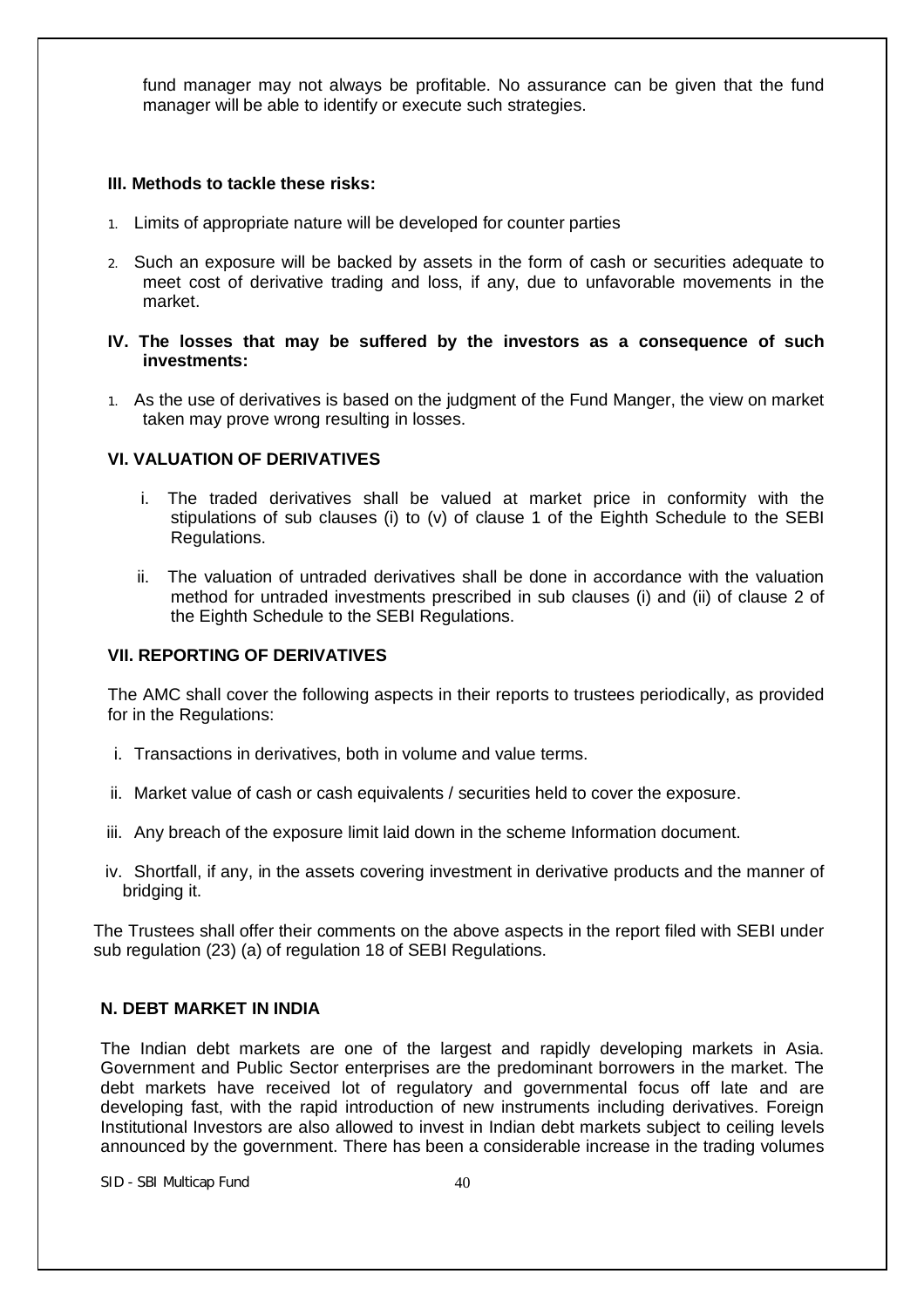fund manager may not always be profitable. No assurance can be given that the fund manager will be able to identify or execute such strategies.

### **III. Methods to tackle these risks:**

- 1. Limits of appropriate nature will be developed for counter parties
- 2. Such an exposure will be backed by assets in the form of cash or securities adequate to meet cost of derivative trading and loss, if any, due to unfavorable movements in the market.
- **IV. The losses that may be suffered by the investors as a consequence of such investments:**
- 1. As the use of derivatives is based on the judgment of the Fund Manger, the view on market taken may prove wrong resulting in losses.

# **VI. VALUATION OF DERIVATIVES**

- i. The traded derivatives shall be valued at market price in conformity with the stipulations of sub clauses (i) to (v) of clause 1 of the Eighth Schedule to the SEBI Regulations.
- ii. The valuation of untraded derivatives shall be done in accordance with the valuation method for untraded investments prescribed in sub clauses (i) and (ii) of clause 2 of the Eighth Schedule to the SEBI Regulations.

# **VII. REPORTING OF DERIVATIVES**

The AMC shall cover the following aspects in their reports to trustees periodically, as provided for in the Regulations:

- i. Transactions in derivatives, both in volume and value terms.
- ii. Market value of cash or cash equivalents / securities held to cover the exposure.
- iii. Any breach of the exposure limit laid down in the scheme Information document.
- iv. Shortfall, if any, in the assets covering investment in derivative products and the manner of bridging it.

The Trustees shall offer their comments on the above aspects in the report filed with SEBI under sub regulation (23) (a) of regulation 18 of SEBI Regulations.

# **N. DEBT MARKET IN INDIA**

The Indian debt markets are one of the largest and rapidly developing markets in Asia. Government and Public Sector enterprises are the predominant borrowers in the market. The debt markets have received lot of regulatory and governmental focus off late and are developing fast, with the rapid introduction of new instruments including derivatives. Foreign Institutional Investors are also allowed to invest in Indian debt markets subject to ceiling levels announced by the government. There has been a considerable increase in the trading volumes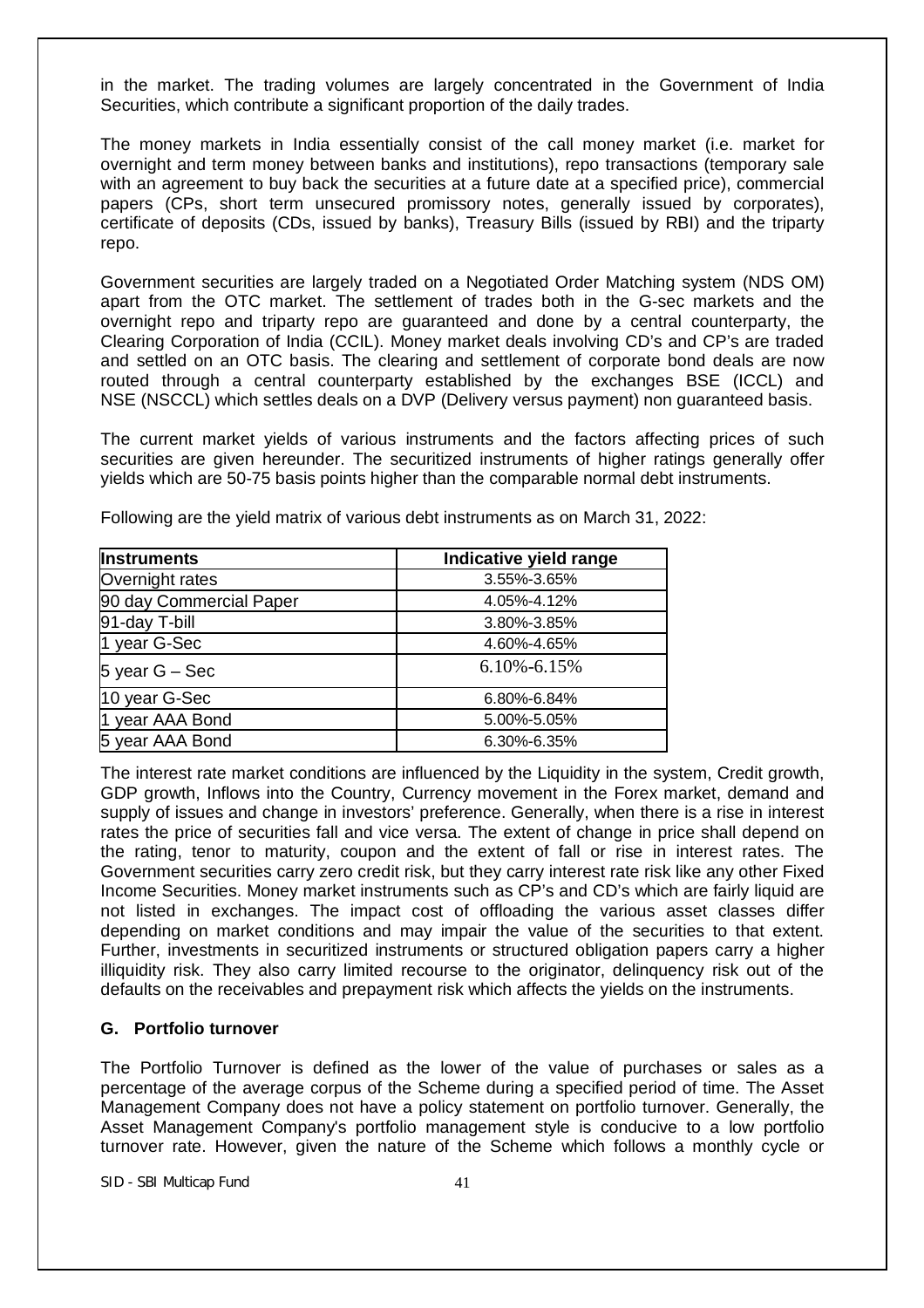in the market. The trading volumes are largely concentrated in the Government of India Securities, which contribute a significant proportion of the daily trades.

The money markets in India essentially consist of the call money market (i.e. market for overnight and term money between banks and institutions), repo transactions (temporary sale with an agreement to buy back the securities at a future date at a specified price), commercial papers (CPs, short term unsecured promissory notes, generally issued by corporates), certificate of deposits (CDs, issued by banks), Treasury Bills (issued by RBI) and the triparty repo.

Government securities are largely traded on a Negotiated Order Matching system (NDS OM) apart from the OTC market. The settlement of trades both in the G-sec markets and the overnight repo and triparty repo are guaranteed and done by a central counterparty, the Clearing Corporation of India (CCIL). Money market deals involving CD's and CP's are traded and settled on an OTC basis. The clearing and settlement of corporate bond deals are now routed through a central counterparty established by the exchanges BSE (ICCL) and NSE (NSCCL) which settles deals on a DVP (Delivery versus payment) non guaranteed basis.

The current market yields of various instruments and the factors affecting prices of such securities are given hereunder. The securitized instruments of higher ratings generally offer yields which are 50-75 basis points higher than the comparable normal debt instruments.

| <b>Instruments</b>      | Indicative yield range |
|-------------------------|------------------------|
| Overnight rates         | 3.55%-3.65%            |
| 90 day Commercial Paper | 4.05%-4.12%            |
| 91-day T-bill           | 3.80%-3.85%            |
| 1 year G-Sec            | 4.60%-4.65%            |
| 5 year $G - Sec$        | $6.10\% - 6.15\%$      |
| 10 year G-Sec           | 6.80%-6.84%            |
| 1 year AAA Bond         | 5.00%-5.05%            |
| 5 year AAA Bond         | 6.30%-6.35%            |

Following are the yield matrix of various debt instruments as on March 31, 2022:

The interest rate market conditions are influenced by the Liquidity in the system, Credit growth, GDP growth, Inflows into the Country, Currency movement in the Forex market, demand and supply of issues and change in investors' preference. Generally, when there is a rise in interest rates the price of securities fall and vice versa. The extent of change in price shall depend on the rating, tenor to maturity, coupon and the extent of fall or rise in interest rates. The Government securities carry zero credit risk, but they carry interest rate risk like any other Fixed Income Securities. Money market instruments such as CP's and CD's which are fairly liquid are not listed in exchanges. The impact cost of offloading the various asset classes differ depending on market conditions and may impair the value of the securities to that extent. Further, investments in securitized instruments or structured obligation papers carry a higher illiquidity risk. They also carry limited recourse to the originator, delinquency risk out of the defaults on the receivables and prepayment risk which affects the yields on the instruments.

# **G. Portfolio turnover**

The Portfolio Turnover is defined as the lower of the value of purchases or sales as a percentage of the average corpus of the Scheme during a specified period of time. The Asset Management Company does not have a policy statement on portfolio turnover. Generally, the Asset Management Company's portfolio management style is conducive to a low portfolio turnover rate. However, given the nature of the Scheme which follows a monthly cycle or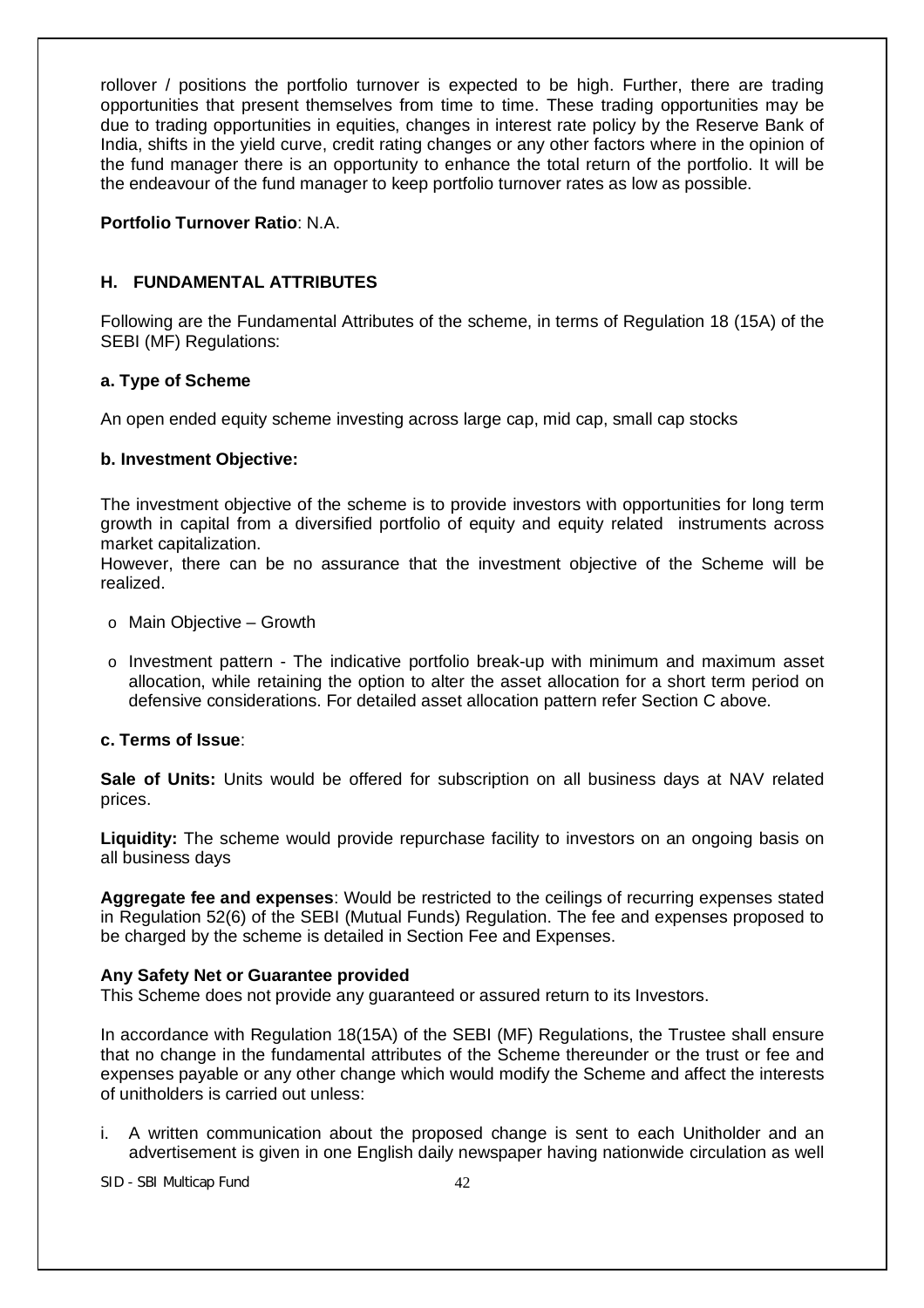rollover / positions the portfolio turnover is expected to be high. Further, there are trading opportunities that present themselves from time to time. These trading opportunities may be due to trading opportunities in equities, changes in interest rate policy by the Reserve Bank of India, shifts in the yield curve, credit rating changes or any other factors where in the opinion of the fund manager there is an opportunity to enhance the total return of the portfolio. It will be the endeavour of the fund manager to keep portfolio turnover rates as low as possible.

# **Portfolio Turnover Ratio**: N.A.

# **H. FUNDAMENTAL ATTRIBUTES**

Following are the Fundamental Attributes of the scheme, in terms of Regulation 18 (15A) of the SEBI (MF) Regulations:

# **a. Type of Scheme**

An open ended equity scheme investing across large cap, mid cap, small cap stocks

# **b. Investment Objective:**

The investment objective of the scheme is to provide investors with opportunities for long term growth in capital from a diversified portfolio of equity and equity related instruments across market capitalization.

However, there can be no assurance that the investment objective of the Scheme will be realized.

- o Main Objective Growth
- $\circ$  Investment pattern The indicative portfolio break-up with minimum and maximum asset allocation, while retaining the option to alter the asset allocation for a short term period on defensive considerations. For detailed asset allocation pattern refer Section C above.

### **c. Terms of Issue**:

**Sale of Units:** Units would be offered for subscription on all business days at NAV related prices.

**Liquidity:** The scheme would provide repurchase facility to investors on an ongoing basis on all business days

**Aggregate fee and expenses**: Would be restricted to the ceilings of recurring expenses stated in Regulation 52(6) of the SEBI (Mutual Funds) Regulation. The fee and expenses proposed to be charged by the scheme is detailed in Section Fee and Expenses.

#### **Any Safety Net or Guarantee provided**

This Scheme does not provide any guaranteed or assured return to its Investors.

In accordance with Regulation 18(15A) of the SEBI (MF) Regulations, the Trustee shall ensure that no change in the fundamental attributes of the Scheme thereunder or the trust or fee and expenses payable or any other change which would modify the Scheme and affect the interests of unitholders is carried out unless:

i. A written communication about the proposed change is sent to each Unitholder and an advertisement is given in one English daily newspaper having nationwide circulation as well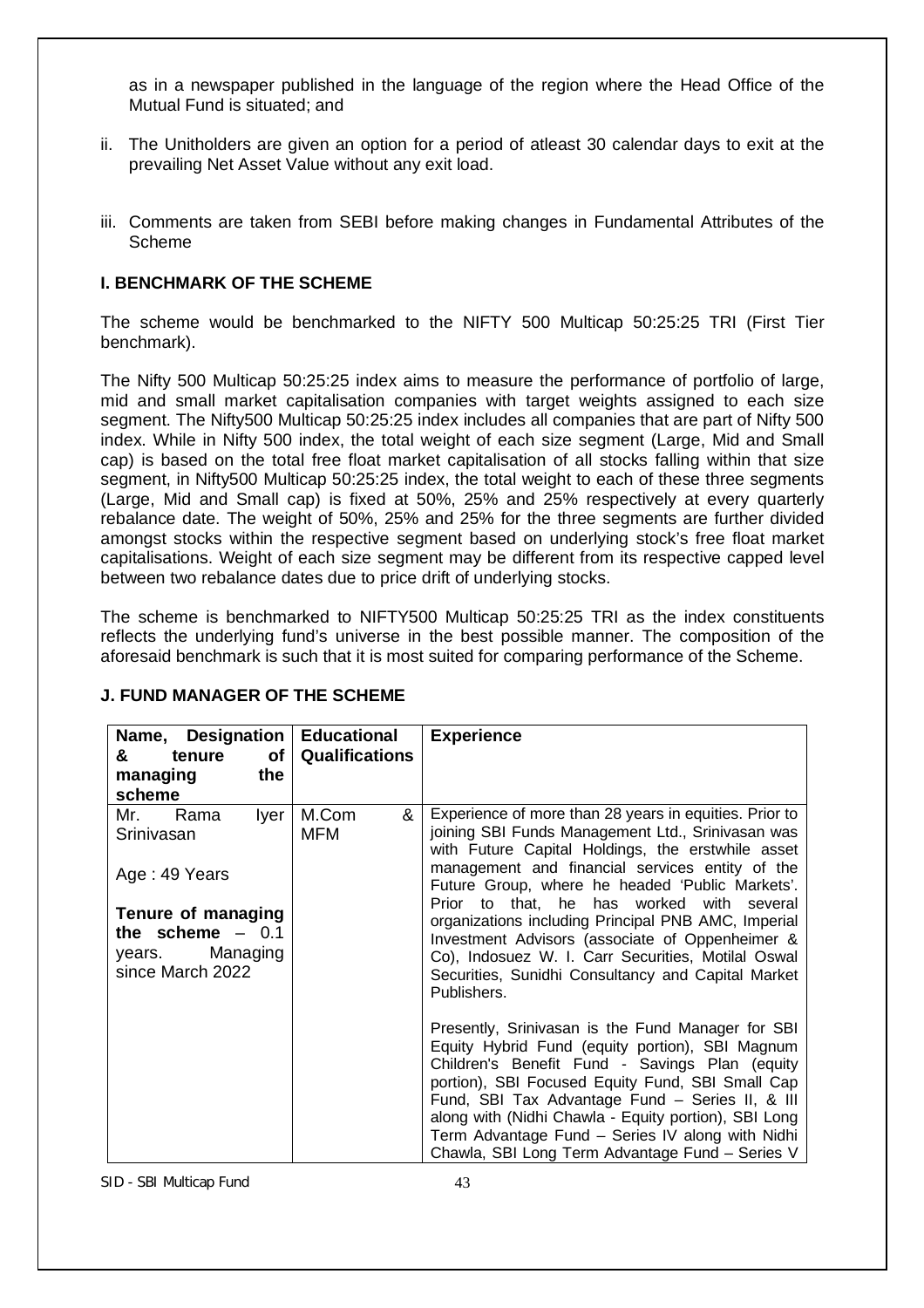as in a newspaper published in the language of the region where the Head Office of the Mutual Fund is situated; and

- ii. The Unitholders are given an option for a period of atleast 30 calendar days to exit at the prevailing Net Asset Value without any exit load.
- iii. Comments are taken from SEBI before making changes in Fundamental Attributes of the Scheme

### **I. BENCHMARK OF THE SCHEME**

The scheme would be benchmarked to the NIFTY 500 Multicap 50:25:25 TRI (First Tier benchmark).

The Nifty 500 Multicap 50:25:25 index aims to measure the performance of portfolio of large, mid and small market capitalisation companies with target weights assigned to each size segment. The Nifty500 Multicap 50:25:25 index includes all companies that are part of Nifty 500 index. While in Nifty 500 index, the total weight of each size segment (Large, Mid and Small cap) is based on the total free float market capitalisation of all stocks falling within that size segment, in Nifty500 Multicap 50:25:25 index, the total weight to each of these three segments (Large, Mid and Small cap) is fixed at 50%, 25% and 25% respectively at every quarterly rebalance date. The weight of 50%, 25% and 25% for the three segments are further divided amongst stocks within the respective segment based on underlying stock's free float market capitalisations. Weight of each size segment may be different from its respective capped level between two rebalance dates due to price drift of underlying stocks.

The scheme is benchmarked to NIFTY500 Multicap 50:25:25 TRI as the index constituents reflects the underlying fund's universe in the best possible manner. The composition of the aforesaid benchmark is such that it is most suited for comparing performance of the Scheme.

| Name, Designation<br>&<br>0f<br>tenure                                                                                                  | <b>Educational</b><br><b>Qualifications</b> | <b>Experience</b>                                                                                                                                                                                                                                                                                                                                                                                                                                                                                                                                              |  |
|-----------------------------------------------------------------------------------------------------------------------------------------|---------------------------------------------|----------------------------------------------------------------------------------------------------------------------------------------------------------------------------------------------------------------------------------------------------------------------------------------------------------------------------------------------------------------------------------------------------------------------------------------------------------------------------------------------------------------------------------------------------------------|--|
| the<br>managing<br>scheme                                                                                                               |                                             |                                                                                                                                                                                                                                                                                                                                                                                                                                                                                                                                                                |  |
| Mr.<br>Rama<br>Iyer<br>Srinivasan<br>Age: 49 Years<br>Tenure of managing<br>the scheme $-0.1$<br>Managing<br>years.<br>since March 2022 | M.Com<br>&<br><b>MFM</b>                    | Experience of more than 28 years in equities. Prior to<br>joining SBI Funds Management Ltd., Srinivasan was<br>with Future Capital Holdings, the erstwhile asset<br>management and financial services entity of the<br>Future Group, where he headed 'Public Markets'.<br>Prior to that, he has worked<br>with<br>several<br>organizations including Principal PNB AMC, Imperial<br>Investment Advisors (associate of Oppenheimer &<br>Co), Indosuez W. I. Carr Securities, Motilal Oswal<br>Securities, Sunidhi Consultancy and Capital Market<br>Publishers. |  |
|                                                                                                                                         |                                             | Presently, Srinivasan is the Fund Manager for SBI<br>Equity Hybrid Fund (equity portion), SBI Magnum<br>Children's Benefit Fund - Savings Plan (equity<br>portion), SBI Focused Equity Fund, SBI Small Cap<br>Fund, SBI Tax Advantage Fund - Series II, & III<br>along with (Nidhi Chawla - Equity portion), SBI Long<br>Term Advantage Fund - Series IV along with Nidhi<br>Chawla, SBI Long Term Advantage Fund - Series V                                                                                                                                   |  |

# **J. FUND MANAGER OF THE SCHEME**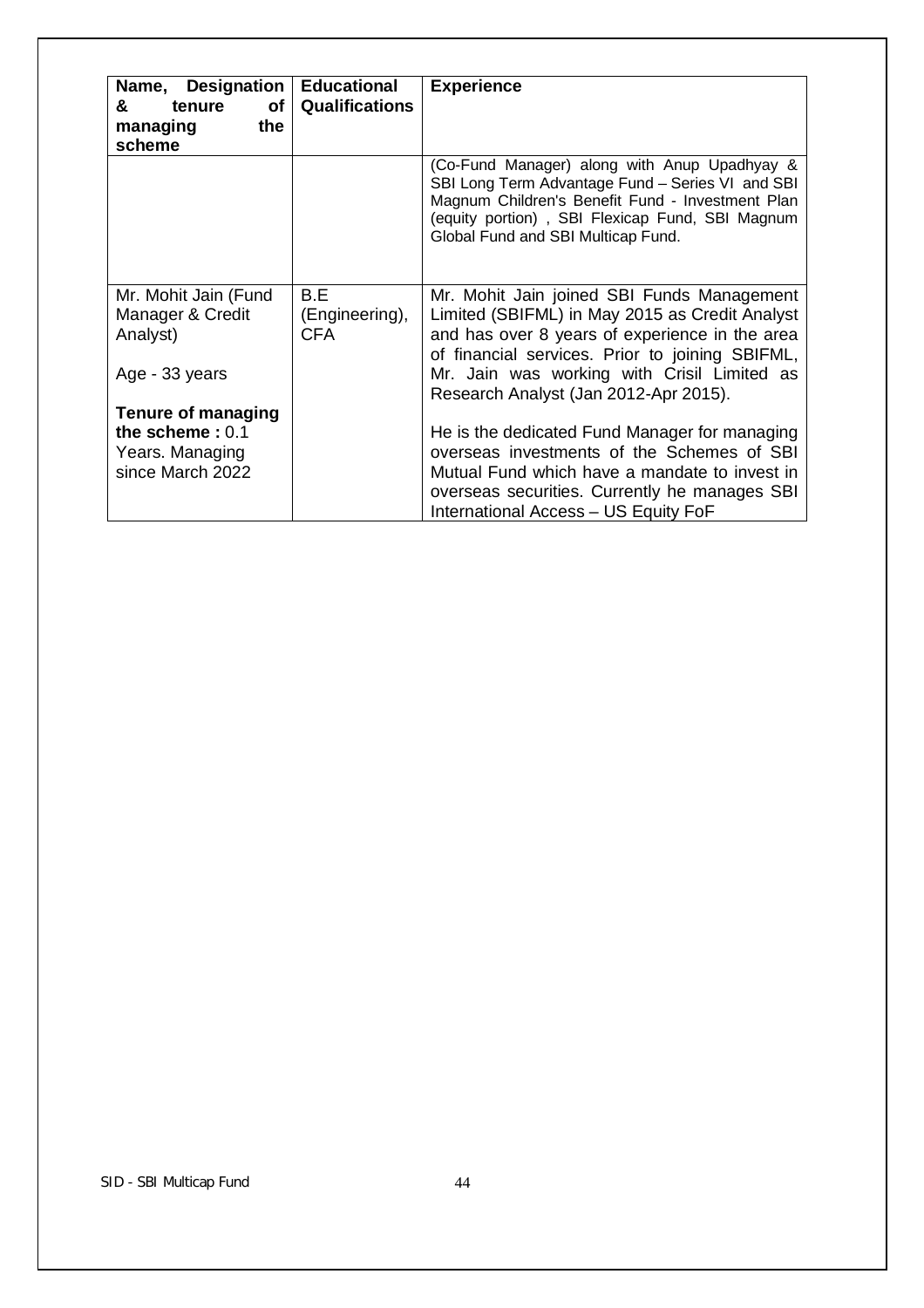| Name, Designation<br>&<br>of<br>tenure<br>the<br>managing<br>scheme                   | <b>Educational</b><br><b>Qualifications</b> | <b>Experience</b>                                                                                                                                                                                                                                                                         |
|---------------------------------------------------------------------------------------|---------------------------------------------|-------------------------------------------------------------------------------------------------------------------------------------------------------------------------------------------------------------------------------------------------------------------------------------------|
|                                                                                       |                                             | (Co-Fund Manager) along with Anup Upadhyay &<br>SBI Long Term Advantage Fund - Series VI and SBI<br>Magnum Children's Benefit Fund - Investment Plan<br>(equity portion), SBI Flexicap Fund, SBI Magnum<br>Global Fund and SBI Multicap Fund.                                             |
| Mr. Mohit Jain (Fund<br>Manager & Credit<br>Analyst)<br>Age - 33 years                | B.E<br>(Engineering),<br><b>CFA</b>         | Mr. Mohit Jain joined SBI Funds Management<br>Limited (SBIFML) in May 2015 as Credit Analyst<br>and has over 8 years of experience in the area<br>of financial services. Prior to joining SBIFML,<br>Mr. Jain was working with Crisil Limited as<br>Research Analyst (Jan 2012-Apr 2015). |
| <b>Tenure of managing</b><br>the scheme: $0.1$<br>Years. Managing<br>since March 2022 |                                             | He is the dedicated Fund Manager for managing<br>overseas investments of the Schemes of SBI<br>Mutual Fund which have a mandate to invest in<br>overseas securities. Currently he manages SBI<br>International Access - US Equity FoF                                                     |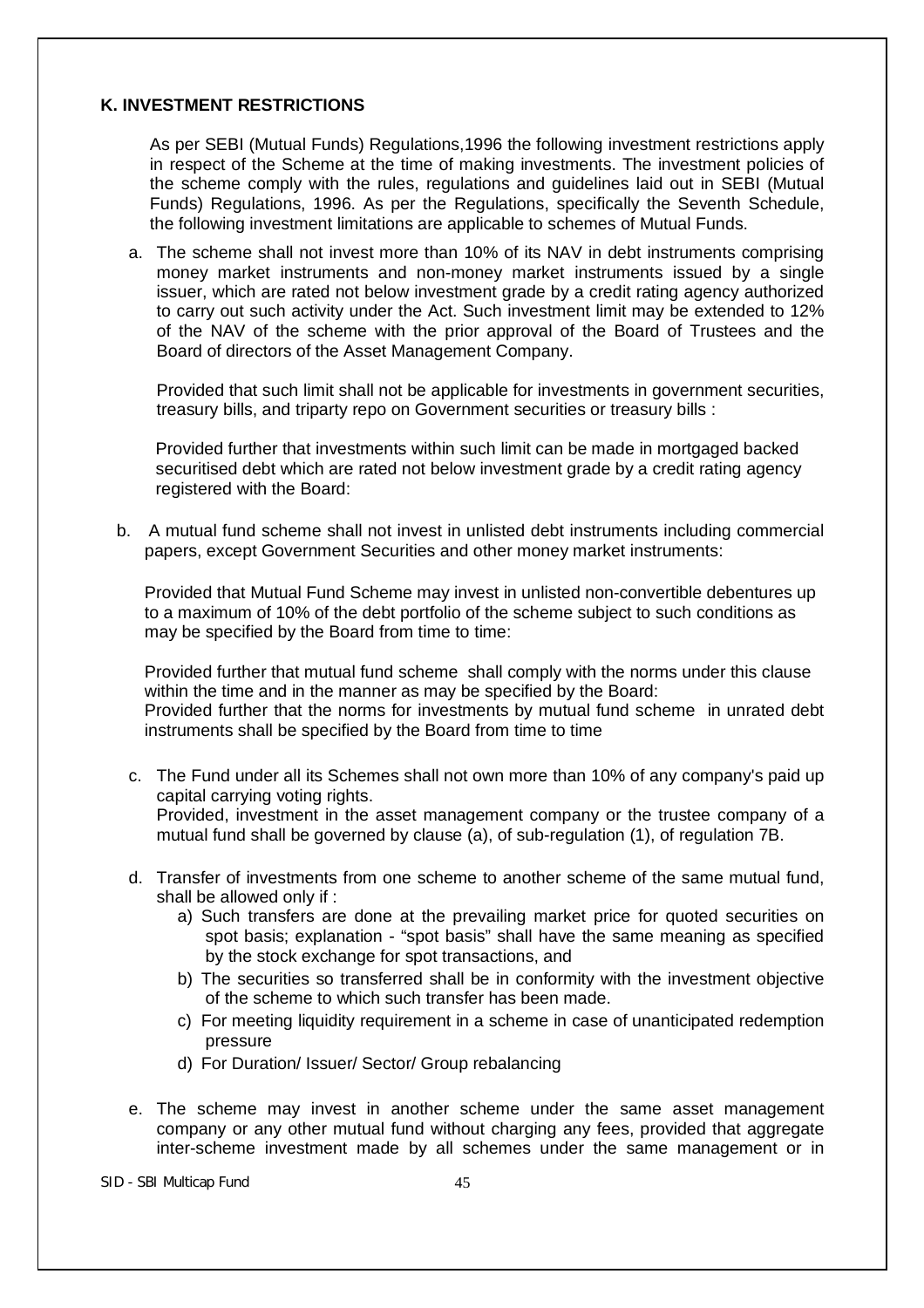### **K. INVESTMENT RESTRICTIONS**

As per SEBI (Mutual Funds) Regulations,1996 the following investment restrictions apply in respect of the Scheme at the time of making investments. The investment policies of the scheme comply with the rules, regulations and guidelines laid out in SEBI (Mutual Funds) Regulations, 1996. As per the Regulations, specifically the Seventh Schedule, the following investment limitations are applicable to schemes of Mutual Funds.

a. The scheme shall not invest more than 10% of its NAV in debt instruments comprising money market instruments and non-money market instruments issued by a single issuer, which are rated not below investment grade by a credit rating agency authorized to carry out such activity under the Act. Such investment limit may be extended to 12% of the NAV of the scheme with the prior approval of the Board of Trustees and the Board of directors of the Asset Management Company.

Provided that such limit shall not be applicable for investments in government securities, treasury bills, and triparty repo on Government securities or treasury bills :

Provided further that investments within such limit can be made in mortgaged backed securitised debt which are rated not below investment grade by a credit rating agency registered with the Board:

b. A mutual fund scheme shall not invest in unlisted debt instruments including commercial papers, except Government Securities and other money market instruments:

Provided that Mutual Fund Scheme may invest in unlisted non-convertible debentures up to a maximum of 10% of the debt portfolio of the scheme subject to such conditions as may be specified by the Board from time to time:

Provided further that mutual fund scheme shall comply with the norms under this clause within the time and in the manner as may be specified by the Board: Provided further that the norms for investments by mutual fund scheme in unrated debt instruments shall be specified by the Board from time to time

- c. The Fund under all its Schemes shall not own more than 10% of any company's paid up capital carrying voting rights. Provided, investment in the asset management company or the trustee company of a mutual fund shall be governed by clause (a), of sub-regulation (1), of regulation 7B.
- d. Transfer of investments from one scheme to another scheme of the same mutual fund, shall be allowed only if :
	- a) Such transfers are done at the prevailing market price for quoted securities on spot basis; explanation - "spot basis" shall have the same meaning as specified by the stock exchange for spot transactions, and
	- b) The securities so transferred shall be in conformity with the investment objective of the scheme to which such transfer has been made.
	- c) For meeting liquidity requirement in a scheme in case of unanticipated redemption pressure
	- d) For Duration/ Issuer/ Sector/ Group rebalancing
- e. The scheme may invest in another scheme under the same asset management company or any other mutual fund without charging any fees, provided that aggregate inter-scheme investment made by all schemes under the same management or in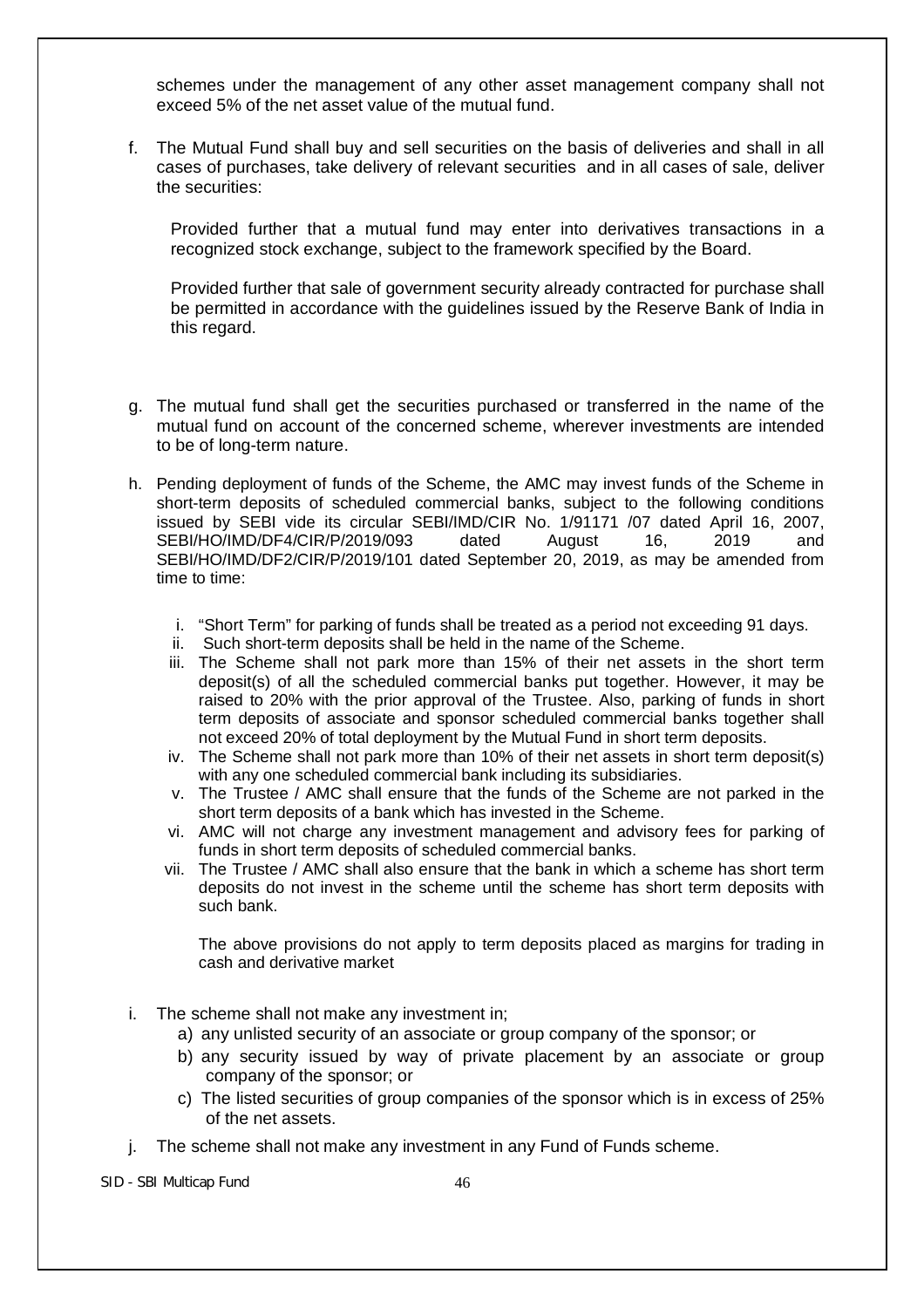schemes under the management of any other asset management company shall not exceed 5% of the net asset value of the mutual fund.

f. The Mutual Fund shall buy and sell securities on the basis of deliveries and shall in all cases of purchases, take delivery of relevant securities and in all cases of sale, deliver the securities:

Provided further that a mutual fund may enter into derivatives transactions in a recognized stock exchange, subject to the framework specified by the Board.

Provided further that sale of government security already contracted for purchase shall be permitted in accordance with the guidelines issued by the Reserve Bank of India in this regard.

- g. The mutual fund shall get the securities purchased or transferred in the name of the mutual fund on account of the concerned scheme, wherever investments are intended to be of long-term nature.
- h. Pending deployment of funds of the Scheme, the AMC may invest funds of the Scheme in short-term deposits of scheduled commercial banks, subject to the following conditions issued by SEBI vide its circular SEBI/IMD/CIR No. 1/91171 /07 dated April 16, 2007, SEBI/HO/IMD/DF4/CIR/P/2019/093 dated August 16, 2019 and SEBI/HO/IMD/DF2/CIR/P/2019/101 dated September 20, 2019, as may be amended from time to time:
	- i. "Short Term" for parking of funds shall be treated as a period not exceeding 91 days.
	- ii. Such short-term deposits shall be held in the name of the Scheme.
	- iii. The Scheme shall not park more than 15% of their net assets in the short term deposit(s) of all the scheduled commercial banks put together. However, it may be raised to 20% with the prior approval of the Trustee. Also, parking of funds in short term deposits of associate and sponsor scheduled commercial banks together shall not exceed 20% of total deployment by the Mutual Fund in short term deposits.
	- iv. The Scheme shall not park more than 10% of their net assets in short term deposit(s) with any one scheduled commercial bank including its subsidiaries.
	- v. The Trustee / AMC shall ensure that the funds of the Scheme are not parked in the short term deposits of a bank which has invested in the Scheme.
	- vi. AMC will not charge any investment management and advisory fees for parking of funds in short term deposits of scheduled commercial banks.
	- vii. The Trustee / AMC shall also ensure that the bank in which a scheme has short term deposits do not invest in the scheme until the scheme has short term deposits with such bank.

The above provisions do not apply to term deposits placed as margins for trading in cash and derivative market

- i. The scheme shall not make any investment in;
	- a) any unlisted security of an associate or group company of the sponsor; or
	- b) any security issued by way of private placement by an associate or group company of the sponsor; or
	- c) The listed securities of group companies of the sponsor which is in excess of 25% of the net assets.
- j. The scheme shall not make any investment in any Fund of Funds scheme.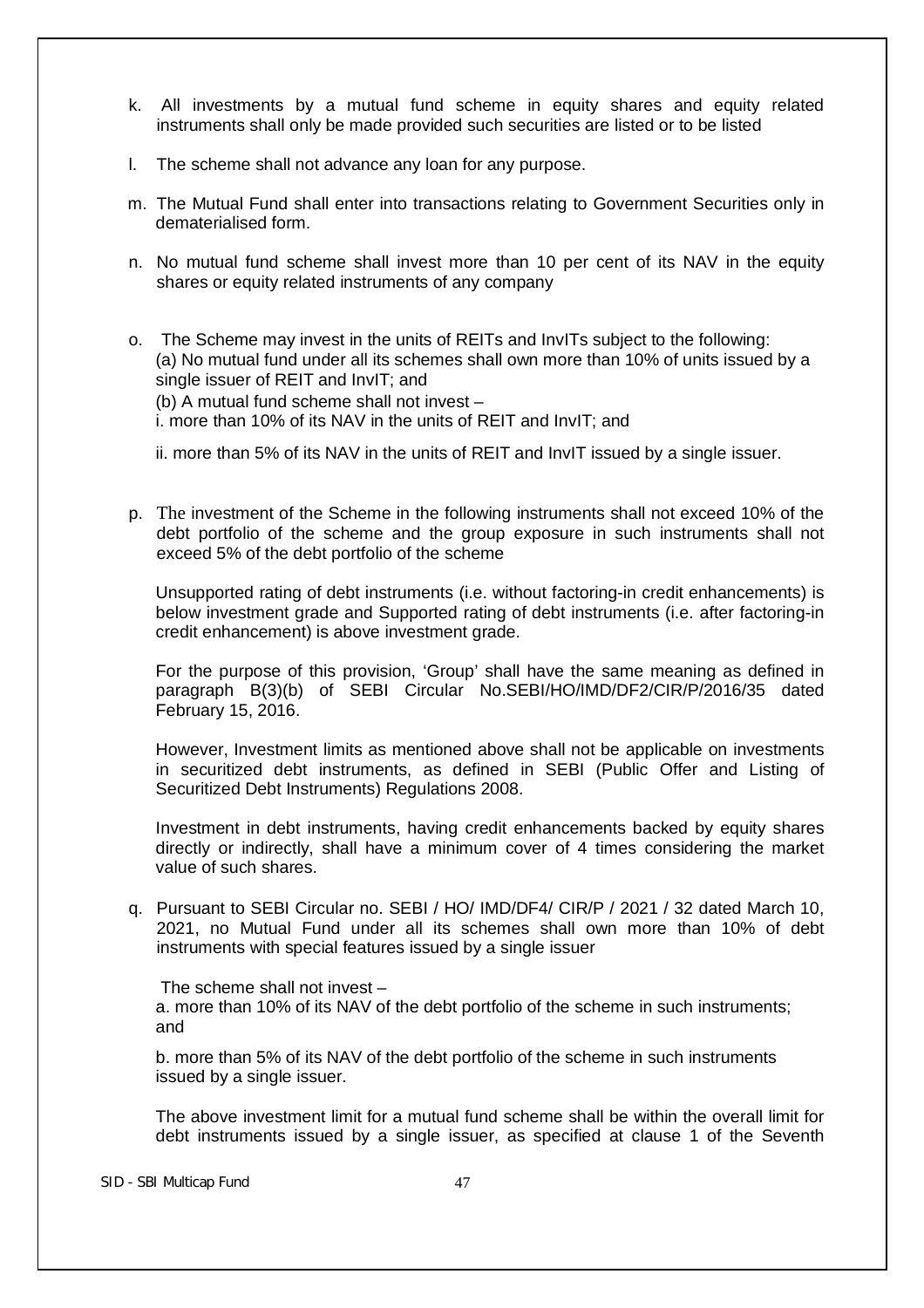- k. All investments by a mutual fund scheme in equity shares and equity related instruments shall only be made provided such securities are listed or to be listed
- l. The scheme shall not advance any loan for any purpose.
- m. The Mutual Fund shall enter into transactions relating to Government Securities only in dematerialised form.
- n. No mutual fund scheme shall invest more than 10 per cent of its NAV in the equity shares or equity related instruments of any company
- o. The Scheme may invest in the units of REITs and InvITs subject to the following: (a) No mutual fund under all its schemes shall own more than 10% of units issued by a single issuer of REIT and InvIT; and

(b) A mutual fund scheme shall not invest –

i. more than 10% of its NAV in the units of REIT and InvIT; and

ii. more than 5% of its NAV in the units of REIT and InvIT issued by a single issuer.

p. The investment of the Scheme in the following instruments shall not exceed 10% of the debt portfolio of the scheme and the group exposure in such instruments shall not exceed 5% of the debt portfolio of the scheme

Unsupported rating of debt instruments (i.e. without factoring-in credit enhancements) is below investment grade and Supported rating of debt instruments (i.e. after factoring-in credit enhancement) is above investment grade.

For the purpose of this provision, 'Group' shall have the same meaning as defined in paragraph B(3)(b) of SEBI Circular No.SEBI/HO/IMD/DF2/CIR/P/2016/35 dated February 15, 2016.

However, Investment limits as mentioned above shall not be applicable on investments in securitized debt instruments, as defined in SEBI (Public Offer and Listing of Securitized Debt Instruments) Regulations 2008.

Investment in debt instruments, having credit enhancements backed by equity shares directly or indirectly, shall have a minimum cover of 4 times considering the market value of such shares.

q. Pursuant to SEBI Circular no. SEBI / HO/ IMD/DF4/ CIR/P / 2021 / 32 dated March 10, 2021, no Mutual Fund under all its schemes shall own more than 10% of debt instruments with special features issued by a single issuer

The scheme shall not invest –

a. more than 10% of its NAV of the debt portfolio of the scheme in such instruments; and

b. more than 5% of its NAV of the debt portfolio of the scheme in such instruments issued by a single issuer.

The above investment limit for a mutual fund scheme shall be within the overall limit for debt instruments issued by a single issuer, as specified at clause 1 of the Seventh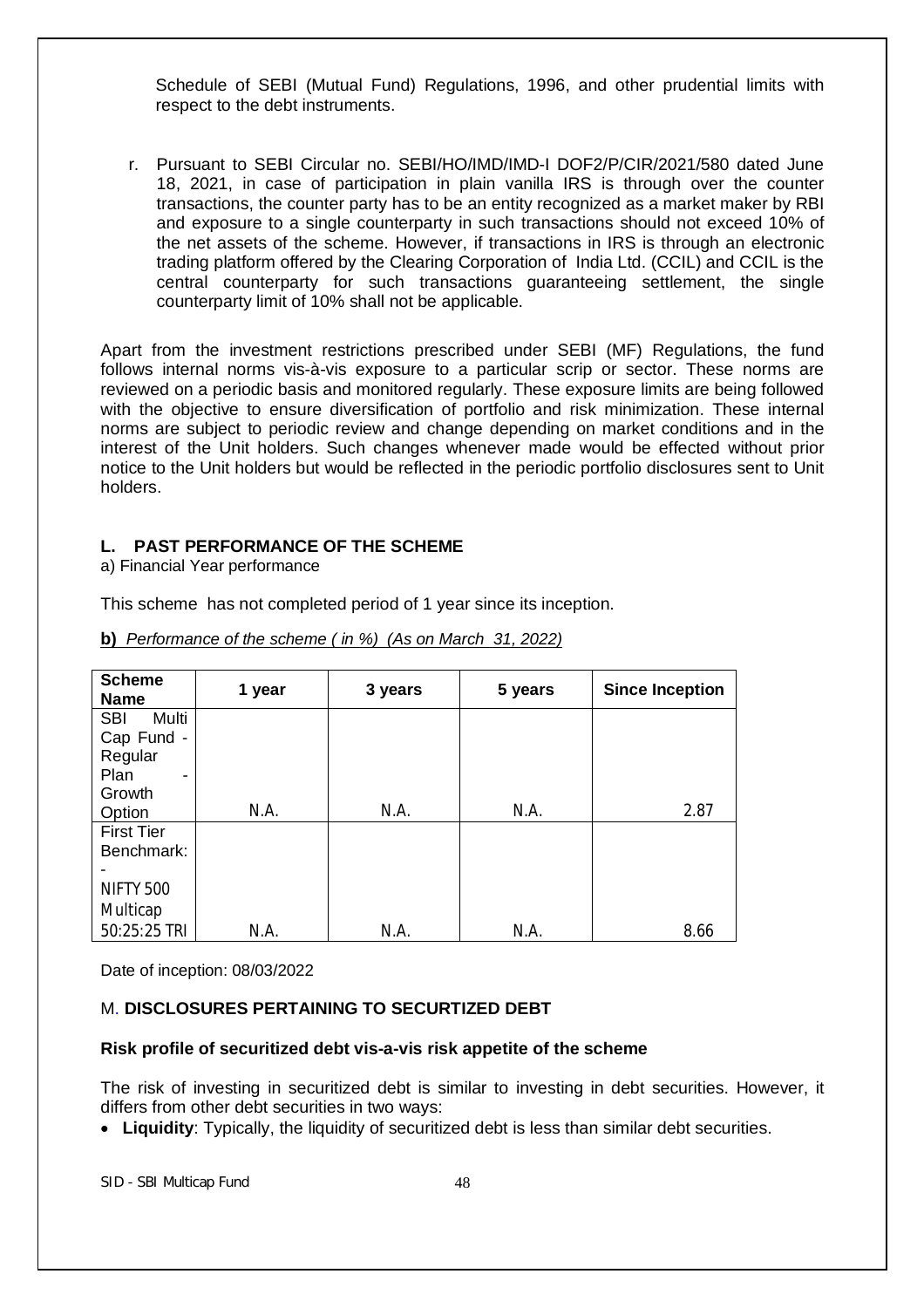Schedule of SEBI (Mutual Fund) Regulations, 1996, and other prudential limits with respect to the debt instruments.

r. Pursuant to SEBI Circular no. SEBI/HO/IMD/IMD-I DOF2/P/CIR/2021/580 dated June 18, 2021, in case of participation in plain vanilla IRS is through over the counter transactions, the counter party has to be an entity recognized as a market maker by RBI and exposure to a single counterparty in such transactions should not exceed 10% of the net assets of the scheme. However, if transactions in IRS is through an electronic trading platform offered by the Clearing Corporation of India Ltd. (CCIL) and CCIL is the central counterparty for such transactions guaranteeing settlement, the single counterparty limit of 10% shall not be applicable.

Apart from the investment restrictions prescribed under SEBI (MF) Regulations, the fund follows internal norms vis-à-vis exposure to a particular scrip or sector. These norms are reviewed on a periodic basis and monitored regularly. These exposure limits are being followed with the objective to ensure diversification of portfolio and risk minimization. These internal norms are subject to periodic review and change depending on market conditions and in the interest of the Unit holders. Such changes whenever made would be effected without prior notice to the Unit holders but would be reflected in the periodic portfolio disclosures sent to Unit holders.

#### **L. PAST PERFORMANCE OF THE SCHEME**

a) Financial Year performance

This scheme has not completed period of 1 year since its inception.

| <b>Scheme</b><br><b>Name</b>         | 1 year | 3 years | 5 years | <b>Since Inception</b> |
|--------------------------------------|--------|---------|---------|------------------------|
| <b>SBI</b><br>Multi                  |        |         |         |                        |
| Cap Fund -                           |        |         |         |                        |
| Regular                              |        |         |         |                        |
| Plan<br>$\qquad \qquad \blacksquare$ |        |         |         |                        |
| Growth                               |        |         |         |                        |
| Option                               | N.A.   | N.A.    | N.A.    | 2.87                   |
| <b>First Tier</b>                    |        |         |         |                        |
| Benchmark:                           |        |         |         |                        |
|                                      |        |         |         |                        |
| <b>NIFTY 500</b>                     |        |         |         |                        |
| Multicap                             |        |         |         |                        |
| 50:25:25 TRI                         | N.A.   | N.A.    | N.A.    | 8.66                   |

**b)** *Performance of the scheme ( in %) (As on March 31, 2022)*

Date of inception: 08/03/2022

# M. **DISCLOSURES PERTAINING TO SECURTIZED DEBT**

#### **Risk profile of securitized debt vis-a-vis risk appetite of the scheme**

The risk of investing in securitized debt is similar to investing in debt securities. However, it differs from other debt securities in two ways:

**Liquidity**: Typically, the liquidity of securitized debt is less than similar debt securities.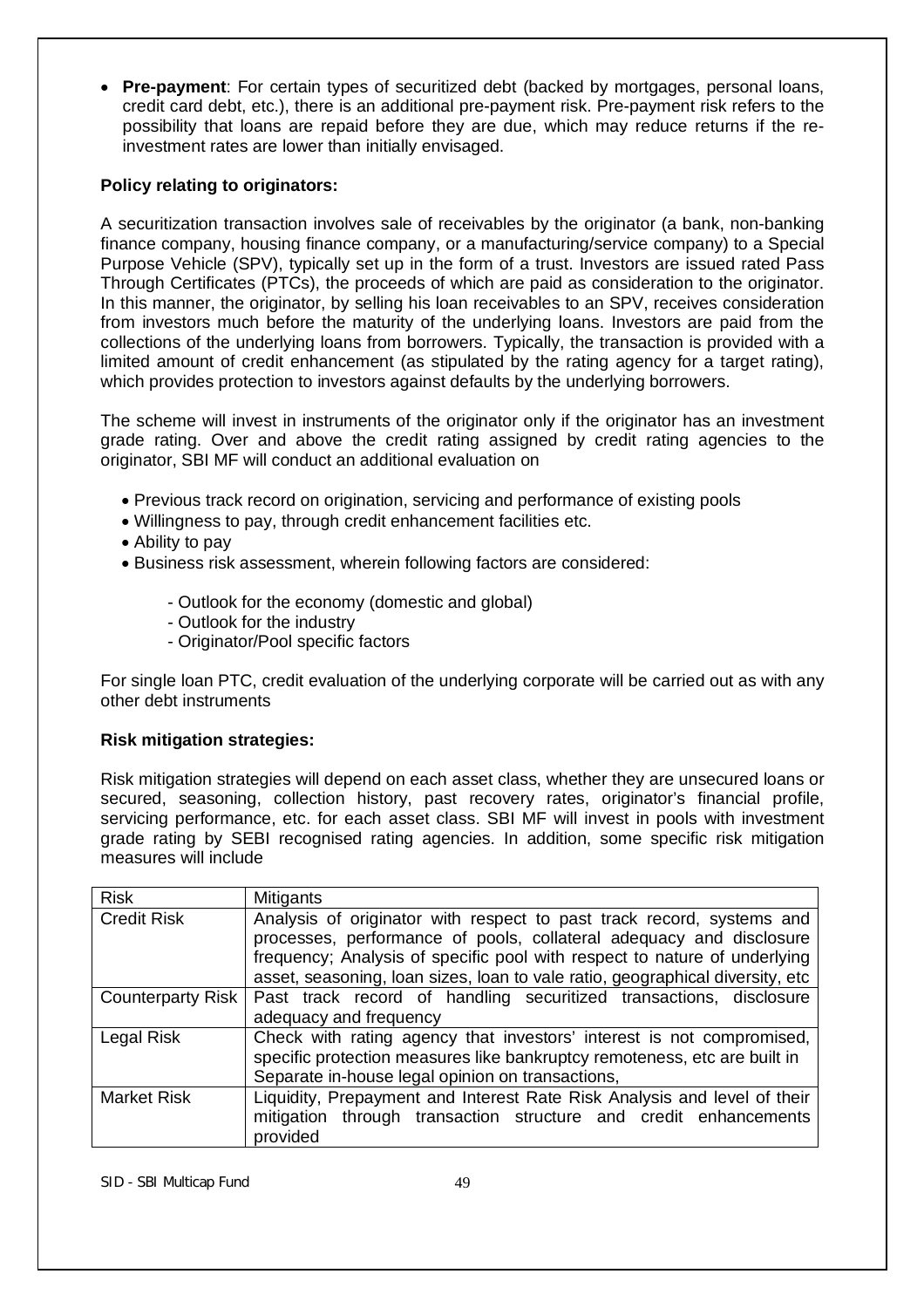**Pre-payment**: For certain types of securitized debt (backed by mortgages, personal loans, credit card debt, etc.), there is an additional pre-payment risk. Pre-payment risk refers to the possibility that loans are repaid before they are due, which may reduce returns if the reinvestment rates are lower than initially envisaged.

# **Policy relating to originators:**

A securitization transaction involves sale of receivables by the originator (a bank, non-banking finance company, housing finance company, or a manufacturing/service company) to a Special Purpose Vehicle (SPV), typically set up in the form of a trust. Investors are issued rated Pass Through Certificates (PTCs), the proceeds of which are paid as consideration to the originator. In this manner, the originator, by selling his loan receivables to an SPV, receives consideration from investors much before the maturity of the underlying loans. Investors are paid from the collections of the underlying loans from borrowers. Typically, the transaction is provided with a limited amount of credit enhancement (as stipulated by the rating agency for a target rating), which provides protection to investors against defaults by the underlying borrowers.

The scheme will invest in instruments of the originator only if the originator has an investment grade rating. Over and above the credit rating assigned by credit rating agencies to the originator, SBI MF will conduct an additional evaluation on

- Previous track record on origination, servicing and performance of existing pools
- Willingness to pay, through credit enhancement facilities etc.
- Ability to pay
- Business risk assessment, wherein following factors are considered:
	- Outlook for the economy (domestic and global)
	- Outlook for the industry
	- Originator/Pool specific factors

For single loan PTC, credit evaluation of the underlying corporate will be carried out as with any other debt instruments

# **Risk mitigation strategies:**

Risk mitigation strategies will depend on each asset class, whether they are unsecured loans or secured, seasoning, collection history, past recovery rates, originator's financial profile, servicing performance, etc. for each asset class. SBI MF will invest in pools with investment grade rating by SEBI recognised rating agencies. In addition, some specific risk mitigation measures will include

| <b>Risk</b>        | Mitigants                                                                     |
|--------------------|-------------------------------------------------------------------------------|
| <b>Credit Risk</b> | Analysis of originator with respect to past track record, systems and         |
|                    | processes, performance of pools, collateral adequacy and disclosure           |
|                    | frequency; Analysis of specific pool with respect to nature of underlying     |
|                    | asset, seasoning, loan sizes, loan to vale ratio, geographical diversity, etc |
| Counterparty Risk  | Past track record of handling securitized transactions, disclosure            |
|                    | adequacy and frequency                                                        |
| Legal Risk         | Check with rating agency that investors' interest is not compromised,         |
|                    | specific protection measures like bankruptcy remoteness, etc are built in     |
|                    | Separate in-house legal opinion on transactions,                              |
| <b>Market Risk</b> | Liquidity, Prepayment and Interest Rate Risk Analysis and level of their      |
|                    | mitigation through transaction structure and credit enhancements              |
|                    | provided                                                                      |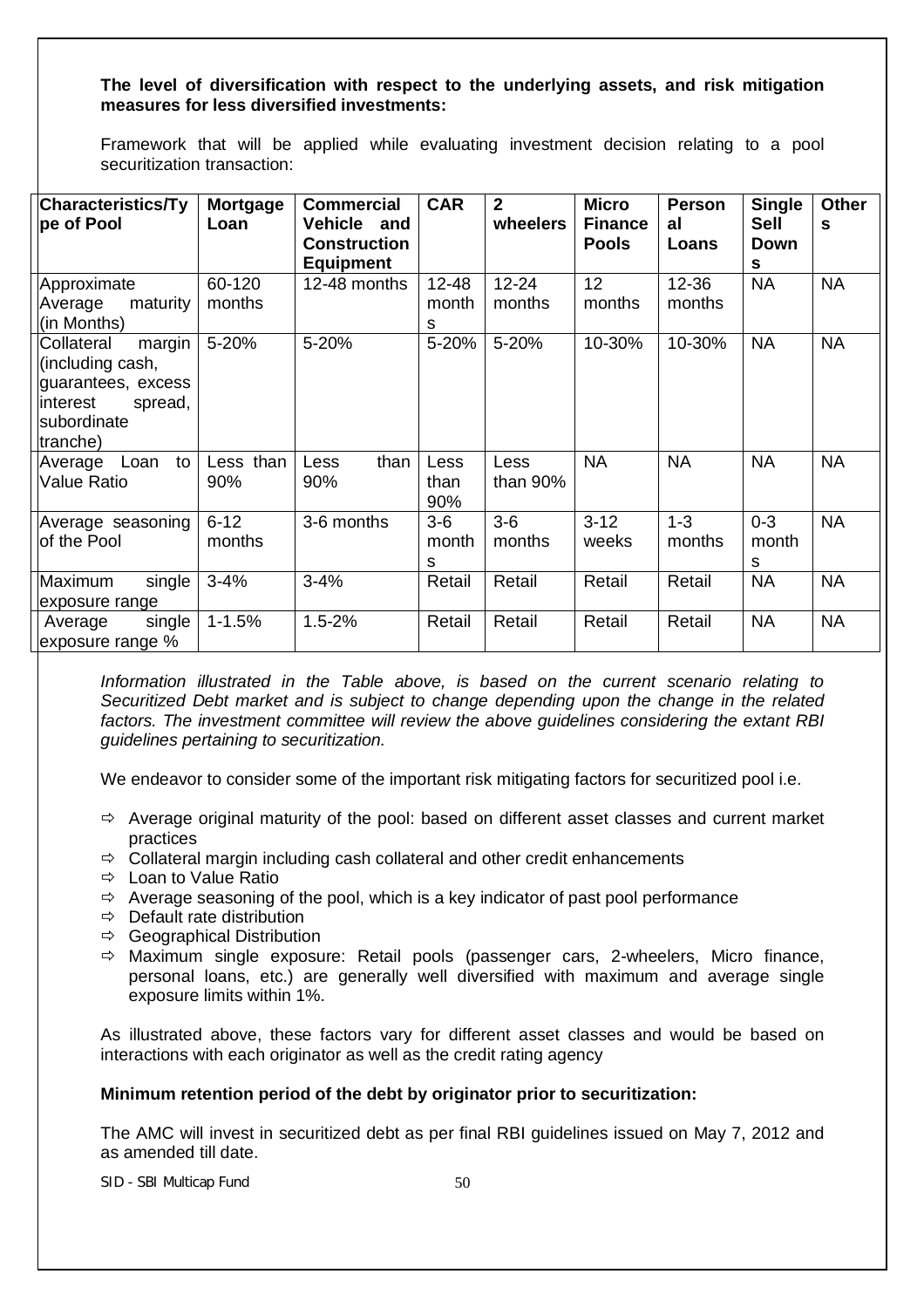### **The level of diversification with respect to the underlying assets, and risk mitigation measures for less diversified investments:**

Framework that will be applied while evaluating investment decision relating to a pool securitization transaction:

| <b>Characteristics/Ty</b><br>pe of Pool                                                                           | <b>Mortgage</b><br>Loan | <b>Commercial</b><br><b>Vehicle</b><br>and<br><b>Construction</b><br><b>Equipment</b> | <b>CAR</b>              | $\mathbf{2}$<br>wheelers | <b>Micro</b><br><b>Finance</b><br><b>Pools</b> | Person<br>al<br>Loans | <b>Single</b><br><b>Sell</b><br>Down<br>S | <b>Other</b><br>S |
|-------------------------------------------------------------------------------------------------------------------|-------------------------|---------------------------------------------------------------------------------------|-------------------------|--------------------------|------------------------------------------------|-----------------------|-------------------------------------------|-------------------|
| Approximate<br>maturity<br>Average<br>(in Months)                                                                 | 60-120<br>months        | 12-48 months                                                                          | $12 - 48$<br>month<br>s | $12 - 24$<br>months      | 12<br>months                                   | $12 - 36$<br>months   | <b>NA</b>                                 | <b>NA</b>         |
| Collateral<br>margin<br>(including cash,<br>guarantees, excess<br>linterest<br>spread,<br>subordinate<br>tranche) | 5-20%                   | 5-20%                                                                                 | 5-20%                   | 5-20%                    | 10-30%                                         | 10-30%                | <b>NA</b>                                 | <b>NA</b>         |
| to<br>Loan<br>Average<br><b>Value Ratio</b>                                                                       | Less than<br>90%        | than<br>Less<br>90%                                                                   | Less<br>than<br>90%     | Less<br>than 90%         | <b>NA</b>                                      | <b>NA</b>             | <b>NA</b>                                 | <b>NA</b>         |
| Average seasoning<br>of the Pool                                                                                  | $6 - 12$<br>months      | 3-6 months                                                                            | $3-6$<br>month<br>s     | $3-6$<br>months          | $3 - 12$<br>weeks                              | $1 - 3$<br>months     | $0 - 3$<br>month<br>s                     | <b>NA</b>         |
| Maximum<br>single<br>exposure range                                                                               | $3 - 4%$                | $3 - 4%$                                                                              | Retail                  | Retail                   | Retail                                         | Retail                | <b>NA</b>                                 | <b>NA</b>         |
| single<br>Average<br>exposure range %                                                                             | $1 - 1.5%$              | $1.5 - 2%$                                                                            | Retail                  | Retail                   | Retail                                         | Retail                | <b>NA</b>                                 | <b>NA</b>         |

*Information illustrated in the Table above, is based on the current scenario relating to Securitized Debt market and is subject to change depending upon the change in the related factors. The investment committee will review the above guidelines considering the extant RBI guidelines pertaining to securitization.*

We endeavor to consider some of the important risk mitigating factors for securitized pool i.e.

- $\Rightarrow$  Average original maturity of the pool: based on different asset classes and current market practices
- $\Rightarrow$  Collateral margin including cash collateral and other credit enhancements
- $\Rightarrow$  Loan to Value Ratio
- $\Rightarrow$  Average seasoning of the pool, which is a key indicator of past pool performance
- $\Rightarrow$  Default rate distribution
- $\Rightarrow$  Geographical Distribution
- $\Rightarrow$  Maximum single exposure: Retail pools (passenger cars, 2-wheelers, Micro finance, personal loans, etc.) are generally well diversified with maximum and average single exposure limits within 1%.

As illustrated above, these factors vary for different asset classes and would be based on interactions with each originator as well as the credit rating agency

#### **Minimum retention period of the debt by originator prior to securitization:**

The AMC will invest in securitized debt as per final RBI guidelines issued on May 7, 2012 and as amended till date.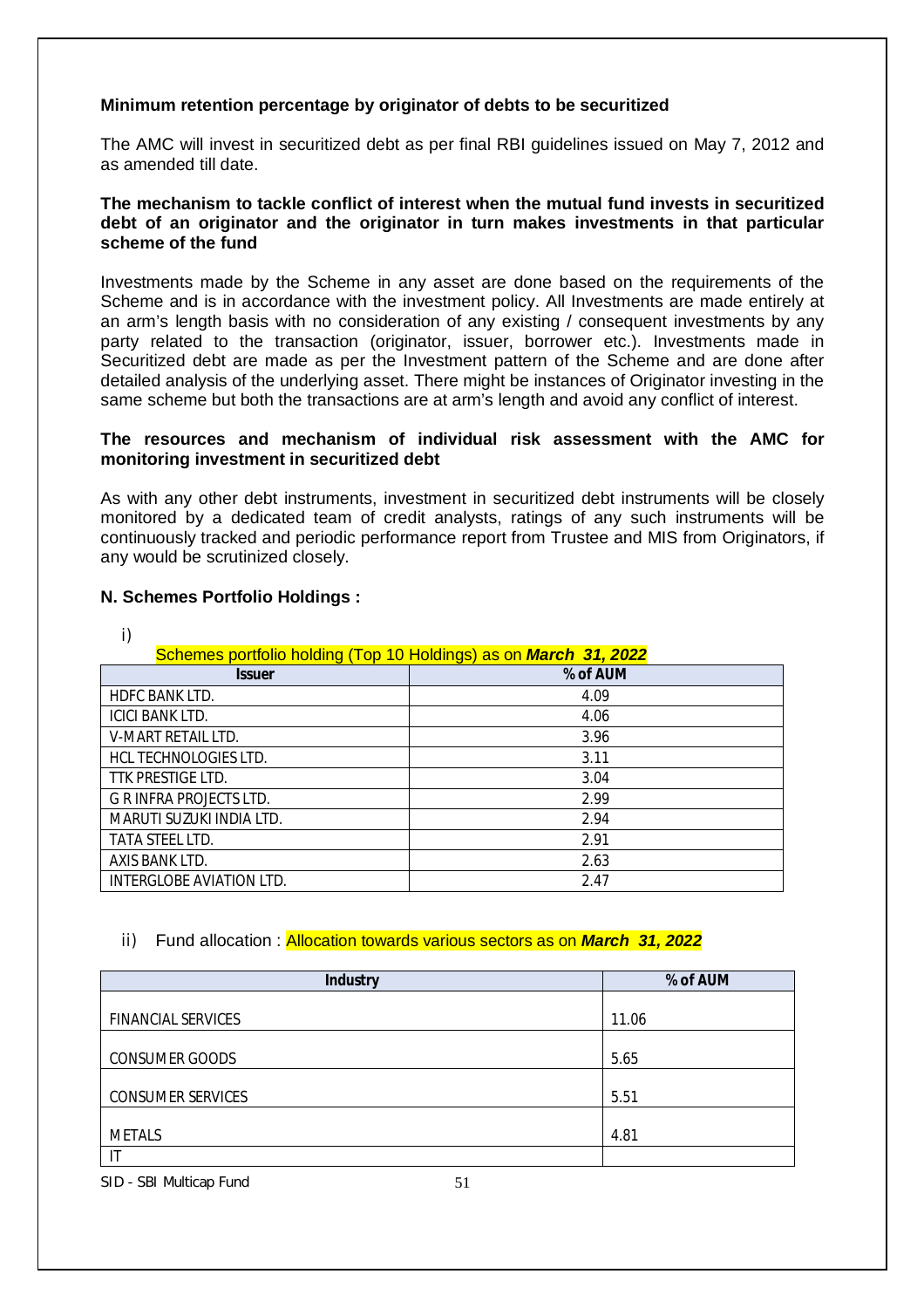# **Minimum retention percentage by originator of debts to be securitized**

The AMC will invest in securitized debt as per final RBI guidelines issued on May 7, 2012 and as amended till date.

### **The mechanism to tackle conflict of interest when the mutual fund invests in securitized debt of an originator and the originator in turn makes investments in that particular scheme of the fund**

Investments made by the Scheme in any asset are done based on the requirements of the Scheme and is in accordance with the investment policy. All Investments are made entirely at an arm's length basis with no consideration of any existing / consequent investments by any party related to the transaction (originator, issuer, borrower etc.). Investments made in Securitized debt are made as per the Investment pattern of the Scheme and are done after detailed analysis of the underlying asset. There might be instances of Originator investing in the same scheme but both the transactions are at arm's length and avoid any conflict of interest.

# **The resources and mechanism of individual risk assessment with the AMC for monitoring investment in securitized debt**

As with any other debt instruments, investment in securitized debt instruments will be closely monitored by a dedicated team of credit analysts, ratings of any such instruments will be continuously tracked and periodic performance report from Trustee and MIS from Originators, if any would be scrutinized closely.

# **N. Schemes Portfolio Holdings :**

| i)                                                               |          |  |  |  |
|------------------------------------------------------------------|----------|--|--|--|
| Schemes portfolio holding (Top 10 Holdings) as on March 31, 2022 |          |  |  |  |
| <b>Issuer</b>                                                    | % of AUM |  |  |  |
| <b>HDFC BANK LTD.</b>                                            | 4.09     |  |  |  |
| <b>ICICI BANK LTD.</b>                                           | 4.06     |  |  |  |
| V-MART RETAIL LTD.                                               | 3.96     |  |  |  |
| HCL TECHNOLOGIES LTD.                                            | 3.11     |  |  |  |
| TTK PRESTIGE LTD.                                                | 3.04     |  |  |  |
| <b>G R INFRA PROJECTS LTD.</b>                                   | 2.99     |  |  |  |
| MARUTI SUZUKI INDIA LTD.                                         | 2.94     |  |  |  |
| <b>TATA STEEL LTD.</b>                                           | 2.91     |  |  |  |
| AXIS BANK LTD.                                                   | 2.63     |  |  |  |
| INTERGLOBE AVIATION LTD.                                         | 2.47     |  |  |  |

# ii) Fund allocation : Allocation towards various sectors as on *March 31, 2022*

| <b>Industry</b>           | % of AUM |
|---------------------------|----------|
|                           |          |
| <b>FINANCIAL SERVICES</b> | 11.06    |
|                           |          |
| <b>CONSUMER GOODS</b>     | 5.65     |
|                           |          |
| <b>CONSUMER SERVICES</b>  | 5.51     |
|                           |          |
| <b>METALS</b>             | 4.81     |
| Ē                         |          |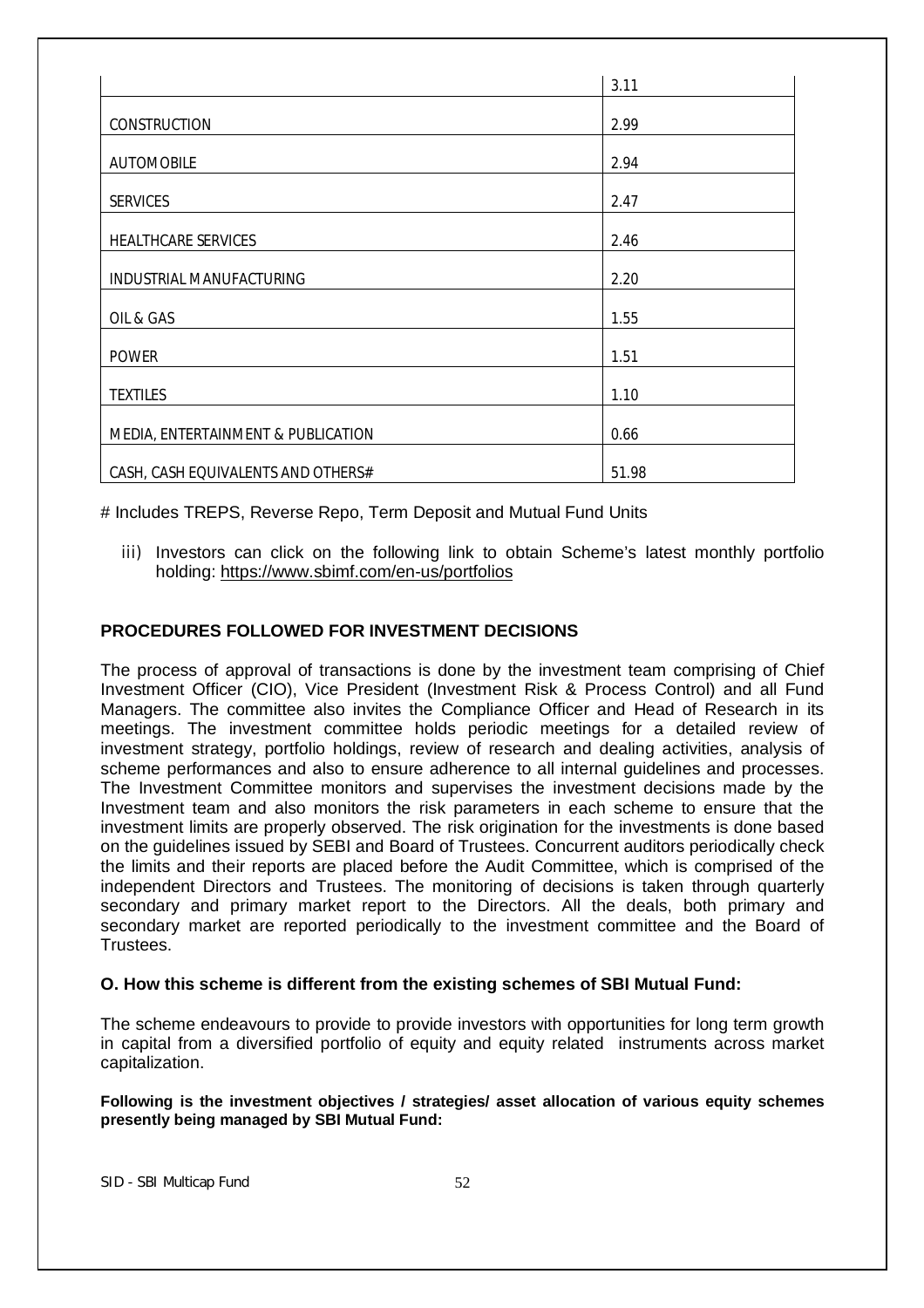|                                    | 3.11  |
|------------------------------------|-------|
|                                    |       |
| CONSTRUCTION                       | 2.99  |
|                                    |       |
| <b>AUTOMOBILE</b>                  | 2.94  |
|                                    |       |
| <b>SERVICES</b>                    | 2.47  |
|                                    |       |
| HEALTHCARE SERVICES                | 2.46  |
|                                    |       |
| INDUSTRIAL MANUFACTURING           | 2.20  |
|                                    |       |
|                                    |       |
| OIL & GAS                          | 1.55  |
|                                    |       |
| <b>POWER</b>                       | 1.51  |
|                                    |       |
| <b>TEXTILES</b>                    | 1.10  |
|                                    |       |
| MEDIA, ENTERTAINMENT & PUBLICATION | 0.66  |
|                                    |       |
| CASH, CASH EQUIVALENTS AND OTHERS# | 51.98 |

# Includes TREPS, Reverse Repo, Term Deposit and Mutual Fund Units

iii) Investors can click on the following link to obtain Scheme's latest monthly portfolio holding: https://www.sbimf.com/en-us/portfolios

# **PROCEDURES FOLLOWED FOR INVESTMENT DECISIONS**

The process of approval of transactions is done by the investment team comprising of Chief Investment Officer (CIO), Vice President (Investment Risk & Process Control) and all Fund Managers. The committee also invites the Compliance Officer and Head of Research in its meetings. The investment committee holds periodic meetings for a detailed review of investment strategy, portfolio holdings, review of research and dealing activities, analysis of scheme performances and also to ensure adherence to all internal guidelines and processes. The Investment Committee monitors and supervises the investment decisions made by the Investment team and also monitors the risk parameters in each scheme to ensure that the investment limits are properly observed. The risk origination for the investments is done based on the guidelines issued by SEBI and Board of Trustees. Concurrent auditors periodically check the limits and their reports are placed before the Audit Committee, which is comprised of the independent Directors and Trustees. The monitoring of decisions is taken through quarterly secondary and primary market report to the Directors. All the deals, both primary and secondary market are reported periodically to the investment committee and the Board of Trustees.

#### **O. How this scheme is different from the existing schemes of SBI Mutual Fund:**

The scheme endeavours to provide to provide investors with opportunities for long term growth in capital from a diversified portfolio of equity and equity related instruments across market capitalization.

**Following is the investment objectives / strategies/ asset allocation of various equity schemes presently being managed by SBI Mutual Fund:**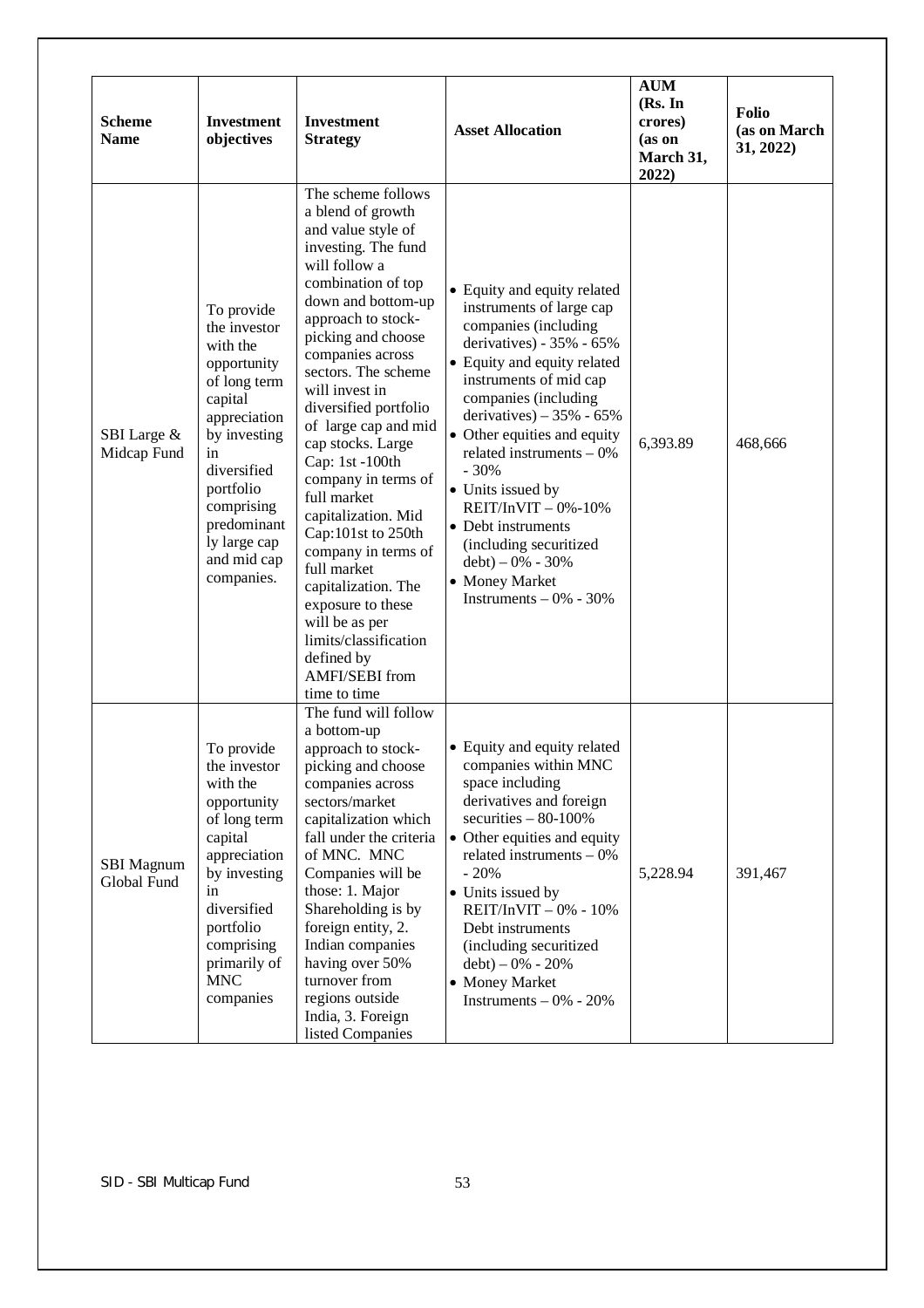| <b>Scheme</b><br><b>Name</b>     | <b>Investment</b><br>objectives                                                                                                                                                                                              | <b>Investment</b><br><b>Strategy</b>                                                                                                                                                                                                                                                                                                                                                                                                                                                                                                                                                                                | <b>Asset Allocation</b>                                                                                                                                                                                                                                                                                                                                                                                                                                                           | <b>AUM</b><br>(Rs. In<br>crores)<br>(as on<br>March 31,<br>2022) | Folio<br>(as on March<br>31, 2022) |
|----------------------------------|------------------------------------------------------------------------------------------------------------------------------------------------------------------------------------------------------------------------------|---------------------------------------------------------------------------------------------------------------------------------------------------------------------------------------------------------------------------------------------------------------------------------------------------------------------------------------------------------------------------------------------------------------------------------------------------------------------------------------------------------------------------------------------------------------------------------------------------------------------|-----------------------------------------------------------------------------------------------------------------------------------------------------------------------------------------------------------------------------------------------------------------------------------------------------------------------------------------------------------------------------------------------------------------------------------------------------------------------------------|------------------------------------------------------------------|------------------------------------|
| SBI Large &<br>Midcap Fund       | To provide<br>the investor<br>with the<br>opportunity<br>of long term<br>capital<br>appreciation<br>by investing<br>in<br>diversified<br>portfolio<br>comprising<br>predominant<br>ly large cap<br>and mid cap<br>companies. | The scheme follows<br>a blend of growth<br>and value style of<br>investing. The fund<br>will follow a<br>combination of top<br>down and bottom-up<br>approach to stock-<br>picking and choose<br>companies across<br>sectors. The scheme<br>will invest in<br>diversified portfolio<br>of large cap and mid<br>cap stocks. Large<br>Cap: 1st -100th<br>company in terms of<br>full market<br>capitalization. Mid<br>Cap:101st to 250th<br>company in terms of<br>full market<br>capitalization. The<br>exposure to these<br>will be as per<br>limits/classification<br>defined by<br>AMFI/SEBI from<br>time to time | • Equity and equity related<br>instruments of large cap<br>companies (including<br>derivatives) - $35\%$ - $65\%$<br>• Equity and equity related<br>instruments of mid cap<br>companies (including<br>derivatives) – $35\%$ - $65\%$<br>• Other equities and equity<br>related instruments $-0\%$<br>$-30%$<br>• Units issued by<br>REIT/InVIT $-0\% -10\%$<br>• Debt instruments<br>(including securitized<br>$debt$ ) – 0% - 30%<br>• Money Market<br>Instruments $-0\% - 30\%$ | 6,393.89                                                         | 468,666                            |
| <b>SBI</b> Magnum<br>Global Fund | To provide<br>the investor<br>with the<br>opportunity<br>of long term<br>capital<br>appreciation<br>by investing<br>in<br>diversified<br>portfolio<br>comprising<br>primarily of<br><b>MNC</b><br>companies                  | The fund will follow<br>a bottom-up<br>approach to stock-<br>picking and choose<br>companies across<br>sectors/market<br>capitalization which<br>fall under the criteria<br>of MNC. MNC<br>Companies will be<br>those: 1. Major<br>Shareholding is by<br>foreign entity, 2.<br>Indian companies<br>having over 50%<br>turnover from<br>regions outside<br>India, 3. Foreign<br>listed Companies                                                                                                                                                                                                                     | • Equity and equity related<br>companies within MNC<br>space including<br>derivatives and foreign<br>securities $-80-100\%$<br>• Other equities and equity<br>related instruments $-0\%$<br>$-20%$<br>• Units issued by<br>REIT/InVIT $-0\% - 10\%$<br>Debt instruments<br>(including securitized<br>$debt$ ) – 0% - 20%<br>• Money Market<br>Instruments $-0\% - 20\%$                                                                                                           | 5,228.94                                                         | 391,467                            |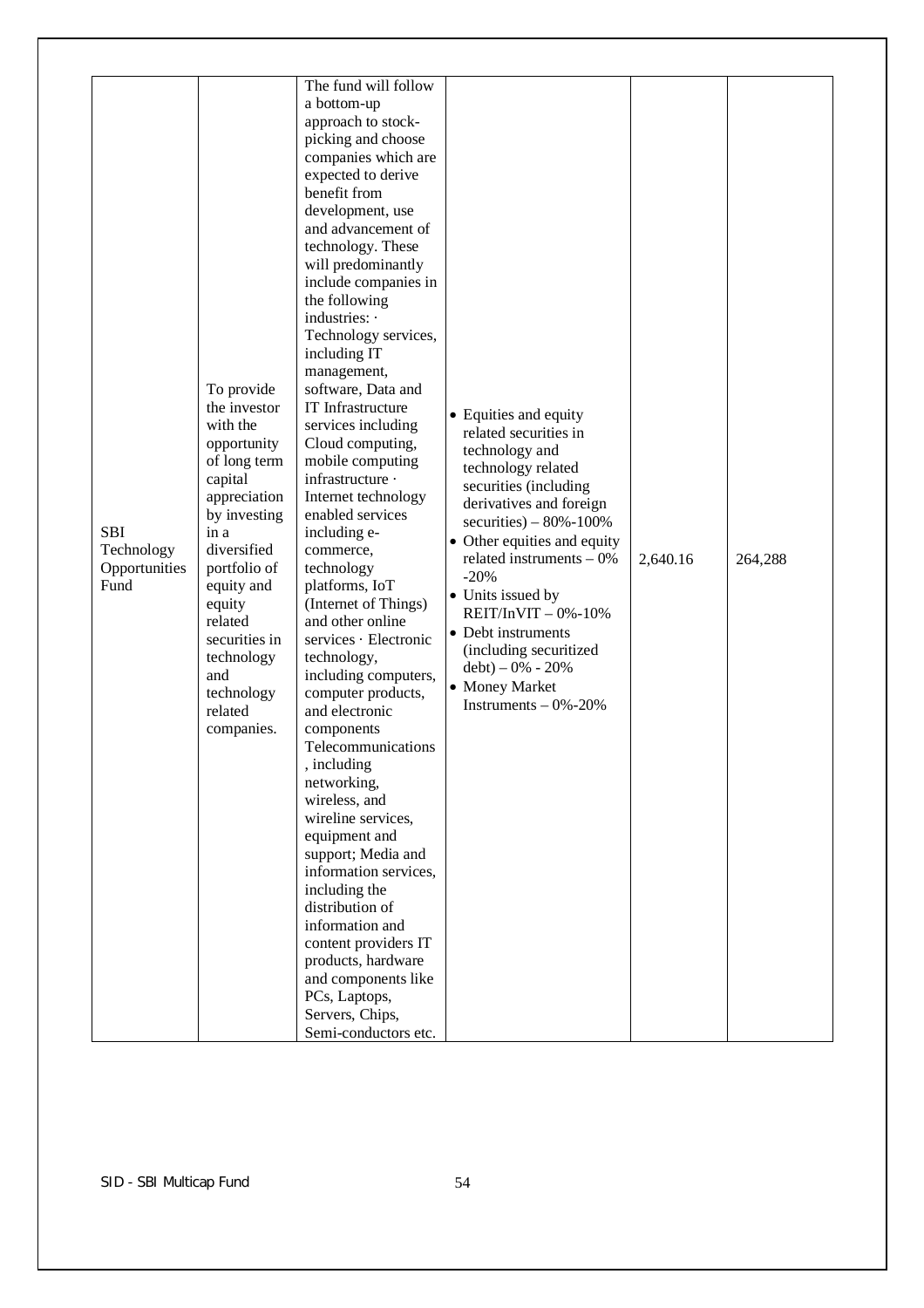| <b>SBI</b><br>Technology<br>Opportunities<br>Fund | To provide<br>the investor<br>with the<br>opportunity<br>of long term<br>capital<br>appreciation<br>by investing<br>in a<br>diversified<br>portfolio of<br>equity and<br>equity<br>related<br>securities in<br>technology<br>and<br>technology<br>related<br>companies. | The fund will follow<br>a bottom-up<br>approach to stock-<br>picking and choose<br>companies which are<br>expected to derive<br>benefit from<br>development, use<br>and advancement of<br>technology. These<br>will predominantly<br>include companies in<br>the following<br>industries: ·<br>Technology services,<br>including IT<br>management,<br>software, Data and<br>IT Infrastructure<br>services including<br>Cloud computing,<br>mobile computing<br>infrastructure ·<br>Internet technology<br>enabled services<br>including e-<br>commerce,<br>technology<br>platforms, IoT<br>(Internet of Things)<br>and other online<br>services · Electronic<br>technology,<br>including computers,<br>computer products,<br>and electronic<br>components<br>Telecommunications<br>, including<br>networking,<br>wireless, and<br>wireline services,<br>equipment and<br>support; Media and<br>information services,<br>including the<br>distribution of<br>information and<br>content providers IT<br>products, hardware<br>and components like<br>PCs, Laptops,<br>Servers, Chips,<br>Semi-conductors etc. | • Equities and equity<br>related securities in<br>technology and<br>technology related<br>securities (including<br>derivatives and foreign<br>securities) $-80\% - 100\%$<br>• Other equities and equity<br>related instruments $-0\%$<br>$-20%$<br>• Units issued by<br>REIT/InVIT $-0\% -10\%$<br>• Debt instruments<br>(including securitized<br>$debt$ ) – 0% - 20%<br>• Money Market<br>Instruments $-0\% -20\%$ | 2,640.16 | 264,288 |
|---------------------------------------------------|-------------------------------------------------------------------------------------------------------------------------------------------------------------------------------------------------------------------------------------------------------------------------|--------------------------------------------------------------------------------------------------------------------------------------------------------------------------------------------------------------------------------------------------------------------------------------------------------------------------------------------------------------------------------------------------------------------------------------------------------------------------------------------------------------------------------------------------------------------------------------------------------------------------------------------------------------------------------------------------------------------------------------------------------------------------------------------------------------------------------------------------------------------------------------------------------------------------------------------------------------------------------------------------------------------------------------------------------------------------------------------------------------|-----------------------------------------------------------------------------------------------------------------------------------------------------------------------------------------------------------------------------------------------------------------------------------------------------------------------------------------------------------------------------------------------------------------------|----------|---------|
|---------------------------------------------------|-------------------------------------------------------------------------------------------------------------------------------------------------------------------------------------------------------------------------------------------------------------------------|--------------------------------------------------------------------------------------------------------------------------------------------------------------------------------------------------------------------------------------------------------------------------------------------------------------------------------------------------------------------------------------------------------------------------------------------------------------------------------------------------------------------------------------------------------------------------------------------------------------------------------------------------------------------------------------------------------------------------------------------------------------------------------------------------------------------------------------------------------------------------------------------------------------------------------------------------------------------------------------------------------------------------------------------------------------------------------------------------------------|-----------------------------------------------------------------------------------------------------------------------------------------------------------------------------------------------------------------------------------------------------------------------------------------------------------------------------------------------------------------------------------------------------------------------|----------|---------|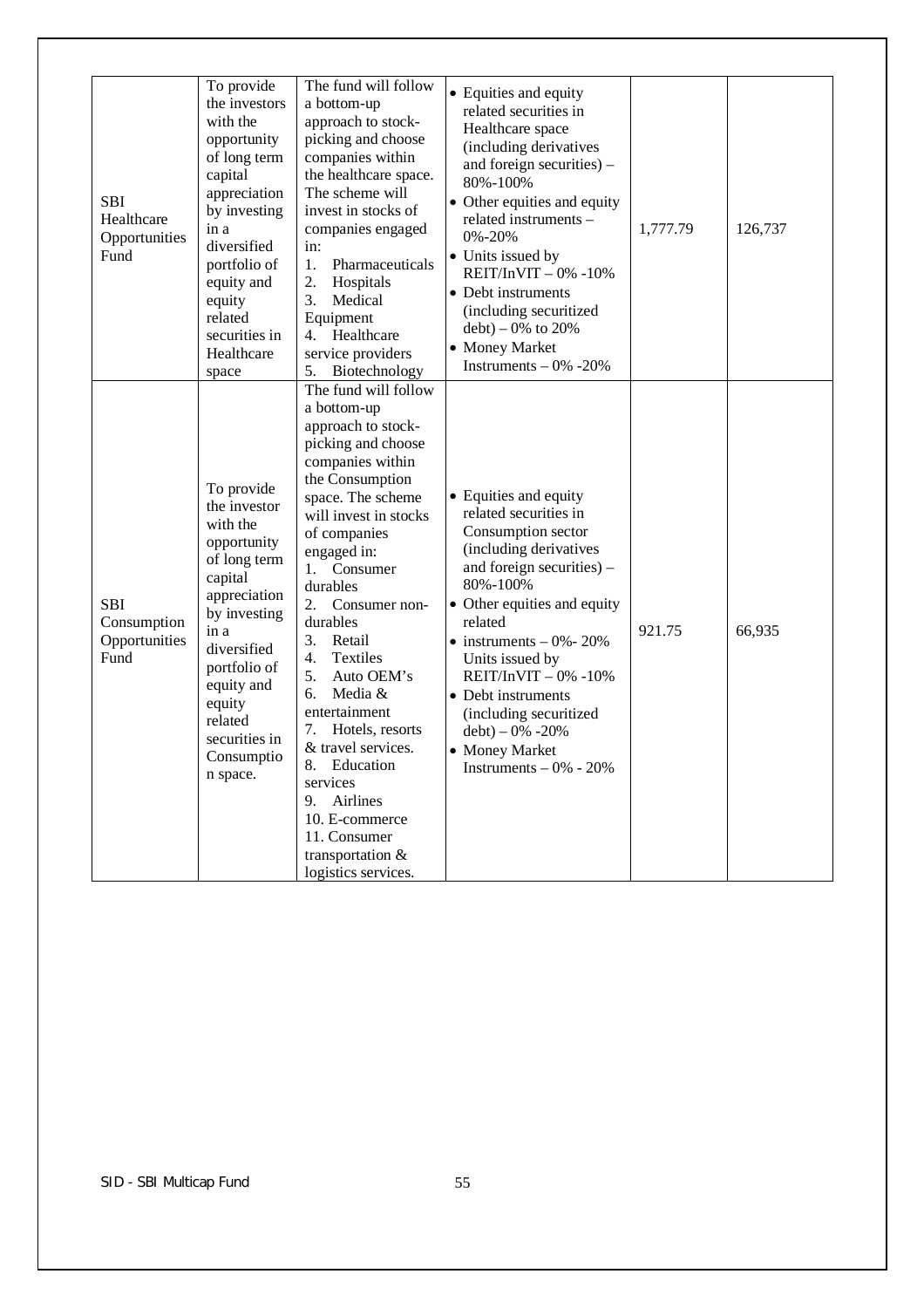| <b>SBI</b><br>Healthcare<br>Opportunities<br>Fund  | To provide<br>the investors<br>with the<br>opportunity<br>of long term<br>capital<br>appreciation<br>by investing<br>in a<br>diversified<br>portfolio of<br>equity and<br>equity<br>related<br>securities in<br>Healthcare<br>space   | The fund will follow<br>a bottom-up<br>approach to stock-<br>picking and choose<br>companies within<br>the healthcare space.<br>The scheme will<br>invest in stocks of<br>companies engaged<br>in:<br>1.<br>Pharmaceuticals<br>2.<br>Hospitals<br>3.<br>Medical<br>Equipment<br>4. Healthcare<br>service providers<br>Biotechnology<br>5.                                                                                                                                                                                              | • Equities and equity<br>related securities in<br>Healthcare space<br>(including derivatives<br>and foreign securities) –<br>80%-100%<br>• Other equities and equity<br>related instruments -<br>0%-20%<br>• Units issued by<br>REIT/InVIT $-0\% -10\%$<br>• Debt instruments<br>(including securitized<br>$debt$ ) – 0% to 20%<br>• Money Market<br>Instruments $-0\% -20\%$                | 1,777.79 | 126,737 |
|----------------------------------------------------|---------------------------------------------------------------------------------------------------------------------------------------------------------------------------------------------------------------------------------------|----------------------------------------------------------------------------------------------------------------------------------------------------------------------------------------------------------------------------------------------------------------------------------------------------------------------------------------------------------------------------------------------------------------------------------------------------------------------------------------------------------------------------------------|----------------------------------------------------------------------------------------------------------------------------------------------------------------------------------------------------------------------------------------------------------------------------------------------------------------------------------------------------------------------------------------------|----------|---------|
| <b>SBI</b><br>Consumption<br>Opportunities<br>Fund | To provide<br>the investor<br>with the<br>opportunity<br>of long term<br>capital<br>appreciation<br>by investing<br>in a<br>diversified<br>portfolio of<br>equity and<br>equity<br>related<br>securities in<br>Consumptio<br>n space. | The fund will follow<br>a bottom-up<br>approach to stock-<br>picking and choose<br>companies within<br>the Consumption<br>space. The scheme<br>will invest in stocks<br>of companies<br>engaged in:<br>1. Consumer<br>durables<br>2.<br>Consumer non-<br>durables<br>3.<br>Retail<br>Textiles<br>4.<br>5.<br>Auto OEM's<br>6.<br>Media &<br>entertainment<br>7.<br>Hotels, resorts<br>& travel services.<br>8.<br>Education<br>services<br>Airlines<br>9.<br>10. E-commerce<br>11. Consumer<br>transportation &<br>logistics services. | • Equities and equity<br>related securities in<br>Consumption sector<br>(including derivatives<br>and foreign securities) $-$<br>80%-100%<br>• Other equities and equity<br>related<br>$\bullet$ instruments $-0\% - 20\%$<br>Units issued by<br>$REIT/InVIT - 0% -10%$<br>• Debt instruments<br>(including securitized<br>$debt$ ) – 0% -20%<br>• Money Market<br>Instruments $-0\% - 20\%$ | 921.75   | 66,935  |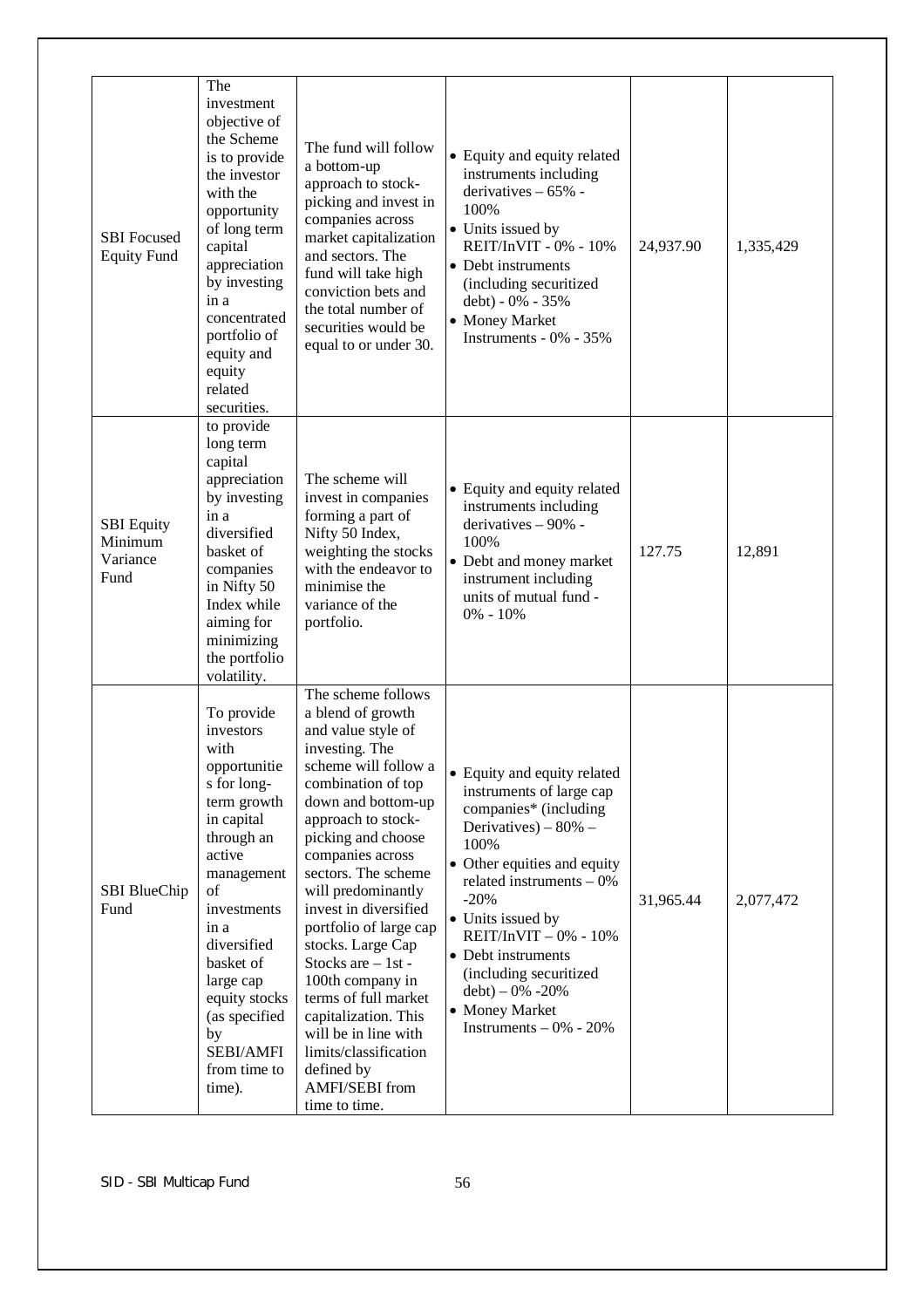|                                                  | The                                                                                                                                                                                                                                                                                    |                                                                                                                                                                                                                                                                                                                                                                                                                                                                                                                                              |                                                                                                                                                                                                                                                                                                                                                                |           |           |
|--------------------------------------------------|----------------------------------------------------------------------------------------------------------------------------------------------------------------------------------------------------------------------------------------------------------------------------------------|----------------------------------------------------------------------------------------------------------------------------------------------------------------------------------------------------------------------------------------------------------------------------------------------------------------------------------------------------------------------------------------------------------------------------------------------------------------------------------------------------------------------------------------------|----------------------------------------------------------------------------------------------------------------------------------------------------------------------------------------------------------------------------------------------------------------------------------------------------------------------------------------------------------------|-----------|-----------|
| <b>SBI</b> Focused<br><b>Equity Fund</b>         | investment<br>objective of<br>the Scheme<br>is to provide<br>the investor<br>with the<br>opportunity<br>of long term<br>capital<br>appreciation<br>by investing<br>in a<br>concentrated<br>portfolio of<br>equity and<br>equity<br>related<br>securities.                              | The fund will follow<br>a bottom-up<br>approach to stock-<br>picking and invest in<br>companies across<br>market capitalization<br>and sectors. The<br>fund will take high<br>conviction bets and<br>the total number of<br>securities would be<br>equal to or under 30.                                                                                                                                                                                                                                                                     | • Equity and equity related<br>instruments including<br>derivatives $-65%$ -<br>100%<br>• Units issued by<br>REIT/InVIT - 0% - 10%<br>• Debt instruments<br>(including securitized<br>debt) - 0% - 35%<br>• Money Market<br>Instruments - 0% - 35%                                                                                                             | 24,937.90 | 1,335,429 |
| <b>SBI</b> Equity<br>Minimum<br>Variance<br>Fund | to provide<br>long term<br>capital<br>appreciation<br>by investing<br>in a<br>diversified<br>basket of<br>companies<br>in Nifty 50<br>Index while<br>aiming for<br>minimizing<br>the portfolio<br>volatility.                                                                          | The scheme will<br>invest in companies<br>forming a part of<br>Nifty 50 Index,<br>weighting the stocks<br>with the endeavor to<br>minimise the<br>variance of the<br>portfolio.                                                                                                                                                                                                                                                                                                                                                              | • Equity and equity related<br>instruments including<br>derivatives - 90% -<br>100%<br>• Debt and money market<br>instrument including<br>units of mutual fund -<br>$0\% - 10\%$                                                                                                                                                                               | 127.75    | 12,891    |
| SBI BlueChip<br>Fund                             | To provide<br>investors<br>with<br>opportunitie<br>s for long-<br>term growth<br>in capital<br>through an<br>active<br>management<br>of<br>investments<br>in a<br>diversified<br>basket of<br>large cap<br>equity stocks<br>(as specified<br>by<br>SEBI/AMFI<br>from time to<br>time). | The scheme follows<br>a blend of growth<br>and value style of<br>investing. The<br>scheme will follow a<br>combination of top<br>down and bottom-up<br>approach to stock-<br>picking and choose<br>companies across<br>sectors. The scheme<br>will predominantly<br>invest in diversified<br>portfolio of large cap<br>stocks. Large Cap<br>Stocks are $-1st$ -<br>100th company in<br>terms of full market<br>capitalization. This<br>will be in line with<br>limits/classification<br>defined by<br><b>AMFI/SEBI</b> from<br>time to time. | • Equity and equity related<br>instruments of large cap<br>companies* (including<br>Derivatives) – $80\%$ –<br>100%<br>• Other equities and equity<br>related instruments $-0\%$<br>$-20%$<br>• Units issued by<br>$REIT/InVIT - 0% - 10%$<br>• Debt instruments<br>(including securitized<br>$debt$ ) – 0% -20%<br>• Money Market<br>Instruments $-0\%$ - 20% | 31,965.44 | 2,077,472 |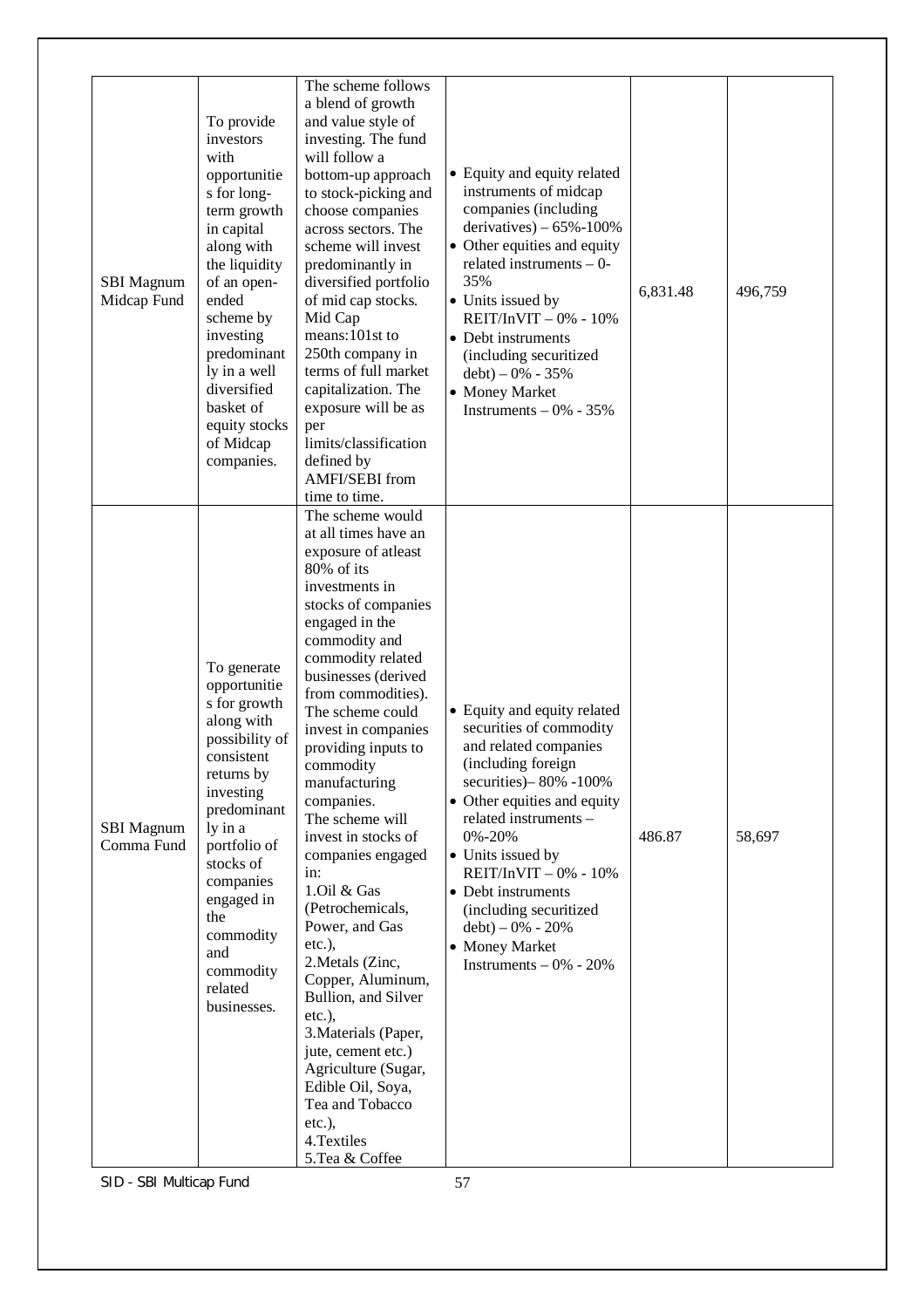| <b>SBI</b> Magnum<br>Midcap Fund | To provide<br>investors<br>with<br>opportunitie<br>s for long-<br>term growth<br>in capital<br>along with<br>the liquidity<br>of an open-<br>ended<br>scheme by<br>investing<br>predominant<br>ly in a well<br>diversified<br>basket of<br>equity stocks<br>of Midcap<br>companies. | The scheme follows<br>a blend of growth<br>and value style of<br>investing. The fund<br>will follow a<br>bottom-up approach<br>to stock-picking and<br>choose companies<br>across sectors. The<br>scheme will invest<br>predominantly in<br>diversified portfolio<br>of mid cap stocks.<br>Mid Cap<br>means:101st to<br>250th company in<br>terms of full market<br>capitalization. The<br>exposure will be as<br>per<br>limits/classification<br>defined by<br><b>AMFI/SEBI</b> from<br>time to time.<br>The scheme would                                                                                                                                                                             | • Equity and equity related<br>instruments of midcap<br>companies (including<br>derivatives) $-65\% - 100\%$<br>• Other equities and equity<br>related instruments $-0$ -<br>35%<br>• Units issued by<br>REIT/InVIT - 0% - 10%<br>• Debt instruments<br>(including securitized<br>$debt$ ) – 0% - 35%<br>• Money Market<br>Instruments $-0\% - 35\%$                       | 6,831.48 | 496,759 |
|----------------------------------|-------------------------------------------------------------------------------------------------------------------------------------------------------------------------------------------------------------------------------------------------------------------------------------|--------------------------------------------------------------------------------------------------------------------------------------------------------------------------------------------------------------------------------------------------------------------------------------------------------------------------------------------------------------------------------------------------------------------------------------------------------------------------------------------------------------------------------------------------------------------------------------------------------------------------------------------------------------------------------------------------------|----------------------------------------------------------------------------------------------------------------------------------------------------------------------------------------------------------------------------------------------------------------------------------------------------------------------------------------------------------------------------|----------|---------|
| <b>SBI</b> Magnum<br>Comma Fund  | To generate<br>opportunitie<br>s for growth<br>along with<br>possibility of<br>consistent<br>returns by<br>investing<br>predominant<br>ly in a<br>portfolio of<br>stocks of<br>companies<br>engaged in<br>the<br>commodity<br>and<br>commodity<br>related<br>businesses.            | at all times have an<br>exposure of atleast<br>80% of its<br>investments in<br>stocks of companies<br>engaged in the<br>commodity and<br>commodity related<br>businesses (derived<br>from commodities).<br>The scheme could<br>invest in companies<br>providing inputs to<br>commodity<br>manufacturing<br>companies.<br>The scheme will<br>invest in stocks of<br>companies engaged<br>in:<br>1.Oil & Gas<br>(Petrochemicals,<br>Power, and Gas<br>$etc.$ ),<br>2. Metals (Zinc,<br>Copper, Aluminum,<br>Bullion, and Silver<br>$etc.$ ),<br>3. Materials (Paper,<br>jute, cement etc.)<br>Agriculture (Sugar,<br>Edible Oil, Soya,<br>Tea and Tobacco<br>$etc.$ ),<br>4. Textiles<br>5. Tea & Coffee | • Equity and equity related<br>securities of commodity<br>and related companies<br>(including foreign<br>securities) - 80% - 100%<br>• Other equities and equity<br>related instruments -<br>0%-20%<br>• Units issued by<br>REIT/InVIT $-0\% - 10\%$<br>• Debt instruments<br>(including securitized<br>$debt$ ) – 0% - 20%<br>• Money Market<br>Instruments $-0\% - 20\%$ | 486.87   | 58,697  |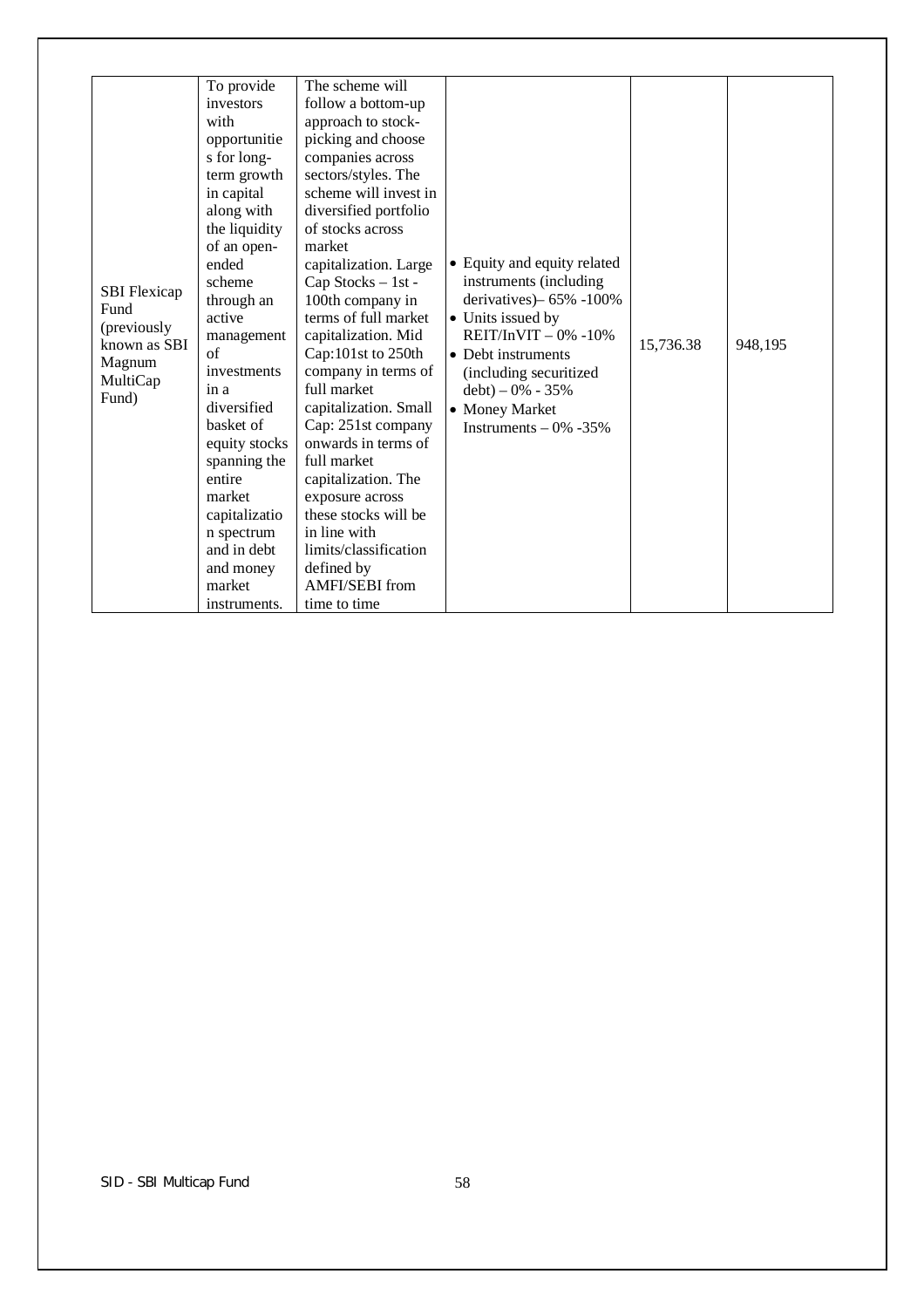| <b>SBI</b> Flexicap<br>Fund<br>(previously<br>known as SBI<br>Magnum<br>MultiCap<br>Fund) | To provide<br>investors<br>with<br>opportunitie<br>s for long-<br>term growth<br>in capital<br>along with<br>the liquidity<br>of an open-<br>ended<br>scheme<br>through an<br>active<br>management<br>of<br>investments<br>in a<br>diversified<br>basket of<br>equity stocks<br>spanning the<br>entire<br>market<br>capitalizatio<br>n spectrum<br>and in debt<br>and money<br>market<br>instruments. | The scheme will<br>follow a bottom-up<br>approach to stock-<br>picking and choose<br>companies across<br>sectors/styles. The<br>scheme will invest in<br>diversified portfolio<br>of stocks across<br>market<br>capitalization. Large<br>Cap Stocks - 1st -<br>100th company in<br>terms of full market<br>capitalization. Mid<br>Cap:101st to 250th<br>company in terms of<br>full market<br>capitalization. Small<br>Cap: 251st company<br>onwards in terms of<br>full market<br>capitalization. The<br>exposure across<br>these stocks will be<br>in line with<br>limits/classification<br>defined by<br>AMFI/SEBI from<br>time to time | • Equity and equity related<br>instruments (including<br>derivatives) - 65% - 100%<br>• Units issued by<br>$REIT/INVIT - 0% -10%$<br>• Debt instruments<br>(including securitized<br>$debt$ ) – 0% - 35%<br>• Money Market<br>Instruments $-0\% -35\%$ | 15,736.38 | 948,195 |
|-------------------------------------------------------------------------------------------|-------------------------------------------------------------------------------------------------------------------------------------------------------------------------------------------------------------------------------------------------------------------------------------------------------------------------------------------------------------------------------------------------------|--------------------------------------------------------------------------------------------------------------------------------------------------------------------------------------------------------------------------------------------------------------------------------------------------------------------------------------------------------------------------------------------------------------------------------------------------------------------------------------------------------------------------------------------------------------------------------------------------------------------------------------------|--------------------------------------------------------------------------------------------------------------------------------------------------------------------------------------------------------------------------------------------------------|-----------|---------|
|-------------------------------------------------------------------------------------------|-------------------------------------------------------------------------------------------------------------------------------------------------------------------------------------------------------------------------------------------------------------------------------------------------------------------------------------------------------------------------------------------------------|--------------------------------------------------------------------------------------------------------------------------------------------------------------------------------------------------------------------------------------------------------------------------------------------------------------------------------------------------------------------------------------------------------------------------------------------------------------------------------------------------------------------------------------------------------------------------------------------------------------------------------------------|--------------------------------------------------------------------------------------------------------------------------------------------------------------------------------------------------------------------------------------------------------|-----------|---------|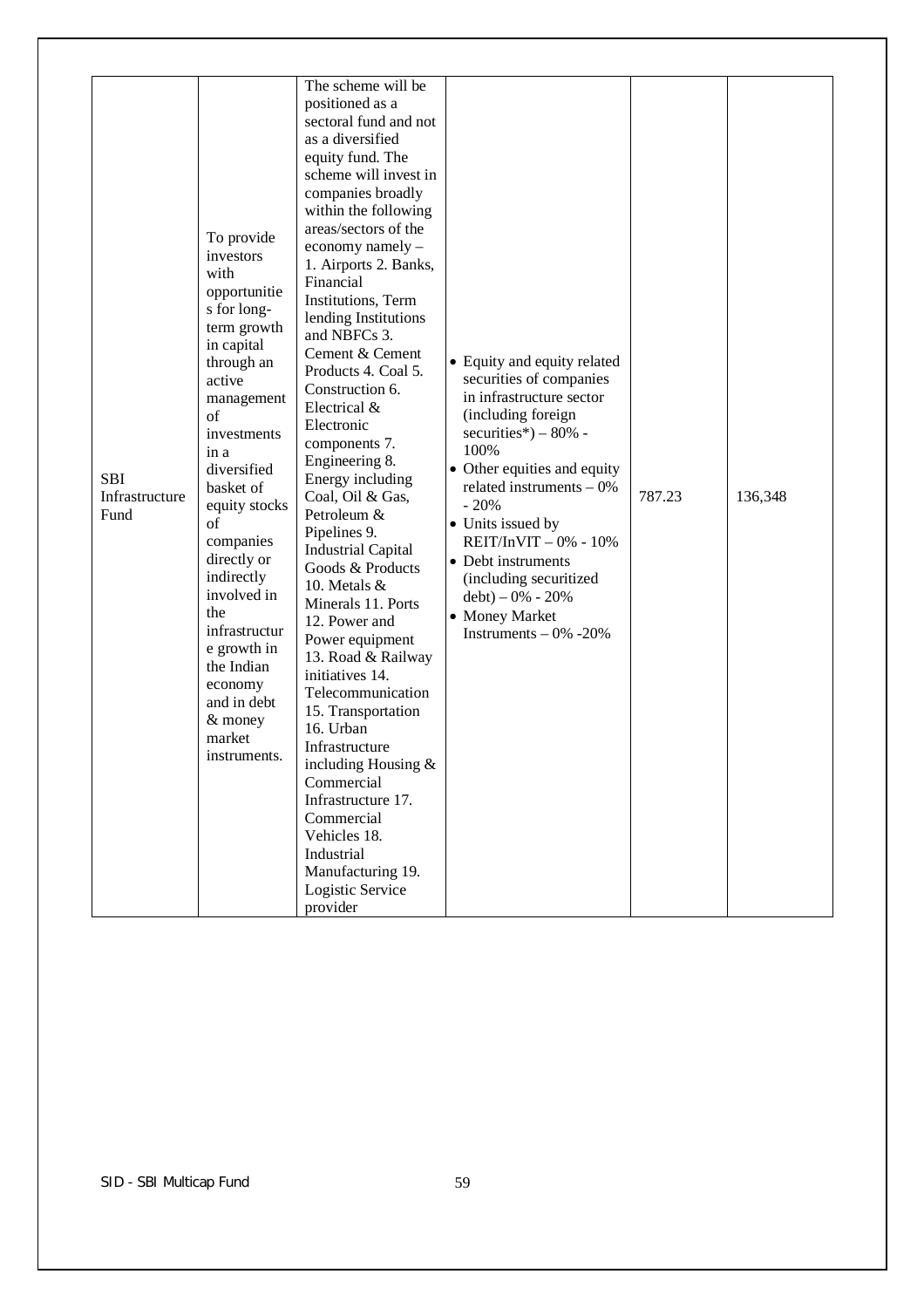| <b>SBI</b><br>Infrastructure<br>Fund | To provide<br>investors<br>with<br>opportunitie<br>s for long-<br>term growth<br>in capital<br>through an<br>active<br>management<br>of<br>investments<br>in a<br>diversified<br>basket of<br>equity stocks<br>of<br>companies<br>directly or<br>indirectly<br>involved in<br>the<br>infrastructur<br>e growth in<br>the Indian<br>economy<br>and in debt<br>$&$ money<br>market<br>instruments. | The scheme will be<br>positioned as a<br>sectoral fund and not<br>as a diversified<br>equity fund. The<br>scheme will invest in<br>companies broadly<br>within the following<br>areas/sectors of the<br>economy namely -<br>1. Airports 2. Banks,<br>Financial<br>Institutions, Term<br>lending Institutions<br>and NBFCs 3.<br>Cement & Cement<br>Products 4. Coal 5.<br>Construction 6.<br>Electrical &<br>Electronic<br>components 7.<br>Engineering 8.<br>Energy including<br>Coal, Oil & Gas,<br>Petroleum &<br>Pipelines 9.<br><b>Industrial Capital</b><br>Goods & Products<br>10. Metals &<br>Minerals 11. Ports<br>12. Power and<br>Power equipment<br>13. Road & Railway<br>initiatives 14.<br>Telecommunication<br>15. Transportation<br>16. Urban<br>Infrastructure<br>including Housing $&$<br>Commercial<br>Infrastructure 17.<br>Commercial<br>Vehicles 18.<br>Industrial<br>Manufacturing 19.<br>Logistic Service<br>provider | • Equity and equity related<br>securities of companies<br>in infrastructure sector<br>(including foreign<br>securities*) $-80\%$ -<br>100%<br>• Other equities and equity<br>related instruments $-0\%$<br>$-20%$<br>• Units issued by<br>$REIT/InvIT - 0% - 10%$<br>• Debt instruments<br>(including securitized<br>$debt$ ) – 0% - 20%<br>• Money Market<br>Instruments $-0\% -20\%$ | 787.23 | 136,348 |
|--------------------------------------|--------------------------------------------------------------------------------------------------------------------------------------------------------------------------------------------------------------------------------------------------------------------------------------------------------------------------------------------------------------------------------------------------|-----------------------------------------------------------------------------------------------------------------------------------------------------------------------------------------------------------------------------------------------------------------------------------------------------------------------------------------------------------------------------------------------------------------------------------------------------------------------------------------------------------------------------------------------------------------------------------------------------------------------------------------------------------------------------------------------------------------------------------------------------------------------------------------------------------------------------------------------------------------------------------------------------------------------------------------------|----------------------------------------------------------------------------------------------------------------------------------------------------------------------------------------------------------------------------------------------------------------------------------------------------------------------------------------------------------------------------------------|--------|---------|
|--------------------------------------|--------------------------------------------------------------------------------------------------------------------------------------------------------------------------------------------------------------------------------------------------------------------------------------------------------------------------------------------------------------------------------------------------|-----------------------------------------------------------------------------------------------------------------------------------------------------------------------------------------------------------------------------------------------------------------------------------------------------------------------------------------------------------------------------------------------------------------------------------------------------------------------------------------------------------------------------------------------------------------------------------------------------------------------------------------------------------------------------------------------------------------------------------------------------------------------------------------------------------------------------------------------------------------------------------------------------------------------------------------------|----------------------------------------------------------------------------------------------------------------------------------------------------------------------------------------------------------------------------------------------------------------------------------------------------------------------------------------------------------------------------------------|--------|---------|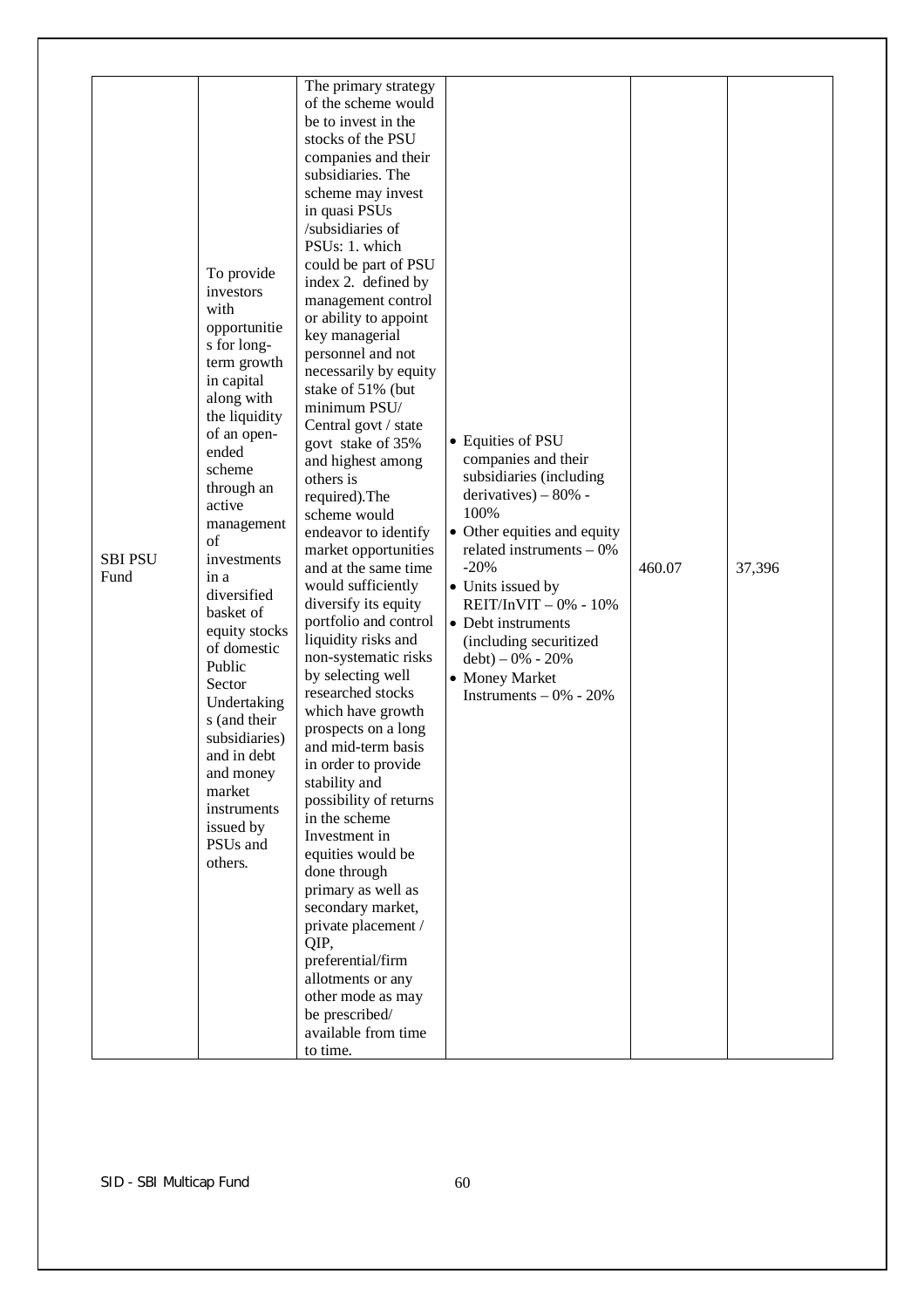| To provide<br>investors<br>with<br>opportunitie<br>s for long-<br>term growth<br>in capital<br>along with<br>the liquidity<br>of an open-<br>ended<br>scheme<br>through an<br>active<br>management<br>of<br><b>SBI PSU</b><br>investments<br>Fund<br>in a<br>diversified<br>basket of<br>equity stocks<br>of domestic<br>Public<br>Sector<br>Undertaking<br>s (and their<br>subsidiaries)<br>and in debt<br>and money<br>market<br>instruments<br>issued by<br>PSUs and<br>others. | The primary strategy<br>of the scheme would<br>be to invest in the<br>stocks of the PSU<br>companies and their<br>subsidiaries. The<br>scheme may invest<br>in quasi PSUs<br>/subsidiaries of<br>PSUs: 1. which<br>could be part of PSU<br>index 2. defined by<br>management control<br>or ability to appoint<br>key managerial<br>personnel and not<br>necessarily by equity<br>stake of 51% (but<br>minimum PSU/<br>Central govt / state<br>govt stake of 35%<br>and highest among<br>others is<br>required). The<br>scheme would<br>endeavor to identify<br>market opportunities<br>and at the same time<br>would sufficiently<br>diversify its equity<br>portfolio and control<br>liquidity risks and<br>non-systematic risks<br>by selecting well<br>researched stocks<br>which have growth<br>prospects on a long<br>and mid-term basis<br>in order to provide<br>stability and<br>possibility of returns<br>in the scheme<br>Investment in<br>equities would be<br>done through<br>primary as well as<br>secondary market,<br>private placement /<br>QIP,<br>preferential/firm<br>allotments or any<br>other mode as may<br>be prescribed/<br>available from time<br>to time. | • Equities of PSU<br>companies and their<br>subsidiaries (including<br>derivatives) $-80%$ -<br>100%<br>• Other equities and equity<br>related instruments $-0\%$<br>$-20%$<br>• Units issued by<br>$REIT/InVIT - 0% - 10%$<br>• Debt instruments<br>(including securitized<br>$debt$ ) – 0% - 20%<br>• Money Market<br>Instruments $-0\% - 20\%$ | 460.07 | 37,396 |
|------------------------------------------------------------------------------------------------------------------------------------------------------------------------------------------------------------------------------------------------------------------------------------------------------------------------------------------------------------------------------------------------------------------------------------------------------------------------------------|--------------------------------------------------------------------------------------------------------------------------------------------------------------------------------------------------------------------------------------------------------------------------------------------------------------------------------------------------------------------------------------------------------------------------------------------------------------------------------------------------------------------------------------------------------------------------------------------------------------------------------------------------------------------------------------------------------------------------------------------------------------------------------------------------------------------------------------------------------------------------------------------------------------------------------------------------------------------------------------------------------------------------------------------------------------------------------------------------------------------------------------------------------------------------------------|---------------------------------------------------------------------------------------------------------------------------------------------------------------------------------------------------------------------------------------------------------------------------------------------------------------------------------------------------|--------|--------|
|------------------------------------------------------------------------------------------------------------------------------------------------------------------------------------------------------------------------------------------------------------------------------------------------------------------------------------------------------------------------------------------------------------------------------------------------------------------------------------|--------------------------------------------------------------------------------------------------------------------------------------------------------------------------------------------------------------------------------------------------------------------------------------------------------------------------------------------------------------------------------------------------------------------------------------------------------------------------------------------------------------------------------------------------------------------------------------------------------------------------------------------------------------------------------------------------------------------------------------------------------------------------------------------------------------------------------------------------------------------------------------------------------------------------------------------------------------------------------------------------------------------------------------------------------------------------------------------------------------------------------------------------------------------------------------|---------------------------------------------------------------------------------------------------------------------------------------------------------------------------------------------------------------------------------------------------------------------------------------------------------------------------------------------------|--------|--------|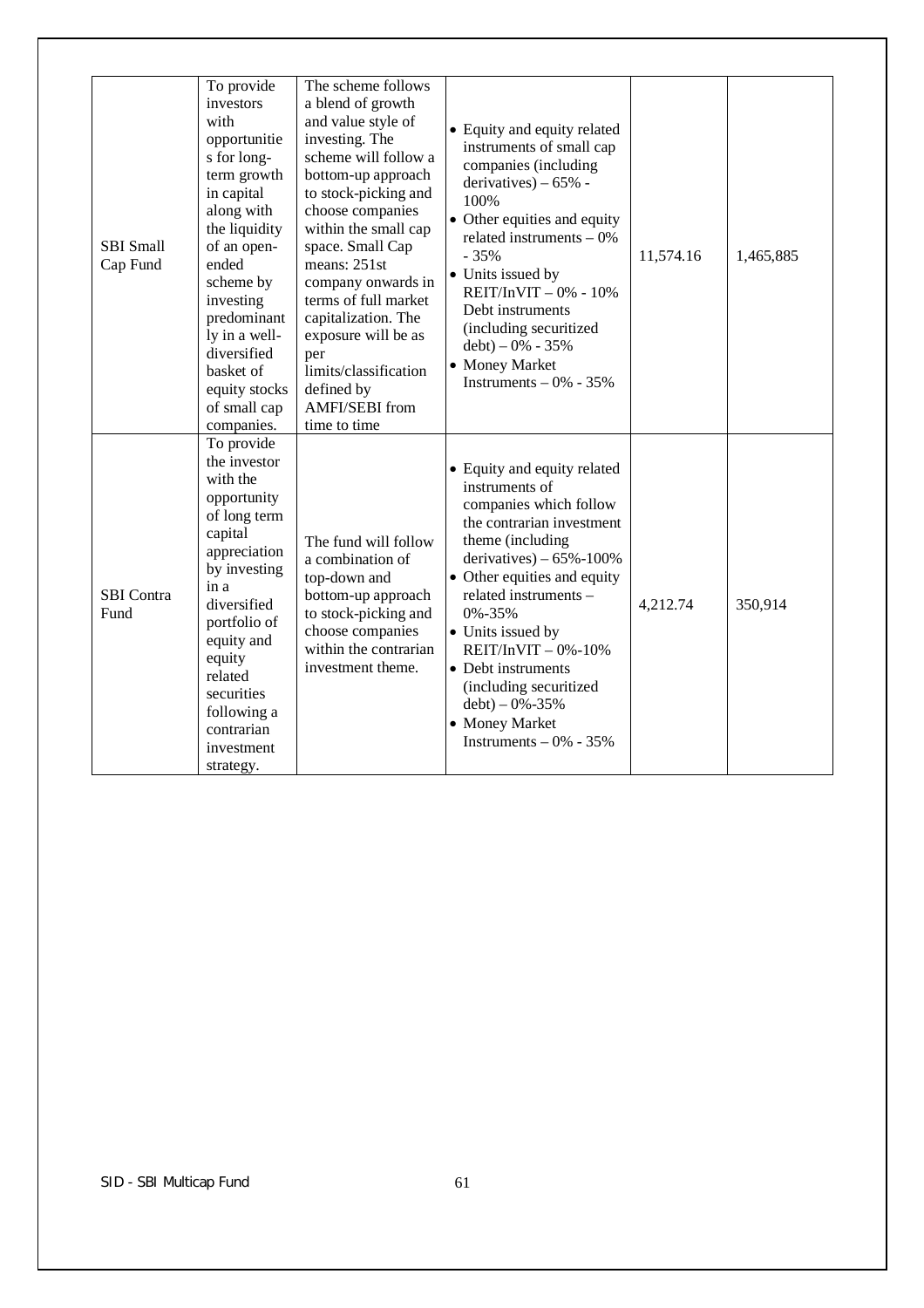| <b>SBI</b> Small<br>Cap Fund | To provide<br>investors<br>with<br>opportunitie<br>s for long-<br>term growth<br>in capital<br>along with<br>the liquidity<br>of an open-<br>ended<br>scheme by<br>investing<br>predominant<br>ly in a well-<br>diversified<br>basket of<br>equity stocks<br>of small cap<br>companies. | The scheme follows<br>a blend of growth<br>and value style of<br>investing. The<br>scheme will follow a<br>bottom-up approach<br>to stock-picking and<br>choose companies<br>within the small cap<br>space. Small Cap<br>means: 251st<br>company onwards in<br>terms of full market<br>capitalization. The<br>exposure will be as<br>per<br>limits/classification<br>defined by<br><b>AMFI/SEBI</b> from<br>time to time | • Equity and equity related<br>instruments of small cap<br>companies (including<br>derivatives) $-65%$ -<br>100%<br>• Other equities and equity<br>related instruments $-0\%$<br>$-35%$<br>• Units issued by<br>$REIT/InvIT - 0% - 10%$<br>Debt instruments<br>(including securitized<br>$debt$ ) – 0% - 35%<br>• Money Market<br>Instruments $-0\% - 35\%$                                    | 11,574.16 | 1,465,885 |
|------------------------------|-----------------------------------------------------------------------------------------------------------------------------------------------------------------------------------------------------------------------------------------------------------------------------------------|--------------------------------------------------------------------------------------------------------------------------------------------------------------------------------------------------------------------------------------------------------------------------------------------------------------------------------------------------------------------------------------------------------------------------|------------------------------------------------------------------------------------------------------------------------------------------------------------------------------------------------------------------------------------------------------------------------------------------------------------------------------------------------------------------------------------------------|-----------|-----------|
| SBI Contra<br>Fund           | To provide<br>the investor<br>with the<br>opportunity<br>of long term<br>capital<br>appreciation<br>by investing<br>in a<br>diversified<br>portfolio of<br>equity and<br>equity<br>related<br>securities<br>following a<br>contrarian<br>investment<br>strategy.                        | The fund will follow<br>a combination of<br>top-down and<br>bottom-up approach<br>to stock-picking and<br>choose companies<br>within the contrarian<br>investment theme.                                                                                                                                                                                                                                                 | • Equity and equity related<br>instruments of<br>companies which follow<br>the contrarian investment<br>theme (including<br>derivatives) $-65\% - 100\%$<br>• Other equities and equity<br>related instruments -<br>0%-35%<br>• Units issued by<br>$REIT/InvIT - 0% - 10%$<br>• Debt instruments<br>(including securitized<br>$debt$ ) – 0%-35%<br>• Money Market<br>Instruments $-0\% - 35\%$ | 4,212.74  | 350,914   |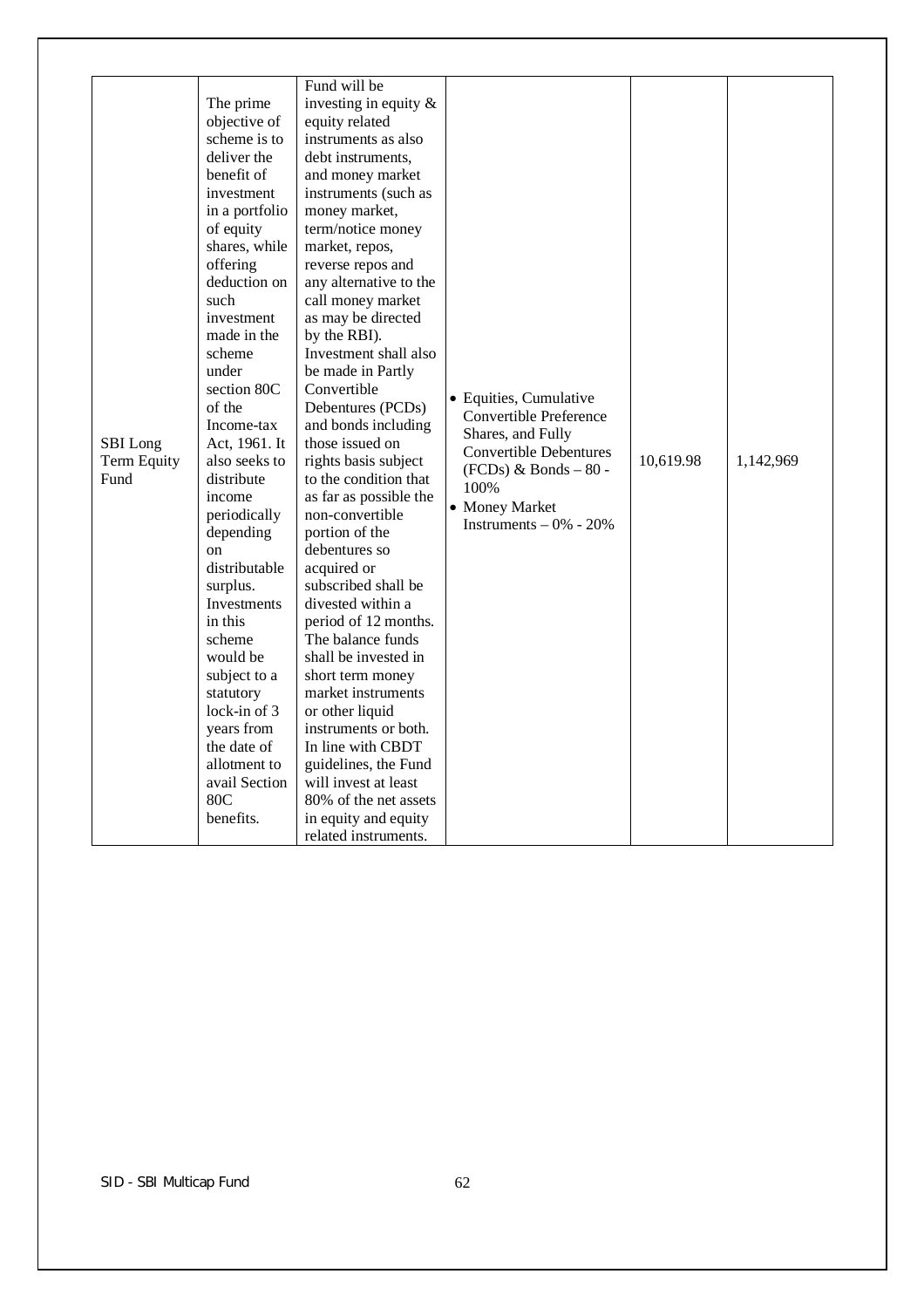| SBI Long<br>Term Equity<br>Fund | The prime<br>objective of<br>scheme is to<br>deliver the<br>benefit of<br>investment<br>in a portfolio<br>of equity<br>shares, while<br>offering<br>deduction on<br>such<br>investment<br>made in the<br>scheme<br>under<br>section 80C<br>of the<br>Income-tax<br>Act, 1961. It<br>also seeks to<br>distribute<br>income<br>periodically<br>depending<br>$_{\rm on}$<br>distributable<br>surplus.<br>Investments<br>in this<br>scheme<br>would be<br>subject to a<br>statutory<br>lock-in of $3$<br>years from<br>the date of<br>allotment to<br>avail Section<br>80C<br>benefits. | Fund will be<br>investing in equity $\&$<br>equity related<br>instruments as also<br>debt instruments.<br>and money market<br>instruments (such as<br>money market,<br>term/notice money<br>market, repos,<br>reverse repos and<br>any alternative to the<br>call money market<br>as may be directed<br>by the RBI).<br>Investment shall also<br>be made in Partly<br>Convertible<br>Debentures (PCDs)<br>and bonds including<br>those issued on<br>rights basis subject<br>to the condition that<br>as far as possible the<br>non-convertible<br>portion of the<br>debentures so<br>acquired or<br>subscribed shall be<br>divested within a<br>period of 12 months.<br>The balance funds<br>shall be invested in<br>short term money<br>market instruments<br>or other liquid<br>instruments or both.<br>In line with CBDT<br>guidelines, the Fund<br>will invest at least<br>80% of the net assets<br>in equity and equity<br>related instruments. | • Equities, Cumulative<br><b>Convertible Preference</b><br>Shares, and Fully<br><b>Convertible Debentures</b><br>$(FCDs)$ & Bonds - 80 -<br>100%<br>• Money Market<br>Instruments $-0\% - 20\%$ | 10,619.98 | 1,142,969 |
|---------------------------------|-------------------------------------------------------------------------------------------------------------------------------------------------------------------------------------------------------------------------------------------------------------------------------------------------------------------------------------------------------------------------------------------------------------------------------------------------------------------------------------------------------------------------------------------------------------------------------------|------------------------------------------------------------------------------------------------------------------------------------------------------------------------------------------------------------------------------------------------------------------------------------------------------------------------------------------------------------------------------------------------------------------------------------------------------------------------------------------------------------------------------------------------------------------------------------------------------------------------------------------------------------------------------------------------------------------------------------------------------------------------------------------------------------------------------------------------------------------------------------------------------------------------------------------------------|-------------------------------------------------------------------------------------------------------------------------------------------------------------------------------------------------|-----------|-----------|
|---------------------------------|-------------------------------------------------------------------------------------------------------------------------------------------------------------------------------------------------------------------------------------------------------------------------------------------------------------------------------------------------------------------------------------------------------------------------------------------------------------------------------------------------------------------------------------------------------------------------------------|------------------------------------------------------------------------------------------------------------------------------------------------------------------------------------------------------------------------------------------------------------------------------------------------------------------------------------------------------------------------------------------------------------------------------------------------------------------------------------------------------------------------------------------------------------------------------------------------------------------------------------------------------------------------------------------------------------------------------------------------------------------------------------------------------------------------------------------------------------------------------------------------------------------------------------------------------|-------------------------------------------------------------------------------------------------------------------------------------------------------------------------------------------------|-----------|-----------|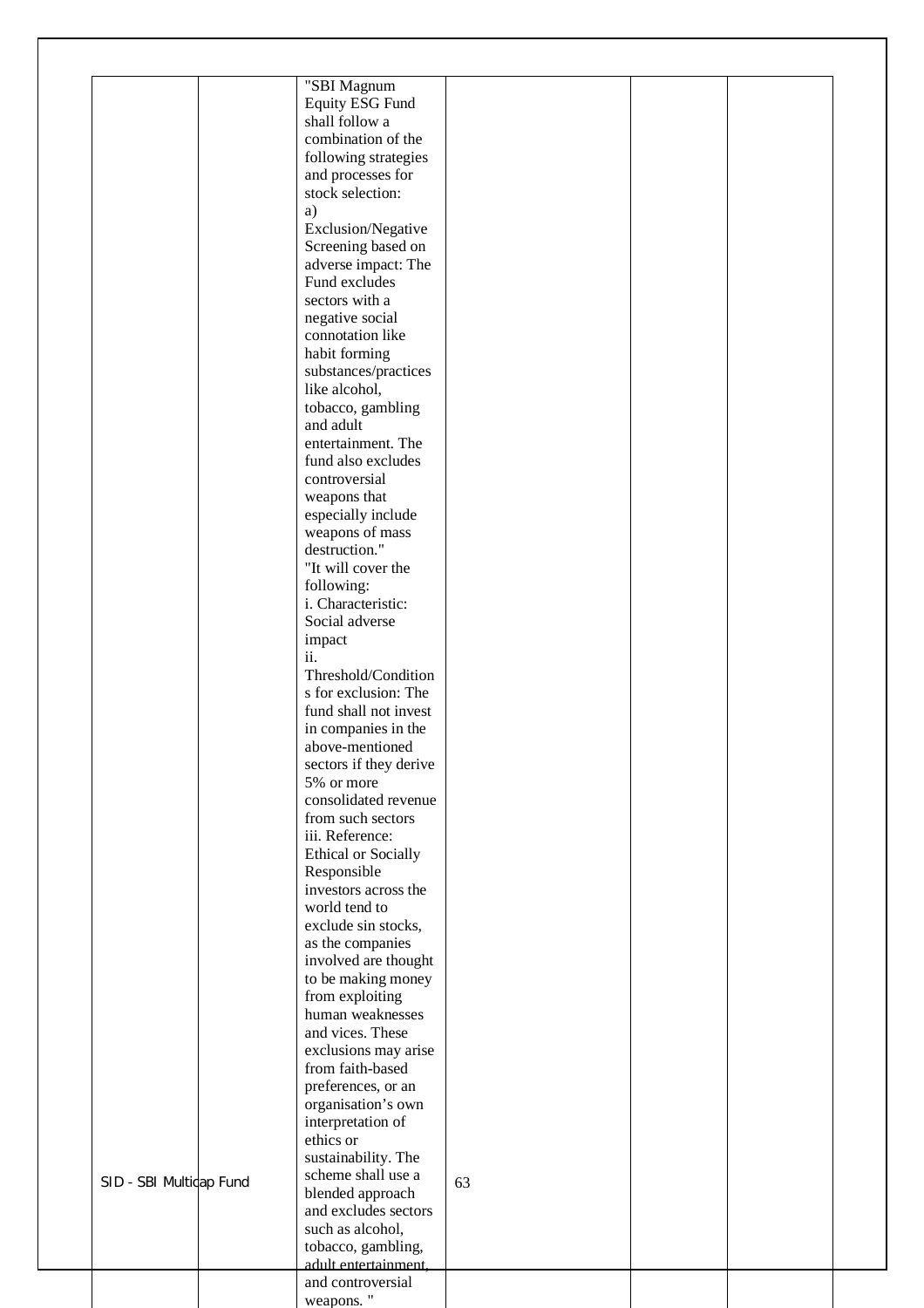|                         | "SBI Magnum                    |    |  |
|-------------------------|--------------------------------|----|--|
|                         | Equity ESG Fund                |    |  |
|                         | shall follow a                 |    |  |
|                         | combination of the             |    |  |
|                         | following strategies           |    |  |
|                         | and processes for              |    |  |
|                         | stock selection:               |    |  |
|                         | a)                             |    |  |
|                         | Exclusion/Negative             |    |  |
|                         | Screening based on             |    |  |
|                         | adverse impact: The            |    |  |
|                         | Fund excludes                  |    |  |
|                         | sectors with a                 |    |  |
|                         | negative social                |    |  |
|                         | connotation like               |    |  |
|                         | habit forming                  |    |  |
|                         | substances/practices           |    |  |
|                         | like alcohol,                  |    |  |
|                         | tobacco, gambling              |    |  |
|                         | and adult                      |    |  |
|                         | entertainment. The             |    |  |
|                         | fund also excludes             |    |  |
|                         | controversial                  |    |  |
|                         | weapons that                   |    |  |
|                         | especially include             |    |  |
|                         | weapons of mass                |    |  |
|                         | destruction."                  |    |  |
|                         | "It will cover the             |    |  |
|                         | following:                     |    |  |
|                         | i. Characteristic:             |    |  |
|                         | Social adverse                 |    |  |
|                         | impact                         |    |  |
|                         | ii.                            |    |  |
|                         | Threshold/Condition            |    |  |
|                         | s for exclusion: The           |    |  |
|                         | fund shall not invest          |    |  |
|                         | in companies in the            |    |  |
|                         | above-mentioned                |    |  |
|                         | sectors if they derive         |    |  |
|                         | 5% or more                     |    |  |
|                         | consolidated revenue           |    |  |
|                         | from such sectors              |    |  |
|                         | iii. Reference:                |    |  |
|                         | <b>Ethical or Socially</b>     |    |  |
|                         | Responsible                    |    |  |
|                         | investors across the           |    |  |
|                         | world tend to                  |    |  |
|                         | exclude sin stocks,            |    |  |
|                         | as the companies               |    |  |
|                         | involved are thought           |    |  |
|                         | to be making money             |    |  |
|                         | from exploiting                |    |  |
|                         | human weaknesses               |    |  |
|                         | and vices. These               |    |  |
|                         | exclusions may arise           |    |  |
|                         | from faith-based               |    |  |
|                         |                                |    |  |
|                         | preferences, or an             |    |  |
|                         | organisation's own             |    |  |
|                         | interpretation of              |    |  |
|                         | ethics or                      |    |  |
|                         | sustainability. The            |    |  |
| SID - SBI Multidap Fund | scheme shall use a             | 63 |  |
|                         | blended approach               |    |  |
|                         | and excludes sectors           |    |  |
|                         |                                |    |  |
|                         | such as alcohol,               |    |  |
|                         | tobacco, gambling,             |    |  |
|                         | adult entertainment,           |    |  |
|                         | and controversial<br>weapons." |    |  |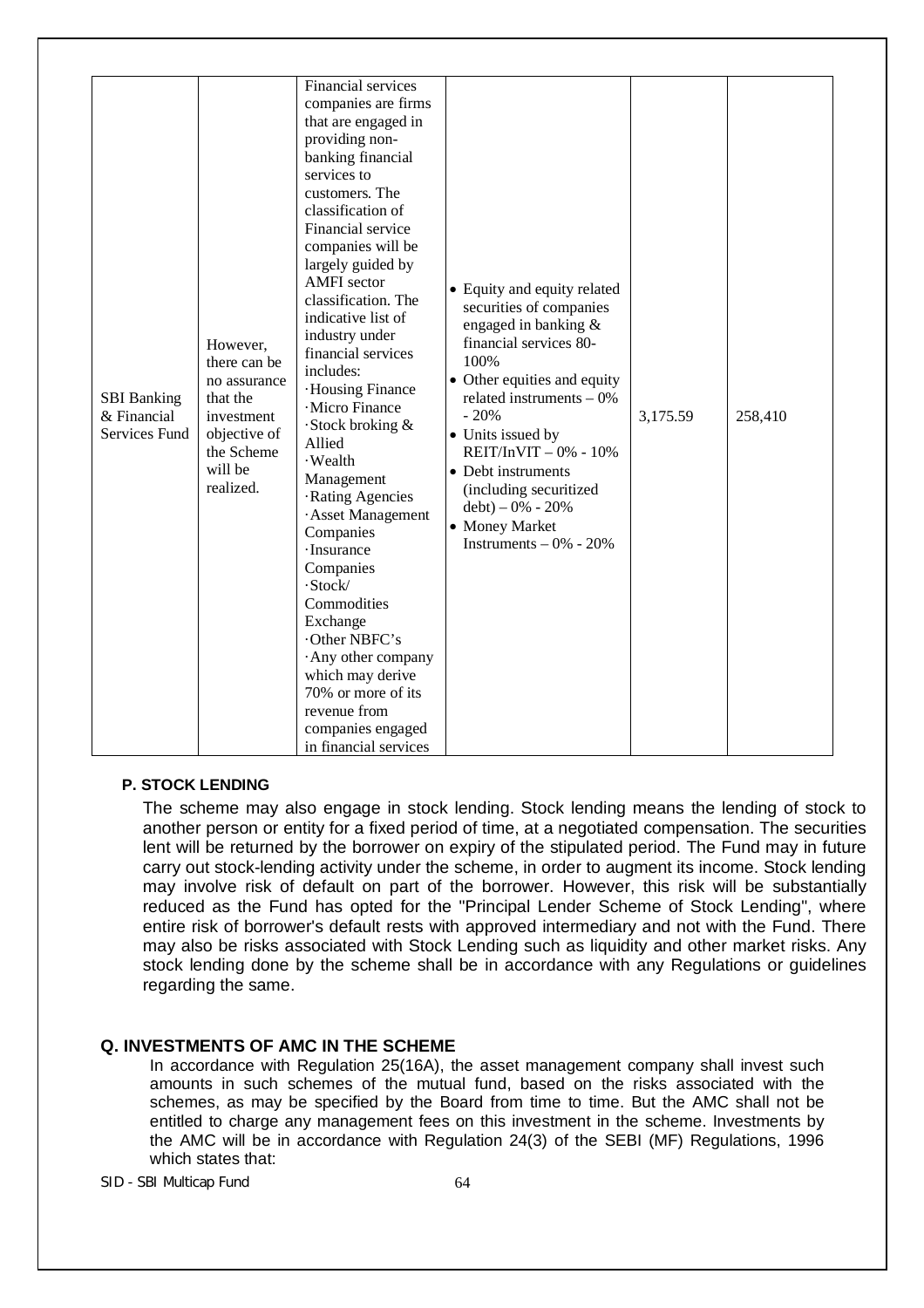| <b>SBI</b> Banking<br>& Financial<br>Services Fund | However,<br>there can be<br>no assurance<br>that the<br>investment<br>objective of<br>the Scheme<br>will be<br>realized. | Financial services<br>companies are firms<br>that are engaged in<br>providing non-<br>banking financial<br>services to<br>customers. The<br>classification of<br>Financial service<br>companies will be<br>largely guided by<br><b>AMFI</b> sector<br>classification. The<br>indicative list of<br>industry under<br>financial services<br>includes:<br>·Housing Finance<br>·Micro Finance<br>Stock broking &<br>Allied<br>· Wealth<br>Management<br>·Rating Agencies<br>· Asset Management<br>Companies<br>· Insurance<br>Companies<br>·Stock/<br>Commodities<br>Exchange<br>Other NBFC's<br>Any other company<br>which may derive<br>70% or more of its<br>revenue from<br>companies engaged<br>in financial services | • Equity and equity related<br>securities of companies<br>engaged in banking &<br>financial services 80-<br>100%<br>• Other equities and equity<br>related instruments $-0\%$<br>$-20%$<br>• Units issued by<br>$REIT/InVIT - 0% - 10%$<br>• Debt instruments<br>(including securitized<br>$debt$ ) – 0% - 20%<br>• Money Market<br>Instruments $-0\% - 20\%$ | 3,175.59 | 258,410 |
|----------------------------------------------------|--------------------------------------------------------------------------------------------------------------------------|-------------------------------------------------------------------------------------------------------------------------------------------------------------------------------------------------------------------------------------------------------------------------------------------------------------------------------------------------------------------------------------------------------------------------------------------------------------------------------------------------------------------------------------------------------------------------------------------------------------------------------------------------------------------------------------------------------------------------|---------------------------------------------------------------------------------------------------------------------------------------------------------------------------------------------------------------------------------------------------------------------------------------------------------------------------------------------------------------|----------|---------|
|----------------------------------------------------|--------------------------------------------------------------------------------------------------------------------------|-------------------------------------------------------------------------------------------------------------------------------------------------------------------------------------------------------------------------------------------------------------------------------------------------------------------------------------------------------------------------------------------------------------------------------------------------------------------------------------------------------------------------------------------------------------------------------------------------------------------------------------------------------------------------------------------------------------------------|---------------------------------------------------------------------------------------------------------------------------------------------------------------------------------------------------------------------------------------------------------------------------------------------------------------------------------------------------------------|----------|---------|

#### **P. STOCK LENDING**

The scheme may also engage in stock lending. Stock lending means the lending of stock to another person or entity for a fixed period of time, at a negotiated compensation. The securities lent will be returned by the borrower on expiry of the stipulated period. The Fund may in future carry out stock-lending activity under the scheme, in order to augment its income. Stock lending may involve risk of default on part of the borrower. However, this risk will be substantially reduced as the Fund has opted for the "Principal Lender Scheme of Stock Lending", where entire risk of borrower's default rests with approved intermediary and not with the Fund. There may also be risks associated with Stock Lending such as liquidity and other market risks. Any stock lending done by the scheme shall be in accordance with any Regulations or guidelines regarding the same.

#### **Q. INVESTMENTS OF AMC IN THE SCHEME**

In accordance with Regulation 25(16A), the asset management company shall invest such amounts in such schemes of the mutual fund, based on the risks associated with the schemes, as may be specified by the Board from time to time. But the AMC shall not be entitled to charge any management fees on this investment in the scheme. Investments by the AMC will be in accordance with Regulation 24(3) of the SEBI (MF) Regulations, 1996 which states that: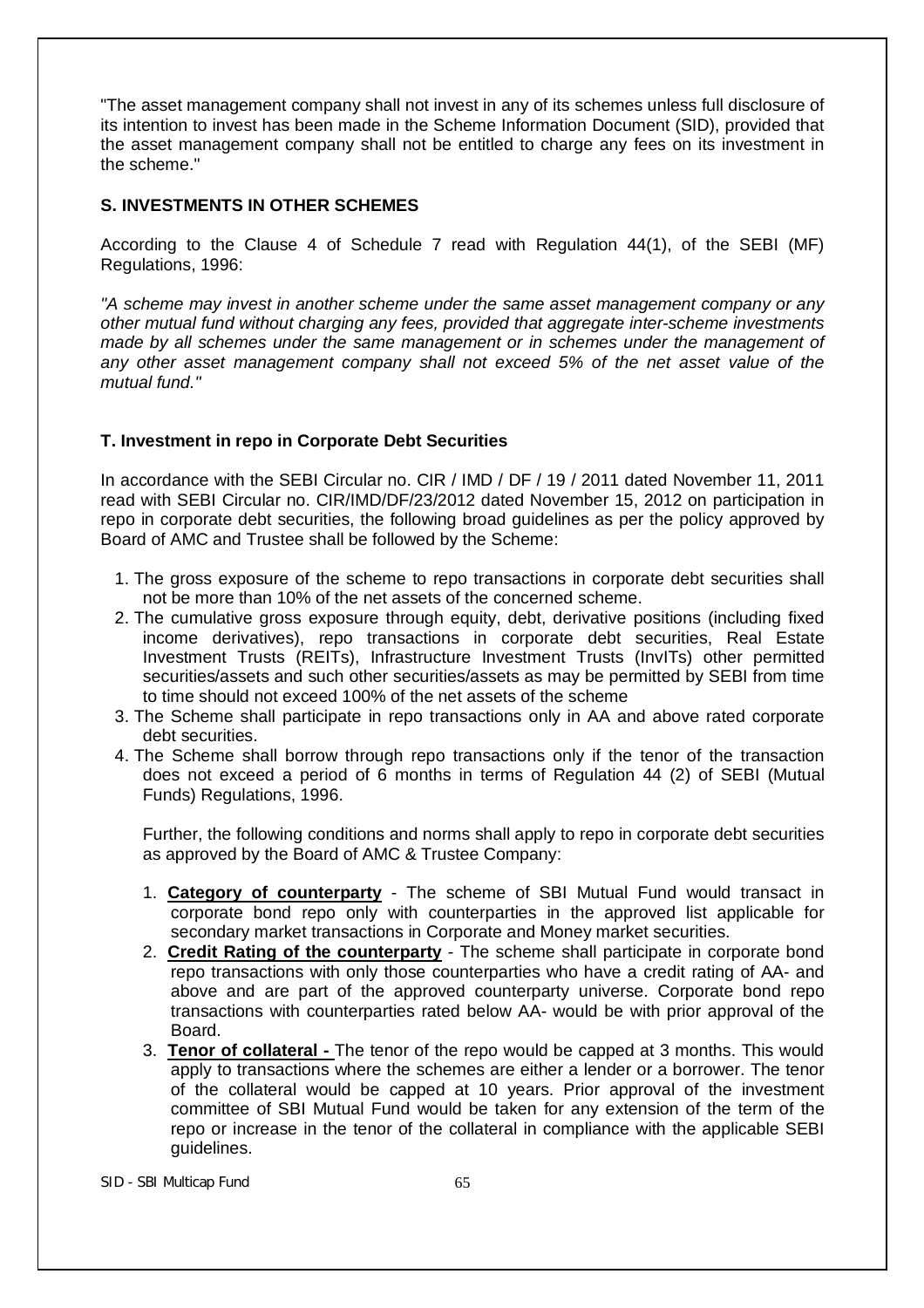"The asset management company shall not invest in any of its schemes unless full disclosure of its intention to invest has been made in the Scheme Information Document (SID), provided that the asset management company shall not be entitled to charge any fees on its investment in the scheme."

### **S. INVESTMENTS IN OTHER SCHEMES**

According to the Clause 4 of Schedule 7 read with Regulation 44(1), of the SEBI (MF) Regulations, 1996:

*"A scheme may invest in another scheme under the same asset management company or any other mutual fund without charging any fees, provided that aggregate inter-scheme investments made by all schemes under the same management or in schemes under the management of any other asset management company shall not exceed 5% of the net asset value of the mutual fund."*

### **T. Investment in repo in Corporate Debt Securities**

In accordance with the SEBI Circular no. CIR / IMD / DF / 19 / 2011 dated November 11, 2011 read with SEBI Circular no. CIR/IMD/DF/23/2012 dated November 15, 2012 on participation in repo in corporate debt securities, the following broad guidelines as per the policy approved by Board of AMC and Trustee shall be followed by the Scheme:

- 1. The gross exposure of the scheme to repo transactions in corporate debt securities shall not be more than 10% of the net assets of the concerned scheme.
- 2. The cumulative gross exposure through equity, debt, derivative positions (including fixed income derivatives), repo transactions in corporate debt securities, Real Estate Investment Trusts (REITs), Infrastructure Investment Trusts (InvITs) other permitted securities/assets and such other securities/assets as may be permitted by SEBI from time to time should not exceed 100% of the net assets of the scheme
- 3. The Scheme shall participate in repo transactions only in AA and above rated corporate debt securities.
- 4. The Scheme shall borrow through repo transactions only if the tenor of the transaction does not exceed a period of 6 months in terms of Regulation 44 (2) of SEBI (Mutual Funds) Regulations, 1996.

Further, the following conditions and norms shall apply to repo in corporate debt securities as approved by the Board of AMC & Trustee Company:

- 1. **Category of counterparty** The scheme of SBI Mutual Fund would transact in corporate bond repo only with counterparties in the approved list applicable for secondary market transactions in Corporate and Money market securities.
- 2. **Credit Rating of the counterparty** The scheme shall participate in corporate bond repo transactions with only those counterparties who have a credit rating of AA- and above and are part of the approved counterparty universe. Corporate bond repo transactions with counterparties rated below AA- would be with prior approval of the Board.
- 3. **Tenor of collateral -** The tenor of the repo would be capped at 3 months. This would apply to transactions where the schemes are either a lender or a borrower. The tenor of the collateral would be capped at 10 years. Prior approval of the investment committee of SBI Mutual Fund would be taken for any extension of the term of the repo or increase in the tenor of the collateral in compliance with the applicable SEBI guidelines.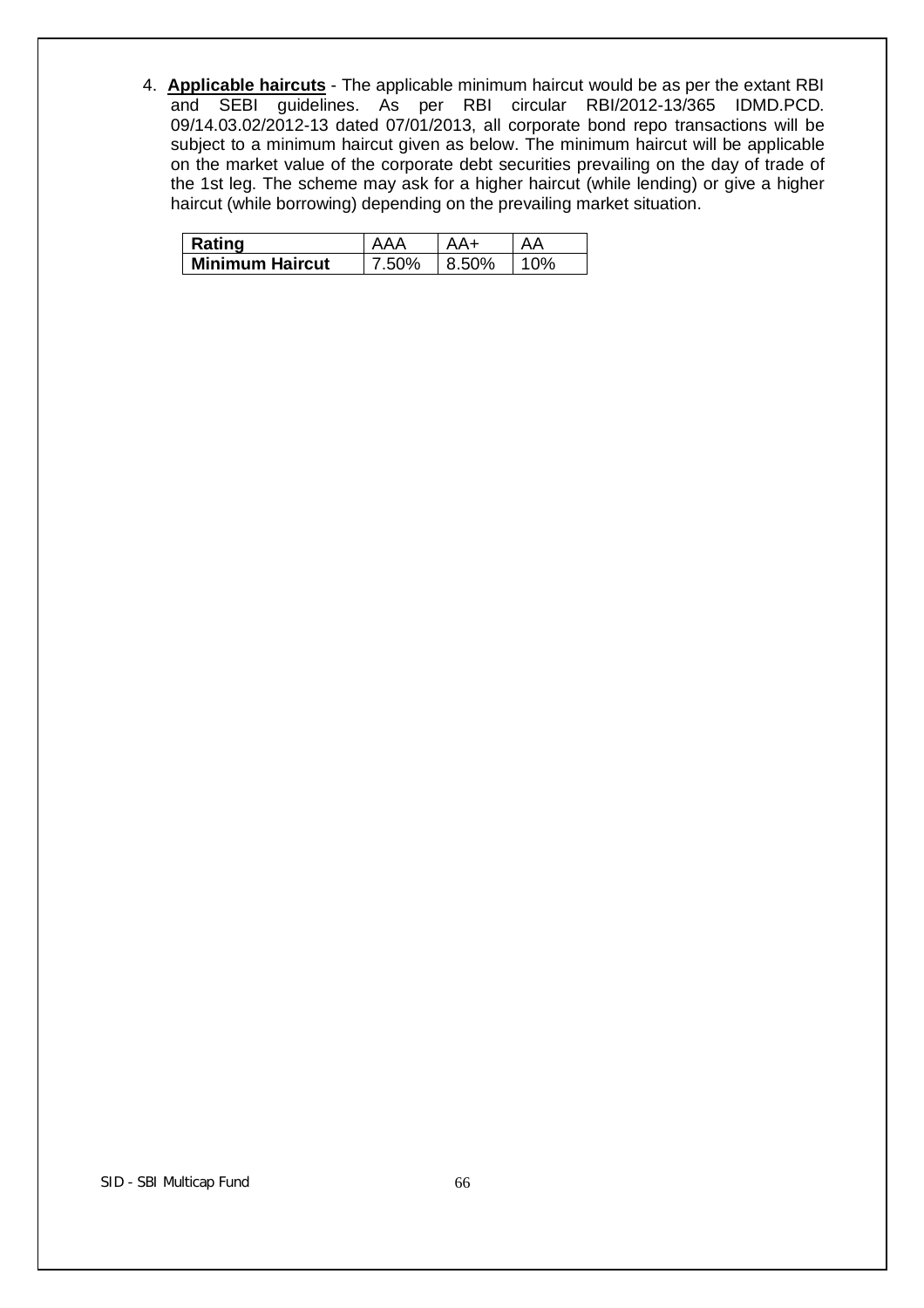4. **Applicable haircuts** - The applicable minimum haircut would be as per the extant RBI and SEBI guidelines. As per RBI circular RBI/2012-13/365 IDMD.PCD. 09/14.03.02/2012-13 dated 07/01/2013, all corporate bond repo transactions will be subject to a minimum haircut given as below. The minimum haircut will be applicable on the market value of the corporate debt securities prevailing on the day of trade of the 1st leg. The scheme may ask for a higher haircut (while lending) or give a higher haircut (while borrowing) depending on the prevailing market situation.

| Rating                 | ΔΔΔ   |       |  |
|------------------------|-------|-------|--|
| <b>Minimum Haircut</b> | 7.50% | 8.50% |  |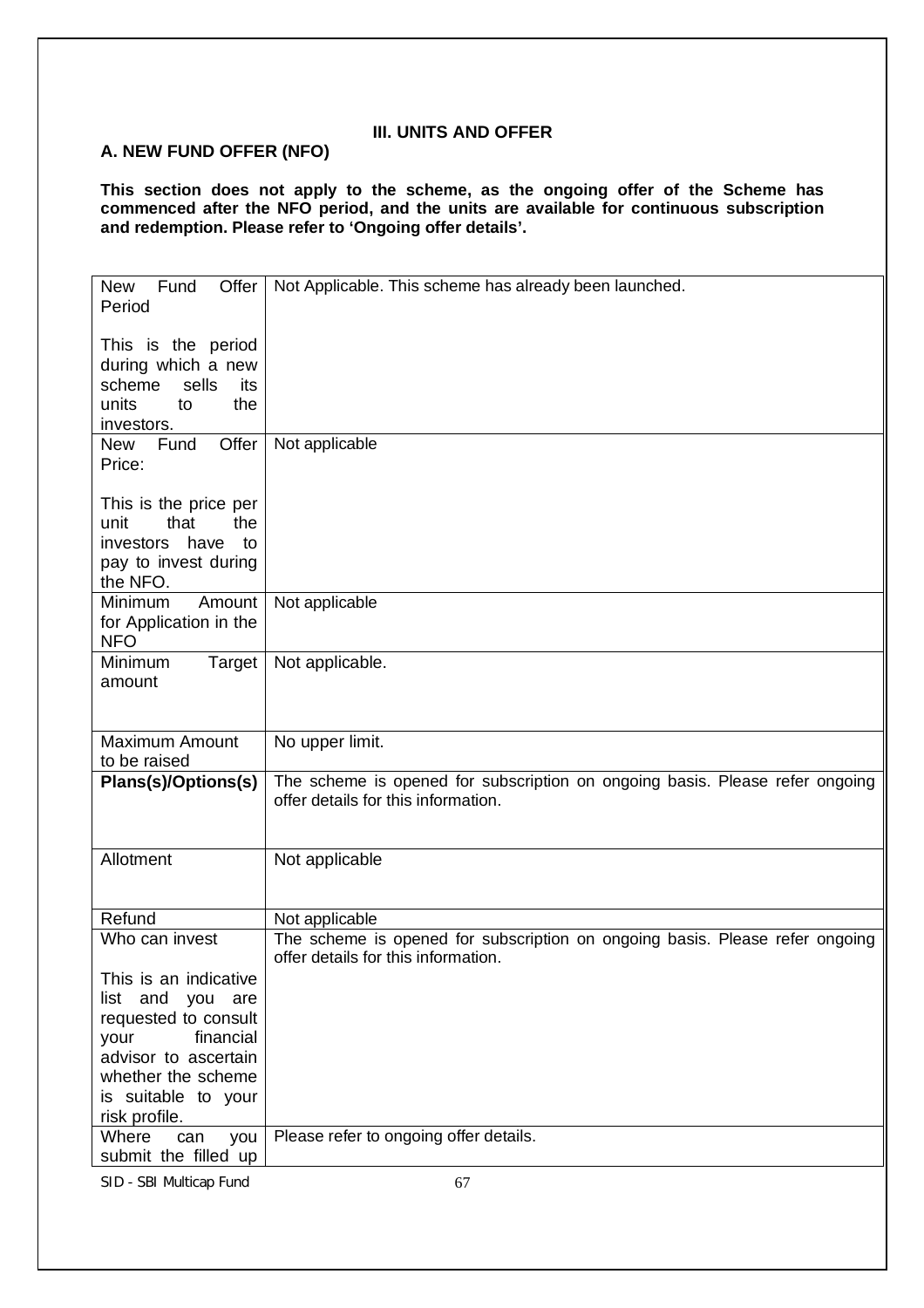# **III. UNITS AND OFFER**

# **A. NEW FUND OFFER (NFO)**

**This section does not apply to the scheme, as the ongoing offer of the Scheme has commenced after the NFO period, and the units are available for continuous subscription and redemption. Please refer to 'Ongoing offer details'.** 

| Offer<br>New Fund<br>Period                                                                                 | Not Applicable. This scheme has already been launched.                                                              |
|-------------------------------------------------------------------------------------------------------------|---------------------------------------------------------------------------------------------------------------------|
| This is the period<br>during which a new<br>sells<br>scheme<br>its<br>units<br>the<br>to<br>investors.      |                                                                                                                     |
| Offer<br>New Fund<br>Price:                                                                                 | Not applicable                                                                                                      |
| This is the price per<br>that<br>unit<br>the<br>investors<br>have<br>to<br>pay to invest during<br>the NFO. |                                                                                                                     |
| Minimum<br>Amount<br>for Application in the<br><b>NFO</b>                                                   | Not applicable                                                                                                      |
| Minimum<br>Target<br>amount                                                                                 | Not applicable.                                                                                                     |
| <b>Maximum Amount</b><br>to be raised                                                                       | No upper limit.                                                                                                     |
| Plans(s)/Options(s)                                                                                         | The scheme is opened for subscription on ongoing basis. Please refer ongoing<br>offer details for this information. |
| Allotment                                                                                                   | Not applicable                                                                                                      |
| Refund                                                                                                      | Not applicable                                                                                                      |
| Who can invest                                                                                              | The scheme is opened for subscription on ongoing basis. Please refer ongoing<br>offer details for this information. |
| This is an indicative<br>list and<br>you are                                                                |                                                                                                                     |
| requested to consult<br>financial<br>your<br>advisor to ascertain                                           |                                                                                                                     |
| whether the scheme                                                                                          |                                                                                                                     |
| is suitable to your                                                                                         |                                                                                                                     |
| risk profile.                                                                                               |                                                                                                                     |
| Where<br>you<br>can<br>submit the filled up                                                                 | Please refer to ongoing offer details.                                                                              |
| SID - SBI Multicap Fund                                                                                     | 67                                                                                                                  |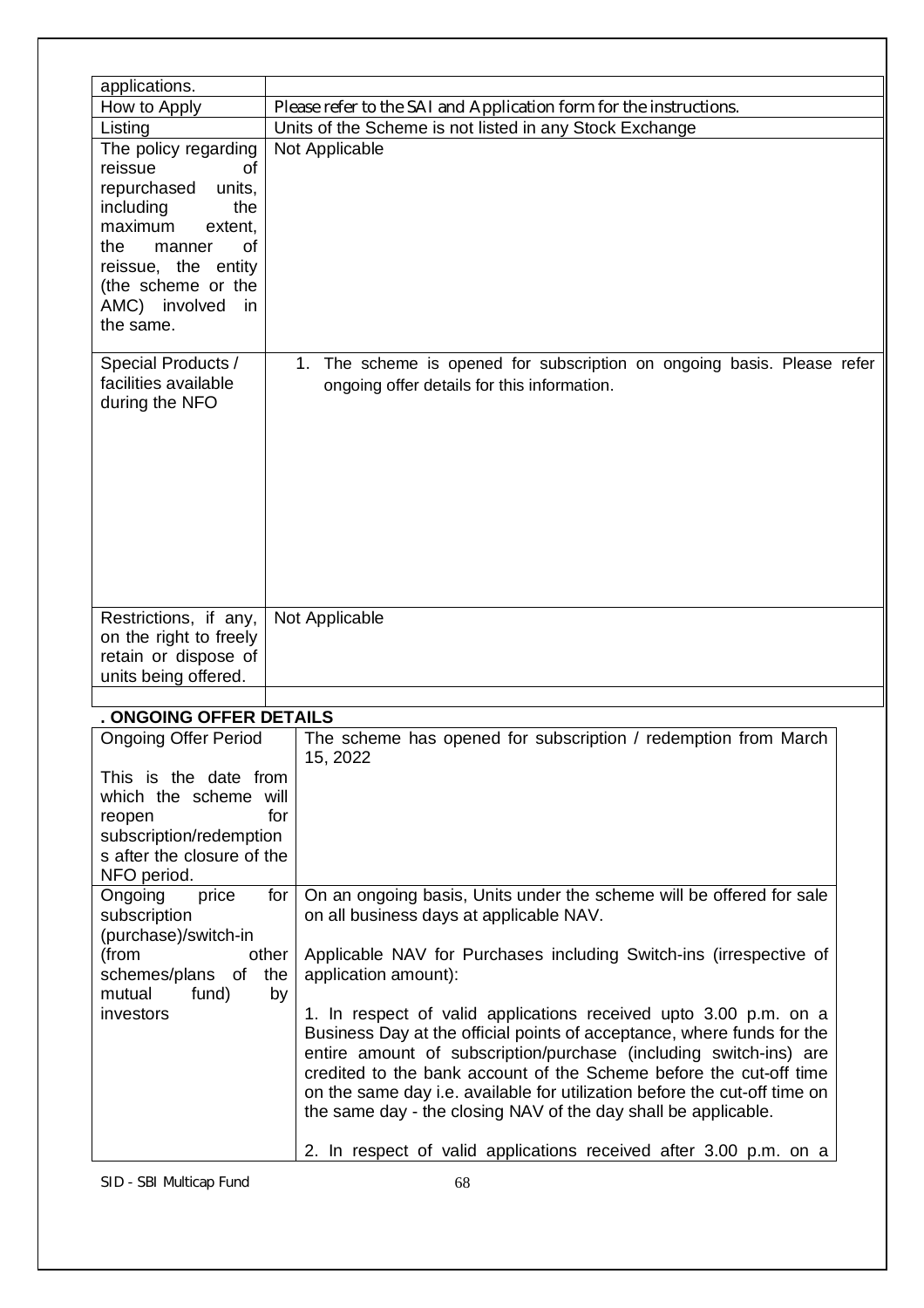| applications.                                                                                                                                                                                                    |                                                                                                                                                                                                                                                                                                                                                                                                                                                                                                                                                                                                                                                                                                                                                         |
|------------------------------------------------------------------------------------------------------------------------------------------------------------------------------------------------------------------|---------------------------------------------------------------------------------------------------------------------------------------------------------------------------------------------------------------------------------------------------------------------------------------------------------------------------------------------------------------------------------------------------------------------------------------------------------------------------------------------------------------------------------------------------------------------------------------------------------------------------------------------------------------------------------------------------------------------------------------------------------|
| How to Apply                                                                                                                                                                                                     | Please refer to the SAI and Application form for the instructions.                                                                                                                                                                                                                                                                                                                                                                                                                                                                                                                                                                                                                                                                                      |
| Listing                                                                                                                                                                                                          | Units of the Scheme is not listed in any Stock Exchange                                                                                                                                                                                                                                                                                                                                                                                                                                                                                                                                                                                                                                                                                                 |
| The policy regarding<br>reissue<br>of<br>repurchased<br>units,<br>including<br>the<br>maximum<br>extent,<br>the<br>οf<br>manner<br>reissue, the entity<br>(the scheme or the<br>AMC) involved<br>in<br>the same. | Not Applicable                                                                                                                                                                                                                                                                                                                                                                                                                                                                                                                                                                                                                                                                                                                                          |
| Special Products /<br>facilities available<br>during the NFO                                                                                                                                                     | 1. The scheme is opened for subscription on ongoing basis. Please refer<br>ongoing offer details for this information.                                                                                                                                                                                                                                                                                                                                                                                                                                                                                                                                                                                                                                  |
| Restrictions, if any,<br>on the right to freely<br>retain or dispose of<br>units being offered.                                                                                                                  | Not Applicable                                                                                                                                                                                                                                                                                                                                                                                                                                                                                                                                                                                                                                                                                                                                          |
|                                                                                                                                                                                                                  |                                                                                                                                                                                                                                                                                                                                                                                                                                                                                                                                                                                                                                                                                                                                                         |
| . ONGOING OFFER DETAILS                                                                                                                                                                                          |                                                                                                                                                                                                                                                                                                                                                                                                                                                                                                                                                                                                                                                                                                                                                         |
| <b>Ongoing Offer Period</b><br>This is the date from<br>which the scheme will<br>reopen<br>subscription/redemption<br>s after the closure of the<br>NFO period.                                                  | The scheme has opened for subscription / redemption from March<br>15, 2022<br>for                                                                                                                                                                                                                                                                                                                                                                                                                                                                                                                                                                                                                                                                       |
| Ongoing<br>price<br>subscription<br>(purchase)/switch-in<br>(from<br>schemes/plans of<br>fund)<br>mutual<br>investors                                                                                            | On an ongoing basis, Units under the scheme will be offered for sale<br>for<br>on all business days at applicable NAV.<br>Applicable NAV for Purchases including Switch-ins (irrespective of<br>other<br>application amount):<br>the<br>by<br>1. In respect of valid applications received upto 3.00 p.m. on a<br>Business Day at the official points of acceptance, where funds for the<br>entire amount of subscription/purchase (including switch-ins) are<br>credited to the bank account of the Scheme before the cut-off time<br>on the same day i.e. available for utilization before the cut-off time on<br>the same day - the closing NAV of the day shall be applicable.<br>2. In respect of valid applications received after 3.00 p.m. on a |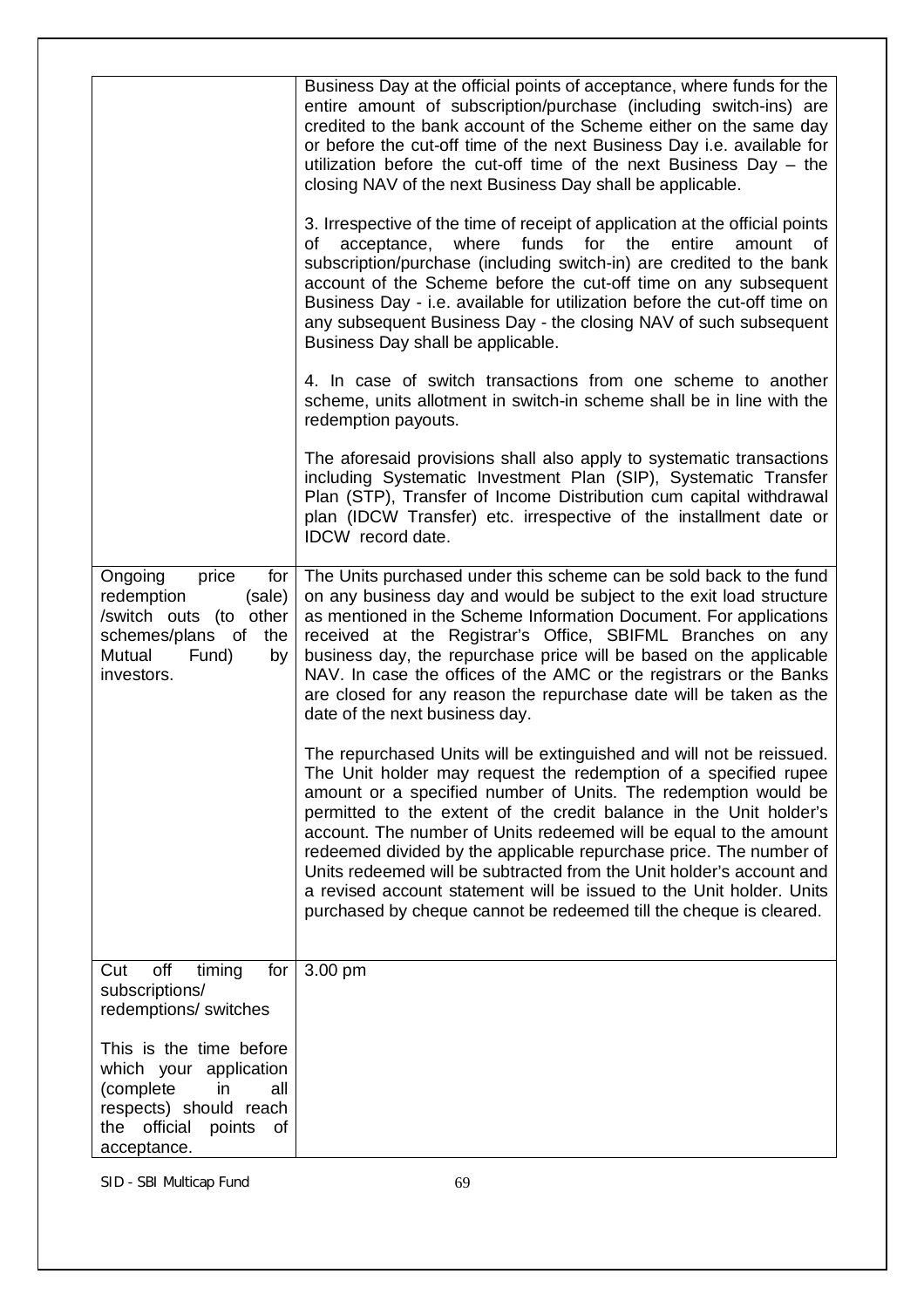|                                                                                                                                                   | Business Day at the official points of acceptance, where funds for the<br>entire amount of subscription/purchase (including switch-ins) are<br>credited to the bank account of the Scheme either on the same day                                                                                                                                                                                                                                                                                                                                                                                                                                 |
|---------------------------------------------------------------------------------------------------------------------------------------------------|--------------------------------------------------------------------------------------------------------------------------------------------------------------------------------------------------------------------------------------------------------------------------------------------------------------------------------------------------------------------------------------------------------------------------------------------------------------------------------------------------------------------------------------------------------------------------------------------------------------------------------------------------|
|                                                                                                                                                   | or before the cut-off time of the next Business Day i.e. available for<br>utilization before the cut-off time of the next Business Day $-$ the<br>closing NAV of the next Business Day shall be applicable.                                                                                                                                                                                                                                                                                                                                                                                                                                      |
|                                                                                                                                                   | 3. Irrespective of the time of receipt of application at the official points<br>where<br>funds for the<br>acceptance,<br>entire<br>amount of<br>of<br>subscription/purchase (including switch-in) are credited to the bank<br>account of the Scheme before the cut-off time on any subsequent<br>Business Day - i.e. available for utilization before the cut-off time on<br>any subsequent Business Day - the closing NAV of such subsequent<br>Business Day shall be applicable.                                                                                                                                                               |
|                                                                                                                                                   | 4. In case of switch transactions from one scheme to another<br>scheme, units allotment in switch-in scheme shall be in line with the<br>redemption payouts.                                                                                                                                                                                                                                                                                                                                                                                                                                                                                     |
|                                                                                                                                                   | The aforesaid provisions shall also apply to systematic transactions<br>including Systematic Investment Plan (SIP), Systematic Transfer<br>Plan (STP), Transfer of Income Distribution cum capital withdrawal<br>plan (IDCW Transfer) etc. irrespective of the installment date or<br>IDCW record date.                                                                                                                                                                                                                                                                                                                                          |
| price<br>Ongoing<br>for<br>redemption<br>(sale)<br>/switch outs (to other<br>schemes/plans of<br>the<br>Mutual<br>Fund)<br>by<br>investors.       | The Units purchased under this scheme can be sold back to the fund<br>on any business day and would be subject to the exit load structure<br>as mentioned in the Scheme Information Document. For applications<br>received at the Registrar's Office, SBIFML Branches on any<br>business day, the repurchase price will be based on the applicable<br>NAV. In case the offices of the AMC or the registrars or the Banks<br>are closed for any reason the repurchase date will be taken as the<br>date of the next business day.                                                                                                                 |
|                                                                                                                                                   | The repurchased Units will be extinguished and will not be reissued.<br>The Unit holder may request the redemption of a specified rupee<br>amount or a specified number of Units. The redemption would be<br>permitted to the extent of the credit balance in the Unit holder's<br>account. The number of Units redeemed will be equal to the amount<br>redeemed divided by the applicable repurchase price. The number of<br>Units redeemed will be subtracted from the Unit holder's account and<br>a revised account statement will be issued to the Unit holder. Units<br>purchased by cheque cannot be redeemed till the cheque is cleared. |
| off<br>Cut<br>timing<br>for<br>subscriptions/<br>redemptions/ switches                                                                            | 3.00 pm                                                                                                                                                                                                                                                                                                                                                                                                                                                                                                                                                                                                                                          |
| This is the time before<br>which your application<br>(complete<br>in<br>all<br>respects) should reach<br>the official<br>points of<br>acceptance. |                                                                                                                                                                                                                                                                                                                                                                                                                                                                                                                                                                                                                                                  |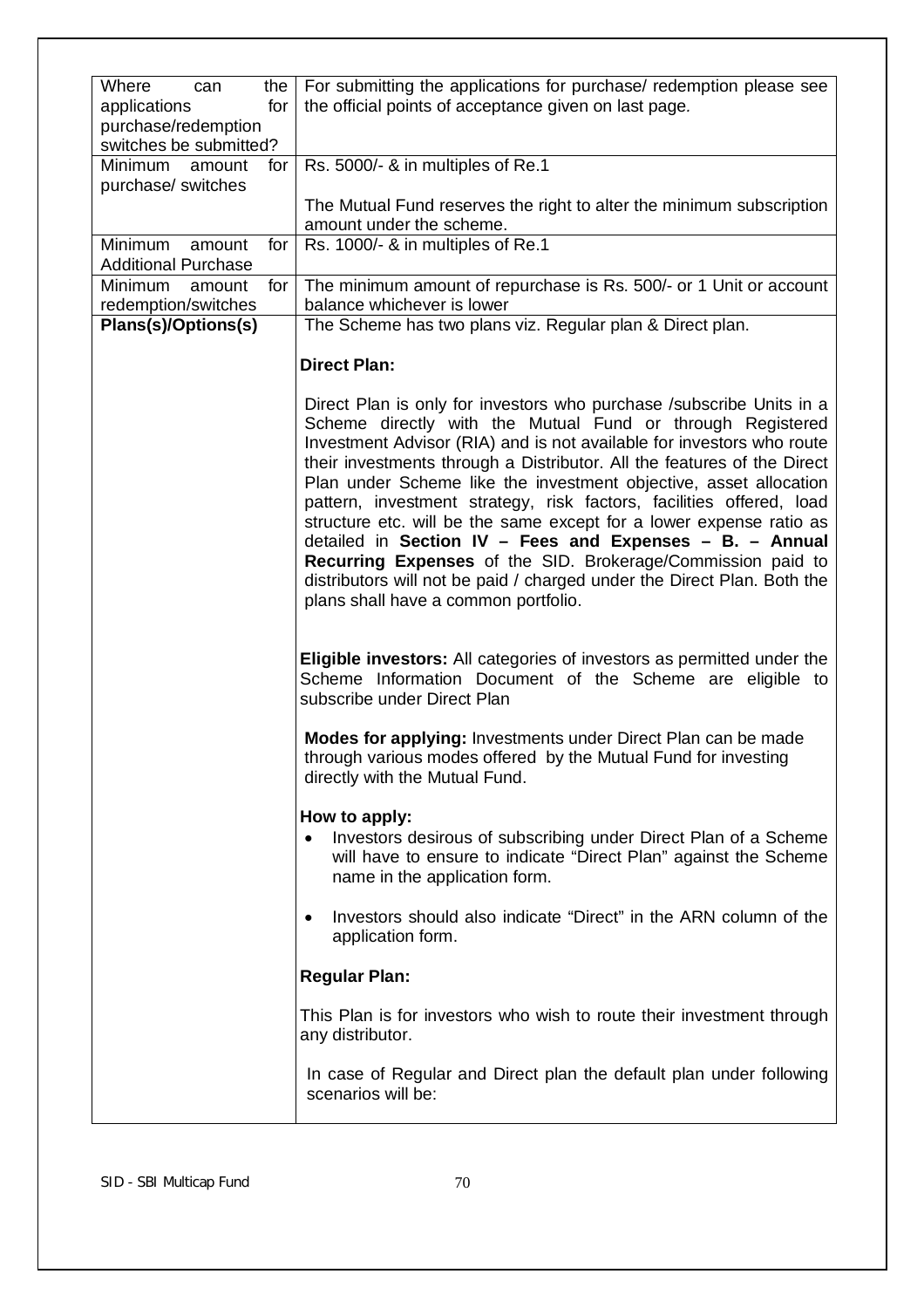| Where<br>can                         | the $ $ | For submitting the applications for purchase/ redemption please see                                                                                                                                                                                                                                                                                                                                                                                                                                                                                                                                                                                                                                                                                       |
|--------------------------------------|---------|-----------------------------------------------------------------------------------------------------------------------------------------------------------------------------------------------------------------------------------------------------------------------------------------------------------------------------------------------------------------------------------------------------------------------------------------------------------------------------------------------------------------------------------------------------------------------------------------------------------------------------------------------------------------------------------------------------------------------------------------------------------|
| applications                         | for     | the official points of acceptance given on last page.                                                                                                                                                                                                                                                                                                                                                                                                                                                                                                                                                                                                                                                                                                     |
| purchase/redemption                  |         |                                                                                                                                                                                                                                                                                                                                                                                                                                                                                                                                                                                                                                                                                                                                                           |
| switches be submitted?               |         |                                                                                                                                                                                                                                                                                                                                                                                                                                                                                                                                                                                                                                                                                                                                                           |
| Minimum<br>amount                    | for     | Rs. 5000/- & in multiples of Re.1                                                                                                                                                                                                                                                                                                                                                                                                                                                                                                                                                                                                                                                                                                                         |
| purchase/ switches                   |         |                                                                                                                                                                                                                                                                                                                                                                                                                                                                                                                                                                                                                                                                                                                                                           |
|                                      |         | The Mutual Fund reserves the right to alter the minimum subscription                                                                                                                                                                                                                                                                                                                                                                                                                                                                                                                                                                                                                                                                                      |
| Minimum                              |         | amount under the scheme.                                                                                                                                                                                                                                                                                                                                                                                                                                                                                                                                                                                                                                                                                                                                  |
| amount<br><b>Additional Purchase</b> | for     | Rs. 1000/- & in multiples of Re.1                                                                                                                                                                                                                                                                                                                                                                                                                                                                                                                                                                                                                                                                                                                         |
| Minimum<br>amount                    | for     | The minimum amount of repurchase is Rs. 500/- or 1 Unit or account                                                                                                                                                                                                                                                                                                                                                                                                                                                                                                                                                                                                                                                                                        |
| redemption/switches                  |         | balance whichever is lower                                                                                                                                                                                                                                                                                                                                                                                                                                                                                                                                                                                                                                                                                                                                |
| Plans(s)/Options(s)                  |         | The Scheme has two plans viz. Regular plan & Direct plan.                                                                                                                                                                                                                                                                                                                                                                                                                                                                                                                                                                                                                                                                                                 |
|                                      |         | <b>Direct Plan:</b>                                                                                                                                                                                                                                                                                                                                                                                                                                                                                                                                                                                                                                                                                                                                       |
|                                      |         |                                                                                                                                                                                                                                                                                                                                                                                                                                                                                                                                                                                                                                                                                                                                                           |
|                                      |         | Direct Plan is only for investors who purchase / subscribe Units in a<br>Scheme directly with the Mutual Fund or through Registered<br>Investment Advisor (RIA) and is not available for investors who route<br>their investments through a Distributor. All the features of the Direct<br>Plan under Scheme like the investment objective, asset allocation<br>pattern, investment strategy, risk factors, facilities offered, load<br>structure etc. will be the same except for a lower expense ratio as<br>detailed in Section IV - Fees and Expenses - B. - Annual<br>Recurring Expenses of the SID. Brokerage/Commission paid to<br>distributors will not be paid / charged under the Direct Plan. Both the<br>plans shall have a common portfolio. |
|                                      |         | Eligible investors: All categories of investors as permitted under the<br>Scheme Information Document of the Scheme are eligible to<br>subscribe under Direct Plan                                                                                                                                                                                                                                                                                                                                                                                                                                                                                                                                                                                        |
|                                      |         | Modes for applying: Investments under Direct Plan can be made<br>through various modes offered by the Mutual Fund for investing<br>directly with the Mutual Fund.                                                                                                                                                                                                                                                                                                                                                                                                                                                                                                                                                                                         |
|                                      |         |                                                                                                                                                                                                                                                                                                                                                                                                                                                                                                                                                                                                                                                                                                                                                           |
|                                      |         | How to apply:<br>Investors desirous of subscribing under Direct Plan of a Scheme<br>٠<br>will have to ensure to indicate "Direct Plan" against the Scheme<br>name in the application form.                                                                                                                                                                                                                                                                                                                                                                                                                                                                                                                                                                |
|                                      |         | Investors should also indicate "Direct" in the ARN column of the<br>٠<br>application form.                                                                                                                                                                                                                                                                                                                                                                                                                                                                                                                                                                                                                                                                |
|                                      |         | <b>Regular Plan:</b>                                                                                                                                                                                                                                                                                                                                                                                                                                                                                                                                                                                                                                                                                                                                      |
|                                      |         | This Plan is for investors who wish to route their investment through<br>any distributor.                                                                                                                                                                                                                                                                                                                                                                                                                                                                                                                                                                                                                                                                 |
|                                      |         | In case of Regular and Direct plan the default plan under following<br>scenarios will be:                                                                                                                                                                                                                                                                                                                                                                                                                                                                                                                                                                                                                                                                 |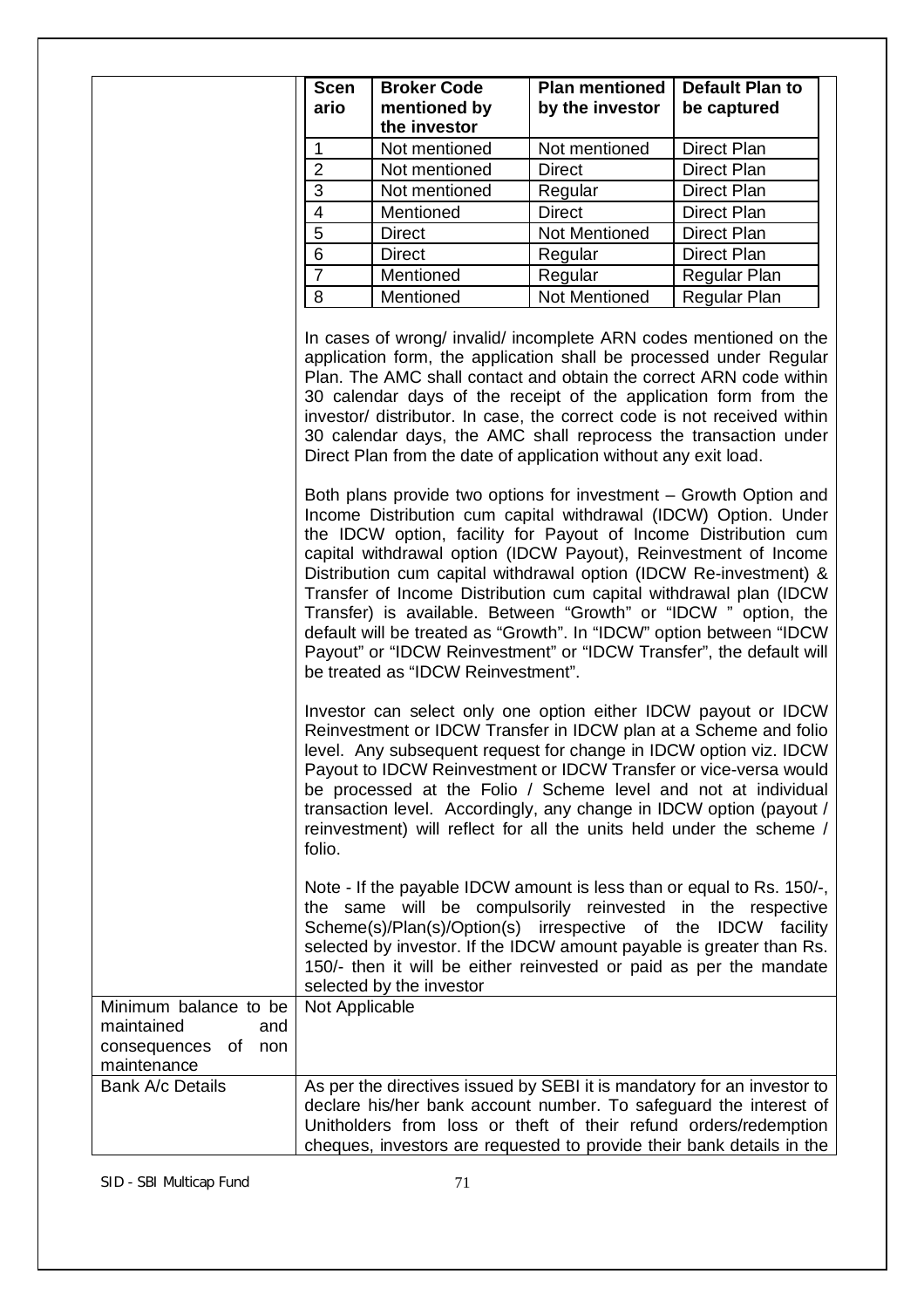|                                                                                        | <b>Scen</b><br>ario                                                                                                                                                                                                                                                                                                                                                                                                                                                                                                                                                                                                                                                                                                                                                              | <b>Broker Code</b><br>mentioned by<br>the investor                                                                                                                                                                                                                                                                                                                                                                                                                                           | <b>Plan mentioned</b><br>by the investor | <b>Default Plan to</b><br>be captured |
|----------------------------------------------------------------------------------------|----------------------------------------------------------------------------------------------------------------------------------------------------------------------------------------------------------------------------------------------------------------------------------------------------------------------------------------------------------------------------------------------------------------------------------------------------------------------------------------------------------------------------------------------------------------------------------------------------------------------------------------------------------------------------------------------------------------------------------------------------------------------------------|----------------------------------------------------------------------------------------------------------------------------------------------------------------------------------------------------------------------------------------------------------------------------------------------------------------------------------------------------------------------------------------------------------------------------------------------------------------------------------------------|------------------------------------------|---------------------------------------|
|                                                                                        | $\mathbf{1}$                                                                                                                                                                                                                                                                                                                                                                                                                                                                                                                                                                                                                                                                                                                                                                     | Not mentioned                                                                                                                                                                                                                                                                                                                                                                                                                                                                                | Not mentioned                            | Direct Plan                           |
|                                                                                        | $\overline{2}$                                                                                                                                                                                                                                                                                                                                                                                                                                                                                                                                                                                                                                                                                                                                                                   | Not mentioned                                                                                                                                                                                                                                                                                                                                                                                                                                                                                | <b>Direct</b>                            | Direct Plan                           |
|                                                                                        | 3                                                                                                                                                                                                                                                                                                                                                                                                                                                                                                                                                                                                                                                                                                                                                                                | Not mentioned                                                                                                                                                                                                                                                                                                                                                                                                                                                                                | Regular                                  | <b>Direct Plan</b>                    |
|                                                                                        | $\overline{4}$                                                                                                                                                                                                                                                                                                                                                                                                                                                                                                                                                                                                                                                                                                                                                                   | Mentioned                                                                                                                                                                                                                                                                                                                                                                                                                                                                                    | <b>Direct</b>                            | <b>Direct Plan</b>                    |
|                                                                                        | $\overline{5}$                                                                                                                                                                                                                                                                                                                                                                                                                                                                                                                                                                                                                                                                                                                                                                   | <b>Direct</b>                                                                                                                                                                                                                                                                                                                                                                                                                                                                                | Not Mentioned                            | Direct Plan                           |
|                                                                                        | $6\phantom{1}6$                                                                                                                                                                                                                                                                                                                                                                                                                                                                                                                                                                                                                                                                                                                                                                  | <b>Direct</b>                                                                                                                                                                                                                                                                                                                                                                                                                                                                                | Regular                                  | <b>Direct Plan</b>                    |
|                                                                                        | $\overline{7}$                                                                                                                                                                                                                                                                                                                                                                                                                                                                                                                                                                                                                                                                                                                                                                   | Mentioned                                                                                                                                                                                                                                                                                                                                                                                                                                                                                    | Regular                                  | Regular Plan                          |
|                                                                                        | $\,8\,$                                                                                                                                                                                                                                                                                                                                                                                                                                                                                                                                                                                                                                                                                                                                                                          | Mentioned                                                                                                                                                                                                                                                                                                                                                                                                                                                                                    | Not Mentioned                            | Regular Plan                          |
|                                                                                        | In cases of wrong/ invalid/ incomplete ARN codes mentioned on the<br>application form, the application shall be processed under Regular<br>Plan. The AMC shall contact and obtain the correct ARN code within<br>30 calendar days of the receipt of the application form from the<br>investor/ distributor. In case, the correct code is not received within<br>30 calendar days, the AMC shall reprocess the transaction under<br>Direct Plan from the date of application without any exit load.<br>Both plans provide two options for investment - Growth Option and<br>Income Distribution cum capital withdrawal (IDCW) Option. Under<br>the IDCW option, facility for Payout of Income Distribution cum<br>capital withdrawal option (IDCW Payout), Reinvestment of Income |                                                                                                                                                                                                                                                                                                                                                                                                                                                                                              |                                          |                                       |
|                                                                                        | be treated as "IDCW Reinvestment".                                                                                                                                                                                                                                                                                                                                                                                                                                                                                                                                                                                                                                                                                                                                               | Distribution cum capital withdrawal option (IDCW Re-investment) &<br>Transfer of Income Distribution cum capital withdrawal plan (IDCW<br>Transfer) is available. Between "Growth" or "IDCW" option, the<br>default will be treated as "Growth". In "IDCW" option between "IDCW<br>Payout" or "IDCW Reinvestment" or "IDCW Transfer", the default will<br>Investor can select only one option either IDCW payout or IDCW<br>Reinvestment or IDCW Transfer in IDCW plan at a Scheme and folio |                                          |                                       |
|                                                                                        | level. Any subsequent request for change in IDCW option viz. IDCW<br>Payout to IDCW Reinvestment or IDCW Transfer or vice-versa would<br>be processed at the Folio / Scheme level and not at individual<br>transaction level. Accordingly, any change in IDCW option (payout /<br>reinvestment) will reflect for all the units held under the scheme /<br>folio.                                                                                                                                                                                                                                                                                                                                                                                                                 |                                                                                                                                                                                                                                                                                                                                                                                                                                                                                              |                                          |                                       |
|                                                                                        |                                                                                                                                                                                                                                                                                                                                                                                                                                                                                                                                                                                                                                                                                                                                                                                  | Note - If the payable IDCW amount is less than or equal to Rs. 150/-,<br>the same will be compulsorily reinvested in the respective<br>Scheme(s)/Plan(s)/Option(s) irrespective of the IDCW facility<br>selected by investor. If the IDCW amount payable is greater than Rs.<br>150/- then it will be either reinvested or paid as per the mandate<br>selected by the investor                                                                                                               |                                          |                                       |
| Minimum balance to be<br>maintained<br>and<br>of<br>non<br>consequences<br>maintenance | Not Applicable                                                                                                                                                                                                                                                                                                                                                                                                                                                                                                                                                                                                                                                                                                                                                                   |                                                                                                                                                                                                                                                                                                                                                                                                                                                                                              |                                          |                                       |
| Bank A/c Details                                                                       |                                                                                                                                                                                                                                                                                                                                                                                                                                                                                                                                                                                                                                                                                                                                                                                  | As per the directives issued by SEBI it is mandatory for an investor to<br>declare his/her bank account number. To safeguard the interest of<br>Unitholders from loss or theft of their refund orders/redemption<br>cheques, investors are requested to provide their bank details in the                                                                                                                                                                                                    |                                          |                                       |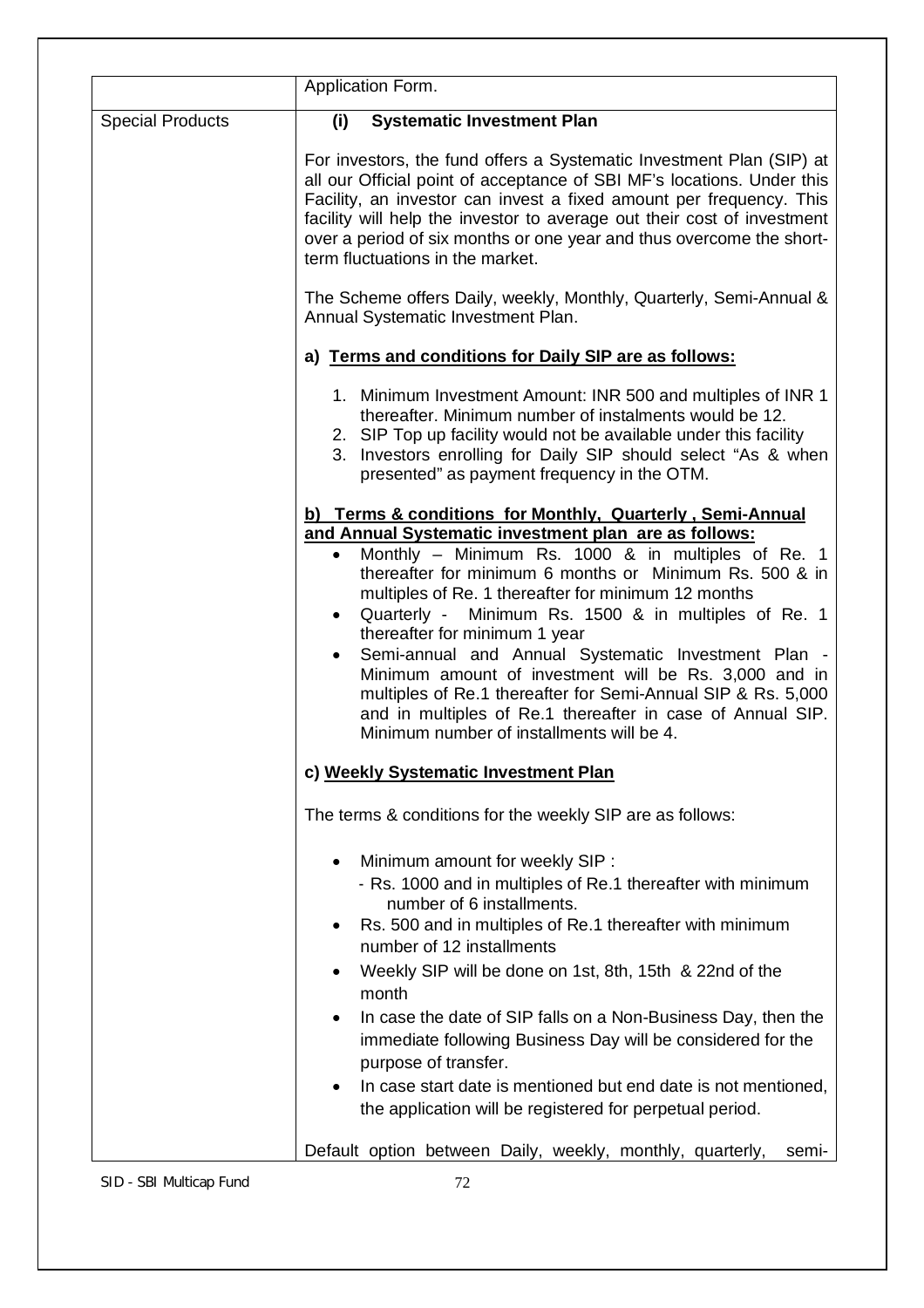|                         | Application Form.                                                                                                                                                                                                                                                                                                                                                                                                                                                                                                                                                                                                                                           |
|-------------------------|-------------------------------------------------------------------------------------------------------------------------------------------------------------------------------------------------------------------------------------------------------------------------------------------------------------------------------------------------------------------------------------------------------------------------------------------------------------------------------------------------------------------------------------------------------------------------------------------------------------------------------------------------------------|
| <b>Special Products</b> | <b>Systematic Investment Plan</b><br>(i)                                                                                                                                                                                                                                                                                                                                                                                                                                                                                                                                                                                                                    |
|                         | For investors, the fund offers a Systematic Investment Plan (SIP) at<br>all our Official point of acceptance of SBI MF's locations. Under this<br>Facility, an investor can invest a fixed amount per frequency. This<br>facility will help the investor to average out their cost of investment<br>over a period of six months or one year and thus overcome the short-<br>term fluctuations in the market.                                                                                                                                                                                                                                                |
|                         | The Scheme offers Daily, weekly, Monthly, Quarterly, Semi-Annual &<br>Annual Systematic Investment Plan.                                                                                                                                                                                                                                                                                                                                                                                                                                                                                                                                                    |
|                         | a) Terms and conditions for Daily SIP are as follows:                                                                                                                                                                                                                                                                                                                                                                                                                                                                                                                                                                                                       |
|                         | 1. Minimum Investment Amount: INR 500 and multiples of INR 1<br>thereafter. Minimum number of instalments would be 12.<br>2. SIP Top up facility would not be available under this facility<br>3. Investors enrolling for Daily SIP should select "As & when<br>presented" as payment frequency in the OTM.                                                                                                                                                                                                                                                                                                                                                 |
|                         | b) Terms & conditions for Monthly, Quarterly, Semi-Annual                                                                                                                                                                                                                                                                                                                                                                                                                                                                                                                                                                                                   |
|                         | and Annual Systematic investment plan are as follows:<br>Monthly - Minimum Rs. 1000 & in multiples of Re. 1<br>$\bullet$<br>thereafter for minimum 6 months or Minimum Rs. 500 & in<br>multiples of Re. 1 thereafter for minimum 12 months<br>Quarterly -<br>Minimum Rs. 1500 & in multiples of Re. 1<br>$\bullet$<br>thereafter for minimum 1 year<br>Semi-annual and Annual Systematic Investment Plan -<br>$\bullet$<br>Minimum amount of investment will be Rs. 3,000 and in<br>multiples of Re.1 thereafter for Semi-Annual SIP & Rs. 5,000<br>and in multiples of Re.1 thereafter in case of Annual SIP.<br>Minimum number of installments will be 4. |
|                         | c) Weekly Systematic Investment Plan                                                                                                                                                                                                                                                                                                                                                                                                                                                                                                                                                                                                                        |
|                         | The terms & conditions for the weekly SIP are as follows:                                                                                                                                                                                                                                                                                                                                                                                                                                                                                                                                                                                                   |
|                         | Minimum amount for weekly SIP :<br>- Rs. 1000 and in multiples of Re.1 thereafter with minimum<br>number of 6 installments.<br>Rs. 500 and in multiples of Re.1 thereafter with minimum<br>$\bullet$<br>number of 12 installments<br>Weekly SIP will be done on 1st, 8th, 15th & 22nd of the<br>month                                                                                                                                                                                                                                                                                                                                                       |
|                         | In case the date of SIP falls on a Non-Business Day, then the<br>$\bullet$<br>immediate following Business Day will be considered for the<br>purpose of transfer.<br>In case start date is mentioned but end date is not mentioned,<br>the application will be registered for perpetual period.                                                                                                                                                                                                                                                                                                                                                             |
|                         | Default option between Daily, weekly, monthly, quarterly,<br>semi-                                                                                                                                                                                                                                                                                                                                                                                                                                                                                                                                                                                          |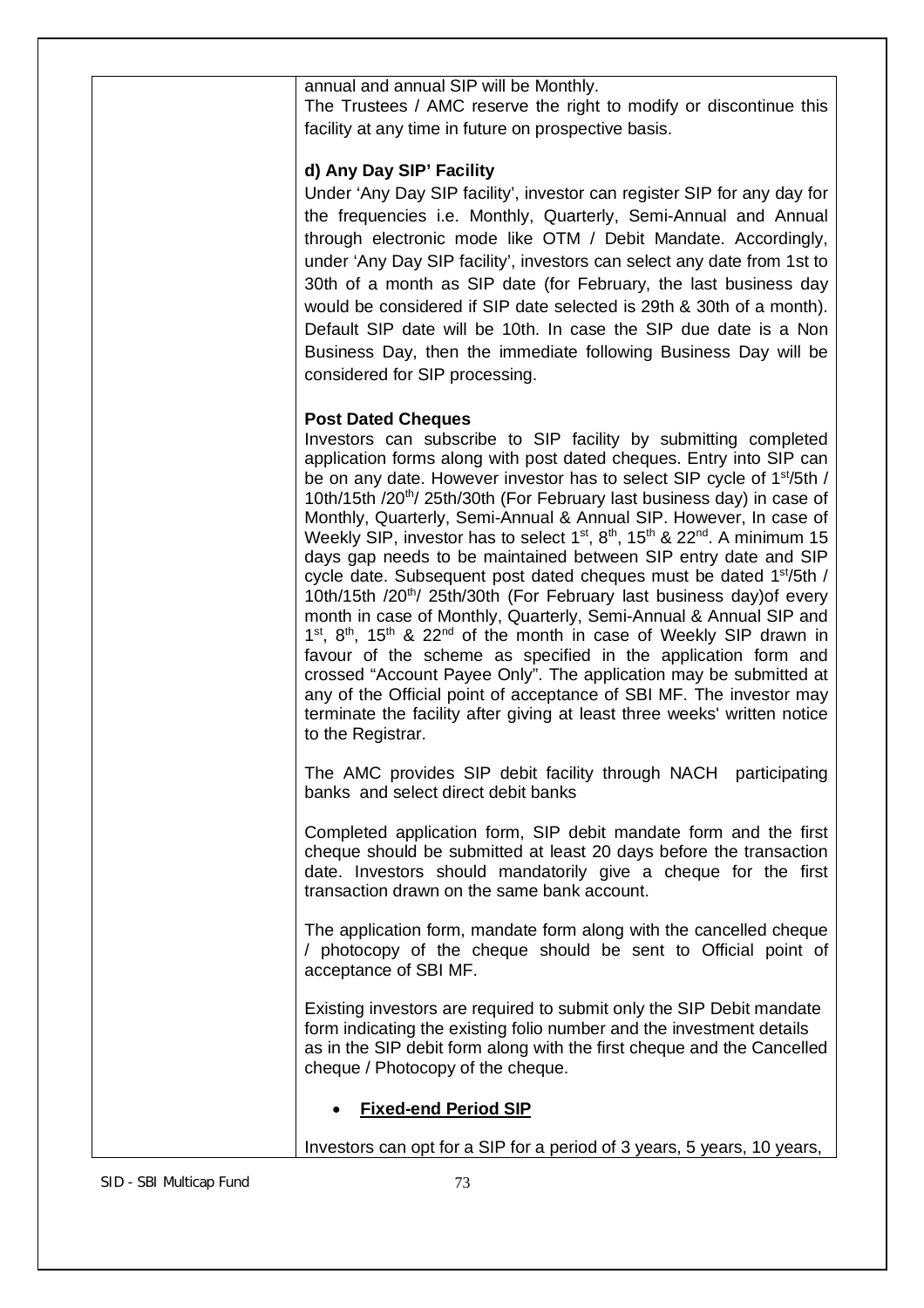annual and annual SIP will be Monthly.

The Trustees / AMC reserve the right to modify or discontinue this facility at any time in future on prospective basis.

## **d) Any Day SIP' Facility**

Under 'Any Day SIP facility', investor can register SIP for any day for the frequencies i.e. Monthly, Quarterly, Semi-Annual and Annual through electronic mode like OTM / Debit Mandate. Accordingly, under 'Any Day SIP facility', investors can select any date from 1st to 30th of a month as SIP date (for February, the last business day would be considered if SIP date selected is 29th & 30th of a month). Default SIP date will be 10th. In case the SIP due date is a Non Business Day, then the immediate following Business Day will be considered for SIP processing.

### **Post Dated Cheques**

Investors can subscribe to SIP facility by submitting completed application forms along with post dated cheques. Entry into SIP can be on any date. However investor has to select SIP cycle of 1<sup>st</sup>/5th / 10th/15th /20<sup>th</sup>/ 25th/30th (For February last business day) in case of Monthly, Quarterly, Semi-Annual & Annual SIP. However, In case of Weekly SIP, investor has to select 1<sup>st</sup>, 8<sup>th</sup>, 15<sup>th</sup> & 22<sup>nd</sup>. A minimum 15 days gap needs to be maintained between SIP entry date and SIP cycle date. Subsequent post dated cheques must be dated 1<sup>st</sup>/5th / 10th/15th /20<sup>th</sup>/ 25th/30th (For February last business day) of every month in case of Monthly, Quarterly, Semi-Annual & Annual SIP and 1<sup>st</sup>, 8<sup>th</sup>, 15<sup>th</sup> & 22<sup>nd</sup> of the month in case of Weekly SIP drawn in favour of the scheme as specified in the application form and crossed "Account Payee Only". The application may be submitted at any of the Official point of acceptance of SBI MF. The investor may terminate the facility after giving at least three weeks' written notice to the Registrar.

The AMC provides SIP debit facility through NACH participating banks and select direct debit banks

Completed application form, SIP debit mandate form and the first cheque should be submitted at least 20 days before the transaction date. Investors should mandatorily give a cheque for the first transaction drawn on the same bank account.

The application form, mandate form along with the cancelled cheque / photocopy of the cheque should be sent to Official point of acceptance of SBI MF.

Existing investors are required to submit only the SIP Debit mandate form indicating the existing folio number and the investment details as in the SIP debit form along with the first cheque and the Cancelled cheque / Photocopy of the cheque.

# **Fixed-end Period SIP**

Investors can opt for a SIP for a period of 3 years, 5 years, 10 years,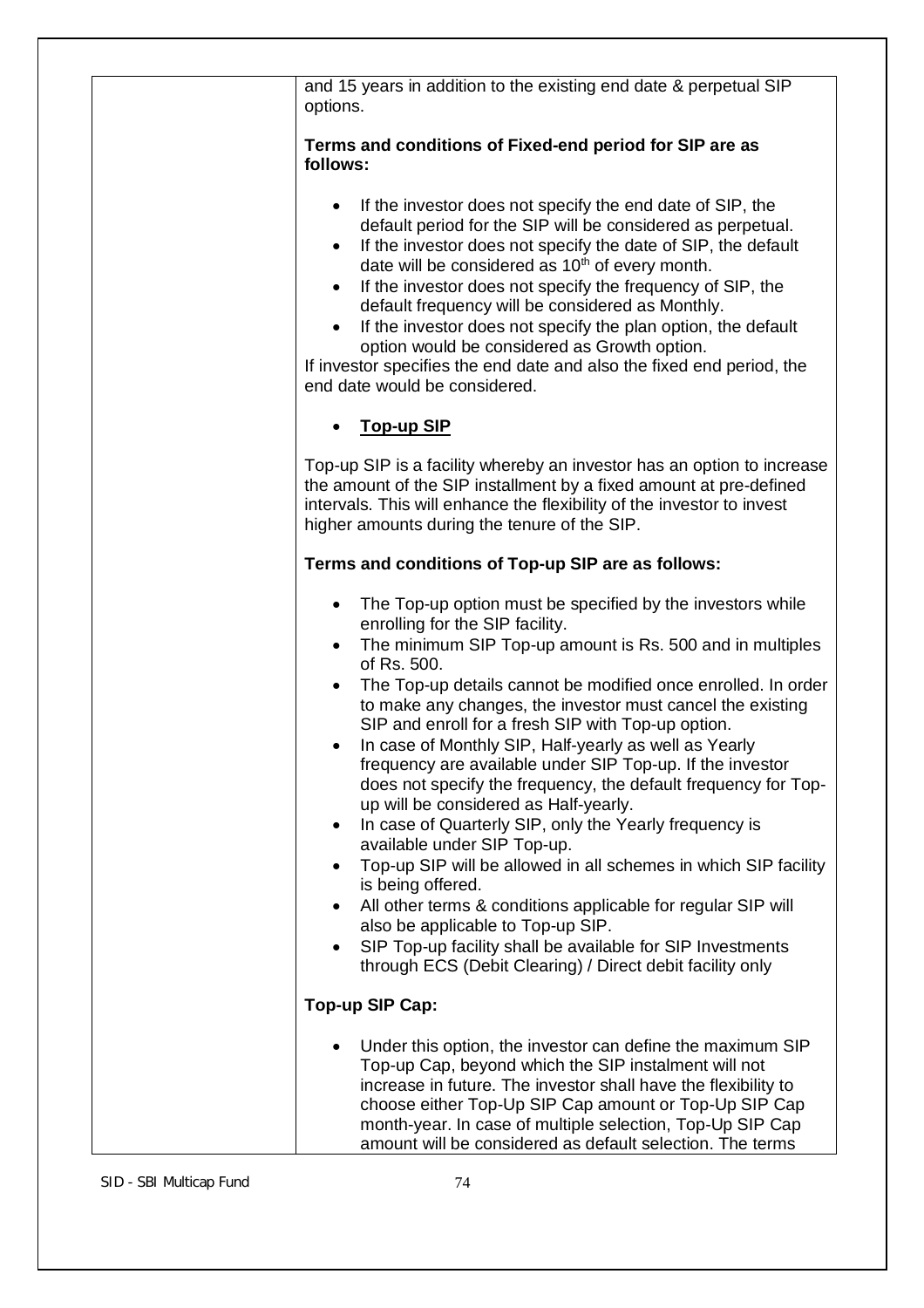| and 15 years in addition to the existing end date & perpetual SIP<br>options.                                                                                                                                                                                                                                                                                                                                                                                                                                                                                                                                                                                                                                                                                                                                                                                                                                                                                                                                                                                             |
|---------------------------------------------------------------------------------------------------------------------------------------------------------------------------------------------------------------------------------------------------------------------------------------------------------------------------------------------------------------------------------------------------------------------------------------------------------------------------------------------------------------------------------------------------------------------------------------------------------------------------------------------------------------------------------------------------------------------------------------------------------------------------------------------------------------------------------------------------------------------------------------------------------------------------------------------------------------------------------------------------------------------------------------------------------------------------|
| Terms and conditions of Fixed-end period for SIP are as<br>follows:                                                                                                                                                                                                                                                                                                                                                                                                                                                                                                                                                                                                                                                                                                                                                                                                                                                                                                                                                                                                       |
| If the investor does not specify the end date of SIP, the<br>$\bullet$<br>default period for the SIP will be considered as perpetual.<br>If the investor does not specify the date of SIP, the default<br>$\bullet$<br>date will be considered as 10 <sup>th</sup> of every month.<br>If the investor does not specify the frequency of SIP, the<br>$\bullet$<br>default frequency will be considered as Monthly.<br>If the investor does not specify the plan option, the default<br>$\bullet$<br>option would be considered as Growth option.<br>If investor specifies the end date and also the fixed end period, the<br>end date would be considered.                                                                                                                                                                                                                                                                                                                                                                                                                 |
| <b>Top-up SIP</b>                                                                                                                                                                                                                                                                                                                                                                                                                                                                                                                                                                                                                                                                                                                                                                                                                                                                                                                                                                                                                                                         |
| Top-up SIP is a facility whereby an investor has an option to increase<br>the amount of the SIP installment by a fixed amount at pre-defined<br>intervals. This will enhance the flexibility of the investor to invest<br>higher amounts during the tenure of the SIP.                                                                                                                                                                                                                                                                                                                                                                                                                                                                                                                                                                                                                                                                                                                                                                                                    |
| Terms and conditions of Top-up SIP are as follows:                                                                                                                                                                                                                                                                                                                                                                                                                                                                                                                                                                                                                                                                                                                                                                                                                                                                                                                                                                                                                        |
| The Top-up option must be specified by the investors while<br>$\bullet$<br>enrolling for the SIP facility.<br>The minimum SIP Top-up amount is Rs. 500 and in multiples<br>$\bullet$<br>of Rs. 500.<br>The Top-up details cannot be modified once enrolled. In order<br>to make any changes, the investor must cancel the existing<br>SIP and enroll for a fresh SIP with Top-up option.<br>In case of Monthly SIP, Half-yearly as well as Yearly<br>frequency are available under SIP Top-up. If the investor<br>does not specify the frequency, the default frequency for Top-<br>up will be considered as Half-yearly.<br>In case of Quarterly SIP, only the Yearly frequency is<br>٠<br>available under SIP Top-up.<br>Top-up SIP will be allowed in all schemes in which SIP facility<br>$\bullet$<br>is being offered.<br>All other terms & conditions applicable for regular SIP will<br>$\bullet$<br>also be applicable to Top-up SIP.<br>SIP Top-up facility shall be available for SIP Investments<br>through ECS (Debit Clearing) / Direct debit facility only |
| Top-up SIP Cap:                                                                                                                                                                                                                                                                                                                                                                                                                                                                                                                                                                                                                                                                                                                                                                                                                                                                                                                                                                                                                                                           |
| Under this option, the investor can define the maximum SIP<br>Top-up Cap, beyond which the SIP instalment will not<br>increase in future. The investor shall have the flexibility to<br>choose either Top-Up SIP Cap amount or Top-Up SIP Cap<br>month-year. In case of multiple selection, Top-Up SIP Cap<br>amount will be considered as default selection. The terms                                                                                                                                                                                                                                                                                                                                                                                                                                                                                                                                                                                                                                                                                                   |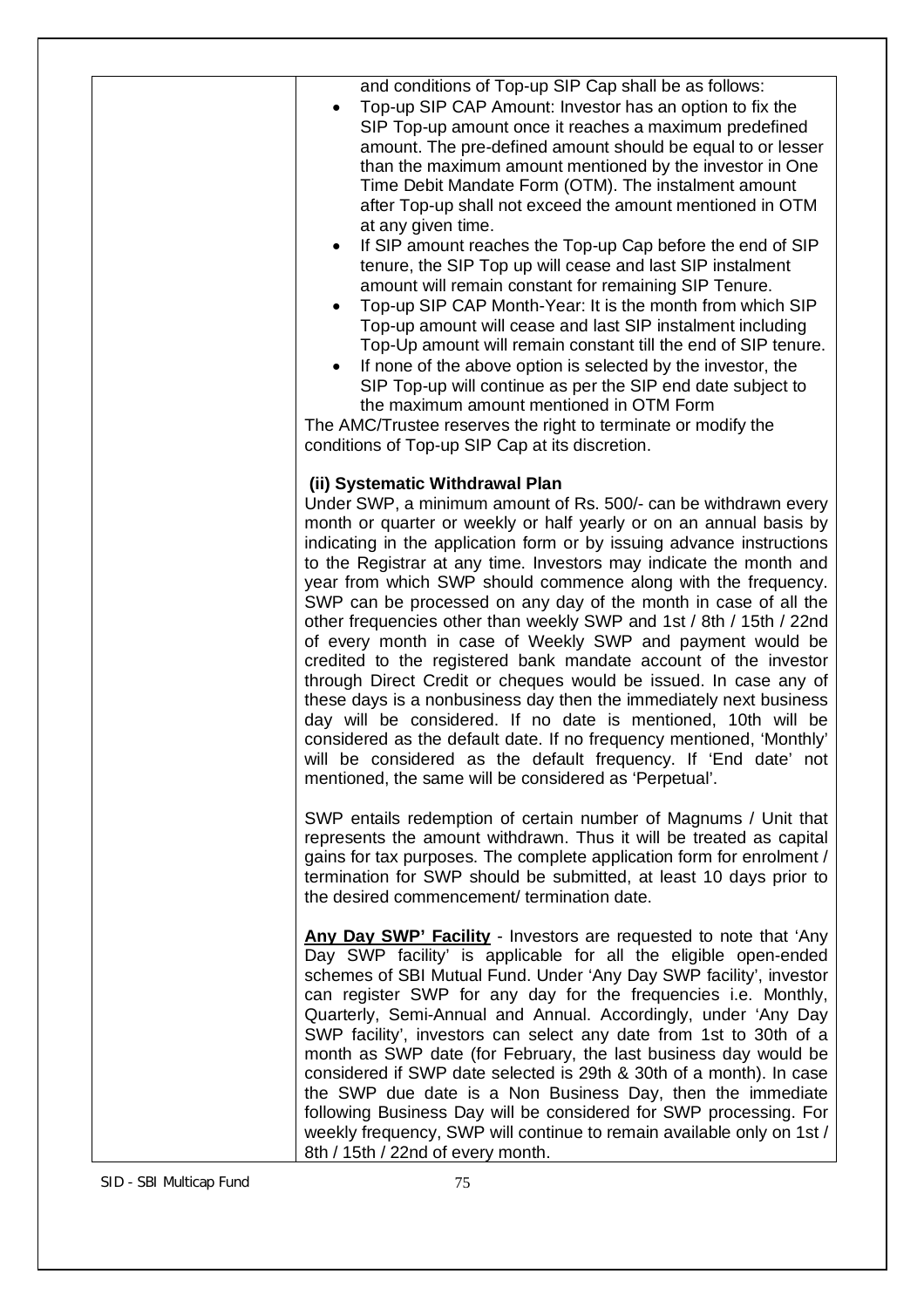| and conditions of Top-up SIP Cap shall be as follows:<br>Top-up SIP CAP Amount: Investor has an option to fix the<br>$\bullet$<br>SIP Top-up amount once it reaches a maximum predefined<br>amount. The pre-defined amount should be equal to or lesser<br>than the maximum amount mentioned by the investor in One<br>Time Debit Mandate Form (OTM). The instalment amount<br>after Top-up shall not exceed the amount mentioned in OTM<br>at any given time.<br>If SIP amount reaches the Top-up Cap before the end of SIP<br>$\bullet$<br>tenure, the SIP Top up will cease and last SIP instalment<br>amount will remain constant for remaining SIP Tenure.<br>Top-up SIP CAP Month-Year: It is the month from which SIP<br>Top-up amount will cease and last SIP instalment including<br>Top-Up amount will remain constant till the end of SIP tenure.<br>If none of the above option is selected by the investor, the<br>SIP Top-up will continue as per the SIP end date subject to<br>the maximum amount mentioned in OTM Form<br>The AMC/Trustee reserves the right to terminate or modify the<br>conditions of Top-up SIP Cap at its discretion. |
|-------------------------------------------------------------------------------------------------------------------------------------------------------------------------------------------------------------------------------------------------------------------------------------------------------------------------------------------------------------------------------------------------------------------------------------------------------------------------------------------------------------------------------------------------------------------------------------------------------------------------------------------------------------------------------------------------------------------------------------------------------------------------------------------------------------------------------------------------------------------------------------------------------------------------------------------------------------------------------------------------------------------------------------------------------------------------------------------------------------------------------------------------------------|
| (ii) Systematic Withdrawal Plan<br>Under SWP, a minimum amount of Rs. 500/- can be withdrawn every<br>month or quarter or weekly or half yearly or on an annual basis by<br>indicating in the application form or by issuing advance instructions<br>to the Registrar at any time. Investors may indicate the month and<br>year from which SWP should commence along with the frequency.<br>SWP can be processed on any day of the month in case of all the<br>other frequencies other than weekly SWP and 1st / 8th / 15th / 22nd<br>of every month in case of Weekly SWP and payment would be<br>credited to the registered bank mandate account of the investor<br>through Direct Credit or cheques would be issued. In case any of<br>these days is a nonbusiness day then the immediately next business<br>day will be considered. If no date is mentioned, 10th will be<br>considered as the default date. If no frequency mentioned, 'Monthly'<br>will be considered as the default frequency. If 'End date' not<br>mentioned, the same will be considered as 'Perpetual'.                                                                           |
| SWP entails redemption of certain number of Magnums / Unit that<br>represents the amount withdrawn. Thus it will be treated as capital<br>gains for tax purposes. The complete application form for enrolment /<br>termination for SWP should be submitted, at least 10 days prior to<br>the desired commencement/termination date.                                                                                                                                                                                                                                                                                                                                                                                                                                                                                                                                                                                                                                                                                                                                                                                                                         |
| Any Day SWP' Facility - Investors are requested to note that 'Any<br>Day SWP facility' is applicable for all the eligible open-ended<br>schemes of SBI Mutual Fund. Under 'Any Day SWP facility', investor<br>can register SWP for any day for the frequencies i.e. Monthly,<br>Quarterly, Semi-Annual and Annual. Accordingly, under 'Any Day<br>SWP facility', investors can select any date from 1st to 30th of a<br>month as SWP date (for February, the last business day would be<br>considered if SWP date selected is 29th & 30th of a month). In case<br>the SWP due date is a Non Business Day, then the immediate<br>following Business Day will be considered for SWP processing. For<br>weekly frequency, SWP will continue to remain available only on 1st /<br>8th / 15th / 22nd of every month.                                                                                                                                                                                                                                                                                                                                             |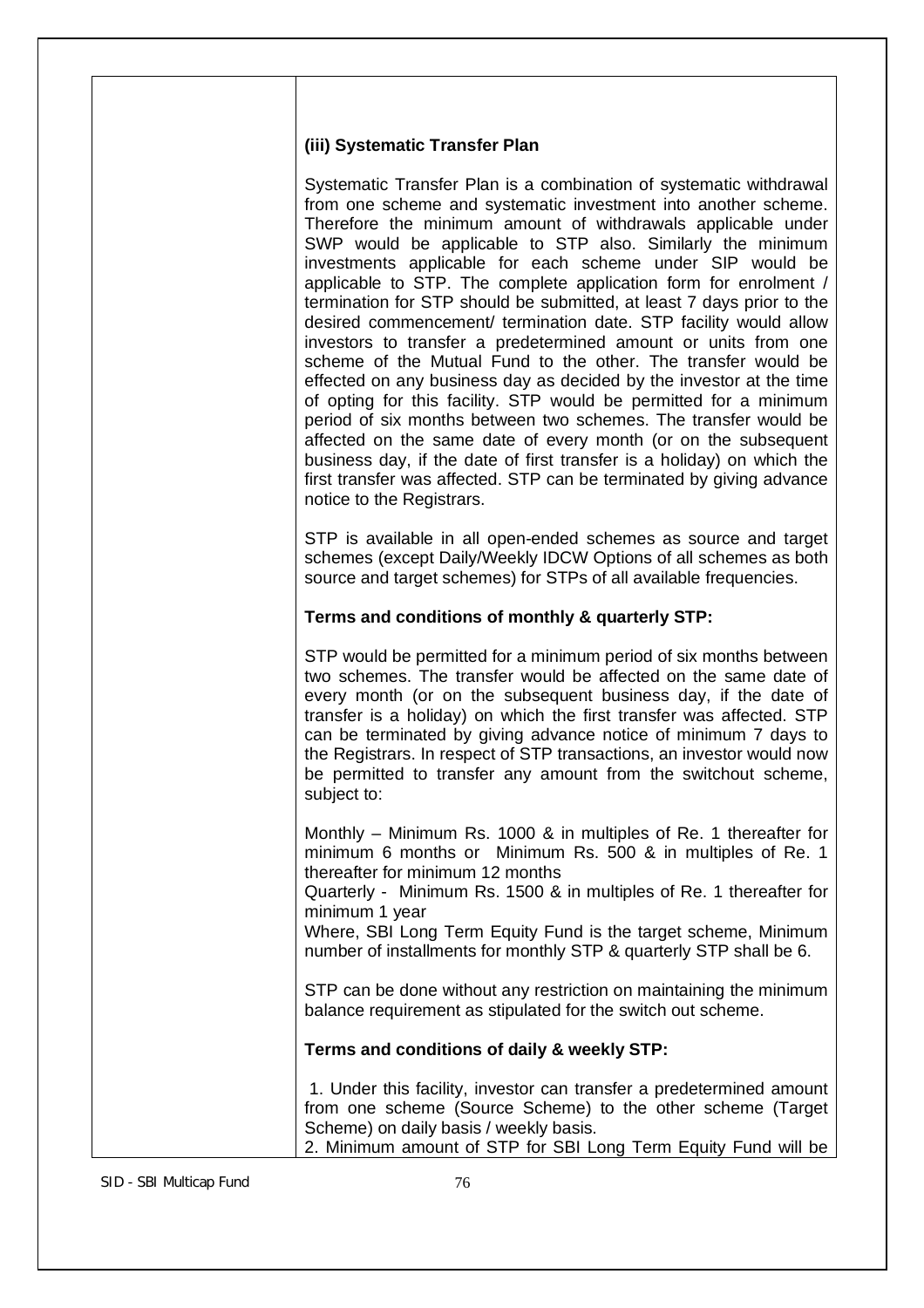#### **(iii) Systematic Transfer Plan**

Systematic Transfer Plan is a combination of systematic withdrawal from one scheme and systematic investment into another scheme. Therefore the minimum amount of withdrawals applicable under SWP would be applicable to STP also. Similarly the minimum investments applicable for each scheme under SIP would be applicable to STP. The complete application form for enrolment / termination for STP should be submitted, at least 7 days prior to the desired commencement/ termination date. STP facility would allow investors to transfer a predetermined amount or units from one scheme of the Mutual Fund to the other. The transfer would be effected on any business day as decided by the investor at the time of opting for this facility. STP would be permitted for a minimum period of six months between two schemes. The transfer would be affected on the same date of every month (or on the subsequent business day, if the date of first transfer is a holiday) on which the first transfer was affected. STP can be terminated by giving advance notice to the Registrars.

STP is available in all open-ended schemes as source and target schemes (except Daily/Weekly IDCW Options of all schemes as both source and target schemes) for STPs of all available frequencies.

### **Terms and conditions of monthly & quarterly STP:**

STP would be permitted for a minimum period of six months between two schemes. The transfer would be affected on the same date of every month (or on the subsequent business day, if the date of transfer is a holiday) on which the first transfer was affected. STP can be terminated by giving advance notice of minimum 7 days to the Registrars. In respect of STP transactions, an investor would now be permitted to transfer any amount from the switchout scheme, subject to:

Monthly – Minimum Rs. 1000 & in multiples of Re. 1 thereafter for minimum 6 months or Minimum Rs. 500 & in multiples of Re. 1 thereafter for minimum 12 months

Quarterly - Minimum Rs. 1500 & in multiples of Re. 1 thereafter for minimum 1 year

Where, SBI Long Term Equity Fund is the target scheme, Minimum number of installments for monthly STP & quarterly STP shall be 6.

STP can be done without any restriction on maintaining the minimum balance requirement as stipulated for the switch out scheme.

#### **Terms and conditions of daily & weekly STP:**

1. Under this facility, investor can transfer a predetermined amount from one scheme (Source Scheme) to the other scheme (Target Scheme) on daily basis / weekly basis. 2. Minimum amount of STP for SBI Long Term Equity Fund will be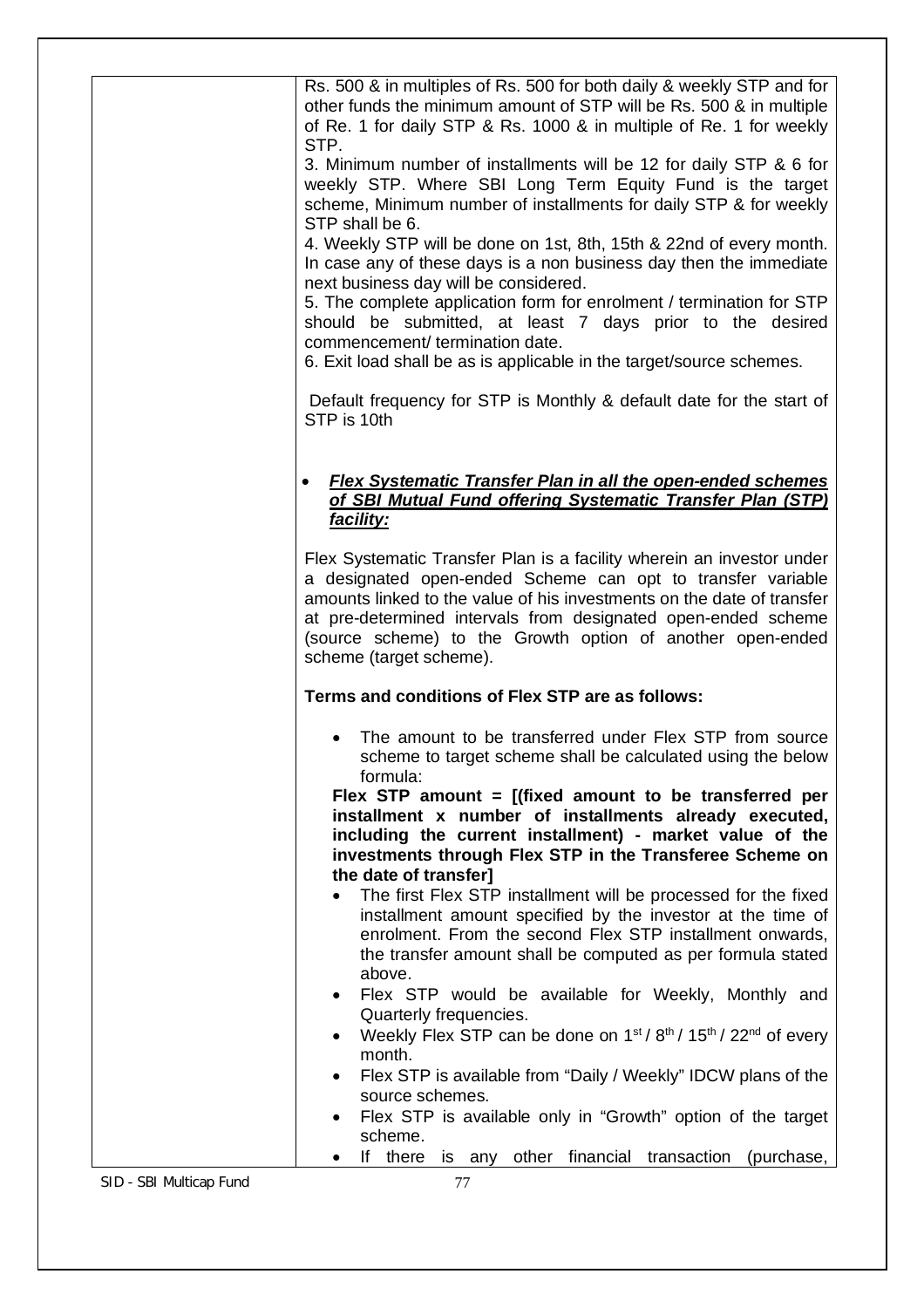| Rs. 500 & in multiples of Rs. 500 for both daily & weekly STP and for<br>other funds the minimum amount of STP will be Rs. 500 & in multiple<br>of Re. 1 for daily STP & Rs. 1000 & in multiple of Re. 1 for weekly<br>STP.<br>3. Minimum number of installments will be 12 for daily STP & 6 for<br>weekly STP. Where SBI Long Term Equity Fund is the target<br>scheme, Minimum number of installments for daily STP & for weekly<br>STP shall be 6.<br>4. Weekly STP will be done on 1st, 8th, 15th & 22nd of every month.<br>In case any of these days is a non business day then the immediate<br>next business day will be considered.<br>5. The complete application form for enrolment / termination for STP<br>should be submitted, at least 7 days prior to the desired<br>commencement/ termination date.<br>6. Exit load shall be as is applicable in the target/source schemes. |
|----------------------------------------------------------------------------------------------------------------------------------------------------------------------------------------------------------------------------------------------------------------------------------------------------------------------------------------------------------------------------------------------------------------------------------------------------------------------------------------------------------------------------------------------------------------------------------------------------------------------------------------------------------------------------------------------------------------------------------------------------------------------------------------------------------------------------------------------------------------------------------------------|
| Default frequency for STP is Monthly & default date for the start of<br>STP is 10th                                                                                                                                                                                                                                                                                                                                                                                                                                                                                                                                                                                                                                                                                                                                                                                                          |
| <b>Flex Systematic Transfer Plan in all the open-ended schemes</b><br>of SBI Mutual Fund offering Systematic Transfer Plan (STP)<br>facility:                                                                                                                                                                                                                                                                                                                                                                                                                                                                                                                                                                                                                                                                                                                                                |
| Flex Systematic Transfer Plan is a facility wherein an investor under<br>a designated open-ended Scheme can opt to transfer variable<br>amounts linked to the value of his investments on the date of transfer<br>at pre-determined intervals from designated open-ended scheme<br>(source scheme) to the Growth option of another open-ended<br>scheme (target scheme).                                                                                                                                                                                                                                                                                                                                                                                                                                                                                                                     |
| Terms and conditions of Flex STP are as follows:                                                                                                                                                                                                                                                                                                                                                                                                                                                                                                                                                                                                                                                                                                                                                                                                                                             |
| The amount to be transferred under Flex STP from source<br>scheme to target scheme shall be calculated using the below<br>formula:<br>Flex STP amount = $[(fixed amount to be transferred per$<br>installment x number of installments already executed,<br>including the current installment) - market value of the<br>investments through Flex STP in the Transferee Scheme on<br>the date of transfer]                                                                                                                                                                                                                                                                                                                                                                                                                                                                                    |
| The first Flex STP installment will be processed for the fixed<br>installment amount specified by the investor at the time of<br>enrolment. From the second Flex STP installment onwards,<br>the transfer amount shall be computed as per formula stated<br>above.                                                                                                                                                                                                                                                                                                                                                                                                                                                                                                                                                                                                                           |
| Flex STP would be available for Weekly, Monthly and<br>$\bullet$<br>Quarterly frequencies.<br>Weekly Flex STP can be done on 1 <sup>st</sup> / 8 <sup>th</sup> / 15 <sup>th</sup> / 22 <sup>nd</sup> of every<br>٠<br>month.<br>Flex STP is available from "Daily / Weekly" IDCW plans of the<br>$\bullet$                                                                                                                                                                                                                                                                                                                                                                                                                                                                                                                                                                                   |
| source schemes.<br>Flex STP is available only in "Growth" option of the target<br>$\bullet$<br>scheme.                                                                                                                                                                                                                                                                                                                                                                                                                                                                                                                                                                                                                                                                                                                                                                                       |
| If there is any other financial transaction<br>(purchase,                                                                                                                                                                                                                                                                                                                                                                                                                                                                                                                                                                                                                                                                                                                                                                                                                                    |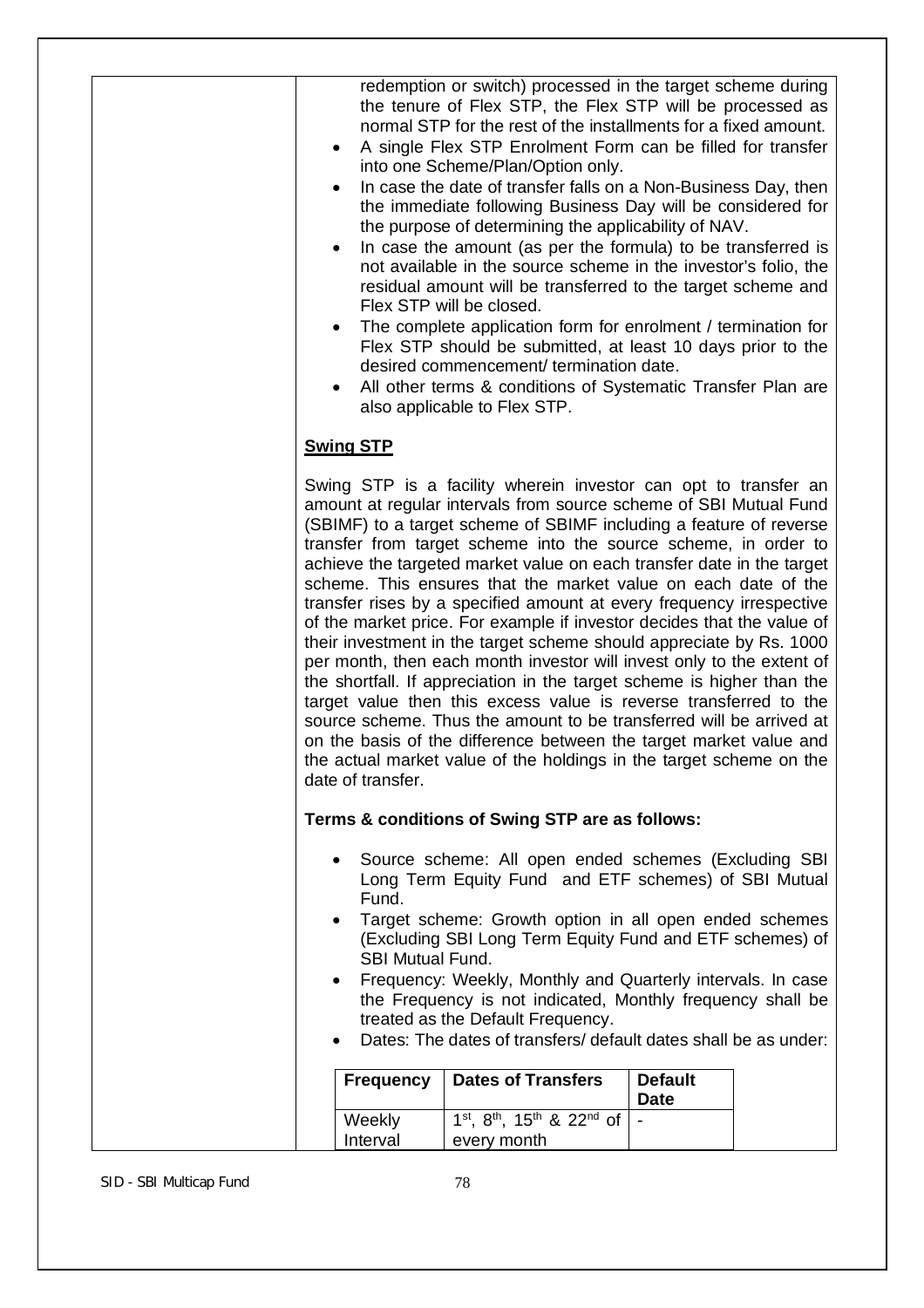| ٠                      |                                               | redemption or switch) processed in the target scheme during<br>the tenure of Flex STP, the Flex STP will be processed as<br>normal STP for the rest of the installments for a fixed amount.<br>A single Flex STP Enrolment Form can be filled for transfer<br>into one Scheme/Plan/Option only.<br>In case the date of transfer falls on a Non-Business Day, then<br>the immediate following Business Day will be considered for<br>the purpose of determining the applicability of NAV.<br>In case the amount (as per the formula) to be transferred is<br>not available in the source scheme in the investor's folio, the<br>residual amount will be transferred to the target scheme and<br>Flex STP will be closed.<br>The complete application form for enrolment / termination for<br>Flex STP should be submitted, at least 10 days prior to the<br>desired commencement/termination date.<br>All other terms & conditions of Systematic Transfer Plan are<br>also applicable to Flex STP.                                                                                             |                |  |
|------------------------|-----------------------------------------------|-----------------------------------------------------------------------------------------------------------------------------------------------------------------------------------------------------------------------------------------------------------------------------------------------------------------------------------------------------------------------------------------------------------------------------------------------------------------------------------------------------------------------------------------------------------------------------------------------------------------------------------------------------------------------------------------------------------------------------------------------------------------------------------------------------------------------------------------------------------------------------------------------------------------------------------------------------------------------------------------------------------------------------------------------------------------------------------------------|----------------|--|
|                        | <b>Swing STP</b>                              |                                                                                                                                                                                                                                                                                                                                                                                                                                                                                                                                                                                                                                                                                                                                                                                                                                                                                                                                                                                                                                                                                               |                |  |
|                        | date of transfer.                             | Swing STP is a facility wherein investor can opt to transfer an<br>amount at regular intervals from source scheme of SBI Mutual Fund<br>(SBIMF) to a target scheme of SBIMF including a feature of reverse<br>transfer from target scheme into the source scheme, in order to<br>achieve the targeted market value on each transfer date in the target<br>scheme. This ensures that the market value on each date of the<br>transfer rises by a specified amount at every frequency irrespective<br>of the market price. For example if investor decides that the value of<br>their investment in the target scheme should appreciate by Rs. 1000<br>per month, then each month investor will invest only to the extent of<br>the shortfall. If appreciation in the target scheme is higher than the<br>target value then this excess value is reverse transferred to the<br>source scheme. Thus the amount to be transferred will be arrived at<br>on the basis of the difference between the target market value and<br>the actual market value of the holdings in the target scheme on the |                |  |
|                        |                                               | Terms & conditions of Swing STP are as follows:                                                                                                                                                                                                                                                                                                                                                                                                                                                                                                                                                                                                                                                                                                                                                                                                                                                                                                                                                                                                                                               |                |  |
| $\bullet$<br>$\bullet$ | $\bullet$<br>Fund.<br><b>SBI Mutual Fund.</b> | Source scheme: All open ended schemes (Excluding SBI<br>Long Term Equity Fund and ETF schemes) of SBI Mutual<br>Target scheme: Growth option in all open ended schemes<br>(Excluding SBI Long Term Equity Fund and ETF schemes) of<br>Frequency: Weekly, Monthly and Quarterly intervals. In case<br>the Frequency is not indicated, Monthly frequency shall be<br>treated as the Default Frequency.<br>Dates: The dates of transfers/ default dates shall be as under:                                                                                                                                                                                                                                                                                                                                                                                                                                                                                                                                                                                                                       |                |  |
|                        | <b>Frequency</b>                              | <b>Dates of Transfers</b>                                                                                                                                                                                                                                                                                                                                                                                                                                                                                                                                                                                                                                                                                                                                                                                                                                                                                                                                                                                                                                                                     | <b>Default</b> |  |
|                        | Weekly<br>Interval                            | $1^{st}$ , $8^{th}$ , $15^{th}$ & $22^{nd}$ of<br>every month                                                                                                                                                                                                                                                                                                                                                                                                                                                                                                                                                                                                                                                                                                                                                                                                                                                                                                                                                                                                                                 | <b>Date</b>    |  |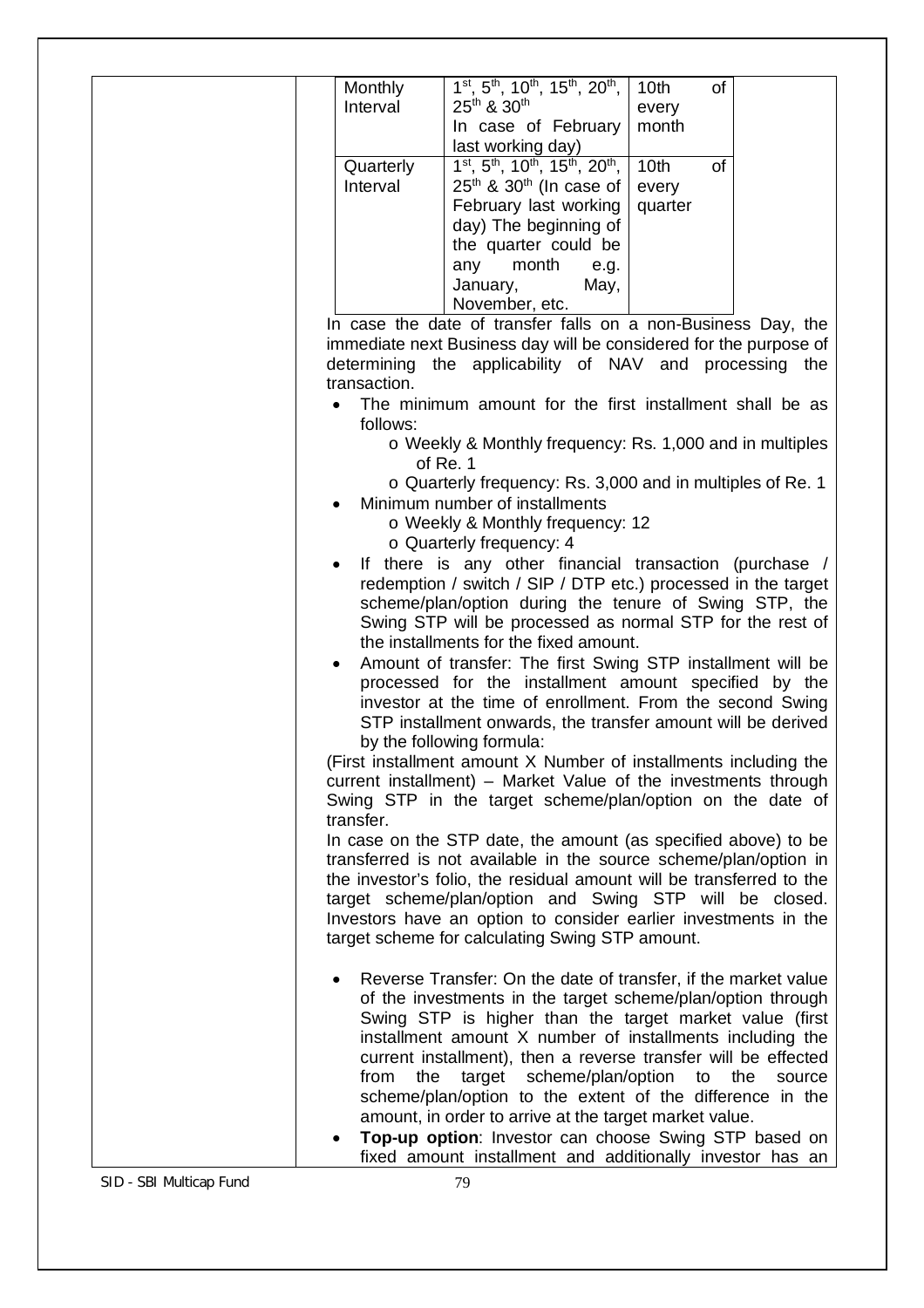| Monthly                     | $1st$ , $5th$ , $10th$ , $15th$ , $20th$ ,                                                                         | 10 <sub>th</sub><br>of        |               |
|-----------------------------|--------------------------------------------------------------------------------------------------------------------|-------------------------------|---------------|
| Interval                    | 25 <sup>th</sup> & 30 <sup>th</sup>                                                                                | every                         |               |
|                             | In case of February                                                                                                | month                         |               |
|                             | last working day)                                                                                                  |                               |               |
| Quarterly                   | 1 <sup>st</sup> , 5 <sup>th</sup> , 10 <sup>th</sup> , 15 <sup>th</sup> , 20 <sup>th</sup> ,                       | 10 <sub>th</sub><br><b>of</b> |               |
| Interval                    | $25th$ & $30th$ (In case of                                                                                        | every                         |               |
|                             | February last working                                                                                              | quarter                       |               |
|                             | day) The beginning of                                                                                              |                               |               |
|                             | the quarter could be                                                                                               |                               |               |
|                             | month<br>any<br>e.g.                                                                                               |                               |               |
|                             | January,<br>May,                                                                                                   |                               |               |
|                             | November, etc.                                                                                                     |                               |               |
|                             | In case the date of transfer falls on a non-Business Day, the                                                      |                               |               |
|                             | immediate next Business day will be considered for the purpose of                                                  |                               |               |
| determining<br>transaction. | the applicability of NAV and processing the                                                                        |                               |               |
|                             | The minimum amount for the first installment shall be as                                                           |                               |               |
| follows:                    | o Weekly & Monthly frequency: Rs. 1,000 and in multiples                                                           |                               |               |
|                             | of Re. 1                                                                                                           |                               |               |
|                             | o Quarterly frequency: Rs. 3,000 and in multiples of Re. 1                                                         |                               |               |
|                             | Minimum number of installments                                                                                     |                               |               |
|                             | o Weekly & Monthly frequency: 12                                                                                   |                               |               |
|                             | $\circ$ Quarterly frequency: 4                                                                                     |                               |               |
|                             | If there is any other financial transaction (purchase /                                                            |                               |               |
|                             | redemption / switch / SIP / DTP etc.) processed in the target                                                      |                               |               |
|                             | scheme/plan/option during the tenure of Swing STP, the                                                             |                               |               |
|                             |                                                                                                                    |                               |               |
|                             | Swing STP will be processed as normal STP for the rest of                                                          |                               |               |
|                             | the installments for the fixed amount.                                                                             |                               |               |
| ٠                           | Amount of transfer: The first Swing STP installment will be                                                        |                               |               |
|                             | processed for the installment amount specified by the                                                              |                               |               |
|                             | investor at the time of enrollment. From the second Swing                                                          |                               |               |
|                             | STP installment onwards, the transfer amount will be derived                                                       |                               |               |
|                             | by the following formula:                                                                                          |                               |               |
|                             | (First installment amount X Number of installments including the                                                   |                               |               |
|                             | current installment) - Market Value of the investments through                                                     |                               |               |
|                             | Swing STP in the target scheme/plan/option on the date of                                                          |                               |               |
| transfer.                   |                                                                                                                    |                               |               |
|                             | In case on the STP date, the amount (as specified above) to be                                                     |                               |               |
|                             | transferred is not available in the source scheme/plan/option in                                                   |                               |               |
|                             | the investor's folio, the residual amount will be transferred to the                                               |                               |               |
|                             | target scheme/plan/option and Swing STP will be closed.                                                            |                               |               |
|                             | Investors have an option to consider earlier investments in the<br>target scheme for calculating Swing STP amount. |                               |               |
|                             |                                                                                                                    |                               |               |
|                             | Reverse Transfer: On the date of transfer, if the market value                                                     |                               |               |
|                             | of the investments in the target scheme/plan/option through                                                        |                               |               |
|                             | Swing STP is higher than the target market value (first                                                            |                               |               |
|                             | installment amount X number of installments including the                                                          |                               |               |
| from<br>the                 | current installment), then a reverse transfer will be effected                                                     |                               | the<br>source |
|                             | target scheme/plan/option to                                                                                       |                               |               |
|                             | scheme/plan/option to the extent of the difference in the                                                          |                               |               |
|                             | amount, in order to arrive at the target market value.<br>Top-up option: Investor can choose Swing STP based on    |                               |               |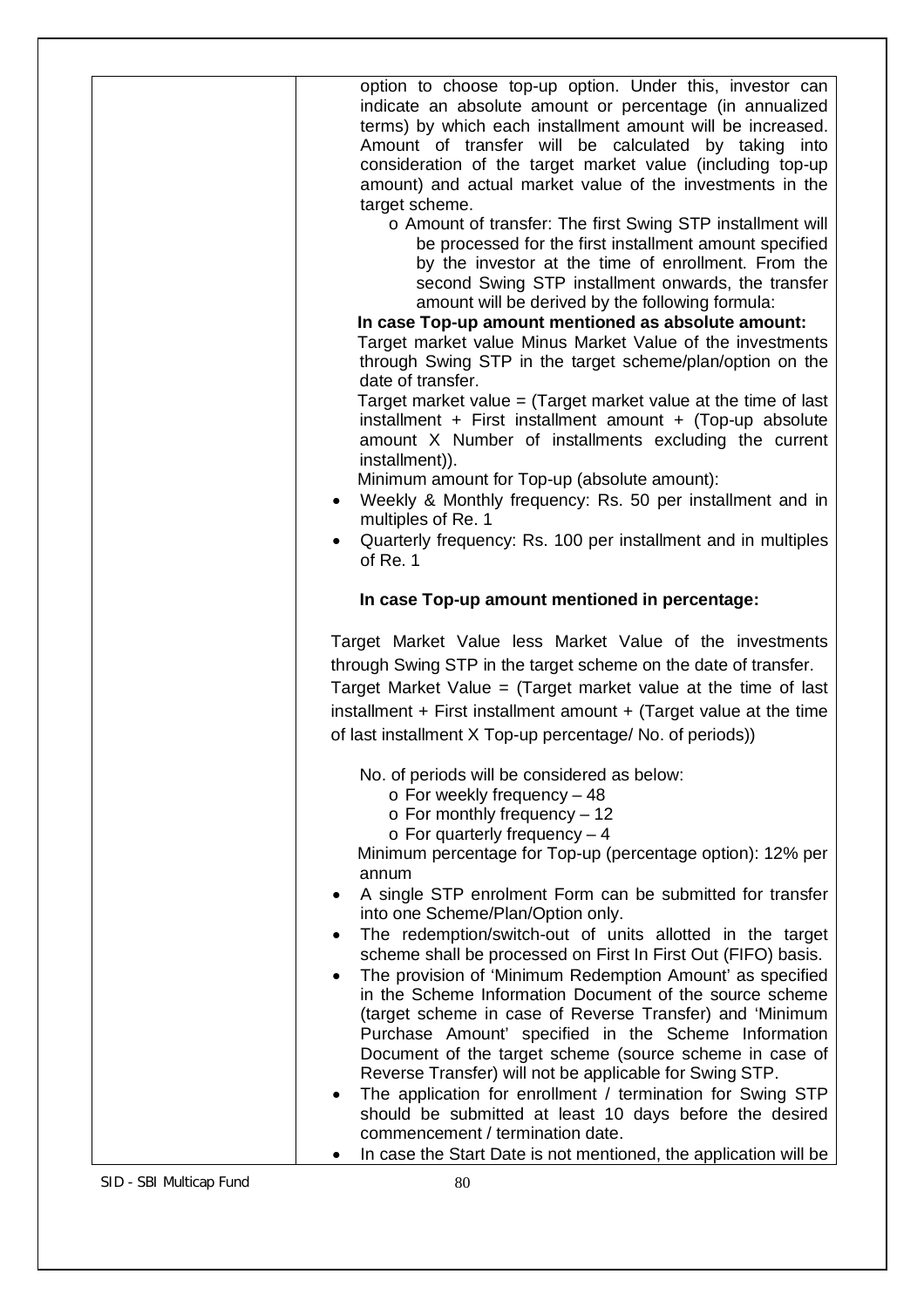| option to choose top-up option. Under this, investor can<br>indicate an absolute amount or percentage (in annualized<br>terms) by which each installment amount will be increased.<br>Amount of transfer will be calculated by taking into<br>consideration of the target market value (including top-up<br>amount) and actual market value of the investments in the<br>target scheme.<br>o Amount of transfer: The first Swing STP installment will<br>be processed for the first installment amount specified                                                                               |
|------------------------------------------------------------------------------------------------------------------------------------------------------------------------------------------------------------------------------------------------------------------------------------------------------------------------------------------------------------------------------------------------------------------------------------------------------------------------------------------------------------------------------------------------------------------------------------------------|
| by the investor at the time of enrollment. From the<br>second Swing STP installment onwards, the transfer<br>amount will be derived by the following formula:<br>In case Top-up amount mentioned as absolute amount:<br>Target market value Minus Market Value of the investments<br>through Swing STP in the target scheme/plan/option on the<br>date of transfer.                                                                                                                                                                                                                            |
| Target market value $=$ (Target market value at the time of last<br>installment + First installment amount + (Top-up absolute<br>amount X Number of installments excluding the current<br>installment)).<br>Minimum amount for Top-up (absolute amount):<br>• Weekly & Monthly frequency: Rs. 50 per installment and in<br>multiples of Re. 1<br>Quarterly frequency: Rs. 100 per installment and in multiples                                                                                                                                                                                 |
| of Re. 1<br>In case Top-up amount mentioned in percentage:                                                                                                                                                                                                                                                                                                                                                                                                                                                                                                                                     |
| Target Market Value less Market Value of the investments<br>through Swing STP in the target scheme on the date of transfer.<br>Target Market Value $=$ (Target market value at the time of last<br>installment $+$ First installment amount $+$ (Target value at the time<br>of last installment X Top-up percentage/ No. of periods))                                                                                                                                                                                                                                                         |
| No. of periods will be considered as below:<br>$\circ$ For weekly frequency - 48<br>$\circ$ For monthly frequency - 12<br>$\circ$ For quarterly frequency - 4<br>Minimum percentage for Top-up (percentage option): 12% per<br>annum                                                                                                                                                                                                                                                                                                                                                           |
| A single STP enrolment Form can be submitted for transfer<br>into one Scheme/Plan/Option only.<br>The redemption/switch-out of units allotted in the target<br>scheme shall be processed on First In First Out (FIFO) basis.<br>The provision of 'Minimum Redemption Amount' as specified<br>in the Scheme Information Document of the source scheme<br>(target scheme in case of Reverse Transfer) and 'Minimum<br>Purchase Amount' specified in the Scheme Information<br>Document of the target scheme (source scheme in case of<br>Reverse Transfer) will not be applicable for Swing STP. |
| The application for enrollment / termination for Swing STP<br>٠<br>should be submitted at least 10 days before the desired<br>commencement / termination date.                                                                                                                                                                                                                                                                                                                                                                                                                                 |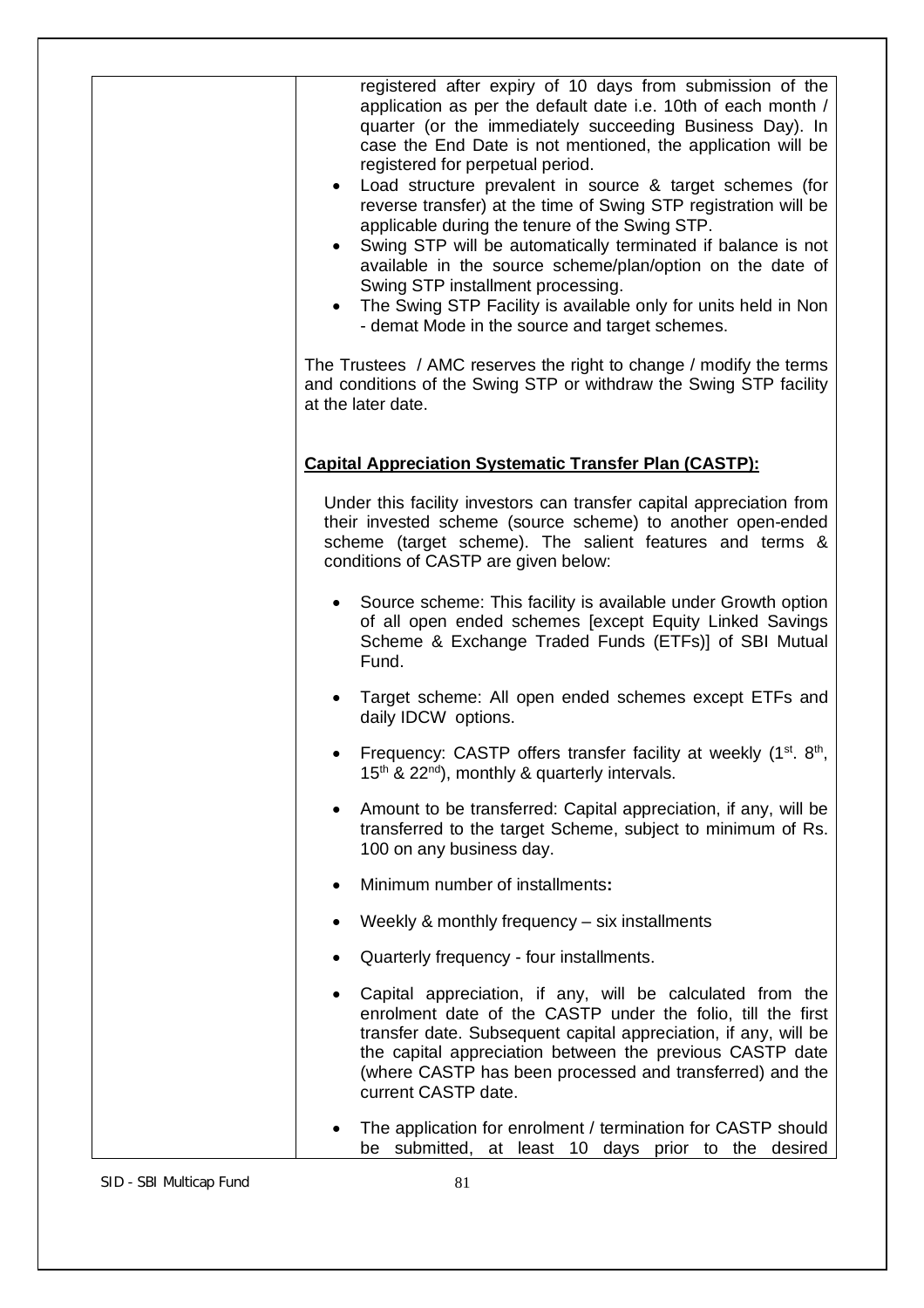| registered after expiry of 10 days from submission of the<br>application as per the default date i.e. 10th of each month /<br>quarter (or the immediately succeeding Business Day). In<br>case the End Date is not mentioned, the application will be<br>registered for perpetual period.<br>Load structure prevalent in source & target schemes (for<br>$\bullet$<br>reverse transfer) at the time of Swing STP registration will be<br>applicable during the tenure of the Swing STP.<br>Swing STP will be automatically terminated if balance is not<br>available in the source scheme/plan/option on the date of<br>Swing STP installment processing.<br>• The Swing STP Facility is available only for units held in Non<br>- demat Mode in the source and target schemes. |
|---------------------------------------------------------------------------------------------------------------------------------------------------------------------------------------------------------------------------------------------------------------------------------------------------------------------------------------------------------------------------------------------------------------------------------------------------------------------------------------------------------------------------------------------------------------------------------------------------------------------------------------------------------------------------------------------------------------------------------------------------------------------------------|
| The Trustees / AMC reserves the right to change / modify the terms<br>and conditions of the Swing STP or withdraw the Swing STP facility<br>at the later date.                                                                                                                                                                                                                                                                                                                                                                                                                                                                                                                                                                                                                  |
| <b>Capital Appreciation Systematic Transfer Plan (CASTP):</b>                                                                                                                                                                                                                                                                                                                                                                                                                                                                                                                                                                                                                                                                                                                   |
| Under this facility investors can transfer capital appreciation from<br>their invested scheme (source scheme) to another open-ended<br>scheme (target scheme). The salient features and terms &<br>conditions of CASTP are given below:                                                                                                                                                                                                                                                                                                                                                                                                                                                                                                                                         |
| • Source scheme: This facility is available under Growth option<br>of all open ended schemes [except Equity Linked Savings<br>Scheme & Exchange Traded Funds (ETFs)] of SBI Mutual<br>Fund.                                                                                                                                                                                                                                                                                                                                                                                                                                                                                                                                                                                     |
| Target scheme: All open ended schemes except ETFs and<br>daily IDCW options.                                                                                                                                                                                                                                                                                                                                                                                                                                                                                                                                                                                                                                                                                                    |
| Frequency: CASTP offers transfer facility at weekly (1st. 8th,<br>15 <sup>th</sup> & 22 <sup>nd</sup> ), monthly & quarterly intervals.                                                                                                                                                                                                                                                                                                                                                                                                                                                                                                                                                                                                                                         |
| Amount to be transferred: Capital appreciation, if any, will be<br>$\bullet$<br>transferred to the target Scheme, subject to minimum of Rs.<br>100 on any business day.                                                                                                                                                                                                                                                                                                                                                                                                                                                                                                                                                                                                         |
| Minimum number of installments:                                                                                                                                                                                                                                                                                                                                                                                                                                                                                                                                                                                                                                                                                                                                                 |
| Weekly & monthly frequency – six installments                                                                                                                                                                                                                                                                                                                                                                                                                                                                                                                                                                                                                                                                                                                                   |
| Quarterly frequency - four installments.                                                                                                                                                                                                                                                                                                                                                                                                                                                                                                                                                                                                                                                                                                                                        |
| Capital appreciation, if any, will be calculated from the<br>enrolment date of the CASTP under the folio, till the first<br>transfer date. Subsequent capital appreciation, if any, will be<br>the capital appreciation between the previous CASTP date<br>(where CASTP has been processed and transferred) and the<br>current CASTP date.                                                                                                                                                                                                                                                                                                                                                                                                                                      |
| The application for enrolment / termination for CASTP should<br>be submitted, at least 10 days prior to the desired                                                                                                                                                                                                                                                                                                                                                                                                                                                                                                                                                                                                                                                             |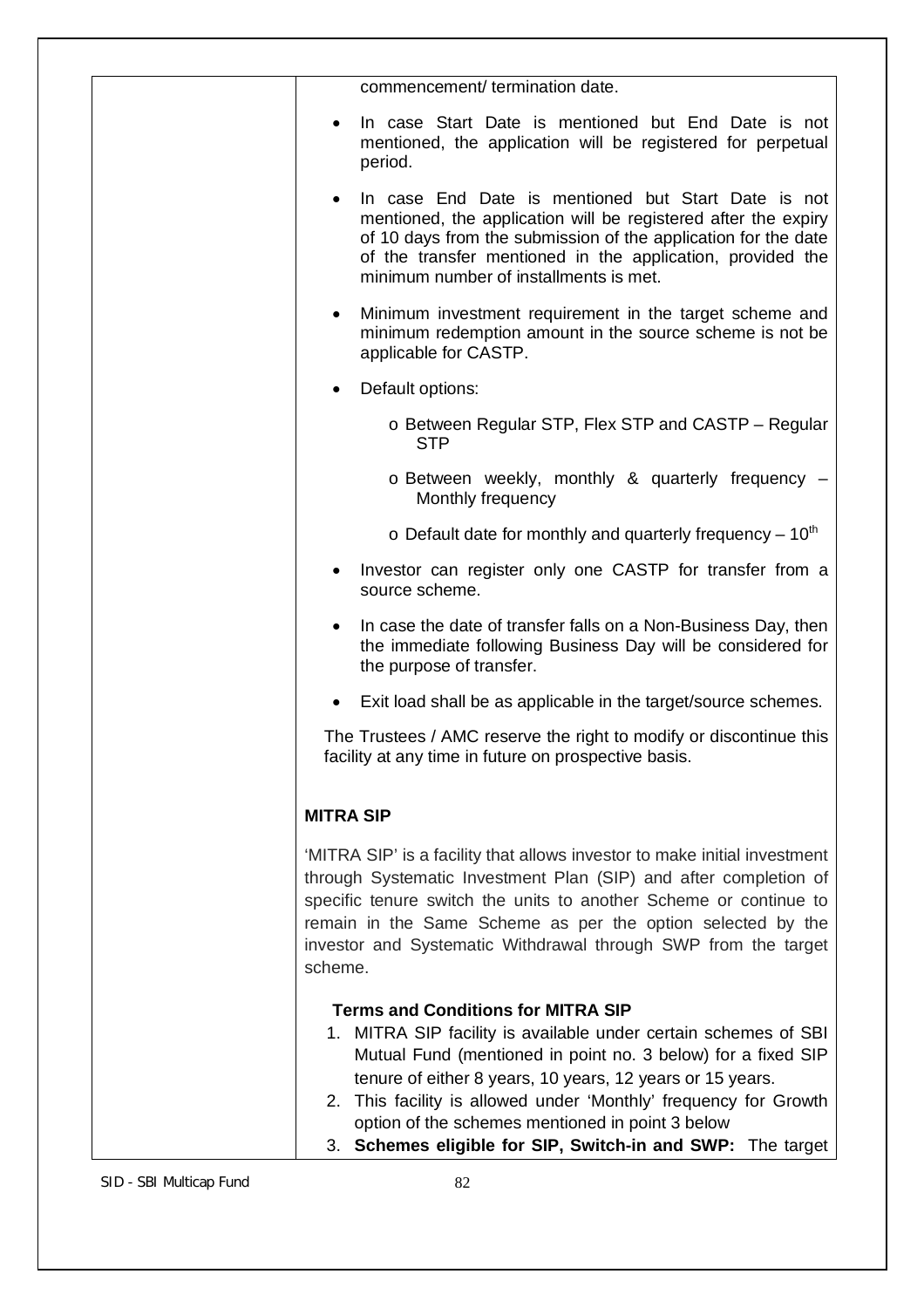| commencement/ termination date.                                                                                                                                                                                                                                                                                                                                                                                                 |
|---------------------------------------------------------------------------------------------------------------------------------------------------------------------------------------------------------------------------------------------------------------------------------------------------------------------------------------------------------------------------------------------------------------------------------|
| In case Start Date is mentioned but End Date is not<br>mentioned, the application will be registered for perpetual<br>period.                                                                                                                                                                                                                                                                                                   |
| In case End Date is mentioned but Start Date is not<br>mentioned, the application will be registered after the expiry<br>of 10 days from the submission of the application for the date<br>of the transfer mentioned in the application, provided the<br>minimum number of installments is met.                                                                                                                                 |
| Minimum investment requirement in the target scheme and<br>$\bullet$<br>minimum redemption amount in the source scheme is not be<br>applicable for CASTP.                                                                                                                                                                                                                                                                       |
| Default options:<br>$\bullet$                                                                                                                                                                                                                                                                                                                                                                                                   |
| o Between Regular STP, Flex STP and CASTP - Regular<br><b>STP</b>                                                                                                                                                                                                                                                                                                                                                               |
| o Between weekly, monthly & quarterly frequency -<br>Monthly frequency                                                                                                                                                                                                                                                                                                                                                          |
| $\circ$ Default date for monthly and quarterly frequency – 10 <sup>th</sup>                                                                                                                                                                                                                                                                                                                                                     |
| Investor can register only one CASTP for transfer from a<br>source scheme.                                                                                                                                                                                                                                                                                                                                                      |
| In case the date of transfer falls on a Non-Business Day, then<br>$\bullet$<br>the immediate following Business Day will be considered for<br>the purpose of transfer.                                                                                                                                                                                                                                                          |
| Exit load shall be as applicable in the target/source schemes.                                                                                                                                                                                                                                                                                                                                                                  |
| The Trustees / AMC reserve the right to modify or discontinue this<br>facility at any time in future on prospective basis.                                                                                                                                                                                                                                                                                                      |
| <b>MITRA SIP</b>                                                                                                                                                                                                                                                                                                                                                                                                                |
| 'MITRA SIP' is a facility that allows investor to make initial investment<br>through Systematic Investment Plan (SIP) and after completion of<br>specific tenure switch the units to another Scheme or continue to<br>remain in the Same Scheme as per the option selected by the<br>investor and Systematic Withdrawal through SWP from the target<br>scheme.                                                                  |
| <b>Terms and Conditions for MITRA SIP</b><br>1. MITRA SIP facility is available under certain schemes of SBI<br>Mutual Fund (mentioned in point no. 3 below) for a fixed SIP<br>tenure of either 8 years, 10 years, 12 years or 15 years.<br>2. This facility is allowed under 'Monthly' frequency for Growth<br>option of the schemes mentioned in point 3 below<br>3. Schemes eligible for SIP, Switch-in and SWP: The target |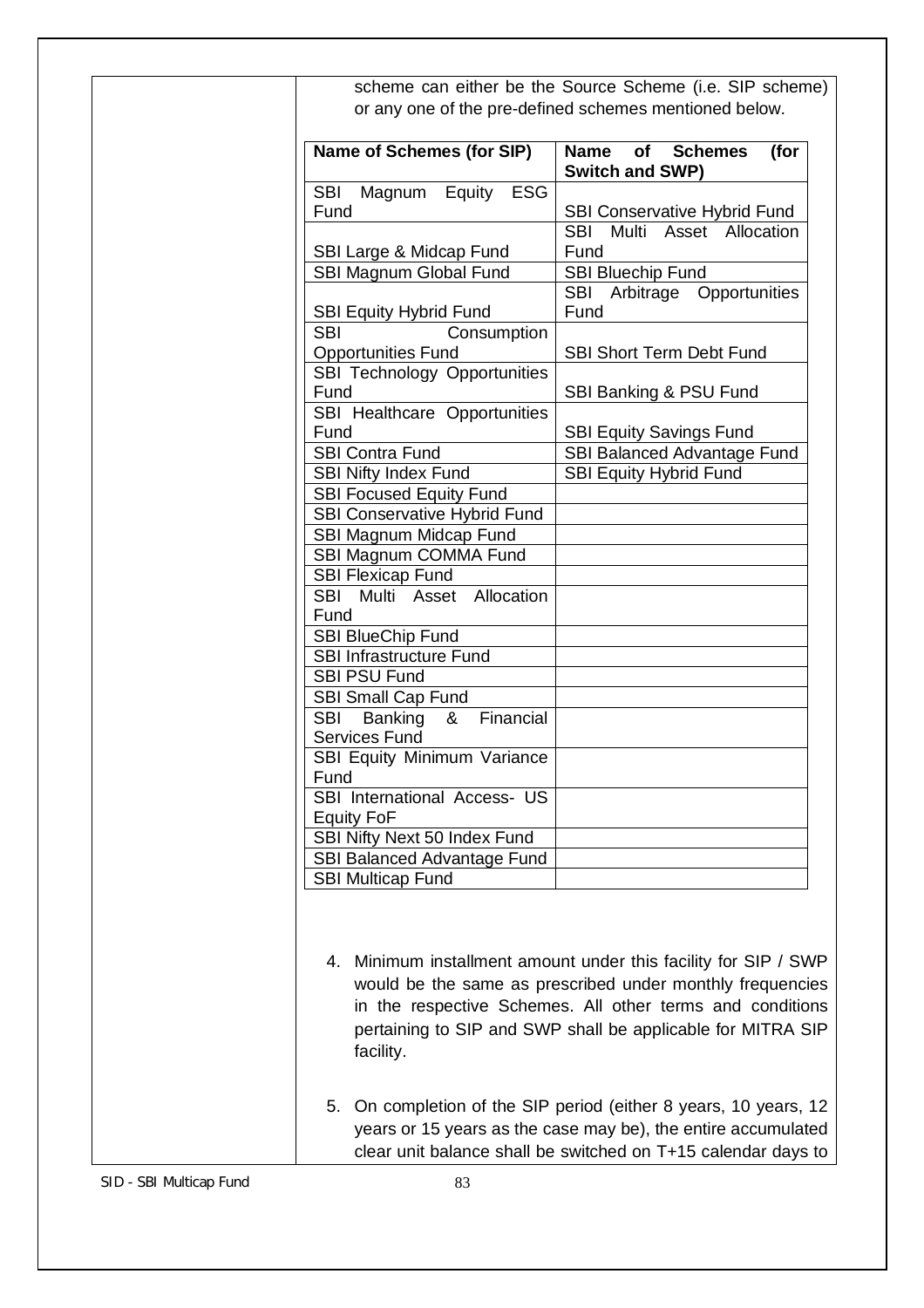| <b>Name of Schemes (for SIP)</b>                     | of<br><b>Schemes</b><br><b>Name</b><br>(for<br><b>Switch and SWP)</b>       |
|------------------------------------------------------|-----------------------------------------------------------------------------|
| <b>SBI</b><br>Magnum<br>Equity<br><b>ESG</b><br>Fund |                                                                             |
|                                                      | <b>SBI Conservative Hybrid Fund</b><br><b>SBI</b><br>Multi Asset Allocation |
| SBI Large & Midcap Fund                              | Fund                                                                        |
| SBI Magnum Global Fund                               | SBI Bluechip Fund                                                           |
|                                                      | SBI Arbitrage Opportunities                                                 |
| <b>SBI Equity Hybrid Fund</b>                        | Fund                                                                        |
| <b>SBI</b><br>Consumption                            |                                                                             |
| <b>Opportunities Fund</b>                            | SBI Short Term Debt Fund                                                    |
| SBI Technology Opportunities                         |                                                                             |
| Fund                                                 | SBI Banking & PSU Fund                                                      |
| SBI Healthcare Opportunities                         |                                                                             |
| Fund                                                 | <b>SBI Equity Savings Fund</b>                                              |
| <b>SBI Contra Fund</b>                               | SBI Balanced Advantage Fund                                                 |
| <b>SBI Nifty Index Fund</b>                          | <b>SBI Equity Hybrid Fund</b>                                               |
| <b>SBI Focused Equity Fund</b>                       |                                                                             |
| SBI Conservative Hybrid Fund                         |                                                                             |
| SBI Magnum Midcap Fund                               |                                                                             |
| SBI Magnum COMMA Fund                                |                                                                             |
| <b>SBI Flexicap Fund</b>                             |                                                                             |
| SBI Multi Asset Allocation                           |                                                                             |
| Fund                                                 |                                                                             |
| <b>SBI BlueChip Fund</b>                             |                                                                             |
| SBI Infrastructure Fund                              |                                                                             |
| <b>SBI PSU Fund</b>                                  |                                                                             |
| <b>SBI Small Cap Fund</b>                            |                                                                             |
| SBI Banking<br>Financial<br>&                        |                                                                             |
| Services Fund<br>SBI Equity Minimum Variance         |                                                                             |
| Fund                                                 |                                                                             |
| SBI International Access- US                         |                                                                             |
| <b>Equity FoF</b>                                    |                                                                             |
| SBI Nifty Next 50 Index Fund                         |                                                                             |
| SBI Balanced Advantage Fund                          |                                                                             |
| <b>SBI Multicap Fund</b>                             |                                                                             |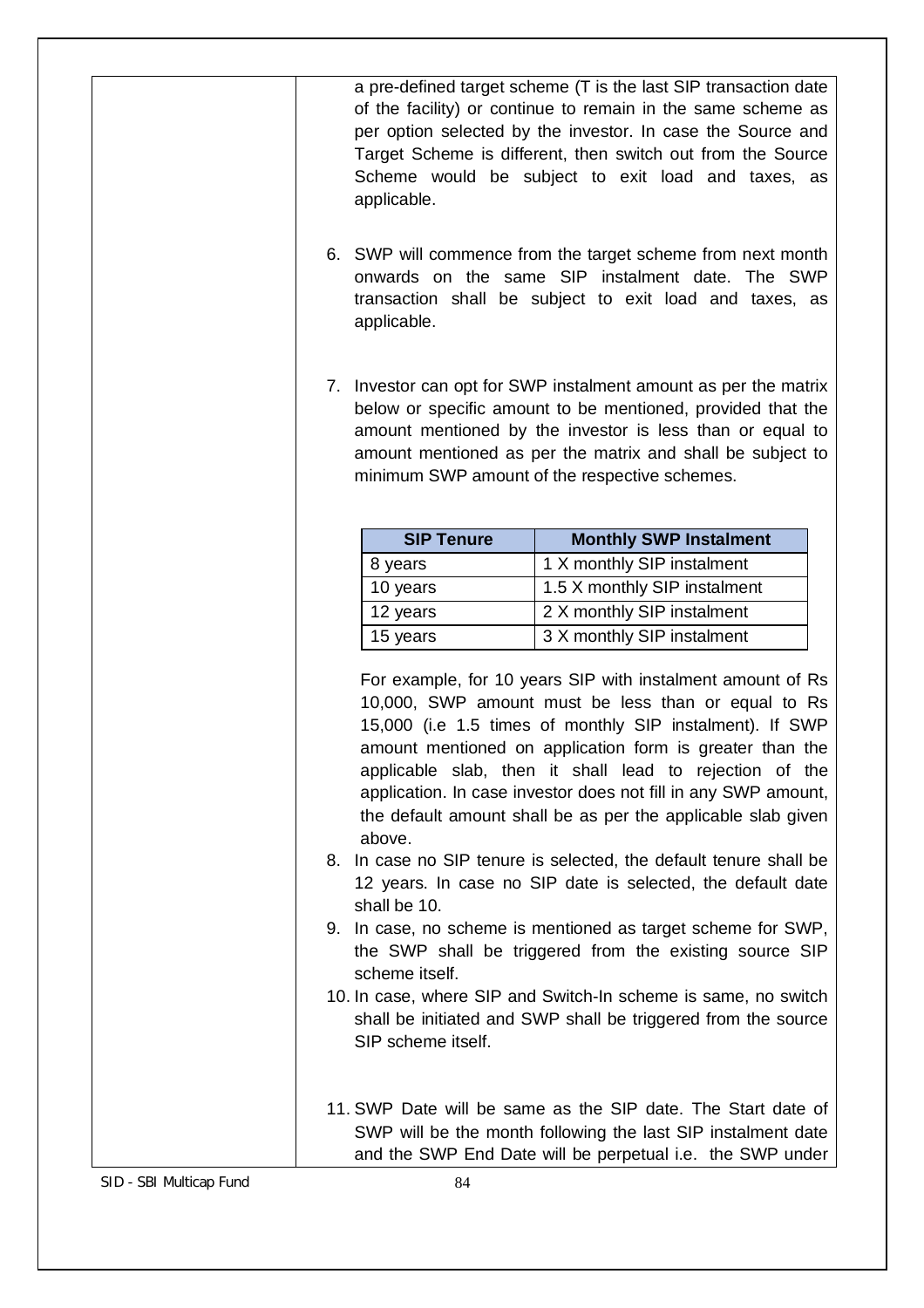|    | applicable.<br>applicable.                                     | a pre-defined target scheme (T is the last SIP transaction date<br>of the facility) or continue to remain in the same scheme as<br>per option selected by the investor. In case the Source and<br>Target Scheme is different, then switch out from the Source<br>Scheme would be subject to exit load and taxes, as<br>6. SWP will commence from the target scheme from next month<br>onwards on the same SIP instalment date. The SWP<br>transaction shall be subject to exit load and taxes, as                                                                                                                                                                                                                                                                                                                                     |
|----|----------------------------------------------------------------|---------------------------------------------------------------------------------------------------------------------------------------------------------------------------------------------------------------------------------------------------------------------------------------------------------------------------------------------------------------------------------------------------------------------------------------------------------------------------------------------------------------------------------------------------------------------------------------------------------------------------------------------------------------------------------------------------------------------------------------------------------------------------------------------------------------------------------------|
|    |                                                                | 7. Investor can opt for SWP instalment amount as per the matrix<br>below or specific amount to be mentioned, provided that the<br>amount mentioned by the investor is less than or equal to<br>amount mentioned as per the matrix and shall be subject to<br>minimum SWP amount of the respective schemes.                                                                                                                                                                                                                                                                                                                                                                                                                                                                                                                            |
|    |                                                                |                                                                                                                                                                                                                                                                                                                                                                                                                                                                                                                                                                                                                                                                                                                                                                                                                                       |
|    | <b>SIP Tenure</b>                                              | <b>Monthly SWP Instalment</b>                                                                                                                                                                                                                                                                                                                                                                                                                                                                                                                                                                                                                                                                                                                                                                                                         |
|    | 8 years                                                        | 1 X monthly SIP instalment                                                                                                                                                                                                                                                                                                                                                                                                                                                                                                                                                                                                                                                                                                                                                                                                            |
|    | 10 years                                                       | 1.5 X monthly SIP instalment                                                                                                                                                                                                                                                                                                                                                                                                                                                                                                                                                                                                                                                                                                                                                                                                          |
|    | 12 years                                                       | 2 X monthly SIP instalment                                                                                                                                                                                                                                                                                                                                                                                                                                                                                                                                                                                                                                                                                                                                                                                                            |
|    | 15 years                                                       | 3 X monthly SIP instalment                                                                                                                                                                                                                                                                                                                                                                                                                                                                                                                                                                                                                                                                                                                                                                                                            |
| 8. | above.<br>shall be 10.<br>scheme itself.<br>SIP scheme itself. | For example, for 10 years SIP with instalment amount of Rs<br>10,000, SWP amount must be less than or equal to Rs<br>15,000 (i.e 1.5 times of monthly SIP instalment). If SWP<br>amount mentioned on application form is greater than the<br>applicable slab, then it shall lead to rejection of the<br>application. In case investor does not fill in any SWP amount,<br>the default amount shall be as per the applicable slab given<br>In case no SIP tenure is selected, the default tenure shall be<br>12 years. In case no SIP date is selected, the default date<br>9. In case, no scheme is mentioned as target scheme for SWP,<br>the SWP shall be triggered from the existing source SIP<br>10. In case, where SIP and Switch-In scheme is same, no switch<br>shall be initiated and SWP shall be triggered from the source |
|    |                                                                | 11. SWP Date will be same as the SIP date. The Start date of<br>SWP will be the month following the last SIP instalment date<br>and the SWP End Date will be perpetual i.e. the SWP under                                                                                                                                                                                                                                                                                                                                                                                                                                                                                                                                                                                                                                             |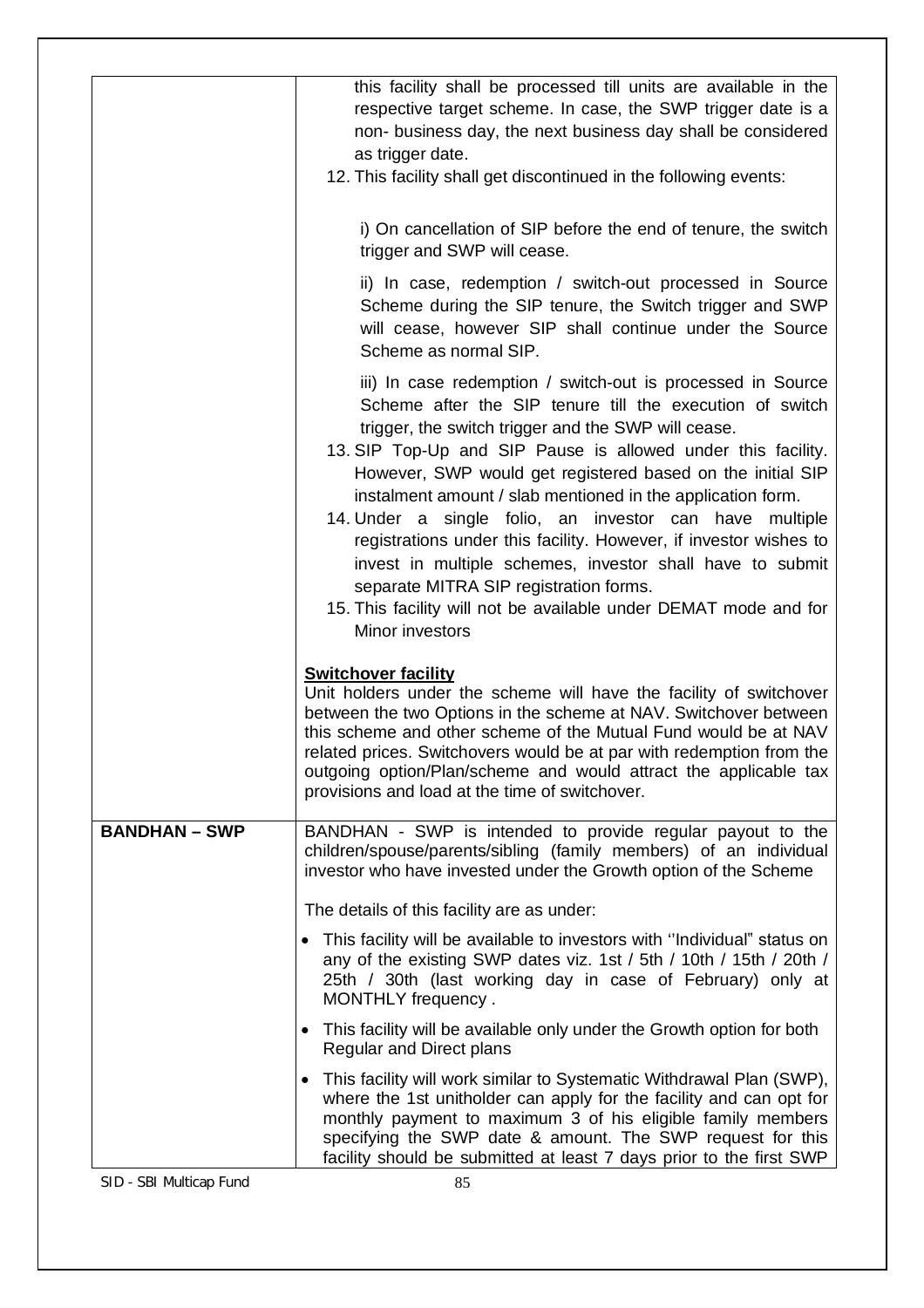|                      | this facility shall be processed till units are available in the<br>respective target scheme. In case, the SWP trigger date is a<br>non- business day, the next business day shall be considered<br>as trigger date.<br>12. This facility shall get discontinued in the following events:                                                                                                                                                                                                                                                                                                                                                                                                                 |
|----------------------|-----------------------------------------------------------------------------------------------------------------------------------------------------------------------------------------------------------------------------------------------------------------------------------------------------------------------------------------------------------------------------------------------------------------------------------------------------------------------------------------------------------------------------------------------------------------------------------------------------------------------------------------------------------------------------------------------------------|
|                      | i) On cancellation of SIP before the end of tenure, the switch<br>trigger and SWP will cease.                                                                                                                                                                                                                                                                                                                                                                                                                                                                                                                                                                                                             |
|                      | ii) In case, redemption / switch-out processed in Source<br>Scheme during the SIP tenure, the Switch trigger and SWP<br>will cease, however SIP shall continue under the Source<br>Scheme as normal SIP.                                                                                                                                                                                                                                                                                                                                                                                                                                                                                                  |
|                      | iii) In case redemption / switch-out is processed in Source<br>Scheme after the SIP tenure till the execution of switch<br>trigger, the switch trigger and the SWP will cease.<br>13. SIP Top-Up and SIP Pause is allowed under this facility.<br>However, SWP would get registered based on the initial SIP<br>instalment amount / slab mentioned in the application form.<br>14. Under a single folio, an investor can have multiple<br>registrations under this facility. However, if investor wishes to<br>invest in multiple schemes, investor shall have to submit<br>separate MITRA SIP registration forms.<br>15. This facility will not be available under DEMAT mode and for<br>Minor investors |
|                      | <b>Switchover facility</b><br>Unit holders under the scheme will have the facility of switchover<br>between the two Options in the scheme at NAV. Switchover between<br>this scheme and other scheme of the Mutual Fund would be at NAV<br>related prices. Switchovers would be at par with redemption from the<br>outgoing option/Plan/scheme and would attract the applicable tax<br>provisions and load at the time of switchover.                                                                                                                                                                                                                                                                     |
| <b>BANDHAN - SWP</b> | BANDHAN - SWP is intended to provide regular payout to the<br>children/spouse/parents/sibling (family members) of an individual<br>investor who have invested under the Growth option of the Scheme                                                                                                                                                                                                                                                                                                                                                                                                                                                                                                       |
|                      | The details of this facility are as under:                                                                                                                                                                                                                                                                                                                                                                                                                                                                                                                                                                                                                                                                |
|                      | This facility will be available to investors with "Individual" status on<br>$\bullet$<br>any of the existing SWP dates viz. 1st / 5th / 10th / 15th / 20th /<br>25th / 30th (last working day in case of February) only at<br>MONTHLY frequency.                                                                                                                                                                                                                                                                                                                                                                                                                                                          |
|                      | • This facility will be available only under the Growth option for both<br><b>Regular and Direct plans</b>                                                                                                                                                                                                                                                                                                                                                                                                                                                                                                                                                                                                |
|                      | • This facility will work similar to Systematic Withdrawal Plan (SWP),<br>where the 1st unitholder can apply for the facility and can opt for<br>monthly payment to maximum 3 of his eligible family members<br>specifying the SWP date & amount. The SWP request for this<br>facility should be submitted at least 7 days prior to the first SWP                                                                                                                                                                                                                                                                                                                                                         |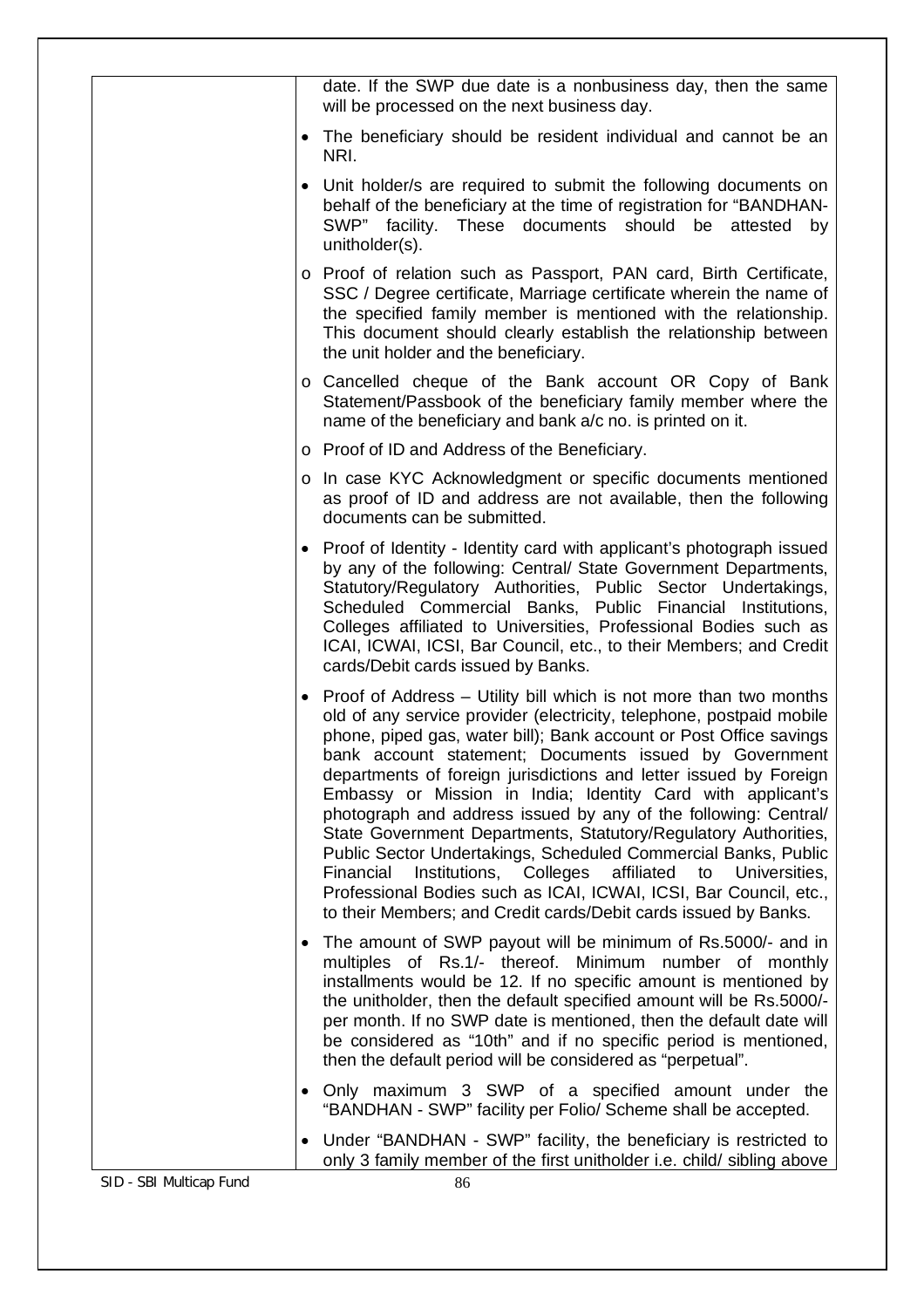|                         | date. If the SWP due date is a nonbusiness day, then the same<br>will be processed on the next business day.                                                                                                                                                                                                                                                                                                                                                                                                                                                                                                                                                                                                                                                                                                                        |
|-------------------------|-------------------------------------------------------------------------------------------------------------------------------------------------------------------------------------------------------------------------------------------------------------------------------------------------------------------------------------------------------------------------------------------------------------------------------------------------------------------------------------------------------------------------------------------------------------------------------------------------------------------------------------------------------------------------------------------------------------------------------------------------------------------------------------------------------------------------------------|
| ٠                       | The beneficiary should be resident individual and cannot be an<br>NRI.                                                                                                                                                                                                                                                                                                                                                                                                                                                                                                                                                                                                                                                                                                                                                              |
| $\bullet$               | Unit holder/s are required to submit the following documents on<br>behalf of the beneficiary at the time of registration for "BANDHAN-<br>These documents should be attested<br>SWP" facility.<br>by<br>unitholder(s).                                                                                                                                                                                                                                                                                                                                                                                                                                                                                                                                                                                                              |
|                         | o Proof of relation such as Passport, PAN card, Birth Certificate,<br>SSC / Degree certificate, Marriage certificate wherein the name of<br>the specified family member is mentioned with the relationship.<br>This document should clearly establish the relationship between<br>the unit holder and the beneficiary.                                                                                                                                                                                                                                                                                                                                                                                                                                                                                                              |
|                         | o Cancelled cheque of the Bank account OR Copy of Bank<br>Statement/Passbook of the beneficiary family member where the<br>name of the beneficiary and bank a/c no. is printed on it.                                                                                                                                                                                                                                                                                                                                                                                                                                                                                                                                                                                                                                               |
|                         | o Proof of ID and Address of the Beneficiary.                                                                                                                                                                                                                                                                                                                                                                                                                                                                                                                                                                                                                                                                                                                                                                                       |
|                         | o In case KYC Acknowledgment or specific documents mentioned<br>as proof of ID and address are not available, then the following<br>documents can be submitted.                                                                                                                                                                                                                                                                                                                                                                                                                                                                                                                                                                                                                                                                     |
| $\bullet$               | Proof of Identity - Identity card with applicant's photograph issued<br>by any of the following: Central/ State Government Departments,<br>Statutory/Regulatory Authorities, Public Sector Undertakings,<br>Scheduled Commercial Banks, Public Financial Institutions,<br>Colleges affiliated to Universities, Professional Bodies such as<br>ICAI, ICWAI, ICSI, Bar Council, etc., to their Members; and Credit<br>cards/Debit cards issued by Banks.                                                                                                                                                                                                                                                                                                                                                                              |
| ٠                       | Proof of Address – Utility bill which is not more than two months<br>old of any service provider (electricity, telephone, postpaid mobile<br>phone, piped gas, water bill); Bank account or Post Office savings<br>bank account statement; Documents issued by Government<br>departments of foreign jurisdictions and letter issued by Foreign<br>Embassy or Mission in India; Identity Card with applicant's<br>photograph and address issued by any of the following: Central/<br>State Government Departments, Statutory/Regulatory Authorities,<br>Public Sector Undertakings, Scheduled Commercial Banks, Public<br>Financial Institutions, Colleges affiliated<br>to<br>Universities,<br>Professional Bodies such as ICAI, ICWAI, ICSI, Bar Council, etc.,<br>to their Members; and Credit cards/Debit cards issued by Banks. |
| $\bullet$               | The amount of SWP payout will be minimum of Rs.5000/- and in<br>multiples of Rs.1/- thereof. Minimum number of monthly<br>installments would be 12. If no specific amount is mentioned by<br>the unitholder, then the default specified amount will be Rs.5000/-<br>per month. If no SWP date is mentioned, then the default date will<br>be considered as "10th" and if no specific period is mentioned,<br>then the default period will be considered as "perpetual".                                                                                                                                                                                                                                                                                                                                                             |
| $\bullet$               | Only maximum 3 SWP of a specified amount under the<br>"BANDHAN - SWP" facility per Folio/ Scheme shall be accepted.                                                                                                                                                                                                                                                                                                                                                                                                                                                                                                                                                                                                                                                                                                                 |
|                         | Under "BANDHAN - SWP" facility, the beneficiary is restricted to<br>$\bullet$<br>only 3 family member of the first unitholder i.e. child/ sibling above                                                                                                                                                                                                                                                                                                                                                                                                                                                                                                                                                                                                                                                                             |
| SID - SBI Multicap Fund | 86                                                                                                                                                                                                                                                                                                                                                                                                                                                                                                                                                                                                                                                                                                                                                                                                                                  |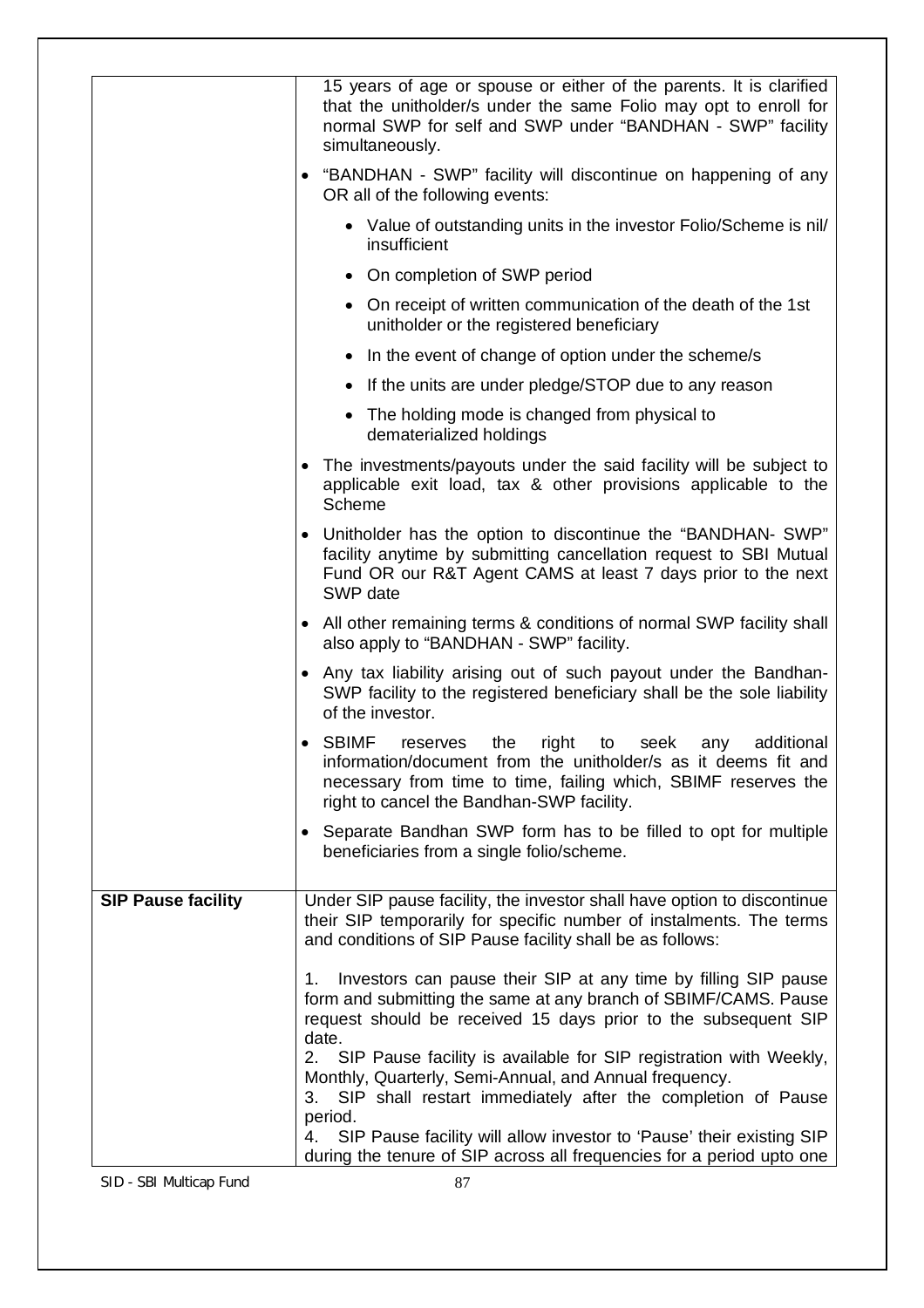|                           | 15 years of age or spouse or either of the parents. It is clarified<br>that the unitholder/s under the same Folio may opt to enroll for<br>normal SWP for self and SWP under "BANDHAN - SWP" facility<br>simultaneously.                                          |
|---------------------------|-------------------------------------------------------------------------------------------------------------------------------------------------------------------------------------------------------------------------------------------------------------------|
|                           | "BANDHAN - SWP" facility will discontinue on happening of any<br>OR all of the following events:                                                                                                                                                                  |
|                           | • Value of outstanding units in the investor Folio/Scheme is nil/<br>insufficient                                                                                                                                                                                 |
|                           | • On completion of SWP period                                                                                                                                                                                                                                     |
|                           | • On receipt of written communication of the death of the 1st<br>unitholder or the registered beneficiary                                                                                                                                                         |
|                           | In the event of change of option under the scheme/s<br>$\bullet$                                                                                                                                                                                                  |
|                           | If the units are under pledge/STOP due to any reason                                                                                                                                                                                                              |
|                           | • The holding mode is changed from physical to<br>dematerialized holdings                                                                                                                                                                                         |
|                           | The investments/payouts under the said facility will be subject to<br>applicable exit load, tax & other provisions applicable to the<br>Scheme                                                                                                                    |
|                           | • Unitholder has the option to discontinue the "BANDHAN- SWP"<br>facility anytime by submitting cancellation request to SBI Mutual<br>Fund OR our R&T Agent CAMS at least 7 days prior to the next<br>SWP date                                                    |
|                           | • All other remaining terms & conditions of normal SWP facility shall<br>also apply to "BANDHAN - SWP" facility.                                                                                                                                                  |
|                           | • Any tax liability arising out of such payout under the Bandhan-<br>SWP facility to the registered beneficiary shall be the sole liability<br>of the investor.                                                                                                   |
|                           | <b>SBIMF</b><br>additional<br>right<br>the<br>seek<br>reserves<br>to<br>any<br>٠<br>information/document from the unitholder/s as it deems fit and<br>necessary from time to time, failing which, SBIMF reserves the<br>right to cancel the Bandhan-SWP facility. |
|                           | • Separate Bandhan SWP form has to be filled to opt for multiple<br>beneficiaries from a single folio/scheme.                                                                                                                                                     |
| <b>SIP Pause facility</b> | Under SIP pause facility, the investor shall have option to discontinue<br>their SIP temporarily for specific number of instalments. The terms<br>and conditions of SIP Pause facility shall be as follows:                                                       |
|                           | Investors can pause their SIP at any time by filling SIP pause<br>1.<br>form and submitting the same at any branch of SBIMF/CAMS. Pause<br>request should be received 15 days prior to the subsequent SIP<br>date.                                                |
|                           | SIP Pause facility is available for SIP registration with Weekly,<br>2.<br>Monthly, Quarterly, Semi-Annual, and Annual frequency.<br>3. SIP shall restart immediately after the completion of Pause<br>period.                                                    |
|                           | 4. SIP Pause facility will allow investor to 'Pause' their existing SIP<br>during the tenure of SIP across all frequencies for a period upto one                                                                                                                  |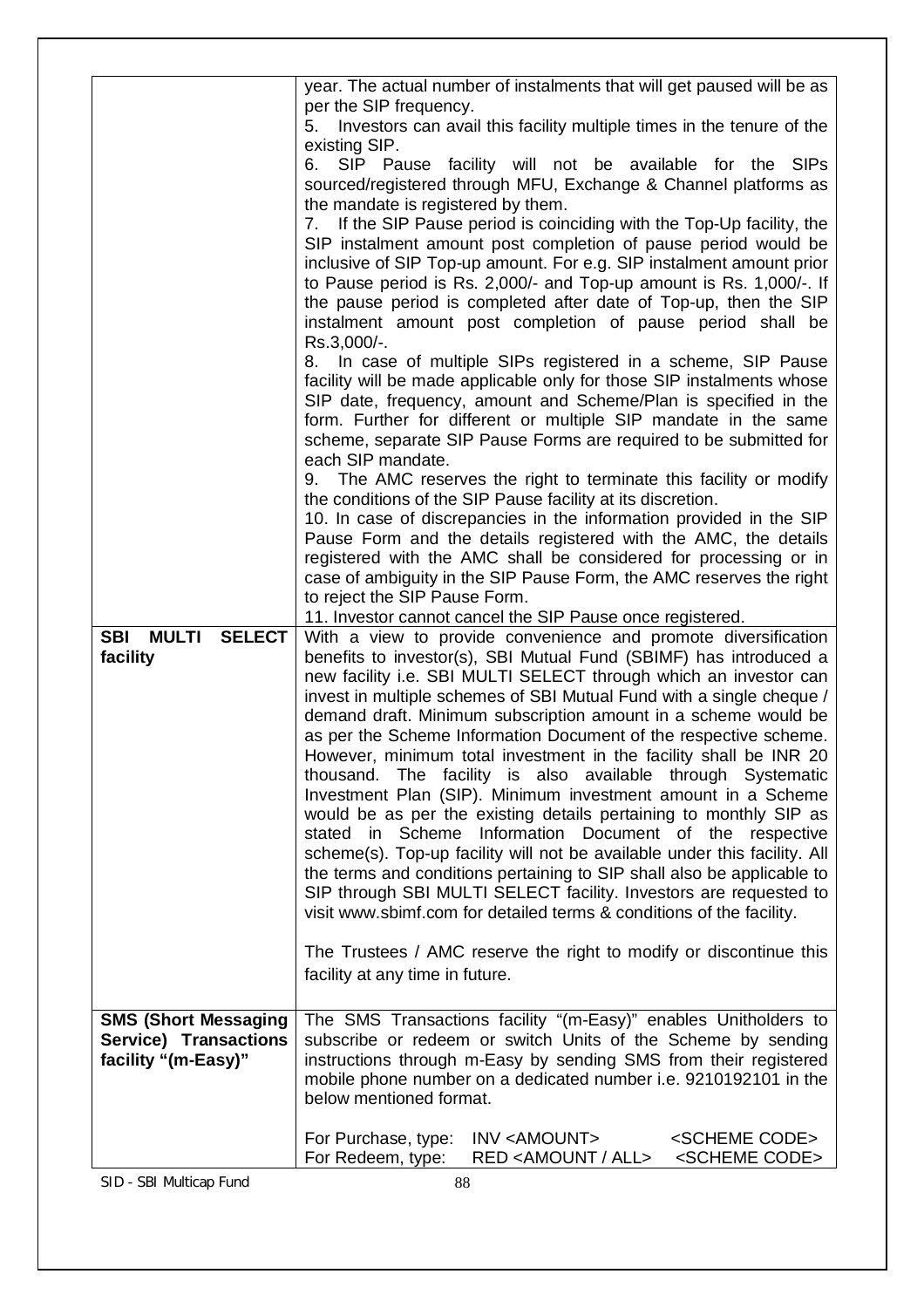|                                              | year. The actual number of instalments that will get paused will be as<br>per the SIP frequency.                                            |
|----------------------------------------------|---------------------------------------------------------------------------------------------------------------------------------------------|
|                                              | 5. Investors can avail this facility multiple times in the tenure of the                                                                    |
|                                              | existing SIP.<br>SIP Pause facility will not be available for the SIPs<br>6.                                                                |
|                                              | sourced/registered through MFU, Exchange & Channel platforms as                                                                             |
|                                              | the mandate is registered by them.                                                                                                          |
|                                              | If the SIP Pause period is coinciding with the Top-Up facility, the<br>7.<br>SIP instalment amount post completion of pause period would be |
|                                              | inclusive of SIP Top-up amount. For e.g. SIP instalment amount prior                                                                        |
|                                              | to Pause period is Rs. 2,000/- and Top-up amount is Rs. 1,000/-. If<br>the pause period is completed after date of Top-up, then the SIP     |
|                                              | instalment amount post completion of pause period shall be                                                                                  |
|                                              | Rs.3,000/-.                                                                                                                                 |
|                                              | In case of multiple SIPs registered in a scheme, SIP Pause<br>8.<br>facility will be made applicable only for those SIP instalments whose   |
|                                              | SIP date, frequency, amount and Scheme/Plan is specified in the                                                                             |
|                                              | form. Further for different or multiple SIP mandate in the same<br>scheme, separate SIP Pause Forms are required to be submitted for        |
|                                              | each SIP mandate.                                                                                                                           |
|                                              | 9. The AMC reserves the right to terminate this facility or modify<br>the conditions of the SIP Pause facility at its discretion.           |
|                                              | 10. In case of discrepancies in the information provided in the SIP                                                                         |
|                                              | Pause Form and the details registered with the AMC, the details                                                                             |
|                                              | registered with the AMC shall be considered for processing or in<br>case of ambiguity in the SIP Pause Form, the AMC reserves the right     |
|                                              | to reject the SIP Pause Form.                                                                                                               |
| <b>SBI</b><br><b>MULTI SELECT</b>            | 11. Investor cannot cancel the SIP Pause once registered.<br>With a view to provide convenience and promote diversification                 |
| facility                                     | benefits to investor(s), SBI Mutual Fund (SBIMF) has introduced a                                                                           |
|                                              | new facility i.e. SBI MULTI SELECT through which an investor can<br>invest in multiple schemes of SBI Mutual Fund with a single cheque /    |
|                                              | demand draft. Minimum subscription amount in a scheme would be                                                                              |
|                                              | as per the Scheme Information Document of the respective scheme.                                                                            |
|                                              | However, minimum total investment in the facility shall be INR 20<br>thousand. The facility is also available through Systematic            |
|                                              | Investment Plan (SIP). Minimum investment amount in a Scheme                                                                                |
|                                              | would be as per the existing details pertaining to monthly SIP as<br>stated in Scheme Information Document of the respective                |
|                                              | scheme(s). Top-up facility will not be available under this facility. All                                                                   |
|                                              | the terms and conditions pertaining to SIP shall also be applicable to<br>SIP through SBI MULTI SELECT facility. Investors are requested to |
|                                              | visit www.sbimf.com for detailed terms & conditions of the facility.                                                                        |
|                                              | The Trustees / AMC reserve the right to modify or discontinue this                                                                          |
|                                              | facility at any time in future.                                                                                                             |
|                                              |                                                                                                                                             |
| <b>SMS (Short Messaging</b>                  | The SMS Transactions facility "(m-Easy)" enables Unitholders to                                                                             |
| Service) Transactions<br>facility "(m-Easy)" | subscribe or redeem or switch Units of the Scheme by sending<br>instructions through m-Easy by sending SMS from their registered            |
|                                              | mobile phone number on a dedicated number i.e. 9210192101 in the                                                                            |
|                                              | below mentioned format.                                                                                                                     |
|                                              | For Purchase, type:<br>INV <amount><br/><scheme code=""></scheme></amount>                                                                  |
|                                              | For Redeem, type:<br>RED <amount all=""><br/><scheme code=""></scheme></amount>                                                             |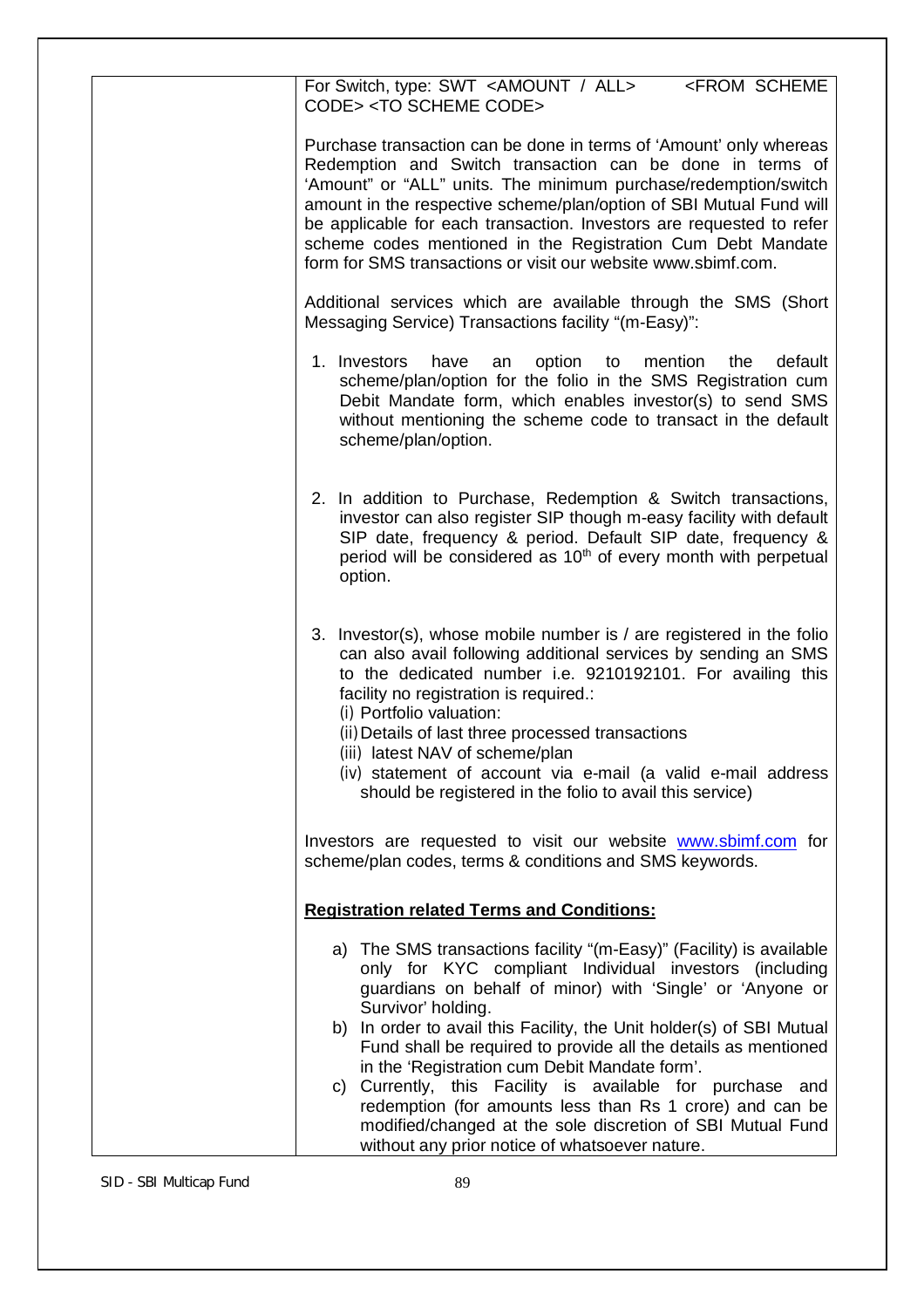| For Switch, type: SWT <amount all=""><br/><from scheme<br="">CODE&gt;<to code="" scheme=""></to></from></amount>                                                                                                                                                                                                                                                                                                                                                                  |
|-----------------------------------------------------------------------------------------------------------------------------------------------------------------------------------------------------------------------------------------------------------------------------------------------------------------------------------------------------------------------------------------------------------------------------------------------------------------------------------|
| Purchase transaction can be done in terms of 'Amount' only whereas<br>Redemption and Switch transaction can be done in terms of<br>'Amount" or "ALL" units. The minimum purchase/redemption/switch<br>amount in the respective scheme/plan/option of SBI Mutual Fund will<br>be applicable for each transaction. Investors are requested to refer<br>scheme codes mentioned in the Registration Cum Debt Mandate<br>form for SMS transactions or visit our website www.sbimf.com. |
| Additional services which are available through the SMS (Short<br>Messaging Service) Transactions facility "(m-Easy)":                                                                                                                                                                                                                                                                                                                                                            |
| 1. Investors<br>default<br>have<br>option to<br>mention<br>the<br>an<br>scheme/plan/option for the folio in the SMS Registration cum<br>Debit Mandate form, which enables investor(s) to send SMS<br>without mentioning the scheme code to transact in the default<br>scheme/plan/option.                                                                                                                                                                                         |
| 2. In addition to Purchase, Redemption & Switch transactions,<br>investor can also register SIP though m-easy facility with default<br>SIP date, frequency & period. Default SIP date, frequency &<br>period will be considered as 10 <sup>th</sup> of every month with perpetual<br>option.                                                                                                                                                                                      |
| 3. Investor(s), whose mobile number is / are registered in the folio<br>can also avail following additional services by sending an SMS<br>to the dedicated number i.e. 9210192101. For availing this<br>facility no registration is required.:<br>(i) Portfolio valuation:                                                                                                                                                                                                        |
| (ii) Details of last three processed transactions<br>(iii) latest NAV of scheme/plan<br>(iv) statement of account via e-mail (a valid e-mail address<br>should be registered in the folio to avail this service)                                                                                                                                                                                                                                                                  |
| Investors are requested to visit our website www.sbimf.com for<br>scheme/plan codes, terms & conditions and SMS keywords.                                                                                                                                                                                                                                                                                                                                                         |
| <b>Registration related Terms and Conditions:</b>                                                                                                                                                                                                                                                                                                                                                                                                                                 |
| a) The SMS transactions facility "(m-Easy)" (Facility) is available<br>only for KYC compliant Individual investors (including<br>guardians on behalf of minor) with 'Single' or 'Anyone or<br>Survivor' holding.<br>b) In order to avail this Facility, the Unit holder(s) of SBI Mutual                                                                                                                                                                                          |
| Fund shall be required to provide all the details as mentioned<br>in the 'Registration cum Debit Mandate form'.<br>c) Currently, this Facility is available for purchase and<br>redemption (for amounts less than Rs 1 crore) and can be<br>modified/changed at the sole discretion of SBI Mutual Fund<br>without any prior notice of whatsoever nature.                                                                                                                          |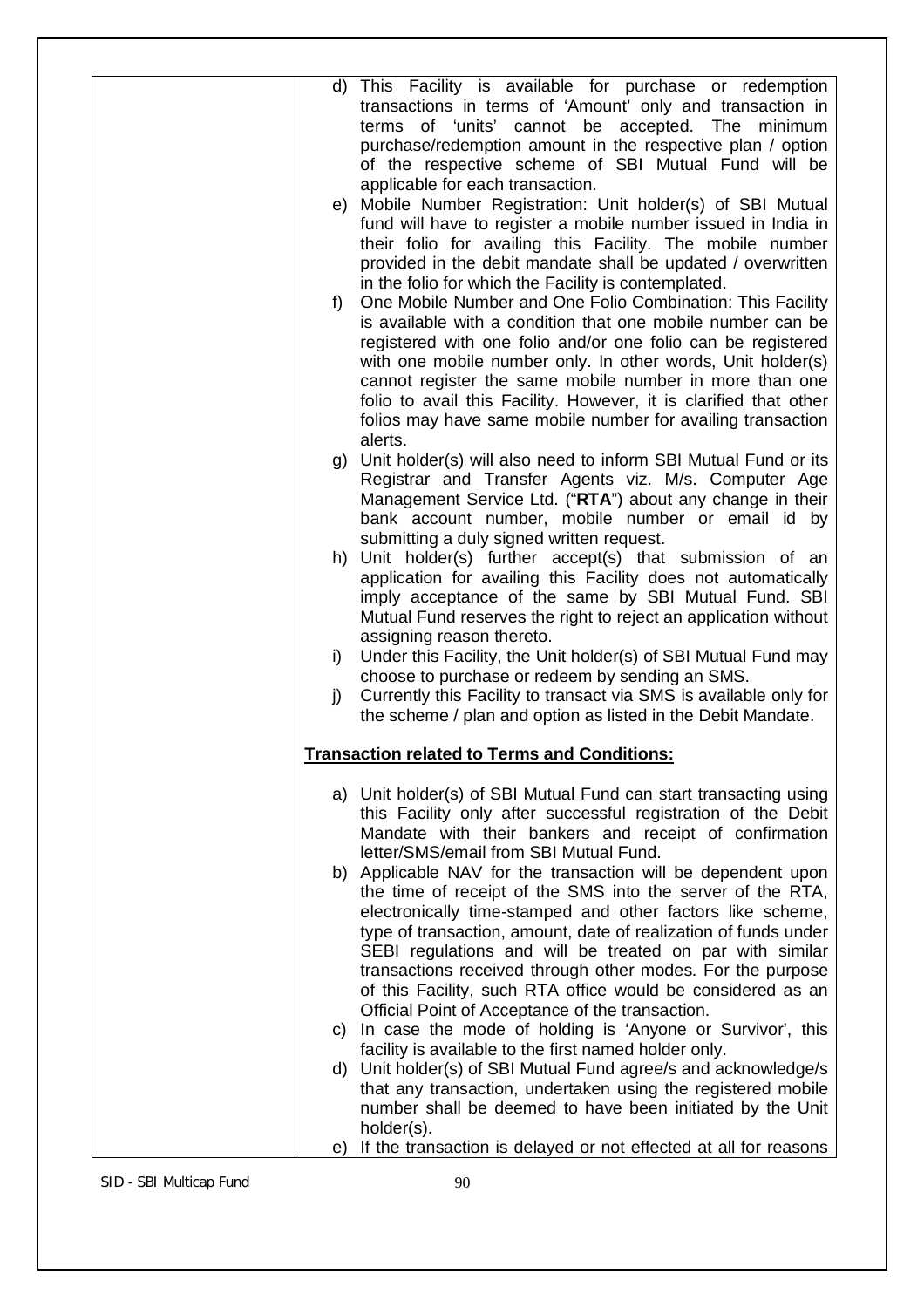| d)       | This Facility is available for purchase or redemption<br>transactions in terms of 'Amount' only and transaction in<br>terms of 'units' cannot be accepted. The minimum<br>purchase/redemption amount in the respective plan / option                                                                                                                                                                                                                               |
|----------|--------------------------------------------------------------------------------------------------------------------------------------------------------------------------------------------------------------------------------------------------------------------------------------------------------------------------------------------------------------------------------------------------------------------------------------------------------------------|
|          | of the respective scheme of SBI Mutual Fund will be<br>applicable for each transaction.<br>e) Mobile Number Registration: Unit holder(s) of SBI Mutual<br>fund will have to register a mobile number issued in India in                                                                                                                                                                                                                                            |
|          | their folio for availing this Facility. The mobile number<br>provided in the debit mandate shall be updated / overwritten<br>in the folio for which the Facility is contemplated.                                                                                                                                                                                                                                                                                  |
| $f$ )    | One Mobile Number and One Folio Combination: This Facility<br>is available with a condition that one mobile number can be<br>registered with one folio and/or one folio can be registered<br>with one mobile number only. In other words, Unit holder(s)<br>cannot register the same mobile number in more than one<br>folio to avail this Facility. However, it is clarified that other<br>folios may have same mobile number for availing transaction<br>alerts. |
|          | g) Unit holder(s) will also need to inform SBI Mutual Fund or its<br>Registrar and Transfer Agents viz. M/s. Computer Age<br>Management Service Ltd. ("RTA") about any change in their<br>bank account number, mobile number or email id by                                                                                                                                                                                                                        |
|          | submitting a duly signed written request.<br>h) Unit holder(s) further accept(s) that submission of an<br>application for availing this Facility does not automatically<br>imply acceptance of the same by SBI Mutual Fund. SBI<br>Mutual Fund reserves the right to reject an application without                                                                                                                                                                 |
| i)       | assigning reason thereto.<br>Under this Facility, the Unit holder(s) of SBI Mutual Fund may<br>choose to purchase or redeem by sending an SMS.                                                                                                                                                                                                                                                                                                                     |
|          | the scheme / plan and option as listed in the Debit Mandate.                                                                                                                                                                                                                                                                                                                                                                                                       |
|          | <b>Transaction related to Terms and Conditions:</b>                                                                                                                                                                                                                                                                                                                                                                                                                |
|          | a) Unit holder(s) of SBI Mutual Fund can start transacting using<br>this Facility only after successful registration of the Debit<br>Mandate with their bankers and receipt of confirmation<br>letter/SMS/email from SBI Mutual Fund.                                                                                                                                                                                                                              |
|          | b) Applicable NAV for the transaction will be dependent upon<br>the time of receipt of the SMS into the server of the RTA,<br>electronically time-stamped and other factors like scheme,<br>type of transaction, amount, date of realization of funds under<br>SEBI regulations and will be treated on par with similar<br>transactions received through other modes. For the purpose                                                                              |
|          | Official Point of Acceptance of the transaction.<br>c) In case the mode of holding is 'Anyone or Survivor', this                                                                                                                                                                                                                                                                                                                                                   |
|          | d) Unit holder(s) of SBI Mutual Fund agree/s and acknowledge/s<br>that any transaction, undertaken using the registered mobile                                                                                                                                                                                                                                                                                                                                     |
|          | holder(s).                                                                                                                                                                                                                                                                                                                                                                                                                                                         |
| j)<br>e) | Currently this Facility to transact via SMS is available only for<br>of this Facility, such RTA office would be considered as an<br>facility is available to the first named holder only.<br>number shall be deemed to have been initiated by the Unit<br>If the transaction is delayed or not effected at all for reasons                                                                                                                                         |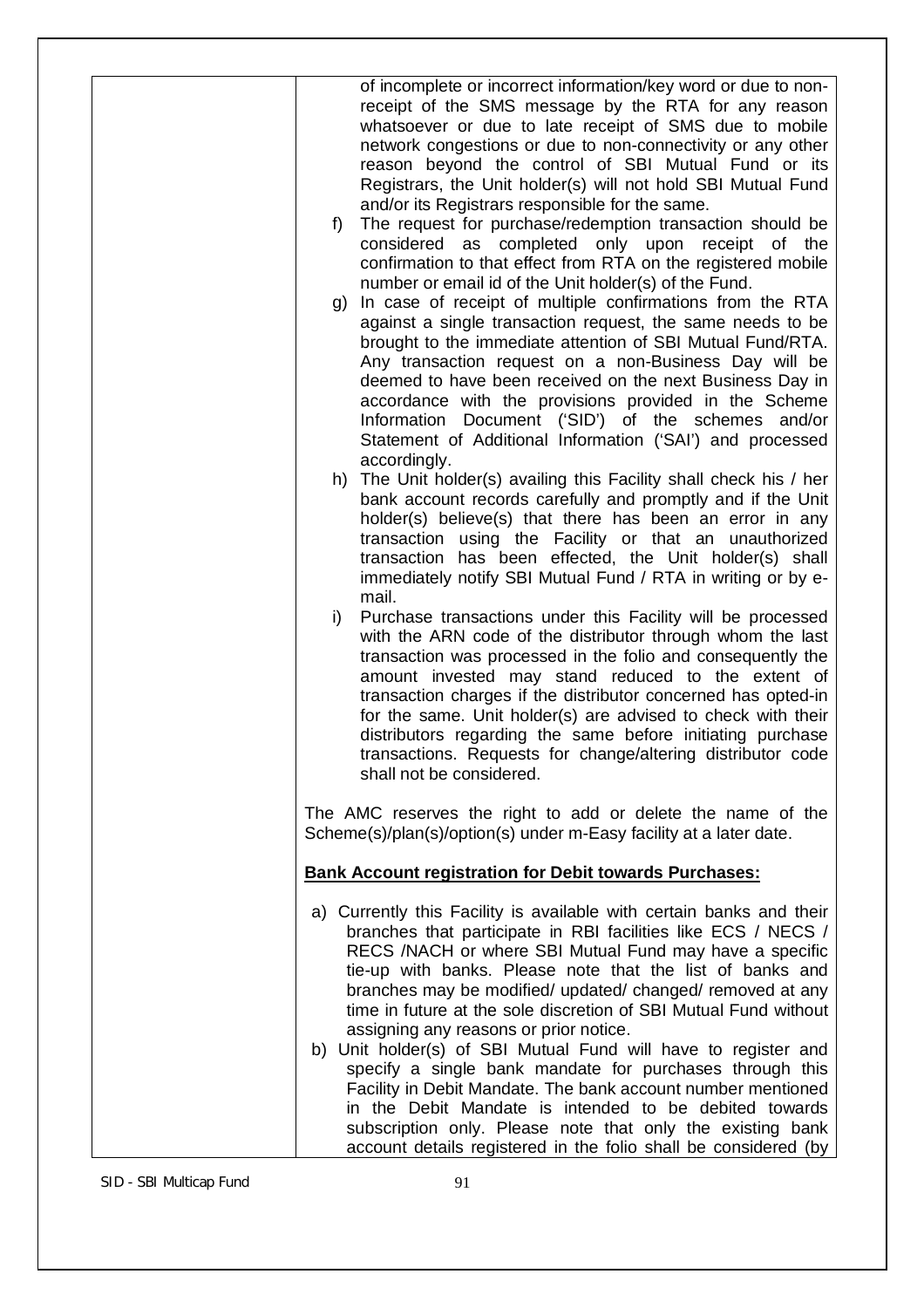| of incomplete or incorrect information/key word or due to non-<br>receipt of the SMS message by the RTA for any reason<br>whatsoever or due to late receipt of SMS due to mobile<br>network congestions or due to non-connectivity or any other<br>reason beyond the control of SBI Mutual Fund or its<br>Registrars, the Unit holder(s) will not hold SBI Mutual Fund<br>and/or its Registrars responsible for the same.<br>The request for purchase/redemption transaction should be<br>$f$ )<br>considered as completed only upon receipt of the<br>confirmation to that effect from RTA on the registered mobile<br>number or email id of the Unit holder(s) of the Fund.<br>In case of receipt of multiple confirmations from the RTA<br>g)<br>against a single transaction request, the same needs to be<br>brought to the immediate attention of SBI Mutual Fund/RTA.<br>Any transaction request on a non-Business Day will be<br>deemed to have been received on the next Business Day in<br>accordance with the provisions provided in the Scheme<br>Document ('SID') of the schemes and/or<br>Information<br>Statement of Additional Information ('SAI') and processed<br>accordingly.<br>h) The Unit holder(s) availing this Facility shall check his / her<br>bank account records carefully and promptly and if the Unit<br>holder(s) believe(s) that there has been an error in any<br>transaction using the Facility or that an unauthorized<br>transaction has been effected, the Unit holder(s) shall<br>immediately notify SBI Mutual Fund / RTA in writing or by e-<br>mail.<br>Purchase transactions under this Facility will be processed<br>$\mathsf{i}$<br>with the ARN code of the distributor through whom the last<br>transaction was processed in the folio and consequently the<br>amount invested may stand reduced to the extent of<br>transaction charges if the distributor concerned has opted-in<br>for the same. Unit holder(s) are advised to check with their<br>distributors regarding the same before initiating purchase<br>transactions. Requests for change/altering distributor code<br>shall not be considered. |
|-------------------------------------------------------------------------------------------------------------------------------------------------------------------------------------------------------------------------------------------------------------------------------------------------------------------------------------------------------------------------------------------------------------------------------------------------------------------------------------------------------------------------------------------------------------------------------------------------------------------------------------------------------------------------------------------------------------------------------------------------------------------------------------------------------------------------------------------------------------------------------------------------------------------------------------------------------------------------------------------------------------------------------------------------------------------------------------------------------------------------------------------------------------------------------------------------------------------------------------------------------------------------------------------------------------------------------------------------------------------------------------------------------------------------------------------------------------------------------------------------------------------------------------------------------------------------------------------------------------------------------------------------------------------------------------------------------------------------------------------------------------------------------------------------------------------------------------------------------------------------------------------------------------------------------------------------------------------------------------------------------------------------------------------------------------------------------------------------------------------------------------------------------------|
| The AMC reserves the right to add or delete the name of the<br>Scheme(s)/plan(s)/option(s) under m-Easy facility at a later date.                                                                                                                                                                                                                                                                                                                                                                                                                                                                                                                                                                                                                                                                                                                                                                                                                                                                                                                                                                                                                                                                                                                                                                                                                                                                                                                                                                                                                                                                                                                                                                                                                                                                                                                                                                                                                                                                                                                                                                                                                           |
| <b>Bank Account registration for Debit towards Purchases:</b>                                                                                                                                                                                                                                                                                                                                                                                                                                                                                                                                                                                                                                                                                                                                                                                                                                                                                                                                                                                                                                                                                                                                                                                                                                                                                                                                                                                                                                                                                                                                                                                                                                                                                                                                                                                                                                                                                                                                                                                                                                                                                               |
| a) Currently this Facility is available with certain banks and their<br>branches that participate in RBI facilities like ECS / NECS /<br>RECS /NACH or where SBI Mutual Fund may have a specific<br>tie-up with banks. Please note that the list of banks and<br>branches may be modified/ updated/ changed/ removed at any<br>time in future at the sole discretion of SBI Mutual Fund without<br>assigning any reasons or prior notice.<br>b) Unit holder(s) of SBI Mutual Fund will have to register and<br>specify a single bank mandate for purchases through this<br>Facility in Debit Mandate. The bank account number mentioned<br>in the Debit Mandate is intended to be debited towards<br>subscription only. Please note that only the existing bank<br>account details registered in the folio shall be considered (by                                                                                                                                                                                                                                                                                                                                                                                                                                                                                                                                                                                                                                                                                                                                                                                                                                                                                                                                                                                                                                                                                                                                                                                                                                                                                                                          |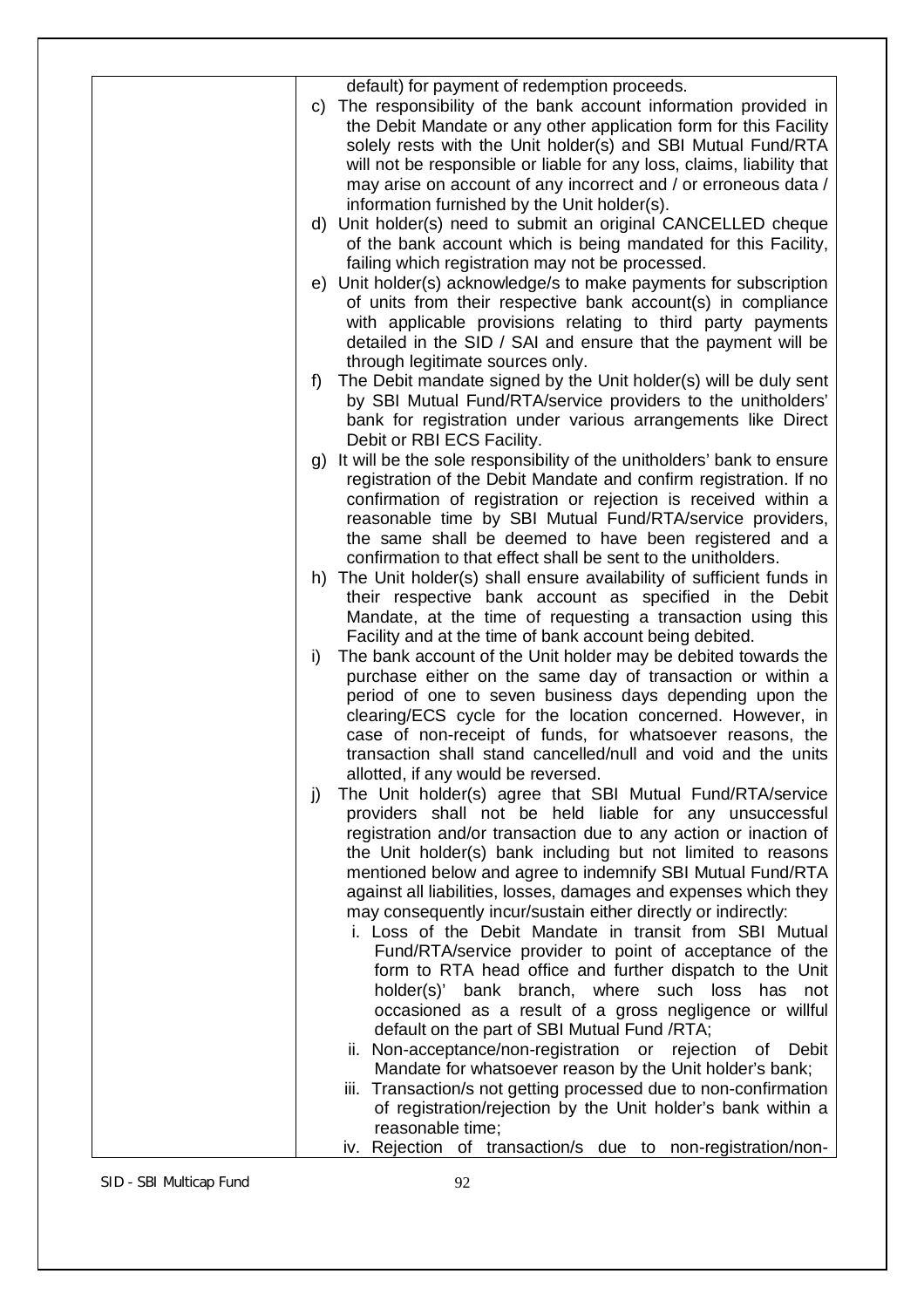| default) for payment of redemption proceeds.<br>The responsibility of the bank account information provided in<br>C)<br>the Debit Mandate or any other application form for this Facility<br>solely rests with the Unit holder(s) and SBI Mutual Fund/RTA<br>will not be responsible or liable for any loss, claims, liability that<br>may arise on account of any incorrect and / or erroneous data /<br>information furnished by the Unit holder(s).<br>d) Unit holder(s) need to submit an original CANCELLED cheque<br>of the bank account which is being mandated for this Facility,<br>failing which registration may not be processed.<br>e) Unit holder(s) acknowledge/s to make payments for subscription<br>of units from their respective bank account(s) in compliance<br>with applicable provisions relating to third party payments<br>detailed in the SID / SAI and ensure that the payment will be<br>through legitimate sources only.<br>The Debit mandate signed by the Unit holder(s) will be duly sent<br>f<br>by SBI Mutual Fund/RTA/service providers to the unitholders'<br>bank for registration under various arrangements like Direct<br>Debit or RBI ECS Facility.<br>It will be the sole responsibility of the unitholders' bank to ensure<br>g)<br>registration of the Debit Mandate and confirm registration. If no<br>confirmation of registration or rejection is received within a<br>reasonable time by SBI Mutual Fund/RTA/service providers,<br>the same shall be deemed to have been registered and a<br>confirmation to that effect shall be sent to the unitholders.<br>h) The Unit holder(s) shall ensure availability of sufficient funds in<br>their respective bank account as specified in the Debit<br>Mandate, at the time of requesting a transaction using this<br>Facility and at the time of bank account being debited.<br>The bank account of the Unit holder may be debited towards the<br>i)<br>purchase either on the same day of transaction or within a<br>period of one to seven business days depending upon the |
|-----------------------------------------------------------------------------------------------------------------------------------------------------------------------------------------------------------------------------------------------------------------------------------------------------------------------------------------------------------------------------------------------------------------------------------------------------------------------------------------------------------------------------------------------------------------------------------------------------------------------------------------------------------------------------------------------------------------------------------------------------------------------------------------------------------------------------------------------------------------------------------------------------------------------------------------------------------------------------------------------------------------------------------------------------------------------------------------------------------------------------------------------------------------------------------------------------------------------------------------------------------------------------------------------------------------------------------------------------------------------------------------------------------------------------------------------------------------------------------------------------------------------------------------------------------------------------------------------------------------------------------------------------------------------------------------------------------------------------------------------------------------------------------------------------------------------------------------------------------------------------------------------------------------------------------------------------------------------------------------------------------------------------------------------------------------------------|
| clearing/ECS cycle for the location concerned. However, in<br>case of non-receipt of funds, for whatsoever reasons, the<br>transaction shall stand cancelled/null and void and the units                                                                                                                                                                                                                                                                                                                                                                                                                                                                                                                                                                                                                                                                                                                                                                                                                                                                                                                                                                                                                                                                                                                                                                                                                                                                                                                                                                                                                                                                                                                                                                                                                                                                                                                                                                                                                                                                                    |
| allotted, if any would be reversed.<br>The Unit holder(s) agree that SBI Mutual Fund/RTA/service<br>j)<br>providers shall not be held liable for any unsuccessful                                                                                                                                                                                                                                                                                                                                                                                                                                                                                                                                                                                                                                                                                                                                                                                                                                                                                                                                                                                                                                                                                                                                                                                                                                                                                                                                                                                                                                                                                                                                                                                                                                                                                                                                                                                                                                                                                                           |
| registration and/or transaction due to any action or inaction of<br>the Unit holder(s) bank including but not limited to reasons<br>mentioned below and agree to indemnify SBI Mutual Fund/RTA<br>against all liabilities, losses, damages and expenses which they<br>may consequently incur/sustain either directly or indirectly:<br>i. Loss of the Debit Mandate in transit from SBI Mutual<br>Fund/RTA/service provider to point of acceptance of the<br>form to RTA head office and further dispatch to the Unit<br>holder(s)' bank branch, where such loss has not<br>occasioned as a result of a gross negligence or willful<br>default on the part of SBI Mutual Fund /RTA;<br>ii. Non-acceptance/non-registration or rejection of<br>Debit<br>Mandate for whatsoever reason by the Unit holder's bank;                                                                                                                                                                                                                                                                                                                                                                                                                                                                                                                                                                                                                                                                                                                                                                                                                                                                                                                                                                                                                                                                                                                                                                                                                                                             |
| iii. Transaction/s not getting processed due to non-confirmation<br>of registration/rejection by the Unit holder's bank within a<br>reasonable time;<br>iv. Rejection of transaction/s due to non-registration/non-                                                                                                                                                                                                                                                                                                                                                                                                                                                                                                                                                                                                                                                                                                                                                                                                                                                                                                                                                                                                                                                                                                                                                                                                                                                                                                                                                                                                                                                                                                                                                                                                                                                                                                                                                                                                                                                         |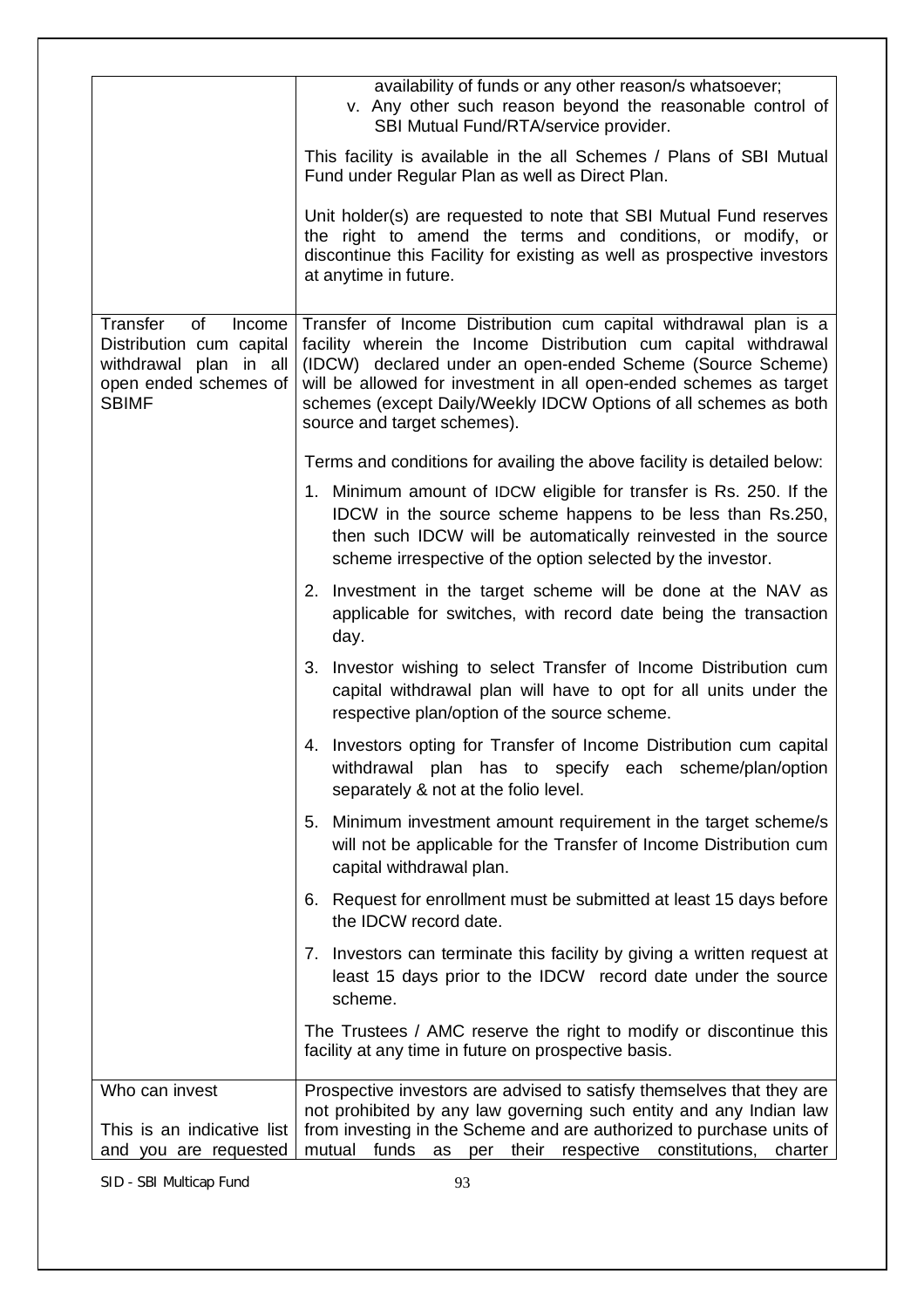|                                                                                                                         | availability of funds or any other reason/s whatsoever;<br>v. Any other such reason beyond the reasonable control of<br>SBI Mutual Fund/RTA/service provider.                                                                                                                                                                                                              |
|-------------------------------------------------------------------------------------------------------------------------|----------------------------------------------------------------------------------------------------------------------------------------------------------------------------------------------------------------------------------------------------------------------------------------------------------------------------------------------------------------------------|
|                                                                                                                         | This facility is available in the all Schemes / Plans of SBI Mutual<br>Fund under Regular Plan as well as Direct Plan.                                                                                                                                                                                                                                                     |
|                                                                                                                         | Unit holder(s) are requested to note that SBI Mutual Fund reserves<br>the right to amend the terms and conditions, or modify, or<br>discontinue this Facility for existing as well as prospective investors<br>at anytime in future.                                                                                                                                       |
| Transfer<br>of<br>Income<br>Distribution cum capital<br>withdrawal plan in all<br>open ended schemes of<br><b>SBIMF</b> | Transfer of Income Distribution cum capital withdrawal plan is a<br>facility wherein the Income Distribution cum capital withdrawal<br>(IDCW) declared under an open-ended Scheme (Source Scheme)<br>will be allowed for investment in all open-ended schemes as target<br>schemes (except Daily/Weekly IDCW Options of all schemes as both<br>source and target schemes). |
|                                                                                                                         | Terms and conditions for availing the above facility is detailed below:                                                                                                                                                                                                                                                                                                    |
|                                                                                                                         | 1. Minimum amount of IDCW eligible for transfer is Rs. 250. If the<br>IDCW in the source scheme happens to be less than Rs.250,<br>then such IDCW will be automatically reinvested in the source<br>scheme irrespective of the option selected by the investor.                                                                                                            |
|                                                                                                                         | 2. Investment in the target scheme will be done at the NAV as<br>applicable for switches, with record date being the transaction<br>day.                                                                                                                                                                                                                                   |
|                                                                                                                         | 3. Investor wishing to select Transfer of Income Distribution cum<br>capital withdrawal plan will have to opt for all units under the<br>respective plan/option of the source scheme.                                                                                                                                                                                      |
|                                                                                                                         | 4. Investors opting for Transfer of Income Distribution cum capital<br>withdrawal plan has to specify each scheme/plan/option<br>separately & not at the folio level.                                                                                                                                                                                                      |
|                                                                                                                         | 5. Minimum investment amount requirement in the target scheme/s<br>will not be applicable for the Transfer of Income Distribution cum<br>capital withdrawal plan.                                                                                                                                                                                                          |
|                                                                                                                         | 6. Request for enrollment must be submitted at least 15 days before<br>the IDCW record date.                                                                                                                                                                                                                                                                               |
|                                                                                                                         | 7. Investors can terminate this facility by giving a written request at<br>least 15 days prior to the IDCW record date under the source<br>scheme.                                                                                                                                                                                                                         |
|                                                                                                                         | The Trustees / AMC reserve the right to modify or discontinue this<br>facility at any time in future on prospective basis.                                                                                                                                                                                                                                                 |
| Who can invest<br>This is an indicative list<br>and you are requested                                                   | Prospective investors are advised to satisfy themselves that they are<br>not prohibited by any law governing such entity and any Indian law<br>from investing in the Scheme and are authorized to purchase units of<br>mutual<br>funds<br>their respective<br>as per<br>constitutions,<br>charter                                                                          |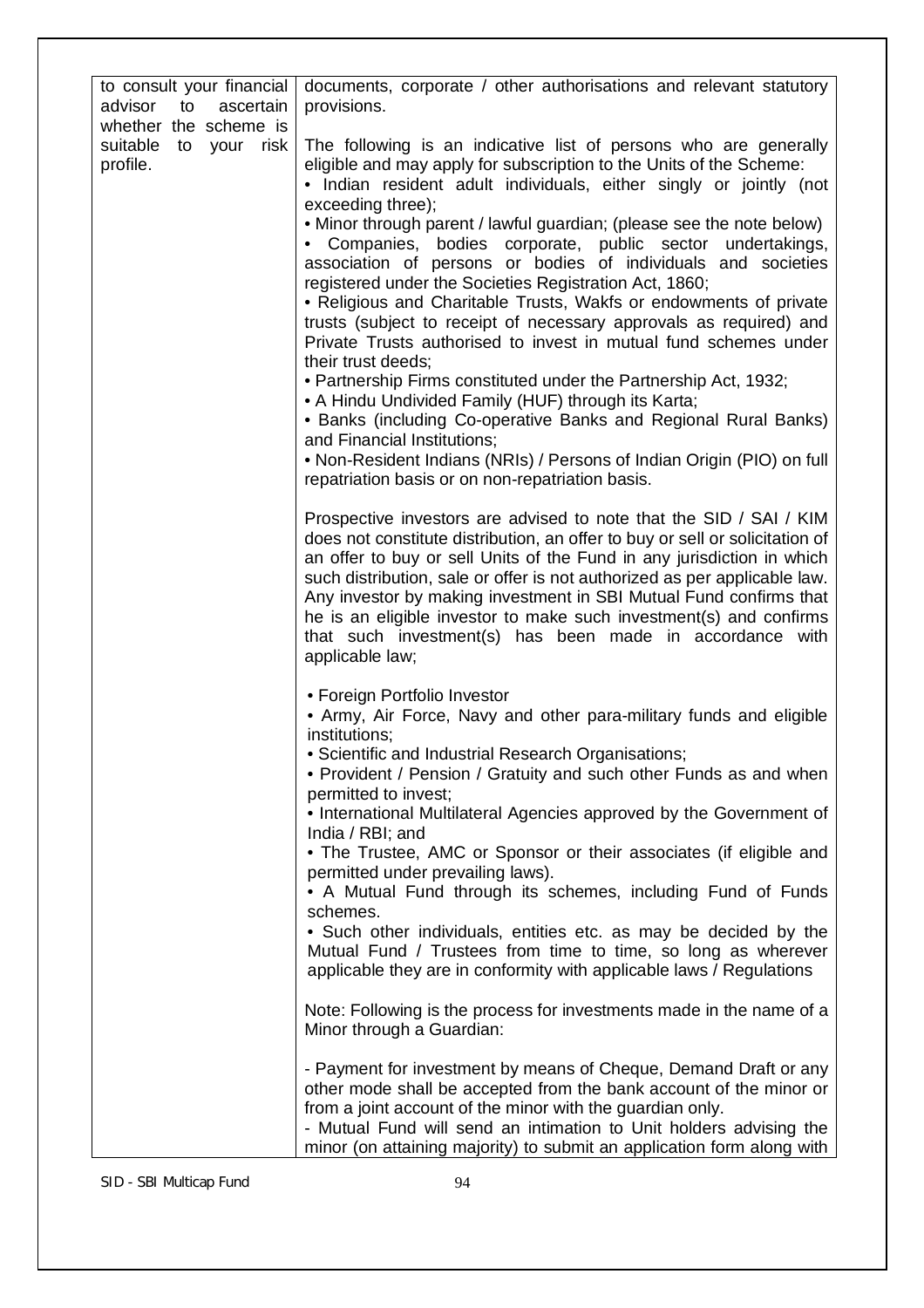| to consult your financial<br>advisor<br>ascertain<br>to          | documents, corporate / other authorisations and relevant statutory<br>provisions.                                                                                                                                                                                                                                                                                                                                                                                                                                                                                                                                                                                                                                                                                                                                                                                                                                                                                                                                                                                                                    |
|------------------------------------------------------------------|------------------------------------------------------------------------------------------------------------------------------------------------------------------------------------------------------------------------------------------------------------------------------------------------------------------------------------------------------------------------------------------------------------------------------------------------------------------------------------------------------------------------------------------------------------------------------------------------------------------------------------------------------------------------------------------------------------------------------------------------------------------------------------------------------------------------------------------------------------------------------------------------------------------------------------------------------------------------------------------------------------------------------------------------------------------------------------------------------|
| whether the scheme is<br>suitable<br>to your<br>risk<br>profile. | The following is an indicative list of persons who are generally<br>eligible and may apply for subscription to the Units of the Scheme:<br>• Indian resident adult individuals, either singly or jointly (not<br>exceeding three);<br>• Minor through parent / lawful guardian; (please see the note below)<br>• Companies, bodies corporate, public sector undertakings,<br>association of persons or bodies of individuals and societies<br>registered under the Societies Registration Act, 1860;<br>• Religious and Charitable Trusts, Wakfs or endowments of private<br>trusts (subject to receipt of necessary approvals as required) and<br>Private Trusts authorised to invest in mutual fund schemes under<br>their trust deeds;<br>• Partnership Firms constituted under the Partnership Act, 1932;<br>• A Hindu Undivided Family (HUF) through its Karta;<br>• Banks (including Co-operative Banks and Regional Rural Banks)<br>and Financial Institutions;<br>. Non-Resident Indians (NRIs) / Persons of Indian Origin (PIO) on full<br>repatriation basis or on non-repatriation basis. |
|                                                                  | Prospective investors are advised to note that the SID / SAI / KIM<br>does not constitute distribution, an offer to buy or sell or solicitation of<br>an offer to buy or sell Units of the Fund in any jurisdiction in which<br>such distribution, sale or offer is not authorized as per applicable law.<br>Any investor by making investment in SBI Mutual Fund confirms that<br>he is an eligible investor to make such investment(s) and confirms<br>that such investment(s) has been made in accordance with<br>applicable law;                                                                                                                                                                                                                                                                                                                                                                                                                                                                                                                                                                 |
|                                                                  | • Foreign Portfolio Investor<br>• Army, Air Force, Navy and other para-military funds and eligible<br>institutions:<br>• Scientific and Industrial Research Organisations;<br>• Provident / Pension / Gratuity and such other Funds as and when<br>permitted to invest;<br>• International Multilateral Agencies approved by the Government of<br>India / RBI; and<br>• The Trustee, AMC or Sponsor or their associates (if eligible and<br>permitted under prevailing laws).<br>• A Mutual Fund through its schemes, including Fund of Funds<br>schemes.<br>• Such other individuals, entities etc. as may be decided by the                                                                                                                                                                                                                                                                                                                                                                                                                                                                        |
|                                                                  | Mutual Fund / Trustees from time to time, so long as wherever<br>applicable they are in conformity with applicable laws / Regulations<br>Note: Following is the process for investments made in the name of a<br>Minor through a Guardian:                                                                                                                                                                                                                                                                                                                                                                                                                                                                                                                                                                                                                                                                                                                                                                                                                                                           |
|                                                                  | - Payment for investment by means of Cheque, Demand Draft or any<br>other mode shall be accepted from the bank account of the minor or<br>from a joint account of the minor with the guardian only.<br>- Mutual Fund will send an intimation to Unit holders advising the<br>minor (on attaining majority) to submit an application form along with                                                                                                                                                                                                                                                                                                                                                                                                                                                                                                                                                                                                                                                                                                                                                  |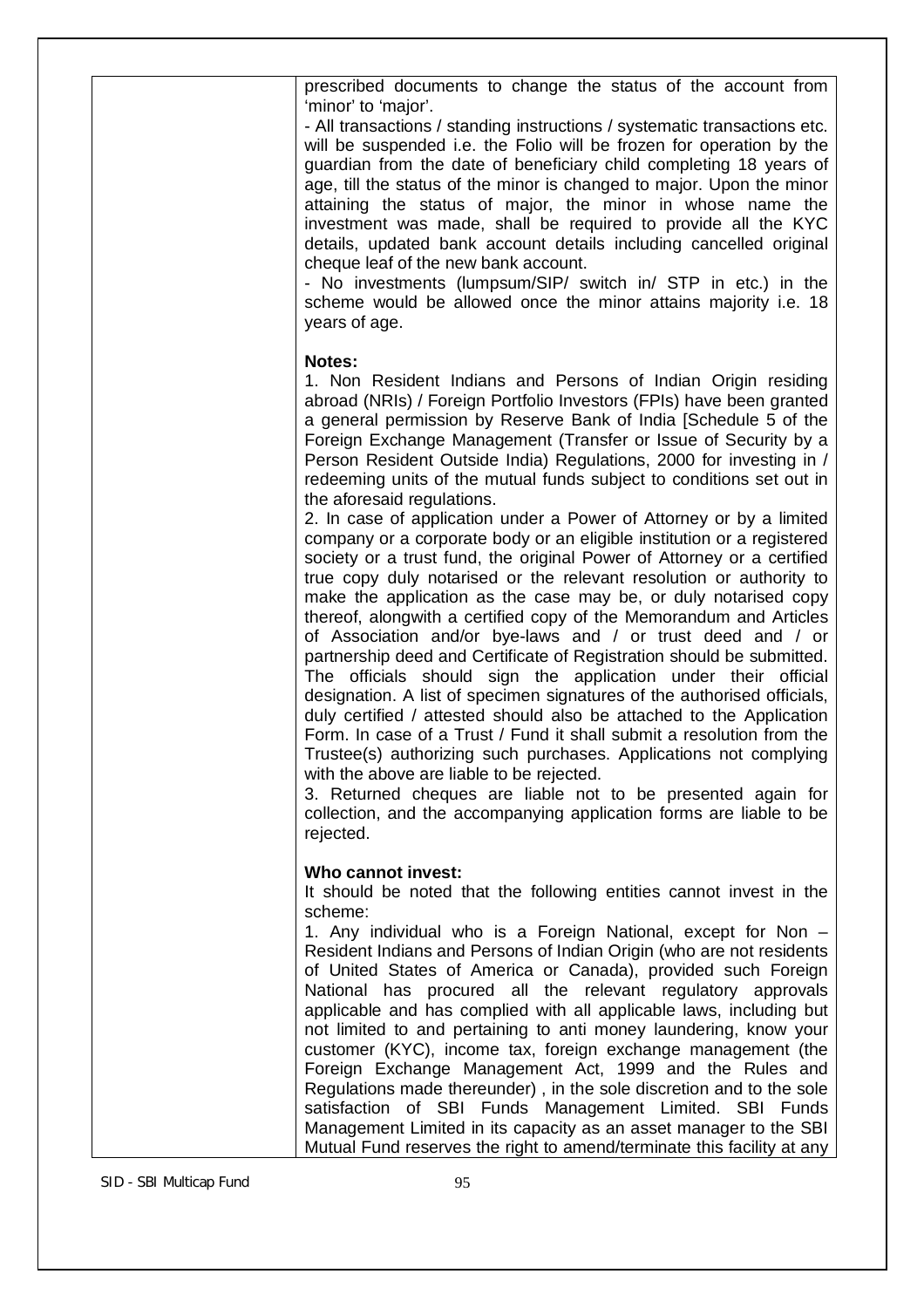|                         | prescribed documents to change the status of the account from<br>'minor' to 'major'.<br>- All transactions / standing instructions / systematic transactions etc.<br>will be suspended i.e. the Folio will be frozen for operation by the<br>guardian from the date of beneficiary child completing 18 years of<br>age, till the status of the minor is changed to major. Upon the minor<br>attaining the status of major, the minor in whose name the<br>investment was made, shall be required to provide all the KYC<br>details, updated bank account details including cancelled original<br>cheque leaf of the new bank account.<br>- No investments (lumpsum/SIP/ switch in/ STP in etc.) in the<br>scheme would be allowed once the minor attains majority i.e. 18<br>years of age.                                                                                                                                                                                                                                                                                                                                                                                                                                                                                                                                                                                                                                                                                                                                                                                                                                        |
|-------------------------|-----------------------------------------------------------------------------------------------------------------------------------------------------------------------------------------------------------------------------------------------------------------------------------------------------------------------------------------------------------------------------------------------------------------------------------------------------------------------------------------------------------------------------------------------------------------------------------------------------------------------------------------------------------------------------------------------------------------------------------------------------------------------------------------------------------------------------------------------------------------------------------------------------------------------------------------------------------------------------------------------------------------------------------------------------------------------------------------------------------------------------------------------------------------------------------------------------------------------------------------------------------------------------------------------------------------------------------------------------------------------------------------------------------------------------------------------------------------------------------------------------------------------------------------------------------------------------------------------------------------------------------|
|                         | <b>Notes:</b><br>1. Non Resident Indians and Persons of Indian Origin residing<br>abroad (NRIs) / Foreign Portfolio Investors (FPIs) have been granted<br>a general permission by Reserve Bank of India [Schedule 5 of the<br>Foreign Exchange Management (Transfer or Issue of Security by a<br>Person Resident Outside India) Regulations, 2000 for investing in /<br>redeeming units of the mutual funds subject to conditions set out in<br>the aforesaid regulations.<br>2. In case of application under a Power of Attorney or by a limited<br>company or a corporate body or an eligible institution or a registered<br>society or a trust fund, the original Power of Attorney or a certified<br>true copy duly notarised or the relevant resolution or authority to<br>make the application as the case may be, or duly notarised copy<br>thereof, alongwith a certified copy of the Memorandum and Articles<br>of Association and/or bye-laws and / or trust deed and / or<br>partnership deed and Certificate of Registration should be submitted.<br>The officials should sign the application under their official<br>designation. A list of specimen signatures of the authorised officials,<br>duly certified / attested should also be attached to the Application<br>Form. In case of a Trust / Fund it shall submit a resolution from the<br>Trustee(s) authorizing such purchases. Applications not complying<br>with the above are liable to be rejected.<br>3. Returned cheques are liable not to be presented again for<br>collection, and the accompanying application forms are liable to be<br>rejected. |
|                         | Who cannot invest:<br>It should be noted that the following entities cannot invest in the<br>scheme:<br>1. Any individual who is a Foreign National, except for Non -                                                                                                                                                                                                                                                                                                                                                                                                                                                                                                                                                                                                                                                                                                                                                                                                                                                                                                                                                                                                                                                                                                                                                                                                                                                                                                                                                                                                                                                             |
|                         | Resident Indians and Persons of Indian Origin (who are not residents<br>of United States of America or Canada), provided such Foreign<br>National has procured all the relevant regulatory approvals<br>applicable and has complied with all applicable laws, including but<br>not limited to and pertaining to anti money laundering, know your<br>customer (KYC), income tax, foreign exchange management (the<br>Foreign Exchange Management Act, 1999 and the Rules and<br>Regulations made thereunder), in the sole discretion and to the sole<br>satisfaction of SBI Funds Management Limited. SBI Funds<br>Management Limited in its capacity as an asset manager to the SBI<br>Mutual Fund reserves the right to amend/terminate this facility at any                                                                                                                                                                                                                                                                                                                                                                                                                                                                                                                                                                                                                                                                                                                                                                                                                                                                     |
| SID - SBI Multicap Fund | 95                                                                                                                                                                                                                                                                                                                                                                                                                                                                                                                                                                                                                                                                                                                                                                                                                                                                                                                                                                                                                                                                                                                                                                                                                                                                                                                                                                                                                                                                                                                                                                                                                                |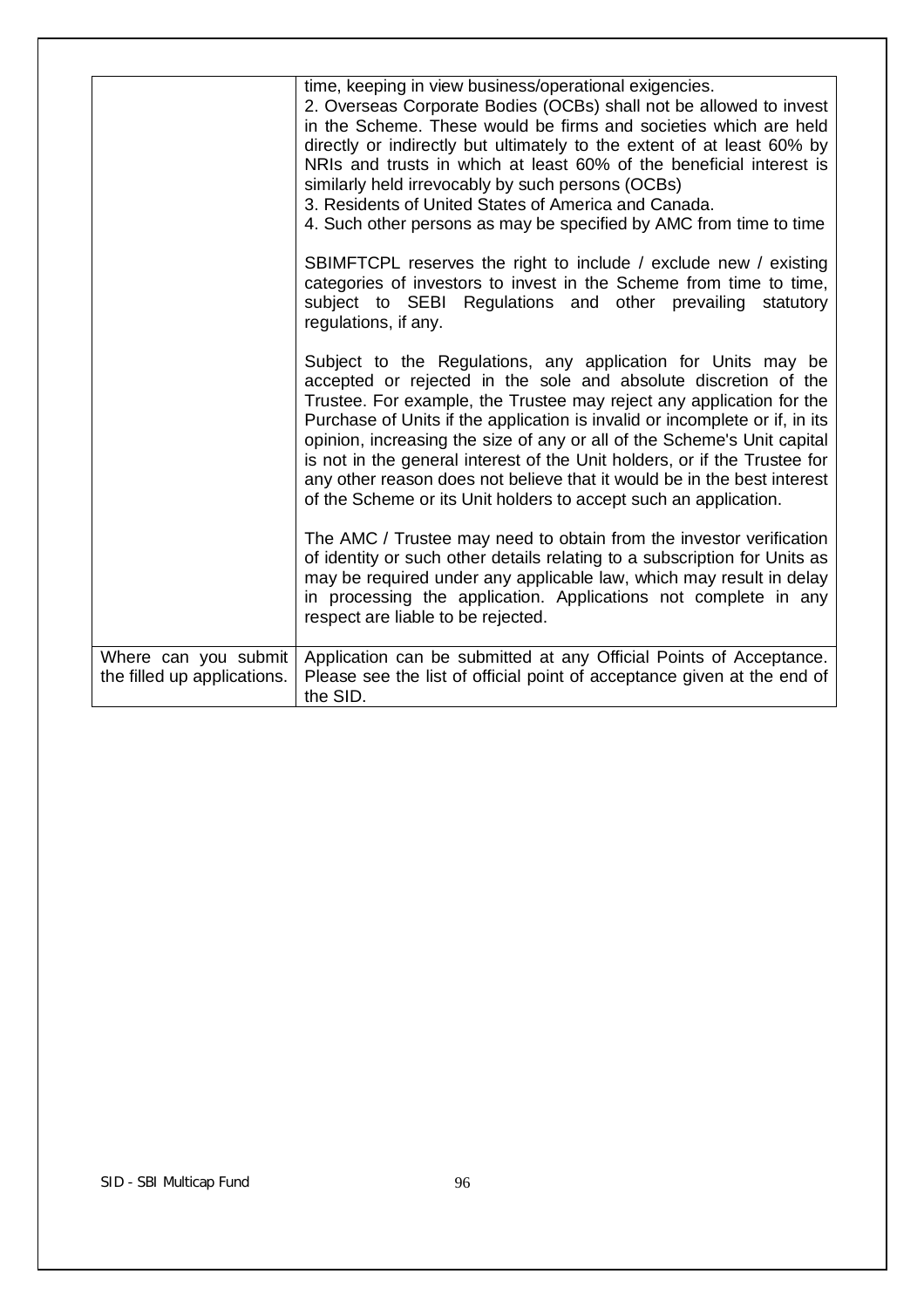|                                                     | time, keeping in view business/operational exigencies.<br>2. Overseas Corporate Bodies (OCBs) shall not be allowed to invest<br>in the Scheme. These would be firms and societies which are held<br>directly or indirectly but ultimately to the extent of at least 60% by<br>NRIs and trusts in which at least 60% of the beneficial interest is<br>similarly held irrevocably by such persons (OCBs)<br>3. Residents of United States of America and Canada.<br>4. Such other persons as may be specified by AMC from time to time<br>SBIMFTCPL reserves the right to include / exclude new / existing<br>categories of investors to invest in the Scheme from time to time,<br>subject to SEBI Regulations and other prevailing statutory<br>regulations, if any.<br>Subject to the Regulations, any application for Units may be<br>accepted or rejected in the sole and absolute discretion of the<br>Trustee. For example, the Trustee may reject any application for the<br>Purchase of Units if the application is invalid or incomplete or if, in its<br>opinion, increasing the size of any or all of the Scheme's Unit capital<br>is not in the general interest of the Unit holders, or if the Trustee for<br>any other reason does not believe that it would be in the best interest<br>of the Scheme or its Unit holders to accept such an application.<br>The AMC / Trustee may need to obtain from the investor verification<br>of identity or such other details relating to a subscription for Units as<br>may be required under any applicable law, which may result in delay<br>in processing the application. Applications not complete in any<br>respect are liable to be rejected. |
|-----------------------------------------------------|-----------------------------------------------------------------------------------------------------------------------------------------------------------------------------------------------------------------------------------------------------------------------------------------------------------------------------------------------------------------------------------------------------------------------------------------------------------------------------------------------------------------------------------------------------------------------------------------------------------------------------------------------------------------------------------------------------------------------------------------------------------------------------------------------------------------------------------------------------------------------------------------------------------------------------------------------------------------------------------------------------------------------------------------------------------------------------------------------------------------------------------------------------------------------------------------------------------------------------------------------------------------------------------------------------------------------------------------------------------------------------------------------------------------------------------------------------------------------------------------------------------------------------------------------------------------------------------------------------------------------------------------------------------------------------------------------------------|
| Where can you submit<br>the filled up applications. | Application can be submitted at any Official Points of Acceptance.<br>Please see the list of official point of acceptance given at the end of<br>the SID.                                                                                                                                                                                                                                                                                                                                                                                                                                                                                                                                                                                                                                                                                                                                                                                                                                                                                                                                                                                                                                                                                                                                                                                                                                                                                                                                                                                                                                                                                                                                                 |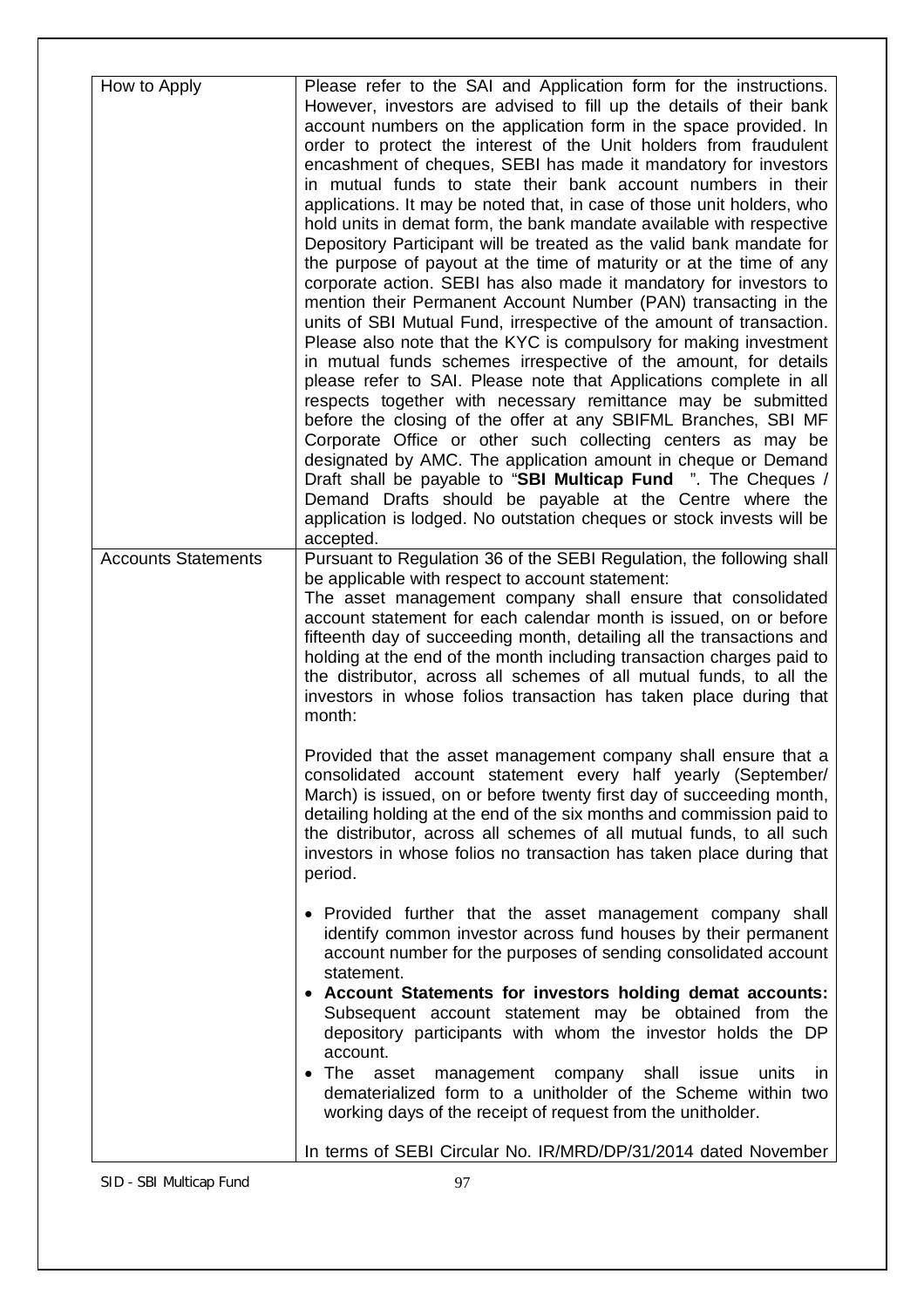| How to Apply               | Please refer to the SAI and Application form for the instructions.<br>However, investors are advised to fill up the details of their bank<br>account numbers on the application form in the space provided. In<br>order to protect the interest of the Unit holders from fraudulent<br>encashment of cheques, SEBI has made it mandatory for investors<br>in mutual funds to state their bank account numbers in their<br>applications. It may be noted that, in case of those unit holders, who<br>hold units in demat form, the bank mandate available with respective<br>Depository Participant will be treated as the valid bank mandate for<br>the purpose of payout at the time of maturity or at the time of any<br>corporate action. SEBI has also made it mandatory for investors to<br>mention their Permanent Account Number (PAN) transacting in the<br>units of SBI Mutual Fund, irrespective of the amount of transaction.<br>Please also note that the KYC is compulsory for making investment<br>in mutual funds schemes irrespective of the amount, for details<br>please refer to SAI. Please note that Applications complete in all<br>respects together with necessary remittance may be submitted<br>before the closing of the offer at any SBIFML Branches, SBI MF<br>Corporate Office or other such collecting centers as may be<br>designated by AMC. The application amount in cheque or Demand<br>Draft shall be payable to "SBI Multicap Fund ". The Cheques /<br>Demand Drafts should be payable at the Centre where the<br>application is lodged. No outstation cheques or stock invests will be<br>accepted. |
|----------------------------|--------------------------------------------------------------------------------------------------------------------------------------------------------------------------------------------------------------------------------------------------------------------------------------------------------------------------------------------------------------------------------------------------------------------------------------------------------------------------------------------------------------------------------------------------------------------------------------------------------------------------------------------------------------------------------------------------------------------------------------------------------------------------------------------------------------------------------------------------------------------------------------------------------------------------------------------------------------------------------------------------------------------------------------------------------------------------------------------------------------------------------------------------------------------------------------------------------------------------------------------------------------------------------------------------------------------------------------------------------------------------------------------------------------------------------------------------------------------------------------------------------------------------------------------------------------------------------------------------------------------------------------------|
| <b>Accounts Statements</b> | Pursuant to Regulation 36 of the SEBI Regulation, the following shall                                                                                                                                                                                                                                                                                                                                                                                                                                                                                                                                                                                                                                                                                                                                                                                                                                                                                                                                                                                                                                                                                                                                                                                                                                                                                                                                                                                                                                                                                                                                                                      |
|                            | be applicable with respect to account statement:<br>The asset management company shall ensure that consolidated<br>account statement for each calendar month is issued, on or before<br>fifteenth day of succeeding month, detailing all the transactions and<br>holding at the end of the month including transaction charges paid to<br>the distributor, across all schemes of all mutual funds, to all the<br>investors in whose folios transaction has taken place during that<br>month:                                                                                                                                                                                                                                                                                                                                                                                                                                                                                                                                                                                                                                                                                                                                                                                                                                                                                                                                                                                                                                                                                                                                               |
|                            | Provided that the asset management company shall ensure that a<br>consolidated account statement every half yearly (September/<br>March) is issued, on or before twenty first day of succeeding month,<br>detailing holding at the end of the six months and commission paid to<br>the distributor, across all schemes of all mutual funds, to all such<br>investors in whose folios no transaction has taken place during that<br>period.                                                                                                                                                                                                                                                                                                                                                                                                                                                                                                                                                                                                                                                                                                                                                                                                                                                                                                                                                                                                                                                                                                                                                                                                 |
|                            | • Provided further that the asset management company shall<br>identify common investor across fund houses by their permanent<br>account number for the purposes of sending consolidated account<br>statement.                                                                                                                                                                                                                                                                                                                                                                                                                                                                                                                                                                                                                                                                                                                                                                                                                                                                                                                                                                                                                                                                                                                                                                                                                                                                                                                                                                                                                              |
|                            | • Account Statements for investors holding demat accounts:<br>Subsequent account statement may be obtained from the<br>depository participants with whom the investor holds the DP<br>account.                                                                                                                                                                                                                                                                                                                                                                                                                                                                                                                                                                                                                                                                                                                                                                                                                                                                                                                                                                                                                                                                                                                                                                                                                                                                                                                                                                                                                                             |
|                            | The<br>management company shall issue<br>units<br>asset<br>in<br>dematerialized form to a unitholder of the Scheme within two<br>working days of the receipt of request from the unitholder.                                                                                                                                                                                                                                                                                                                                                                                                                                                                                                                                                                                                                                                                                                                                                                                                                                                                                                                                                                                                                                                                                                                                                                                                                                                                                                                                                                                                                                               |
|                            | In terms of SEBI Circular No. IR/MRD/DP/31/2014 dated November                                                                                                                                                                                                                                                                                                                                                                                                                                                                                                                                                                                                                                                                                                                                                                                                                                                                                                                                                                                                                                                                                                                                                                                                                                                                                                                                                                                                                                                                                                                                                                             |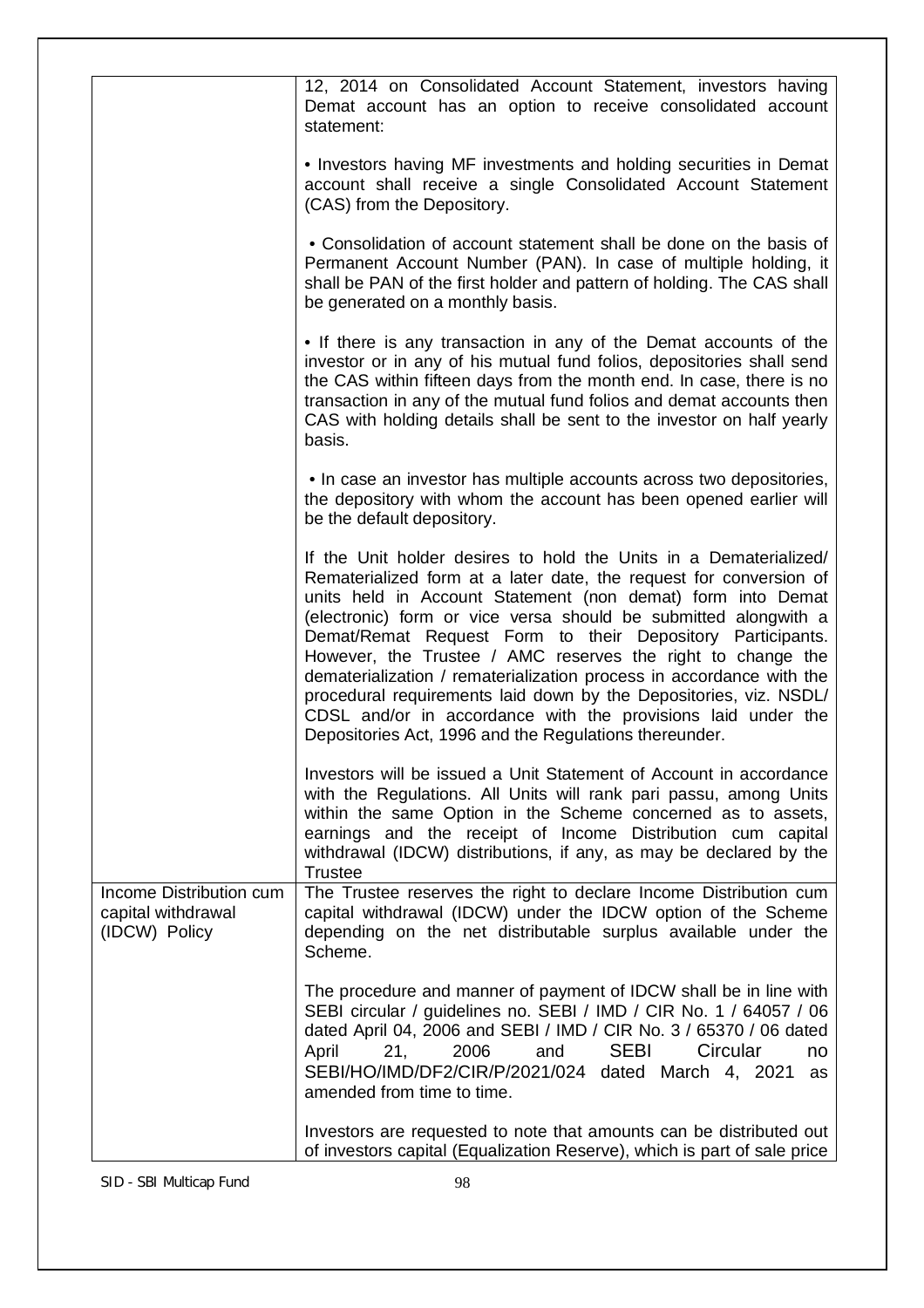|                                                                | 12, 2014 on Consolidated Account Statement, investors having<br>Demat account has an option to receive consolidated account<br>statement:                                                                                                                                                                                                                                                                                                                                                                                                                                                                                                                                     |
|----------------------------------------------------------------|-------------------------------------------------------------------------------------------------------------------------------------------------------------------------------------------------------------------------------------------------------------------------------------------------------------------------------------------------------------------------------------------------------------------------------------------------------------------------------------------------------------------------------------------------------------------------------------------------------------------------------------------------------------------------------|
|                                                                | • Investors having MF investments and holding securities in Demat<br>account shall receive a single Consolidated Account Statement<br>(CAS) from the Depository.                                                                                                                                                                                                                                                                                                                                                                                                                                                                                                              |
|                                                                | • Consolidation of account statement shall be done on the basis of<br>Permanent Account Number (PAN). In case of multiple holding, it<br>shall be PAN of the first holder and pattern of holding. The CAS shall<br>be generated on a monthly basis.                                                                                                                                                                                                                                                                                                                                                                                                                           |
|                                                                | • If there is any transaction in any of the Demat accounts of the<br>investor or in any of his mutual fund folios, depositories shall send<br>the CAS within fifteen days from the month end. In case, there is no<br>transaction in any of the mutual fund folios and demat accounts then<br>CAS with holding details shall be sent to the investor on half yearly<br>basis.                                                                                                                                                                                                                                                                                                 |
|                                                                | • In case an investor has multiple accounts across two depositories,<br>the depository with whom the account has been opened earlier will<br>be the default depository.                                                                                                                                                                                                                                                                                                                                                                                                                                                                                                       |
|                                                                | If the Unit holder desires to hold the Units in a Dematerialized/<br>Rematerialized form at a later date, the request for conversion of<br>units held in Account Statement (non demat) form into Demat<br>(electronic) form or vice versa should be submitted alongwith a<br>Demat/Remat Request Form to their Depository Participants.<br>However, the Trustee / AMC reserves the right to change the<br>dematerialization / rematerialization process in accordance with the<br>procedural requirements laid down by the Depositories, viz. NSDL/<br>CDSL and/or in accordance with the provisions laid under the<br>Depositories Act, 1996 and the Regulations thereunder. |
|                                                                | Investors will be issued a Unit Statement of Account in accordance<br>with the Regulations. All Units will rank pari passu, among Units<br>within the same Option in the Scheme concerned as to assets,<br>earnings and the receipt of Income Distribution cum capital<br>withdrawal (IDCW) distributions, if any, as may be declared by the<br><b>Trustee</b>                                                                                                                                                                                                                                                                                                                |
| Income Distribution cum<br>capital withdrawal<br>(IDCW) Policy | The Trustee reserves the right to declare Income Distribution cum<br>capital withdrawal (IDCW) under the IDCW option of the Scheme<br>depending on the net distributable surplus available under the<br>Scheme.                                                                                                                                                                                                                                                                                                                                                                                                                                                               |
|                                                                | The procedure and manner of payment of IDCW shall be in line with<br>SEBI circular / guidelines no. SEBI / IMD / CIR No. 1 / 64057 / 06<br>dated April 04, 2006 and SEBI / IMD / CIR No. 3 / 65370 / 06 dated<br><b>SEBI</b><br>21,<br>2006<br>Circular<br>April<br>and<br>no<br>SEBI/HO/IMD/DF2/CIR/P/2021/024 dated March 4, 2021<br>as<br>amended from time to time.                                                                                                                                                                                                                                                                                                       |
|                                                                | Investors are requested to note that amounts can be distributed out<br>of investors capital (Equalization Reserve), which is part of sale price                                                                                                                                                                                                                                                                                                                                                                                                                                                                                                                               |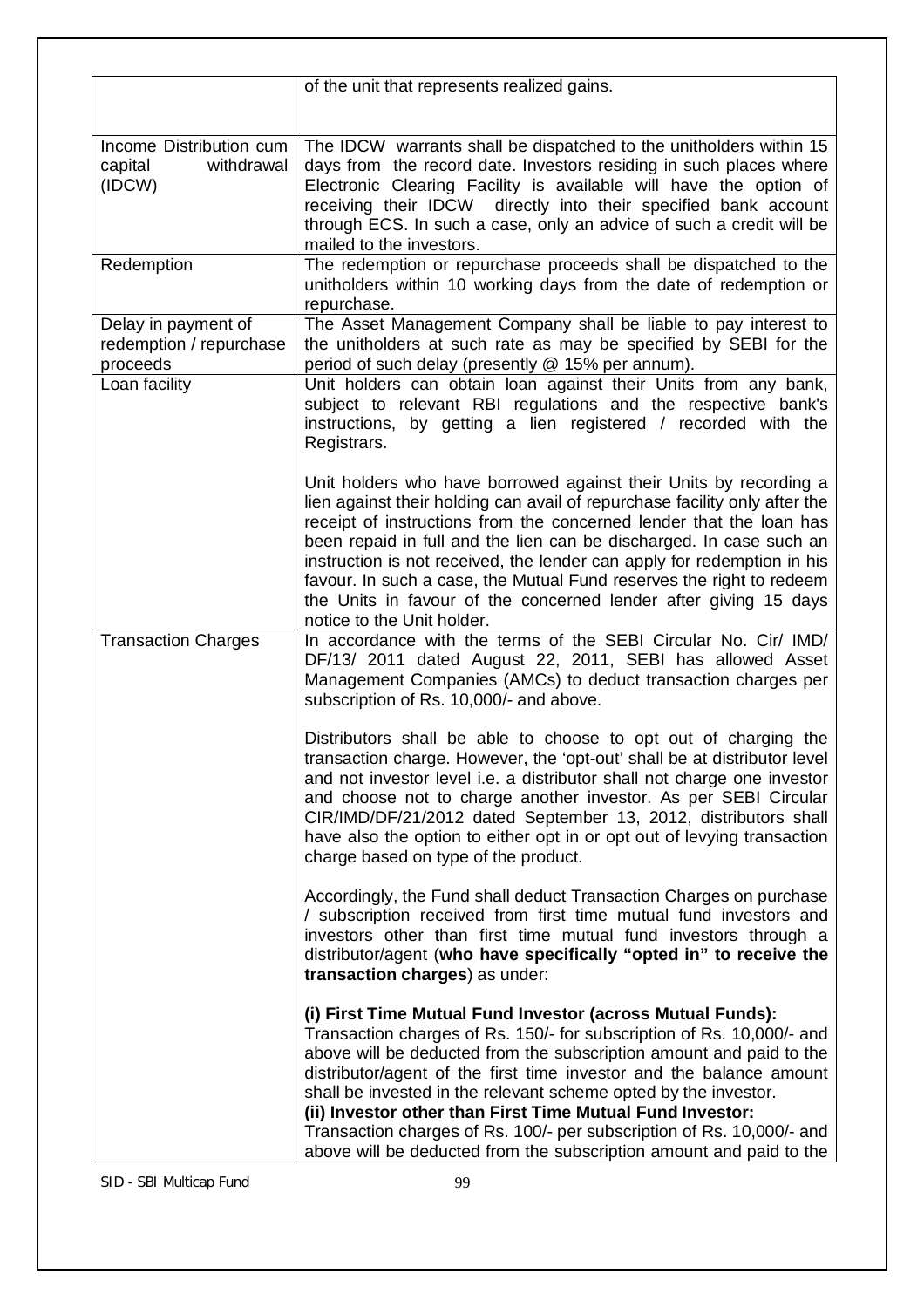|                                                            | of the unit that represents realized gains.                                                                                                                                                                                                                                                                                                                                                                                                                                                                                                                       |  |  |
|------------------------------------------------------------|-------------------------------------------------------------------------------------------------------------------------------------------------------------------------------------------------------------------------------------------------------------------------------------------------------------------------------------------------------------------------------------------------------------------------------------------------------------------------------------------------------------------------------------------------------------------|--|--|
|                                                            |                                                                                                                                                                                                                                                                                                                                                                                                                                                                                                                                                                   |  |  |
| Income Distribution cum<br>capital<br>withdrawal<br>(IDCW) | The IDCW warrants shall be dispatched to the unitholders within 15<br>days from the record date. Investors residing in such places where<br>Electronic Clearing Facility is available will have the option of<br>receiving their IDCW directly into their specified bank account<br>through ECS. In such a case, only an advice of such a credit will be                                                                                                                                                                                                          |  |  |
|                                                            | mailed to the investors.                                                                                                                                                                                                                                                                                                                                                                                                                                                                                                                                          |  |  |
| Redemption                                                 | The redemption or repurchase proceeds shall be dispatched to the<br>unitholders within 10 working days from the date of redemption or<br>repurchase.                                                                                                                                                                                                                                                                                                                                                                                                              |  |  |
| Delay in payment of<br>redemption / repurchase<br>proceeds | The Asset Management Company shall be liable to pay interest to<br>the unitholders at such rate as may be specified by SEBI for the<br>period of such delay (presently @ 15% per annum).                                                                                                                                                                                                                                                                                                                                                                          |  |  |
| Loan facility                                              | Unit holders can obtain loan against their Units from any bank,<br>subject to relevant RBI regulations and the respective bank's<br>instructions, by getting a lien registered / recorded with the<br>Registrars.                                                                                                                                                                                                                                                                                                                                                 |  |  |
|                                                            | Unit holders who have borrowed against their Units by recording a<br>lien against their holding can avail of repurchase facility only after the<br>receipt of instructions from the concerned lender that the loan has<br>been repaid in full and the lien can be discharged. In case such an<br>instruction is not received, the lender can apply for redemption in his<br>favour. In such a case, the Mutual Fund reserves the right to redeem<br>the Units in favour of the concerned lender after giving 15 days<br>notice to the Unit holder.                |  |  |
| <b>Transaction Charges</b>                                 | In accordance with the terms of the SEBI Circular No. Cir/ IMD/<br>DF/13/ 2011 dated August 22, 2011, SEBI has allowed Asset<br>Management Companies (AMCs) to deduct transaction charges per<br>subscription of Rs. 10,000/- and above.                                                                                                                                                                                                                                                                                                                          |  |  |
|                                                            | Distributors shall be able to choose to opt out of charging the<br>transaction charge. However, the 'opt-out' shall be at distributor level<br>and not investor level i.e. a distributor shall not charge one investor<br>and choose not to charge another investor. As per SEBI Circular<br>CIR/IMD/DF/21/2012 dated September 13, 2012, distributors shall<br>have also the option to either opt in or opt out of levying transaction<br>charge based on type of the product.                                                                                   |  |  |
|                                                            | Accordingly, the Fund shall deduct Transaction Charges on purchase<br>/ subscription received from first time mutual fund investors and<br>investors other than first time mutual fund investors through a<br>distributor/agent (who have specifically "opted in" to receive the<br>transaction charges) as under:                                                                                                                                                                                                                                                |  |  |
|                                                            | (i) First Time Mutual Fund Investor (across Mutual Funds):<br>Transaction charges of Rs. 150/- for subscription of Rs. 10,000/- and<br>above will be deducted from the subscription amount and paid to the<br>distributor/agent of the first time investor and the balance amount<br>shall be invested in the relevant scheme opted by the investor.<br>(ii) Investor other than First Time Mutual Fund Investor:<br>Transaction charges of Rs. 100/- per subscription of Rs. 10,000/- and<br>above will be deducted from the subscription amount and paid to the |  |  |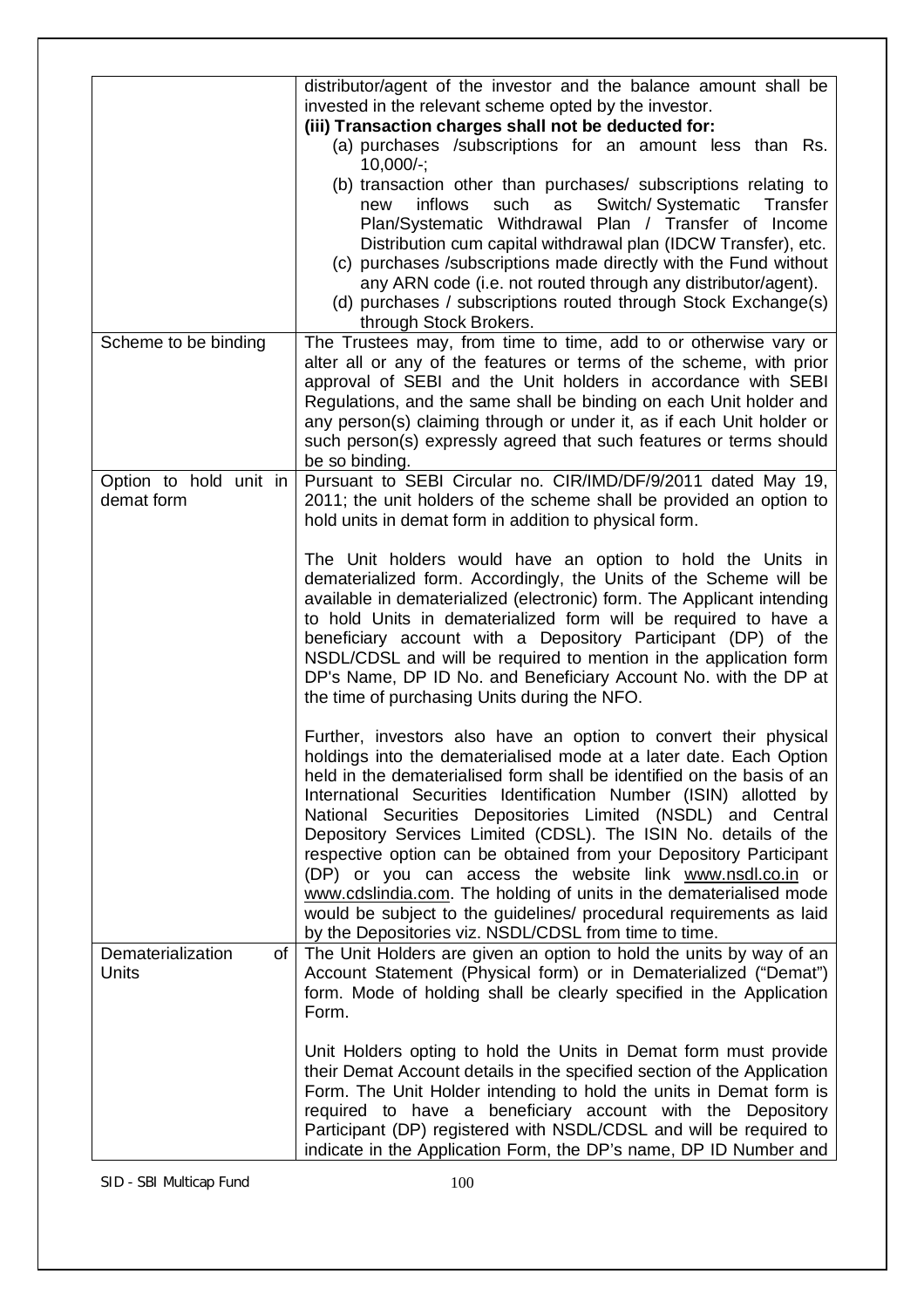| distributor/agent of the investor and the balance amount shall be                                                                    |                                                                        |  |  |  |
|--------------------------------------------------------------------------------------------------------------------------------------|------------------------------------------------------------------------|--|--|--|
| invested in the relevant scheme opted by the investor.                                                                               |                                                                        |  |  |  |
| (iii) Transaction charges shall not be deducted for:                                                                                 |                                                                        |  |  |  |
| (a) purchases /subscriptions for an amount less than Rs.<br>$10,000/-;$                                                              |                                                                        |  |  |  |
| (b) transaction other than purchases/ subscriptions relating to                                                                      |                                                                        |  |  |  |
| inflows<br>such<br>Switch/Systematic<br>as<br>new                                                                                    | Transfer                                                               |  |  |  |
| Plan/Systematic Withdrawal Plan / Transfer of Income                                                                                 |                                                                        |  |  |  |
| Distribution cum capital withdrawal plan (IDCW Transfer), etc.                                                                       |                                                                        |  |  |  |
| (c) purchases /subscriptions made directly with the Fund without                                                                     |                                                                        |  |  |  |
| any ARN code (i.e. not routed through any distributor/agent).                                                                        |                                                                        |  |  |  |
| (d) purchases / subscriptions routed through Stock Exchange(s)                                                                       |                                                                        |  |  |  |
| through Stock Brokers.                                                                                                               |                                                                        |  |  |  |
| The Trustees may, from time to time, add to or otherwise vary or<br>Scheme to be binding                                             |                                                                        |  |  |  |
| alter all or any of the features or terms of the scheme, with prior<br>approval of SEBI and the Unit holders in accordance with SEBI |                                                                        |  |  |  |
| Regulations, and the same shall be binding on each Unit holder and                                                                   |                                                                        |  |  |  |
| any person(s) claiming through or under it, as if each Unit holder or                                                                |                                                                        |  |  |  |
| such person(s) expressly agreed that such features or terms should                                                                   |                                                                        |  |  |  |
| be so binding.                                                                                                                       |                                                                        |  |  |  |
| Pursuant to SEBI Circular no. CIR/IMD/DF/9/2011 dated May 19,<br>Option to hold unit in                                              |                                                                        |  |  |  |
| demat form<br>2011; the unit holders of the scheme shall be provided an option to                                                    |                                                                        |  |  |  |
| hold units in demat form in addition to physical form.                                                                               |                                                                        |  |  |  |
|                                                                                                                                      |                                                                        |  |  |  |
| The Unit holders would have an option to hold the Units in                                                                           |                                                                        |  |  |  |
|                                                                                                                                      | dematerialized form. Accordingly, the Units of the Scheme will be      |  |  |  |
|                                                                                                                                      | available in dematerialized (electronic) form. The Applicant intending |  |  |  |
| to hold Units in dematerialized form will be required to have a                                                                      |                                                                        |  |  |  |
| beneficiary account with a Depository Participant (DP) of the                                                                        |                                                                        |  |  |  |
| NSDL/CDSL and will be required to mention in the application form                                                                    |                                                                        |  |  |  |
| DP's Name, DP ID No. and Beneficiary Account No. with the DP at<br>the time of purchasing Units during the NFO.                      |                                                                        |  |  |  |
|                                                                                                                                      |                                                                        |  |  |  |
| Further, investors also have an option to convert their physical                                                                     |                                                                        |  |  |  |
| holdings into the dematerialised mode at a later date. Each Option                                                                   |                                                                        |  |  |  |
| held in the dematerialised form shall be identified on the basis of an                                                               |                                                                        |  |  |  |
| International Securities Identification Number (ISIN) allotted by                                                                    |                                                                        |  |  |  |
| National Securities Depositories Limited (NSDL) and Central                                                                          |                                                                        |  |  |  |
| Depository Services Limited (CDSL). The ISIN No. details of the                                                                      |                                                                        |  |  |  |
| respective option can be obtained from your Depository Participant                                                                   |                                                                        |  |  |  |
| (DP) or you can access the website link www.nsdl.co.in or                                                                            |                                                                        |  |  |  |
| www.cdslindia.com. The holding of units in the dematerialised mode                                                                   |                                                                        |  |  |  |
| would be subject to the guidelines/ procedural requirements as laid                                                                  |                                                                        |  |  |  |
| by the Depositories viz. NSDL/CDSL from time to time.                                                                                |                                                                        |  |  |  |
| The Unit Holders are given an option to hold the units by way of an<br>Dematerialization<br>of                                       |                                                                        |  |  |  |
| <b>Units</b><br>Account Statement (Physical form) or in Dematerialized ("Demat")                                                     |                                                                        |  |  |  |
| form. Mode of holding shall be clearly specified in the Application                                                                  |                                                                        |  |  |  |
| Form.                                                                                                                                |                                                                        |  |  |  |
| Unit Holders opting to hold the Units in Demat form must provide                                                                     |                                                                        |  |  |  |
| their Demat Account details in the specified section of the Application                                                              |                                                                        |  |  |  |
| Form. The Unit Holder intending to hold the units in Demat form is                                                                   |                                                                        |  |  |  |
| required to have a beneficiary account with the Depository                                                                           |                                                                        |  |  |  |
| Participant (DP) registered with NSDL/CDSL and will be required to                                                                   |                                                                        |  |  |  |
| indicate in the Application Form, the DP's name, DP ID Number and                                                                    |                                                                        |  |  |  |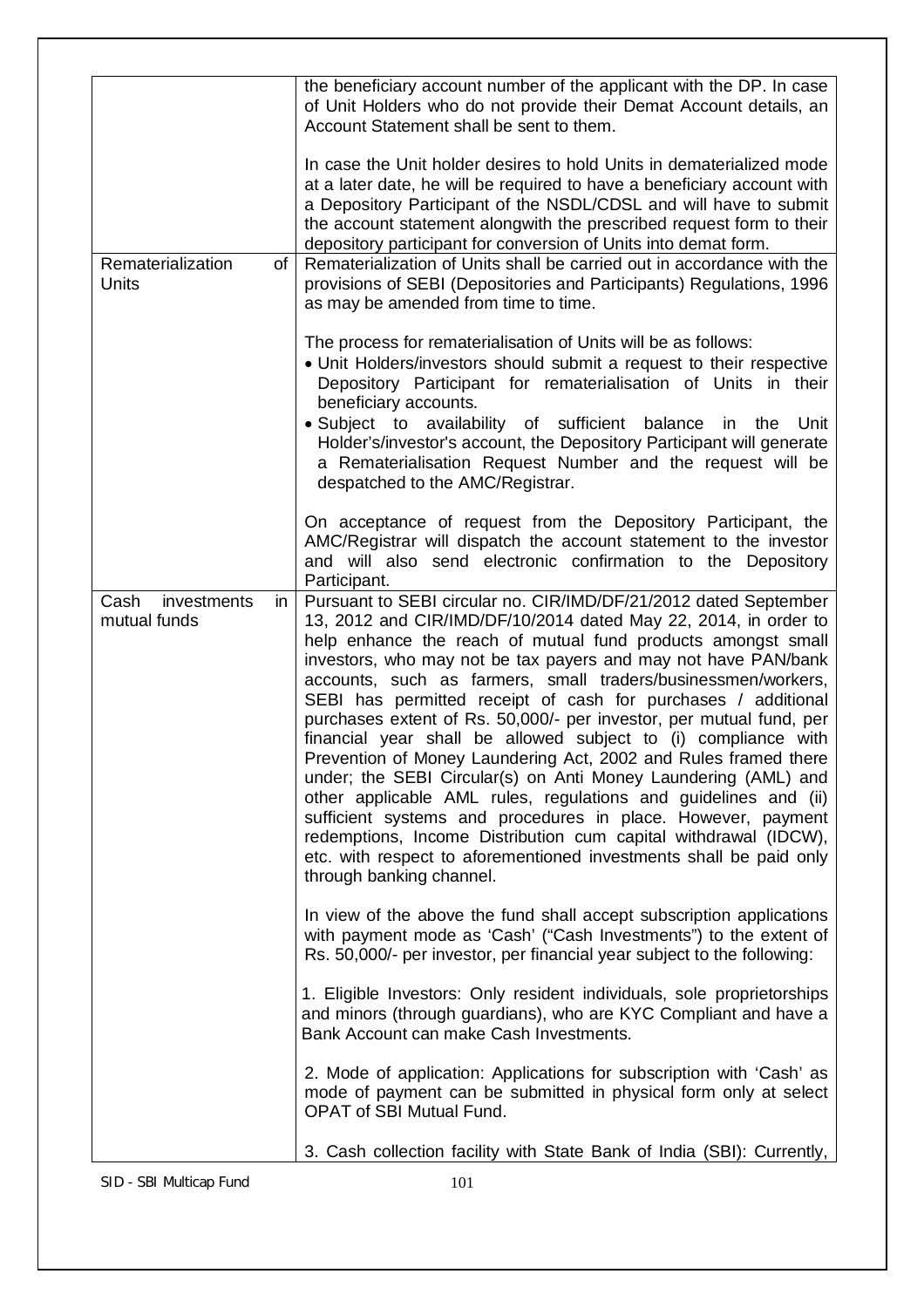|                                            | the beneficiary account number of the applicant with the DP. In case<br>of Unit Holders who do not provide their Demat Account details, an<br>Account Statement shall be sent to them.                                                                                                                                                                                                                                                                                                                                                                                                                                                                                                                                                                                                                                                                                                                                                                                                        |
|--------------------------------------------|-----------------------------------------------------------------------------------------------------------------------------------------------------------------------------------------------------------------------------------------------------------------------------------------------------------------------------------------------------------------------------------------------------------------------------------------------------------------------------------------------------------------------------------------------------------------------------------------------------------------------------------------------------------------------------------------------------------------------------------------------------------------------------------------------------------------------------------------------------------------------------------------------------------------------------------------------------------------------------------------------|
|                                            | In case the Unit holder desires to hold Units in dematerialized mode<br>at a later date, he will be required to have a beneficiary account with<br>a Depository Participant of the NSDL/CDSL and will have to submit<br>the account statement alongwith the prescribed request form to their<br>depository participant for conversion of Units into demat form.                                                                                                                                                                                                                                                                                                                                                                                                                                                                                                                                                                                                                               |
| Rematerialization<br><b>Units</b>          | Rematerialization of Units shall be carried out in accordance with the<br>of<br>provisions of SEBI (Depositories and Participants) Regulations, 1996<br>as may be amended from time to time.                                                                                                                                                                                                                                                                                                                                                                                                                                                                                                                                                                                                                                                                                                                                                                                                  |
|                                            | The process for rematerialisation of Units will be as follows:<br>• Unit Holders/investors should submit a request to their respective<br>Depository Participant for rematerialisation of Units in their<br>beneficiary accounts.                                                                                                                                                                                                                                                                                                                                                                                                                                                                                                                                                                                                                                                                                                                                                             |
|                                            | · Subject to availability of sufficient balance in the<br>Unit<br>Holder's/investor's account, the Depository Participant will generate<br>a Rematerialisation Request Number and the request will be<br>despatched to the AMC/Registrar.                                                                                                                                                                                                                                                                                                                                                                                                                                                                                                                                                                                                                                                                                                                                                     |
|                                            | On acceptance of request from the Depository Participant, the<br>AMC/Registrar will dispatch the account statement to the investor<br>and will also send electronic confirmation to the Depository<br>Participant.                                                                                                                                                                                                                                                                                                                                                                                                                                                                                                                                                                                                                                                                                                                                                                            |
| Cash<br>investments<br>in.<br>mutual funds | Pursuant to SEBI circular no. CIR/IMD/DF/21/2012 dated September<br>13, 2012 and CIR/IMD/DF/10/2014 dated May 22, 2014, in order to<br>help enhance the reach of mutual fund products amongst small<br>investors, who may not be tax payers and may not have PAN/bank<br>accounts, such as farmers, small traders/businessmen/workers,<br>SEBI has permitted receipt of cash for purchases / additional<br>purchases extent of Rs. 50,000/- per investor, per mutual fund, per<br>financial year shall be allowed subject to (i) compliance with<br>Prevention of Money Laundering Act, 2002 and Rules framed there<br>under; the SEBI Circular(s) on Anti Money Laundering (AML) and<br>other applicable AML rules, regulations and guidelines and (ii)<br>sufficient systems and procedures in place. However, payment<br>redemptions, Income Distribution cum capital withdrawal (IDCW),<br>etc. with respect to aforementioned investments shall be paid only<br>through banking channel. |
|                                            | In view of the above the fund shall accept subscription applications<br>with payment mode as 'Cash' ("Cash Investments") to the extent of<br>Rs. 50,000/- per investor, per financial year subject to the following:                                                                                                                                                                                                                                                                                                                                                                                                                                                                                                                                                                                                                                                                                                                                                                          |
|                                            | 1. Eligible Investors: Only resident individuals, sole proprietorships<br>and minors (through guardians), who are KYC Compliant and have a<br>Bank Account can make Cash Investments.                                                                                                                                                                                                                                                                                                                                                                                                                                                                                                                                                                                                                                                                                                                                                                                                         |
|                                            | 2. Mode of application: Applications for subscription with 'Cash' as<br>mode of payment can be submitted in physical form only at select<br><b>OPAT of SBI Mutual Fund.</b>                                                                                                                                                                                                                                                                                                                                                                                                                                                                                                                                                                                                                                                                                                                                                                                                                   |
|                                            | 3. Cash collection facility with State Bank of India (SBI): Currently,                                                                                                                                                                                                                                                                                                                                                                                                                                                                                                                                                                                                                                                                                                                                                                                                                                                                                                                        |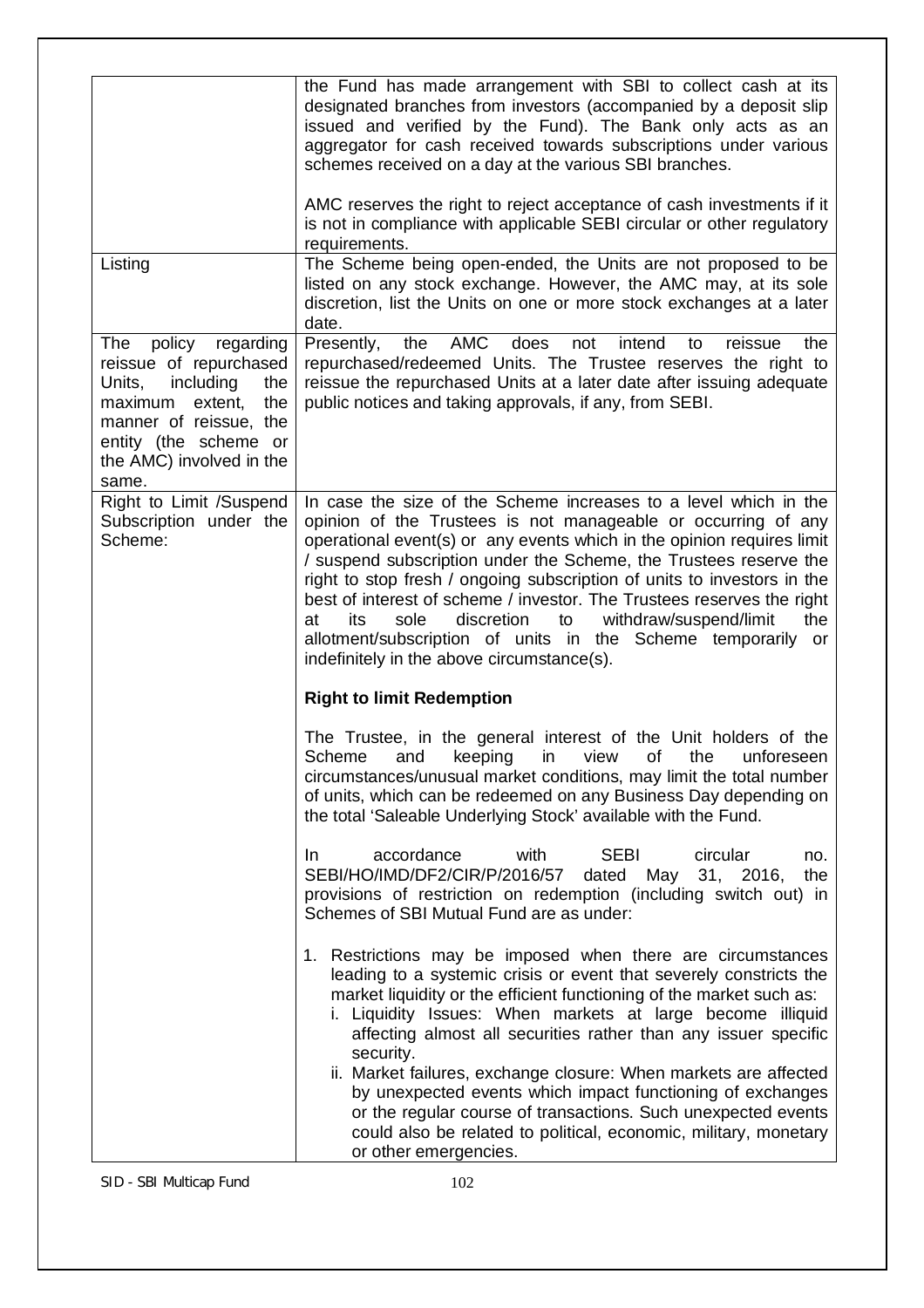|                                                                                                                                                                                                      | the Fund has made arrangement with SBI to collect cash at its<br>designated branches from investors (accompanied by a deposit slip<br>issued and verified by the Fund). The Bank only acts as an<br>aggregator for cash received towards subscriptions under various<br>schemes received on a day at the various SBI branches.                                                                                                                                                                                                                                                                                                |
|------------------------------------------------------------------------------------------------------------------------------------------------------------------------------------------------------|-------------------------------------------------------------------------------------------------------------------------------------------------------------------------------------------------------------------------------------------------------------------------------------------------------------------------------------------------------------------------------------------------------------------------------------------------------------------------------------------------------------------------------------------------------------------------------------------------------------------------------|
|                                                                                                                                                                                                      | AMC reserves the right to reject acceptance of cash investments if it<br>is not in compliance with applicable SEBI circular or other regulatory<br>requirements.                                                                                                                                                                                                                                                                                                                                                                                                                                                              |
| Listing                                                                                                                                                                                              | The Scheme being open-ended, the Units are not proposed to be<br>listed on any stock exchange. However, the AMC may, at its sole<br>discretion, list the Units on one or more stock exchanges at a later<br>date.                                                                                                                                                                                                                                                                                                                                                                                                             |
| policy<br>The<br>regarding<br>reissue of repurchased<br>Units,<br>including<br>the<br>maximum extent,<br>the<br>manner of reissue, the<br>entity (the scheme or<br>the AMC) involved in the<br>same. | <b>AMC</b><br>Presently,<br>the<br>does<br>intend<br>reissue<br>the<br>not<br>to<br>repurchased/redeemed Units. The Trustee reserves the right to<br>reissue the repurchased Units at a later date after issuing adequate<br>public notices and taking approvals, if any, from SEBI.                                                                                                                                                                                                                                                                                                                                          |
| Right to Limit /Suspend<br>Subscription under the<br>Scheme:                                                                                                                                         | In case the size of the Scheme increases to a level which in the<br>opinion of the Trustees is not manageable or occurring of any<br>operational event(s) or any events which in the opinion requires limit<br>/ suspend subscription under the Scheme, the Trustees reserve the<br>right to stop fresh / ongoing subscription of units to investors in the<br>best of interest of scheme / investor. The Trustees reserves the right<br>its<br>sole<br>discretion<br>to<br>withdraw/suspend/limit<br>the<br>at<br>allotment/subscription of units in the Scheme temporarily or<br>indefinitely in the above circumstance(s). |
|                                                                                                                                                                                                      | <b>Right to limit Redemption</b>                                                                                                                                                                                                                                                                                                                                                                                                                                                                                                                                                                                              |
|                                                                                                                                                                                                      | The Trustee, in the general interest of the Unit holders of the<br>Scheme and keeping in view of the unforeseen<br>circumstances/unusual market conditions, may limit the total number<br>of units, which can be redeemed on any Business Day depending on<br>the total 'Saleable Underlying Stock' available with the Fund.                                                                                                                                                                                                                                                                                                  |
|                                                                                                                                                                                                      | accordance<br>with<br><b>SEBI</b><br>circular<br>In.<br>no.<br>SEBI/HO/IMD/DF2/CIR/P/2016/57<br>dated<br>May<br>31, 2016,<br>the<br>provisions of restriction on redemption (including switch out) in<br>Schemes of SBI Mutual Fund are as under:                                                                                                                                                                                                                                                                                                                                                                             |
|                                                                                                                                                                                                      | 1. Restrictions may be imposed when there are circumstances<br>leading to a systemic crisis or event that severely constricts the<br>market liquidity or the efficient functioning of the market such as:<br>i. Liquidity Issues: When markets at large become illiquid<br>affecting almost all securities rather than any issuer specific<br>security.                                                                                                                                                                                                                                                                       |
|                                                                                                                                                                                                      | ii. Market failures, exchange closure: When markets are affected<br>by unexpected events which impact functioning of exchanges<br>or the regular course of transactions. Such unexpected events<br>could also be related to political, economic, military, monetary<br>or other emergencies.                                                                                                                                                                                                                                                                                                                                  |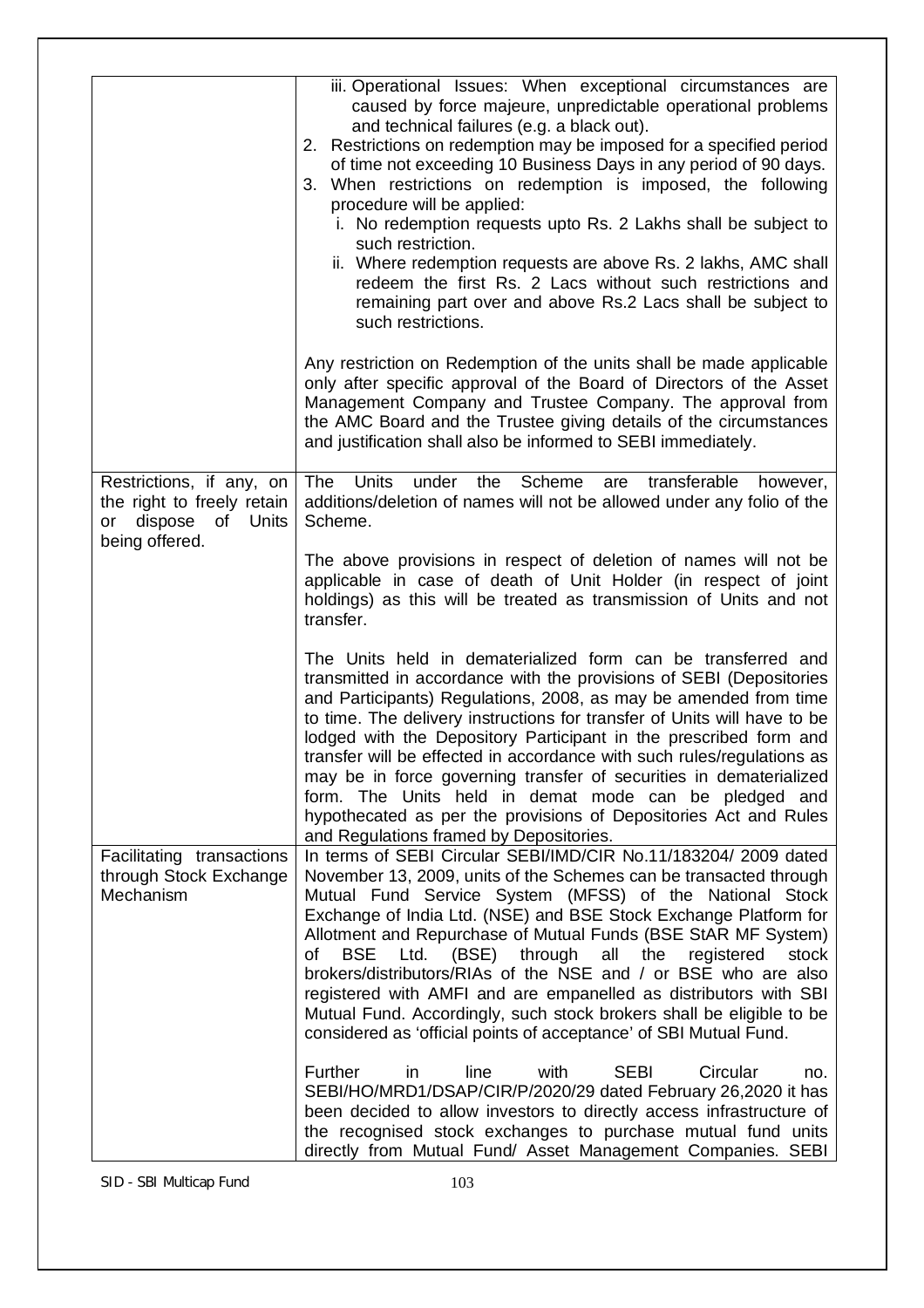|                                                                                  | iii. Operational Issues: When exceptional circumstances are<br>caused by force majeure, unpredictable operational problems<br>and technical failures (e.g. a black out).<br>2. Restrictions on redemption may be imposed for a specified period<br>of time not exceeding 10 Business Days in any period of 90 days.<br>3. When restrictions on redemption is imposed, the following<br>procedure will be applied:<br>i. No redemption requests upto Rs. 2 Lakhs shall be subject to<br>such restriction.<br>ii. Where redemption requests are above Rs. 2 lakhs, AMC shall<br>redeem the first Rs. 2 Lacs without such restrictions and<br>remaining part over and above Rs.2 Lacs shall be subject to<br>such restrictions. |
|----------------------------------------------------------------------------------|------------------------------------------------------------------------------------------------------------------------------------------------------------------------------------------------------------------------------------------------------------------------------------------------------------------------------------------------------------------------------------------------------------------------------------------------------------------------------------------------------------------------------------------------------------------------------------------------------------------------------------------------------------------------------------------------------------------------------|
|                                                                                  | Any restriction on Redemption of the units shall be made applicable<br>only after specific approval of the Board of Directors of the Asset<br>Management Company and Trustee Company. The approval from<br>the AMC Board and the Trustee giving details of the circumstances<br>and justification shall also be informed to SEBI immediately.                                                                                                                                                                                                                                                                                                                                                                                |
| Restrictions, if any, on<br>the right to freely retain<br>dispose of Units<br>or | Scheme<br>The<br><b>Units</b><br>under<br>the<br>transferable<br>are<br>however,<br>additions/deletion of names will not be allowed under any folio of the<br>Scheme.                                                                                                                                                                                                                                                                                                                                                                                                                                                                                                                                                        |
| being offered.                                                                   | The above provisions in respect of deletion of names will not be<br>applicable in case of death of Unit Holder (in respect of joint<br>holdings) as this will be treated as transmission of Units and not<br>transfer.                                                                                                                                                                                                                                                                                                                                                                                                                                                                                                       |
|                                                                                  | The Units held in dematerialized form can be transferred and<br>transmitted in accordance with the provisions of SEBI (Depositories<br>and Participants) Regulations, 2008, as may be amended from time<br>to time. The delivery instructions for transfer of Units will have to be<br>lodged with the Depository Participant in the prescribed form and<br>transfer will be effected in accordance with such rules/regulations as<br>may be in force governing transfer of securities in dematerialized<br>form. The Units held in demat mode can be pledged and<br>hypothecated as per the provisions of Depositories Act and Rules<br>and Regulations framed by Depositories.                                             |
| Facilitating transactions<br>through Stock Exchange<br>Mechanism                 | In terms of SEBI Circular SEBI/IMD/CIR No.11/183204/ 2009 dated<br>November 13, 2009, units of the Schemes can be transacted through<br>Mutual Fund Service System (MFSS) of the National Stock<br>Exchange of India Ltd. (NSE) and BSE Stock Exchange Platform for<br>Allotment and Repurchase of Mutual Funds (BSE StAR MF System)<br>Ltd. (BSE) through all the<br>of<br><b>BSE</b><br>registered<br>stock<br>brokers/distributors/RIAs of the NSE and / or BSE who are also<br>registered with AMFI and are empanelled as distributors with SBI<br>Mutual Fund. Accordingly, such stock brokers shall be eligible to be<br>considered as 'official points of acceptance' of SBI Mutual Fund.                             |
|                                                                                  | Further<br>Circular<br>in<br>line<br>with<br><b>SEBI</b><br>no.<br>SEBI/HO/MRD1/DSAP/CIR/P/2020/29 dated February 26,2020 it has<br>been decided to allow investors to directly access infrastructure of<br>the recognised stock exchanges to purchase mutual fund units<br>directly from Mutual Fund/ Asset Management Companies. SEBI                                                                                                                                                                                                                                                                                                                                                                                      |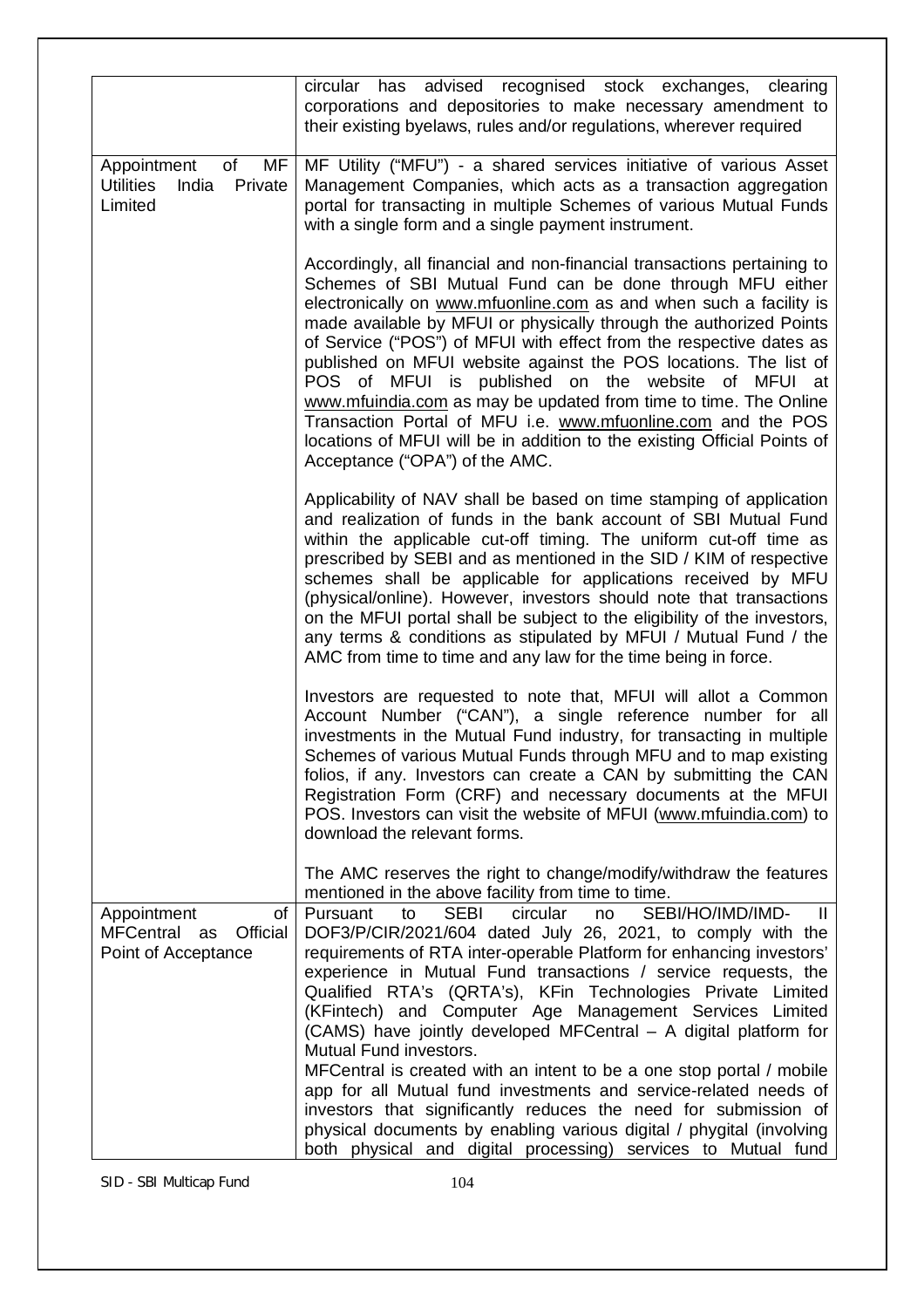|                                                                         | circular has<br>advised recognised stock exchanges,<br>clearing<br>corporations and depositories to make necessary amendment to<br>their existing byelaws, rules and/or regulations, wherever required                                                                                                                                                                                                                                                                                                                                                                                                                                                                                                                              |
|-------------------------------------------------------------------------|-------------------------------------------------------------------------------------------------------------------------------------------------------------------------------------------------------------------------------------------------------------------------------------------------------------------------------------------------------------------------------------------------------------------------------------------------------------------------------------------------------------------------------------------------------------------------------------------------------------------------------------------------------------------------------------------------------------------------------------|
| of<br>MF<br>Appointment<br><b>Utilities</b><br>India Private<br>Limited | MF Utility ("MFU") - a shared services initiative of various Asset<br>Management Companies, which acts as a transaction aggregation<br>portal for transacting in multiple Schemes of various Mutual Funds<br>with a single form and a single payment instrument.                                                                                                                                                                                                                                                                                                                                                                                                                                                                    |
|                                                                         | Accordingly, all financial and non-financial transactions pertaining to<br>Schemes of SBI Mutual Fund can be done through MFU either<br>electronically on www.mfuonline.com as and when such a facility is<br>made available by MFUI or physically through the authorized Points<br>of Service ("POS") of MFUI with effect from the respective dates as<br>published on MFUI website against the POS locations. The list of<br>POS of MFUI is published on the website of MFUI at<br>www.mfuindia.com as may be updated from time to time. The Online<br>Transaction Portal of MFU i.e. www.mfuonline.com and the POS<br>locations of MFUI will be in addition to the existing Official Points of<br>Acceptance ("OPA") of the AMC. |
|                                                                         | Applicability of NAV shall be based on time stamping of application<br>and realization of funds in the bank account of SBI Mutual Fund<br>within the applicable cut-off timing. The uniform cut-off time as<br>prescribed by SEBI and as mentioned in the SID / KIM of respective<br>schemes shall be applicable for applications received by MFU<br>(physical/online). However, investors should note that transactions<br>on the MFUI portal shall be subject to the eligibility of the investors,<br>any terms & conditions as stipulated by MFUI / Mutual Fund / the<br>AMC from time to time and any law for the time being in force.                                                                                          |
|                                                                         | Investors are requested to note that, MFUI will allot a Common<br>Account Number ("CAN"), a single reference number for all<br>investments in the Mutual Fund industry, for transacting in multiple<br>Schemes of various Mutual Funds through MFU and to map existing<br>folios, if any. Investors can create a CAN by submitting the CAN<br>Registration Form (CRF) and necessary documents at the MFUI<br>POS. Investors can visit the website of MFUI (www.mfuindia.com) to<br>download the relevant forms.                                                                                                                                                                                                                     |
|                                                                         | The AMC reserves the right to change/modify/withdraw the features<br>mentioned in the above facility from time to time.<br>SEBI/HO/IMD/IMD-<br><b>SEBI</b><br>Pursuant<br>circular                                                                                                                                                                                                                                                                                                                                                                                                                                                                                                                                                  |
| Appointment<br>of<br>MFCentral as<br>Official<br>Point of Acceptance    | to<br>$\mathbf{I}$<br>no<br>DOF3/P/CIR/2021/604 dated July 26, 2021, to comply with the<br>requirements of RTA inter-operable Platform for enhancing investors'<br>experience in Mutual Fund transactions / service requests, the<br>Qualified RTA's (QRTA's), KFin Technologies Private Limited<br>(KFintech) and Computer Age Management Services Limited<br>(CAMS) have jointly developed MFCentral - A digital platform for<br>Mutual Fund investors.                                                                                                                                                                                                                                                                           |
|                                                                         | MFCentral is created with an intent to be a one stop portal / mobile<br>app for all Mutual fund investments and service-related needs of<br>investors that significantly reduces the need for submission of<br>physical documents by enabling various digital / phygital (involving<br>both physical and digital processing) services to Mutual fund                                                                                                                                                                                                                                                                                                                                                                                |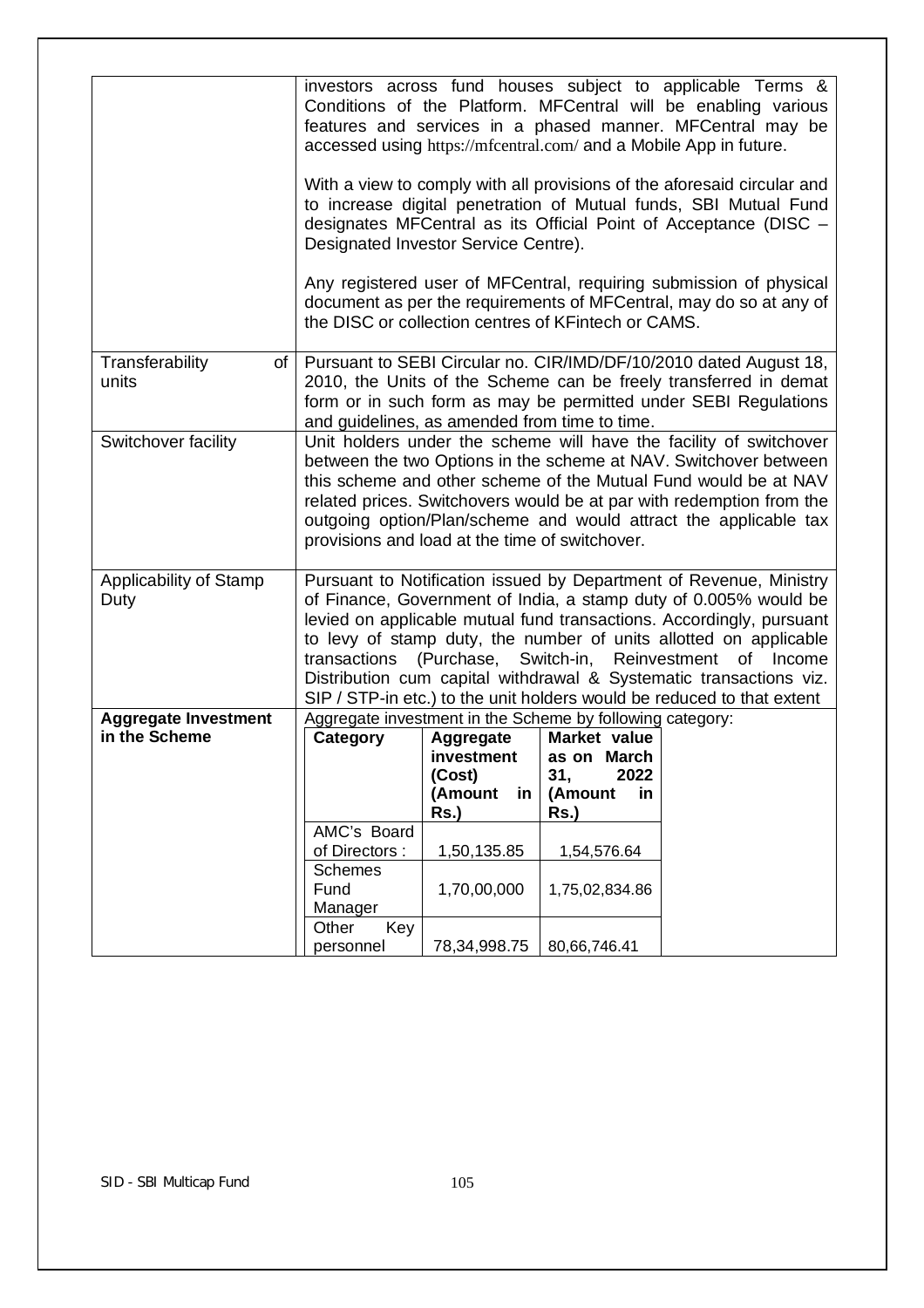|                                              | investors across fund houses subject to applicable Terms &<br>Conditions of the Platform. MFCentral will be enabling various<br>features and services in a phased manner. MFCentral may be<br>accessed using https://mfcentral.com/ and a Mobile App in future.<br>With a view to comply with all provisions of the aforesaid circular and<br>to increase digital penetration of Mutual funds, SBI Mutual Fund<br>designates MFCentral as its Official Point of Acceptance (DISC -<br>Designated Investor Service Centre).<br>Any registered user of MFCentral, requiring submission of physical<br>document as per the requirements of MFCentral, may do so at any of<br>the DISC or collection centres of KFintech or CAMS. |                                                                             |                                                                                                                                     |  |  |
|----------------------------------------------|-------------------------------------------------------------------------------------------------------------------------------------------------------------------------------------------------------------------------------------------------------------------------------------------------------------------------------------------------------------------------------------------------------------------------------------------------------------------------------------------------------------------------------------------------------------------------------------------------------------------------------------------------------------------------------------------------------------------------------|-----------------------------------------------------------------------------|-------------------------------------------------------------------------------------------------------------------------------------|--|--|
| Transferability<br>$of \,  $<br>units        | Pursuant to SEBI Circular no. CIR/IMD/DF/10/2010 dated August 18,<br>2010, the Units of the Scheme can be freely transferred in demat<br>form or in such form as may be permitted under SEBI Regulations<br>and guidelines, as amended from time to time.                                                                                                                                                                                                                                                                                                                                                                                                                                                                     |                                                                             |                                                                                                                                     |  |  |
| Switchover facility                          | Unit holders under the scheme will have the facility of switchover<br>between the two Options in the scheme at NAV. Switchover between<br>this scheme and other scheme of the Mutual Fund would be at NAV<br>related prices. Switchovers would be at par with redemption from the<br>outgoing option/Plan/scheme and would attract the applicable tax<br>provisions and load at the time of switchover.                                                                                                                                                                                                                                                                                                                       |                                                                             |                                                                                                                                     |  |  |
| Applicability of Stamp<br>Duty               | Pursuant to Notification issued by Department of Revenue, Ministry<br>of Finance, Government of India, a stamp duty of 0.005% would be<br>levied on applicable mutual fund transactions. Accordingly, pursuant<br>to levy of stamp duty, the number of units allotted on applicable<br>(Purchase,<br>Switch-in, Reinvestment<br>transactions<br>of Income<br>Distribution cum capital withdrawal & Systematic transactions viz.<br>SIP / STP-in etc.) to the unit holders would be reduced to that extent                                                                                                                                                                                                                     |                                                                             |                                                                                                                                     |  |  |
| <b>Aggregate Investment</b><br>in the Scheme | Category                                                                                                                                                                                                                                                                                                                                                                                                                                                                                                                                                                                                                                                                                                                      | Aggregate<br>$inverse$ investment<br>(Cost)<br>(Amount<br>in<br><b>Rs.)</b> | Aggregate investment in the Scheme by following category:<br>Market value<br>as on March<br>2022<br>31,<br>(Amount<br>in<br>$Rs.$ ) |  |  |
|                                              | AMC's Board<br>of Directors:<br>Schemes<br>Fund<br>Manager                                                                                                                                                                                                                                                                                                                                                                                                                                                                                                                                                                                                                                                                    | 1,50,135.85<br>1,70,00,000                                                  | 1,54,576.64<br>1,75,02,834.86                                                                                                       |  |  |
|                                              | Key<br>Other<br>personnel                                                                                                                                                                                                                                                                                                                                                                                                                                                                                                                                                                                                                                                                                                     | 78, 34, 998. 75                                                             | 80,66,746.41                                                                                                                        |  |  |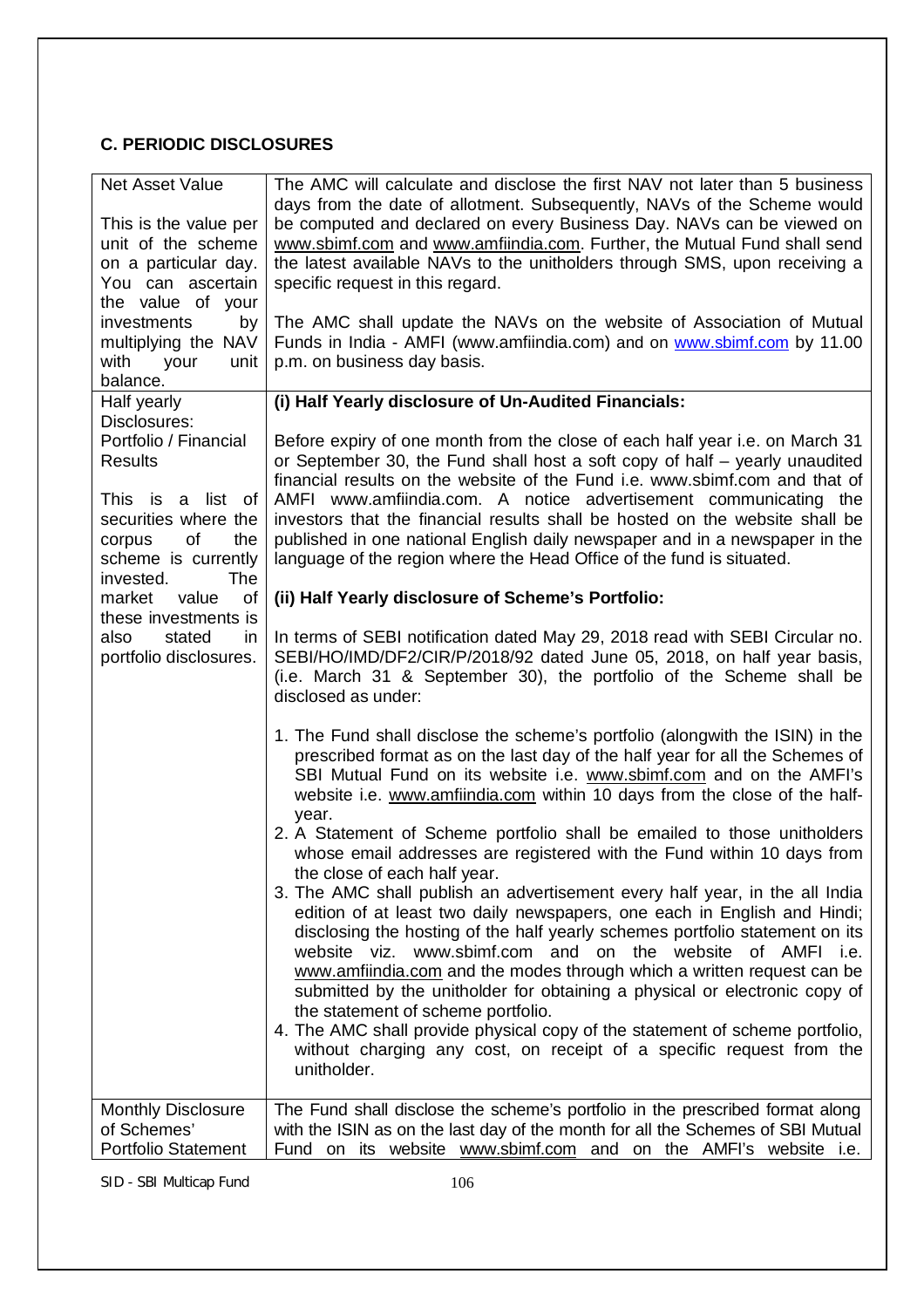# **C. PERIODIC DISCLOSURES**

| Net Asset Value<br>This is the value per                                                                                                                                      | The AMC will calculate and disclose the first NAV not later than 5 business<br>days from the date of allotment. Subsequently, NAVs of the Scheme would<br>be computed and declared on every Business Day. NAVs can be viewed on                                                                                                                                                                                                                                                                                                                                                                                                                                               |  |  |
|-------------------------------------------------------------------------------------------------------------------------------------------------------------------------------|-------------------------------------------------------------------------------------------------------------------------------------------------------------------------------------------------------------------------------------------------------------------------------------------------------------------------------------------------------------------------------------------------------------------------------------------------------------------------------------------------------------------------------------------------------------------------------------------------------------------------------------------------------------------------------|--|--|
| unit of the scheme<br>on a particular day.<br>You can ascertain<br>the value of your                                                                                          | www.sbimf.com and www.amfiindia.com. Further, the Mutual Fund shall send<br>the latest available NAVs to the unitholders through SMS, upon receiving a<br>specific request in this regard.                                                                                                                                                                                                                                                                                                                                                                                                                                                                                    |  |  |
| investments<br>by<br>multiplying the NAV<br>with<br>your<br>unit<br>balance.                                                                                                  | The AMC shall update the NAVs on the website of Association of Mutual<br>Funds in India - AMFI (www.amfiindia.com) and on www.sbimf.com by 11.00<br>p.m. on business day basis.                                                                                                                                                                                                                                                                                                                                                                                                                                                                                               |  |  |
| Half yearly                                                                                                                                                                   | (i) Half Yearly disclosure of Un-Audited Financials:                                                                                                                                                                                                                                                                                                                                                                                                                                                                                                                                                                                                                          |  |  |
| Disclosures:<br>Portfolio / Financial<br><b>Results</b><br>This is a list of<br>securities where the<br><b>of</b><br>the<br>corpus<br>scheme is currently<br>The<br>invested. | Before expiry of one month from the close of each half year i.e. on March 31<br>or September 30, the Fund shall host a soft copy of half - yearly unaudited<br>financial results on the website of the Fund i.e. www.sbimf.com and that of<br>AMFI www.amfiindia.com. A notice advertisement communicating the<br>investors that the financial results shall be hosted on the website shall be<br>published in one national English daily newspaper and in a newspaper in the<br>language of the region where the Head Office of the fund is situated.                                                                                                                        |  |  |
| of<br>market value                                                                                                                                                            | (ii) Half Yearly disclosure of Scheme's Portfolio:                                                                                                                                                                                                                                                                                                                                                                                                                                                                                                                                                                                                                            |  |  |
| these investments is<br>stated<br>also<br>in.<br>portfolio disclosures.                                                                                                       | In terms of SEBI notification dated May 29, 2018 read with SEBI Circular no.<br>SEBI/HO/IMD/DF2/CIR/P/2018/92 dated June 05, 2018, on half year basis,<br>(i.e. March 31 & September 30), the portfolio of the Scheme shall be<br>disclosed as under:                                                                                                                                                                                                                                                                                                                                                                                                                         |  |  |
|                                                                                                                                                                               | 1. The Fund shall disclose the scheme's portfolio (alongwith the ISIN) in the<br>prescribed format as on the last day of the half year for all the Schemes of<br>SBI Mutual Fund on its website i.e. www.sbimf.com and on the AMFI's<br>website i.e. www.amfiindia.com within 10 days from the close of the half-<br>year.                                                                                                                                                                                                                                                                                                                                                    |  |  |
|                                                                                                                                                                               | 2. A Statement of Scheme portfolio shall be emailed to those unitholders<br>whose email addresses are registered with the Fund within 10 days from<br>the close of each half year.                                                                                                                                                                                                                                                                                                                                                                                                                                                                                            |  |  |
|                                                                                                                                                                               | 3. The AMC shall publish an advertisement every half year, in the all India<br>edition of at least two daily newspapers, one each in English and Hindi;<br>disclosing the hosting of the half yearly schemes portfolio statement on its<br>website viz. www.sbimf.com and on the website of AMFI<br>i.e.<br>www.amfiindia.com and the modes through which a written request can be<br>submitted by the unitholder for obtaining a physical or electronic copy of<br>the statement of scheme portfolio.<br>4. The AMC shall provide physical copy of the statement of scheme portfolio,<br>without charging any cost, on receipt of a specific request from the<br>unitholder. |  |  |
| <b>Monthly Disclosure</b><br>of Schemes'<br><b>Portfolio Statement</b>                                                                                                        | The Fund shall disclose the scheme's portfolio in the prescribed format along<br>with the ISIN as on the last day of the month for all the Schemes of SBI Mutual<br>Fund on its website www.sbimf.com and on the AMFI's website i.e.                                                                                                                                                                                                                                                                                                                                                                                                                                          |  |  |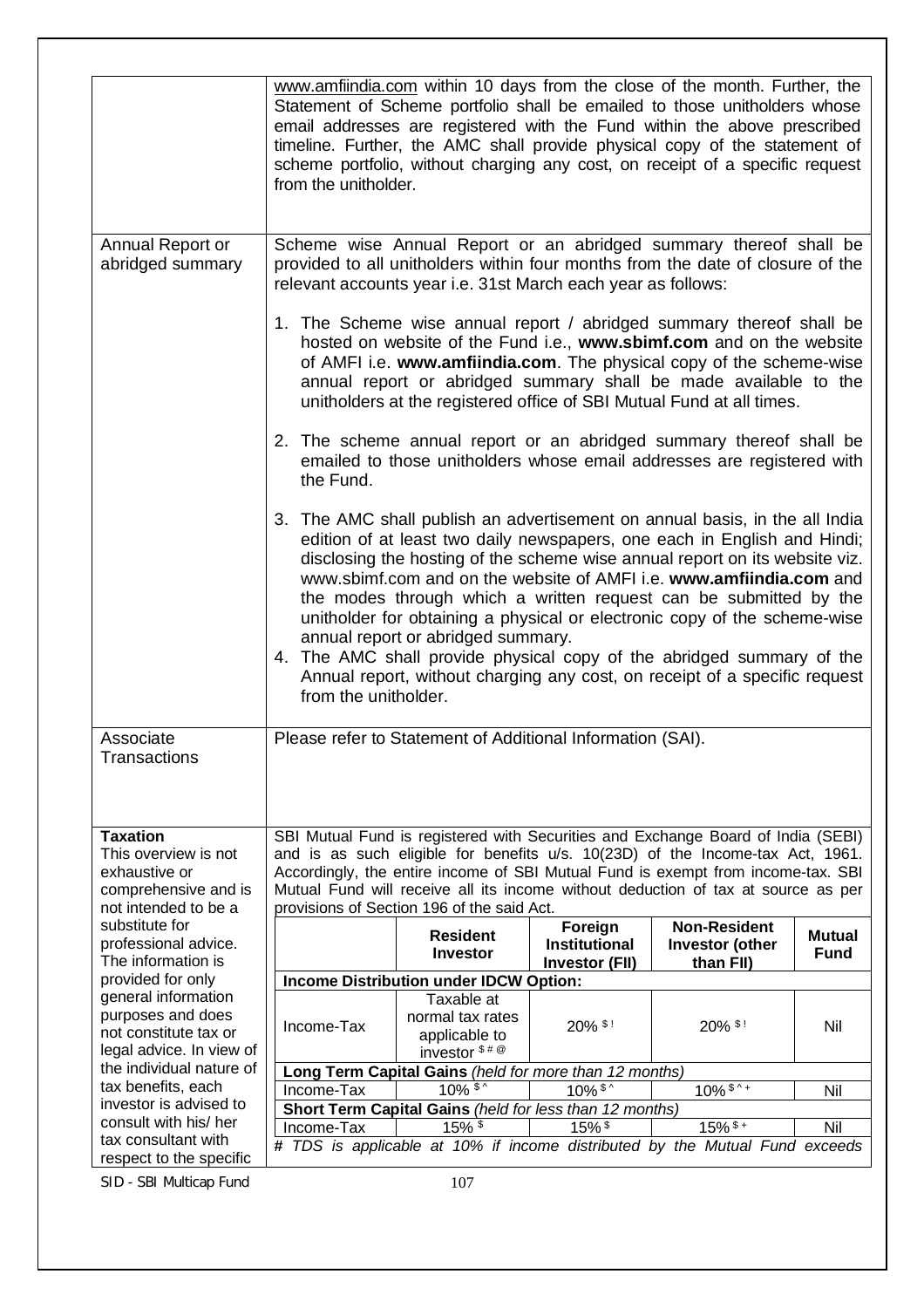|                                                | www.amfiindia.com within 10 days from the close of the month. Further, the<br>Statement of Scheme portfolio shall be emailed to those unitholders whose<br>email addresses are registered with the Fund within the above prescribed<br>timeline. Further, the AMC shall provide physical copy of the statement of<br>scheme portfolio, without charging any cost, on receipt of a specific request<br>from the unitholder.                                                                                                                                                                                                                                                           |                                                            |                                                                                                                                                                                                                                                                                                                                                                   |                                                                                   |               |
|------------------------------------------------|--------------------------------------------------------------------------------------------------------------------------------------------------------------------------------------------------------------------------------------------------------------------------------------------------------------------------------------------------------------------------------------------------------------------------------------------------------------------------------------------------------------------------------------------------------------------------------------------------------------------------------------------------------------------------------------|------------------------------------------------------------|-------------------------------------------------------------------------------------------------------------------------------------------------------------------------------------------------------------------------------------------------------------------------------------------------------------------------------------------------------------------|-----------------------------------------------------------------------------------|---------------|
| Annual Report or<br>abridged summary           | Scheme wise Annual Report or an abridged summary thereof shall be<br>provided to all unitholders within four months from the date of closure of the<br>relevant accounts year i.e. 31st March each year as follows:                                                                                                                                                                                                                                                                                                                                                                                                                                                                  |                                                            |                                                                                                                                                                                                                                                                                                                                                                   |                                                                                   |               |
|                                                |                                                                                                                                                                                                                                                                                                                                                                                                                                                                                                                                                                                                                                                                                      |                                                            | 1. The Scheme wise annual report / abridged summary thereof shall be<br>hosted on website of the Fund i.e., www.sbimf.com and on the website<br>of AMFI i.e. www.amfiindia.com. The physical copy of the scheme-wise<br>annual report or abridged summary shall be made available to the<br>unitholders at the registered office of SBI Mutual Fund at all times. |                                                                                   |               |
|                                                | 2. The scheme annual report or an abridged summary thereof shall be<br>emailed to those unitholders whose email addresses are registered with<br>the Fund.                                                                                                                                                                                                                                                                                                                                                                                                                                                                                                                           |                                                            |                                                                                                                                                                                                                                                                                                                                                                   |                                                                                   |               |
|                                                | 3. The AMC shall publish an advertisement on annual basis, in the all India<br>edition of at least two daily newspapers, one each in English and Hindi;<br>disclosing the hosting of the scheme wise annual report on its website viz.<br>www.sbimf.com and on the website of AMFI i.e. www.amfiindia.com and<br>the modes through which a written request can be submitted by the<br>unitholder for obtaining a physical or electronic copy of the scheme-wise<br>annual report or abridged summary.<br>4. The AMC shall provide physical copy of the abridged summary of the<br>Annual report, without charging any cost, on receipt of a specific request<br>from the unitholder. |                                                            |                                                                                                                                                                                                                                                                                                                                                                   |                                                                                   |               |
| Associate<br>Transactions                      |                                                                                                                                                                                                                                                                                                                                                                                                                                                                                                                                                                                                                                                                                      | Please refer to Statement of Additional Information (SAI). |                                                                                                                                                                                                                                                                                                                                                                   |                                                                                   |               |
| <b>Taxation</b>                                |                                                                                                                                                                                                                                                                                                                                                                                                                                                                                                                                                                                                                                                                                      |                                                            |                                                                                                                                                                                                                                                                                                                                                                   | SBI Mutual Fund is registered with Securities and Exchange Board of India (SEBI)  |               |
| This overview is not                           |                                                                                                                                                                                                                                                                                                                                                                                                                                                                                                                                                                                                                                                                                      |                                                            |                                                                                                                                                                                                                                                                                                                                                                   | and is as such eligible for benefits u/s. 10(23D) of the Income-tax Act, 1961.    |               |
| exhaustive or                                  |                                                                                                                                                                                                                                                                                                                                                                                                                                                                                                                                                                                                                                                                                      |                                                            |                                                                                                                                                                                                                                                                                                                                                                   | Accordingly, the entire income of SBI Mutual Fund is exempt from income-tax. SBI  |               |
| comprehensive and is                           |                                                                                                                                                                                                                                                                                                                                                                                                                                                                                                                                                                                                                                                                                      |                                                            |                                                                                                                                                                                                                                                                                                                                                                   | Mutual Fund will receive all its income without deduction of tax at source as per |               |
| not intended to be a                           |                                                                                                                                                                                                                                                                                                                                                                                                                                                                                                                                                                                                                                                                                      | provisions of Section 196 of the said Act.                 |                                                                                                                                                                                                                                                                                                                                                                   |                                                                                   |               |
| substitute for                                 |                                                                                                                                                                                                                                                                                                                                                                                                                                                                                                                                                                                                                                                                                      | <b>Resident</b>                                            | Foreign                                                                                                                                                                                                                                                                                                                                                           | <b>Non-Resident</b>                                                               | <b>Mutual</b> |
| professional advice.                           |                                                                                                                                                                                                                                                                                                                                                                                                                                                                                                                                                                                                                                                                                      | <b>Investor</b>                                            | <b>Institutional</b>                                                                                                                                                                                                                                                                                                                                              | <b>Investor (other</b>                                                            | <b>Fund</b>   |
| The information is                             |                                                                                                                                                                                                                                                                                                                                                                                                                                                                                                                                                                                                                                                                                      |                                                            | <b>Investor (FII)</b>                                                                                                                                                                                                                                                                                                                                             | than FII)                                                                         |               |
| provided for only                              |                                                                                                                                                                                                                                                                                                                                                                                                                                                                                                                                                                                                                                                                                      | Income Distribution under IDCW Option:                     |                                                                                                                                                                                                                                                                                                                                                                   |                                                                                   |               |
| general information<br>purposes and does       |                                                                                                                                                                                                                                                                                                                                                                                                                                                                                                                                                                                                                                                                                      | Taxable at                                                 |                                                                                                                                                                                                                                                                                                                                                                   |                                                                                   |               |
| not constitute tax or                          | Income-Tax                                                                                                                                                                                                                                                                                                                                                                                                                                                                                                                                                                                                                                                                           | normal tax rates<br>applicable to                          | 20% \$!                                                                                                                                                                                                                                                                                                                                                           | 20% \$!                                                                           | Nil           |
| legal advice. In view of                       |                                                                                                                                                                                                                                                                                                                                                                                                                                                                                                                                                                                                                                                                                      | investor $$^{\$}\#$ <sup><math>@</math></sup>              |                                                                                                                                                                                                                                                                                                                                                                   |                                                                                   |               |
| the individual nature of                       | Long Term Capital Gains (held for more than 12 months)                                                                                                                                                                                                                                                                                                                                                                                                                                                                                                                                                                                                                               |                                                            |                                                                                                                                                                                                                                                                                                                                                                   |                                                                                   |               |
| tax benefits, each                             | $10\%$ \$<br>$10\%$ \$ ^<br>$10\%$ \$ ^ +<br>Nil<br>Income-Tax                                                                                                                                                                                                                                                                                                                                                                                                                                                                                                                                                                                                                       |                                                            |                                                                                                                                                                                                                                                                                                                                                                   |                                                                                   |               |
| investor is advised to                         | Short Term Capital Gains (held for less than 12 months)                                                                                                                                                                                                                                                                                                                                                                                                                                                                                                                                                                                                                              |                                                            |                                                                                                                                                                                                                                                                                                                                                                   |                                                                                   |               |
| consult with his/ her                          | Income-Tax                                                                                                                                                                                                                                                                                                                                                                                                                                                                                                                                                                                                                                                                           | $15\%$ \$                                                  | $15\%$ \$                                                                                                                                                                                                                                                                                                                                                         | $15\%$ \$ +                                                                       | Nil           |
| tax consultant with<br>respect to the specific |                                                                                                                                                                                                                                                                                                                                                                                                                                                                                                                                                                                                                                                                                      |                                                            |                                                                                                                                                                                                                                                                                                                                                                   | # TDS is applicable at 10% if income distributed by the Mutual Fund exceeds       |               |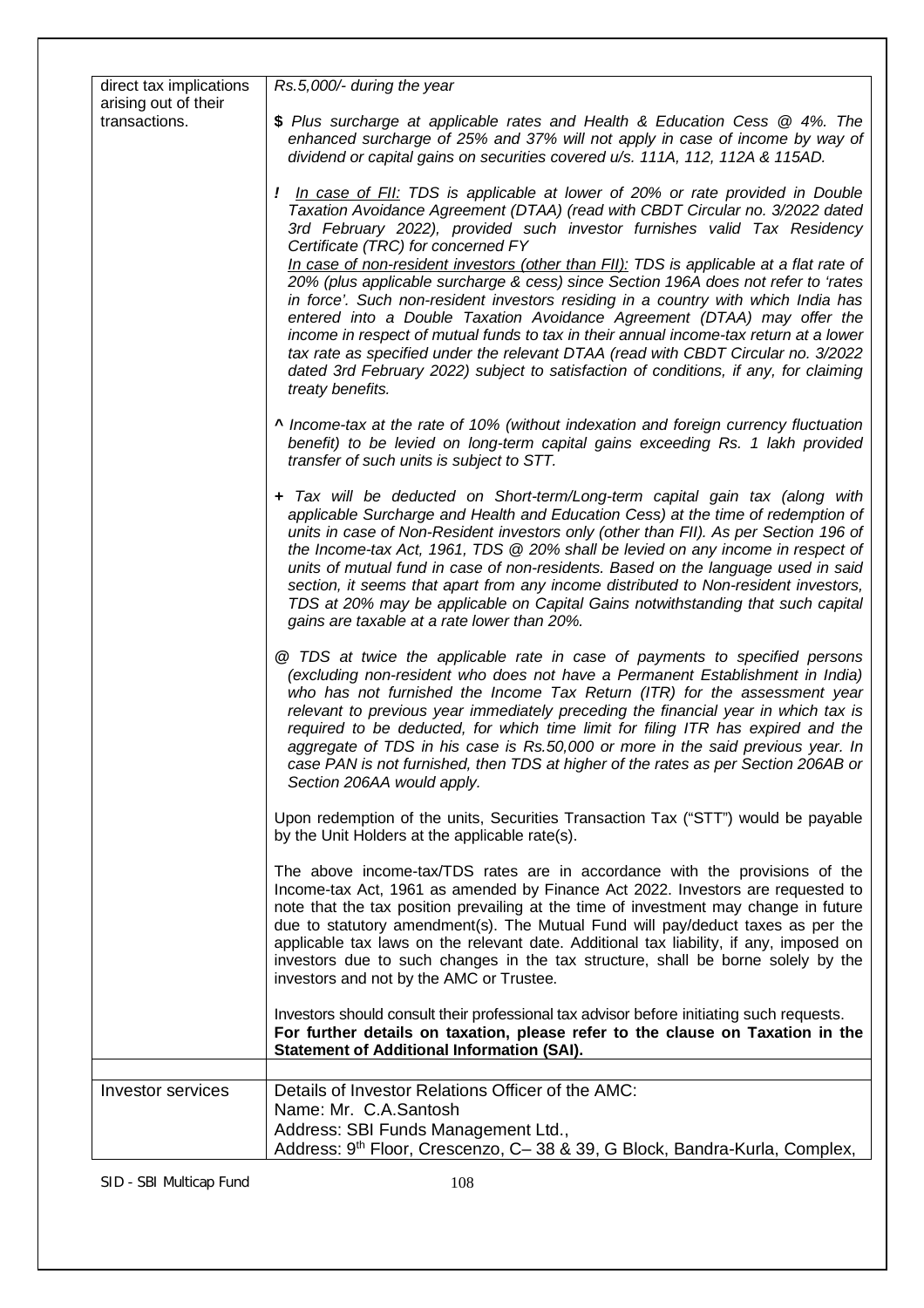| direct tax implications               | Rs.5,000/- during the year                                                                                                                                                                                                                                                                                                                                                                                                                                                                                                                                                                                                                                                                                                                                                                                                                                                                                                          |
|---------------------------------------|-------------------------------------------------------------------------------------------------------------------------------------------------------------------------------------------------------------------------------------------------------------------------------------------------------------------------------------------------------------------------------------------------------------------------------------------------------------------------------------------------------------------------------------------------------------------------------------------------------------------------------------------------------------------------------------------------------------------------------------------------------------------------------------------------------------------------------------------------------------------------------------------------------------------------------------|
| arising out of their<br>transactions. | \$ Plus surcharge at applicable rates and Health & Education Cess @ 4%. The<br>enhanced surcharge of 25% and 37% will not apply in case of income by way of<br>dividend or capital gains on securities covered u/s. 111A, 112, 112A & 115AD.                                                                                                                                                                                                                                                                                                                                                                                                                                                                                                                                                                                                                                                                                        |
|                                       | <i>!</i> In case of FII: TDS is applicable at lower of 20% or rate provided in Double<br>Taxation Avoidance Agreement (DTAA) (read with CBDT Circular no. 3/2022 dated<br>3rd February 2022), provided such investor furnishes valid Tax Residency<br>Certificate (TRC) for concerned FY<br>In case of non-resident investors (other than FII): TDS is applicable at a flat rate of<br>20% (plus applicable surcharge & cess) since Section 196A does not refer to 'rates<br>in force'. Such non-resident investors residing in a country with which India has<br>entered into a Double Taxation Avoidance Agreement (DTAA) may offer the<br>income in respect of mutual funds to tax in their annual income-tax return at a lower<br>tax rate as specified under the relevant DTAA (read with CBDT Circular no. 3/2022<br>dated 3rd February 2022) subject to satisfaction of conditions, if any, for claiming<br>treaty benefits. |
|                                       | A Income-tax at the rate of 10% (without indexation and foreign currency fluctuation<br>benefit) to be levied on long-term capital gains exceeding Rs. 1 lakh provided<br>transfer of such units is subject to STT.                                                                                                                                                                                                                                                                                                                                                                                                                                                                                                                                                                                                                                                                                                                 |
|                                       | + Tax will be deducted on Short-term/Long-term capital gain tax (along with<br>applicable Surcharge and Health and Education Cess) at the time of redemption of<br>units in case of Non-Resident investors only (other than FII). As per Section 196 of<br>the Income-tax Act, 1961, TDS @ 20% shall be levied on any income in respect of<br>units of mutual fund in case of non-residents. Based on the language used in said<br>section, it seems that apart from any income distributed to Non-resident investors,<br>TDS at 20% may be applicable on Capital Gains notwithstanding that such capital<br>gains are taxable at a rate lower than 20%.                                                                                                                                                                                                                                                                            |
|                                       | @ TDS at twice the applicable rate in case of payments to specified persons<br>(excluding non-resident who does not have a Permanent Establishment in India)<br>who has not furnished the Income Tax Return (ITR) for the assessment year<br>relevant to previous year immediately preceding the financial year in which tax is<br>required to be deducted, for which time limit for filing ITR has expired and the<br>aggregate of TDS in his case is Rs.50,000 or more in the said previous year. In<br>case PAN is not furnished, then TDS at higher of the rates as per Section 206AB or<br>Section 206AA would apply.                                                                                                                                                                                                                                                                                                          |
|                                       | Upon redemption of the units, Securities Transaction Tax ("STT") would be payable<br>by the Unit Holders at the applicable rate(s).                                                                                                                                                                                                                                                                                                                                                                                                                                                                                                                                                                                                                                                                                                                                                                                                 |
|                                       | The above income-tax/TDS rates are in accordance with the provisions of the<br>Income-tax Act, 1961 as amended by Finance Act 2022. Investors are requested to<br>note that the tax position prevailing at the time of investment may change in future<br>due to statutory amendment(s). The Mutual Fund will pay/deduct taxes as per the<br>applicable tax laws on the relevant date. Additional tax liability, if any, imposed on<br>investors due to such changes in the tax structure, shall be borne solely by the<br>investors and not by the AMC or Trustee.                                                                                                                                                                                                                                                                                                                                                                 |
|                                       | Investors should consult their professional tax advisor before initiating such requests.<br>For further details on taxation, please refer to the clause on Taxation in the<br><b>Statement of Additional Information (SAI).</b>                                                                                                                                                                                                                                                                                                                                                                                                                                                                                                                                                                                                                                                                                                     |
| Investor services                     | Details of Investor Relations Officer of the AMC:                                                                                                                                                                                                                                                                                                                                                                                                                                                                                                                                                                                                                                                                                                                                                                                                                                                                                   |
|                                       | Name: Mr. C.A.Santosh                                                                                                                                                                                                                                                                                                                                                                                                                                                                                                                                                                                                                                                                                                                                                                                                                                                                                                               |
|                                       | Address: SBI Funds Management Ltd.,<br>Address: 9 <sup>th</sup> Floor, Crescenzo, C-38 & 39, G Block, Bandra-Kurla, Complex,                                                                                                                                                                                                                                                                                                                                                                                                                                                                                                                                                                                                                                                                                                                                                                                                        |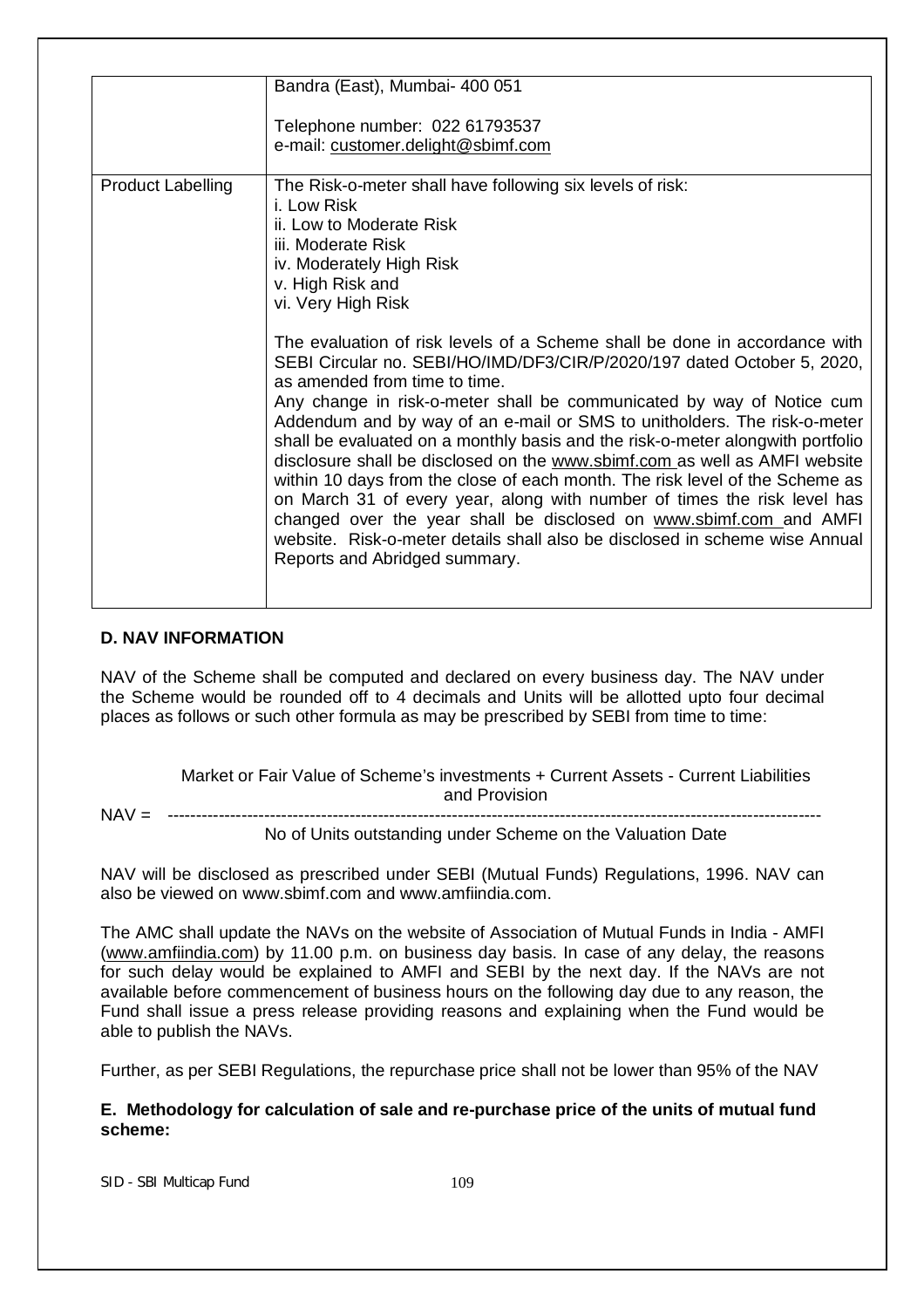|                          | Bandra (East), Mumbai- 400 051                                                                                                                                                                                                                                                                                                                                                                                                                                                                                                                                                                                                                                                                                                                                                                                                                                                                                                                                                                                                                                     |  |  |  |
|--------------------------|--------------------------------------------------------------------------------------------------------------------------------------------------------------------------------------------------------------------------------------------------------------------------------------------------------------------------------------------------------------------------------------------------------------------------------------------------------------------------------------------------------------------------------------------------------------------------------------------------------------------------------------------------------------------------------------------------------------------------------------------------------------------------------------------------------------------------------------------------------------------------------------------------------------------------------------------------------------------------------------------------------------------------------------------------------------------|--|--|--|
|                          | Telephone number: 022 61793537<br>e-mail: customer.delight@sbimf.com                                                                                                                                                                                                                                                                                                                                                                                                                                                                                                                                                                                                                                                                                                                                                                                                                                                                                                                                                                                               |  |  |  |
| <b>Product Labelling</b> | The Risk-o-meter shall have following six levels of risk:<br>i. I ow Risk<br>ii. Low to Moderate Risk<br>iii. Moderate Risk<br>iv. Moderately High Risk<br>v. High Risk and<br>vi. Very High Risk<br>The evaluation of risk levels of a Scheme shall be done in accordance with<br>SEBI Circular no. SEBI/HO/IMD/DF3/CIR/P/2020/197 dated October 5, 2020,<br>as amended from time to time.<br>Any change in risk-o-meter shall be communicated by way of Notice cum<br>Addendum and by way of an e-mail or SMS to unitholders. The risk-o-meter<br>shall be evaluated on a monthly basis and the risk-o-meter alongwith portfolio<br>disclosure shall be disclosed on the www.sbimf.com as well as AMFI website<br>within 10 days from the close of each month. The risk level of the Scheme as<br>on March 31 of every year, along with number of times the risk level has<br>changed over the year shall be disclosed on www.sbimf.com and AMFI<br>website. Risk-o-meter details shall also be disclosed in scheme wise Annual<br>Reports and Abridged summary. |  |  |  |

#### **D. NAV INFORMATION**

NAV of the Scheme shall be computed and declared on every business day. The NAV under the Scheme would be rounded off to 4 decimals and Units will be allotted upto four decimal places as follows or such other formula as may be prescribed by SEBI from time to time:

Market or Fair Value of Scheme's investments + Current Assets - Current Liabilities and Provision NAV = -------------------------------------------------------------------------------------------------------------------

No of Units outstanding under Scheme on the Valuation Date

NAV will be disclosed as prescribed under SEBI (Mutual Funds) Regulations, 1996. NAV can also be viewed on www.sbimf.com and www.amfiindia.com.

The AMC shall update the NAVs on the website of Association of Mutual Funds in India - AMFI (www.amfiindia.com) by 11.00 p.m. on business day basis. In case of any delay, the reasons for such delay would be explained to AMFI and SEBI by the next day. If the NAVs are not available before commencement of business hours on the following day due to any reason, the Fund shall issue a press release providing reasons and explaining when the Fund would be able to publish the NAVs.

Further, as per SEBI Regulations, the repurchase price shall not be lower than 95% of the NAV

# **E. Methodology for calculation of sale and re-purchase price of the units of mutual fund scheme:**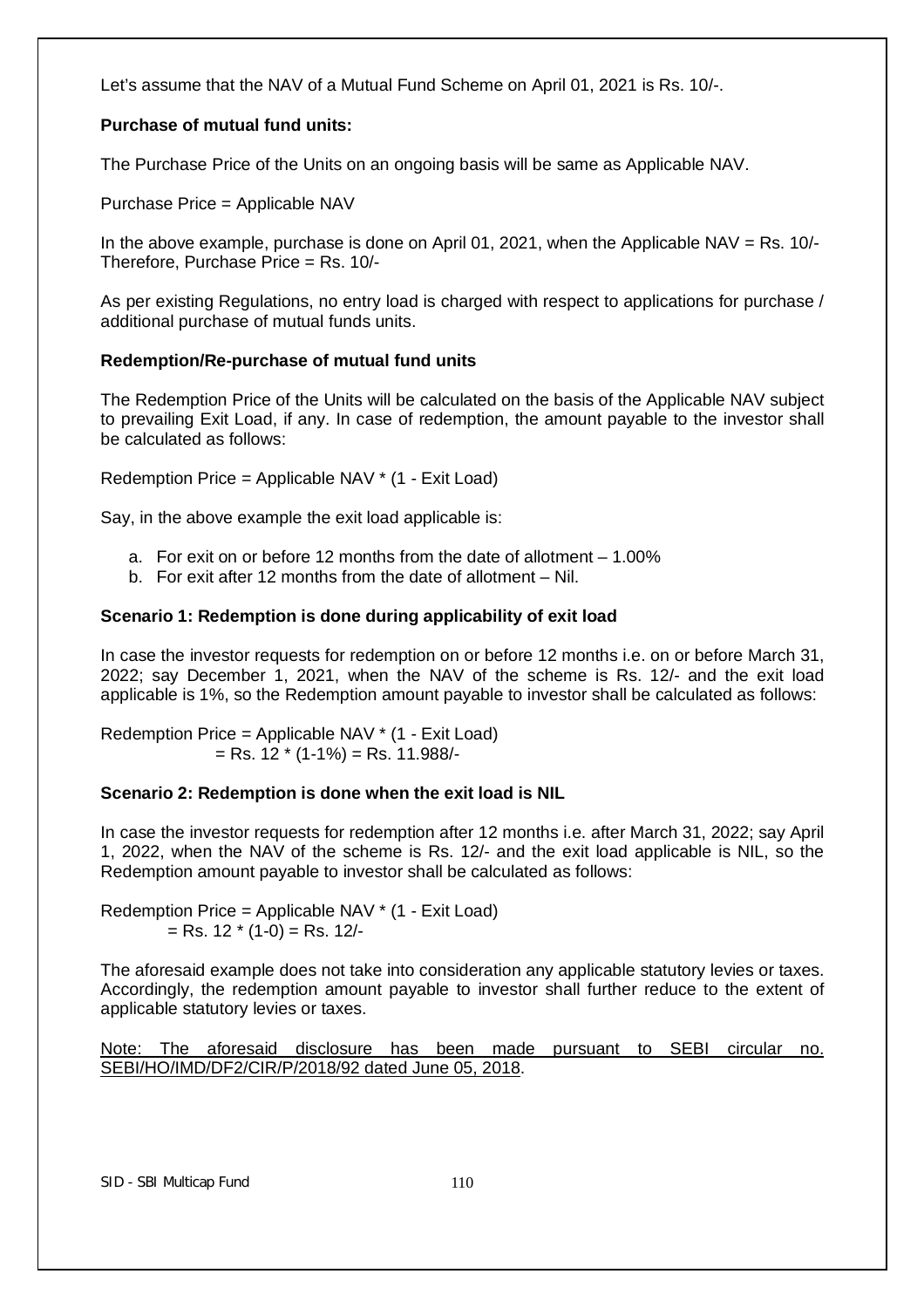Let's assume that the NAV of a Mutual Fund Scheme on April 01, 2021 is Rs. 10/-.

# **Purchase of mutual fund units:**

The Purchase Price of the Units on an ongoing basis will be same as Applicable NAV.

Purchase Price = Applicable NAV

In the above example, purchase is done on April 01, 2021, when the Applicable NAV = Rs.  $10/-$ Therefore, Purchase Price = Rs. 10/-

As per existing Regulations, no entry load is charged with respect to applications for purchase / additional purchase of mutual funds units.

# **Redemption/Re-purchase of mutual fund units**

The Redemption Price of the Units will be calculated on the basis of the Applicable NAV subject to prevailing Exit Load, if any. In case of redemption, the amount payable to the investor shall be calculated as follows:

Redemption Price = Applicable NAV \* (1 - Exit Load)

Say, in the above example the exit load applicable is:

- a. For exit on or before 12 months from the date of allotment 1.00%
- b. For exit after 12 months from the date of allotment Nil.

# **Scenario 1: Redemption is done during applicability of exit load**

In case the investor requests for redemption on or before 12 months i.e. on or before March 31, 2022; say December 1, 2021, when the NAV of the scheme is Rs. 12/- and the exit load applicable is 1%, so the Redemption amount payable to investor shall be calculated as follows:

Redemption Price = Applicable NAV \* (1 - Exit Load)  $=$  Rs. 12  $*$  (1-1%)  $=$  Rs. 11.988/-

# **Scenario 2: Redemption is done when the exit load is NIL**

In case the investor requests for redemption after 12 months i.e. after March 31, 2022; say April 1, 2022, when the NAV of the scheme is Rs. 12/- and the exit load applicable is NIL, so the Redemption amount payable to investor shall be calculated as follows:

Redemption Price = Applicable NAV \* (1 - Exit Load)  $=$  Rs. 12  $*$  (1-0)  $=$  Rs. 12/-

The aforesaid example does not take into consideration any applicable statutory levies or taxes. Accordingly, the redemption amount payable to investor shall further reduce to the extent of applicable statutory levies or taxes.

Note: The aforesaid disclosure has been made pursuant to SEBI circular no. SEBI/HO/IMD/DF2/CIR/P/2018/92 dated June 05, 2018.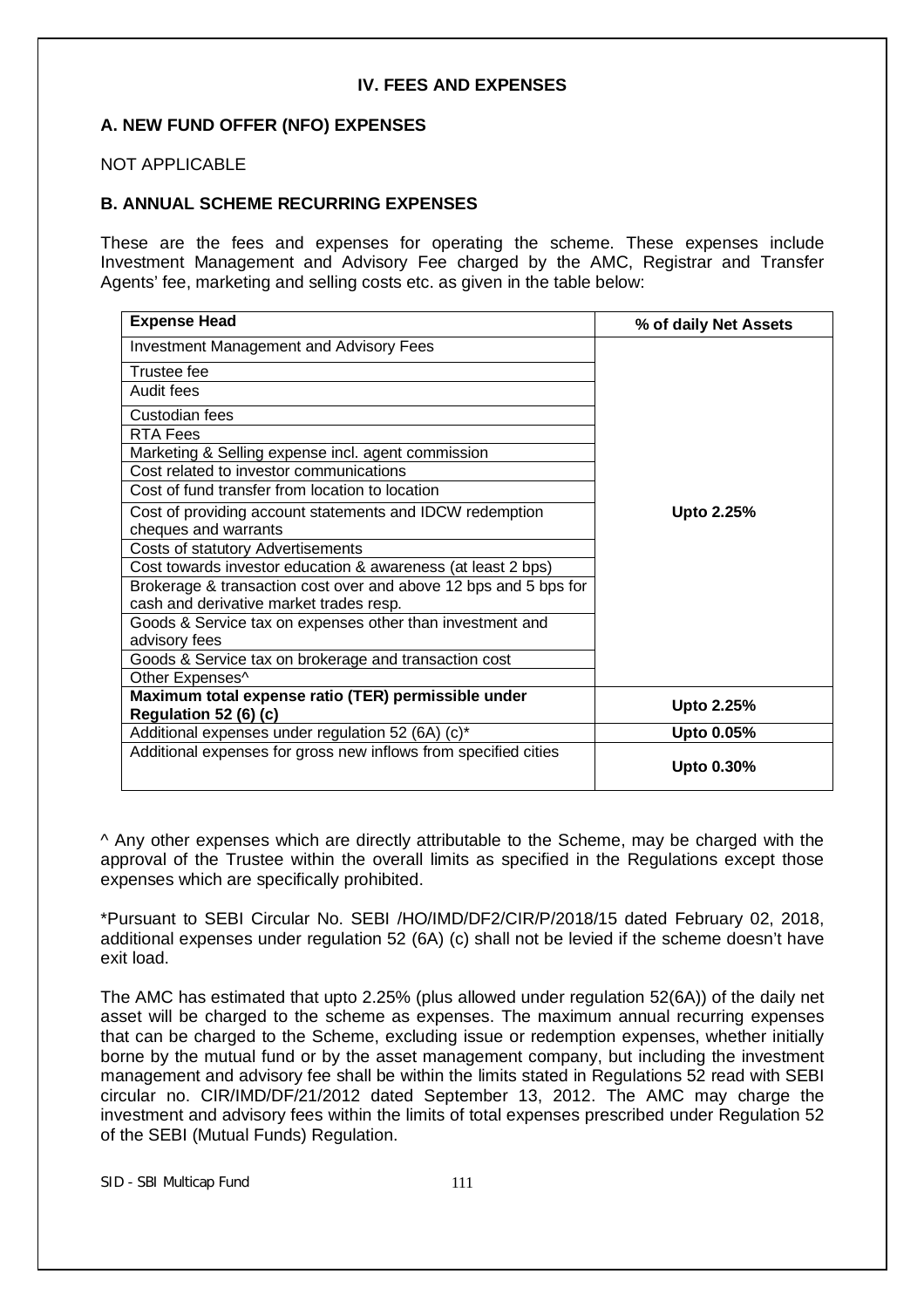#### **IV. FEES AND EXPENSES**

# **A. NEW FUND OFFER (NFO) EXPENSES**

NOT APPLICABLE

#### **B. ANNUAL SCHEME RECURRING EXPENSES**

These are the fees and expenses for operating the scheme. These expenses include Investment Management and Advisory Fee charged by the AMC, Registrar and Transfer Agents' fee, marketing and selling costs etc. as given in the table below:

| <b>Expense Head</b>                                              | % of daily Net Assets |  |
|------------------------------------------------------------------|-----------------------|--|
| <b>Investment Management and Advisory Fees</b>                   |                       |  |
| Trustee fee                                                      |                       |  |
| Audit fees                                                       |                       |  |
| Custodian fees                                                   |                       |  |
| <b>RTA Fees</b>                                                  |                       |  |
| Marketing & Selling expense incl. agent commission               |                       |  |
| Cost related to investor communications                          |                       |  |
| Cost of fund transfer from location to location                  |                       |  |
| Cost of providing account statements and IDCW redemption         | Upto 2.25%            |  |
| cheques and warrants                                             |                       |  |
| Costs of statutory Advertisements                                |                       |  |
| Cost towards investor education & awareness (at least 2 bps)     |                       |  |
| Brokerage & transaction cost over and above 12 bps and 5 bps for |                       |  |
| cash and derivative market trades resp.                          |                       |  |
| Goods & Service tax on expenses other than investment and        |                       |  |
| advisory fees                                                    |                       |  |
| Goods & Service tax on brokerage and transaction cost            |                       |  |
| Other Expenses^                                                  |                       |  |
| Maximum total expense ratio (TER) permissible under              | Upto 2.25%            |  |
| Regulation 52 (6) (c)                                            |                       |  |
| Additional expenses under regulation 52 (6A) (c)*                | Upto 0.05%            |  |
| Additional expenses for gross new inflows from specified cities  | Upto 0.30%            |  |

^ Any other expenses which are directly attributable to the Scheme, may be charged with the approval of the Trustee within the overall limits as specified in the Regulations except those expenses which are specifically prohibited.

\*Pursuant to SEBI Circular No. SEBI /HO/IMD/DF2/CIR/P/2018/15 dated February 02, 2018, additional expenses under regulation 52 (6A) (c) shall not be levied if the scheme doesn't have exit load.

The AMC has estimated that upto 2.25% (plus allowed under regulation 52(6A)) of the daily net asset will be charged to the scheme as expenses. The maximum annual recurring expenses that can be charged to the Scheme, excluding issue or redemption expenses, whether initially borne by the mutual fund or by the asset management company, but including the investment management and advisory fee shall be within the limits stated in Regulations 52 read with SEBI circular no. CIR/IMD/DF/21/2012 dated September 13, 2012. The AMC may charge the investment and advisory fees within the limits of total expenses prescribed under Regulation 52 of the SEBI (Mutual Funds) Regulation.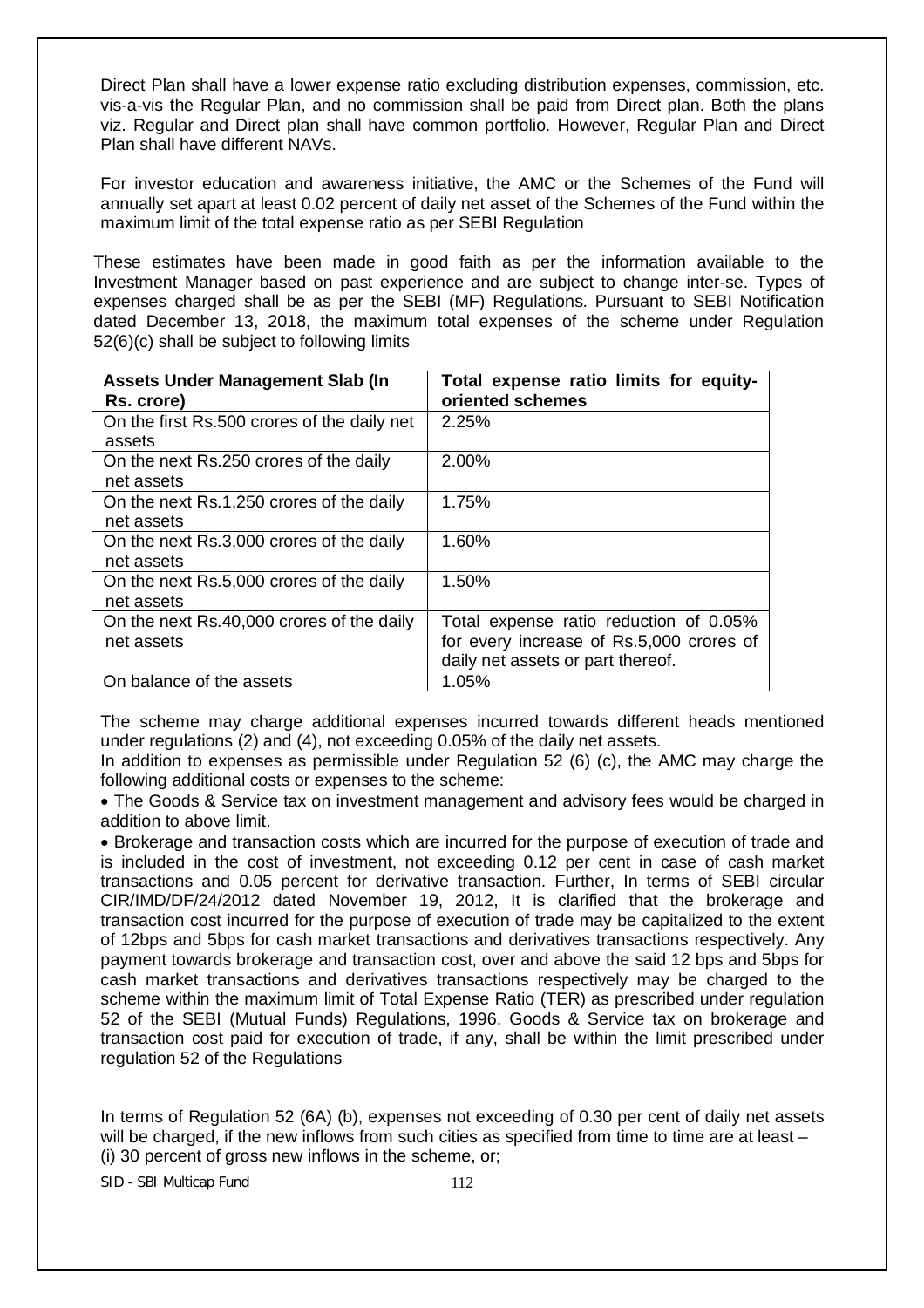Direct Plan shall have a lower expense ratio excluding distribution expenses, commission, etc. vis-a-vis the Regular Plan, and no commission shall be paid from Direct plan. Both the plans viz. Regular and Direct plan shall have common portfolio. However, Regular Plan and Direct Plan shall have different NAVs.

For investor education and awareness initiative, the AMC or the Schemes of the Fund will annually set apart at least 0.02 percent of daily net asset of the Schemes of the Fund within the maximum limit of the total expense ratio as per SEBI Regulation

These estimates have been made in good faith as per the information available to the Investment Manager based on past experience and are subject to change inter-se. Types of expenses charged shall be as per the SEBI (MF) Regulations. Pursuant to SEBI Notification dated December 13, 2018, the maximum total expenses of the scheme under Regulation 52(6)(c) shall be subject to following limits

| <b>Assets Under Management Slab (In</b>     | Total expense ratio limits for equity-   |
|---------------------------------------------|------------------------------------------|
| Rs. crore)                                  | oriented schemes                         |
| On the first Rs.500 crores of the daily net | 2.25%                                    |
| assets                                      |                                          |
| On the next Rs.250 crores of the daily      | 2.00%                                    |
| net assets                                  |                                          |
| On the next Rs.1,250 crores of the daily    | 1.75%                                    |
| net assets                                  |                                          |
| On the next Rs.3,000 crores of the daily    | 1.60%                                    |
| net assets                                  |                                          |
| On the next Rs.5,000 crores of the daily    | 1.50%                                    |
| net assets                                  |                                          |
| On the next Rs.40,000 crores of the daily   | Total expense ratio reduction of 0.05%   |
| net assets                                  | for every increase of Rs.5,000 crores of |
|                                             | daily net assets or part thereof.        |
| On balance of the assets                    | 1.05%                                    |

The scheme may charge additional expenses incurred towards different heads mentioned under regulations (2) and (4), not exceeding 0.05% of the daily net assets.

In addition to expenses as permissible under Regulation 52 (6) (c), the AMC may charge the following additional costs or expenses to the scheme:

 The Goods & Service tax on investment management and advisory fees would be charged in addition to above limit.

 Brokerage and transaction costs which are incurred for the purpose of execution of trade and is included in the cost of investment, not exceeding 0.12 per cent in case of cash market transactions and 0.05 percent for derivative transaction. Further, In terms of SEBI circular CIR/IMD/DF/24/2012 dated November 19, 2012, It is clarified that the brokerage and transaction cost incurred for the purpose of execution of trade may be capitalized to the extent of 12bps and 5bps for cash market transactions and derivatives transactions respectively. Any payment towards brokerage and transaction cost, over and above the said 12 bps and 5bps for cash market transactions and derivatives transactions respectively may be charged to the scheme within the maximum limit of Total Expense Ratio (TER) as prescribed under regulation 52 of the SEBI (Mutual Funds) Regulations, 1996. Goods & Service tax on brokerage and transaction cost paid for execution of trade, if any, shall be within the limit prescribed under regulation 52 of the Regulations

In terms of Regulation 52 (6A) (b), expenses not exceeding of 0.30 per cent of daily net assets will be charged, if the new inflows from such cities as specified from time to time are at least – (i) 30 percent of gross new inflows in the scheme, or;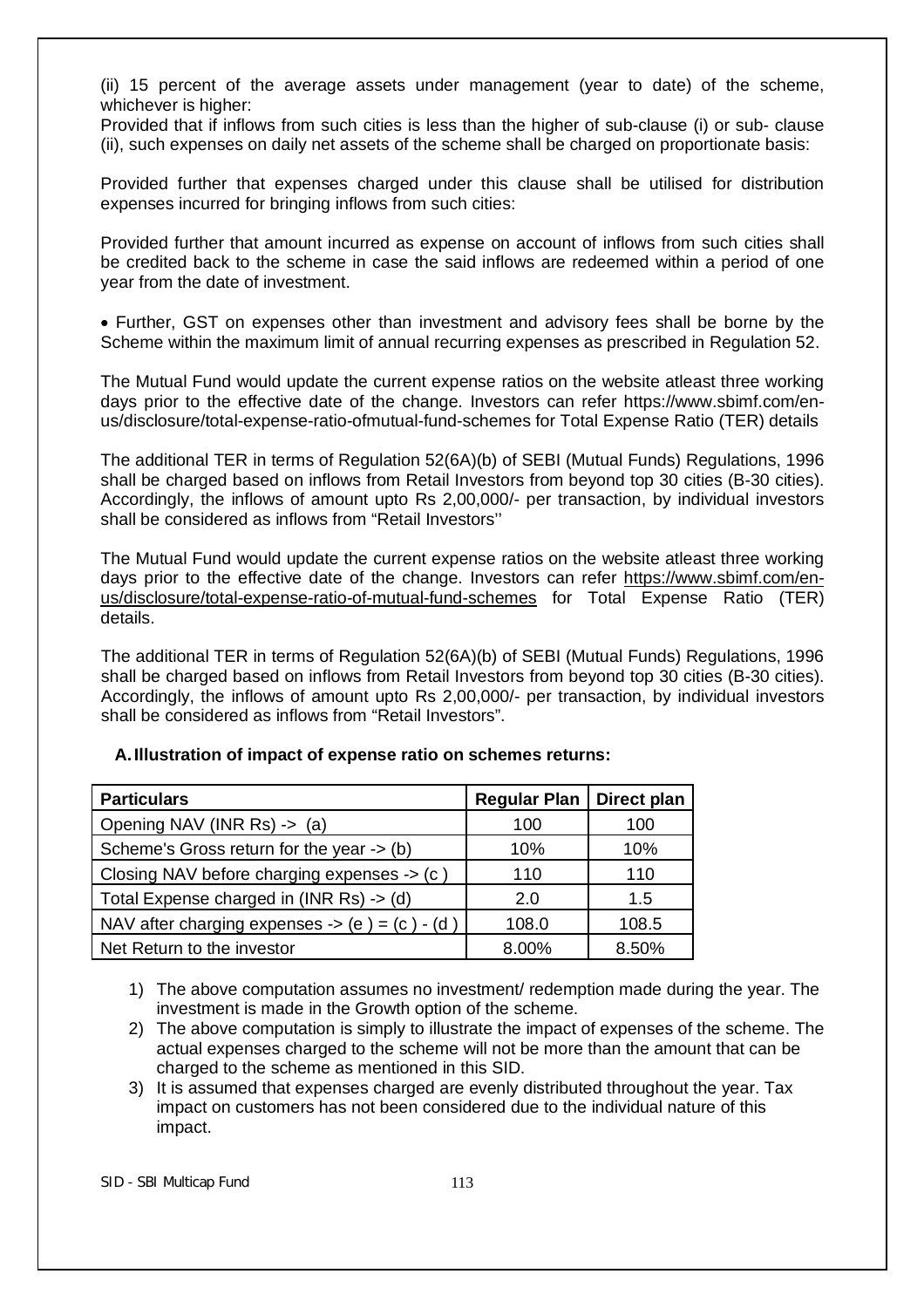(ii) 15 percent of the average assets under management (year to date) of the scheme, whichever is higher:

Provided that if inflows from such cities is less than the higher of sub-clause (i) or sub- clause (ii), such expenses on daily net assets of the scheme shall be charged on proportionate basis:

Provided further that expenses charged under this clause shall be utilised for distribution expenses incurred for bringing inflows from such cities:

Provided further that amount incurred as expense on account of inflows from such cities shall be credited back to the scheme in case the said inflows are redeemed within a period of one year from the date of investment.

 Further, GST on expenses other than investment and advisory fees shall be borne by the Scheme within the maximum limit of annual recurring expenses as prescribed in Regulation 52.

The Mutual Fund would update the current expense ratios on the website atleast three working days prior to the effective date of the change. Investors can refer https://www.sbimf.com/enus/disclosure/total-expense-ratio-ofmutual-fund-schemes for Total Expense Ratio (TER) details

The additional TER in terms of Regulation 52(6A)(b) of SEBI (Mutual Funds) Regulations, 1996 shall be charged based on inflows from Retail Investors from beyond top 30 cities (B-30 cities). Accordingly, the inflows of amount upto Rs 2,00,000/- per transaction, by individual investors shall be considered as inflows from "Retail Investors''

The Mutual Fund would update the current expense ratios on the website atleast three working days prior to the effective date of the change. Investors can refer https://www.sbimf.com/enus/disclosure/total-expense-ratio-of-mutual-fund-schemes for Total Expense Ratio (TER) details.

The additional TER in terms of Regulation 52(6A)(b) of SEBI (Mutual Funds) Regulations, 1996 shall be charged based on inflows from Retail Investors from beyond top 30 cities (B-30 cities). Accordingly, the inflows of amount upto Rs 2,00,000/- per transaction, by individual investors shall be considered as inflows from "Retail Investors".

| <b>Particulars</b>                             | <b>Regular Plan</b> | Direct plan |
|------------------------------------------------|---------------------|-------------|
| Opening NAV (INR Rs) -> (a)                    | 100                 | 100         |
| Scheme's Gross return for the year -> (b)      | 10%                 | 10%         |
| Closing NAV before charging expenses -> (c)    | 110                 | 110         |
| Total Expense charged in (INR Rs) -> (d)       | 2.0                 | 1.5         |
| NAV after charging expenses -> (e) = (c) - (d) | 108.0               | 108.5       |
| Net Return to the investor                     | 8.00%               | 8.50%       |

# **A.Illustration of impact of expense ratio on schemes returns:**

1) The above computation assumes no investment/ redemption made during the year. The investment is made in the Growth option of the scheme.

- 2) The above computation is simply to illustrate the impact of expenses of the scheme. The actual expenses charged to the scheme will not be more than the amount that can be charged to the scheme as mentioned in this SID.
- 3) It is assumed that expenses charged are evenly distributed throughout the year. Tax impact on customers has not been considered due to the individual nature of this impact.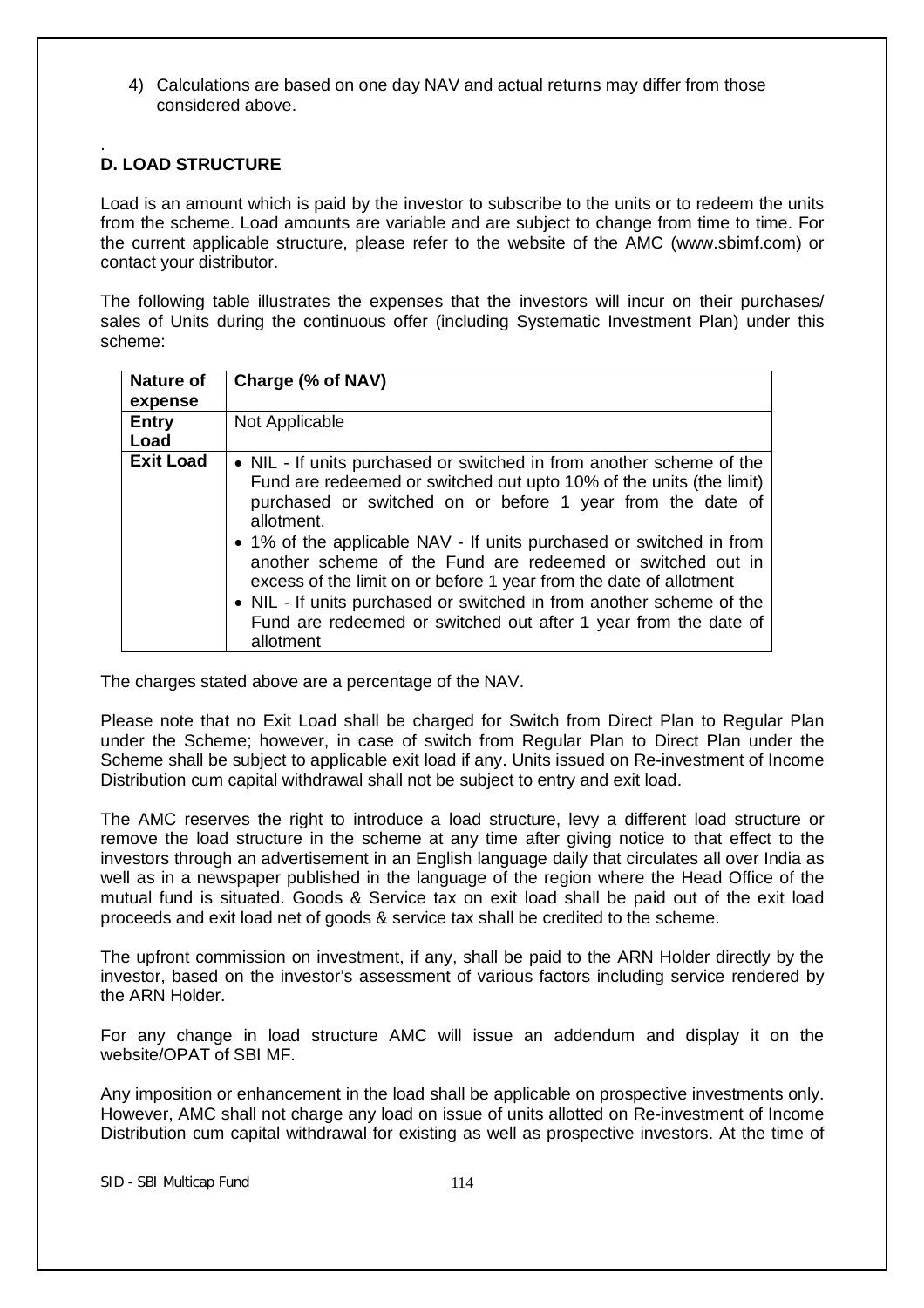4) Calculations are based on one day NAV and actual returns may differ from those considered above.

#### . **D. LOAD STRUCTURE**

Load is an amount which is paid by the investor to subscribe to the units or to redeem the units from the scheme. Load amounts are variable and are subject to change from time to time. For the current applicable structure, please refer to the website of the AMC (www.sbimf.com) or contact your distributor.

The following table illustrates the expenses that the investors will incur on their purchases/ sales of Units during the continuous offer (including Systematic Investment Plan) under this scheme:

| <b>Nature of</b><br>expense | Charge (% of NAV)                                                                                                                                                                                                                                                                                                                                                                                                                                                                                                                                                                          |
|-----------------------------|--------------------------------------------------------------------------------------------------------------------------------------------------------------------------------------------------------------------------------------------------------------------------------------------------------------------------------------------------------------------------------------------------------------------------------------------------------------------------------------------------------------------------------------------------------------------------------------------|
| <b>Entry</b><br>Load        | Not Applicable                                                                                                                                                                                                                                                                                                                                                                                                                                                                                                                                                                             |
| <b>Exit Load</b>            | • NIL - If units purchased or switched in from another scheme of the<br>Fund are redeemed or switched out upto 10% of the units (the limit)<br>purchased or switched on or before 1 year from the date of<br>allotment.<br>• 1% of the applicable NAV - If units purchased or switched in from<br>another scheme of the Fund are redeemed or switched out in<br>excess of the limit on or before 1 year from the date of allotment<br>• NIL - If units purchased or switched in from another scheme of the<br>Fund are redeemed or switched out after 1 year from the date of<br>allotment |

The charges stated above are a percentage of the NAV.

Please note that no Exit Load shall be charged for Switch from Direct Plan to Regular Plan under the Scheme; however, in case of switch from Regular Plan to Direct Plan under the Scheme shall be subject to applicable exit load if any. Units issued on Re-investment of Income Distribution cum capital withdrawal shall not be subject to entry and exit load.

The AMC reserves the right to introduce a load structure, levy a different load structure or remove the load structure in the scheme at any time after giving notice to that effect to the investors through an advertisement in an English language daily that circulates all over India as well as in a newspaper published in the language of the region where the Head Office of the mutual fund is situated. Goods & Service tax on exit load shall be paid out of the exit load proceeds and exit load net of goods & service tax shall be credited to the scheme.

The upfront commission on investment, if any, shall be paid to the ARN Holder directly by the investor, based on the investor's assessment of various factors including service rendered by the ARN Holder.

For any change in load structure AMC will issue an addendum and display it on the website/OPAT of SBI MF.

Any imposition or enhancement in the load shall be applicable on prospective investments only. However, AMC shall not charge any load on issue of units allotted on Re-investment of Income Distribution cum capital withdrawal for existing as well as prospective investors. At the time of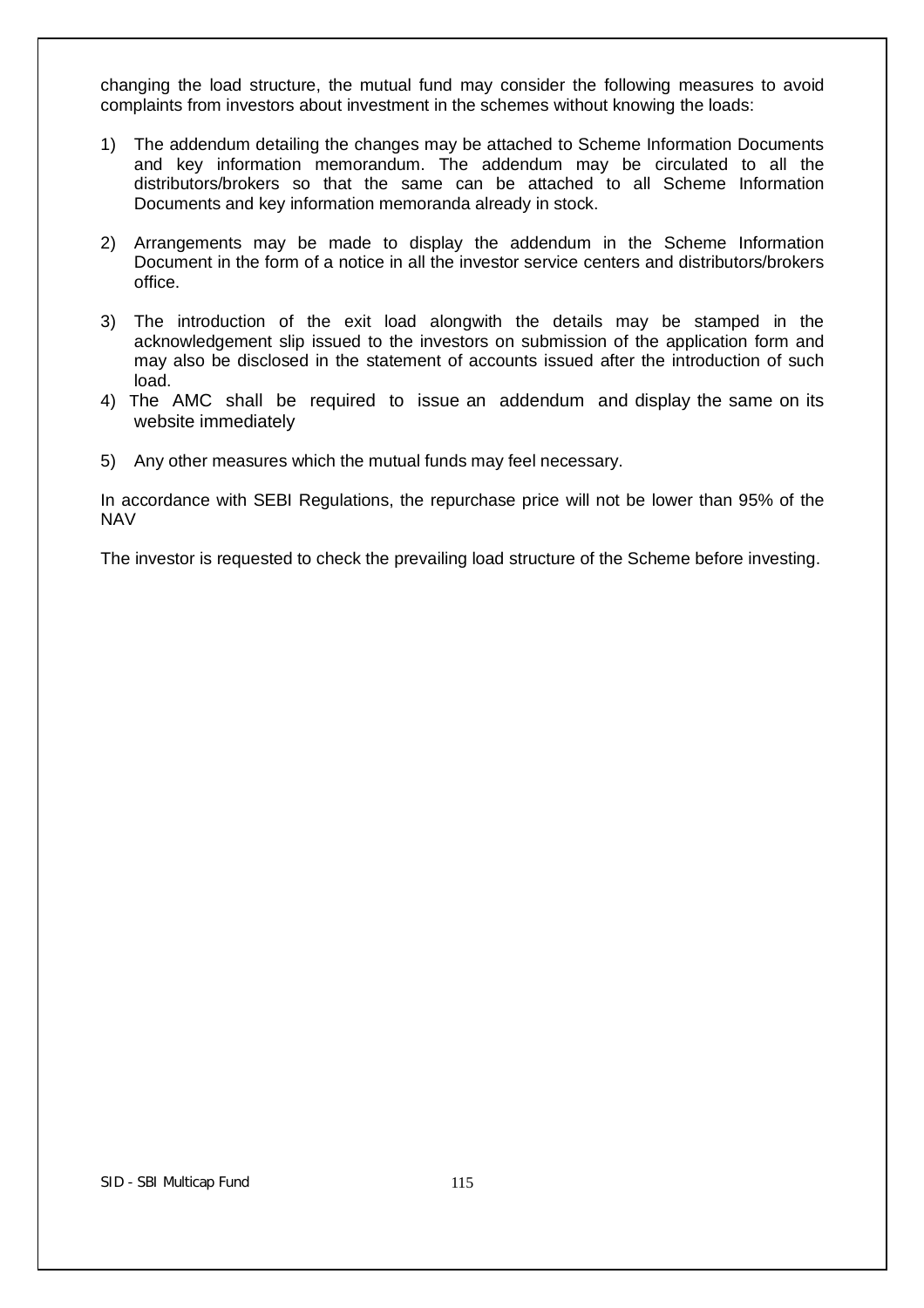changing the load structure, the mutual fund may consider the following measures to avoid complaints from investors about investment in the schemes without knowing the loads:

- 1) The addendum detailing the changes may be attached to Scheme Information Documents and key information memorandum. The addendum may be circulated to all the distributors/brokers so that the same can be attached to all Scheme Information Documents and key information memoranda already in stock.
- 2) Arrangements may be made to display the addendum in the Scheme Information Document in the form of a notice in all the investor service centers and distributors/brokers office.
- 3) The introduction of the exit load alongwith the details may be stamped in the acknowledgement slip issued to the investors on submission of the application form and may also be disclosed in the statement of accounts issued after the introduction of such load.
- 4) The AMC shall be required to issue an addendum and display the same on its website immediately
- 5) Any other measures which the mutual funds may feel necessary.

In accordance with SEBI Regulations, the repurchase price will not be lower than 95% of the NAV

The investor is requested to check the prevailing load structure of the Scheme before investing.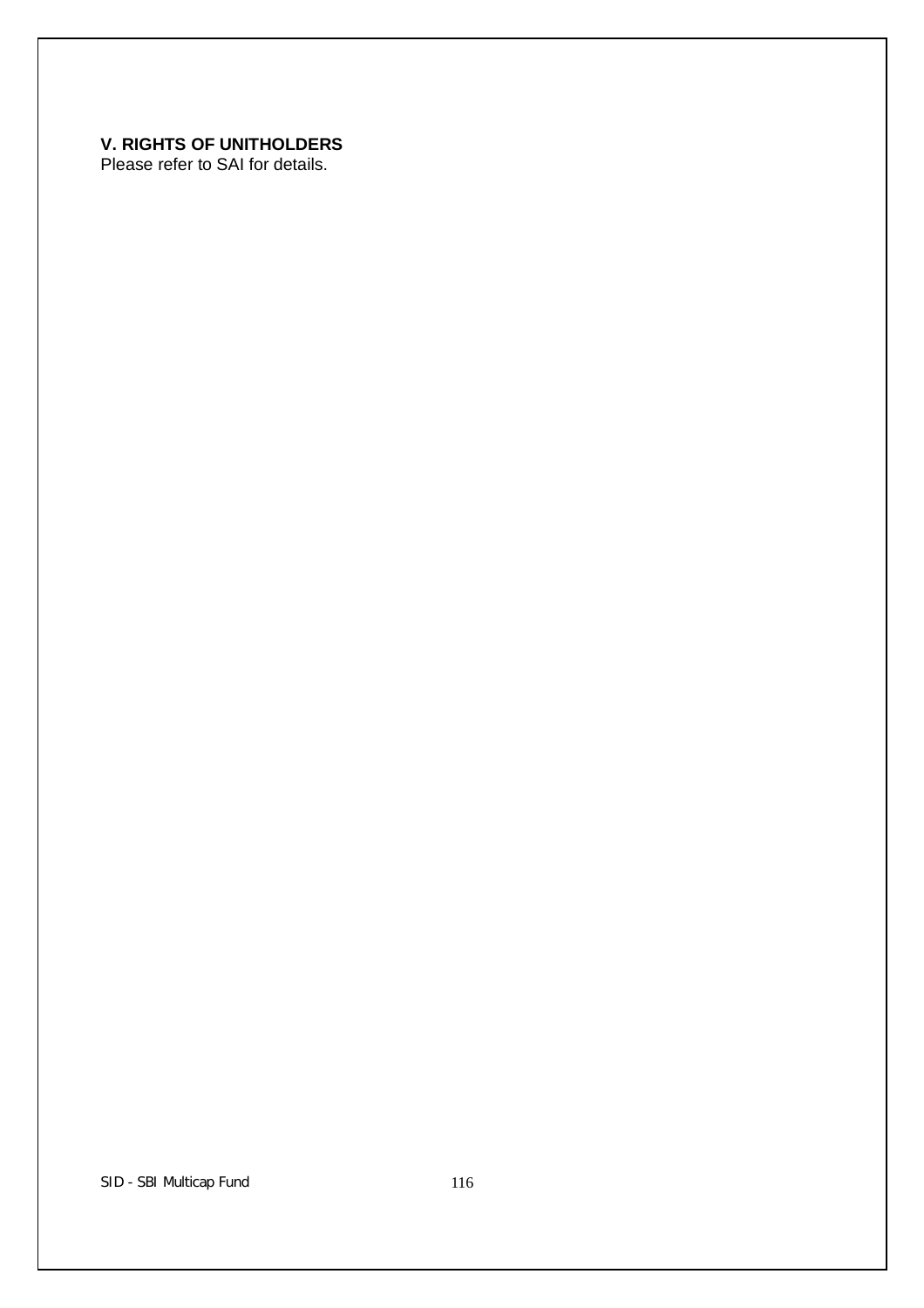# **V. RIGHTS OF UNITHOLDERS**

Please refer to SAI for details.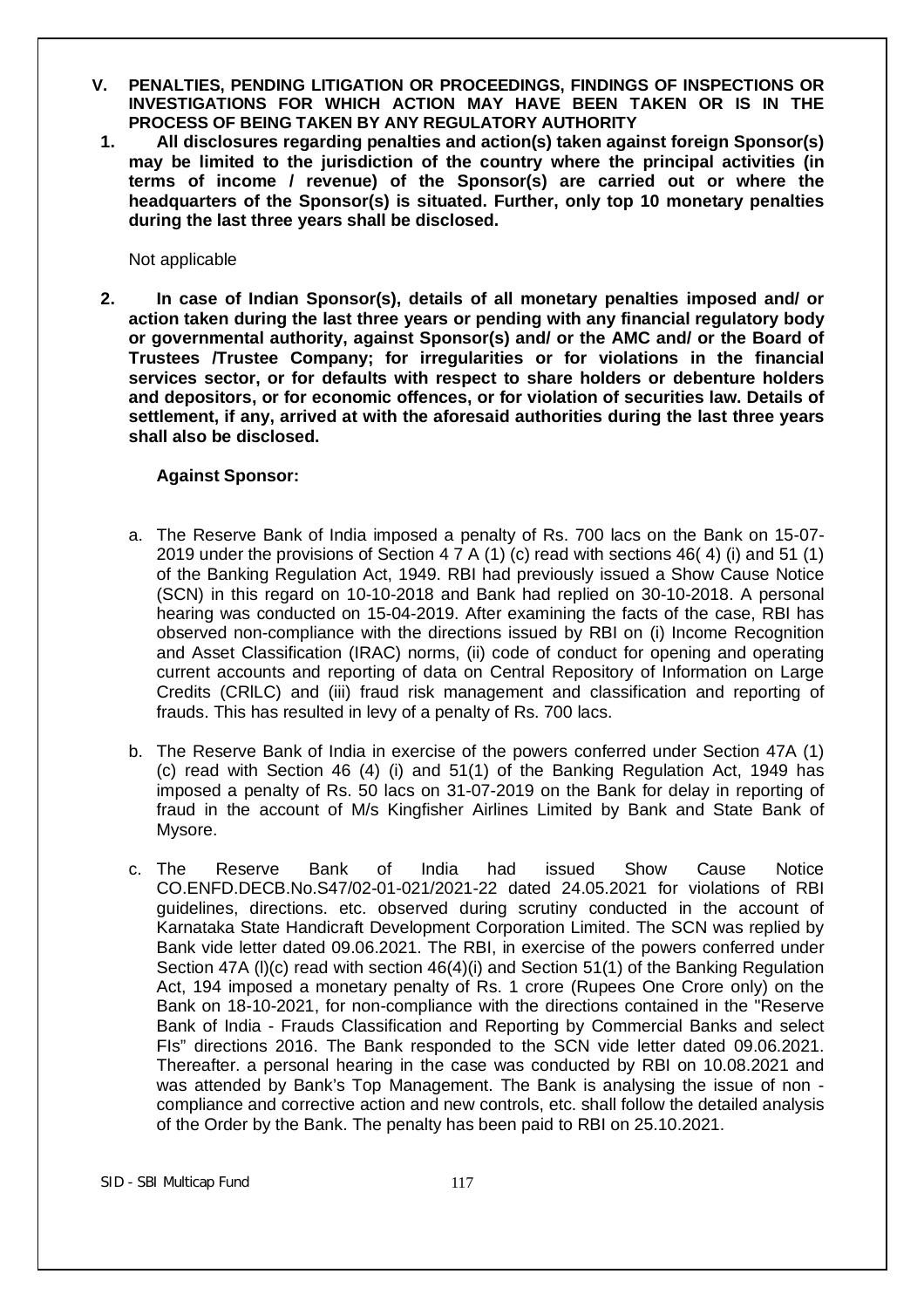- **V. PENALTIES, PENDING LITIGATION OR PROCEEDINGS, FINDINGS OF INSPECTIONS OR INVESTIGATIONS FOR WHICH ACTION MAY HAVE BEEN TAKEN OR IS IN THE PROCESS OF BEING TAKEN BY ANY REGULATORY AUTHORITY**
- **1. All disclosures regarding penalties and action(s) taken against foreign Sponsor(s) may be limited to the jurisdiction of the country where the principal activities (in terms of income / revenue) of the Sponsor(s) are carried out or where the headquarters of the Sponsor(s) is situated. Further, only top 10 monetary penalties during the last three years shall be disclosed.**

Not applicable

**2. In case of Indian Sponsor(s), details of all monetary penalties imposed and/ or action taken during the last three years or pending with any financial regulatory body or governmental authority, against Sponsor(s) and/ or the AMC and/ or the Board of Trustees /Trustee Company; for irregularities or for violations in the financial services sector, or for defaults with respect to share holders or debenture holders and depositors, or for economic offences, or for violation of securities law. Details of settlement, if any, arrived at with the aforesaid authorities during the last three years shall also be disclosed.**

# **Against Sponsor:**

- a. The Reserve Bank of India imposed a penalty of Rs. 700 lacs on the Bank on 15-07- 2019 under the provisions of Section 4 7 A (1) (c) read with sections 46( 4) (i) and 51 (1) of the Banking Regulation Act, 1949. RBI had previously issued a Show Cause Notice (SCN) in this regard on 10-10-2018 and Bank had replied on 30-10-2018. A personal hearing was conducted on 15-04-2019. After examining the facts of the case, RBI has observed non-compliance with the directions issued by RBI on (i) Income Recognition and Asset Classification (IRAC) norms, (ii) code of conduct for opening and operating current accounts and reporting of data on Central Repository of Information on Large Credits (CRlLC) and (iii) fraud risk management and classification and reporting of frauds. This has resulted in levy of a penalty of Rs. 700 lacs.
- b. The Reserve Bank of India in exercise of the powers conferred under Section 47A (1) (c) read with Section 46 (4) (i) and 51(1) of the Banking Regulation Act, 1949 has imposed a penalty of Rs. 50 lacs on 31-07-2019 on the Bank for delay in reporting of fraud in the account of M/s Kingfisher Airlines Limited by Bank and State Bank of Mysore.
- c. The Reserve Bank of India had issued Show Cause Notice CO.ENFD.DECB.No.S47/02-01-021/2021-22 dated 24.05.2021 for violations of RBI guidelines, directions. etc. observed during scrutiny conducted in the account of Karnataka State Handicraft Development Corporation Limited. The SCN was replied by Bank vide letter dated 09.06.2021. The RBI, in exercise of the powers conferred under Section 47A (l)(c) read with section 46(4)(i) and Section 51(1) of the Banking Regulation Act, 194 imposed a monetary penalty of Rs. 1 crore (Rupees One Crore only) on the Bank on 18-10-2021, for non-compliance with the directions contained in the "Reserve Bank of India - Frauds Classification and Reporting by Commercial Banks and select FIs" directions 2016. The Bank responded to the SCN vide letter dated 09.06.2021. Thereafter. a personal hearing in the case was conducted by RBI on 10.08.2021 and was attended by Bank's Top Management. The Bank is analysing the issue of non compliance and corrective action and new controls, etc. shall follow the detailed analysis of the Order by the Bank. The penalty has been paid to RBI on 25.10.2021.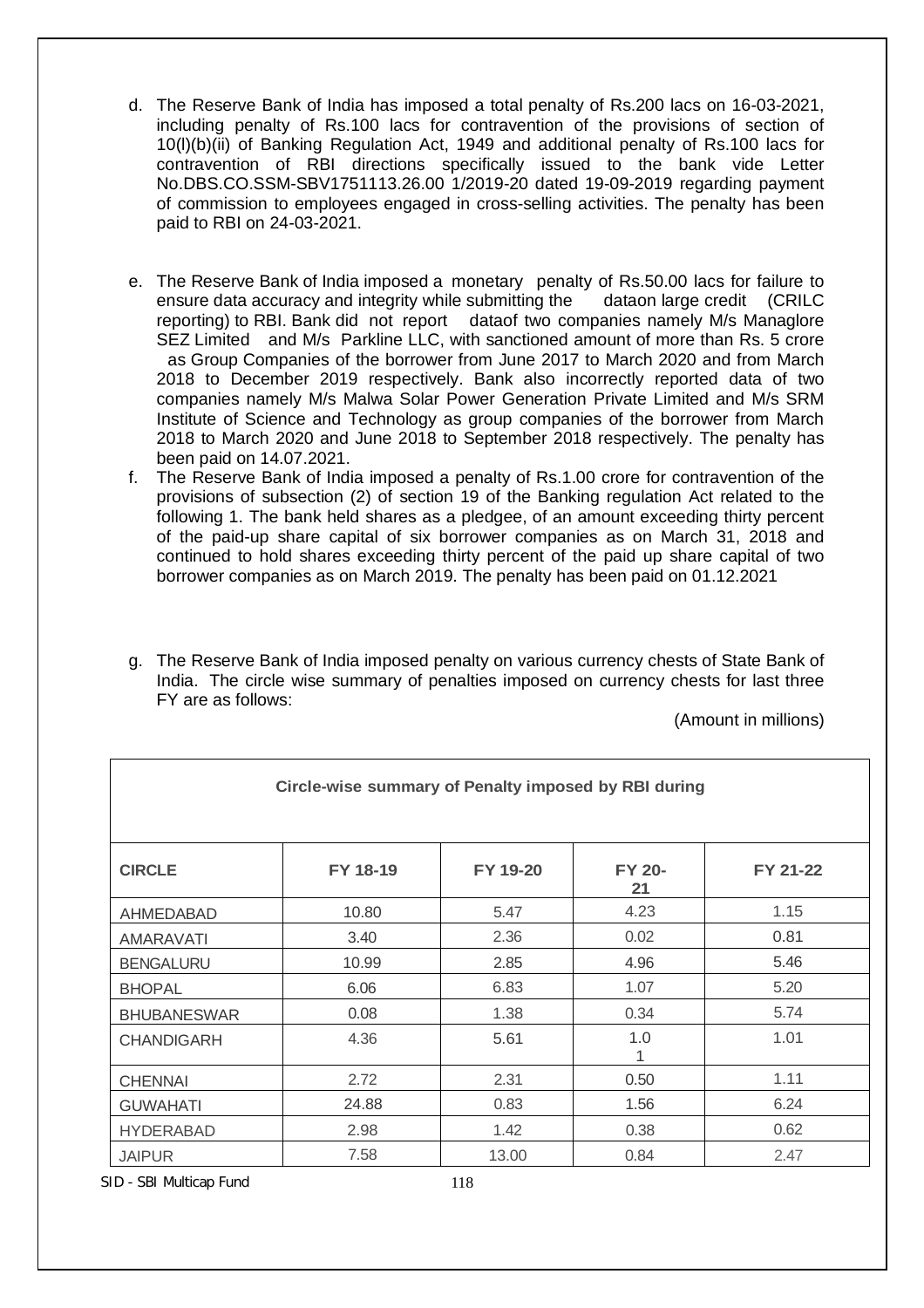- d. The Reserve Bank of India has imposed a total penalty of Rs.200 lacs on 16-03-2021, including penalty of Rs.100 lacs for contravention of the provisions of section of 10(l)(b)(ii) of Banking Regulation Act, 1949 and additional penalty of Rs.100 lacs for contravention of RBI directions specifically issued to the bank vide Letter No.DBS.CO.SSM-SBV1751113.26.00 1/2019-20 dated 19-09-2019 regarding payment of commission to employees engaged in cross-selling activities. The penalty has been paid to RBI on 24-03-2021.
- e. The Reserve Bank of India imposed a monetary penalty of Rs.50.00 lacs for failure to ensure data accuracy and integrity while submitting the dataon large credit (CRILC reporting) to RBI. Bank did not report dataof two companies namely M/s Managlore SEZ Limited and M/s Parkline LLC, with sanctioned amount of more than Rs. 5 crore as Group Companies of the borrower from June 2017 to March 2020 and from March 2018 to December 2019 respectively. Bank also incorrectly reported data of two companies namely M/s Malwa Solar Power Generation Private Limited and M/s SRM Institute of Science and Technology as group companies of the borrower from March 2018 to March 2020 and June 2018 to September 2018 respectively. The penalty has been paid on 14.07.2021.
- f. The Reserve Bank of India imposed a penalty of Rs.1.00 crore for contravention of the provisions of subsection (2) of section 19 of the Banking regulation Act related to the following 1. The bank held shares as a pledgee, of an amount exceeding thirty percent of the paid-up share capital of six borrower companies as on March 31, 2018 and continued to hold shares exceeding thirty percent of the paid up share capital of two borrower companies as on March 2019. The penalty has been paid on 01.12.2021
- g. The Reserve Bank of India imposed penalty on various currency chests of State Bank of India. The circle wise summary of penalties imposed on currency chests for last three FY are as follows:

(Amount in millions)

| Circle-wise summary of Penalty imposed by RBI during |          |          |                     |          |
|------------------------------------------------------|----------|----------|---------------------|----------|
| <b>CIRCLE</b>                                        | FY 18-19 | FY 19-20 | <b>FY 20-</b><br>21 | FY 21-22 |
| AHMEDABAD                                            | 10.80    | 5.47     | 4.23                | 1.15     |
| <b>AMARAVATI</b>                                     | 3.40     | 2.36     | 0.02                | 0.81     |
| <b>BENGALURU</b>                                     | 10.99    | 2.85     | 4.96                | 5.46     |
| <b>BHOPAL</b>                                        | 6.06     | 6.83     | 1.07                | 5.20     |
| <b>BHUBANESWAR</b>                                   | 0.08     | 1.38     | 0.34                | 5.74     |
| <b>CHANDIGARH</b>                                    | 4.36     | 5.61     | 1.0                 | 1.01     |
| <b>CHENNAI</b>                                       | 2.72     | 2.31     | 0.50                | 1.11     |
| <b>GUWAHATI</b>                                      | 24.88    | 0.83     | 1.56                | 6.24     |
| <b>HYDERABAD</b>                                     | 2.98     | 1.42     | 0.38                | 0.62     |
| <b>JAIPUR</b>                                        | 7.58     | 13.00    | 0.84                | 2.47     |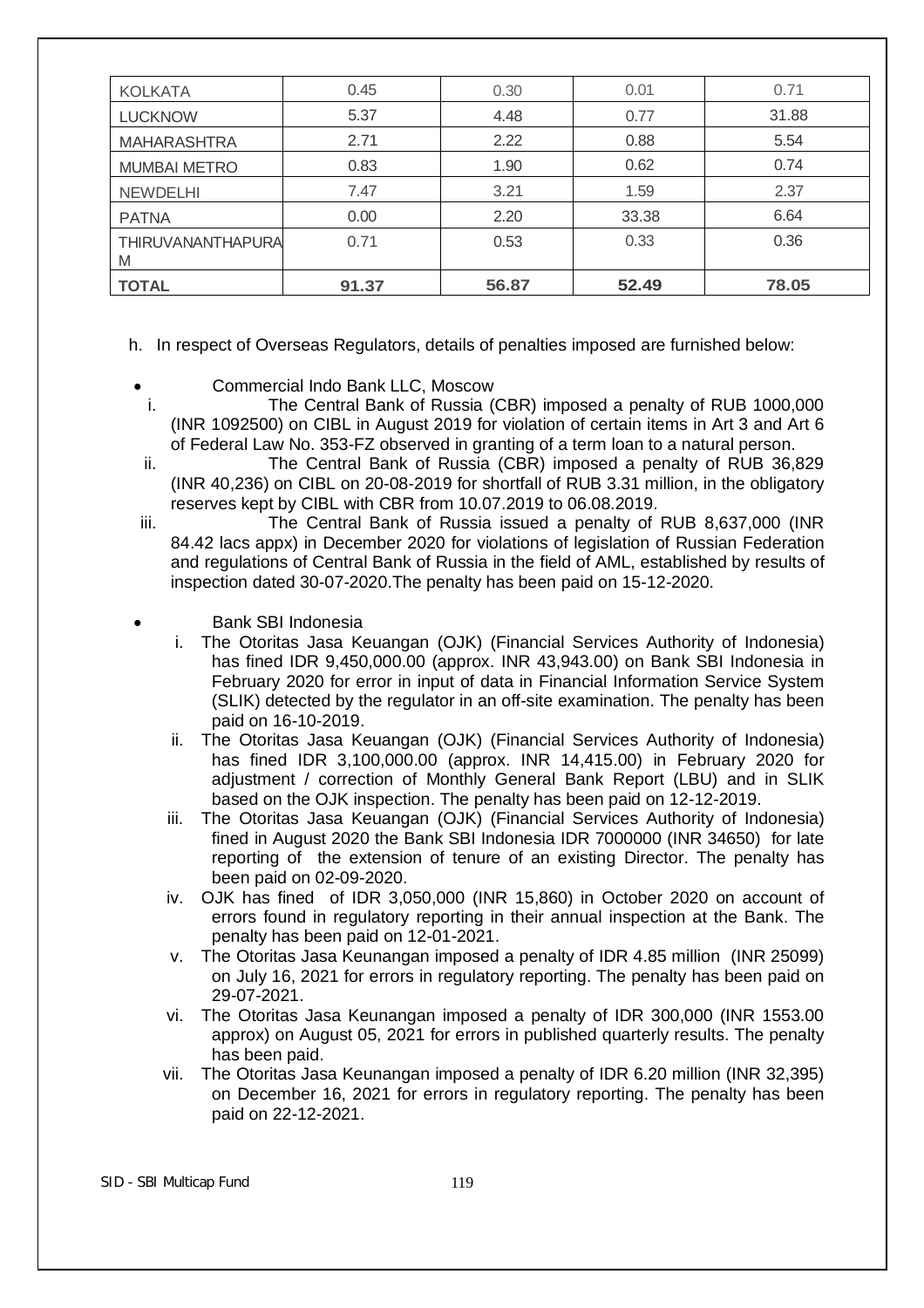| <b>KOLKATA</b>         | 0.45  | 0.30  | 0.01  | 0.71  |
|------------------------|-------|-------|-------|-------|
| <b>LUCKNOW</b>         | 5.37  | 4.48  | 0.77  | 31.88 |
| <b>MAHARASHTRA</b>     | 2.71  | 2.22  | 0.88  | 5.54  |
| <b>MUMBAI METRO</b>    | 0.83  | 1.90  | 0.62  | 0.74  |
| <b>NEWDELHI</b>        | 7.47  | 3.21  | 1.59  | 2.37  |
| <b>PATNA</b>           | 0.00  | 2.20  | 33.38 | 6.64  |
| THIRUVANANTHAPURA<br>M | 0.71  | 0.53  | 0.33  | 0.36  |
| <b>TOTAL</b>           | 91.37 | 56.87 | 52.49 | 78.05 |

h. In respect of Overseas Regulators, details of penalties imposed are furnished below:

- Commercial Indo Bank LLC, Moscow
- i. The Central Bank of Russia (CBR) imposed a penalty of RUB 1000,000 (INR 1092500) on CIBL in August 2019 for violation of certain items in Art 3 and Art 6 of Federal Law No. 353-FZ observed in granting of a term loan to a natural person.
- ii. The Central Bank of Russia (CBR) imposed a penalty of RUB 36,829 (INR 40,236) on CIBL on 20-08-2019 for shortfall of RUB 3.31 million, in the obligatory reserves kept by CIBL with CBR from 10.07.2019 to 06.08.2019.
- iii. The Central Bank of Russia issued a penalty of RUB 8,637,000 (INR 84.42 lacs appx) in December 2020 for violations of legislation of Russian Federation and regulations of Central Bank of Russia in the field of AML, established by results of inspection dated 30-07-2020.The penalty has been paid on 15-12-2020.
- Bank SBI Indonesia
	- i. The Otoritas Jasa Keuangan (OJK) (Financial Services Authority of Indonesia) has fined IDR 9,450,000.00 (approx. INR 43,943.00) on Bank SBI Indonesia in February 2020 for error in input of data in Financial Information Service System (SLIK) detected by the regulator in an off-site examination. The penalty has been paid on 16-10-2019.
	- ii. The Otoritas Jasa Keuangan (OJK) (Financial Services Authority of Indonesia) has fined IDR 3,100,000.00 (approx. INR 14,415.00) in February 2020 for adjustment / correction of Monthly General Bank Report (LBU) and in SLIK based on the OJK inspection. The penalty has been paid on 12-12-2019.
	- iii. The Otoritas Jasa Keuangan (OJK) (Financial Services Authority of Indonesia) fined in August 2020 the Bank SBI Indonesia IDR 7000000 (INR 34650) for late reporting of the extension of tenure of an existing Director. The penalty has been paid on 02-09-2020.
	- iv. OJK has fined of IDR 3,050,000 (INR 15,860) in October 2020 on account of errors found in regulatory reporting in their annual inspection at the Bank. The penalty has been paid on 12-01-2021.
	- v. The Otoritas Jasa Keunangan imposed a penalty of IDR 4.85 million (INR 25099) on July 16, 2021 for errors in regulatory reporting. The penalty has been paid on 29-07-2021.
	- vi. The Otoritas Jasa Keunangan imposed a penalty of IDR 300,000 (INR 1553.00 approx) on August 05, 2021 for errors in published quarterly results. The penalty has been paid.
	- vii. The Otoritas Jasa Keunangan imposed a penalty of IDR 6.20 million (INR 32,395) on December 16, 2021 for errors in regulatory reporting. The penalty has been paid on 22-12-2021.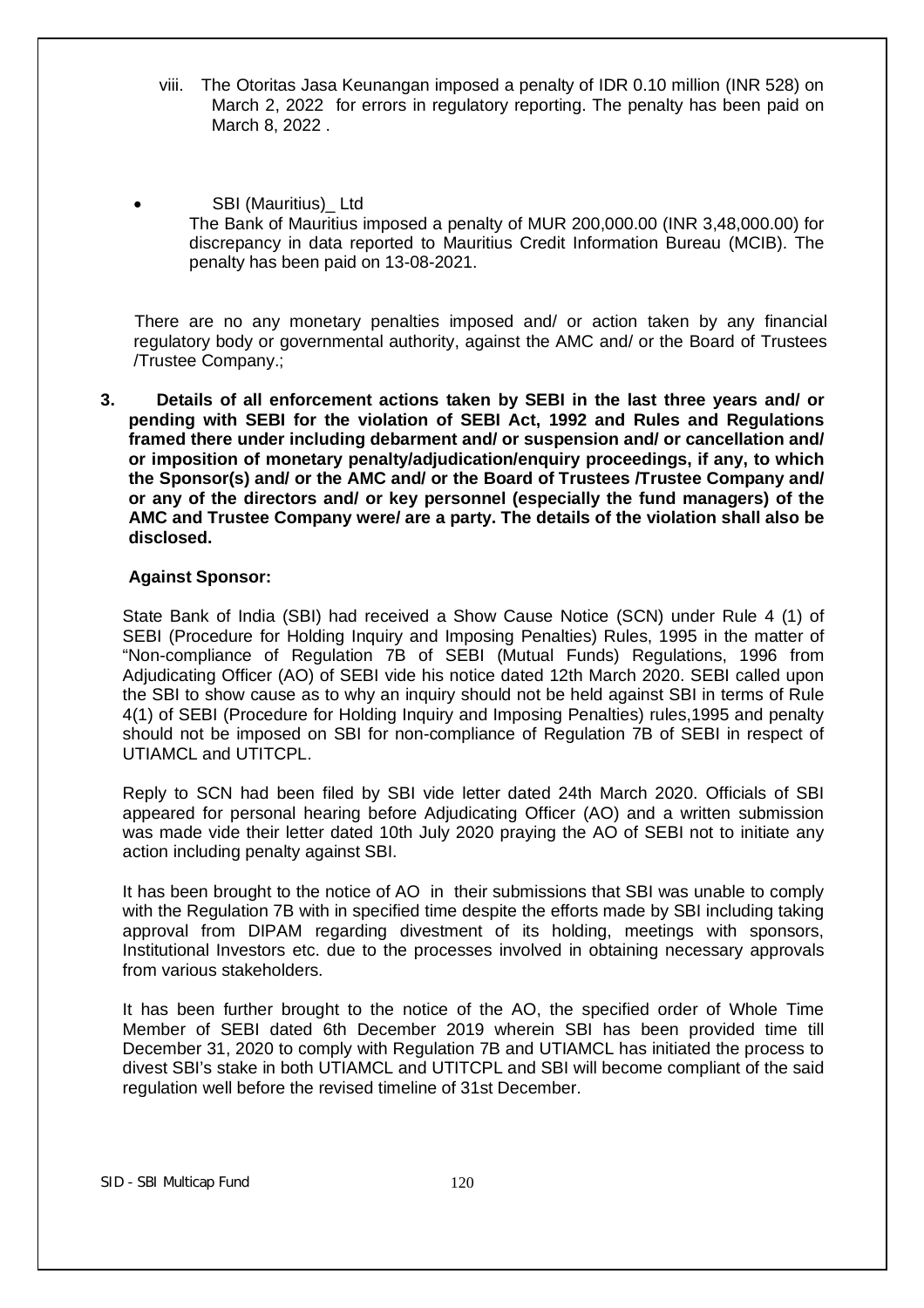- viii. The Otoritas Jasa Keunangan imposed a penalty of IDR 0.10 million (INR 528) on March 2, 2022 for errors in regulatory reporting. The penalty has been paid on March 8, 2022 .
- SBI (Mauritius) Ltd The Bank of Mauritius imposed a penalty of MUR 200,000.00 (INR 3,48,000.00) for discrepancy in data reported to Mauritius Credit Information Bureau (MCIB). The penalty has been paid on 13-08-2021.

 There are no any monetary penalties imposed and/ or action taken by any financial regulatory body or governmental authority, against the AMC and/ or the Board of Trustees /Trustee Company.;

**3. Details of all enforcement actions taken by SEBI in the last three years and/ or pending with SEBI for the violation of SEBI Act, 1992 and Rules and Regulations framed there under including debarment and/ or suspension and/ or cancellation and/ or imposition of monetary penalty/adjudication/enquiry proceedings, if any, to which the Sponsor(s) and/ or the AMC and/ or the Board of Trustees /Trustee Company and/ or any of the directors and/ or key personnel (especially the fund managers) of the AMC and Trustee Company were/ are a party. The details of the violation shall also be disclosed.** 

#### **Against Sponsor:**

State Bank of India (SBI) had received a Show Cause Notice (SCN) under Rule 4 (1) of SEBI (Procedure for Holding Inquiry and Imposing Penalties) Rules, 1995 in the matter of "Non-compliance of Regulation 7B of SEBI (Mutual Funds) Regulations, 1996 from Adjudicating Officer (AO) of SEBI vide his notice dated 12th March 2020. SEBI called upon the SBI to show cause as to why an inquiry should not be held against SBI in terms of Rule 4(1) of SEBI (Procedure for Holding Inquiry and Imposing Penalties) rules,1995 and penalty should not be imposed on SBI for non-compliance of Regulation 7B of SEBI in respect of UTIAMCL and UTITCPL.

Reply to SCN had been filed by SBI vide letter dated 24th March 2020. Officials of SBI appeared for personal hearing before Adjudicating Officer (AO) and a written submission was made vide their letter dated 10th July 2020 praying the AO of SEBI not to initiate any action including penalty against SBI.

It has been brought to the notice of AO in their submissions that SBI was unable to comply with the Regulation 7B with in specified time despite the efforts made by SBI including taking approval from DIPAM regarding divestment of its holding, meetings with sponsors, Institutional Investors etc. due to the processes involved in obtaining necessary approvals from various stakeholders.

It has been further brought to the notice of the AO, the specified order of Whole Time Member of SEBI dated 6th December 2019 wherein SBI has been provided time till December 31, 2020 to comply with Regulation 7B and UTIAMCL has initiated the process to divest SBI's stake in both UTIAMCL and UTITCPL and SBI will become compliant of the said regulation well before the revised timeline of 31st December.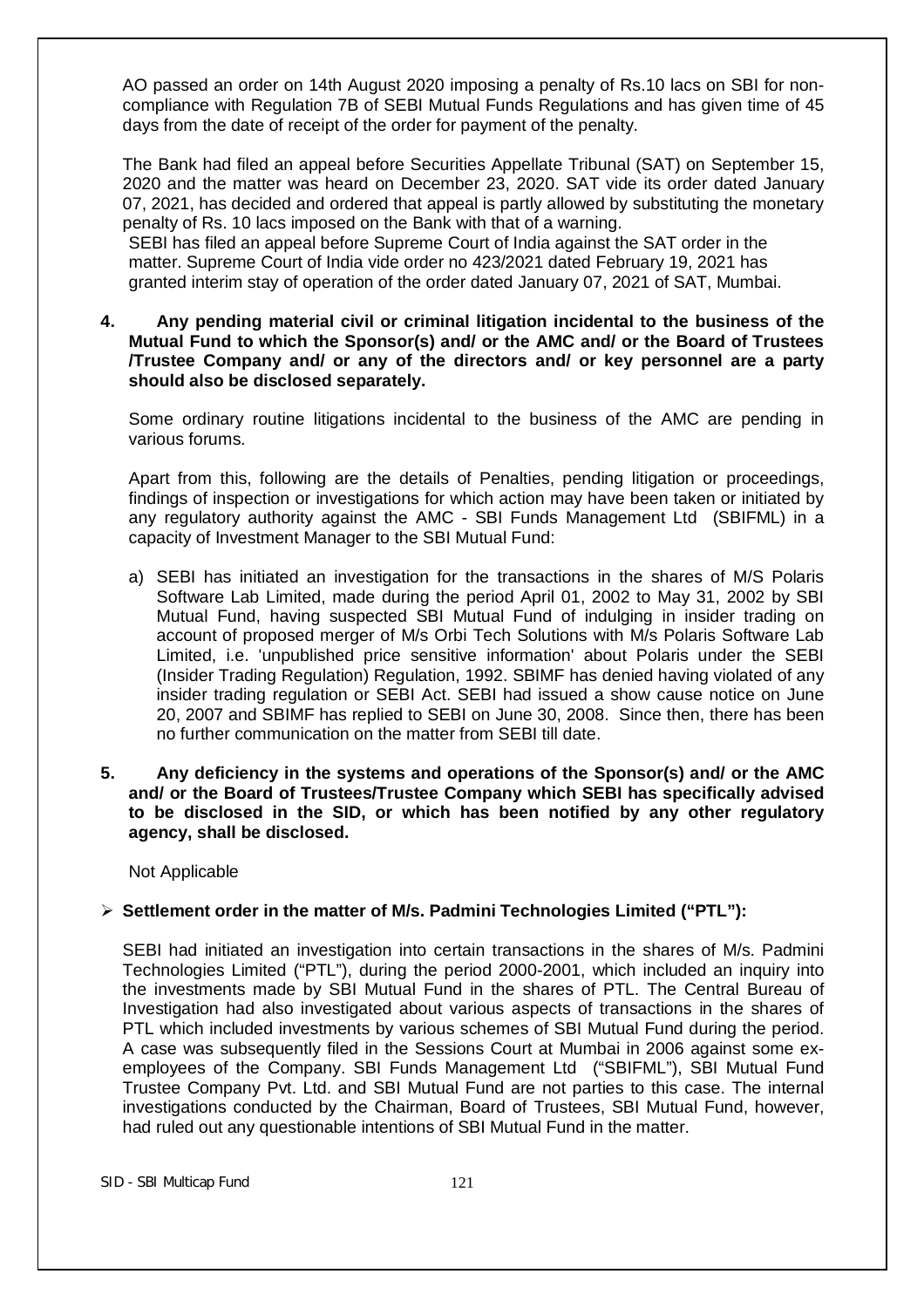AO passed an order on 14th August 2020 imposing a penalty of Rs.10 lacs on SBI for noncompliance with Regulation 7B of SEBI Mutual Funds Regulations and has given time of 45 days from the date of receipt of the order for payment of the penalty.

The Bank had filed an appeal before Securities Appellate Tribunal (SAT) on September 15, 2020 and the matter was heard on December 23, 2020. SAT vide its order dated January 07, 2021, has decided and ordered that appeal is partly allowed by substituting the monetary penalty of Rs. 10 lacs imposed on the Bank with that of a warning.

SEBI has filed an appeal before Supreme Court of India against the SAT order in the matter. Supreme Court of India vide order no 423/2021 dated February 19, 2021 has granted interim stay of operation of the order dated January 07, 2021 of SAT, Mumbai.

**4. Any pending material civil or criminal litigation incidental to the business of the Mutual Fund to which the Sponsor(s) and/ or the AMC and/ or the Board of Trustees /Trustee Company and/ or any of the directors and/ or key personnel are a party should also be disclosed separately.** 

Some ordinary routine litigations incidental to the business of the AMC are pending in various forums.

Apart from this, following are the details of Penalties, pending litigation or proceedings, findings of inspection or investigations for which action may have been taken or initiated by any regulatory authority against the AMC - SBI Funds Management Ltd (SBIFML) in a capacity of Investment Manager to the SBI Mutual Fund:

- a) SEBI has initiated an investigation for the transactions in the shares of M/S Polaris Software Lab Limited, made during the period April 01, 2002 to May 31, 2002 by SBI Mutual Fund, having suspected SBI Mutual Fund of indulging in insider trading on account of proposed merger of M/s Orbi Tech Solutions with M/s Polaris Software Lab Limited, i.e. 'unpublished price sensitive information' about Polaris under the SEBI (Insider Trading Regulation) Regulation, 1992. SBIMF has denied having violated of any insider trading regulation or SEBI Act. SEBI had issued a show cause notice on June 20, 2007 and SBIMF has replied to SEBI on June 30, 2008. Since then, there has been no further communication on the matter from SEBI till date.
- **5. Any deficiency in the systems and operations of the Sponsor(s) and/ or the AMC and/ or the Board of Trustees/Trustee Company which SEBI has specifically advised to be disclosed in the SID, or which has been notified by any other regulatory agency, shall be disclosed.**

Not Applicable

# **Settlement order in the matter of M/s. Padmini Technologies Limited ("PTL"):**

SEBI had initiated an investigation into certain transactions in the shares of M/s. Padmini Technologies Limited ("PTL"), during the period 2000-2001, which included an inquiry into the investments made by SBI Mutual Fund in the shares of PTL. The Central Bureau of Investigation had also investigated about various aspects of transactions in the shares of PTL which included investments by various schemes of SBI Mutual Fund during the period. A case was subsequently filed in the Sessions Court at Mumbai in 2006 against some exemployees of the Company. SBI Funds Management Ltd ("SBIFML"), SBI Mutual Fund Trustee Company Pvt. Ltd. and SBI Mutual Fund are not parties to this case. The internal investigations conducted by the Chairman, Board of Trustees, SBI Mutual Fund, however, had ruled out any questionable intentions of SBI Mutual Fund in the matter.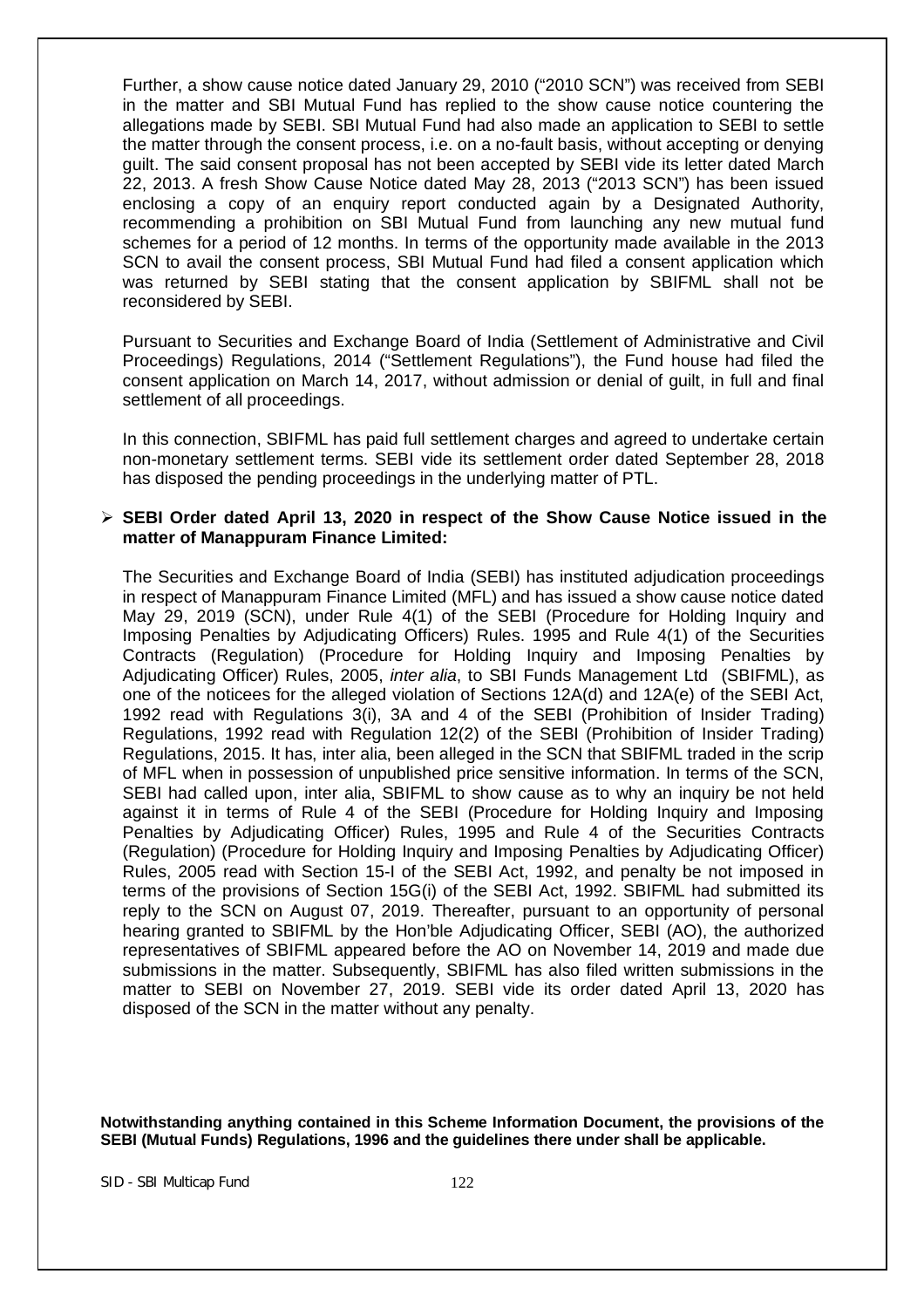Further, a show cause notice dated January 29, 2010 ("2010 SCN") was received from SEBI in the matter and SBI Mutual Fund has replied to the show cause notice countering the allegations made by SEBI. SBI Mutual Fund had also made an application to SEBI to settle the matter through the consent process, i.e. on a no-fault basis, without accepting or denying guilt. The said consent proposal has not been accepted by SEBI vide its letter dated March 22, 2013. A fresh Show Cause Notice dated May 28, 2013 ("2013 SCN") has been issued enclosing a copy of an enquiry report conducted again by a Designated Authority, recommending a prohibition on SBI Mutual Fund from launching any new mutual fund schemes for a period of 12 months. In terms of the opportunity made available in the 2013 SCN to avail the consent process, SBI Mutual Fund had filed a consent application which was returned by SEBI stating that the consent application by SBIFML shall not be reconsidered by SEBI.

Pursuant to Securities and Exchange Board of India (Settlement of Administrative and Civil Proceedings) Regulations, 2014 ("Settlement Regulations"), the Fund house had filed the consent application on March 14, 2017, without admission or denial of guilt, in full and final settlement of all proceedings.

In this connection, SBIFML has paid full settlement charges and agreed to undertake certain non-monetary settlement terms. SEBI vide its settlement order dated September 28, 2018 has disposed the pending proceedings in the underlying matter of PTL.

#### **SEBI Order dated April 13, 2020 in respect of the Show Cause Notice issued in the matter of Manappuram Finance Limited:**

The Securities and Exchange Board of India (SEBI) has instituted adjudication proceedings in respect of Manappuram Finance Limited (MFL) and has issued a show cause notice dated May 29, 2019 (SCN), under Rule 4(1) of the SEBI (Procedure for Holding Inquiry and Imposing Penalties by Adjudicating Officers) Rules. 1995 and Rule 4(1) of the Securities Contracts (Regulation) (Procedure for Holding Inquiry and Imposing Penalties by Adjudicating Officer) Rules, 2005, *inter alia*, to SBI Funds Management Ltd (SBIFML), as one of the noticees for the alleged violation of Sections 12A(d) and 12A(e) of the SEBI Act, 1992 read with Regulations 3(i), 3A and 4 of the SEBI (Prohibition of Insider Trading) Regulations, 1992 read with Regulation 12(2) of the SEBI (Prohibition of Insider Trading) Regulations, 2015. It has, inter alia, been alleged in the SCN that SBIFML traded in the scrip of MFL when in possession of unpublished price sensitive information. In terms of the SCN, SEBI had called upon, inter alia, SBIFML to show cause as to why an inquiry be not held against it in terms of Rule 4 of the SEBI (Procedure for Holding Inquiry and Imposing Penalties by Adjudicating Officer) Rules, 1995 and Rule 4 of the Securities Contracts (Regulation) (Procedure for Holding Inquiry and Imposing Penalties by Adjudicating Officer) Rules, 2005 read with Section 15-I of the SEBI Act, 1992, and penalty be not imposed in terms of the provisions of Section 15G(i) of the SEBI Act, 1992. SBIFML had submitted its reply to the SCN on August 07, 2019. Thereafter, pursuant to an opportunity of personal hearing granted to SBIFML by the Hon'ble Adjudicating Officer, SEBI (AO), the authorized representatives of SBIFML appeared before the AO on November 14, 2019 and made due submissions in the matter. Subsequently, SBIFML has also filed written submissions in the matter to SEBI on November 27, 2019. SEBI vide its order dated April 13, 2020 has disposed of the SCN in the matter without any penalty.

**Notwithstanding anything contained in this Scheme Information Document, the provisions of the SEBI (Mutual Funds) Regulations, 1996 and the guidelines there under shall be applicable.**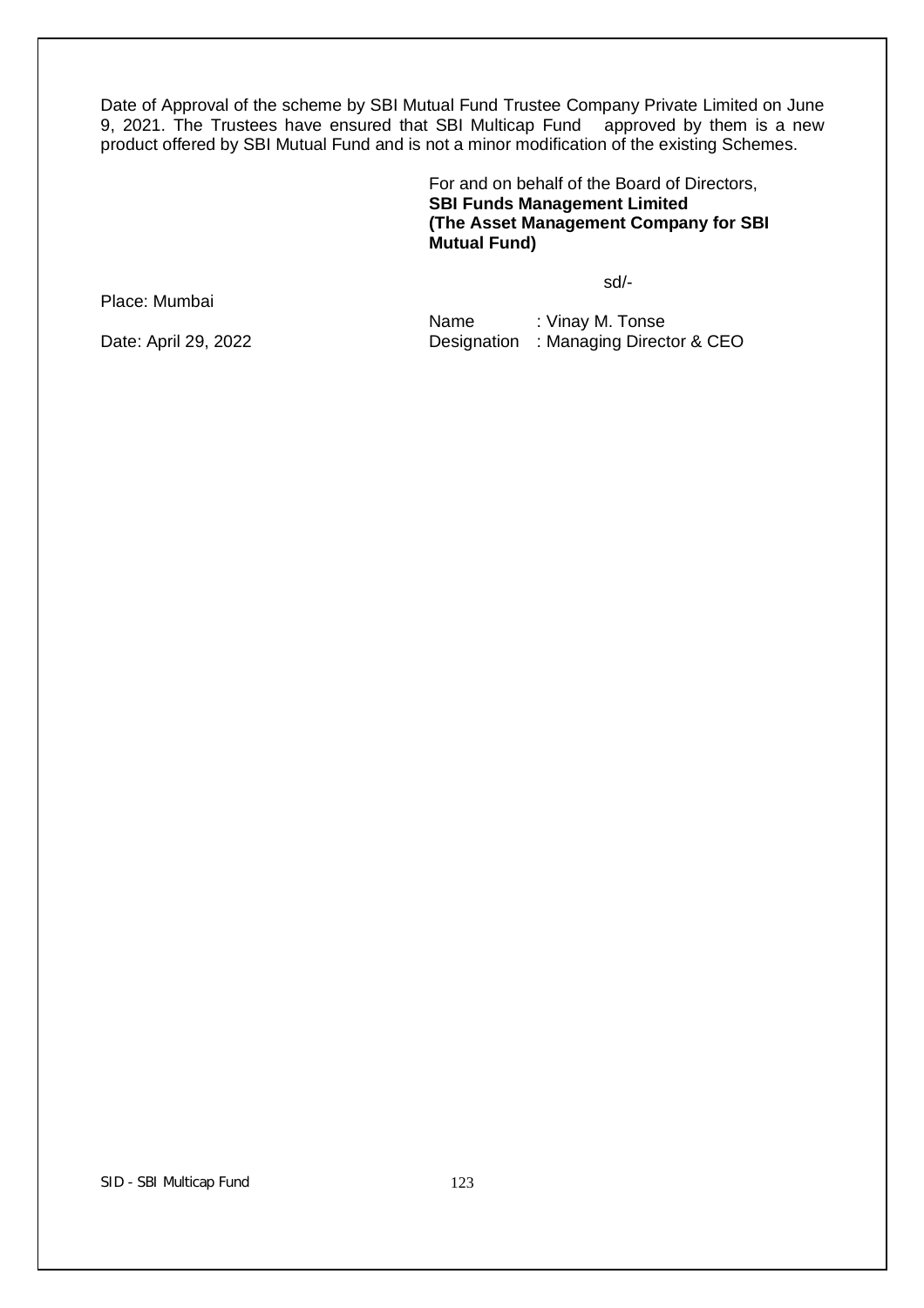Date of Approval of the scheme by SBI Mutual Fund Trustee Company Private Limited on June 9, 2021. The Trustees have ensured that SBI Multicap Fund approved by them is a new product offered by SBI Mutual Fund and is not a minor modification of the existing Schemes.

> For and on behalf of the Board of Directors, **SBI Funds Management Limited (The Asset Management Company for SBI Mutual Fund)**

> > sd/-

Place: Mumbai

Name : Vinay M. Tonse Date: April 29, 2022 **Designation : Managing Director & CEO**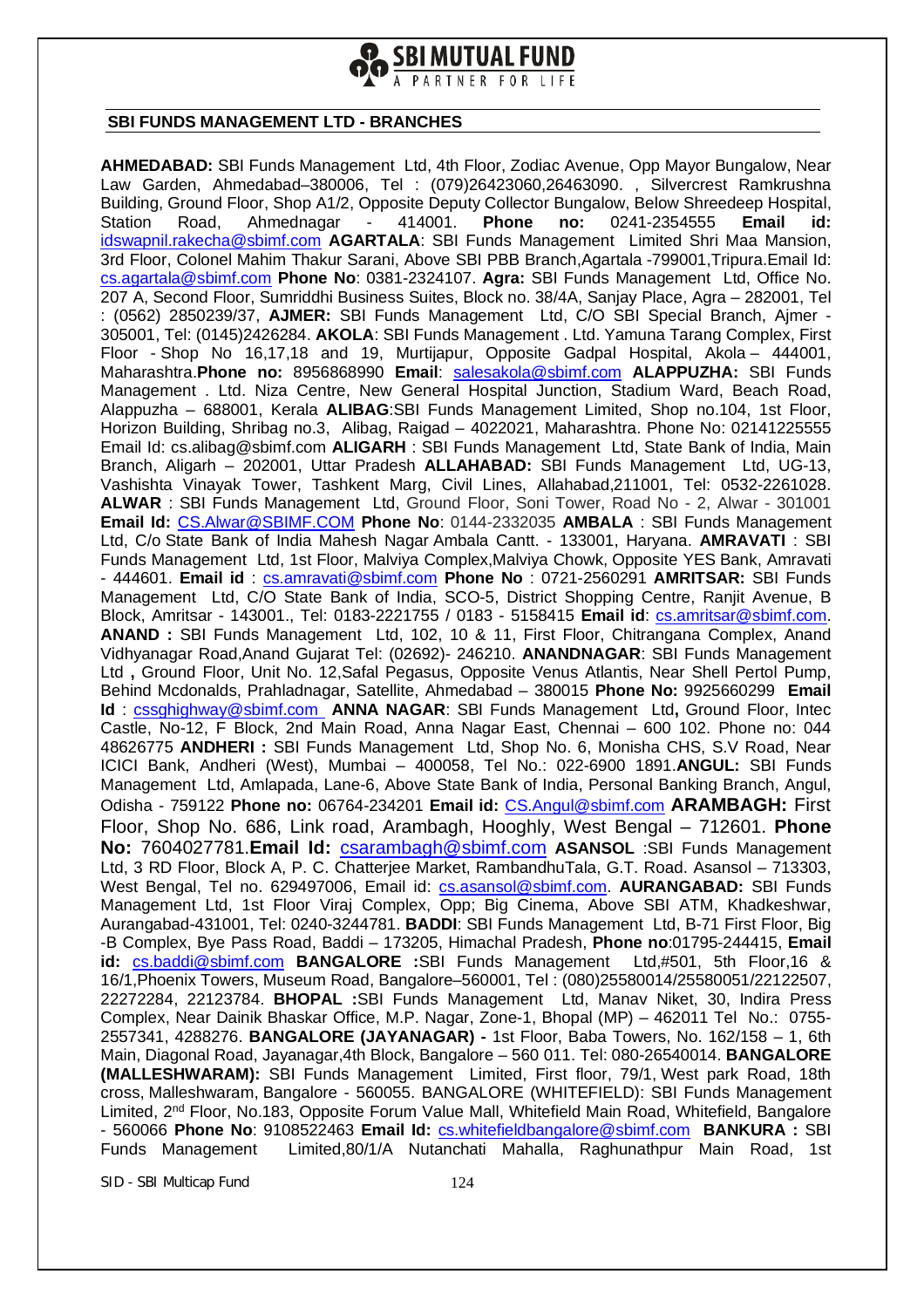

#### **SBI FUNDS MANAGEMENT LTD - BRANCHES**

**AHMEDABAD:** SBI Funds Management Ltd, 4th Floor, Zodiac Avenue, Opp Mayor Bungalow, Near Law Garden, Ahmedabad-380006, Tel : (079)26423060,26463090. , Silvercrest Ramkrushna Building, Ground Floor, Shop A1/2, Opposite Deputy Collector Bungalow, Below Shreedeep Hospital, Station Road, Ahmednagar - 414001. **Phone no:** 0241-2354555 **Email id:**  idswapnil.rakecha@sbimf.com **AGARTALA**: SBI Funds Management Limited Shri Maa Mansion, 3rd Floor, Colonel Mahim Thakur Sarani, Above SBI PBB Branch,Agartala -799001,Tripura.Email Id: cs.agartala@sbimf.com **Phone No**: 0381-2324107. **Agra:** SBI Funds Management Ltd, Office No. 207 A, Second Floor, Sumriddhi Business Suites, Block no. 38/4A, Sanjay Place, Agra – 282001, Tel : (0562) 2850239/37, **AJMER:** SBI Funds Management Ltd, C/O SBI Special Branch, Ajmer - 305001, Tel: (0145)2426284. **AKOLA**: SBI Funds Management . Ltd. Yamuna Tarang Complex, First Floor - Shop No 16,17,18 and 19, Murtijapur, Opposite Gadpal Hospital, Akola – 444001, Maharashtra.**Phone no:** 8956868990 **Email**: salesakola@sbimf.com **ALAPPUZHA:** SBI Funds Management . Ltd. Niza Centre, New General Hospital Junction, Stadium Ward, Beach Road, Alappuzha – 688001, Kerala **ALIBAG**:SBI Funds Management Limited, Shop no.104, 1st Floor, Horizon Building, Shribag no.3, Alibag, Raigad – 4022021, Maharashtra. Phone No: 02141225555 Email Id: cs.alibag@sbimf.com **ALIGARH** : SBI Funds Management Ltd, State Bank of India, Main Branch, Aligarh – 202001, Uttar Pradesh **ALLAHABAD:** SBI Funds Management Ltd, UG-13, Vashishta Vinayak Tower, Tashkent Marg, Civil Lines, Allahabad,211001, Tel: 0532-2261028. **ALWAR** : SBI Funds Management Ltd, Ground Floor, Soni Tower, Road No - 2, Alwar - 301001 **Email Id:** CS.Alwar@SBIMF.COM **Phone No**: 0144-2332035 **AMBALA** : SBI Funds Management Ltd, C/o State Bank of India Mahesh Nagar Ambala Cantt. - 133001, Haryana. **AMRAVATI** : SBI Funds Management Ltd, 1st Floor, Malviya Complex,Malviya Chowk, Opposite YES Bank, Amravati - 444601. **Email id** : cs.amravati@sbimf.com **Phone No** : 0721-2560291 **AMRITSAR:** SBI Funds Management Ltd, C/O State Bank of India, SCO-5, District Shopping Centre, Ranjit Avenue, B Block, Amritsar - 143001., Tel: 0183-2221755 / 0183 - 5158415 **Email id**: cs.amritsar@sbimf.com. **ANAND :** SBI Funds Management Ltd, 102, 10 & 11, First Floor, Chitrangana Complex, Anand Vidhyanagar Road,Anand Gujarat Tel: (02692)- 246210. **ANANDNAGAR**: SBI Funds Management Ltd **,** Ground Floor, Unit No. 12,Safal Pegasus, Opposite Venus Atlantis, Near Shell Pertol Pump, Behind Mcdonalds, Prahladnagar, Satellite, Ahmedabad – 380015 **Phone No:** 9925660299 **Email Id** : cssghighway@sbimf.com **ANNA NAGAR**: SBI Funds Management Ltd**,** Ground Floor, Intec Castle, No-12, F Block, 2nd Main Road, Anna Nagar East, Chennai – 600 102. Phone no: 044 48626775 **ANDHERI :** SBI Funds Management Ltd, Shop No. 6, Monisha CHS, S.V Road, Near ICICI Bank, Andheri (West), Mumbai – 400058, Tel No.: 022-6900 1891.**ANGUL:** SBI Funds Management Ltd, Amlapada, Lane-6, Above State Bank of India, Personal Banking Branch, Angul, Odisha - 759122 **Phone no:** 06764-234201 **Email id:** CS.Angul@sbimf.com **ARAMBAGH:** First Floor, Shop No. 686, Link road, Arambagh, Hooghly, West Bengal – 712601. **Phone No:** 7604027781.**Email Id:** csarambagh@sbimf.com **ASANSOL** :SBI Funds Management Ltd, 3 RD Floor, Block A, P. C. Chatterjee Market, RambandhuTala, G.T. Road. Asansol – 713303, West Bengal, Tel no. 629497006, Email id: cs.asansol@sbimf.com. **AURANGABAD:** SBI Funds Management Ltd, 1st Floor Viraj Complex, Opp; Big Cinema, Above SBI ATM, Khadkeshwar, Aurangabad-431001, Tel: 0240-3244781. **BADDI**: SBI Funds Management Ltd, B-71 First Floor, Big -B Complex, Bye Pass Road, Baddi – 173205, Himachal Pradesh, **Phone no**:01795-244415, **Email id:** cs.baddi@sbimf.com **BANGALORE :**SBI Funds Management Ltd,#501, 5th Floor,16 & 16/1,Phoenix Towers, Museum Road, Bangalore–560001, Tel : (080)25580014/25580051/22122507, 22272284, 22123784. **BHOPAL :**SBI Funds Management Ltd, Manav Niket, 30, Indira Press Complex, Near Dainik Bhaskar Office, M.P. Nagar, Zone-1, Bhopal (MP) – 462011 Tel No.: 0755- 2557341, 4288276. **BANGALORE (JAYANAGAR) -** 1st Floor, Baba Towers, No. 162/158 – 1, 6th Main, Diagonal Road, Jayanagar,4th Block, Bangalore – 560 011. Tel: 080-26540014. **BANGALORE (MALLESHWARAM):** SBI Funds Management Limited, First floor, 79/1, West park Road, 18th cross, Malleshwaram, Bangalore - 560055. BANGALORE (WHITEFIELD): SBI Funds Management Limited, 2<sup>nd</sup> Floor, No.183, Opposite Forum Value Mall, Whitefield Main Road, Whitefield, Bangalore - 560066 **Phone No**: 9108522463 **Email Id:** cs.whitefieldbangalore@sbimf.com **BANKURA :** SBI Funds Management Limited,80/1/A Nutanchati Mahalla, Raghunathpur Main Road, 1st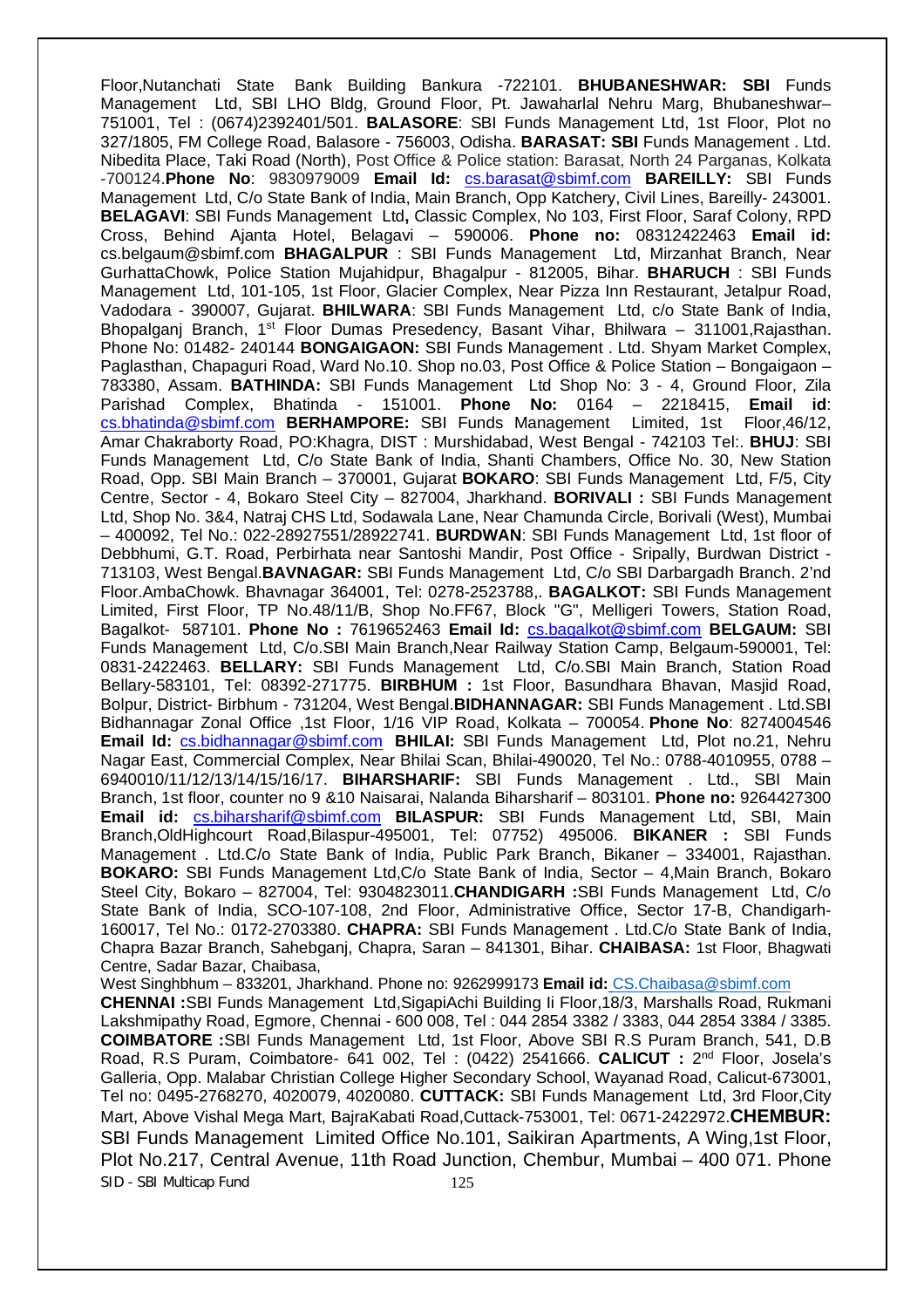Floor,Nutanchati State Bank Building Bankura -722101. **BHUBANESHWAR: SBI** Funds Management Ltd, SBI LHO Bldg, Ground Floor, Pt. Jawaharlal Nehru Marg, Bhubaneshwar– 751001, Tel : (0674)2392401/501. **BALASORE**: SBI Funds Management Ltd, 1st Floor, Plot no 327/1805, FM College Road, Balasore - 756003, Odisha. **BARASAT: SBI** Funds Management . Ltd. Nibedita Place, Taki Road (North), Post Office & Police station: Barasat, North 24 Parganas, Kolkata -700124.**Phone No**: 9830979009 **Email Id:** cs.barasat@sbimf.com **BAREILLY:** SBI Funds Management Ltd, C/o State Bank of India, Main Branch, Opp Katchery, Civil Lines, Bareilly- 243001. **BELAGAVI**: SBI Funds Management Ltd**,** Classic Complex, No 103, First Floor, Saraf Colony, RPD Cross, Behind Ajanta Hotel, Belagavi – 590006. **Phone no:** 08312422463 **Email id:**  cs.belgaum@sbimf.com **BHAGALPUR** : SBI Funds Management Ltd, Mirzanhat Branch, Near GurhattaChowk, Police Station Mujahidpur, Bhagalpur - 812005, Bihar. **BHARUCH** : SBI Funds Management Ltd, 101-105, 1st Floor, Glacier Complex, Near Pizza Inn Restaurant, Jetalpur Road, Vadodara - 390007, Gujarat. **BHILWARA**: SBI Funds Management Ltd, c/o State Bank of India, Bhopalganj Branch, 1<sup>st</sup> Floor Dumas Presedency, Basant Vihar, Bhilwara - 311001, Rajasthan. Phone No: 01482- 240144 **BONGAIGAON:** SBI Funds Management . Ltd. Shyam Market Complex, Paglasthan, Chapaguri Road, Ward No.10. Shop no.03, Post Office & Police Station – Bongaigaon – 783380, Assam. **BATHINDA:** SBI Funds Management Ltd Shop No: 3 - 4, Ground Floor, Zila Parishad Complex, Bhatinda - 151001. **Phone No:** 0164 – 2218415, **Email id**: cs.bhatinda@sbimf.com **BERHAMPORE:** SBI Funds Management Limited, 1st Floor,46/12, Amar Chakraborty Road, PO:Khagra, DIST : Murshidabad, West Bengal - 742103 Tel:. **BHUJ**: SBI Funds Management Ltd, C/o State Bank of India, Shanti Chambers, Office No. 30, New Station Road, Opp. SBI Main Branch – 370001, Gujarat **BOKARO**: SBI Funds Management Ltd, F/5, City Centre, Sector - 4, Bokaro Steel City – 827004, Jharkhand. **BORIVALI :** SBI Funds Management Ltd, Shop No. 3&4, Natraj CHS Ltd, Sodawala Lane, Near Chamunda Circle, Borivali (West), Mumbai – 400092, Tel No.: 022-28927551/28922741. **BURDWAN**: SBI Funds Management Ltd, 1st floor of Debbhumi, G.T. Road, Perbirhata near Santoshi Mandir, Post Office - Sripally, Burdwan District - 713103, West Bengal.**BAVNAGAR:** SBI Funds Management Ltd, C/o SBI Darbargadh Branch. 2'nd Floor.AmbaChowk. Bhavnagar 364001, Tel: 0278-2523788,. **BAGALKOT:** SBI Funds Management Limited, First Floor, TP No.48/11/B, Shop No.FF67, Block "G", Melligeri Towers, Station Road, Bagalkot- 587101. **Phone No :** 7619652463 **Email Id:** cs.bagalkot@sbimf.com **BELGAUM:** SBI Funds Management Ltd, C/o.SBI Main Branch,Near Railway Station Camp, Belgaum-590001, Tel: 0831-2422463. **BELLARY:** SBI Funds Management Ltd, C/o.SBI Main Branch, Station Road Bellary-583101, Tel: 08392-271775. **BIRBHUM :** 1st Floor, Basundhara Bhavan, Masjid Road, Bolpur, District- Birbhum - 731204, West Bengal.**BIDHANNAGAR:** SBI Funds Management . Ltd.SBI Bidhannagar Zonal Office ,1st Floor, 1/16 VIP Road, Kolkata – 700054. **Phone No**: 8274004546 Email Id: cs.bidhannagar@sbimf.com BHILAI: SBI Funds Management Ltd, Plot no.21, Nehru Nagar East, Commercial Complex, Near Bhilai Scan, Bhilai-490020, Tel No.: 0788-4010955, 0788 – 6940010/11/12/13/14/15/16/17. **BIHARSHARIF:** SBI Funds Management . Ltd., SBI Main Branch, 1st floor, counter no 9 &10 Naisarai, Nalanda Biharsharif – 803101. **Phone no:** 9264427300 **Email id:** cs.biharsharif@sbimf.com **BILASPUR:** SBI Funds Management Ltd, SBI, Main Branch,OldHighcourt Road,Bilaspur-495001, Tel: 07752) 495006. **BIKANER :** SBI Funds Management . Ltd.C/o State Bank of India, Public Park Branch, Bikaner – 334001, Rajasthan. **BOKARO:** SBI Funds Management Ltd,C/o State Bank of India, Sector – 4,Main Branch, Bokaro Steel City, Bokaro – 827004, Tel: 9304823011.**CHANDIGARH :**SBI Funds Management Ltd, C/o State Bank of India, SCO-107-108, 2nd Floor, Administrative Office, Sector 17-B, Chandigarh-160017, Tel No.: 0172-2703380. **CHAPRA:** SBI Funds Management . Ltd.C/o State Bank of India, Chapra Bazar Branch, Sahebganj, Chapra, Saran – 841301, Bihar. **CHAIBASA:** 1st Floor, Bhagwati Centre, Sadar Bazar, Chaibasa,

SID - SBI Multicap Fund 125 West Singhbhum – 833201, Jharkhand. Phone no: 9262999173 **Email id:** CS.Chaibasa@sbimf.com **CHENNAI :**SBI Funds Management Ltd,SigapiAchi Building Ii Floor,18/3, Marshalls Road, Rukmani Lakshmipathy Road, Egmore, Chennai - 600 008, Tel : 044 2854 3382 / 3383, 044 2854 3384 / 3385. **COIMBATORE :**SBI Funds Management Ltd, 1st Floor, Above SBI R.S Puram Branch, 541, D.B Road, R.S Puram, Coimbatore- 641 002, Tel : (0422) 2541666. CALICUT : 2<sup>nd</sup> Floor, Josela's Galleria, Opp. Malabar Christian College Higher Secondary School, Wayanad Road, Calicut-673001, Tel no: 0495-2768270, 4020079, 4020080. **CUTTACK:** SBI Funds Management Ltd, 3rd Floor,City Mart, Above Vishal Mega Mart, BajraKabati Road,Cuttack-753001, Tel: 0671-2422972.**CHEMBUR:** SBI Funds Management Limited Office No.101, Saikiran Apartments, A Wing,1st Floor, Plot No.217, Central Avenue, 11th Road Junction, Chembur, Mumbai – 400 071. Phone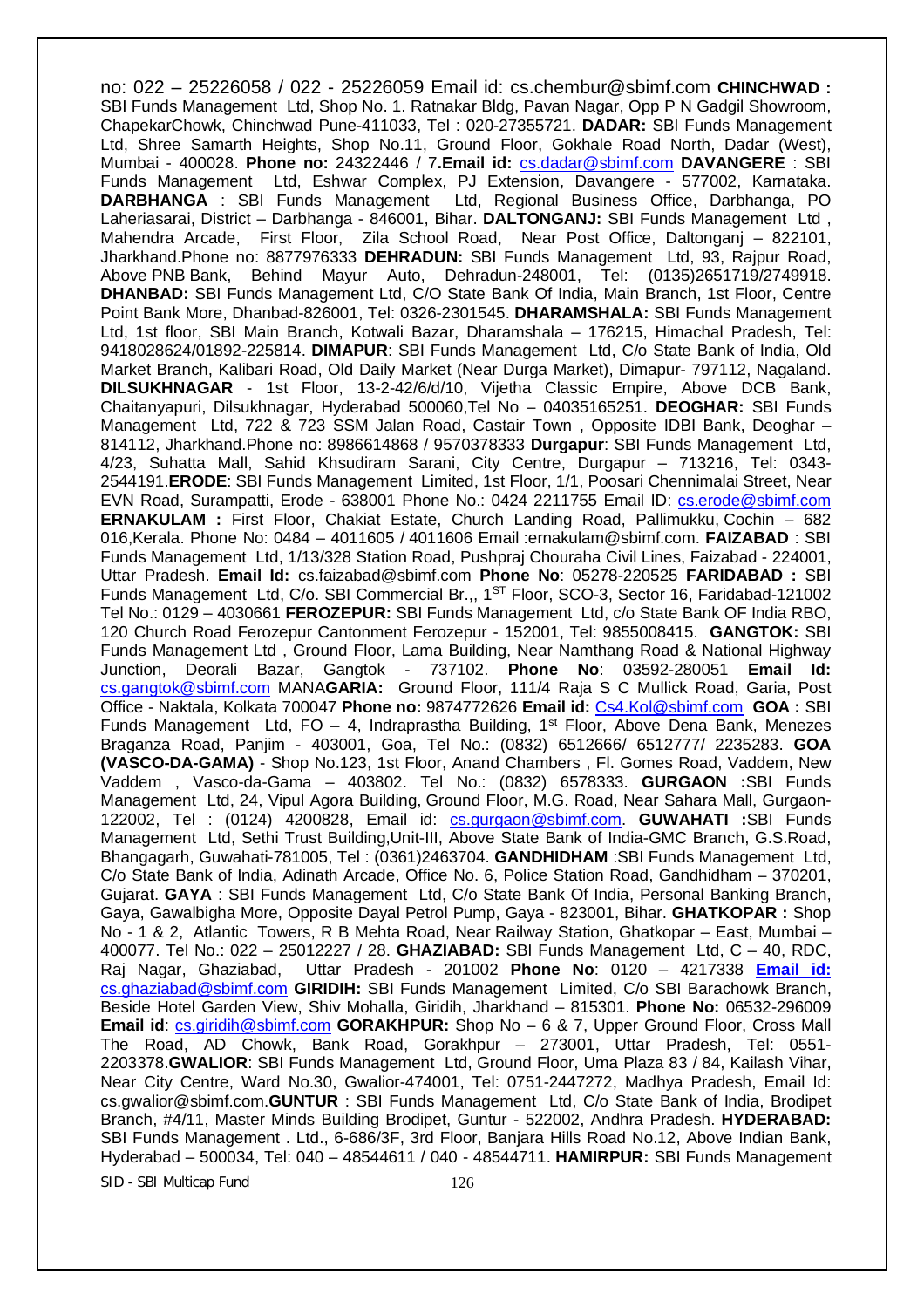no: 022 – 25226058 / 022 - 25226059 Email id: cs.chembur@sbimf.com **CHINCHWAD :** SBI Funds Management Ltd, Shop No. 1. Ratnakar Bldg, Pavan Nagar, Opp P N Gadgil Showroom, ChapekarChowk, Chinchwad Pune-411033, Tel : 020-27355721. **DADAR:** SBI Funds Management Ltd, Shree Samarth Heights, Shop No.11, Ground Floor, Gokhale Road North, Dadar (West), Mumbai - 400028. **Phone no:** 24322446 / 7**.Email id:** cs.dadar@sbimf.com **DAVANGERE** : SBI Funds Management Ltd, Eshwar Complex, PJ Extension, Davangere - 577002, Karnataka. **DARBHANGA** : SBI Funds Management Ltd, Regional Business Office, Darbhanga, PO Laheriasarai, District – Darbhanga - 846001, Bihar. **DALTONGANJ:** SBI Funds Management Ltd , Mahendra Arcade, First Floor, Zila School Road, Near Post Office, Daltonganj – 822101, Jharkhand.Phone no: 8877976333 **DEHRADUN:** SBI Funds Management Ltd, 93, Rajpur Road, Above PNB Bank, Behind Mayur Auto, Dehradun-248001, Tel: (0135)2651719/2749918. **DHANBAD:** SBI Funds Management Ltd, C/O State Bank Of India, Main Branch, 1st Floor, Centre Point Bank More, Dhanbad-826001, Tel: 0326-2301545. **DHARAMSHALA:** SBI Funds Management Ltd, 1st floor, SBI Main Branch, Kotwali Bazar, Dharamshala – 176215, Himachal Pradesh, Tel: 9418028624/01892-225814. **DIMAPUR**: SBI Funds Management Ltd, C/o State Bank of India, Old Market Branch, Kalibari Road, Old Daily Market (Near Durga Market), Dimapur- 797112, Nagaland. **DILSUKHNAGAR** - 1st Floor, 13-2-42/6/d/10, Vijetha Classic Empire, Above DCB Bank, Chaitanyapuri, Dilsukhnagar, Hyderabad 500060,Tel No – 04035165251. **DEOGHAR:** SBI Funds Management Ltd, 722 & 723 SSM Jalan Road, Castair Town , Opposite IDBI Bank, Deoghar – 814112, Jharkhand.Phone no: 8986614868 / 9570378333 **Durgapur**: SBI Funds Management Ltd, 4/23, Suhatta Mall, Sahid Khsudiram Sarani, City Centre, Durgapur – 713216, Tel: 0343- 2544191.**ERODE**: SBI Funds Management Limited, 1st Floor, 1/1, Poosari Chennimalai Street, Near EVN Road, Surampatti, Erode - 638001 Phone No.: 0424 2211755 Email ID: cs.erode@sbimf.com **ERNAKULAM :** First Floor, Chakiat Estate, Church Landing Road, Pallimukku, Cochin – 682 016,Kerala. Phone No: 0484 – 4011605 / 4011606 Email :ernakulam@sbimf.com. **FAIZABAD** : SBI Funds Management Ltd, 1/13/328 Station Road, Pushpraj Chouraha Civil Lines, Faizabad - 224001, Uttar Pradesh. **Email Id:** cs.faizabad@sbimf.com **Phone No**: 05278-220525 **FARIDABAD :** SBI Funds Management Ltd, C/o. SBI Commercial Br.,, 1<sup>ST</sup> Floor, SCO-3, Sector 16, Faridabad-121002 Tel No.: 0129 – 4030661 **FEROZEPUR:** SBI Funds Management Ltd, c/o State Bank OF India RBO, 120 Church Road Ferozepur Cantonment Ferozepur - 152001, Tel: 9855008415. **GANGTOK:** SBI Funds Management Ltd , Ground Floor, Lama Building, Near Namthang Road & National Highway Junction, Deorali Bazar, Gangtok - 737102. **Phone No**: 03592-280051 **Email Id:**  cs.gangtok@sbimf.com MANA**GARIA:** Ground Floor, 111/4 Raja S C Mullick Road, Garia, Post Office - Naktala, Kolkata 700047 **Phone no:** 9874772626 **Email id:** Cs4.Kol@sbimf.com **GOA :** SBI Funds Management Ltd, FO - 4, Indraprastha Building, 1<sup>st</sup> Floor, Above Dena Bank, Menezes Braganza Road, Panjim - 403001, Goa, Tel No.: (0832) 6512666/ 6512777/ 2235283. **GOA (VASCO-DA-GAMA)** - Shop No.123, 1st Floor, Anand Chambers , Fl. Gomes Road, Vaddem, New Vaddem , Vasco-da-Gama – 403802. Tel No.: (0832) 6578333. **GURGAON :**SBI Funds Management Ltd, 24, Vipul Agora Building, Ground Floor, M.G. Road, Near Sahara Mall, Gurgaon-122002, Tel : (0124) 4200828, Email id: cs.gurgaon@sbimf.com. **GUWAHATI :**SBI Funds Management Ltd, Sethi Trust Building,Unit-III, Above State Bank of India-GMC Branch, G.S.Road, Bhangagarh, Guwahati-781005, Tel : (0361)2463704. **GANDHIDHAM** :SBI Funds Management Ltd, C/o State Bank of India, Adinath Arcade, Office No. 6, Police Station Road, Gandhidham – 370201, Gujarat. **GAYA** : SBI Funds Management Ltd, C/o State Bank Of India, Personal Banking Branch, Gaya, Gawalbigha More, Opposite Dayal Petrol Pump, Gaya - 823001, Bihar. **GHATKOPAR :** Shop No - 1 & 2, Atlantic Towers, R B Mehta Road, Near Railway Station, Ghatkopar – East, Mumbai – 400077. Tel No.: 022 – 25012227 / 28. **GHAZIABAD:** SBI Funds Management Ltd, C – 40, RDC, Raj Nagar, Ghaziabad, Uttar Pradesh - 201002 **Phone No**: 0120 – 4217338 **Email id:**  cs.ghaziabad@sbimf.com **GIRIDIH:** SBI Funds Management Limited, C/o SBI Barachowk Branch, Beside Hotel Garden View, Shiv Mohalla, Giridih, Jharkhand – 815301. **Phone No:** 06532-296009 **Email id:** cs.giridih@sbimf.com **GORAKHPUR:** Shop No – 6 & 7, Upper Ground Floor, Cross Mall The Road, AD Chowk, Bank Road, Gorakhpur – 273001, Uttar Pradesh, Tel: 0551- 2203378.**GWALIOR**: SBI Funds Management Ltd, Ground Floor, Uma Plaza 83 / 84, Kailash Vihar, Near City Centre, Ward No.30, Gwalior-474001, Tel: 0751-2447272, Madhya Pradesh, Email Id: cs.gwalior@sbimf.com.**GUNTUR** : SBI Funds Management Ltd, C/o State Bank of India, Brodipet Branch, #4/11, Master Minds Building Brodipet, Guntur - 522002, Andhra Pradesh. **HYDERABAD:** SBI Funds Management . Ltd., 6-686/3F, 3rd Floor, Banjara Hills Road No.12, Above Indian Bank, Hyderabad – 500034, Tel: 040 – 48544611 / 040 - 48544711. **HAMIRPUR:** SBI Funds Management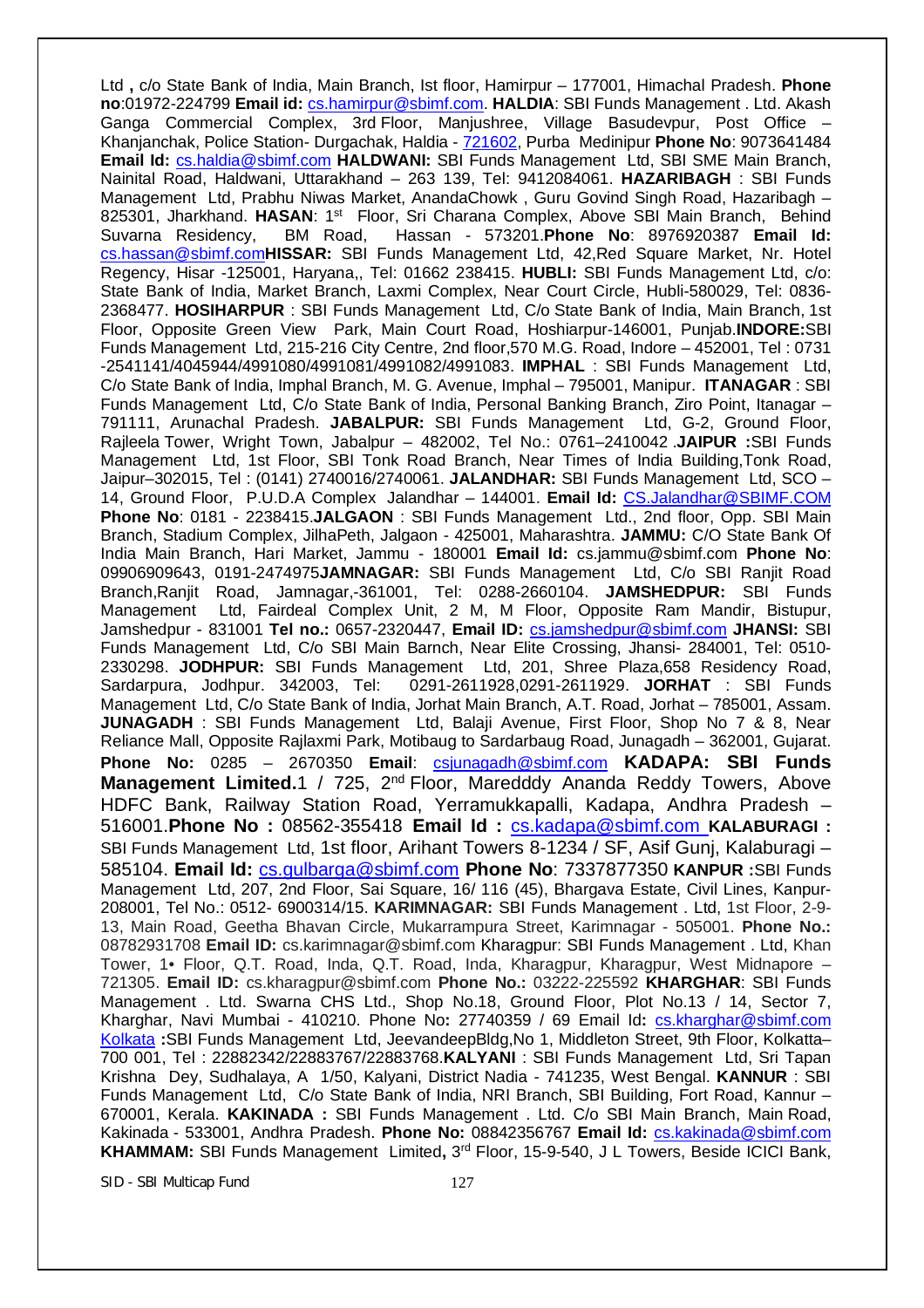Ltd **,** c/o State Bank of India, Main Branch, Ist floor, Hamirpur – 177001, Himachal Pradesh. **Phone no**:01972-224799 **Email id:** cs.hamirpur@sbimf.com. **HALDIA**: SBI Funds Management . Ltd. Akash Ganga Commercial Complex, 3rd Floor, Manjushree, Village Basudevpur, Post Office – Khanjanchak, Police Station- Durgachak, Haldia - 721602, Purba Medinipur **Phone No**: 9073641484 **Email Id:** cs.haldia@sbimf.com **HALDWANI:** SBI Funds Management Ltd, SBI SME Main Branch, Nainital Road, Haldwani, Uttarakhand – 263 139, Tel: 9412084061. **HAZARIBAGH** : SBI Funds Management Ltd, Prabhu Niwas Market, AnandaChowk , Guru Govind Singh Road, Hazaribagh – 825301, Jharkhand. HASAN: 1<sup>st</sup> Floor, Sri Charana Complex, Above SBI Main Branch, Behind Suvarna Residency, BM Road, Hassan - 573201.**Phone No**: 8976920387 **Email Id:** cs.hassan@sbimf.com**HISSAR:** SBI Funds Management Ltd, 42,Red Square Market, Nr. Hotel Regency, Hisar -125001, Haryana,, Tel: 01662 238415. **HUBLI:** SBI Funds Management Ltd, c/o: State Bank of India, Market Branch, Laxmi Complex, Near Court Circle, Hubli-580029, Tel: 0836- 2368477. **HOSIHARPUR** : SBI Funds Management Ltd, C/o State Bank of India, Main Branch, 1st Floor, Opposite Green View Park, Main Court Road, Hoshiarpur-146001, Punjab.**INDORE:**SBI Funds Management Ltd, 215-216 City Centre, 2nd floor,570 M.G. Road, Indore – 452001, Tel : 0731 -2541141/4045944/4991080/4991081/4991082/4991083. **IMPHAL** : SBI Funds Management Ltd, C/o State Bank of India, Imphal Branch, M. G. Avenue, Imphal – 795001, Manipur. **ITANAGAR** : SBI Funds Management Ltd, C/o State Bank of India, Personal Banking Branch, Ziro Point, Itanagar – 791111, Arunachal Pradesh. **JABALPUR:** SBI Funds Management Ltd, G-2, Ground Floor, Rajleela Tower, Wright Town, Jabalpur – 482002, Tel No.: 0761–2410042 .**JAIPUR :**SBI Funds Management Ltd, 1st Floor, SBI Tonk Road Branch, Near Times of India Building,Tonk Road, Jaipur–302015, Tel : (0141) 2740016/2740061. **JALANDHAR:** SBI Funds Management Ltd, SCO – 14, Ground Floor, P.U.D.A Complex Jalandhar – 144001. **Email Id:** CS.Jalandhar@SBIMF.COM **Phone No**: 0181 - 2238415.**JALGAON** : SBI Funds Management Ltd., 2nd floor, Opp. SBI Main Branch, Stadium Complex, JilhaPeth, Jalgaon - 425001, Maharashtra. **JAMMU:** C/O State Bank Of India Main Branch, Hari Market, Jammu - 180001 **Email Id:** cs.jammu@sbimf.com **Phone No**: 09906909643, 0191-2474975**JAMNAGAR:** SBI Funds Management Ltd, C/o SBI Ranjit Road Branch,Ranjit Road, Jamnagar,-361001, Tel: 0288-2660104. **JAMSHEDPUR:** SBI Funds Management Ltd, Fairdeal Complex Unit, 2 M, M Floor, Opposite Ram Mandir, Bistupur, Jamshedpur - 831001 **Tel no.:** 0657-2320447, **Email ID:** cs.jamshedpur@sbimf.com **JHANSI:** SBI Funds Management Ltd, C/o SBI Main Barnch, Near Elite Crossing, Jhansi- 284001, Tel: 0510- 2330298. **JODHPUR:** SBI Funds Management Ltd, 201, Shree Plaza,658 Residency Road, Sardarpura, Jodhpur. 342003, Tel: 0291-2611928,0291-2611929. **JORHAT** : SBI Funds Management Ltd, C/o State Bank of India, Jorhat Main Branch, A.T. Road, Jorhat – 785001, Assam. **JUNAGADH** : SBI Funds Management Ltd, Balaji Avenue, First Floor, Shop No 7 & 8, Near Reliance Mall, Opposite Rajlaxmi Park, Motibaug to Sardarbaug Road, Junagadh – 362001, Gujarat. **Phone No:** 0285 – 2670350 **Email**: csjunagadh@sbimf.com **KADAPA: SBI Funds Management Limited.**1 / 725, 2<sup>nd</sup> Floor, Maredddy Ananda Reddy Towers, Above HDFC Bank, Railway Station Road, Yerramukkapalli, Kadapa, Andhra Pradesh – 516001.**Phone No :** 08562-355418 **Email Id :** cs.kadapa@sbimf.com **KALABURAGI :**  SBI Funds Management Ltd, 1st floor, Arihant Towers 8-1234 / SF, Asif Gunj, Kalaburagi – 585104. **Email Id:** cs.gulbarga@sbimf.com **Phone No**: 7337877350 **KANPUR :**SBI Funds Management Ltd, 207, 2nd Floor, Sai Square, 16/ 116 (45), Bhargava Estate, Civil Lines, Kanpur-208001, Tel No.: 0512- 6900314/15. **KARIMNAGAR:** SBI Funds Management . Ltd, 1st Floor, 2-9- 13, Main Road, Geetha Bhavan Circle, Mukarrampura Street, Karimnagar - 505001. **Phone No.:**  08782931708 **Email ID:** cs.karimnagar@sbimf.com Kharagpur: SBI Funds Management . Ltd, Khan Tower, 1• Floor, Q.T. Road, Inda, Q.T. Road, Inda, Kharagpur, Kharagpur, West Midnapore – 721305. **Email ID:** cs.kharagpur@sbimf.com **Phone No.:** 03222-225592 **KHARGHAR**: SBI Funds Management . Ltd. Swarna CHS Ltd., Shop No.18, Ground Floor, Plot No.13 / 14, Sector 7, Kharghar, Navi Mumbai - 410210. Phone No**:** 27740359 / 69 Email Id**:** cs.kharghar@sbimf.com Kolkata **:**SBI Funds Management Ltd, JeevandeepBldg,No 1, Middleton Street, 9th Floor, Kolkatta– 700 001, Tel : 22882342/22883767/22883768.**KALYANI** : SBI Funds Management Ltd, Sri Tapan Krishna Dey, Sudhalaya, A 1/50, Kalyani, District Nadia - 741235, West Bengal. **KANNUR** : SBI Funds Management Ltd, C/o State Bank of India, NRI Branch, SBI Building, Fort Road, Kannur – 670001, Kerala. **KAKINADA :** SBI Funds Management . Ltd. C/o SBI Main Branch, Main Road, Kakinada - 533001, Andhra Pradesh. **Phone No:** 08842356767 **Email Id:** cs.kakinada@sbimf.com KHAMMAM: SBI Funds Management Limited, 3<sup>rd</sup> Floor, 15-9-540, J L Towers, Beside ICICI Bank,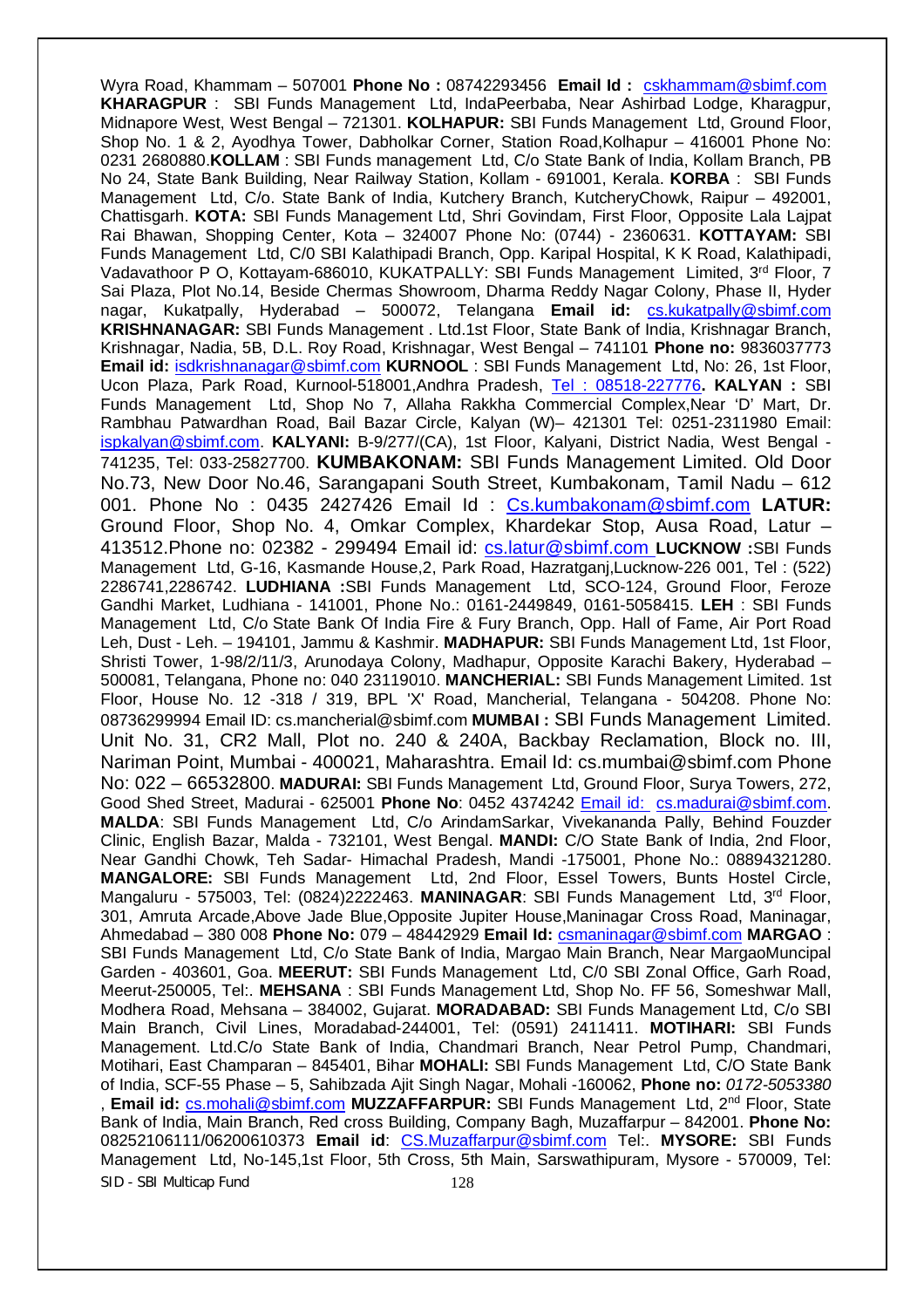SID - SBI Multicap Fund 128 Wyra Road, Khammam – 507001 **Phone No :** 08742293456 **Email Id :** cskhammam@sbimf.com **KHARAGPUR** : SBI Funds Management Ltd, IndaPeerbaba, Near Ashirbad Lodge, Kharagpur, Midnapore West, West Bengal – 721301. **KOLHAPUR:** SBI Funds Management Ltd, Ground Floor, Shop No. 1 & 2, Ayodhya Tower, Dabholkar Corner, Station Road,Kolhapur – 416001 Phone No: 0231 2680880.**KOLLAM** : SBI Funds management Ltd, C/o State Bank of India, Kollam Branch, PB No 24, State Bank Building, Near Railway Station, Kollam - 691001, Kerala. **KORBA** : SBI Funds Management Ltd, C/o. State Bank of India, Kutchery Branch, KutcheryChowk, Raipur – 492001, Chattisgarh. **KOTA:** SBI Funds Management Ltd, Shri Govindam, First Floor, Opposite Lala Lajpat Rai Bhawan, Shopping Center, Kota – 324007 Phone No: (0744) - 2360631. **KOTTAYAM:** SBI Funds Management Ltd, C/0 SBI Kalathipadi Branch, Opp. Karipal Hospital, K K Road, Kalathipadi, Vadavathoor P O, Kottayam-686010, KUKATPALLY: SBI Funds Management Limited, 3rd Floor, 7 Sai Plaza, Plot No.14, Beside Chermas Showroom, Dharma Reddy Nagar Colony, Phase II, Hyder nagar, Kukatpally, Hyderabad – 500072, Telangana **Email id:** cs.kukatpally@sbimf.com **KRISHNANAGAR:** SBI Funds Management . Ltd.1st Floor, State Bank of India, Krishnagar Branch, Krishnagar, Nadia, 5B, D.L. Roy Road, Krishnagar, West Bengal – 741101 **Phone no:** 9836037773 **Email id:** isdkrishnanagar@sbimf.com **KURNOOL** : SBI Funds Management Ltd, No: 26, 1st Floor, Ucon Plaza, Park Road, Kurnool-518001,Andhra Pradesh, Tel : 08518-227776**. KALYAN :** SBI Funds Management Ltd, Shop No 7, Allaha Rakkha Commercial Complex,Near 'D' Mart, Dr. Rambhau Patwardhan Road, Bail Bazar Circle, Kalyan (W)– 421301 Tel: 0251-2311980 Email: ispkalyan@sbimf.com. **KALYANI:** B-9/277/(CA), 1st Floor, Kalyani, District Nadia, West Bengal - 741235, Tel: 033-25827700. **KUMBAKONAM:** SBI Funds Management Limited. Old Door No.73, New Door No.46, Sarangapani South Street, Kumbakonam, Tamil Nadu – 612 001. Phone No : 0435 2427426 Email Id : Cs.kumbakonam@sbimf.com **LATUR:** Ground Floor, Shop No. 4, Omkar Complex, Khardekar Stop, Ausa Road, Latur – 413512.Phone no: 02382 - 299494 Email id: cs.latur@sbimf.com **LUCKNOW :**SBI Funds Management Ltd, G-16, Kasmande House,2, Park Road, Hazratganj,Lucknow-226 001, Tel : (522) 2286741,2286742. **LUDHIANA :**SBI Funds Management Ltd, SCO-124, Ground Floor, Feroze Gandhi Market, Ludhiana - 141001, Phone No.: 0161-2449849, 0161-5058415. **LEH** : SBI Funds Management Ltd, C/o State Bank Of India Fire & Fury Branch, Opp. Hall of Fame, Air Port Road Leh, Dust - Leh. – 194101, Jammu & Kashmir. **MADHAPUR:** SBI Funds Management Ltd, 1st Floor, Shristi Tower, 1-98/2/11/3, Arunodaya Colony, Madhapur, Opposite Karachi Bakery, Hyderabad – 500081, Telangana, Phone no: 040 23119010. **MANCHERIAL:** SBI Funds Management Limited. 1st Floor, House No. 12 -318 / 319, BPL 'X' Road, Mancherial, Telangana - 504208. Phone No: 08736299994 Email ID: cs.mancherial@sbimf.com **MUMBAI :** SBI Funds Management Limited. Unit No. 31, CR2 Mall, Plot no. 240 & 240A, Backbay Reclamation, Block no. III, Nariman Point, Mumbai - 400021, Maharashtra. Email Id: cs.mumbai@sbimf.com Phone No: 022 – 66532800. **MADURAI:** SBI Funds Management Ltd, Ground Floor, Surya Towers, 272, Good Shed Street, Madurai - 625001 **Phone No**: 0452 4374242 Email id: cs.madurai@sbimf.com. **MALDA**: SBI Funds Management Ltd, C/o ArindamSarkar, Vivekananda Pally, Behind Fouzder Clinic, English Bazar, Malda - 732101, West Bengal. **MANDI:** C/O State Bank of India, 2nd Floor, Near Gandhi Chowk, Teh Sadar- Himachal Pradesh, Mandi -175001, Phone No.: 08894321280. **MANGALORE:** SBI Funds Management Ltd, 2nd Floor, Essel Towers, Bunts Hostel Circle, Mangaluru - 575003, Tel: (0824)2222463. MANINAGAR: SBI Funds Management Ltd, 3<sup>rd</sup> Floor, 301, Amruta Arcade,Above Jade Blue,Opposite Jupiter House,Maninagar Cross Road, Maninagar, Ahmedabad – 380 008 **Phone No:** 079 – 48442929 **Email Id:** csmaninagar@sbimf.com **MARGAO** : SBI Funds Management Ltd, C/o State Bank of India, Margao Main Branch, Near MargaoMuncipal Garden - 403601, Goa. **MEERUT:** SBI Funds Management Ltd, C/0 SBI Zonal Office, Garh Road, Meerut-250005, Tel:. **MEHSANA** : SBI Funds Management Ltd, Shop No. FF 56, Someshwar Mall, Modhera Road, Mehsana – 384002, Gujarat. **MORADABAD:** SBI Funds Management Ltd, C/o SBI Main Branch, Civil Lines, Moradabad-244001, Tel: (0591) 2411411. **MOTIHARI:** SBI Funds Management. Ltd.C/o State Bank of India, Chandmari Branch, Near Petrol Pump, Chandmari, Motihari, East Champaran – 845401, Bihar **MOHALI:** SBI Funds Management Ltd, C/O State Bank of India, SCF-55 Phase – 5, Sahibzada Ajit Singh Nagar, Mohali -160062, **Phone no:** *0172-5053380* **Email id:** cs.mohali@sbimf.com **MUZZAFFARPUR:** SBI Funds Management Ltd, 2<sup>nd</sup> Floor, State Bank of India, Main Branch, Red cross Building, Company Bagh, Muzaffarpur – 842001. **Phone No:** 08252106111/06200610373 **Email id**: CS.Muzaffarpur@sbimf.com Tel:. **MYSORE:** SBI Funds Management Ltd, No-145,1st Floor, 5th Cross, 5th Main, Sarswathipuram, Mysore - 570009, Tel: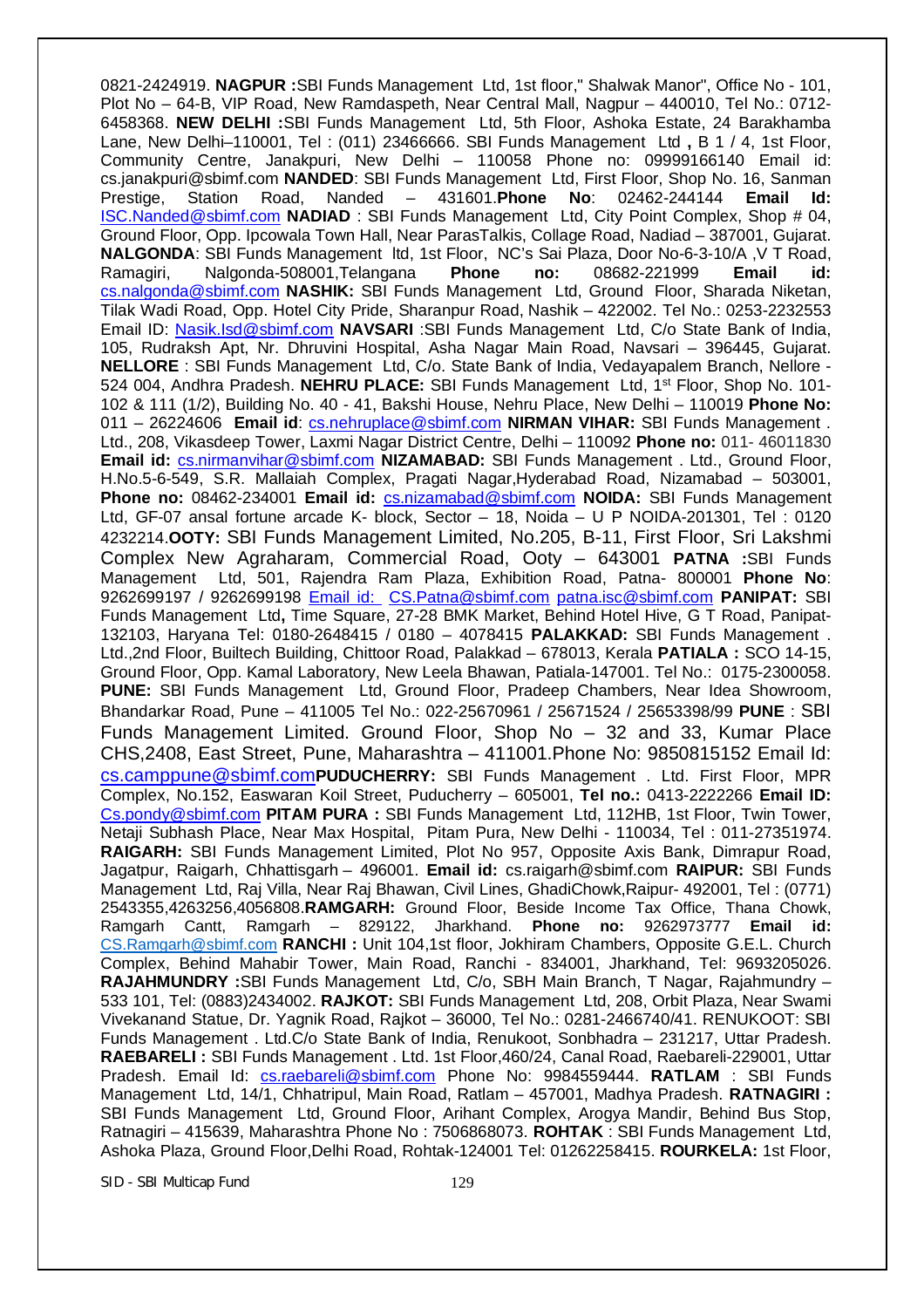0821-2424919. **NAGPUR :**SBI Funds Management Ltd, 1st floor," Shalwak Manor", Office No - 101, Plot No – 64-B, VIP Road, New Ramdaspeth, Near Central Mall, Nagpur – 440010, Tel No.: 0712- 6458368. **NEW DELHI :**SBI Funds Management Ltd, 5th Floor, Ashoka Estate, 24 Barakhamba Lane, New Delhi–110001, Tel : (011) 23466666. SBI Funds Management Ltd **,** B 1 / 4, 1st Floor, Community Centre, Janakpuri, New Delhi – 110058 Phone no: 09999166140 Email id: cs.janakpuri@sbimf.com **NANDED**: SBI Funds Management Ltd, First Floor, Shop No. 16, Sanman Prestige, Station Road, Nanded – 431601.**Phone No**: 02462-244144 **Email Id:**  ISC.Nanded@sbimf.com **NADIAD** : SBI Funds Management Ltd, City Point Complex, Shop # 04, Ground Floor, Opp. Ipcowala Town Hall, Near ParasTalkis, Collage Road, Nadiad – 387001, Gujarat. **NALGONDA**: SBI Funds Management ltd, 1st Floor, NC's Sai Plaza, Door No-6-3-10/A ,V T Road, Ramagiri, Nalgonda-508001,Telangana **Phone no:** 08682-221999 **Email id:**  cs.nalgonda@sbimf.com **NASHIK:** SBI Funds Management Ltd, Ground Floor, Sharada Niketan, Tilak Wadi Road, Opp. Hotel City Pride, Sharanpur Road, Nashik – 422002. Tel No.: 0253-2232553 Email ID: Nasik.Isd@sbimf.com **NAVSARI** :SBI Funds Management Ltd, C/o State Bank of India, 105, Rudraksh Apt, Nr. Dhruvini Hospital, Asha Nagar Main Road, Navsari – 396445, Gujarat. **NELLORE** : SBI Funds Management Ltd, C/o. State Bank of India, Vedayapalem Branch, Nellore - 524 004, Andhra Pradesh. **NEHRU PLACE:** SBI Funds Management Ltd, 1st Floor, Shop No. 101- 102 & 111 (1/2), Building No. 40 - 41, Bakshi House, Nehru Place, New Delhi – 110019 **Phone No:** 011 – 26224606 **Email id**: cs.nehruplace@sbimf.com **NIRMAN VIHAR:** SBI Funds Management . Ltd., 208, Vikasdeep Tower, Laxmi Nagar District Centre, Delhi – 110092 **Phone no:** 011- 46011830 **Email id:** cs.nirmanvihar@sbimf.com **NIZAMABAD:** SBI Funds Management . Ltd., Ground Floor, H.No.5-6-549, S.R. Mallaiah Complex, Pragati Nagar,Hyderabad Road, Nizamabad – 503001, **Phone no:** 08462-234001 **Email id:** cs.nizamabad@sbimf.com **NOIDA:** SBI Funds Management Ltd, GF-07 ansal fortune arcade K- block, Sector – 18, Noida – U P NOIDA-201301, Tel : 0120 4232214.**OOTY:** SBI Funds Management Limited, No.205, B-11, First Floor, Sri Lakshmi Complex New Agraharam, Commercial Road, Ooty – 643001 **PATNA :**SBI Funds Management Ltd, 501, Rajendra Ram Plaza, Exhibition Road, Patna- 800001 **Phone No**: 9262699197 / 9262699198 Email id: CS.Patna@sbimf.com patna.isc@sbimf.com **PANIPAT:** SBI Funds Management Ltd**,** Time Square, 27-28 BMK Market, Behind Hotel Hive, G T Road, Panipat-132103, Haryana Tel: 0180-2648415 / 0180 – 4078415 **PALAKKAD:** SBI Funds Management . Ltd.,2nd Floor, Builtech Building, Chittoor Road, Palakkad – 678013, Kerala **PATIALA :** SCO 14-15, Ground Floor, Opp. Kamal Laboratory, New Leela Bhawan, Patiala-147001. Tel No.: 0175-2300058. **PUNE:** SBI Funds Management Ltd, Ground Floor, Pradeep Chambers, Near Idea Showroom, Bhandarkar Road, Pune – 411005 Tel No.: 022-25670961 / 25671524 / 25653398/99 **PUNE** : SBI Funds Management Limited. Ground Floor, Shop No – 32 and 33, Kumar Place CHS,2408, East Street, Pune, Maharashtra – 411001.Phone No: 9850815152 Email Id: cs.camppune@sbimf.com**PUDUCHERRY:** SBI Funds Management . Ltd. First Floor, MPR Complex, No.152, Easwaran Koil Street, Puducherry – 605001, **Tel no.:** 0413-2222266 **Email ID:**  Cs.pondy@sbimf.com **PITAM PURA :** SBI Funds Management Ltd, 112HB, 1st Floor, Twin Tower, Netaji Subhash Place, Near Max Hospital, Pitam Pura, New Delhi - 110034, Tel : 011-27351974. **RAIGARH:** SBI Funds Management Limited, Plot No 957, Opposite Axis Bank, Dimrapur Road, Jagatpur, Raigarh, Chhattisgarh – 496001. **Email id:** cs.raigarh@sbimf.com **RAIPUR:** SBI Funds Management Ltd, Raj Villa, Near Raj Bhawan, Civil Lines, GhadiChowk,Raipur- 492001, Tel : (0771) 2543355,4263256,4056808.**RAMGARH:** Ground Floor, Beside Income Tax Office, Thana Chowk, Ramgarh Cantt, Ramgarh – 829122, Jharkhand. **Phone no:** 9262973777 **Email id:** CS.Ramgarh@sbimf.com **RANCHI :** Unit 104,1st floor, Jokhiram Chambers, Opposite G.E.L. Church Complex, Behind Mahabir Tower, Main Road, Ranchi - 834001, Jharkhand, Tel: 9693205026. **RAJAHMUNDRY :**SBI Funds Management Ltd, C/o, SBH Main Branch, T Nagar, Rajahmundry – 533 101, Tel: (0883)2434002. **RAJKOT:** SBI Funds Management Ltd, 208, Orbit Plaza, Near Swami Vivekanand Statue, Dr. Yagnik Road, Rajkot – 36000, Tel No.: 0281-2466740/41. RENUKOOT: SBI Funds Management . Ltd.C/o State Bank of India, Renukoot, Sonbhadra – 231217, Uttar Pradesh. **RAEBARELI :** SBI Funds Management . Ltd. 1st Floor,460/24, Canal Road, Raebareli-229001, Uttar Pradesh. Email Id: cs.raebareli@sbimf.com Phone No: 9984559444. **RATLAM** : SBI Funds Management Ltd, 14/1, Chhatripul, Main Road, Ratlam – 457001, Madhya Pradesh. **RATNAGIRI :**  SBI Funds Management Ltd, Ground Floor, Arihant Complex, Arogya Mandir, Behind Bus Stop, Ratnagiri – 415639, Maharashtra Phone No : 7506868073. **ROHTAK** : SBI Funds Management Ltd, Ashoka Plaza, Ground Floor,Delhi Road, Rohtak-124001 Tel: 01262258415. **ROURKELA:** 1st Floor,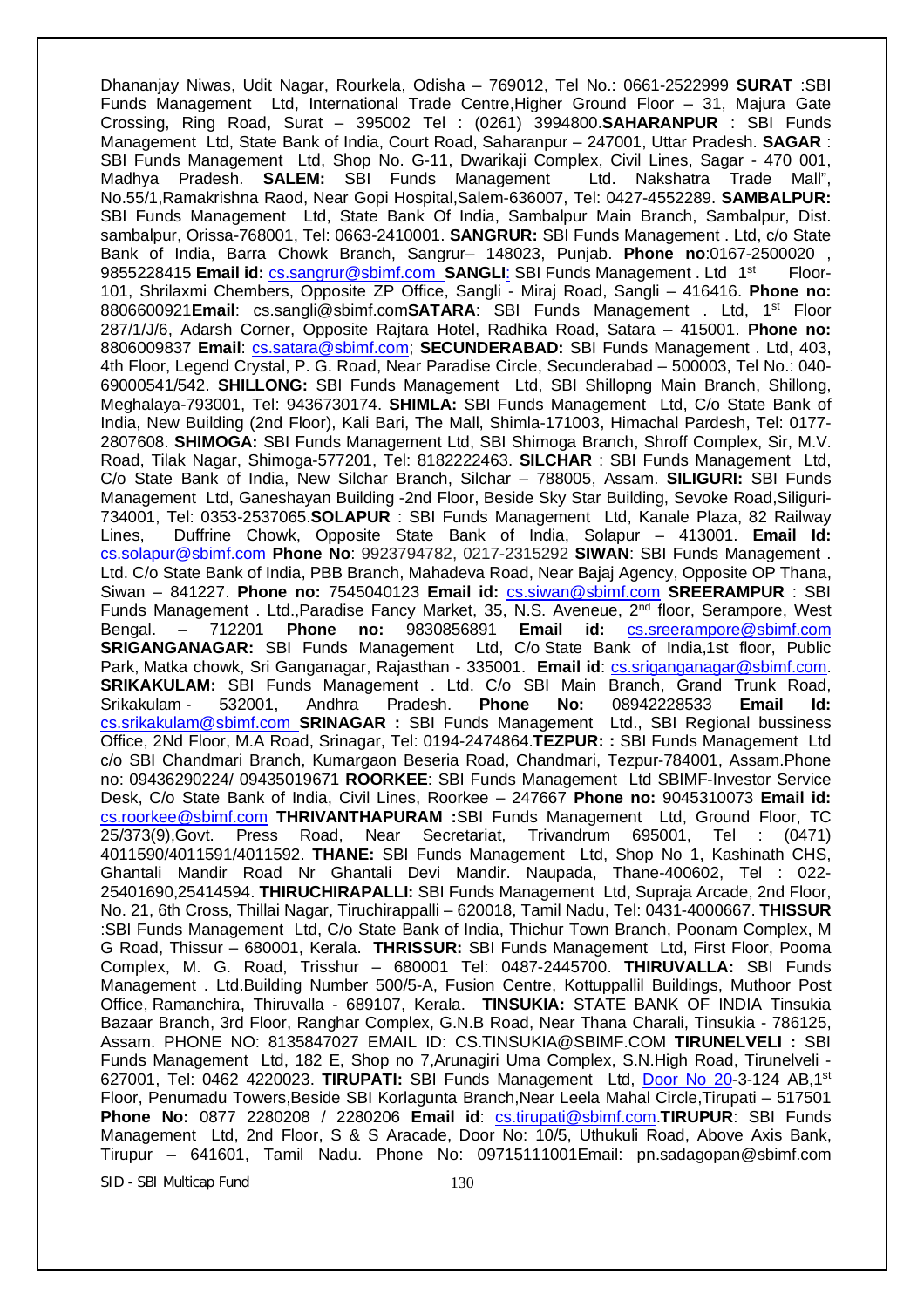Dhananjay Niwas, Udit Nagar, Rourkela, Odisha – 769012, Tel No.: 0661-2522999 **SURAT** :SBI Funds Management Ltd, International Trade Centre,Higher Ground Floor – 31, Majura Gate Crossing, Ring Road, Surat – 395002 Tel : (0261) 3994800.**SAHARANPUR** : SBI Funds Management Ltd, State Bank of India, Court Road, Saharanpur – 247001, Uttar Pradesh. **SAGAR** : SBI Funds Management Ltd, Shop No. G-11, Dwarikaji Complex, Civil Lines, Sagar - 470 001, Madhva Pradesh. SALEM: SBI Funds Management Ltd. Nakshatra Trade Mall", Madhya Pradesh. **SALEM:** SBI Funds Management Ltd. Nakshatra Trade Mall", No.55/1,Ramakrishna Raod, Near Gopi Hospital,Salem-636007, Tel: 0427-4552289. **SAMBALPUR:**  SBI Funds Management Ltd, State Bank Of India, Sambalpur Main Branch, Sambalpur, Dist. sambalpur, Orissa-768001, Tel: 0663-2410001. **SANGRUR:** SBI Funds Management . Ltd, c/o State Bank of India, Barra Chowk Branch, Sangrur– 148023, Punjab. **Phone no**:0167-2500020 , 9855228415 **Email id: cs.sangrur@sbimf.com SANGLI: SBI Funds Management. Ltd 1<sup>st</sup>** Floor-101, Shrilaxmi Chembers, Opposite ZP Office, Sangli - Miraj Road, Sangli – 416416. **Phone no:** 8806600921**Email**: cs.sangli@sbimf.com**SATARA**: SBI Funds Management . Ltd, 1st Floor 287/1/J/6, Adarsh Corner, Opposite Rajtara Hotel, Radhika Road, Satara – 415001. **Phone no:** 8806009837 **Email**: cs.satara@sbimf.com; **SECUNDERABAD:** SBI Funds Management . Ltd, 403, 4th Floor, Legend Crystal, P. G. Road, Near Paradise Circle, Secunderabad – 500003, Tel No.: 040- 69000541/542. **SHILLONG:** SBI Funds Management Ltd, SBI Shillopng Main Branch, Shillong, Meghalaya-793001, Tel: 9436730174. **SHIMLA:** SBI Funds Management Ltd, C/o State Bank of India, New Building (2nd Floor), Kali Bari, The Mall, Shimla-171003, Himachal Pardesh, Tel: 0177- 2807608. **SHIMOGA:** SBI Funds Management Ltd, SBI Shimoga Branch, Shroff Complex, Sir, M.V. Road, Tilak Nagar, Shimoga-577201, Tel: 8182222463. **SILCHAR** : SBI Funds Management Ltd, C/o State Bank of India, New Silchar Branch, Silchar – 788005, Assam. **SILIGURI:** SBI Funds Management Ltd, Ganeshayan Building -2nd Floor, Beside Sky Star Building, Sevoke Road,Siliguri-734001, Tel: 0353-2537065.**SOLAPUR** : SBI Funds Management Ltd, Kanale Plaza, 82 Railway Lines, Duffrine Chowk, Opposite State Bank of India, Solapur – 413001. **Email Id:** cs.solapur@sbimf.com **Phone No**: 9923794782, 0217-2315292 **SIWAN**: SBI Funds Management . Ltd. C/o State Bank of India, PBB Branch, Mahadeva Road, Near Bajaj Agency, Opposite OP Thana, Siwan – 841227. **Phone no:** 7545040123 **Email id:** cs.siwan@sbimf.com **SREERAMPUR** : SBI Funds Management . Ltd., Paradise Fancy Market, 35, N.S. Aveneue, 2<sup>nd</sup> floor, Serampore, West Bengal. – 712201 **Phone no:** 9830856891 **Email id:** cs.sreerampore@sbimf.com **SRIGANGANAGAR:** SBI Funds Management Ltd, C/o State Bank of India,1st floor, Public Park, Matka chowk, Sri Ganganagar, Rajasthan - 335001. **Email id**: cs.sriganganagar@sbimf.com. **SRIKAKULAM:** SBI Funds Management . Ltd. C/o SBI Main Branch, Grand Trunk Road, Srikakulam - 532001, Andhra Pradesh. **Phone No:** 08942228533 **Email Id:** cs.srikakulam@sbimf.com **SRINAGAR :** SBI Funds Management Ltd., SBI Regional bussiness Office, 2Nd Floor, M.A Road, Srinagar, Tel: 0194-2474864.**TEZPUR: :** SBI Funds Management Ltd c/o SBI Chandmari Branch, Kumargaon Beseria Road, Chandmari, Tezpur-784001, Assam.Phone no: 09436290224/ 09435019671 **ROORKEE**: SBI Funds Management Ltd SBIMF-Investor Service Desk, C/o State Bank of India, Civil Lines, Roorkee – 247667 **Phone no:** 9045310073 **Email id:**  cs.roorkee@sbimf.com **THRIVANTHAPURAM :**SBI Funds Management Ltd, Ground Floor, TC 25/373(9),Govt. Press Road, Near Secretariat, Trivandrum 695001, Tel : (0471) 4011590/4011591/4011592. **THANE:** SBI Funds Management Ltd, Shop No 1, Kashinath CHS, Ghantali Mandir Road Nr Ghantali Devi Mandir. Naupada, Thane-400602, Tel : 022- 25401690,25414594. **THIRUCHIRAPALLI:** SBI Funds Management Ltd, Supraja Arcade, 2nd Floor, No. 21, 6th Cross, Thillai Nagar, Tiruchirappalli – 620018, Tamil Nadu, Tel: 0431-4000667. **THISSUR** :SBI Funds Management Ltd, C/o State Bank of India, Thichur Town Branch, Poonam Complex, M G Road, Thissur – 680001, Kerala. **THRISSUR:** SBI Funds Management Ltd, First Floor, Pooma Complex, M. G. Road, Trisshur – 680001 Tel: 0487-2445700. **THIRUVALLA:** SBI Funds Management . Ltd.Building Number 500/5-A, Fusion Centre, Kottuppallil Buildings, Muthoor Post Office, Ramanchira, Thiruvalla - 689107, Kerala. **TINSUKIA:** STATE BANK OF INDIA Tinsukia Bazaar Branch, 3rd Floor, Ranghar Complex, G.N.B Road, Near Thana Charali, Tinsukia - 786125, Assam. PHONE NO: 8135847027 EMAIL ID: CS.TINSUKIA@SBIMF.COM **TIRUNELVELI :** SBI Funds Management Ltd, 182 E, Shop no 7,Arunagiri Uma Complex, S.N.High Road, Tirunelveli - 627001, Tel: 0462 4220023. **TIRUPATI:** SBI Funds Management Ltd, Door No 20-3-124 AB,1st Floor, Penumadu Towers,Beside SBI Korlagunta Branch,Near Leela Mahal Circle,Tirupati – 517501 **Phone No:** 0877 2280208 / 2280206 **Email id**: cs.tirupati@sbimf.com.**TIRUPUR**: SBI Funds Management Ltd, 2nd Floor, S & S Aracade, Door No: 10/5, Uthukuli Road, Above Axis Bank, Tirupur – 641601, Tamil Nadu. Phone No: 09715111001Email: pn.sadagopan@sbimf.com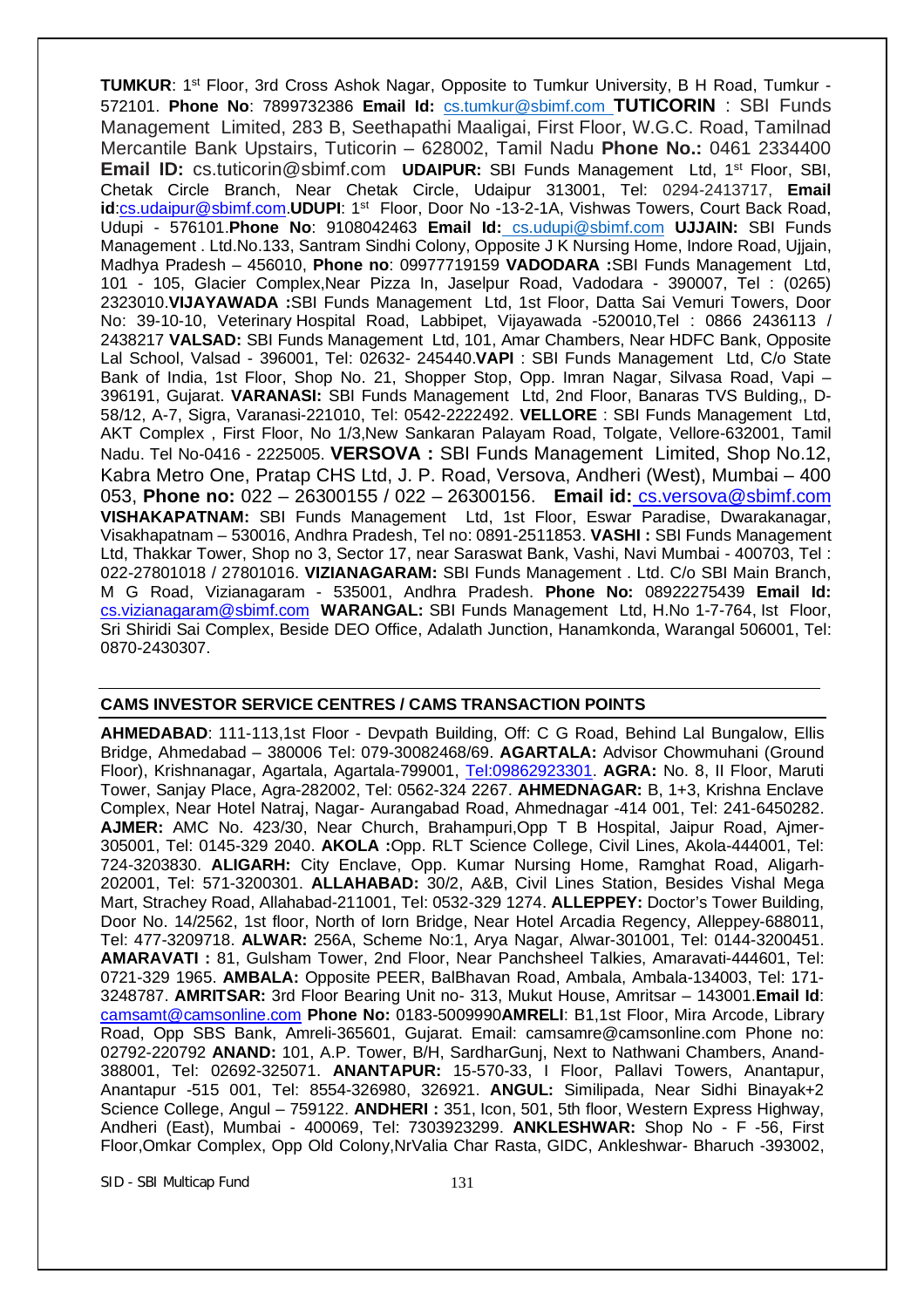TUMKUR: 1<sup>st</sup> Floor, 3rd Cross Ashok Nagar, Opposite to Tumkur University, B H Road, Tumkur -572101. **Phone No**: 7899732386 **Email Id:** cs.tumkur@sbimf.com **TUTICORIN** : SBI Funds Management Limited, 283 B, Seethapathi Maaligai, First Floor, W.G.C. Road, Tamilnad Mercantile Bank Upstairs, Tuticorin – 628002, Tamil Nadu **Phone No.:** 0461 2334400 **Email ID:** cs.tuticorin@sbimf.com **UDAIPUR:** SBI Funds Management Ltd, 1<sup>st</sup> Floor, SBI, Chetak Circle Branch, Near Chetak Circle, Udaipur 313001, Tel: 0294-2413717, **Email**  id:cs.udaipur@sbimf.com.UDUPI: 1<sup>st</sup> Floor, Door No -13-2-1A, Vishwas Towers, Court Back Road, Udupi - 576101.**Phone No**: 9108042463 **Email Id:** cs.udupi@sbimf.com **UJJAIN:** SBI Funds Management . Ltd.No.133, Santram Sindhi Colony, Opposite J K Nursing Home, Indore Road, Ujjain, Madhya Pradesh – 456010, **Phone no**: 09977719159 **VADODARA :**SBI Funds Management Ltd, 101 - 105, Glacier Complex,Near Pizza In, Jaselpur Road, Vadodara - 390007, Tel : (0265) 2323010.**VIJAYAWADA :**SBI Funds Management Ltd, 1st Floor, Datta Sai Vemuri Towers, Door No: 39-10-10, Veterinary Hospital Road, Labbipet, Vijayawada -520010,Tel : 0866 2436113 / 2438217 **VALSAD:** SBI Funds Management Ltd, 101, Amar Chambers, Near HDFC Bank, Opposite Lal School, Valsad - 396001, Tel: 02632- 245440.**VAPI** : SBI Funds Management Ltd, C/o State Bank of India, 1st Floor, Shop No. 21, Shopper Stop, Opp. Imran Nagar, Silvasa Road, Vapi – 396191, Gujarat. **VARANASI:** SBI Funds Management Ltd, 2nd Floor, Banaras TVS Bulding,, D-58/12, A-7, Sigra, Varanasi-221010, Tel: 0542-2222492. **VELLORE** : SBI Funds Management Ltd, AKT Complex , First Floor, No 1/3,New Sankaran Palayam Road, Tolgate, Vellore-632001, Tamil Nadu. Tel No-0416 - 2225005. **VERSOVA :** SBI Funds Management Limited, Shop No.12, Kabra Metro One, Pratap CHS Ltd, J. P. Road, Versova, Andheri (West), Mumbai – 400 053, **Phone no:** 022 – 26300155 / 022 – 26300156. **Email id:** cs.versova@sbimf.com **VISHAKAPATNAM:** SBI Funds Management Ltd, 1st Floor, Eswar Paradise, Dwarakanagar, Visakhapatnam – 530016, Andhra Pradesh, Tel no: 0891-2511853. **VASHI :** SBI Funds Management Ltd, Thakkar Tower, Shop no 3, Sector 17, near Saraswat Bank, Vashi, Navi Mumbai - 400703, Tel : 022-27801018 / 27801016. **VIZIANAGARAM:** SBI Funds Management . Ltd. C/o SBI Main Branch, M G Road, Vizianagaram - 535001, Andhra Pradesh. **Phone No:** 08922275439 **Email Id:** cs.vizianagaram@sbimf.com **WARANGAL:** SBI Funds Management Ltd, H.No 1-7-764, Ist Floor, Sri Shiridi Sai Complex, Beside DEO Office, Adalath Junction, Hanamkonda, Warangal 506001, Tel: 0870-2430307.

#### **CAMS INVESTOR SERVICE CENTRES / CAMS TRANSACTION POINTS**

**AHMEDABAD**: 111-113,1st Floor - Devpath Building, Off: C G Road, Behind Lal Bungalow, Ellis Bridge, Ahmedabad – 380006 Tel: 079-30082468/69. **AGARTALA:** Advisor Chowmuhani (Ground Floor), Krishnanagar, Agartala, Agartala-799001, Tel:09862923301. **AGRA:** No. 8, II Floor, Maruti Tower, Sanjay Place, Agra-282002, Tel: 0562-324 2267. **AHMEDNAGAR:** B, 1+3, Krishna Enclave Complex, Near Hotel Natraj, Nagar- Aurangabad Road, Ahmednagar -414 001, Tel: 241-6450282. **AJMER:** AMC No. 423/30, Near Church, Brahampuri,Opp T B Hospital, Jaipur Road, Ajmer-305001, Tel: 0145-329 2040. **AKOLA :**Opp. RLT Science College, Civil Lines, Akola-444001, Tel: 724-3203830. **ALIGARH:** City Enclave, Opp. Kumar Nursing Home, Ramghat Road, Aligarh-202001, Tel: 571-3200301. **ALLAHABAD:** 30/2, A&B, Civil Lines Station, Besides Vishal Mega Mart, Strachey Road, Allahabad-211001, Tel: 0532-329 1274. **ALLEPPEY:** Doctor's Tower Building, Door No. 14/2562, 1st floor, North of Iorn Bridge, Near Hotel Arcadia Regency, Alleppey-688011, Tel: 477-3209718. **ALWAR:** 256A, Scheme No:1, Arya Nagar, Alwar-301001, Tel: 0144-3200451. **AMARAVATI :** 81, Gulsham Tower, 2nd Floor, Near Panchsheel Talkies, Amaravati-444601, Tel: 0721-329 1965. **AMBALA:** Opposite PEER, BalBhavan Road, Ambala, Ambala-134003, Tel: 171- 3248787. **AMRITSAR:** 3rd Floor Bearing Unit no- 313, Mukut House, Amritsar – 143001.**Email Id**: camsamt@camsonline.com **Phone No:** 0183-5009990**AMRELI**: B1,1st Floor, Mira Arcode, Library Road, Opp SBS Bank, Amreli-365601, Gujarat. Email: camsamre@camsonline.com Phone no: 02792-220792 **ANAND:** 101, A.P. Tower, B/H, SardharGunj, Next to Nathwani Chambers, Anand-388001, Tel: 02692-325071. **ANANTAPUR:** 15-570-33, I Floor, Pallavi Towers, Anantapur, Anantapur -515 001, Tel: 8554-326980, 326921. **ANGUL:** Similipada, Near Sidhi Binayak+2 Science College, Angul – 759122. **ANDHERI :** 351, Icon, 501, 5th floor, Western Express Highway, Andheri (East), Mumbai - 400069, Tel: 7303923299. **ANKLESHWAR:** Shop No - F -56, First Floor,Omkar Complex, Opp Old Colony,NrValia Char Rasta, GIDC, Ankleshwar- Bharuch -393002,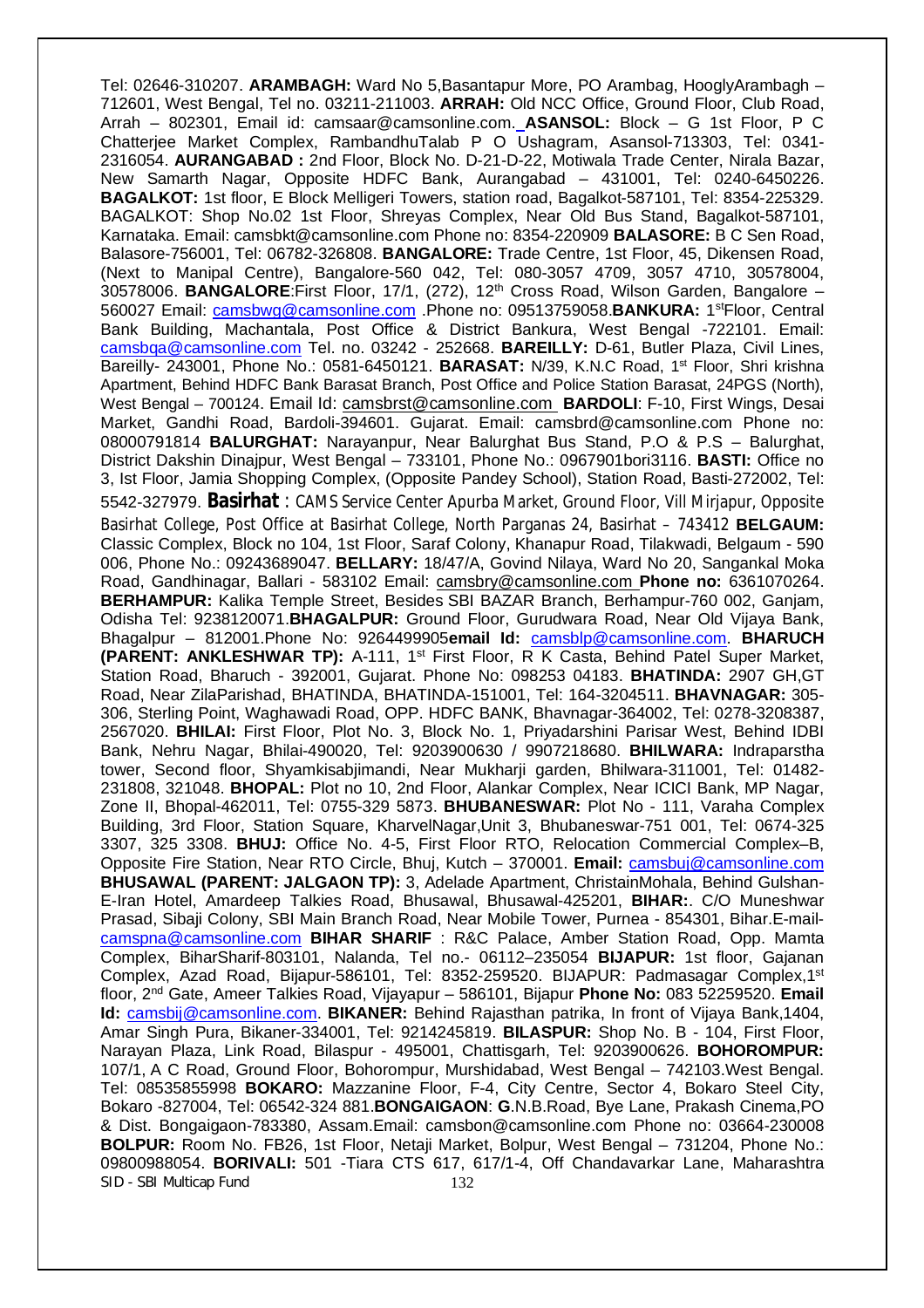SID - SBI Multicap Fund 132 Tel: 02646-310207. **ARAMBAGH:** Ward No 5,Basantapur More, PO Arambag, HooglyArambagh – 712601, West Bengal, Tel no. 03211-211003. **ARRAH:** Old NCC Office, Ground Floor, Club Road, Arrah – 802301, Email id: camsaar@camsonline.com. **ASANSOL:** Block – G 1st Floor, P C Chatterjee Market Complex, RambandhuTalab P O Ushagram, Asansol-713303, Tel: 0341- 2316054. **AURANGABAD :** 2nd Floor, Block No. D-21-D-22, Motiwala Trade Center, Nirala Bazar, New Samarth Nagar, Opposite HDFC Bank, Aurangabad – 431001, Tel: 0240-6450226. **BAGALKOT:** 1st floor, E Block Melligeri Towers, station road, Bagalkot-587101, Tel: 8354-225329. BAGALKOT: Shop No.02 1st Floor, Shreyas Complex, Near Old Bus Stand, Bagalkot-587101, Karnataka. Email: camsbkt@camsonline.com Phone no: 8354-220909 **BALASORE:** B C Sen Road, Balasore-756001, Tel: 06782-326808. **BANGALORE:** Trade Centre, 1st Floor, 45, Dikensen Road, (Next to Manipal Centre), Bangalore-560 042, Tel: 080-3057 4709, 3057 4710, 30578004, 30578006. **BANGALORE**:First Floor, 17/1, (272), 12th Cross Road, Wilson Garden, Bangalore – 560027 Email: *camsbwg@camsonline.com* .Phone no: 09513759058.BANKURA: 1<sup>st</sup>Floor, Central Bank Building, Machantala, Post Office & District Bankura, West Bengal -722101. Email: camsbqa@camsonline.com Tel. no. 03242 - 252668. **BAREILLY:** D-61, Butler Plaza, Civil Lines, Bareilly- 243001, Phone No.: 0581-6450121. BARASAT: N/39, K.N.C Road, 1<sup>st</sup> Floor, Shri krishna Apartment, Behind HDFC Bank Barasat Branch, Post Office and Police Station Barasat, 24PGS (North), West Bengal – 700124. Email Id: camsbrst@camsonline.com **BARDOLI**: F-10, First Wings, Desai Market, Gandhi Road, Bardoli-394601. Gujarat. Email: camsbrd@camsonline.com Phone no: 08000791814 **BALURGHAT:** Narayanpur, Near Balurghat Bus Stand, P.O & P.S – Balurghat, District Dakshin Dinajpur, West Bengal – 733101, Phone No.: 0967901bori3116. **BASTI:** Office no 3, Ist Floor, Jamia Shopping Complex, (Opposite Pandey School), Station Road, Basti-272002, Tel: 5542-327979. **Basirhat** : CAMS Service Center Apurba Market, Ground Floor, Vill Mirjapur, Opposite Basirhat College, Post Office at Basirhat College, North Parganas 24, Basirhat – 743412 **BELGAUM:** Classic Complex, Block no 104, 1st Floor, Saraf Colony, Khanapur Road, Tilakwadi, Belgaum - 590 006, Phone No.: 09243689047. **BELLARY:** 18/47/A, Govind Nilaya, Ward No 20, Sangankal Moka Road, Gandhinagar, Ballari - 583102 Email: camsbry@camsonline.com **Phone no:** 6361070264. **BERHAMPUR:** Kalika Temple Street, Besides SBI BAZAR Branch, Berhampur-760 002, Ganjam, Odisha Tel: 9238120071.**BHAGALPUR:** Ground Floor, Gurudwara Road, Near Old Vijaya Bank, Bhagalpur – 812001.Phone No: 9264499905**email Id:** camsblp@camsonline.com. **BHARUCH (PARENT: ANKLESHWAR TP):** A-111, 1<sup>st</sup> First Floor, R K Casta, Behind Patel Super Market, Station Road, Bharuch - 392001, Gujarat. Phone No: 098253 04183. **BHATINDA:** 2907 GH,GT Road, Near ZilaParishad, BHATINDA, BHATINDA-151001, Tel: 164-3204511. **BHAVNAGAR:** 305- 306, Sterling Point, Waghawadi Road, OPP. HDFC BANK, Bhavnagar-364002, Tel: 0278-3208387, 2567020. **BHILAI:** First Floor, Plot No. 3, Block No. 1, Priyadarshini Parisar West, Behind IDBI Bank, Nehru Nagar, Bhilai-490020, Tel: 9203900630 / 9907218680. **BHILWARA:** Indraparstha tower, Second floor, Shyamkisabjimandi, Near Mukharji garden, Bhilwara-311001, Tel: 01482- 231808, 321048. **BHOPAL:** Plot no 10, 2nd Floor, Alankar Complex, Near ICICI Bank, MP Nagar, Zone II, Bhopal-462011, Tel: 0755-329 5873. **BHUBANESWAR:** Plot No - 111, Varaha Complex Building, 3rd Floor, Station Square, KharvelNagar,Unit 3, Bhubaneswar-751 001, Tel: 0674-325 3307, 325 3308. **BHUJ:** Office No. 4-5, First Floor RTO, Relocation Commercial Complex–B, Opposite Fire Station, Near RTO Circle, Bhuj, Kutch – 370001. **Email:** camsbuj@camsonline.com **BHUSAWAL (PARENT: JALGAON TP):** 3, Adelade Apartment, ChristainMohala, Behind Gulshan-E-Iran Hotel, Amardeep Talkies Road, Bhusawal, Bhusawal-425201, **BIHAR:**. C/O Muneshwar Prasad, Sibaji Colony, SBI Main Branch Road, Near Mobile Tower, Purnea - 854301, Bihar.E-mailcamspna@camsonline.com **BIHAR SHARIF** : R&C Palace, Amber Station Road, Opp. Mamta Complex, BiharSharif-803101, Nalanda, Tel no.- 06112–235054 **BIJAPUR:** 1st floor, Gajanan Complex, Azad Road, Bijapur-586101, Tel: 8352-259520. BIJAPUR: Padmasagar Complex, 1st floor, 2nd Gate, Ameer Talkies Road, Vijayapur – 586101, Bijapur **Phone No:** 083 52259520. **Email Id:** camsbij@camsonline.com. **BIKANER:** Behind Rajasthan patrika, In front of Vijaya Bank,1404, Amar Singh Pura, Bikaner-334001, Tel: 9214245819. **BILASPUR:** Shop No. B - 104, First Floor, Narayan Plaza, Link Road, Bilaspur - 495001, Chattisgarh, Tel: 9203900626. **BOHOROMPUR:** 107/1, A C Road, Ground Floor, Bohorompur, Murshidabad, West Bengal – 742103.West Bengal. Tel: 08535855998 **BOKARO:** Mazzanine Floor, F-4, City Centre, Sector 4, Bokaro Steel City, Bokaro -827004, Tel: 06542-324 881.**BONGAIGAON**: **G**.N.B.Road, Bye Lane, Prakash Cinema,PO & Dist. Bongaigaon-783380, Assam.Email: camsbon@camsonline.com Phone no: 03664-230008 **BOLPUR:** Room No. FB26, 1st Floor, Netaji Market, Bolpur, West Bengal – 731204, Phone No.: 09800988054. **BORIVALI:** 501 -Tiara CTS 617, 617/1-4, Off Chandavarkar Lane, Maharashtra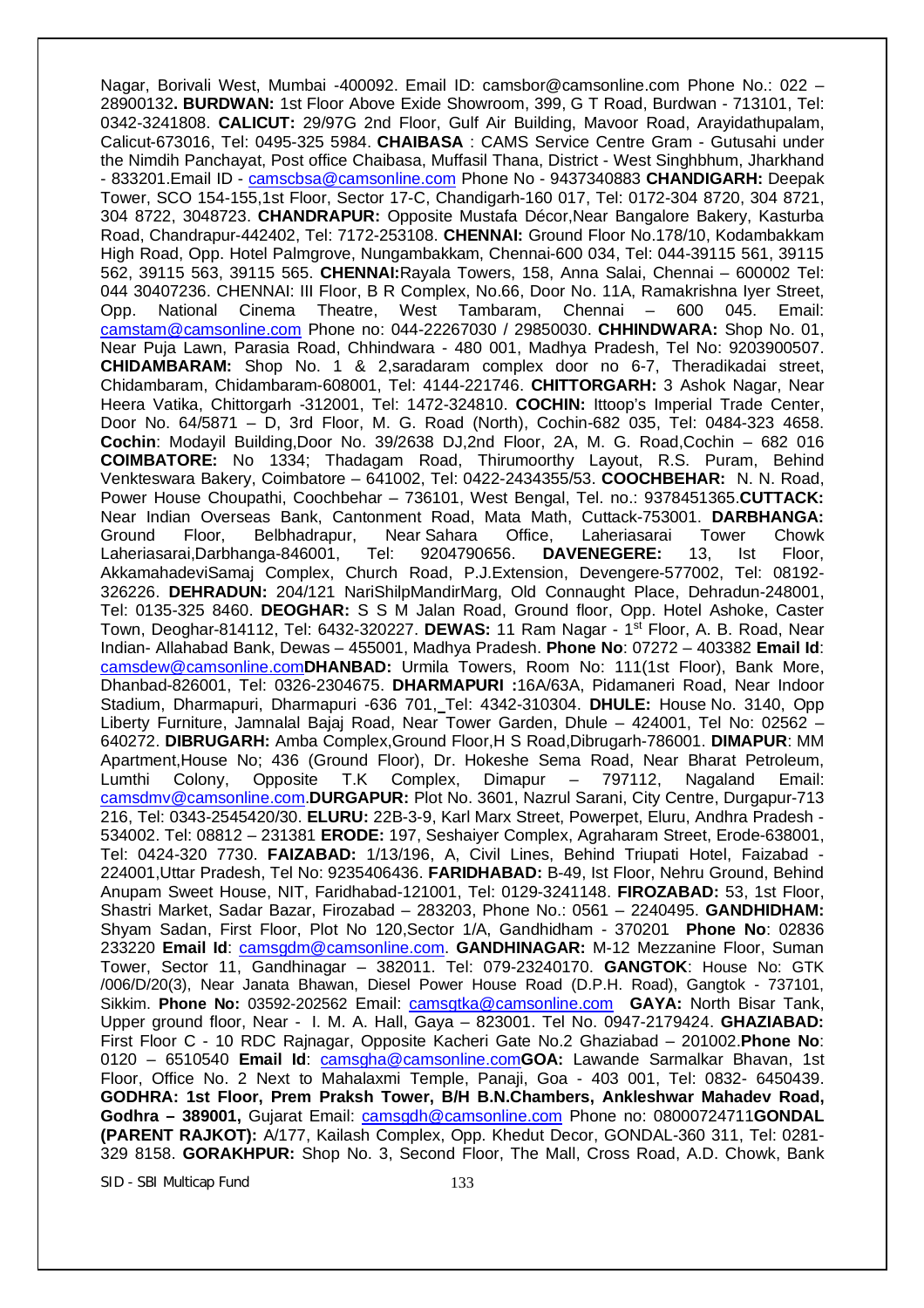Nagar, Borivali West, Mumbai -400092. Email ID: camsbor@camsonline.com Phone No.: 022 – 28900132**. BURDWAN:** 1st Floor Above Exide Showroom, 399, G T Road, Burdwan - 713101, Tel: 0342-3241808. **CALICUT:** 29/97G 2nd Floor, Gulf Air Building, Mavoor Road, Arayidathupalam, Calicut-673016, Tel: 0495-325 5984. **CHAIBASA** : CAMS Service Centre Gram - Gutusahi under the Nimdih Panchayat, Post office Chaibasa, Muffasil Thana, District - West Singhbhum, Jharkhand - 833201.Email ID - camscbsa@camsonline.com Phone No - 9437340883 **CHANDIGARH:** Deepak Tower, SCO 154-155,1st Floor, Sector 17-C, Chandigarh-160 017, Tel: 0172-304 8720, 304 8721, 304 8722, 3048723. **CHANDRAPUR:** Opposite Mustafa Décor,Near Bangalore Bakery, Kasturba Road, Chandrapur-442402, Tel: 7172-253108. **CHENNAI:** Ground Floor No.178/10, Kodambakkam High Road, Opp. Hotel Palmgrove, Nungambakkam, Chennai-600 034, Tel: 044-39115 561, 39115 562, 39115 563, 39115 565. **CHENNAI:**Rayala Towers, 158, Anna Salai, Chennai – 600002 Tel: 044 30407236. CHENNAI: III Floor, B R Complex, No.66, Door No. 11A, Ramakrishna Iyer Street, Opp. National Cinema Theatre, West Tambaram, Chennai – 600 045. Email: camstam@camsonline.com Phone no: 044-22267030 / 29850030. **CHHINDWARA:** Shop No. 01, Near Puja Lawn, Parasia Road, Chhindwara - 480 001, Madhya Pradesh, Tel No: 9203900507. **CHIDAMBARAM:** Shop No. 1 & 2,saradaram complex door no 6-7, Theradikadai street, Chidambaram, Chidambaram-608001, Tel: 4144-221746. **CHITTORGARH:** 3 Ashok Nagar, Near Heera Vatika, Chittorgarh -312001, Tel: 1472-324810. **COCHIN:** Ittoop's Imperial Trade Center, Door No. 64/5871 – D, 3rd Floor, M. G. Road (North), Cochin-682 035, Tel: 0484-323 4658. **Cochin**: Modayil Building,Door No. 39/2638 DJ,2nd Floor, 2A, M. G. Road,Cochin – 682 016 **COIMBATORE:** No 1334; Thadagam Road, Thirumoorthy Layout, R.S. Puram, Behind Venkteswara Bakery, Coimbatore – 641002, Tel: 0422-2434355/53. **COOCHBEHAR:** N. N. Road, Power House Choupathi, Coochbehar – 736101, West Bengal, Tel. no.: 9378451365.**CUTTACK:**  Near Indian Overseas Bank, Cantonment Road, Mata Math, Cuttack-753001. **DARBHANGA:**  Ground Floor, Belbhadrapur, Near Sahara Office, Laheriasarai Tower Chowk Laheriasarai,Darbhanga-846001, Tel: 9204790656. **DAVENEGERE:** 13, Ist Floor, AkkamahadeviSamaj Complex, Church Road, P.J.Extension, Devengere-577002, Tel: 08192- 326226. **DEHRADUN:** 204/121 NariShilpMandirMarg, Old Connaught Place, Dehradun-248001, Tel: 0135-325 8460. **DEOGHAR:** S S M Jalan Road, Ground floor, Opp. Hotel Ashoke, Caster Town, Deoghar-814112, Tel: 6432-320227. **DEWAS:** 11 Ram Nagar - 1 st Floor, A. B. Road, Near Indian- Allahabad Bank, Dewas – 455001, Madhya Pradesh. **Phone No**: 07272 – 403382 **Email Id**: camsdew@camsonline.com**DHANBAD:** Urmila Towers, Room No: 111(1st Floor), Bank More, Dhanbad-826001, Tel: 0326-2304675. **DHARMAPURI :**16A/63A, Pidamaneri Road, Near Indoor Stadium, Dharmapuri, Dharmapuri -636 701, Tel: 4342-310304. **DHULE:** House No. 3140, Opp Liberty Furniture, Jamnalal Bajaj Road, Near Tower Garden, Dhule – 424001, Tel No: 02562 – 640272. **DIBRUGARH:** Amba Complex,Ground Floor,H S Road,Dibrugarh-786001. **DIMAPUR**: MM Apartment,House No; 436 (Ground Floor), Dr. Hokeshe Sema Road, Near Bharat Petroleum, Lumthi Colony, Opposite T.K Complex, Dimapur – 797112, Nagaland Email: camsdmv@camsonline.com.**DURGAPUR:** Plot No. 3601, Nazrul Sarani, City Centre, Durgapur-713 216, Tel: 0343-2545420/30. **ELURU:** 22B-3-9, Karl Marx Street, Powerpet, Eluru, Andhra Pradesh - 534002. Tel: 08812 – 231381 **ERODE:** 197, Seshaiyer Complex, Agraharam Street, Erode-638001, Tel: 0424-320 7730. **FAIZABAD:** 1/13/196, A, Civil Lines, Behind Triupati Hotel, Faizabad - 224001,Uttar Pradesh, Tel No: 9235406436. **FARIDHABAD:** B-49, Ist Floor, Nehru Ground, Behind Anupam Sweet House, NIT, Faridhabad-121001, Tel: 0129-3241148. **FIROZABAD:** 53, 1st Floor, Shastri Market, Sadar Bazar, Firozabad – 283203, Phone No.: 0561 – 2240495. **GANDHIDHAM:** Shyam Sadan, First Floor, Plot No 120,Sector 1/A, Gandhidham - 370201 **Phone No**: 02836 233220 **Email Id**: camsgdm@camsonline.com. **GANDHINAGAR:** M-12 Mezzanine Floor, Suman Tower, Sector 11, Gandhinagar – 382011. Tel: 079-23240170. **GANGTOK**: House No: GTK /006/D/20(3), Near Janata Bhawan, Diesel Power House Road (D.P.H. Road), Gangtok - 737101, Sikkim. **Phone No:** 03592-202562 Email: camsgtka@camsonline.com **GAYA:** North Bisar Tank, Upper ground floor, Near - I. M. A. Hall, Gaya – 823001. Tel No. 0947-2179424. **GHAZIABAD:**  First Floor C - 10 RDC Rajnagar, Opposite Kacheri Gate No.2 Ghaziabad – 201002.**Phone No**: 0120 – 6510540 **Email Id**: camsgha@camsonline.com**GOA:** Lawande Sarmalkar Bhavan, 1st Floor, Office No. 2 Next to Mahalaxmi Temple, Panaji, Goa - 403 001, Tel: 0832- 6450439. **GODHRA: 1st Floor, Prem Praksh Tower, B/H B.N.Chambers, Ankleshwar Mahadev Road, Godhra – 389001,** Gujarat Email: camsgdh@camsonline.com Phone no: 08000724711**GONDAL (PARENT RAJKOT):** A/177, Kailash Complex, Opp. Khedut Decor, GONDAL-360 311, Tel: 0281- 329 8158. **GORAKHPUR:** Shop No. 3, Second Floor, The Mall, Cross Road, A.D. Chowk, Bank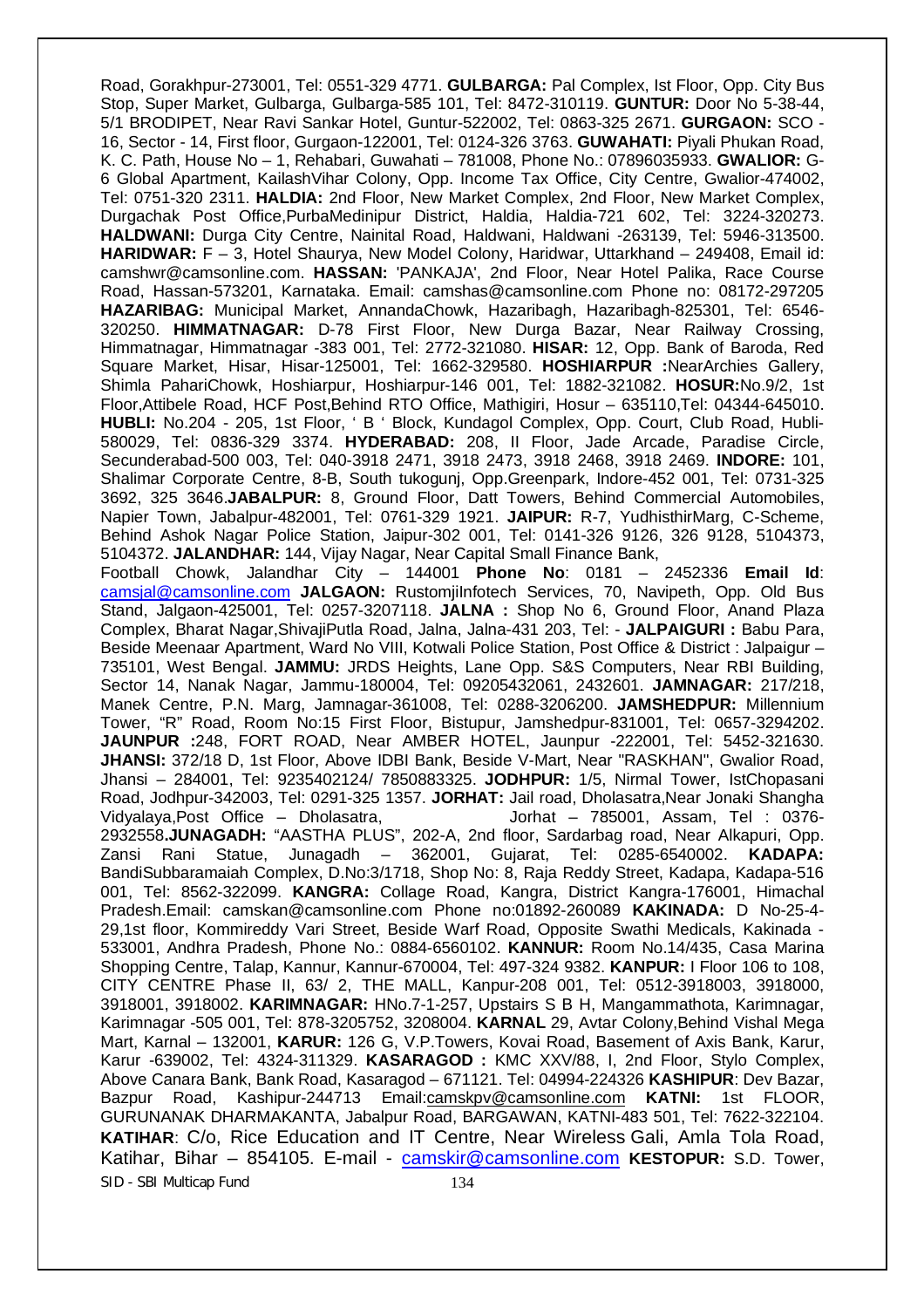SID - SBI Multicap Fund 134 Road, Gorakhpur-273001, Tel: 0551-329 4771. **GULBARGA:** Pal Complex, Ist Floor, Opp. City Bus Stop, Super Market, Gulbarga, Gulbarga-585 101, Tel: 8472-310119. **GUNTUR:** Door No 5-38-44, 5/1 BRODIPET, Near Ravi Sankar Hotel, Guntur-522002, Tel: 0863-325 2671. **GURGAON:** SCO - 16, Sector - 14, First floor, Gurgaon-122001, Tel: 0124-326 3763. **GUWAHATI:** Piyali Phukan Road, K. C. Path, House No – 1, Rehabari, Guwahati – 781008, Phone No.: 07896035933. **GWALIOR:** G-6 Global Apartment, KailashVihar Colony, Opp. Income Tax Office, City Centre, Gwalior-474002, Tel: 0751-320 2311. **HALDIA:** 2nd Floor, New Market Complex, 2nd Floor, New Market Complex, Durgachak Post Office,PurbaMedinipur District, Haldia, Haldia-721 602, Tel: 3224-320273. **HALDWANI:** Durga City Centre, Nainital Road, Haldwani, Haldwani -263139, Tel: 5946-313500. **HARIDWAR:** F – 3, Hotel Shaurya, New Model Colony, Haridwar, Uttarkhand – 249408, Email id: camshwr@camsonline.com. **HASSAN:** 'PANKAJA', 2nd Floor, Near Hotel Palika, Race Course Road, Hassan-573201, Karnataka. Email: camshas@camsonline.com Phone no: 08172-297205 **HAZARIBAG:** Municipal Market, AnnandaChowk, Hazaribagh, Hazaribagh-825301, Tel: 6546- 320250. **HIMMATNAGAR:** D-78 First Floor, New Durga Bazar, Near Railway Crossing, Himmatnagar, Himmatnagar -383 001, Tel: 2772-321080. **HISAR:** 12, Opp. Bank of Baroda, Red Square Market, Hisar, Hisar-125001, Tel: 1662-329580. **HOSHIARPUR :**NearArchies Gallery, Shimla PahariChowk, Hoshiarpur, Hoshiarpur-146 001, Tel: 1882-321082. **HOSUR:**No.9/2, 1st Floor,Attibele Road, HCF Post,Behind RTO Office, Mathigiri, Hosur – 635110,Tel: 04344-645010. **HUBLI:** No.204 - 205, 1st Floor, ' B ' Block, Kundagol Complex, Opp. Court, Club Road, Hubli-580029, Tel: 0836-329 3374. **HYDERABAD:** 208, II Floor, Jade Arcade, Paradise Circle, Secunderabad-500 003, Tel: 040-3918 2471, 3918 2473, 3918 2468, 3918 2469. **INDORE:** 101, Shalimar Corporate Centre, 8-B, South tukogunj, Opp.Greenpark, Indore-452 001, Tel: 0731-325 3692, 325 3646.**JABALPUR:** 8, Ground Floor, Datt Towers, Behind Commercial Automobiles, Napier Town, Jabalpur-482001, Tel: 0761-329 1921. **JAIPUR:** R-7, YudhisthirMarg, C-Scheme, Behind Ashok Nagar Police Station, Jaipur-302 001, Tel: 0141-326 9126, 326 9128, 5104373, 5104372. **JALANDHAR:** 144, Vijay Nagar, Near Capital Small Finance Bank, Football Chowk, Jalandhar City – 144001 **Phone No**: 0181 – 2452336 **Email Id**: camsjal@camsonline.com **JALGAON:** RustomjiInfotech Services, 70, Navipeth, Opp. Old Bus Stand, Jalgaon-425001, Tel: 0257-3207118. **JALNA :** Shop No 6, Ground Floor, Anand Plaza Complex, Bharat Nagar,ShivajiPutla Road, Jalna, Jalna-431 203, Tel: - **JALPAIGURI :** Babu Para, Beside Meenaar Apartment, Ward No VIII, Kotwali Police Station, Post Office & District : Jalpaigur – 735101, West Bengal. **JAMMU:** JRDS Heights, Lane Opp. S&S Computers, Near RBI Building, Sector 14, Nanak Nagar, Jammu-180004, Tel: 09205432061, 2432601. **JAMNAGAR:** 217/218, Manek Centre, P.N. Marg, Jamnagar-361008, Tel: 0288-3206200. **JAMSHEDPUR:** Millennium Tower, "R" Road, Room No:15 First Floor, Bistupur, Jamshedpur-831001, Tel: 0657-3294202. **JAUNPUR :**248, FORT ROAD, Near AMBER HOTEL, Jaunpur -222001, Tel: 5452-321630. **JHANSI:** 372/18 D, 1st Floor, Above IDBI Bank, Beside V-Mart, Near "RASKHAN", Gwalior Road, Jhansi – 284001, Tel: 9235402124/ 7850883325. **JODHPUR:** 1/5, Nirmal Tower, IstChopasani Road, Jodhpur-342003, Tel: 0291-325 1357. **JORHAT:** Jail road, Dholasatra,Near Jonaki Shangha Jorhat – 785001, Assam, Tel : 0376-2932558**.JUNAGADH:** "AASTHA PLUS", 202-A, 2nd floor, Sardarbag road, Near Alkapuri, Opp. Zansi Rani Statue, Junagadh – 362001, Gujarat, Tel: 0285-6540002. **KADAPA:**  BandiSubbaramaiah Complex, D.No:3/1718, Shop No: 8, Raja Reddy Street, Kadapa, Kadapa-516 001, Tel: 8562-322099. **KANGRA:** Collage Road, Kangra, District Kangra-176001, Himachal Pradesh.Email: camskan@camsonline.com Phone no:01892-260089 **KAKINADA:** D No-25-4- 29,1st floor, Kommireddy Vari Street, Beside Warf Road, Opposite Swathi Medicals, Kakinada - 533001, Andhra Pradesh, Phone No.: 0884-6560102. **KANNUR:** Room No.14/435, Casa Marina Shopping Centre, Talap, Kannur, Kannur-670004, Tel: 497-324 9382. **KANPUR:** I Floor 106 to 108, CITY CENTRE Phase II, 63/ 2, THE MALL, Kanpur-208 001, Tel: 0512-3918003, 3918000, 3918001, 3918002. **KARIMNAGAR:** HNo.7-1-257, Upstairs S B H, Mangammathota, Karimnagar, Karimnagar -505 001, Tel: 878-3205752, 3208004. **KARNAL** 29, Avtar Colony,Behind Vishal Mega Mart, Karnal – 132001, **KARUR:** 126 G, V.P.Towers, Kovai Road, Basement of Axis Bank, Karur, Karur -639002, Tel: 4324-311329. **KASARAGOD :** KMC XXV/88, I, 2nd Floor, Stylo Complex, Above Canara Bank, Bank Road, Kasaragod – 671121. Tel: 04994-224326 **KASHIPUR**: Dev Bazar, Bazpur Road, Kashipur-244713 Email:camskpv@camsonline.com **KATNI:** 1st FLOOR, GURUNANAK DHARMAKANTA, Jabalpur Road, BARGAWAN, KATNI-483 501, Tel: 7622-322104. **KATIHAR**: C/o, Rice Education and IT Centre, Near Wireless Gali, Amla Tola Road, Katihar, Bihar – 854105. E-mail - camskir@camsonline.com **KESTOPUR:** S.D. Tower,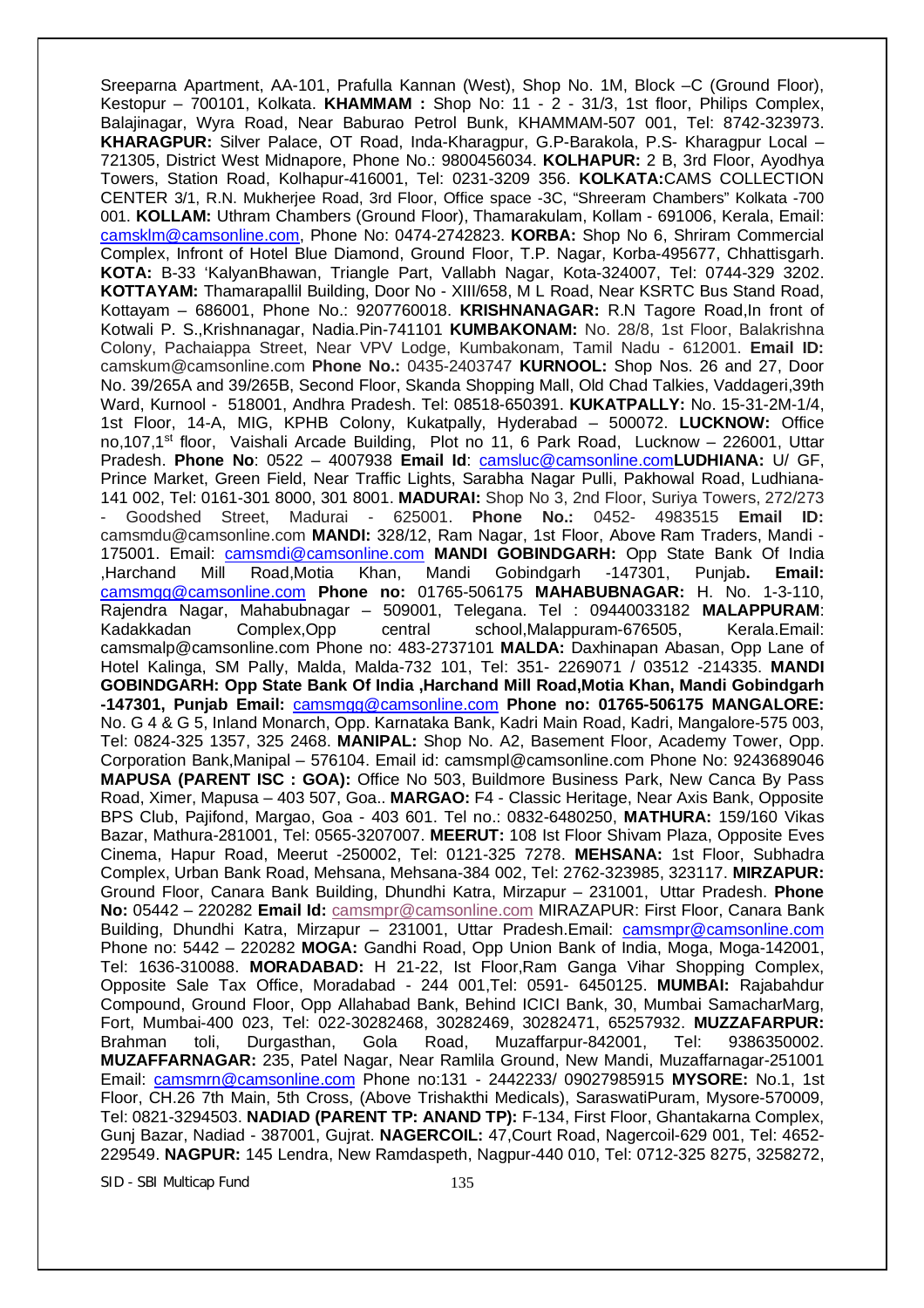Sreeparna Apartment, AA-101, Prafulla Kannan (West), Shop No. 1M, Block –C (Ground Floor), Kestopur – 700101, Kolkata. **KHAMMAM :** Shop No: 11 - 2 - 31/3, 1st floor, Philips Complex, Balajinagar, Wyra Road, Near Baburao Petrol Bunk, KHAMMAM-507 001, Tel: 8742-323973. **KHARAGPUR:** Silver Palace, OT Road, Inda-Kharagpur, G.P-Barakola, P.S- Kharagpur Local – 721305, District West Midnapore, Phone No.: 9800456034. **KOLHAPUR:** 2 B, 3rd Floor, Ayodhya Towers, Station Road, Kolhapur-416001, Tel: 0231-3209 356. **KOLKATA:**CAMS COLLECTION CENTER 3/1, R.N. Mukherjee Road, 3rd Floor, Office space -3C, "Shreeram Chambers" Kolkata -700 001. **KOLLAM:** Uthram Chambers (Ground Floor), Thamarakulam, Kollam - 691006, Kerala, Email: camsklm@camsonline.com, Phone No: 0474-2742823. **KORBA:** Shop No 6, Shriram Commercial Complex, Infront of Hotel Blue Diamond, Ground Floor, T.P. Nagar, Korba-495677, Chhattisgarh. **KOTA:** B-33 'KalyanBhawan, Triangle Part, Vallabh Nagar, Kota-324007, Tel: 0744-329 3202. **KOTTAYAM:** Thamarapallil Building, Door No - XIII/658, M L Road, Near KSRTC Bus Stand Road, Kottayam – 686001, Phone No.: 9207760018. **KRISHNANAGAR:** R.N Tagore Road,In front of Kotwali P. S.,Krishnanagar, Nadia.Pin-741101 **KUMBAKONAM:** No. 28/8, 1st Floor, Balakrishna Colony, Pachaiappa Street, Near VPV Lodge, Kumbakonam, Tamil Nadu - 612001. **Email ID:**  camskum@camsonline.com **Phone No.:** 0435-2403747 **KURNOOL:** Shop Nos. 26 and 27, Door No. 39/265A and 39/265B, Second Floor, Skanda Shopping Mall, Old Chad Talkies, Vaddageri,39th Ward, Kurnool - 518001, Andhra Pradesh. Tel: 08518-650391. **KUKATPALLY:** No. 15-31-2M-1/4, 1st Floor, 14-A, MIG, KPHB Colony, Kukatpally, Hyderabad – 500072. **LUCKNOW:** Office no,107,1st floor, Vaishali Arcade Building, Plot no 11, 6 Park Road, Lucknow – 226001, Uttar Pradesh. **Phone No**: 0522 – 4007938 **Email Id**: camsluc@camsonline.com**LUDHIANA:** U/ GF, Prince Market, Green Field, Near Traffic Lights, Sarabha Nagar Pulli, Pakhowal Road, Ludhiana-141 002, Tel: 0161-301 8000, 301 8001. **MADURAI:** Shop No 3, 2nd Floor, Suriya Towers, 272/273 - Goodshed Street, Madurai - 625001. **Phone No.:** 0452- 4983515 **Email ID:**  camsmdu@camsonline.com **MANDI:** 328/12, Ram Nagar, 1st Floor, Above Ram Traders, Mandi - 175001. Email: camsmdi@camsonline.com **MANDI GOBINDGARH:** Opp State Bank Of India ,Harchand Mill Road,Motia Khan, Mandi Gobindgarh -147301, Punjab**. Email:** camsmgg@camsonline.com **Phone no:** 01765-506175 **MAHABUBNAGAR:** H. No. 1-3-110, Rajendra Nagar, Mahabubnagar – 509001, Telegana. Tel : 09440033182 **MALAPPURAM**: Kadakkadan Complex,Opp central school,Malappuram-676505, Kerala.Email: camsmalp@camsonline.com Phone no: 483-2737101 **MALDA:** Daxhinapan Abasan, Opp Lane of Hotel Kalinga, SM Pally, Malda, Malda-732 101, Tel: 351- 2269071 / 03512 -214335. **MANDI GOBINDGARH: Opp State Bank Of India ,Harchand Mill Road,Motia Khan, Mandi Gobindgarh -147301, Punjab Email:** camsmgg@camsonline.com **Phone no: 01765-506175 MANGALORE:**  No. G 4 & G 5, Inland Monarch, Opp. Karnataka Bank, Kadri Main Road, Kadri, Mangalore-575 003, Tel: 0824-325 1357, 325 2468. **MANIPAL:** Shop No. A2, Basement Floor, Academy Tower, Opp. Corporation Bank,Manipal – 576104. Email id: camsmpl@camsonline.com Phone No: 9243689046 **MAPUSA (PARENT ISC : GOA):** Office No 503, Buildmore Business Park, New Canca By Pass Road, Ximer, Mapusa – 403 507, Goa.. **MARGAO:** F4 - Classic Heritage, Near Axis Bank, Opposite BPS Club, Pajifond, Margao, Goa - 403 601. Tel no.: 0832-6480250, **MATHURA:** 159/160 Vikas Bazar, Mathura-281001, Tel: 0565-3207007. **MEERUT:** 108 Ist Floor Shivam Plaza, Opposite Eves Cinema, Hapur Road, Meerut -250002, Tel: 0121-325 7278. **MEHSANA:** 1st Floor, Subhadra Complex, Urban Bank Road, Mehsana, Mehsana-384 002, Tel: 2762-323985, 323117. **MIRZAPUR:**  Ground Floor, Canara Bank Building, Dhundhi Katra, Mirzapur – 231001, Uttar Pradesh. **Phone No:** 05442 – 220282 **Email Id:** camsmpr@camsonline.com MIRAZAPUR: First Floor, Canara Bank Building, Dhundhi Katra, Mirzapur - 231001, Uttar Pradesh.Email: camsmpr@camsonline.com Phone no: 5442 – 220282 **MOGA:** Gandhi Road, Opp Union Bank of India, Moga, Moga-142001, Tel: 1636-310088. **MORADABAD:** H 21-22, Ist Floor,Ram Ganga Vihar Shopping Complex, Opposite Sale Tax Office, Moradabad - 244 001,Tel: 0591- 6450125. **MUMBAI:** Rajabahdur Compound, Ground Floor, Opp Allahabad Bank, Behind ICICI Bank, 30, Mumbai SamacharMarg, Fort, Mumbai-400 023, Tel: 022-30282468, 30282469, 30282471, 65257932. **MUZZAFARPUR:**  Brahman toli, Durgasthan, Gola Road, Muzaffarpur-842001, Tel: 9386350002. **MUZAFFARNAGAR:** 235, Patel Nagar, Near Ramlila Ground, New Mandi, Muzaffarnagar-251001 Email: camsmrn@camsonline.com Phone no:131 - 2442233/ 09027985915 **MYSORE:** No.1, 1st Floor, CH.26 7th Main, 5th Cross, (Above Trishakthi Medicals), SaraswatiPuram, Mysore-570009, Tel: 0821-3294503. **NADIAD (PARENT TP: ANAND TP):** F-134, First Floor, Ghantakarna Complex, Gunj Bazar, Nadiad - 387001, Gujrat. **NAGERCOIL:** 47,Court Road, Nagercoil-629 001, Tel: 4652- 229549. **NAGPUR:** 145 Lendra, New Ramdaspeth, Nagpur-440 010, Tel: 0712-325 8275, 3258272,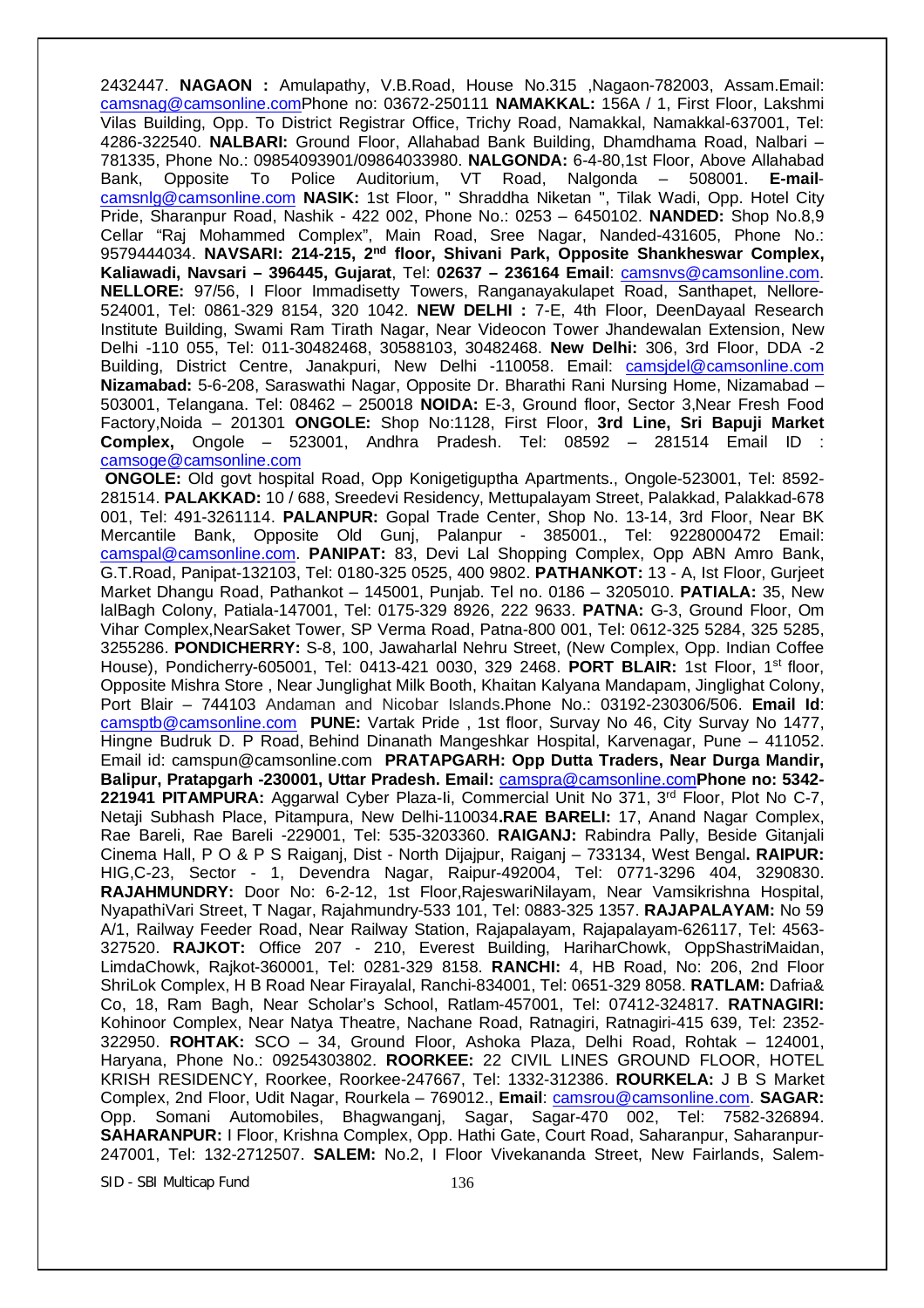2432447. **NAGAON :** Amulapathy, V.B.Road, House No.315 ,Nagaon-782003, Assam.Email: camsnag@camsonline.comPhone no: 03672-250111 **NAMAKKAL:** 156A / 1, First Floor, Lakshmi Vilas Building, Opp. To District Registrar Office, Trichy Road, Namakkal, Namakkal-637001, Tel: 4286-322540. **NALBARI:** Ground Floor, Allahabad Bank Building, Dhamdhama Road, Nalbari – 781335, Phone No.: 09854093901/09864033980. **NALGONDA:** 6-4-80,1st Floor, Above Allahabad Bank, Opposite To Police Auditorium, VT Road, Nalgonda – 508001. **E-mail**camsnlg@camsonline.com **NASIK:** 1st Floor, " Shraddha Niketan ", Tilak Wadi, Opp. Hotel City Pride, Sharanpur Road, Nashik - 422 002, Phone No.: 0253 – 6450102. **NANDED:** Shop No.8,9 Cellar "Raj Mohammed Complex", Main Road, Sree Nagar, Nanded-431605, Phone No.: 9579444034. **NAVSARI: 214-215, 2nd floor, Shivani Park, Opposite Shankheswar Complex, Kaliawadi, Navsari – 396445, Gujarat**, Tel: **02637 – 236164 Email**: camsnvs@camsonline.com. **NELLORE:** 97/56, I Floor Immadisetty Towers, Ranganayakulapet Road, Santhapet, Nellore-524001, Tel: 0861-329 8154, 320 1042. **NEW DELHI :** 7-E, 4th Floor, DeenDayaal Research Institute Building, Swami Ram Tirath Nagar, Near Videocon Tower Jhandewalan Extension, New Delhi -110 055, Tel: 011-30482468, 30588103, 30482468. **New Delhi:** 306, 3rd Floor, DDA -2 Building, District Centre, Janakpuri, New Delhi -110058. Email: camsidel@camsonline.com **Nizamabad:** 5-6-208, Saraswathi Nagar, Opposite Dr. Bharathi Rani Nursing Home, Nizamabad – 503001, Telangana. Tel: 08462 – 250018 **NOIDA:** E-3, Ground floor, Sector 3,Near Fresh Food Factory,Noida – 201301 **ONGOLE:** Shop No:1128, First Floor, **3rd Line, Sri Bapuji Market Complex,** Ongole – 523001, Andhra Pradesh. Tel: 08592 – 281514 Email ID : camsoge@camsonline.com

**ONGOLE:** Old govt hospital Road, Opp Konigetiguptha Apartments., Ongole-523001, Tel: 8592- 281514. **PALAKKAD:** 10 / 688, Sreedevi Residency, Mettupalayam Street, Palakkad, Palakkad-678 001, Tel: 491-3261114. **PALANPUR:** Gopal Trade Center, Shop No. 13-14, 3rd Floor, Near BK Mercantile Bank, Opposite Old Gunj, Palanpur - 385001., Tel: 9228000472 Email: camspal@camsonline.com. **PANIPAT:** 83, Devi Lal Shopping Complex, Opp ABN Amro Bank, G.T.Road, Panipat-132103, Tel: 0180-325 0525, 400 9802. **PATHANKOT:** 13 - A, Ist Floor, Gurjeet Market Dhangu Road, Pathankot – 145001, Punjab. Tel no. 0186 – 3205010. **PATIALA:** 35, New lalBagh Colony, Patiala-147001, Tel: 0175-329 8926, 222 9633. **PATNA:** G-3, Ground Floor, Om Vihar Complex,NearSaket Tower, SP Verma Road, Patna-800 001, Tel: 0612-325 5284, 325 5285, 3255286. **PONDICHERRY:** S-8, 100, Jawaharlal Nehru Street, (New Complex, Opp. Indian Coffee House), Pondicherry-605001, Tel: 0413-421 0030, 329 2468. **PORT BLAIR:** 1st Floor, 1st floor, Opposite Mishra Store , Near Junglighat Milk Booth, Khaitan Kalyana Mandapam, Jinglighat Colony, Port Blair – 744103 Andaman and Nicobar Islands.Phone No.: 03192-230306/506. **Email Id**: camsptb@camsonline.com **PUNE:** Vartak Pride , 1st floor, Survay No 46, City Survay No 1477, Hingne Budruk D. P Road, Behind Dinanath Mangeshkar Hospital, Karvenagar, Pune – 411052. Email id: camspun@camsonline.com **PRATAPGARH: Opp Dutta Traders, Near Durga Mandir, Balipur, Pratapgarh -230001, Uttar Pradesh. Email:** camspra@camsonline.com**Phone no: 5342- 221941 PITAMPURA:** Aggarwal Cyber Plaza-Ii, Commercial Unit No 371, 3rd Floor, Plot No C-7, Netaji Subhash Place, Pitampura, New Delhi-110034**.RAE BARELI:** 17, Anand Nagar Complex, Rae Bareli, Rae Bareli -229001, Tel: 535-3203360. **RAIGANJ:** Rabindra Pally, Beside Gitanjali Cinema Hall, P O & P S Raiganj, Dist - North Dijajpur, Raiganj – 733134, West Bengal**. RAIPUR:**  HIG,C-23, Sector - 1, Devendra Nagar, Raipur-492004, Tel: 0771-3296 404, 3290830. **RAJAHMUNDRY:** Door No: 6-2-12, 1st Floor,RajeswariNilayam, Near Vamsikrishna Hospital, NyapathiVari Street, T Nagar, Rajahmundry-533 101, Tel: 0883-325 1357. **RAJAPALAYAM:** No 59 A/1, Railway Feeder Road, Near Railway Station, Rajapalayam, Rajapalayam-626117, Tel: 4563- 327520. **RAJKOT:** Office 207 - 210, Everest Building, HariharChowk, OppShastriMaidan, LimdaChowk, Rajkot-360001, Tel: 0281-329 8158. **RANCHI:** 4, HB Road, No: 206, 2nd Floor ShriLok Complex, H B Road Near Firayalal, Ranchi-834001, Tel: 0651-329 8058. **RATLAM:** Dafria& Co, 18, Ram Bagh, Near Scholar's School, Ratlam-457001, Tel: 07412-324817. **RATNAGIRI:**  Kohinoor Complex, Near Natya Theatre, Nachane Road, Ratnagiri, Ratnagiri-415 639, Tel: 2352- 322950. **ROHTAK:** SCO – 34, Ground Floor, Ashoka Plaza, Delhi Road, Rohtak – 124001, Haryana, Phone No.: 09254303802. **ROORKEE:** 22 CIVIL LINES GROUND FLOOR, HOTEL KRISH RESIDENCY, Roorkee, Roorkee-247667, Tel: 1332-312386. **ROURKELA:** J B S Market Complex, 2nd Floor, Udit Nagar, Rourkela – 769012., **Email**: camsrou@camsonline.com. **SAGAR:**  Opp. Somani Automobiles, Bhagwanganj, Sagar, Sagar-470 002, Tel: 7582-326894. **SAHARANPUR:** I Floor, Krishna Complex, Opp. Hathi Gate, Court Road, Saharanpur, Saharanpur-247001, Tel: 132-2712507. **SALEM:** No.2, I Floor Vivekananda Street, New Fairlands, Salem-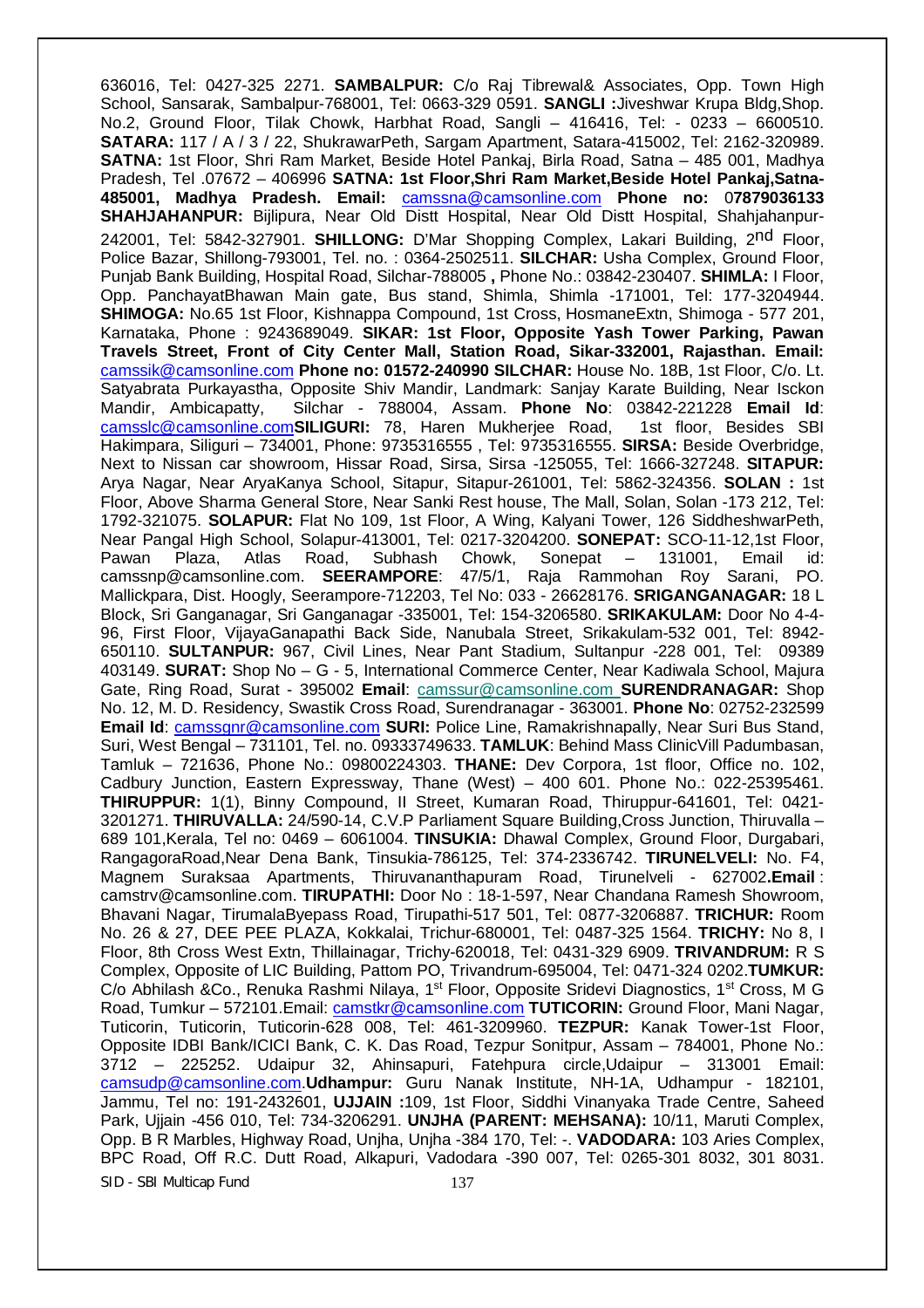SID - SBI Multicap Fund 137 636016, Tel: 0427-325 2271. **SAMBALPUR:** C/o Raj Tibrewal& Associates, Opp. Town High School, Sansarak, Sambalpur-768001, Tel: 0663-329 0591. **SANGLI :**Jiveshwar Krupa Bldg,Shop. No.2, Ground Floor, Tilak Chowk, Harbhat Road, Sangli – 416416, Tel: - 0233 – 6600510. **SATARA:** 117 / A / 3 / 22, ShukrawarPeth, Sargam Apartment, Satara-415002, Tel: 2162-320989. **SATNA:** 1st Floor, Shri Ram Market, Beside Hotel Pankaj, Birla Road, Satna – 485 001, Madhya Pradesh, Tel .07672 – 406996 **SATNA: 1st Floor,Shri Ram Market,Beside Hotel Pankaj,Satna-485001, Madhya Pradesh. Email:** camssna@camsonline.com **Phone no:** 0**7879036133 SHAHJAHANPUR:** Bijlipura, Near Old Distt Hospital, Near Old Distt Hospital, Shahjahanpur-242001, Tel: 5842-327901. **SHILLONG:** D'Mar Shopping Complex, Lakari Building, 2nd Floor, Police Bazar, Shillong-793001, Tel. no. : 0364-2502511. **SILCHAR:** Usha Complex, Ground Floor, Punjab Bank Building, Hospital Road, Silchar-788005 **,** Phone No.: 03842-230407. **SHIMLA:** I Floor, Opp. PanchayatBhawan Main gate, Bus stand, Shimla, Shimla -171001, Tel: 177-3204944. **SHIMOGA:** No.65 1st Floor, Kishnappa Compound, 1st Cross, HosmaneExtn, Shimoga - 577 201, Karnataka, Phone : 9243689049. **SIKAR: 1st Floor, Opposite Yash Tower Parking, Pawan Travels Street, Front of City Center Mall, Station Road, Sikar-332001, Rajasthan. Email:** camssik@camsonline.com **Phone no: 01572-240990 SILCHAR:** House No. 18B, 1st Floor, C/o. Lt. Satyabrata Purkayastha, Opposite Shiv Mandir, Landmark: Sanjay Karate Building, Near Isckon Mandir, Ambicapatty, Silchar - 788004, Assam. **Phone No**: 03842-221228 **Email Id**: camsslc@camsonline.com**SILIGURI:** 78, Haren Mukherjee Road, 1st floor, Besides SBI Hakimpara, Siliguri – 734001, Phone: 9735316555 , Tel: 9735316555. **SIRSA:** Beside Overbridge, Next to Nissan car showroom, Hissar Road, Sirsa, Sirsa -125055, Tel: 1666-327248. **SITAPUR:**  Arya Nagar, Near AryaKanya School, Sitapur, Sitapur-261001, Tel: 5862-324356. **SOLAN :** 1st Floor, Above Sharma General Store, Near Sanki Rest house, The Mall, Solan, Solan -173 212, Tel: 1792-321075. **SOLAPUR:** Flat No 109, 1st Floor, A Wing, Kalyani Tower, 126 SiddheshwarPeth, Near Pangal High School, Solapur-413001, Tel: 0217-3204200. **SONEPAT:** SCO-11-12,1st Floor, Pawan Plaza, Atlas Road, Subhash Chowk, Sonepat – 131001, Email id: camssnp@camsonline.com. **SEERAMPORE**: 47/5/1, Raja Rammohan Roy Sarani, PO. Mallickpara, Dist. Hoogly, Seerampore-712203, Tel No: 033 - 26628176. **SRIGANGANAGAR:** 18 L Block, Sri Ganganagar, Sri Ganganagar -335001, Tel: 154-3206580. **SRIKAKULAM:** Door No 4-4- 96, First Floor, VijayaGanapathi Back Side, Nanubala Street, Srikakulam-532 001, Tel: 8942- 650110. **SULTANPUR:** 967, Civil Lines, Near Pant Stadium, Sultanpur -228 001, Tel: 09389 403149. **SURAT:** Shop No – G - 5, International Commerce Center, Near Kadiwala School, Majura Gate, Ring Road, Surat - 395002 **Email**: camssur@camsonline.com **SURENDRANAGAR:** Shop No. 12, M. D. Residency, Swastik Cross Road, Surendranagar - 363001. **Phone No**: 02752-232599 **Email Id**: camssgnr@camsonline.com **SURI:** Police Line, Ramakrishnapally, Near Suri Bus Stand, Suri, West Bengal – 731101, Tel. no. 09333749633. **TAMLUK**: Behind Mass ClinicVill Padumbasan, Tamluk – 721636, Phone No.: 09800224303. **THANE:** Dev Corpora, 1st floor, Office no. 102, Cadbury Junction, Eastern Expressway, Thane (West) – 400 601. Phone No.: 022-25395461. **THIRUPPUR:** 1(1), Binny Compound, II Street, Kumaran Road, Thiruppur-641601, Tel: 0421- 3201271. **THIRUVALLA:** 24/590-14, C.V.P Parliament Square Building,Cross Junction, Thiruvalla – 689 101,Kerala, Tel no: 0469 – 6061004. **TINSUKIA:** Dhawal Complex, Ground Floor, Durgabari, RangagoraRoad,Near Dena Bank, Tinsukia-786125, Tel: 374-2336742. **TIRUNELVELI:** No. F4, Magnem Suraksaa Apartments, Thiruvananthapuram Road, Tirunelveli - 627002**.Email** : camstrv@camsonline.com. **TIRUPATHI:** Door No : 18-1-597, Near Chandana Ramesh Showroom, Bhavani Nagar, TirumalaByepass Road, Tirupathi-517 501, Tel: 0877-3206887. **TRICHUR:** Room No. 26 & 27, DEE PEE PLAZA, Kokkalai, Trichur-680001, Tel: 0487-325 1564. **TRICHY:** No 8, I Floor, 8th Cross West Extn, Thillainagar, Trichy-620018, Tel: 0431-329 6909. **TRIVANDRUM:** R S Complex, Opposite of LIC Building, Pattom PO, Trivandrum-695004, Tel: 0471-324 0202.**TUMKUR:**  C/o Abhilash &Co., Renuka Rashmi Nilaya, 1<sup>st</sup> Floor, Opposite Sridevi Diagnostics, 1<sup>st</sup> Cross, M G Road, Tumkur – 572101.Email: camstkr@camsonline.com **TUTICORIN:** Ground Floor, Mani Nagar, Tuticorin, Tuticorin, Tuticorin-628 008, Tel: 461-3209960. **TEZPUR:** Kanak Tower-1st Floor, Opposite IDBI Bank/ICICI Bank, C. K. Das Road, Tezpur Sonitpur, Assam – 784001, Phone No.: 3712 – 225252. Udaipur 32, Ahinsapuri, Fatehpura circle,Udaipur – 313001 Email: camsudp@camsonline.com.**Udhampur:** Guru Nanak Institute, NH-1A, Udhampur - 182101, Jammu, Tel no: 191-2432601, **UJJAIN :**109, 1st Floor, Siddhi Vinanyaka Trade Centre, Saheed Park, Ujjain -456 010, Tel: 734-3206291. **UNJHA (PARENT: MEHSANA):** 10/11, Maruti Complex, Opp. B R Marbles, Highway Road, Unjha, Unjha -384 170, Tel: -. **VADODARA:** 103 Aries Complex, BPC Road, Off R.C. Dutt Road, Alkapuri, Vadodara -390 007, Tel: 0265-301 8032, 301 8031.